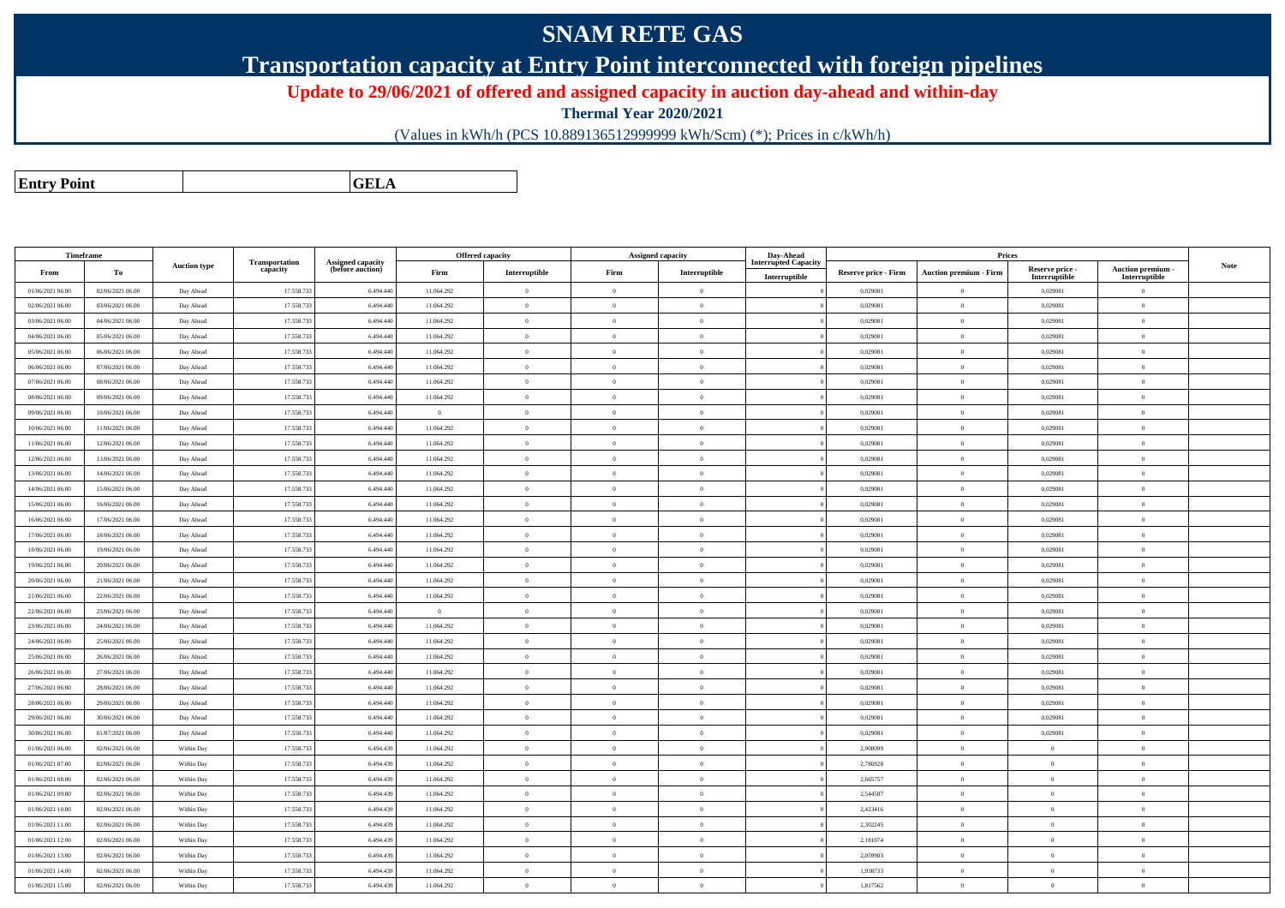## **SNAM RETE GAS**

**Transportation capacity at Entry Point interconnected with foreign pipelines**

**Update to 29/06/2021 of offered and assigned capacity in auction day-ahead and within-day**

**Thermal Year 2020/2021**

(Values in kWh/h (PCS 10.889136512999999 kWh/Scm) (\*); Prices in c/kWh/h)

**Entry PointGELA**

| Timeframe        |                  |                     |                                   |                                              |                | Offered capacity |                | Assigned capacity | Day-Ahead                                    |                      | Prices                        |                                  |                                    |             |
|------------------|------------------|---------------------|-----------------------------------|----------------------------------------------|----------------|------------------|----------------|-------------------|----------------------------------------------|----------------------|-------------------------------|----------------------------------|------------------------------------|-------------|
| From             | To               | <b>Auction type</b> | <b>Transportation</b><br>capacity | <b>Assigned capacity</b><br>(before auction) | Firm           | Interruptible    | Firm           | Interruptible     | <b>Interrupted Capacity</b><br>Interruptible | Reserve price - Firm | <b>Auction premium - Firm</b> | Reserve price -<br>Interruptible | Auction premium -<br>Interruptible | <b>Note</b> |
| 01/06/2021 06:00 | 02/06/2021 06:00 | Day Ahead           | 17.558.733                        | 6.494.440                                    | 11.064.292     | $\theta$         | $\overline{0}$ | $\overline{0}$    |                                              | 0,029081             | $\mathbf{0}$                  | 0,029081                         | $\Omega$                           |             |
| 02/06/2021 06:00 | 03/06/2021 06:00 | Day Ahead           | 17.558.733                        | 6.494.440                                    | 11.064.292     | $\overline{0}$   | $\overline{0}$ | $\overline{0}$    |                                              | 0,029081             | $\overline{0}$                | 0,029081                         | $\overline{0}$                     |             |
| 03/06/2021 06:00 | 04/06/2021 06:00 | Day Ahead           | 17.558.733                        | 6.494.440                                    | 11.064.292     | $\theta$         | $\overline{0}$ | $\overline{0}$    |                                              | 0,029081             | $\mathbf{0}$                  | 0,029081                         | $\overline{0}$                     |             |
| 04/06/2021 06:00 | 05/06/2021 06:00 | Day Ahead           | 17.558.733                        | 6.494.440                                    | 11.064.292     | $\theta$         | $\theta$       | $\theta$          |                                              | 0.029081             | $\mathbf{0}$                  | 0.029081                         | $\overline{0}$                     |             |
| 05/06/2021 06:00 | 06/06/2021 06:00 | Day Ahead           | 17.558.733                        | 6.494.440                                    | 11.064.292     | $\theta$         | $\overline{0}$ | $\overline{0}$    |                                              | 0,029081             | $\mathbf{0}$                  | 0,029081                         | $\theta$                           |             |
| 06/06/2021 06:00 | 07/06/2021 06:00 | Day Ahead           | 17.558.733                        | 6.494.440                                    | 11.064.292     | $\overline{0}$   | $\overline{0}$ | $\theta$          |                                              | 0,029081             | $\mathbf{0}$                  | 0,029081                         | $\theta$                           |             |
| 07/06/2021 06:00 | 08/06/2021 06:00 | Day Ahead           | 17.558.733                        | 6.494.440                                    | 11.064.292     | $\theta$         | $\Omega$       | $\theta$          |                                              | 0.029081             | $\Omega$                      | 0,029081                         | $\Omega$                           |             |
| 08/06/2021 06:00 | 09/06/2021 06:00 | Day Ahead           | 17.558.733                        | 6.494.440                                    | 11.064.292     | $\Omega$         | $\Omega$       | $\Omega$          |                                              | 0.029081             | $\Omega$                      | 0.029081                         | $\Omega$                           |             |
| 09/06/2021 06:00 | 10/06/2021 06:00 | Day Ahead           | 17.558.733                        | 6.494.440                                    | $\overline{0}$ | $\theta$         | $\theta$       | $\theta$          |                                              | 0.029081             | $\theta$                      | 0,029081                         | $\theta$                           |             |
| 10/06/2021 06:00 | 11/06/2021 06:00 | Day Ahead           | 17.558.733                        | 6.494.440                                    | 11.064.292     | $\theta$         | $\Omega$       | $\theta$          |                                              | 0.029081             | $\Omega$                      | 0.029081                         | $\theta$                           |             |
| 11/06/2021 06:00 | 12/06/2021 06:00 | Day Ahead           | 17.558.733                        | 6.494.440                                    | 11.064.292     | $\theta$         | $\overline{0}$ | $\,$ 0 $\,$       |                                              | 0,029081             | $\overline{0}$                | 0,029081                         | $\theta$                           |             |
| 12/06/2021 06:00 | 13/06/2021 06:00 | Day Ahead           | 17.558.733                        | 6.494.440                                    | 11.064.292     | $\theta$         | $\Omega$       | $\Omega$          |                                              | 0.029081             | $\Omega$                      | 0.029081                         | $\theta$                           |             |
| 13/06/2021 06:00 | 14/06/2021 06:00 | Day Ahead           | 17,558,733                        | 6.494.440                                    | 11.064.292     | $\overline{0}$   | $\overline{0}$ | $\Omega$          |                                              | 0.029081             | $\theta$                      | 0.029081                         | $\theta$                           |             |
| 14/06/2021 06:00 | 15/06/2021 06:00 | Day Ahead           | 17.558.733                        | 6.494.440                                    | 11.064.292     | $\theta$         | $\Omega$       | $\Omega$          |                                              | 0.029081             | $\theta$                      | 0.029081                         | $\theta$                           |             |
| 15/06/2021 06:00 | 16/06/2021 06:00 | Day Ahead           | 17.558.733                        | 6.494.440                                    | 11.064.292     | $\overline{0}$   | $\theta$       | $\Omega$          |                                              | 0.029081             | $\theta$                      | 0,029081                         | $\theta$                           |             |
| 16/06/2021 06:00 | 17/06/2021 06:00 | Day Ahead           | 17.558.733                        | 6.494.440                                    | 11.064.292     | $\theta$         | $\overline{0}$ | $\mathbf{0}$      |                                              | 0,029081             | $\theta$                      | 0,029081                         | $\theta$                           |             |
| 17/06/2021 06:00 | 18/06/2021 06:00 | Day Ahead           | 17.558.733                        | 6.494.440                                    | 11.064.292     | $\overline{0}$   | $\overline{0}$ | $\theta$          |                                              | 0,029081             | $\mathbf{0}$                  | 0,029081                         | $\theta$                           |             |
| 18/06/2021 06:00 | 19/06/2021 06:00 | Day Ahead           | 17.558.733                        | 6.494.440                                    | 11.064.292     | $\overline{0}$   | $\overline{0}$ | $\theta$          |                                              | 0,029081             | $\mathbf{0}$                  | 0,029081                         | $\theta$                           |             |
| 19/06/2021 06:00 | 20/06/2021 06:00 | Day Ahead           | 17.558.733                        | 6.494.440                                    | 11.064.292     | $\overline{0}$   | $\theta$       | $\theta$          |                                              | 0,029081             | $\mathbf{0}$                  | 0,029081                         | $\theta$                           |             |
| 20/06/2021 06:00 | 21/06/2021 06:00 | Day Ahead           | 17.558.733                        | 6.494.440                                    | 11.064.292     | $\theta$         | $\Omega$       | $\mathbf{0}$      |                                              | 0,029081             | $\Omega$                      | 0,029081                         | $\theta$                           |             |
| 21/06/2021 06:00 | 22/06/2021 06:00 | Day Ahead           | 17.558.733                        | 6.494.440                                    | 11.064.292     | $\overline{0}$   | $\overline{0}$ | $\theta$          |                                              | 0,029081             | $\mathbf{0}$                  | 0,029081                         | $\theta$                           |             |
| 22/06/2021 06:00 | 23/06/2021 06:00 | Day Ahead           | 17.558.733                        | 6.494.440                                    | $\overline{0}$ | $\theta$         | $\theta$       | $\mathbf{0}$      |                                              | 0,029081             | $\mathbf{0}$                  | 0,029081                         | $\theta$                           |             |
| 23/06/2021 06:00 | 24/06/2021 06:00 | Day Ahead           | 17.558.733                        | 6.494.440                                    | 11.064.292     | $\overline{0}$   | $\overline{0}$ | $\theta$          |                                              | 0,029081             | $\mathbf{0}$                  | 0,029081                         | $\theta$                           |             |
| 24/06/2021 06:00 | 25/06/2021 06:00 | Day Ahead           | 17.558.733                        | 6.494.440                                    | 11.064.292     | $\overline{0}$   | $\overline{0}$ | $\mathbf{0}$      |                                              | 0,029081             | $\mathbf{0}$                  | 0,029081                         | $\theta$                           |             |
| 25/06/2021 06:00 | 26/06/2021 06:00 | Day Ahead           | 17.558.733                        | 6.494.440                                    | 11.064.292     | $\overline{0}$   | $\overline{0}$ | $\overline{0}$    |                                              | 0,029081             | $\bf{0}$                      | 0,029081                         | $\overline{0}$                     |             |
| 26/06/2021 06:00 | 27/06/2021 06:00 | Day Ahead           | 17.558.733                        | 6.494.440                                    | 11.064.292     | $\theta$         | $\overline{0}$ | $\overline{0}$    |                                              | 0,029081             | $\mathbf{0}$                  | 0,029081                         | $\overline{0}$                     |             |
| 27/06/2021 06:00 | 28/06/2021 06:00 | Day Ahead           | 17.558.733                        | 6.494.440                                    | 11.064.292     | $\mathbf{0}$     | $\overline{0}$ | $\theta$          |                                              | 0,029081             | $\mathbf{0}$                  | 0,029081                         | $\overline{0}$                     |             |
| 28/06/2021 06:00 | 29/06/2021 06:00 | Day Ahead           | 17.558.733                        | 6.494.440                                    | 11.064.292     | $\mathbf{0}$     | $\theta$       | $\mathbf{0}$      |                                              | 0,029081             | $\Omega$                      | 0,029081                         | $\theta$                           |             |
| 29/06/2021 06:00 | 30/06/2021 06:00 | Day Ahead           | 17.558.733                        | 6.494.440                                    | 11.064.292     | $\bf{0}$         | $\overline{0}$ | $\theta$          |                                              | 0,029081             | $\mathbf{0}$                  | 0.029081                         | $\theta$                           |             |
| 30/06/2021 06:00 | 01/07/2021 06:00 | Day Ahead           | 17.558.733                        | 6.494.440                                    | 11.064.292     | $\theta$         | $\overline{0}$ | $\bf{0}$          |                                              | 0,029081             | $\mathbf{0}$                  | 0,029081                         | $\theta$                           |             |
| 01/06/2021 06:00 | 02/06/2021 06:00 | Within Day          | 17.558.733                        | 6.494.439                                    | 11.064.292     | $\mathbf{0}$     | $\Omega$       | $\mathbf{0}$      |                                              | 2,908099             | $\Omega$                      | $\theta$                         | $\theta$                           |             |
| 01/06/2021 07:00 | 02/06/2021 06:00 | Within Day          | 17.558.733                        | 6,494,439                                    | 11.064.292     | $\mathbf{a}$     | $\Omega$       | $\Omega$          |                                              | 2,786928             | $\Omega$                      | $\mathbf{a}$                     | $\theta$                           |             |
| 01/06/2021 08:00 | 02/06/2021 06:00 | Within Day          | 17.558.733                        | 6.494.439                                    | 11.064.292     | $\overline{0}$   | $\Omega$       | $\mathbf{0}$      |                                              | 2.665757             | $\mathbf{0}$                  | $\mathbf{a}$                     | $\overline{0}$                     |             |
| 01/06/2021 09:00 | 02/06/2021 06:00 | Within Day          | 17.558.733                        | 6.494.439                                    | 11.064.292     | $\theta$         | $\theta$       | $\Omega$          |                                              | 2.544587             | $\theta$                      | $\mathbf{0}$                     | $\theta$                           |             |
| 01/06/2021 10:00 | 02/06/2021 06:00 | Within Day          | 17.558.733                        | 6.494.439                                    | 11.064.292     | $\sqrt{2}$       | $\Omega$       | $\Omega$          |                                              | 2.423416             | $\theta$                      | $\theta$                         | $\theta$                           |             |
| 01/06/2021 11:00 | 02/06/2021 06:00 | Within Day          | 17.558.733                        | 6.494.439                                    | 11.064.292     | $\overline{0}$   | $\overline{0}$ | $\mathbf{0}$      |                                              | 2,302245             | $\overline{0}$                | $\theta$                         | $\theta$                           |             |
| 01/06/2021 12:00 | 02/06/2021 06:00 | Within Day          | 17.558.733                        | 6.494.439                                    | 11.064.292     | $\theta$         | $\overline{0}$ | $\mathbf{0}$      |                                              | 2,181074             | $\mathbf{0}$                  | $\Omega$                         | $\theta$                           |             |
| 01/06/2021 13:00 | 02/06/2021 06:00 | Within Day          | 17.558.733                        | 6.494.439                                    | 11.064.292     | $\theta$         | $\theta$       | $\Omega$          |                                              | 2.059903             | $\theta$                      | $\theta$                         | $\theta$                           |             |
| 01/06/2021 14:00 | 02/06/2021 06:00 | Within Day          | 17.558.733                        | 6,494,439                                    | 11.064.292     | $\sqrt{2}$       | $\Omega$       | $\Omega$          |                                              | 1.938733             | $\Omega$                      | $\Omega$                         | $\theta$                           |             |
| 01/06/2021 15:00 | 02/06/2021 06:00 | Within Day          | 17.558.733                        | 6.494.439                                    | 11.064.292     | $\theta$         | $\overline{0}$ | $\theta$          |                                              | 1,817562             | $\Omega$                      | $\theta$                         | $\theta$                           |             |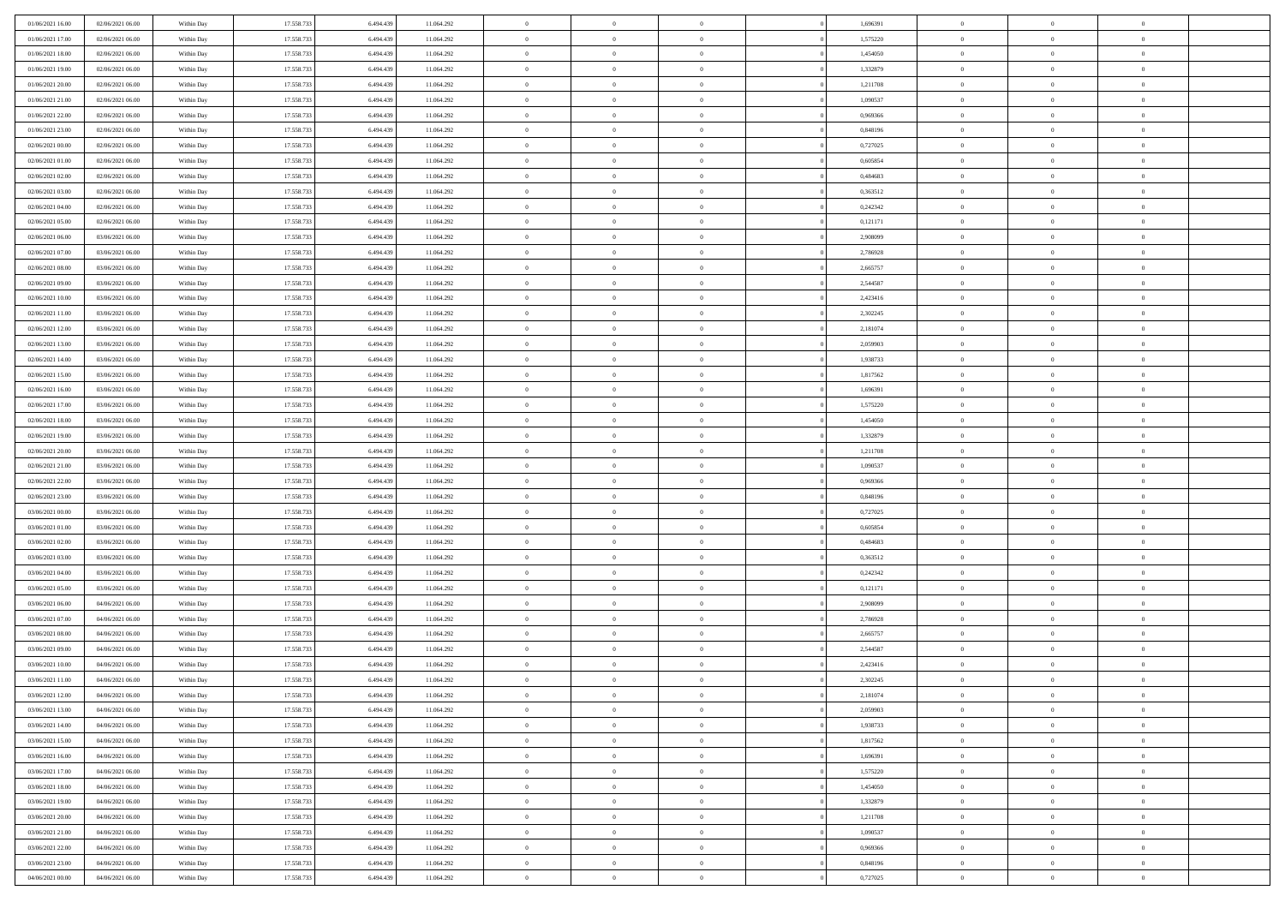| 01/06/2021 16:00 | 02/06/2021 06:00 | Within Day | 17.558.733 | 6.494.439 | 11.064.292 | $\,$ 0         | $\bf{0}$       | $\theta$       |          | 1,696391 | $\bf{0}$       | $\overline{0}$ | $\,0\,$        |  |
|------------------|------------------|------------|------------|-----------|------------|----------------|----------------|----------------|----------|----------|----------------|----------------|----------------|--|
| 01/06/2021 17:00 | 02/06/2021 06:00 | Within Day | 17.558.733 | 6,494,439 | 11.064.292 | $\overline{0}$ | $\overline{0}$ | $\overline{0}$ |          | 1,575220 | $\overline{0}$ | $\overline{0}$ | $\theta$       |  |
| 01/06/2021 18:00 | 02/06/2021 06:00 | Within Dav | 17.558.733 | 6.494.439 | 11.064.292 | $\mathbf{0}$   | $\overline{0}$ | $\overline{0}$ |          | 1,454050 | $\mathbf{0}$   | $\overline{0}$ | $\overline{0}$ |  |
| 01/06/2021 19:00 | 02/06/2021 06:00 | Within Day | 17.558.733 | 6.494.439 | 11.064.292 | $\bf{0}$       | $\overline{0}$ | $\bf{0}$       |          | 1,332879 | $\bf{0}$       | $\overline{0}$ | $\bf{0}$       |  |
| 01/06/2021 20:00 | 02/06/2021 06:00 | Within Day | 17.558.733 | 6,494,439 | 11.064.292 | $\bf{0}$       | $\bf{0}$       | $\overline{0}$ |          | 1,211708 | $\bf{0}$       | $\bf{0}$       | $\,0\,$        |  |
| 01/06/2021 21:00 | 02/06/2021 06:00 | Within Dav | 17.558.733 | 6.494.439 | 11.064.292 | $\mathbf{0}$   | $\overline{0}$ | $\overline{0}$ |          | 1,090537 | $\mathbf{0}$   | $\overline{0}$ | $\overline{0}$ |  |
| 01/06/2021 22:00 | 02/06/2021 06:00 | Within Day | 17.558.733 | 6.494.439 | 11.064.292 | $\bf{0}$       | $\bf{0}$       | $\overline{0}$ |          | 0,969366 | $\bf{0}$       | $\overline{0}$ | $\,0\,$        |  |
| 01/06/2021 23:00 | 02/06/2021 06:00 | Within Day | 17.558.733 | 6,494,439 | 11.064.292 | $\overline{0}$ | $\overline{0}$ | $\overline{0}$ |          | 0,848196 | $\,$ 0 $\,$    | $\overline{0}$ | $\theta$       |  |
| 02/06/2021 00:00 | 02/06/2021 06:00 | Within Day | 17.558.733 | 6.494.439 | 11.064.292 | $\mathbf{0}$   | $\overline{0}$ | $\overline{0}$ |          | 0,727025 | $\mathbf{0}$   | $\overline{0}$ | $\overline{0}$ |  |
| 02/06/2021 01:00 | 02/06/2021 06:00 | Within Day | 17.558.733 | 6.494.439 | 11.064.292 | $\bf{0}$       | $\bf{0}$       | $\theta$       |          | 0,605854 | $\bf{0}$       | $\overline{0}$ | $\,0\,$        |  |
| 02/06/2021 02:00 | 02/06/2021 06:00 | Within Day | 17.558.733 | 6,494,439 | 11.064.292 | $\overline{0}$ | $\overline{0}$ | $\overline{0}$ |          | 0.484683 | $\bf{0}$       | $\overline{0}$ | $\theta$       |  |
| 02/06/2021 03:00 | 02/06/2021 06:00 | Within Dav | 17.558.733 | 6.494.439 | 11.064.292 | $\mathbf{0}$   | $\overline{0}$ | $\overline{0}$ |          | 0,363512 | $\mathbf{0}$   | $\overline{0}$ | $\overline{0}$ |  |
| 02/06/2021 04:00 | 02/06/2021 06:00 | Within Day | 17.558.733 | 6.494.439 | 11.064.292 | $\bf{0}$       | $\overline{0}$ | $\bf{0}$       |          | 0,242342 | $\bf{0}$       | $\overline{0}$ | $\bf{0}$       |  |
| 02/06/2021 05:00 | 02/06/2021 06:00 | Within Day | 17.558.733 | 6,494,439 | 11.064.292 | $\bf{0}$       | $\overline{0}$ | $\overline{0}$ |          | 0,121171 | $\bf{0}$       | $\theta$       | $\,0\,$        |  |
| 02/06/2021 06:00 | 03/06/2021 06:00 | Within Dav | 17.558.733 | 6.494.439 | 11.064.292 | $\mathbf{0}$   | $\overline{0}$ | $\overline{0}$ |          | 2,908099 | $\mathbf{0}$   | $\overline{0}$ | $\overline{0}$ |  |
| 02/06/2021 07:00 | 03/06/2021 06:00 | Within Day | 17.558.733 | 6.494.439 | 11.064.292 | $\bf{0}$       | $\bf{0}$       | $\overline{0}$ |          | 2,786928 | $\bf{0}$       | $\overline{0}$ | $\,0\,$        |  |
| 02/06/2021 08:00 | 03/06/2021 06:00 | Within Day | 17.558.733 | 6,494,439 | 11.064.292 | $\overline{0}$ | $\overline{0}$ | $\overline{0}$ |          | 2,665757 | $\bf{0}$       | $\overline{0}$ | $\theta$       |  |
| 02/06/2021 09:00 | 03/06/2021 06:00 | Within Day | 17.558.733 | 6.494.439 | 11.064.292 | $\mathbf{0}$   | $\overline{0}$ | $\overline{0}$ |          | 2,544587 | $\mathbf{0}$   | $\overline{0}$ | $\overline{0}$ |  |
| 02/06/2021 10:00 | 03/06/2021 06:00 | Within Day | 17.558.733 | 6.494.439 | 11.064.292 | $\bf{0}$       | $\bf{0}$       | $\overline{0}$ |          | 2,423416 | $\bf{0}$       | $\overline{0}$ | $\,0\,$        |  |
| 02/06/2021 11:00 | 03/06/2021 06:00 | Within Day | 17.558.733 | 6,494,439 | 11.064.292 | $\overline{0}$ | $\overline{0}$ | $\overline{0}$ |          | 2,302245 | $\bf{0}$       | $\overline{0}$ | $\overline{0}$ |  |
| 02/06/2021 12:00 | 03/06/2021 06:00 | Within Dav | 17.558.733 | 6.494.439 | 11.064.292 | $\mathbf{0}$   | $\overline{0}$ | $\overline{0}$ |          | 2,181074 | $\mathbf{0}$   | $\overline{0}$ | $\overline{0}$ |  |
| 02/06/2021 13:00 | 03/06/2021 06:00 | Within Day | 17.558.733 | 6.494.439 | 11.064.292 | $\bf{0}$       | $\overline{0}$ | $\bf{0}$       |          | 2,059903 | $\bf{0}$       | $\overline{0}$ | $\bf{0}$       |  |
| 02/06/2021 14:00 | 03/06/2021 06:00 | Within Day | 17.558.733 | 6,494,439 | 11.064.292 | $\bf{0}$       | $\bf{0}$       | $\overline{0}$ |          | 1,938733 | $\bf{0}$       | $\bf{0}$       | $\,0\,$        |  |
| 02/06/2021 15:00 | 03/06/2021 06:00 | Within Dav | 17.558.733 | 6.494.439 | 11.064.292 | $\mathbf{0}$   | $\overline{0}$ | $\overline{0}$ |          | 1,817562 | $\mathbf{0}$   | $\overline{0}$ | $\overline{0}$ |  |
| 02/06/2021 16:00 | 03/06/2021 06:00 | Within Day | 17.558.733 | 6.494.439 | 11.064.292 | $\bf{0}$       | $\bf{0}$       | $\overline{0}$ |          | 1,696391 | $\bf{0}$       | $\overline{0}$ | $\,0\,$        |  |
| 02/06/2021 17:00 | 03/06/2021 06:00 | Within Day | 17.558.733 | 6,494,439 | 11.064.292 | $\overline{0}$ | $\overline{0}$ | $\overline{0}$ |          | 1,575220 | $\bf{0}$       | $\overline{0}$ | $\overline{0}$ |  |
| 02/06/2021 18:00 | 03/06/2021 06:00 | Within Day | 17.558.733 | 6.494.439 | 11.064.292 | $\mathbf{0}$   | $\overline{0}$ | $\overline{0}$ |          | 1,454050 | $\mathbf{0}$   | $\overline{0}$ | $\overline{0}$ |  |
| 02/06/2021 19:00 | 03/06/2021 06:00 | Within Day | 17.558.733 | 6.494.439 | 11.064.292 | $\bf{0}$       | $\bf{0}$       | $\overline{0}$ |          | 1,332879 | $\bf{0}$       | $\overline{0}$ | $\,0\,$        |  |
| 02/06/2021 20:00 | 03/06/2021 06:00 | Within Day | 17.558.733 | 6,494,439 | 11.064.292 | $\bf{0}$       | $\bf{0}$       | $\overline{0}$ |          | 1,211708 | $\bf{0}$       | $\bf{0}$       | $\overline{0}$ |  |
| 02/06/2021 21:00 | 03/06/2021 06:00 | Within Dav | 17.558.733 | 6.494.439 | 11.064.292 | $\mathbf{0}$   | $\overline{0}$ | $\overline{0}$ |          | 1,090537 | $\mathbf{0}$   | $\overline{0}$ | $\overline{0}$ |  |
| 02/06/2021 22.00 | 03/06/2021 06:00 | Within Day | 17.558.733 | 6.494.439 | 11.064.292 | $\bf{0}$       | $\overline{0}$ | $\theta$       |          | 0,969366 | $\,$ 0         | $\overline{0}$ | $\theta$       |  |
| 02/06/2021 23:00 | 03/06/2021 06:00 | Within Day | 17.558.733 | 6.494.439 | 11.064.292 | $\bf{0}$       | $\bf{0}$       | $\overline{0}$ |          | 0,848196 | $\bf{0}$       | $\mathbf{0}$   | $\overline{0}$ |  |
| 03/06/2021 00:00 | 03/06/2021 06:00 | Within Dav | 17.558.733 | 6.494.439 | 11.064.292 | $\mathbf{0}$   | $\overline{0}$ | $\overline{0}$ |          | 0,727025 | $\mathbf{0}$   | $\overline{0}$ | $\overline{0}$ |  |
| 03/06/2021 01:00 | 03/06/2021 06:00 | Within Day | 17.558.733 | 6.494.439 | 11.064.292 | $\bf{0}$       | $\overline{0}$ | $\theta$       |          | 0,605854 | $\,$ 0         | $\overline{0}$ | $\theta$       |  |
| 03/06/2021 02:00 | 03/06/2021 06:00 | Within Day | 17.558.733 | 6.494.439 | 11.064.292 | $\overline{0}$ | $\overline{0}$ | $\overline{0}$ |          | 0.484683 | $\bf{0}$       | $\overline{0}$ | $\overline{0}$ |  |
| 03/06/2021 03:00 | 03/06/2021 06:00 | Within Day | 17.558.733 | 6.494.439 | 11.064.292 | $\mathbf{0}$   | $\overline{0}$ | $\overline{0}$ |          | 0,363512 | $\mathbf{0}$   | $\overline{0}$ | $\overline{0}$ |  |
| 03/06/2021 04:00 | 03/06/2021 06:00 | Within Day | 17.558.733 | 6.494.439 | 11.064.292 | $\bf{0}$       | $\overline{0}$ | $\theta$       |          | 0,242342 | $\,$ 0         | $\overline{0}$ | $\theta$       |  |
| 03/06/2021 05:00 | 03/06/2021 06:00 | Within Day | 17.558.733 | 6,494,439 | 11.064.292 | $\bf{0}$       | $\overline{0}$ | $\overline{0}$ |          | 0,121171 | $\bf{0}$       | $\mathbf{0}$   | $\bf{0}$       |  |
| 03/06/2021 06:00 | 04/06/2021 06:00 | Within Dav | 17.558.733 | 6.494.439 | 11.064.292 | $\mathbf{0}$   | $\overline{0}$ | $\overline{0}$ |          | 2,908099 | $\mathbf{0}$   | $\overline{0}$ | $\overline{0}$ |  |
| 03/06/2021 07:00 | 04/06/2021 06:00 | Within Day | 17.558.733 | 6.494.439 | 11.064.292 | $\bf{0}$       | $\overline{0}$ | $\theta$       |          | 2,786928 | $\,$ 0         | $\overline{0}$ | $\theta$       |  |
| 03/06/2021 08:00 | 04/06/2021 06:00 | Within Day | 17.558.733 | 6.494.439 | 11.064.292 | $\bf{0}$       | $\bf{0}$       | $\overline{0}$ |          | 2,665757 | $\bf{0}$       | $\overline{0}$ | $\bf{0}$       |  |
| 03/06/2021 09:00 | 04/06/2021 06:00 | Within Dav | 17.558.733 | 6.494.439 | 11.064.292 | $\mathbf{0}$   | $\overline{0}$ | $\overline{0}$ |          | 2,544587 | $\mathbf{0}$   | $\overline{0}$ | $\overline{0}$ |  |
| 03/06/2021 10:00 | 04/06/2021 06:00 | Within Day | 17.558.733 | 6.494.439 | 11.064.292 | $\bf{0}$       | $\overline{0}$ | $\theta$       |          | 2,423416 | $\,$ 0         | $\overline{0}$ | $\theta$       |  |
| 03/06/2021 11:00 | 04/06/2021 06:00 | Within Day | 17.558.733 | 6.494.439 | 11.064.292 | $\bf{0}$       | $\overline{0}$ | $\overline{0}$ |          | 2,302245 | $\,$ 0 $\,$    | $\overline{0}$ | $\bf{0}$       |  |
| 03/06/2021 12:00 | 04/06/2021 06:00 | Within Day | 17.558.733 | 6.494.439 | 11.064.292 | $\bf{0}$       | $\overline{0}$ |                |          | 2,181074 | $\overline{0}$ | $\theta$       | $\theta$       |  |
| 03/06/2021 13:00 | 04/06/2021 06:00 | Within Day | 17.558.733 | 6.494.439 | 11.064.292 | $\,0\,$        | $\overline{0}$ | $\theta$       |          | 2,059903 | $\,$ 0 $\,$    | $\overline{0}$ | $\theta$       |  |
| 03/06/2021 14:00 | 04/06/2021 06:00 | Within Day | 17.558.733 | 6.494.439 | 11.064.292 | $\overline{0}$ | $\overline{0}$ | $\overline{0}$ |          | 1,938733 | $\overline{0}$ | $\overline{0}$ | $\overline{0}$ |  |
| 03/06/2021 15:00 | 04/06/2021 06:00 | Within Day | 17.558.733 | 6.494.439 | 11.064.292 | $\bf{0}$       | $\overline{0}$ | $\overline{0}$ |          | 1,817562 | $\overline{0}$ | $\bf{0}$       | $\mathbf{0}$   |  |
| 03/06/2021 16:00 | 04/06/2021 06:00 | Within Day | 17.558.733 | 6.494.439 | 11.064.292 | $\bf{0}$       | $\overline{0}$ | $\overline{0}$ | $\theta$ | 1,696391 | $\,$ 0 $\,$    | $\bf{0}$       | $\,$ 0 $\,$    |  |
| 03/06/2021 17:00 | 04/06/2021 06:00 | Within Day | 17.558.733 | 6,494,439 | 11.064.292 | $\bf{0}$       | $\overline{0}$ | $\overline{0}$ |          | 1,575220 | $\,$ 0 $\,$    | $\overline{0}$ | $\overline{0}$ |  |
| 03/06/2021 18:00 | 04/06/2021 06:00 | Within Day | 17.558.733 | 6.494.439 | 11.064.292 | $\bf{0}$       | $\overline{0}$ | $\overline{0}$ |          | 1,454050 | $\mathbf{0}$   | $\overline{0}$ | $\overline{0}$ |  |
| 03/06/2021 19:00 | 04/06/2021 06:00 | Within Day | 17.558.733 | 6.494.439 | 11.064.292 | $\,0\,$        | $\overline{0}$ | $\overline{0}$ | $\theta$ | 1,332879 | $\,$ 0 $\,$    | $\overline{0}$ | $\overline{0}$ |  |
| 03/06/2021 20:00 | 04/06/2021 06:00 | Within Day | 17.558.733 | 6.494.439 | 11.064.292 | $\bf{0}$       | $\overline{0}$ | $\overline{0}$ |          | 1,211708 | $\overline{0}$ | $\overline{0}$ | $\overline{0}$ |  |
| 03/06/2021 21:00 | 04/06/2021 06:00 | Within Day | 17.558.733 | 6.494.439 | 11.064.292 | $\bf{0}$       | $\overline{0}$ | $\overline{0}$ |          | 1,090537 | $\mathbf{0}$   | $\overline{0}$ | $\mathbf{0}$   |  |
| 03/06/2021 22.00 | 04/06/2021 06:00 | Within Day | 17.558.733 | 6.494.439 | 11.064.292 | $\,0\,$        | $\overline{0}$ | $\overline{0}$ |          | 0,969366 | $\,$ 0 $\,$    | $\overline{0}$ | $\theta$       |  |
| 03/06/2021 23.00 | 04/06/2021 06:00 | Within Day | 17.558.733 | 6,494,439 | 11.064.292 | $\bf{0}$       | $\overline{0}$ | $\overline{0}$ |          | 0.848196 | $\bf{0}$       | $\mathbf{0}$   | $\overline{0}$ |  |
| 04/06/2021 00:00 | 04/06/2021 06:00 | Within Day | 17.558.733 | 6.494.439 | 11.064.292 | $\bf{0}$       | $\overline{0}$ | $\overline{0}$ |          | 0,727025 | $\mathbf{0}$   | $\overline{0}$ | $\overline{0}$ |  |
|                  |                  |            |            |           |            |                |                |                |          |          |                |                |                |  |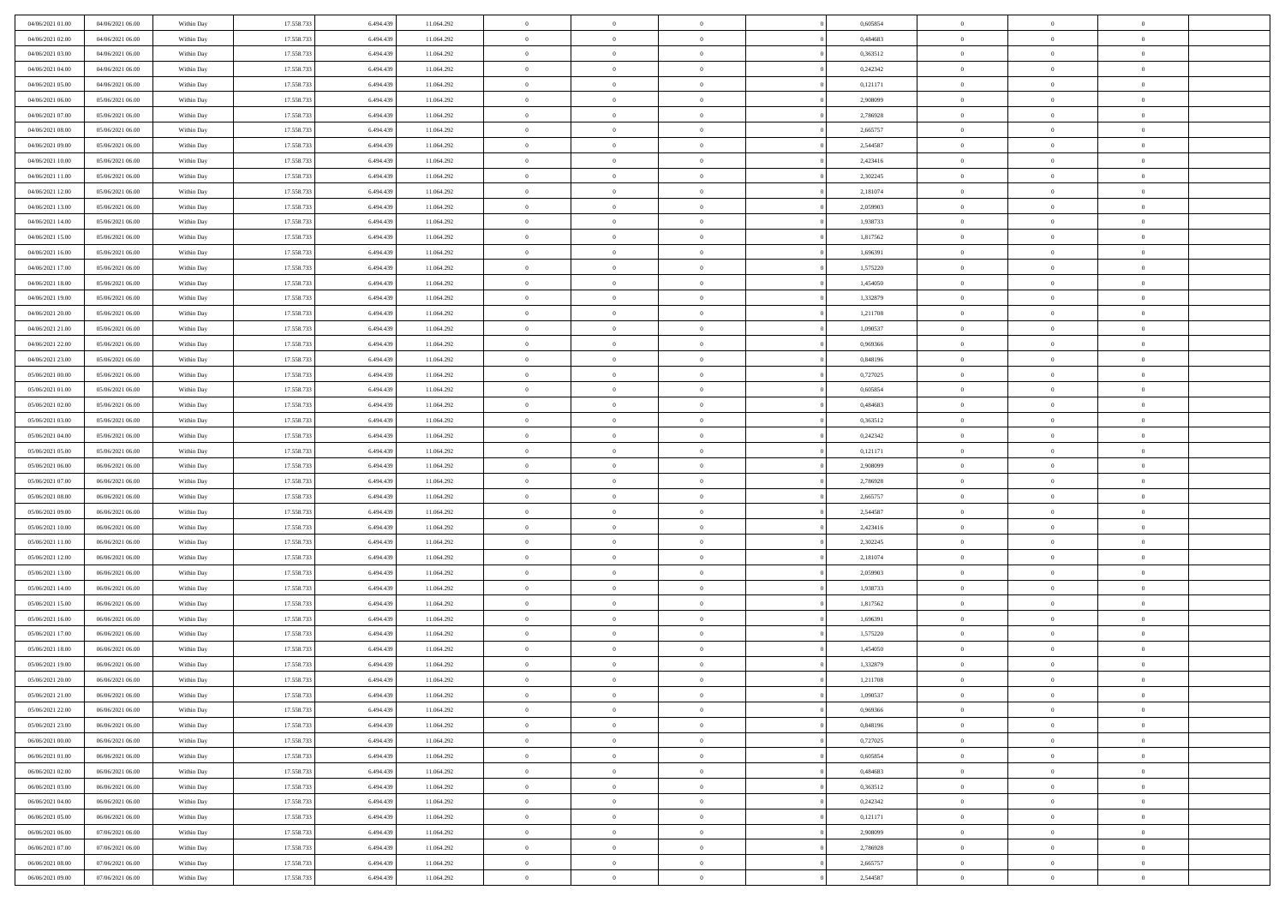| 04/06/2021 01:00                     | 04/06/2021 06:00                     | Within Day               | 17.558.733               | 6.494.439              | 11.064.292               | $\,$ 0                   | $\overline{0}$                   | $\theta$                         |          | 0,605854             | $\bf{0}$                 | $\overline{0}$                   | $\,0\,$                          |  |
|--------------------------------------|--------------------------------------|--------------------------|--------------------------|------------------------|--------------------------|--------------------------|----------------------------------|----------------------------------|----------|----------------------|--------------------------|----------------------------------|----------------------------------|--|
| 04/06/2021 02:00                     | 04/06/2021 06:00                     | Within Day               | 17.558.733               | 6,494.43               | 11.064.292               | $\overline{0}$           | $\overline{0}$                   | $\overline{0}$                   |          | 0.484683             | $\overline{0}$           | $\overline{0}$                   | $\theta$                         |  |
| 04/06/2021 03:00                     | 04/06/2021 06:00                     | Within Dav               | 17.558.733               | 6.494.439              | 11.064.292               | $\mathbf{0}$             | $\overline{0}$                   | $\overline{0}$                   |          | 0,363512             | $\mathbf{0}$             | $\overline{0}$                   | $\overline{0}$                   |  |
| 04/06/2021 04:00                     | 04/06/2021 06:00                     | Within Day               | 17.558.733               | 6.494.439              | 11.064.292               | $\bf{0}$                 | $\overline{0}$                   | $\bf{0}$                         |          | 0,242342             | $\bf{0}$                 | $\overline{0}$                   | $\,0\,$                          |  |
| 04/06/2021 05:00                     | 04/06/2021 06:00                     | Within Day               | 17.558.733               | 6,494,439              | 11.064.292               | $\bf{0}$                 | $\overline{0}$                   | $\overline{0}$                   |          | 0,121171             | $\bf{0}$                 | $\bf{0}$                         | $\,0\,$                          |  |
| 04/06/2021 06:00                     | 05/06/2021 06:00                     | Within Dav               | 17.558.733               | 6.494.439              | 11.064.292               | $\mathbf{0}$             | $\overline{0}$                   | $\overline{0}$                   |          | 2,908099             | $\mathbf{0}$             | $\overline{0}$                   | $\overline{0}$                   |  |
| 04/06/2021 07.00                     | 05/06/2021 06:00                     | Within Day               | 17.558.733               | 6.494.439              | 11.064.292               | $\bf{0}$                 | $\overline{0}$                   | $\overline{0}$                   |          | 2,786928             | $\bf{0}$                 | $\overline{0}$                   | $\,0\,$                          |  |
| 04/06/2021 08:00                     | 05/06/2021 06:00                     | Within Day               | 17.558.733               | 6,494,439              | 11.064.292               | $\theta$                 | $\overline{0}$                   | $\overline{0}$                   |          | 2,665757             | $\,$ 0 $\,$              | $\overline{0}$                   | $\theta$                         |  |
| 04/06/2021 09:00                     | 05/06/2021 06:00                     | Within Day               | 17.558.733               | 6.494.439              | 11.064.292               | $\mathbf{0}$             | $\overline{0}$                   | $\overline{0}$                   |          | 2,544587             | $\mathbf{0}$             | $\bf{0}$                         | $\overline{0}$                   |  |
| 04/06/2021 10:00                     | 05/06/2021 06:00                     | Within Day               | 17.558.733               | 6.494.439              | 11.064.292               | $\bf{0}$                 | $\overline{0}$                   | $\theta$                         |          | 2,423416             | $\bf{0}$                 | $\overline{0}$                   | $\,0\,$                          |  |
| 04/06/2021 11:00                     | 05/06/2021 06:00                     | Within Day               | 17.558.733               | 6,494,439              | 11.064.292               | $\overline{0}$           | $\overline{0}$                   | $\overline{0}$                   |          | 2,302245             | $\bf{0}$                 | $\overline{0}$                   | $\theta$                         |  |
| 04/06/2021 12:00                     | 05/06/2021 06:00                     | Within Dav               | 17.558.733               | 6.494.439              | 11.064.292               | $\mathbf{0}$             | $\overline{0}$                   | $\overline{0}$                   |          | 2,181074             | $\mathbf{0}$             | $\overline{0}$                   | $\overline{0}$                   |  |
| 04/06/2021 13:00                     | 05/06/2021 06:00                     | Within Day               | 17.558.733               | 6.494.439              | 11.064.292               | $\bf{0}$                 | $\overline{0}$                   | $\bf{0}$                         |          | 2,059903             | $\bf{0}$                 | $\overline{0}$                   | $\bf{0}$                         |  |
| 04/06/2021 14:00                     | 05/06/2021 06:00                     | Within Day               | 17.558.733               | 6,494,439              | 11.064.292               | $\bf{0}$                 | $\overline{0}$                   | $\overline{0}$                   |          | 1,938733             | $\bf{0}$                 | $\theta$                         | $\,0\,$                          |  |
| 04/06/2021 15:00                     | 05/06/2021 06:00                     | Within Dav               | 17.558.733               | 6.494.439              | 11.064.292               | $\mathbf{0}$             | $\overline{0}$                   | $\overline{0}$                   |          | 1,817562             | $\mathbf{0}$             | $\overline{0}$                   | $\overline{0}$                   |  |
| 04/06/2021 16:00                     | 05/06/2021 06:00                     | Within Day               | 17.558.733               | 6.494.439              | 11.064.292               | $\bf{0}$                 | $\overline{0}$                   | $\overline{0}$                   |          | 1,696391             | $\bf{0}$                 | $\overline{0}$                   | $\,0\,$                          |  |
| 04/06/2021 17.00                     | 05/06/2021 06:00                     | Within Day               | 17.558.733               | 6,494,439              | 11.064.292               | $\overline{0}$           | $\overline{0}$                   | $\overline{0}$                   |          | 1,575220             | $\bf{0}$                 | $\overline{0}$                   | $\theta$                         |  |
| 04/06/2021 18:00                     | 05/06/2021 06:00                     | Within Day               | 17.558.733               | 6.494.439              | 11.064.292               | $\mathbf{0}$             | $\overline{0}$                   | $\overline{0}$                   |          | 1,454050             | $\mathbf{0}$             | $\overline{0}$                   | $\overline{0}$                   |  |
| 04/06/2021 19:00                     | 05/06/2021 06:00                     | Within Day               | 17.558.733               | 6.494.439              | 11.064.292               | $\,$ 0                   | $\bf{0}$                         | $\overline{0}$                   |          | 1,332879             | $\bf{0}$                 | $\overline{0}$                   | $\,0\,$                          |  |
| 04/06/2021 20:00                     | 05/06/2021 06:00                     | Within Day               | 17.558.733               | 6,494,439              | 11.064.292               | $\overline{0}$           | $\overline{0}$                   | $\overline{0}$                   |          | 1,211708             | $\bf{0}$                 | $\overline{0}$                   | $\overline{0}$                   |  |
| 04/06/2021 21:00                     | 05/06/2021 06:00                     | Within Dav               | 17.558.733               | 6.494.439              | 11.064.292               | $\mathbf{0}$             | $\overline{0}$                   | $\overline{0}$                   |          | 1,090537             | $\mathbf{0}$             | $\overline{0}$                   | $\overline{0}$                   |  |
| 04/06/2021 22.00                     | 05/06/2021 06:00                     | Within Day               | 17.558.733               | 6.494.439              | 11.064.292               | $\bf{0}$                 | $\overline{0}$                   | $\bf{0}$                         |          | 0,969366             | $\bf{0}$                 | $\overline{0}$                   | $\bf{0}$                         |  |
| 04/06/2021 23:00                     | 05/06/2021 06:00                     |                          | 17.558.733               | 6,494,439              | 11.064.292               | $\bf{0}$                 | $\bf{0}$                         | $\overline{0}$                   |          | 0,848196             | $\bf{0}$                 | $\bf{0}$                         | $\,0\,$                          |  |
| 05/06/2021 00:00                     | 05/06/2021 06:00                     | Within Day<br>Within Dav | 17.558.733               | 6.494.439              | 11.064.292               | $\mathbf{0}$             | $\overline{0}$                   | $\overline{0}$                   |          | 0,727025             | $\mathbf{0}$             | $\overline{0}$                   | $\overline{0}$                   |  |
| 05/06/2021 01:00                     | 05/06/2021 06:00                     | Within Day               | 17.558.733               | 6.494.439              | 11.064.292               | $\bf{0}$                 | $\bf{0}$                         | $\overline{0}$                   |          | 0,605854             | $\bf{0}$                 | $\overline{0}$                   | $\,0\,$                          |  |
|                                      |                                      |                          | 17.558.733               | 6,494,439              |                          | $\overline{0}$           | $\overline{0}$                   | $\overline{0}$                   |          | 0.484683             | $\bf{0}$                 | $\overline{0}$                   | $\overline{0}$                   |  |
| 05/06/2021 02:00<br>05/06/2021 03:00 | 05/06/2021 06:00<br>05/06/2021 06:00 | Within Day               |                          |                        | 11.064.292               | $\mathbf{0}$             |                                  |                                  |          |                      | $\mathbf{0}$             |                                  | $\overline{0}$                   |  |
| 05/06/2021 04:00                     | 05/06/2021 06:00                     | Within Day               | 17.558.733               | 6.494.439              | 11.064.292               |                          | $\overline{0}$                   | $\overline{0}$<br>$\overline{0}$ |          | 0,363512             |                          | $\overline{0}$<br>$\overline{0}$ |                                  |  |
|                                      |                                      | Within Day               | 17.558.733               | 6.494.439<br>6,494,439 | 11.064.292               | $\bf{0}$                 | $\bf{0}$                         |                                  |          | 0,242342             | $\bf{0}$                 | $\mathbf{0}$                     | $\,0\,$                          |  |
| 05/06/2021 05:00                     | 05/06/2021 06:00                     | Within Day               | 17.558.733               |                        | 11.064.292               | $\bf{0}$<br>$\mathbf{0}$ | $\bf{0}$                         | $\overline{0}$                   |          | 0,121171             | $\bf{0}$<br>$\mathbf{0}$ |                                  | $\overline{0}$<br>$\overline{0}$ |  |
| 05/06/2021 06:00                     | 06/06/2021 06:00                     | Within Dav               | 17.558.733               | 6.494.439              | 11.064.292               |                          | $\overline{0}$                   | $\overline{0}$                   |          | 2,908099             |                          | $\overline{0}$                   | $\theta$                         |  |
| 05/06/2021 07:00                     | 06/06/2021 06:00                     | Within Day               | 17.558.733<br>17.558.733 | 6.494.439              | 11.064.292               | $\bf{0}$<br>$\bf{0}$     | $\overline{0}$                   | $\theta$                         |          | 2,786928             | $\,$ 0<br>$\bf{0}$       | $\overline{0}$<br>$\mathbf{0}$   |                                  |  |
| 05/06/2021 08:00<br>05/06/2021 09:00 | 06/06/2021 06:00<br>06/06/2021 06:00 | Within Day<br>Within Dav | 17.558.733               | 6.494.439<br>6.494.439 | 11.064.292<br>11.064.292 | $\mathbf{0}$             | $\bf{0}$<br>$\overline{0}$       | $\overline{0}$<br>$\overline{0}$ |          | 2,665757<br>2,544587 | $\mathbf{0}$             | $\overline{0}$                   | $\bf{0}$<br>$\overline{0}$       |  |
|                                      |                                      |                          |                          |                        |                          | $\bf{0}$                 | $\overline{0}$                   | $\theta$                         |          |                      | $\,$ 0                   | $\overline{0}$                   | $\theta$                         |  |
| 05/06/2021 10:00<br>05/06/2021 11:00 | 06/06/2021 06:00<br>06/06/2021 06:00 | Within Day               | 17.558.733<br>17.558.733 | 6.494.439<br>6.494.439 | 11.064.292               | $\overline{0}$           | $\overline{0}$                   | $\overline{0}$                   |          | 2,423416<br>2,302245 | $\bf{0}$                 | $\overline{0}$                   | $\overline{0}$                   |  |
| 05/06/2021 12:00                     | 06/06/2021 06:00                     | Within Day<br>Within Day | 17.558.733               | 6.494.439              | 11.064.292<br>11.064.292 | $\mathbf{0}$             | $\overline{0}$                   | $\overline{0}$                   |          | 2,181074             | $\mathbf{0}$             | $\overline{0}$                   | $\overline{0}$                   |  |
| 05/06/2021 13:00                     | 06/06/2021 06:00                     | Within Day               | 17.558.733               | 6.494.439              | 11.064.292               | $\bf{0}$                 | $\overline{0}$                   | $\overline{0}$                   |          | 2,059903             | $\,$ 0                   | $\overline{0}$                   | $\theta$                         |  |
| 05/06/2021 14:00                     | 06/06/2021 06:00                     | Within Day               | 17.558.733               | 6,494,439              | 11.064.292               | $\bf{0}$                 | $\overline{0}$                   | $\overline{0}$                   |          | 1,938733             | $\bf{0}$                 | $\mathbf{0}$                     | $\bf{0}$                         |  |
| 05/06/2021 15:00                     | 06/06/2021 06:00                     | Within Dav               | 17.558.733               | 6.494.439              | 11.064.292               | $\mathbf{0}$             | $\overline{0}$                   | $\overline{0}$                   |          | 1,817562             | $\mathbf{0}$             | $\overline{0}$                   | $\overline{0}$                   |  |
| 05/06/2021 16:00                     | 06/06/2021 06:00                     | Within Day               | 17.558.733               | 6.494.439              | 11.064.292               | $\bf{0}$                 | $\overline{0}$                   | $\overline{0}$                   |          | 1,696391             | $\,$ 0                   | $\overline{0}$                   | $\theta$                         |  |
| 05/06/2021 17:00                     | 06/06/2021 06:00                     | Within Day               | 17.558.733               | 6.494.439              | 11.064.292               | $\bf{0}$                 | $\bf{0}$                         | $\overline{0}$                   |          | 1,575220             | $\bf{0}$                 | $\overline{0}$                   | $\bf{0}$                         |  |
| 05/06/2021 18:00                     | 06/06/2021 06:00                     | Within Dav               | 17.558.733               | 6.494.439              | 11.064.292               | $\mathbf{0}$             | $\overline{0}$                   | $\overline{0}$                   |          | 1,454050             | $\mathbf{0}$             | $\overline{0}$                   | $\overline{0}$                   |  |
| 05/06/2021 19:00                     | 06/06/2021 06:00                     | Within Day               | 17.558.733               | 6.494.439              | 11.064.292               | $\bf{0}$                 | $\overline{0}$                   | $\overline{0}$                   |          | 1,332879             | $\,$ 0                   | $\overline{0}$                   | $\theta$                         |  |
| 05/06/2021 20:00                     | 06/06/2021 06:00                     | Within Day               | 17.558.733               | 6.494.439              | 11.064.292               | $\bf{0}$                 | $\overline{0}$                   | $\overline{0}$                   |          | 1,211708             | $\,$ 0 $\,$              | $\overline{0}$                   | $\bf{0}$                         |  |
| 05/06/2021 21:00                     | 06/06/2021 06:00                     | Within Day               | 17.558.733               | 6.494.439              | 11.064.292               | $\bf{0}$                 | $\overline{0}$                   |                                  |          | 1,090537             | $\overline{0}$           | $\theta$                         | $\theta$                         |  |
| 05/06/2021 22.00                     | 06/06/2021 06:00                     | Within Day               | 17.558.733               | 6.494.439              | 11.064.292               | $\,0\,$                  | $\overline{0}$                   | $\overline{0}$                   |          | 0,969366             | $\,$ 0 $\,$              | $\overline{0}$                   | $\theta$                         |  |
| 05/06/2021 23.00                     | 06/06/2021 06:00                     | Within Day               | 17.558.733               | 6.494.439              | 11.064.292               | $\overline{0}$           | $\overline{0}$                   | $\overline{0}$                   |          | 0.848196             | $\overline{0}$           | $\overline{0}$                   | $\overline{0}$                   |  |
| 06/06/2021 00:00                     | 06/06/2021 06:00                     | Within Day               | 17.558.733               | 6.494.439              | 11.064.292               | $\bf{0}$                 | $\overline{0}$                   | $\overline{0}$                   |          | 0,727025             | $\overline{0}$           | $\bf{0}$                         | $\mathbf{0}$                     |  |
|                                      |                                      |                          |                          |                        |                          |                          |                                  |                                  | $\theta$ |                      | $\,$ 0 $\,$              | $\bf{0}$                         | $\,$ 0 $\,$                      |  |
| 06/06/2021 01:00<br>06/06/2021 02:00 | 06/06/2021 06:00<br>06/06/2021 06:00 | Within Day<br>Within Day | 17.558.733<br>17.558.733 | 6.494.439<br>6,494,439 | 11.064.292<br>11.064.292 | $\bf{0}$<br>$\bf{0}$     | $\overline{0}$<br>$\overline{0}$ | $\bf{0}$<br>$\overline{0}$       |          | 0,605854<br>0,484683 | $\,$ 0 $\,$              | $\overline{0}$                   | $\overline{0}$                   |  |
| 06/06/2021 03:00                     | 06/06/2021 06:00                     | Within Day               | 17.558.733               | 6.494.439              | 11.064.292               | $\bf{0}$                 | $\overline{0}$                   | $\overline{0}$                   |          | 0,363512             | $\mathbf{0}$             | $\overline{0}$                   | $\overline{0}$                   |  |
|                                      |                                      |                          |                          |                        |                          | $\,0\,$                  |                                  | $\overline{0}$                   | $\theta$ |                      | $\,$ 0 $\,$              | $\overline{0}$                   | $\overline{0}$                   |  |
| 06/06/2021 04:00                     | 06/06/2021 06:00                     | Within Day               | 17.558.733<br>17.558.733 | 6.494.439<br>6.494.439 | 11.064.292               | $\bf{0}$                 | $\overline{0}$<br>$\overline{0}$ | $\overline{0}$                   |          | 0,242342             | $\overline{0}$           | $\overline{0}$                   |                                  |  |
| 06/06/2021 05:00<br>06/06/2021 06:00 | 06/06/2021 06:00<br>07/06/2021 06:00 | Within Day<br>Within Day | 17.558.733               | 6.494.439              | 11.064.292<br>11.064.292 | $\bf{0}$                 | $\overline{0}$                   | $\overline{0}$                   |          | 0,121171<br>2,908099 | $\mathbf{0}$             | $\overline{0}$                   | $\overline{0}$<br>$\mathbf{0}$   |  |
|                                      |                                      |                          |                          |                        |                          | $\,0\,$                  | $\overline{0}$                   | $\overline{0}$                   |          |                      | $\,$ 0 $\,$              | $\overline{0}$                   | $\theta$                         |  |
| 06/06/2021 07:00<br>06/06/2021 08:00 | 07/06/2021 06:00<br>07/06/2021 06:00 | Within Day               | 17.558.733               | 6.494.439<br>6,494,439 | 11.064.292               |                          |                                  |                                  |          | 2,786928             |                          |                                  |                                  |  |
|                                      |                                      | Within Day               | 17.558.733               |                        | 11.064.292               | $\bf{0}$                 | $\overline{0}$                   | $\overline{0}$                   |          | 2,665757             | $\bf{0}$                 | $\mathbf{0}$                     | $\overline{0}$                   |  |
| 06/06/2021 09:00                     | 07/06/2021 06:00                     | Within Day               | 17.558.733               | 6.494.439              | 11.064.292               | $\overline{0}$           | $\overline{0}$                   | $\overline{0}$                   |          | 2,544587             | $\mathbf{0}$             | $\overline{0}$                   | $\overline{0}$                   |  |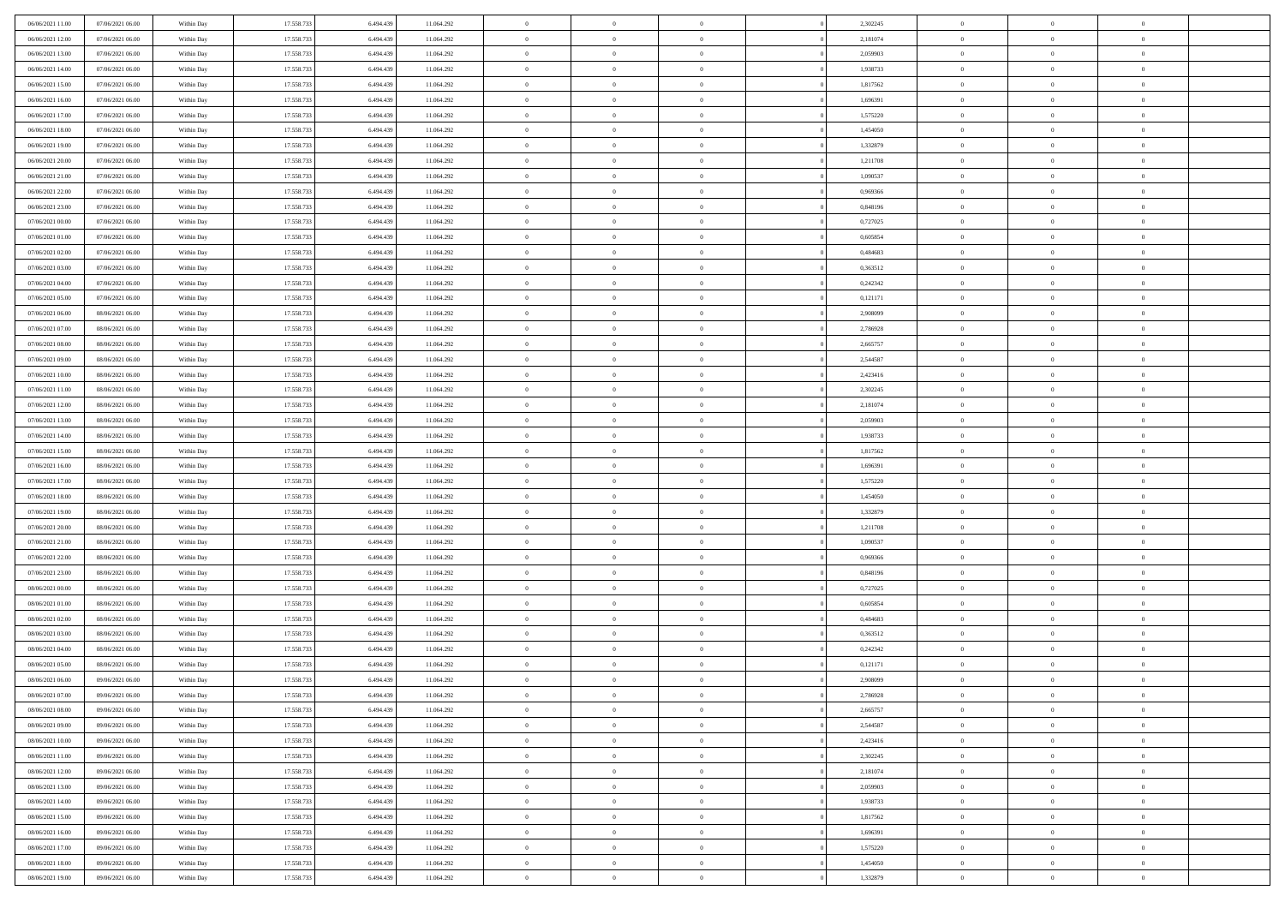| 06/06/2021 11:00                     | 07/06/2021 06:00                     | Within Day | 17.558.733               | 6.494.439              | 11.064.292 | $\,$ 0         | $\overline{0}$ | $\overline{0}$ |          | 2,302245 | $\bf{0}$                 | $\overline{0}$ | $\,0\,$        |  |
|--------------------------------------|--------------------------------------|------------|--------------------------|------------------------|------------|----------------|----------------|----------------|----------|----------|--------------------------|----------------|----------------|--|
| 06/06/2021 12:00                     | 07/06/2021 06:00                     | Within Day | 17.558.733               | 6,494,439              | 11.064.292 | $\overline{0}$ | $\overline{0}$ | $\overline{0}$ |          | 2,181074 | $\overline{0}$           | $\overline{0}$ | $\theta$       |  |
| 06/06/2021 13:00                     | 07/06/2021 06:00                     | Within Dav | 17.558.733               | 6.494.439              | 11.064.292 | $\mathbf{0}$   | $\overline{0}$ | $\overline{0}$ |          | 2,059903 | $\mathbf{0}$             | $\overline{0}$ | $\overline{0}$ |  |
| 06/06/2021 14:00                     | 07/06/2021 06:00                     | Within Day | 17.558.733               | 6.494.439              | 11.064.292 | $\bf{0}$       | $\overline{0}$ | $\bf{0}$       |          | 1,938733 | $\bf{0}$                 | $\overline{0}$ | $\bf{0}$       |  |
| 06/06/2021 15:00                     | 07/06/2021 06:00                     | Within Day | 17.558.733               | 6,494,439              | 11.064.292 | $\bf{0}$       | $\overline{0}$ | $\overline{0}$ |          | 1,817562 | $\bf{0}$                 | $\bf{0}$       | $\,0\,$        |  |
| 06/06/2021 16:00                     | 07/06/2021 06:00                     | Within Dav | 17.558.733               | 6.494.439              | 11.064.292 | $\mathbf{0}$   | $\overline{0}$ | $\overline{0}$ |          | 1,696391 | $\mathbf{0}$             | $\overline{0}$ | $\overline{0}$ |  |
| 06/06/2021 17:00                     | 07/06/2021 06:00                     | Within Day | 17.558.733               | 6.494.439              | 11.064.292 | $\bf{0}$       | $\overline{0}$ | $\overline{0}$ |          | 1,575220 | $\bf{0}$                 | $\overline{0}$ | $\,0\,$        |  |
| 06/06/2021 18:00                     | 07/06/2021 06:00                     | Within Day | 17.558.733               | 6,494,439              | 11.064.292 | $\overline{0}$ | $\overline{0}$ | $\overline{0}$ |          | 1,454050 | $\,$ 0 $\,$              | $\overline{0}$ | $\theta$       |  |
| 06/06/2021 19:00                     | 07/06/2021 06:00                     | Within Day | 17.558.733               | 6.494.439              | 11.064.292 | $\mathbf{0}$   | $\overline{0}$ | $\overline{0}$ |          | 1,332879 | $\mathbf{0}$             | $\overline{0}$ | $\overline{0}$ |  |
| 06/06/2021 20:00                     | 07/06/2021 06:00                     |            | 17.558.733               | 6.494.439              | 11.064.292 | $\bf{0}$       | $\overline{0}$ | $\overline{0}$ |          | 1,211708 | $\bf{0}$                 | $\overline{0}$ | $\,0\,$        |  |
|                                      |                                      | Within Day |                          | 6,494,439              |            | $\overline{0}$ | $\overline{0}$ |                |          |          |                          | $\overline{0}$ | $\theta$       |  |
| 06/06/2021 21:00<br>06/06/2021 22:00 | 07/06/2021 06:00<br>07/06/2021 06:00 | Within Day | 17.558.733               |                        | 11.064.292 | $\mathbf{0}$   |                | $\overline{0}$ |          | 1,090537 | $\bf{0}$<br>$\mathbf{0}$ |                | $\overline{0}$ |  |
|                                      |                                      | Within Dav | 17.558.733               | 6.494.439              | 11.064.292 |                | $\overline{0}$ | $\overline{0}$ |          | 0,969366 |                          | $\overline{0}$ |                |  |
| 06/06/2021 23.00                     | 07/06/2021 06:00                     | Within Day | 17.558.733               | 6.494.439              | 11.064.292 | $\bf{0}$       | $\overline{0}$ | $\bf{0}$       |          | 0,848196 | $\bf{0}$                 | $\overline{0}$ | $\overline{0}$ |  |
| 07/06/2021 00:00                     | 07/06/2021 06:00                     | Within Day | 17.558.733               | 6,494,439              | 11.064.292 | $\bf{0}$       | $\overline{0}$ | $\overline{0}$ |          | 0,727025 | $\bf{0}$                 | $\theta$       | $\,0\,$        |  |
| 07/06/2021 01:00                     | 07/06/2021 06:00                     | Within Dav | 17.558.733               | 6.494.439              | 11.064.292 | $\mathbf{0}$   | $\overline{0}$ | $\overline{0}$ |          | 0,605854 | $\mathbf{0}$             | $\overline{0}$ | $\overline{0}$ |  |
| 07/06/2021 02.00                     | 07/06/2021 06:00                     | Within Day | 17.558.733               | 6.494.439              | 11.064.292 | $\bf{0}$       | $\bf{0}$       | $\overline{0}$ |          | 0,484683 | $\bf{0}$                 | $\overline{0}$ | $\,0\,$        |  |
| 07/06/2021 03:00                     | 07/06/2021 06:00                     | Within Day | 17.558.733               | 6,494,439              | 11.064.292 | $\overline{0}$ | $\overline{0}$ | $\overline{0}$ |          | 0.363512 | $\,$ 0 $\,$              | $\overline{0}$ | $\theta$       |  |
| 07/06/2021 04:00                     | 07/06/2021 06:00                     | Within Day | 17.558.733               | 6.494.439              | 11.064.292 | $\mathbf{0}$   | $\overline{0}$ | $\overline{0}$ |          | 0,242342 | $\mathbf{0}$             | $\overline{0}$ | $\overline{0}$ |  |
| 07/06/2021 05:00                     | 07/06/2021 06:00                     | Within Day | 17.558.733               | 6.494.439              | 11.064.292 | $\,$ 0         | $\bf{0}$       | $\overline{0}$ |          | 0,121171 | $\bf{0}$                 | $\overline{0}$ | $\,0\,$        |  |
| 07/06/2021 06:00                     | 08/06/2021 06:00                     | Within Day | 17.558.733               | 6,494,439              | 11.064.292 | $\overline{0}$ | $\overline{0}$ | $\overline{0}$ |          | 2,908099 | $\bf{0}$                 | $\overline{0}$ | $\overline{0}$ |  |
| 07/06/2021 07:00                     | 08/06/2021 06:00                     | Within Dav | 17.558.733               | 6.494.439              | 11.064.292 | $\mathbf{0}$   | $\overline{0}$ | $\overline{0}$ |          | 2,786928 | $\mathbf{0}$             | $\overline{0}$ | $\overline{0}$ |  |
| 07/06/2021 08:00                     | 08/06/2021 06:00                     | Within Day | 17.558.733               | 6.494.439              | 11.064.292 | $\bf{0}$       | $\overline{0}$ | $\bf{0}$       |          | 2,665757 | $\bf{0}$                 | $\overline{0}$ | $\bf{0}$       |  |
| 07/06/2021 09:00                     | 08/06/2021 06:00                     | Within Day | 17.558.733               | 6,494,439              | 11.064.292 | $\bf{0}$       | $\bf{0}$       | $\overline{0}$ |          | 2,544587 | $\bf{0}$                 | $\overline{0}$ | $\,0\,$        |  |
| 07/06/2021 10:00                     | 08/06/2021 06:00                     | Within Dav | 17.558.733               | 6.494.439              | 11.064.292 | $\mathbf{0}$   | $\overline{0}$ | $\overline{0}$ |          | 2,423416 | $\mathbf{0}$             | $\overline{0}$ | $\overline{0}$ |  |
| 07/06/2021 11:00                     | 08/06/2021 06:00                     | Within Day | 17.558.733               | 6.494.439              | 11.064.292 | $\bf{0}$       | $\bf{0}$       | $\overline{0}$ |          | 2,302245 | $\bf{0}$                 | $\overline{0}$ | $\,0\,$        |  |
| 07/06/2021 12:00                     | 08/06/2021 06:00                     | Within Day | 17.558.733               | 6,494,439              | 11.064.292 | $\overline{0}$ | $\overline{0}$ | $\overline{0}$ |          | 2,181074 | $\bf{0}$                 | $\overline{0}$ | $\overline{0}$ |  |
| 07/06/2021 13:00                     | 08/06/2021 06:00                     | Within Day | 17.558.733               | 6.494.439              | 11.064.292 | $\mathbf{0}$   | $\overline{0}$ | $\overline{0}$ |          | 2,059903 | $\mathbf{0}$             | $\overline{0}$ | $\overline{0}$ |  |
| 07/06/2021 14:00                     | 08/06/2021 06:00                     | Within Day | 17.558.733               | 6.494.439              | 11.064.292 | $\bf{0}$       | $\bf{0}$       | $\overline{0}$ |          | 1,938733 | $\bf{0}$                 | $\overline{0}$ | $\,0\,$        |  |
| 07/06/2021 15:00                     | 08/06/2021 06:00                     | Within Day | 17.558.733               | 6,494,439              | 11.064.292 | $\bf{0}$       | $\bf{0}$       | $\overline{0}$ |          | 1,817562 | $\bf{0}$                 | $\overline{0}$ | $\overline{0}$ |  |
| 07/06/2021 16:00                     | 08/06/2021 06:00                     | Within Dav | 17.558.733               | 6.494.439              | 11.064.292 | $\mathbf{0}$   | $\overline{0}$ | $\overline{0}$ |          | 1,696391 | $\mathbf{0}$             | $\overline{0}$ | $\overline{0}$ |  |
| 07/06/2021 17:00                     | 08/06/2021 06:00                     | Within Day | 17.558.733               | 6.494.439              | 11.064.292 | $\bf{0}$       | $\overline{0}$ | $\overline{0}$ |          | 1,575220 | $\,$ 0                   | $\overline{0}$ | $\theta$       |  |
| 07/06/2021 18:00                     | 08/06/2021 06:00                     | Within Day | 17.558.733               | 6.494.439              | 11.064.292 | $\bf{0}$       | $\bf{0}$       | $\overline{0}$ |          | 1,454050 | $\bf{0}$                 | $\mathbf{0}$   | $\overline{0}$ |  |
| 07/06/2021 19:00                     | 08/06/2021 06:00                     | Within Dav | 17.558.733               | 6.494.439              | 11.064.292 | $\mathbf{0}$   | $\overline{0}$ | $\overline{0}$ |          | 1,332879 | $\mathbf{0}$             | $\overline{0}$ | $\overline{0}$ |  |
| 07/06/2021 20:00                     | 08/06/2021 06:00                     | Within Day | 17.558.733               | 6.494.439              | 11.064.292 | $\bf{0}$       | $\overline{0}$ | $\overline{0}$ |          | 1,211708 | $\,$ 0                   | $\overline{0}$ | $\theta$       |  |
| 07/06/2021 21:00                     | 08/06/2021 06:00                     | Within Day | 17.558.733               | 6.494.439              | 11.064.292 | $\overline{0}$ | $\overline{0}$ | $\overline{0}$ |          | 1,090537 | $\bf{0}$                 | $\overline{0}$ | $\overline{0}$ |  |
| 07/06/2021 22:00                     | 08/06/2021 06:00                     | Within Day | 17.558.733               | 6.494.439              | 11.064.292 | $\mathbf{0}$   | $\overline{0}$ | $\overline{0}$ |          | 0,969366 | $\mathbf{0}$             | $\overline{0}$ | $\overline{0}$ |  |
| 07/06/2021 23:00                     | 08/06/2021 06:00                     | Within Day | 17.558.733               | 6.494.439              | 11.064.292 | $\bf{0}$       | $\overline{0}$ | $\theta$       |          | 0,848196 | $\,$ 0                   | $\overline{0}$ | $\theta$       |  |
| 08/06/2021 00:00                     | 08/06/2021 06:00                     | Within Day | 17.558.733               | 6,494,439              | 11.064.292 | $\bf{0}$       | $\overline{0}$ | $\overline{0}$ |          | 0,727025 | $\bf{0}$                 | $\mathbf{0}$   | $\bf{0}$       |  |
| 08/06/2021 01:00                     | 08/06/2021 06:00                     | Within Dav | 17.558.733               | 6.494.439              | 11.064.292 | $\mathbf{0}$   | $\overline{0}$ | $\overline{0}$ |          | 0,605854 | $\mathbf{0}$             | $\overline{0}$ | $\overline{0}$ |  |
| 08/06/2021 02:00                     | 08/06/2021 06:00                     | Within Day | 17.558.733               | 6.494.439              | 11.064.292 | $\bf{0}$       | $\overline{0}$ | $\theta$       |          | 0,484683 | $\,$ 0                   | $\overline{0}$ | $\theta$       |  |
| 08/06/2021 03:00                     | 08/06/2021 06:00                     | Within Day | 17.558.733               | 6.494.439              | 11.064.292 | $\bf{0}$       | $\overline{0}$ | $\overline{0}$ |          | 0,363512 | $\bf{0}$                 | $\overline{0}$ | $\bf{0}$       |  |
| 08/06/2021 04:00                     | 08/06/2021 06:00                     | Within Dav | 17.558.733               | 6.494.439              | 11.064.292 | $\mathbf{0}$   | $\overline{0}$ | $\overline{0}$ |          | 0,242342 | $\mathbf{0}$             | $\overline{0}$ | $\overline{0}$ |  |
| 08/06/2021 05:00                     | 08/06/2021 06:00                     | Within Day | 17.558.733               | 6.494.439              | 11.064.292 | $\bf{0}$       | $\overline{0}$ | $\theta$       |          | 0,121171 | $\,$ 0                   | $\overline{0}$ | $\theta$       |  |
| 08/06/2021 06:00                     | 09/06/2021 06:00                     | Within Day | 17.558.733               | 6.494.439              | 11.064.292 | $\bf{0}$       | $\overline{0}$ | $\overline{0}$ |          | 2.908099 | $\,$ 0 $\,$              | $\overline{0}$ | $\bf{0}$       |  |
| 08/06/2021 07:00                     | 09/06/2021 06:00                     | Within Day | 17.558.733               | 6.494.439              | 11.064.292 | $\bf{0}$       | $\overline{0}$ |                |          | 2,786928 | $\overline{0}$           | $\theta$       | $\theta$       |  |
| 08/06/2021 08:00                     | 09/06/2021 06:00                     | Within Day | 17.558.733               | 6.494.439              | 11.064.292 | $\,0\,$        | $\overline{0}$ | $\theta$       |          | 2,665757 | $\,$ 0 $\,$              | $\overline{0}$ | $\theta$       |  |
| 08/06/2021 09:00                     | 09/06/2021 06:00                     | Within Day | 17.558.733               | 6.494.439              | 11.064.292 | $\overline{0}$ | $\overline{0}$ | $\overline{0}$ |          | 2,544587 | $\overline{0}$           | $\overline{0}$ | $\overline{0}$ |  |
| 08/06/2021 10:00                     | 09/06/2021 06:00                     | Within Day | 17.558.733               | 6.494.439              | 11.064.292 | $\bf{0}$       | $\overline{0}$ | $\overline{0}$ |          | 2,423416 | $\overline{0}$           | $\bf{0}$       | $\mathbf{0}$   |  |
| 08/06/2021 11:00                     | 09/06/2021 06:00                     | Within Day | 17.558.733               | 6.494.439              | 11.064.292 | $\bf{0}$       | $\overline{0}$ | $\bf{0}$       | $\theta$ | 2,302245 | $\,$ 0 $\,$              | $\bf{0}$       | $\,$ 0 $\,$    |  |
| 08/06/2021 12:00                     | 09/06/2021 06:00                     | Within Day | 17.558.733               | 6,494,439              | 11.064.292 | $\bf{0}$       | $\overline{0}$ | $\overline{0}$ |          | 2,181074 | $\,$ 0 $\,$              | $\overline{0}$ | $\overline{0}$ |  |
| 08/06/2021 13:00                     | 09/06/2021 06:00                     | Within Day | 17.558.733               | 6.494.439              | 11.064.292 | $\bf{0}$       | $\overline{0}$ | $\overline{0}$ |          | 2,059903 | $\mathbf{0}$             | $\overline{0}$ | $\overline{0}$ |  |
|                                      |                                      |            |                          |                        |            | $\,0\,$        | $\overline{0}$ | $\overline{0}$ | $\theta$ |          | $\,$ 0 $\,$              | $\overline{0}$ | $\overline{0}$ |  |
| 08/06/2021 14:00                     | 09/06/2021 06:00                     | Within Day | 17.558.733<br>17.558.733 | 6.494.439<br>6.494.439 | 11.064.292 | $\bf{0}$       | $\overline{0}$ | $\overline{0}$ |          | 1,938733 | $\overline{0}$           | $\overline{0}$ |                |  |
| 08/06/2021 15:00                     | 09/06/2021 06:00                     | Within Day |                          |                        | 11.064.292 |                |                |                |          | 1,817562 |                          |                | $\overline{0}$ |  |
| 08/06/2021 16:00                     | 09/06/2021 06:00                     | Within Day | 17.558.733               | 6.494.439              | 11.064.292 | $\bf{0}$       | $\overline{0}$ | $\overline{0}$ |          | 1,696391 | $\mathbf{0}$             | $\overline{0}$ | $\mathbf{0}$   |  |
| 08/06/2021 17:00                     | 09/06/2021 06:00                     | Within Day | 17.558.733               | 6.494.439              | 11.064.292 | $\,0\,$        | $\overline{0}$ | $\overline{0}$ |          | 1,575220 | $\,$ 0 $\,$              | $\overline{0}$ | $\theta$       |  |
| 08/06/2021 18:00                     | 09/06/2021 06:00                     | Within Day | 17.558.733               | 6,494,439              | 11.064.292 | $\bf{0}$       | $\overline{0}$ | $\overline{0}$ |          | 1,454050 | $\bf{0}$                 | $\mathbf{0}$   | $\overline{0}$ |  |
| 08/06/2021 19:00                     | 09/06/2021 06:00                     | Within Day | 17.558.733               | 6.494.439              | 11.064.292 | $\overline{0}$ | $\overline{0}$ | $\overline{0}$ |          | 1,332879 | $\mathbf{0}$             | $\overline{0}$ | $\overline{0}$ |  |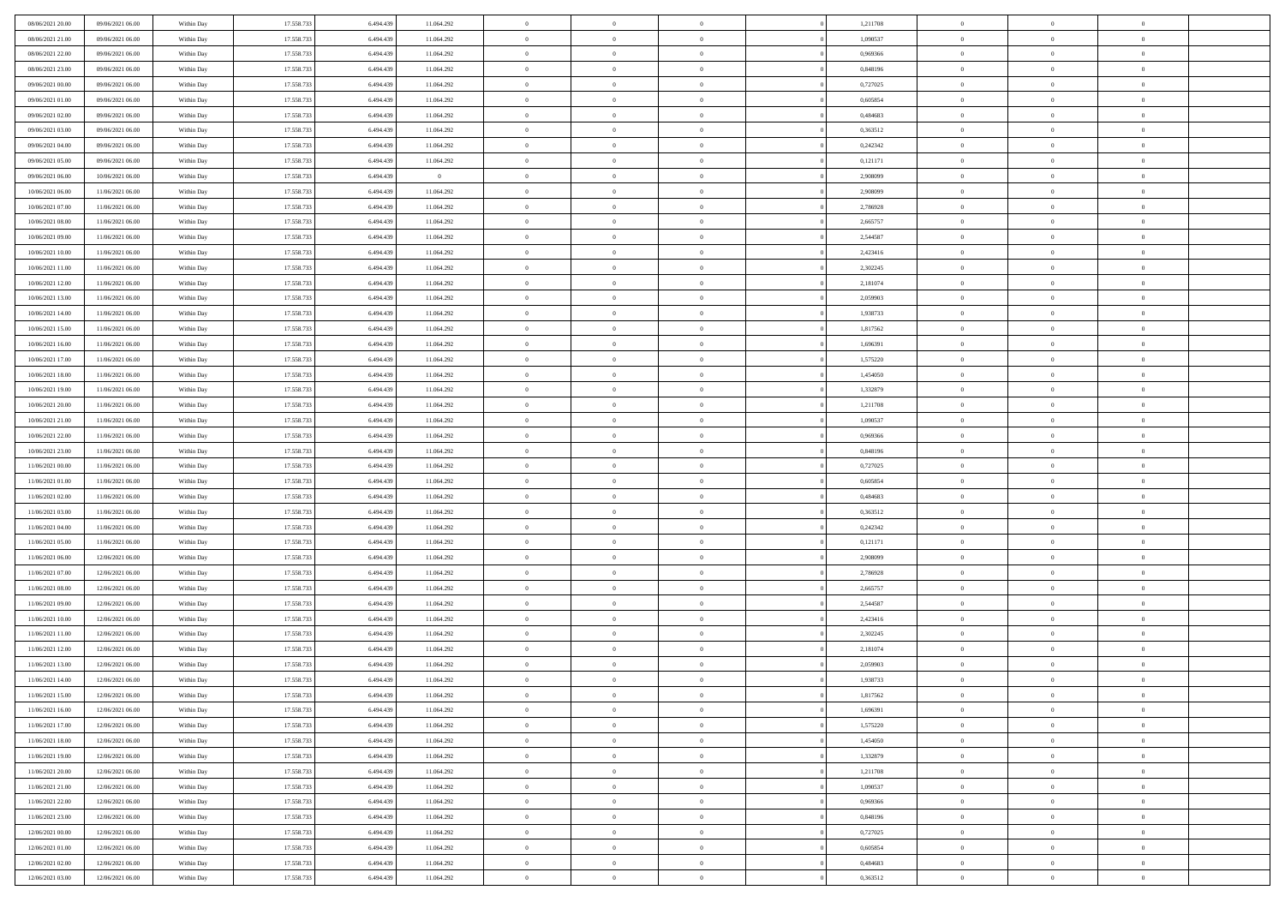| 08/06/2021 20:00 | 09/06/2021 06:00 | Within Day | 17.558.733 | 6.494.439 | 11.064.292     | $\overline{0}$ | $\overline{0}$ | $\Omega$       | 1,211708 | $\bf{0}$       | $\mathbf{0}$   | $\bf{0}$       |  |
|------------------|------------------|------------|------------|-----------|----------------|----------------|----------------|----------------|----------|----------------|----------------|----------------|--|
| 08/06/2021 21:00 | 09/06/2021 06:00 | Within Day | 17.558.733 | 6.494.439 | 11.064.292     | $\mathbf{0}$   | $\overline{0}$ | $\overline{0}$ | 1,090537 | $\overline{0}$ | $\overline{0}$ | $\theta$       |  |
| 08/06/2021 22:00 | 09/06/2021 06:00 | Within Day | 17.558.733 | 6.494.439 | 11.064.292     | $\,$ 0         | $\overline{0}$ | $\bf{0}$       | 0,969366 | $\,$ 0         | $\overline{0}$ | $\,$ 0 $\,$    |  |
| 08/06/2021 23:00 | 09/06/2021 06:00 | Within Day | 17.558.733 | 6,494,439 | 11.064.292     | $\bf{0}$       | $\overline{0}$ | $\Omega$       | 0.848196 | $\bf{0}$       | $\mathbf{0}$   | $\theta$       |  |
| 09/06/2021 00:00 | 09/06/2021 06:00 | Within Day | 17.558.733 | 6.494.439 | 11.064.292     | $\bf{0}$       | $\overline{0}$ | $\overline{0}$ | 0,727025 | $\mathbf{0}$   | $\overline{0}$ | $\overline{0}$ |  |
| 09/06/2021 01:00 | 09/06/2021 06:00 | Within Day | 17.558.733 | 6.494.439 | 11.064.292     | $\bf{0}$       | $\overline{0}$ | $\bf{0}$       | 0,605854 | $\,$ 0         | $\overline{0}$ | $\,$ 0 $\,$    |  |
| 09/06/2021 02:00 | 09/06/2021 06:00 | Within Day | 17.558.733 | 6.494.439 | 11.064.292     | $\bf{0}$       | $\overline{0}$ | $\overline{0}$ | 0.484683 | $\theta$       | $\overline{0}$ | $\theta$       |  |
| 09/06/2021 03:00 | 09/06/2021 06:00 | Within Day | 17.558.733 | 6.494.439 | 11.064.292     | $\overline{0}$ | $\overline{0}$ | $\overline{0}$ | 0,363512 | $\mathbf{0}$   | $\overline{0}$ | $\overline{0}$ |  |
| 09/06/2021 04:00 | 09/06/2021 06:00 | Within Day | 17.558.733 | 6.494.439 | 11.064.292     | $\bf{0}$       | $\overline{0}$ | $\bf{0}$       | 0,242342 | $\,$ 0         | $\overline{0}$ | $\,$ 0 $\,$    |  |
| 09/06/2021 05:00 | 09/06/2021 06:00 | Within Day | 17.558.733 | 6,494,439 | 11.064.292     | $\bf{0}$       | $\overline{0}$ | $\Omega$       | 0,121171 | $\theta$       | $\mathbf{0}$   | $\theta$       |  |
| 09/06/2021 06:00 | 10/06/2021 06:00 | Within Day | 17.558.733 | 6.494.439 | $\overline{0}$ | $\bf{0}$       | $\overline{0}$ | $\overline{0}$ | 2,908099 | $\mathbf{0}$   | $\overline{0}$ | $\overline{0}$ |  |
| 10/06/2021 06:00 | 11/06/2021 06:00 | Within Day | 17.558.733 | 6.494.439 | 11.064.292     | $\bf{0}$       | $\overline{0}$ | $\bf{0}$       | 2,908099 | $\,$ 0         | $\overline{0}$ | $\,$ 0 $\,$    |  |
| 10/06/2021 07:00 | 11/06/2021 06:00 | Within Day | 17.558.733 | 6,494,439 | 11.064.292     | $\theta$       | $\overline{0}$ | $\Omega$       | 2,786928 | $\overline{0}$ | $\mathbf{0}$   | $\theta$       |  |
| 10/06/2021 08:00 | 11/06/2021 06:00 | Within Day | 17.558.733 | 6.494.439 | 11.064.292     | $\overline{0}$ | $\overline{0}$ | $\overline{0}$ | 2,665757 | $\mathbf{0}$   | $\overline{0}$ | $\overline{0}$ |  |
| 10/06/2021 09:00 | 11/06/2021 06:00 | Within Day | 17.558.733 | 6.494.439 | 11.064.292     | $\bf{0}$       | $\overline{0}$ | $\bf{0}$       | 2,544587 | $\,$ 0         | $\overline{0}$ | $\,$ 0 $\,$    |  |
| 10/06/2021 10:00 | 11/06/2021 06:00 | Within Day | 17.558.733 | 6.494.439 | 11.064.292     | $\bf{0}$       | $\overline{0}$ | $\overline{0}$ | 2,423416 | $\theta$       | $\mathbf{0}$   | $\bf{0}$       |  |
| 10/06/2021 11:00 | 11/06/2021 06:00 | Within Day | 17.558.733 | 6.494.439 | 11.064.292     | $\overline{0}$ | $\overline{0}$ | $\overline{0}$ | 2,302245 | $\mathbf{0}$   | $\overline{0}$ | $\overline{0}$ |  |
| 10/06/2021 12:00 | 11/06/2021 06:00 | Within Day | 17.558.733 | 6.494.439 | 11.064.292     | $\bf{0}$       | $\overline{0}$ | $\bf{0}$       | 2,181074 | $\,$ 0         | $\overline{0}$ | $\,$ 0 $\,$    |  |
| 10/06/2021 13:00 | 11/06/2021 06:00 | Within Day | 17.558.733 | 6.494.439 | 11.064.292     | $\bf{0}$       | $\overline{0}$ | $\Omega$       | 2.059903 | $\theta$       | $\mathbf{0}$   | $\theta$       |  |
| 10/06/2021 14:00 | 11/06/2021 06:00 | Within Day | 17.558.733 | 6.494.439 | 11.064.292     | $\overline{0}$ | $\overline{0}$ | $\overline{0}$ | 1,938733 | $\mathbf{0}$   | $\overline{0}$ | $\overline{0}$ |  |
| 10/06/2021 15:00 | 11/06/2021 06:00 | Within Day | 17.558.733 | 6.494.439 | 11.064.292     | $\bf{0}$       | $\overline{0}$ | $\bf{0}$       | 1,817562 | $\,$ 0         | $\overline{0}$ | $\,$ 0 $\,$    |  |
| 10/06/2021 16:00 | 11/06/2021 06:00 | Within Day | 17.558.733 | 6,494,439 | 11.064.292     | $\bf{0}$       | $\overline{0}$ | $\Omega$       | 1.696391 | $\bf{0}$       | $\mathbf{0}$   | $\theta$       |  |
| 10/06/2021 17:00 | 11/06/2021 06:00 | Within Day | 17.558.733 | 6.494.439 | 11.064.292     | $\overline{0}$ | $\overline{0}$ | $\overline{0}$ | 1,575220 | $\mathbf{0}$   | $\overline{0}$ | $\overline{0}$ |  |
| 10/06/2021 18:00 | 11/06/2021 06:00 | Within Day | 17.558.733 | 6.494.439 | 11.064.292     | $\bf{0}$       | $\overline{0}$ | $\bf{0}$       | 1,454050 | $\,$ 0         | $\overline{0}$ | $\,$ 0 $\,$    |  |
| 10/06/2021 19:00 | 11/06/2021 06:00 | Within Day | 17.558.733 | 6.494.439 | 11.064.292     | $\bf{0}$       | $\overline{0}$ | $\overline{0}$ | 1,332879 | $\bf{0}$       | $\bf{0}$       | $\bf{0}$       |  |
| 10/06/2021 20:00 | 11/06/2021 06:00 | Within Day | 17.558.733 | 6.494.439 | 11.064.292     | $\overline{0}$ | $\overline{0}$ | $\overline{0}$ | 1,211708 | $\mathbf{0}$   | $\overline{0}$ | $\overline{0}$ |  |
| 10/06/2021 21:00 | 11/06/2021 06:00 | Within Day | 17.558.733 | 6.494.439 | 11.064.292     | $\bf{0}$       | $\overline{0}$ | $\bf{0}$       | 1,090537 | $\,$ 0         | $\overline{0}$ | $\,$ 0 $\,$    |  |
| 10/06/2021 22:00 | 11/06/2021 06:00 | Within Day | 17.558.733 | 6,494,439 | 11.064.292     | $\bf{0}$       | $\overline{0}$ | $\Omega$       | 0.969366 | $\theta$       | $\mathbf{0}$   | $\theta$       |  |
| 10/06/2021 23:00 | 11/06/2021 06:00 | Within Day | 17.558.733 | 6.494.439 | 11.064.292     | $\overline{0}$ | $\overline{0}$ | $\overline{0}$ | 0,848196 | $\mathbf{0}$   | $\overline{0}$ | $\overline{0}$ |  |
| 11/06/2021 00:00 | 11/06/2021 06:00 | Within Day | 17.558.733 | 6.494.439 | 11.064.292     | $\bf{0}$       | $\overline{0}$ | $\bf{0}$       | 0,727025 | $\,$ 0         | $\overline{0}$ | $\,$ 0 $\,$    |  |
| 11/06/2021 01:00 | 11/06/2021 06:00 | Within Day | 17.558.733 | 6.494.439 | 11.064.292     | $\bf{0}$       | $\bf{0}$       | $\overline{0}$ | 0,605854 | $\bf{0}$       | $\overline{0}$ | $\,0\,$        |  |
| 11/06/2021 02:00 | 11/06/2021 06:00 | Within Day | 17.558.733 | 6.494.439 | 11.064.292     | $\overline{0}$ | $\overline{0}$ | $\overline{0}$ | 0,484683 | $\mathbf{0}$   | $\overline{0}$ | $\overline{0}$ |  |
| 11/06/2021 03:00 | 11/06/2021 06:00 | Within Day | 17.558.733 | 6.494.439 | 11.064.292     | $\bf{0}$       | $\overline{0}$ | $\bf{0}$       | 0,363512 | $\,$ 0         | $\overline{0}$ | $\,$ 0 $\,$    |  |
| 11/06/2021 04:00 | 11/06/2021 06:00 | Within Day | 17.558.733 | 6.494.439 | 11.064.292     | $\bf{0}$       | $\overline{0}$ | $\bf{0}$       | 0,242342 | $\bf{0}$       | $\overline{0}$ | $\,0\,$        |  |
| 11/06/2021 05:00 | 11/06/2021 06:00 | Within Day | 17.558.733 | 6.494.439 | 11.064.292     | $\overline{0}$ | $\overline{0}$ | $\overline{0}$ | 0,121171 | $\overline{0}$ | $\overline{0}$ | $\overline{0}$ |  |
| 11/06/2021 06:00 | 12/06/2021 06:00 | Within Day | 17.558.733 | 6.494.439 | 11.064.292     | $\bf{0}$       | $\overline{0}$ | $\bf{0}$       | 2,908099 | $\,$ 0         | $\overline{0}$ | $\,$ 0 $\,$    |  |
| 11/06/2021 07:00 | 12/06/2021 06:00 | Within Day | 17.558.733 | 6.494.439 | 11.064.292     | $\bf{0}$       | $\overline{0}$ | $\overline{0}$ | 2,786928 | $\bf{0}$       | $\overline{0}$ | $\,0\,$        |  |
| 11/06/2021 08:00 | 12/06/2021 06:00 | Within Day | 17.558.733 | 6.494.439 | 11.064.292     | $\overline{0}$ | $\overline{0}$ | $\overline{0}$ | 2,665757 | $\mathbf{0}$   | $\overline{0}$ | $\overline{0}$ |  |
| 11/06/2021 09:00 | 12/06/2021 06:00 | Within Day | 17.558.733 | 6.494.439 | 11.064.292     | $\bf{0}$       | $\overline{0}$ | $\bf{0}$       | 2,544587 | $\,$ 0         | $\overline{0}$ | $\,$ 0 $\,$    |  |
| 11/06/2021 10:00 | 12/06/2021 06:00 | Within Day | 17.558.733 | 6.494.439 | 11.064.292     | $\bf{0}$       | $\overline{0}$ | $\overline{0}$ | 2,423416 | $\bf{0}$       | $\overline{0}$ | $\,0\,$        |  |
| 11/06/2021 11:00 | 12/06/2021 06:00 | Within Day | 17.558.733 | 6.494.439 | 11.064.292     | $\overline{0}$ | $\overline{0}$ | $\overline{0}$ | 2,302245 | $\overline{0}$ | $\overline{0}$ | $\overline{0}$ |  |
| 11/06/2021 12:00 | 12/06/2021 06:00 | Within Day | 17.558.733 | 6.494.439 | 11.064.292     | $\bf{0}$       | $\overline{0}$ | $\bf{0}$       | 2,181074 | $\,$ 0         | $\overline{0}$ | $\,$ 0 $\,$    |  |
| 11/06/2021 13:00 | 12/06/2021 06:00 | Within Day | 17.558.733 | 6.494.439 | 11.064.292     | $\bf{0}$       | $\overline{0}$ | $\bf{0}$       | 2,059903 | $\bf{0}$       | $\overline{0}$ | $\,0\,$        |  |
| 11/06/2021 14:00 | 12/06/2021 06:00 | Within Day | 17.558.733 | 6.494.439 | 11.064.292     | $\mathbf{0}$   | $\overline{0}$ | $\overline{0}$ | 1,938733 | $\mathbf{0}$   | $\overline{0}$ | $\overline{0}$ |  |
| 11/06/2021 15:00 | 12/06/2021 06:00 | Within Day | 17.558.733 | 6.494.439 | 11.064.292     | $\bf{0}$       | $\overline{0}$ | $\theta$       | 1,817562 | $\overline{0}$ | $\theta$       | $\theta$       |  |
| 11/06/2021 16:00 | 12/06/2021 06:00 | Within Day | 17.558.733 | 6.494.439 | 11.064.292     | $\bf{0}$       | $\overline{0}$ | $\bf{0}$       | 1,696391 | $\bf{0}$       | $\overline{0}$ | $\bf{0}$       |  |
| 11/06/2021 17:00 | 12/06/2021 06:00 | Within Day | 17.558.733 | 6.494.439 | 11.064.292     | $\overline{0}$ | $\overline{0}$ | $\overline{0}$ | 1,575220 | $\overline{0}$ | $\bf{0}$       | $\overline{0}$ |  |
| 11/06/2021 18:00 | 12/06/2021 06:00 | Within Day | 17.558.733 | 6.494.439 | 11.064.292     | $\,$ 0 $\,$    | $\overline{0}$ | $\overline{0}$ | 1,454050 | $\mathbf{0}$   | $\,$ 0 $\,$    | $\,$ 0 $\,$    |  |
| 11/06/2021 19:00 | 12/06/2021 06:00 | Within Day | 17.558.733 | 6.494.439 | 11.064.292     | $\bf{0}$       | $\overline{0}$ | $\overline{0}$ | 1,332879 | $\bf{0}$       | $\overline{0}$ | $\bf{0}$       |  |
| 11/06/2021 20:00 | 12/06/2021 06:00 | Within Day | 17.558.733 | 6.494.439 | 11.064.292     | $\bf{0}$       | $\overline{0}$ | $\overline{0}$ | 1,211708 | $\overline{0}$ | $\bf{0}$       | $\overline{0}$ |  |
| 11/06/2021 21:00 | 12/06/2021 06:00 | Within Day | 17.558.733 | 6.494.439 | 11.064.292     | $\,$ 0 $\,$    | $\overline{0}$ | $\overline{0}$ | 1,090537 | $\,$ 0 $\,$    | $\overline{0}$ | $\,$ 0 $\,$    |  |
| 11/06/2021 22:00 | 12/06/2021 06:00 | Within Day | 17.558.733 | 6.494.439 | 11.064.292     | $\overline{0}$ | $\overline{0}$ | $\overline{0}$ | 0,969366 | $\bf{0}$       | $\overline{0}$ | $\overline{0}$ |  |
| 11/06/2021 23:00 | 12/06/2021 06:00 | Within Day | 17.558.733 | 6.494.439 | 11.064.292     | $\overline{0}$ | $\overline{0}$ | $\overline{0}$ | 0,848196 | $\overline{0}$ | $\bf{0}$       | $\overline{0}$ |  |
| 12/06/2021 00:00 | 12/06/2021 06:00 | Within Day | 17.558.733 | 6.494.439 | 11.064.292     | $\,$ 0 $\,$    | $\overline{0}$ | $\overline{0}$ | 0,727025 | $\mathbf{0}$   | $\,$ 0 $\,$    | $\,$ 0 $\,$    |  |
| 12/06/2021 01:00 | 12/06/2021 06:00 | Within Day | 17.558.733 | 6.494.439 | 11.064.292     | $\bf{0}$       | $\overline{0}$ | $\overline{0}$ | 0,605854 | $\bf{0}$       | $\overline{0}$ | $\bf{0}$       |  |
| 12/06/2021 02:00 | 12/06/2021 06:00 | Within Day | 17.558.733 | 6.494.439 | 11.064.292     | $\bf{0}$       | $\overline{0}$ | $\overline{0}$ | 0,484683 | $\mathbf{0}$   | $\bf{0}$       | $\overline{0}$ |  |
| 12/06/2021 03:00 | 12/06/2021 06:00 | Within Day | 17.558.733 | 6.494.439 | 11.064.292     | $\,0\,$        | $\overline{0}$ | $\overline{0}$ | 0,363512 | $\,$ 0         | $\overline{0}$ | $\,$ 0 $\,$    |  |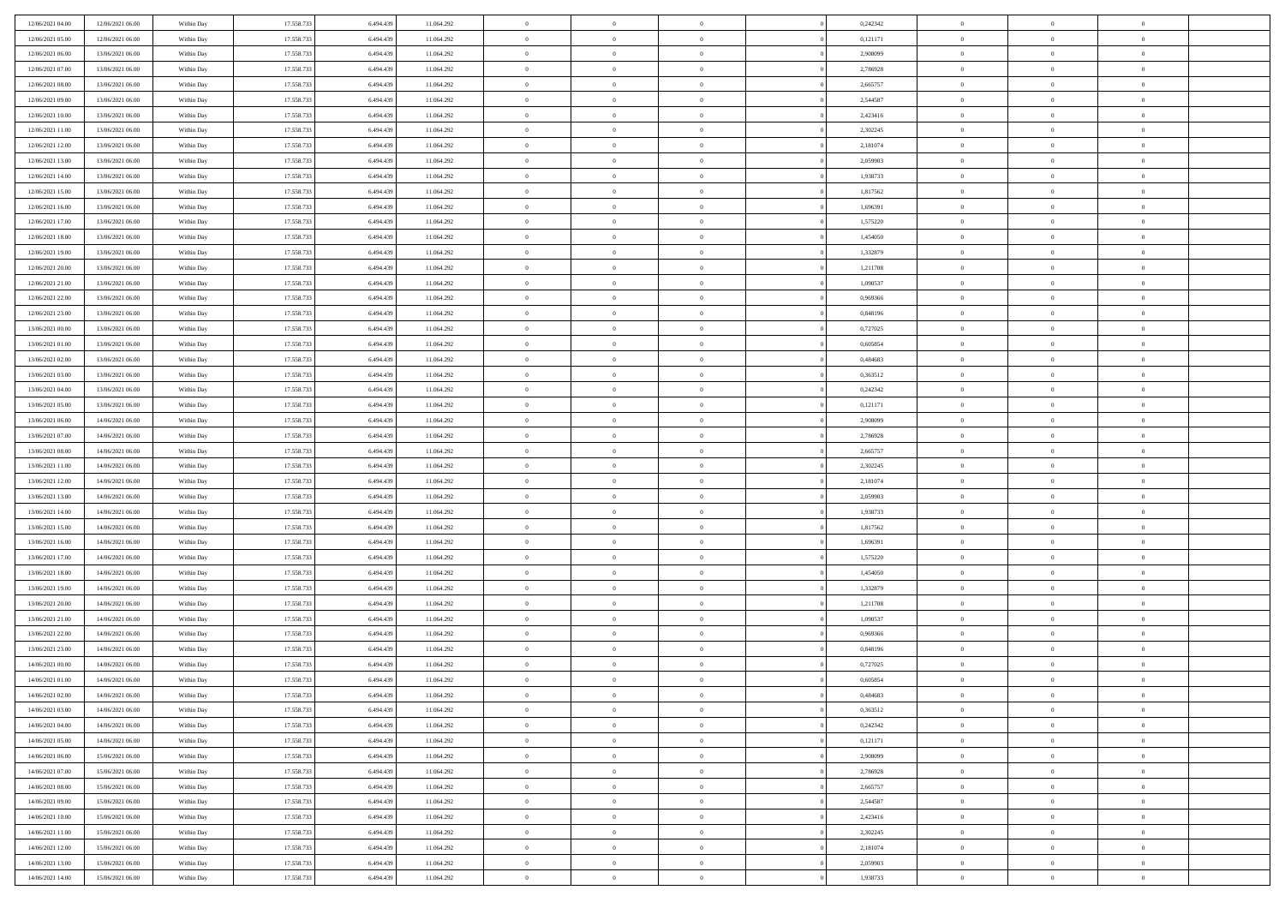| 12/06/2021 04:00 | 12/06/2021 06:00 | Within Day | 17.558.733 | 6.494.439 | 11.064.292 | $\,$ 0         | $\bf{0}$       | $\theta$       |                | 0,242342 | $\bf{0}$       | $\overline{0}$ | $\theta$       |  |
|------------------|------------------|------------|------------|-----------|------------|----------------|----------------|----------------|----------------|----------|----------------|----------------|----------------|--|
| 12/06/2021 05:00 | 12/06/2021 06:00 | Within Day | 17.558.733 | 6.494.439 | 11.064.292 | $\overline{0}$ | $\overline{0}$ | $\overline{0}$ |                | 0,121171 | $\theta$       | $\theta$       | $\overline{0}$ |  |
| 12/06/2021 06:00 | 13/06/2021 06:00 | Within Dav | 17.558.733 | 6.494.439 | 11.064.292 | $\mathbf{0}$   | $\overline{0}$ | $\overline{0}$ |                | 2,908099 | $\theta$       | $\overline{0}$ | $\theta$       |  |
| 12/06/2021 07:00 | 13/06/2021 06:00 | Within Day | 17.558.733 | 6.494.439 | 11.064.292 | $\bf{0}$       | $\overline{0}$ | $\bf{0}$       |                | 2,786928 | $\bf{0}$       | $\overline{0}$ | $\bf{0}$       |  |
| 12/06/2021 08:00 | 13/06/2021 06:00 | Within Day | 17.558.733 | 6,494,439 | 11.064.292 | $\bf{0}$       | $\bf{0}$       | $\overline{0}$ |                | 2,665757 | $\bf{0}$       | $\Omega$       | $\bf{0}$       |  |
| 12/06/2021 09:00 | 13/06/2021 06:00 | Within Dav | 17.558.733 | 6.494.439 | 11.064.292 | $\overline{0}$ | $\overline{0}$ | $\overline{0}$ |                | 2,544587 | $\theta$       |                | $\theta$       |  |
|                  |                  |            |            |           |            |                |                |                |                |          |                | $\overline{0}$ |                |  |
| 12/06/2021 10:00 | 13/06/2021 06:00 | Within Day | 17.558.733 | 6.494.439 | 11.064.292 | $\bf{0}$       | $\bf{0}$       | $\overline{0}$ |                | 2,423416 | $\bf{0}$       | $\overline{0}$ | $\theta$       |  |
| 12/06/2021 11:00 | 13/06/2021 06:00 | Within Day | 17.558.733 | 6,494,439 | 11.064.292 | $\overline{0}$ | $\overline{0}$ | $\overline{0}$ |                | 2,302245 | $\,$ 0 $\,$    | $\overline{0}$ | $\overline{0}$ |  |
| 12/06/2021 12:00 | 13/06/2021 06:00 | Within Day | 17.558.733 | 6.494.439 | 11.064.292 | $\mathbf{0}$   | $\overline{0}$ | $\overline{0}$ |                | 2,181074 | $\theta$       | $\overline{0}$ | $\theta$       |  |
| 12/06/2021 13:00 | 13/06/2021 06:00 | Within Day | 17.558.733 | 6.494.439 | 11.064.292 | $\bf{0}$       | $\bf{0}$       | $\overline{0}$ |                | 2,059903 | $\bf{0}$       | $\overline{0}$ | $\theta$       |  |
| 12/06/2021 14:00 | 13/06/2021 06:00 | Within Day | 17.558.733 | 6,494,439 | 11.064.292 | $\bf{0}$       | $\overline{0}$ | $\overline{0}$ |                | 1,938733 | $\bf{0}$       | $\theta$       | $\overline{0}$ |  |
| 12/06/2021 15:00 | 13/06/2021 06:00 | Within Dav | 17.558.733 | 6.494.439 | 11.064.292 | $\mathbf{0}$   | $\overline{0}$ | $\overline{0}$ |                | 1,817562 | $\theta$       | $\overline{0}$ | $\theta$       |  |
| 12/06/2021 16:00 | 13/06/2021 06:00 | Within Day | 17.558.733 | 6.494.439 | 11.064.292 | $\bf{0}$       | $\overline{0}$ | $\bf{0}$       |                | 1,696391 | $\bf{0}$       | $\overline{0}$ | $\bf{0}$       |  |
| 12/06/2021 17:00 | 13/06/2021 06:00 | Within Day | 17.558.733 | 6,494,439 | 11.064.292 | $\bf{0}$       | $\overline{0}$ | $\overline{0}$ |                | 1,575220 | $\bf{0}$       | $\Omega$       | $\bf{0}$       |  |
| 12/06/2021 18:00 | 13/06/2021 06:00 | Within Dav | 17.558.733 | 6.494.439 | 11.064.292 | $\overline{0}$ | $\overline{0}$ | $\overline{0}$ |                | 1,454050 | $\theta$       | $\overline{0}$ | $\theta$       |  |
| 12/06/2021 19:00 | 13/06/2021 06:00 | Within Day | 17.558.733 | 6.494.439 | 11.064.292 | $\bf{0}$       | $\bf{0}$       | $\overline{0}$ |                | 1,332879 | $\bf{0}$       | $\overline{0}$ | $\theta$       |  |
| 12/06/2021 20:00 | 13/06/2021 06:00 | Within Day | 17.558.733 | 6,494,439 | 11.064.292 | $\bf{0}$       | $\overline{0}$ | $\overline{0}$ |                | 1,211708 | $\,$ 0 $\,$    | $\overline{0}$ | $\overline{0}$ |  |
| 12/06/2021 21:00 | 13/06/2021 06:00 | Within Day | 17.558.733 | 6.494.439 | 11.064.292 | $\mathbf{0}$   | $\overline{0}$ | $\overline{0}$ |                | 1,090537 | $\theta$       | $\overline{0}$ | $\theta$       |  |
| 12/06/2021 22:00 | 13/06/2021 06:00 | Within Day | 17.558.733 | 6.494.439 | 11.064.292 | $\bf{0}$       | $\bf{0}$       | $\overline{0}$ |                | 0,969366 | $\bf{0}$       | $\overline{0}$ | $\theta$       |  |
| 12/06/2021 23:00 | 13/06/2021 06:00 | Within Day | 17.558.733 | 6.494.439 | 11.064.292 | $\bf{0}$       | $\overline{0}$ | $\overline{0}$ |                | 0,848196 | $\bf{0}$       | $\theta$       | $\bf{0}$       |  |
| 13/06/2021 00:00 | 13/06/2021 06:00 | Within Dav | 17.558.733 | 6.494.439 | 11.064.292 | $\mathbf{0}$   | $\overline{0}$ | $\overline{0}$ |                | 0,727025 | $\theta$       | $\overline{0}$ | $\theta$       |  |
| 13/06/2021 01:00 | 13/06/2021 06:00 | Within Day | 17.558.733 | 6.494.439 | 11.064.292 | $\bf{0}$       | $\bf{0}$       | $\bf{0}$       |                | 0,605854 | $\bf{0}$       | $\overline{0}$ | $\bf{0}$       |  |
| 13/06/2021 02:00 | 13/06/2021 06:00 | Within Day | 17.558.733 | 6,494,439 | 11.064.292 | $\bf{0}$       | $\bf{0}$       | $\overline{0}$ |                | 0,484683 | $\bf{0}$       | $\overline{0}$ | $\bf{0}$       |  |
| 13/06/2021 03:00 | 13/06/2021 06:00 | Within Dav | 17.558.733 | 6.494.439 | 11.064.292 | $\mathbf{0}$   | $\overline{0}$ | $\overline{0}$ |                | 0,363512 | $\theta$       | $\overline{0}$ | $\theta$       |  |
| 13/06/2021 04:00 | 13/06/2021 06:00 | Within Day | 17.558.733 | 6.494.439 | 11.064.292 | $\bf{0}$       | $\bf{0}$       | $\overline{0}$ |                | 0,242342 | $\bf{0}$       | $\overline{0}$ | $\theta$       |  |
| 13/06/2021 05:00 | 13/06/2021 06:00 | Within Day | 17.558.733 | 6,494,439 | 11.064.292 | $\bf{0}$       | $\overline{0}$ | $\overline{0}$ |                | 0,121171 | $\,$ 0 $\,$    | $\overline{0}$ | $\bf{0}$       |  |
| 13/06/2021 06:00 | 14/06/2021 06:00 | Within Day | 17.558.733 | 6.494.439 | 11.064.292 | $\mathbf{0}$   | $\overline{0}$ | $\overline{0}$ |                | 2,908099 | $\theta$       | $\overline{0}$ | $\theta$       |  |
| 13/06/2021 07:00 | 14/06/2021 06:00 | Within Day | 17.558.733 | 6.494.439 | 11.064.292 | $\bf{0}$       | $\bf{0}$       | $\overline{0}$ |                | 2,786928 | $\bf{0}$       | $\overline{0}$ | $\theta$       |  |
| 13/06/2021 08:00 | 14/06/2021 06:00 | Within Day | 17.558.733 | 6.494.439 | 11.064.292 | $\bf{0}$       | $\overline{0}$ | $\overline{0}$ |                | 2,665757 | $\bf{0}$       | $\theta$       | $\bf{0}$       |  |
| 13/06/2021 11:00 | 14/06/2021 06:00 | Within Dav | 17.558.733 | 6.494.439 | 11.064.292 | $\mathbf{0}$   | $\overline{0}$ | $\overline{0}$ |                | 2,302245 | $\theta$       | $\overline{0}$ | $\theta$       |  |
| 13/06/2021 12:00 | 14/06/2021 06:00 | Within Day | 17.558.733 | 6.494.439 | 11.064.292 | $\bf{0}$       | $\overline{0}$ | $\overline{0}$ |                | 2,181074 | $\,0\,$        | $\overline{0}$ | $\theta$       |  |
| 13/06/2021 13:00 | 14/06/2021 06:00 | Within Day | 17.558.733 | 6,494,439 | 11.064.292 | $\bf{0}$       | $\bf{0}$       | $\overline{0}$ |                | 2,059903 | $\bf{0}$       | $\overline{0}$ | $\bf{0}$       |  |
| 13/06/2021 14:00 | 14/06/2021 06:00 | Within Dav | 17.558.733 | 6.494.439 | 11.064.292 | $\mathbf{0}$   | $\overline{0}$ | $\overline{0}$ |                | 1,938733 | $\theta$       | $\overline{0}$ | $\theta$       |  |
| 13/06/2021 15:00 |                  |            | 17.558.733 | 6.494.439 |            | $\bf{0}$       | $\overline{0}$ | $\theta$       |                | 1,817562 | $\,0\,$        | $\overline{0}$ | $\theta$       |  |
|                  | 14/06/2021 06:00 | Within Day |            |           | 11.064.292 |                | $\overline{0}$ |                |                |          |                | $\overline{0}$ |                |  |
| 13/06/2021 16:00 | 14/06/2021 06:00 | Within Day | 17.558.733 | 6.494.439 | 11.064.292 | $\bf{0}$       |                | $\overline{0}$ |                | 1,696391 | $\bf{0}$       |                | $\bf{0}$       |  |
| 13/06/2021 17:00 | 14/06/2021 06:00 | Within Day | 17.558.733 | 6.494.439 | 11.064.292 | $\mathbf{0}$   | $\overline{0}$ | $\overline{0}$ |                | 1,575220 | $\theta$       | $\overline{0}$ | $\theta$       |  |
| 13/06/2021 18:00 | 14/06/2021 06:00 | Within Day | 17.558.733 | 6.494.439 | 11.064.292 | $\bf{0}$       | $\overline{0}$ | $\theta$       |                | 1,454050 | $\,0\,$        | $\overline{0}$ | $\theta$       |  |
| 13/06/2021 19:00 | 14/06/2021 06:00 | Within Day | 17.558.733 | 6.494.439 | 11.064.292 | $\bf{0}$       | $\overline{0}$ | $\overline{0}$ |                | 1,332879 | $\bf{0}$       | $\theta$       | $\bf{0}$       |  |
| 13/06/2021 20:00 | 14/06/2021 06:00 | Within Dav | 17.558.733 | 6.494.439 | 11.064.292 | $\mathbf{0}$   | $\overline{0}$ | $\overline{0}$ |                | 1,211708 | $\theta$       | $\overline{0}$ | $\theta$       |  |
| 13/06/2021 21:00 | 14/06/2021 06:00 | Within Day | 17.558.733 | 6.494.439 | 11.064.292 | $\,0\,$        | $\overline{0}$ | $\theta$       |                | 1,090537 | $\,0\,$        | $\overline{0}$ | $\theta$       |  |
| 13/06/2021 22:00 | 14/06/2021 06:00 | Within Day | 17.558.733 | 6.494.439 | 11.064.292 | $\bf{0}$       | $\bf{0}$       | $\overline{0}$ |                | 0,969366 | $\bf{0}$       | $\overline{0}$ | $\bf{0}$       |  |
| 13/06/2021 23:00 | 14/06/2021 06:00 | Within Dav | 17.558.733 | 6.494.439 | 11.064.292 | $\mathbf{0}$   | $\overline{0}$ | $\overline{0}$ |                | 0,848196 | $\theta$       | $\overline{0}$ | $\overline{0}$ |  |
| 14/06/2021 00:00 | 14/06/2021 06:00 | Within Day | 17.558.733 | 6.494.439 | 11.064.292 | $\bf{0}$       | $\overline{0}$ | $\theta$       |                | 0,727025 | $\,0\,$        | $\overline{0}$ | $\theta$       |  |
| 14/06/2021 01:00 | 14/06/2021 06:00 | Within Day | 17.558.733 | 6.494.439 | 11.064.292 | $\bf{0}$       | $\overline{0}$ | $\overline{0}$ |                | 0,605854 | $\,$ 0 $\,$    | $\overline{0}$ | $\bf{0}$       |  |
| 14/06/2021 02:00 | 14/06/2021 06:00 | Within Day | 17.558.733 | 6.494.439 | 11.064.292 | $\bf{0}$       | $\overline{0}$ |                |                | 0,484683 | $\bf{0}$       | $\Omega$       | $\theta$       |  |
| 14/06/2021 03:00 | 14/06/2021 06:00 | Within Day | 17.558.733 | 6.494.439 | 11.064.292 | $\,0\,$        | $\overline{0}$ | $\theta$       |                | 0,363512 | $\,$ 0 $\,$    | $\overline{0}$ | $\theta$       |  |
| 14/06/2021 04:00 | 14/06/2021 06:00 | Within Day | 17.558.733 | 6,494,439 | 11.064.292 | $\overline{0}$ | $\overline{0}$ | $\overline{0}$ |                | 0,242342 | $\overline{0}$ | $\overline{0}$ | $\overline{0}$ |  |
| 14/06/2021 05:00 | 14/06/2021 06:00 | Within Day | 17.558.733 | 6.494.439 | 11.064.292 | $\mathbf{0}$   | $\overline{0}$ | $\overline{0}$ |                | 0,121171 | $\overline{0}$ | $\overline{0}$ | $\overline{0}$ |  |
| 14/06/2021 06:00 | 15/06/2021 06:00 | Within Day | 17.558.733 | 6.494.439 | 11.064.292 | $\,$ 0 $\,$    | $\overline{0}$ | $\bf{0}$       | $\overline{0}$ | 2,908099 | $\,$ 0 $\,$    | $\overline{0}$ | $\,$ 0         |  |
| 14/06/2021 07:00 | 15/06/2021 06:00 | Within Day | 17.558.733 | 6.494.439 | 11.064.292 | $\,$ 0 $\,$    | $\overline{0}$ | $\overline{0}$ |                | 2,786928 | $\,$ 0 $\,$    | $\overline{0}$ | $\overline{0}$ |  |
| 14/06/2021 08:00 | 15/06/2021 06:00 | Within Day | 17.558.733 | 6.494.439 | 11.064.292 | $\mathbf{0}$   | $\overline{0}$ | $\overline{0}$ |                | 2,665757 | $\overline{0}$ | $\overline{0}$ | $\overline{0}$ |  |
| 14/06/2021 09:00 | 15/06/2021 06:00 | Within Day | 17.558.733 | 6.494.439 | 11.064.292 | $\,0\,$        | $\overline{0}$ | $\overline{0}$ |                | 2,544587 | $\,$ 0 $\,$    | $\overline{0}$ | $\theta$       |  |
| 14/06/2021 10:00 | 15/06/2021 06:00 | Within Day | 17.558.733 | 6,494,439 | 11.064.292 | $\bf{0}$       | $\overline{0}$ | $\overline{0}$ |                | 2,423416 | $\overline{0}$ | $\overline{0}$ | $\overline{0}$ |  |
| 14/06/2021 11:00 | 15/06/2021 06:00 | Within Day | 17.558.733 | 6.494.439 | 11.064.292 | $\mathbf{0}$   | $\overline{0}$ | $\overline{0}$ |                | 2,302245 | $\overline{0}$ | $\overline{0}$ | $\overline{0}$ |  |
| 14/06/2021 12:00 | 15/06/2021 06:00 | Within Day | 17.558.733 | 6.494.439 | 11.064.292 | $\,0\,$        | $\overline{0}$ | $\bf{0}$       |                | 2,181074 | $\,$ 0 $\,$    | $\overline{0}$ | $\theta$       |  |
| 14/06/2021 13:00 | 15/06/2021 06:00 | Within Day | 17.558.733 | 6.494.439 | 11.064.292 | $\bf{0}$       | $\overline{0}$ | $\overline{0}$ |                | 2,059903 | $\bf{0}$       | $\overline{0}$ | $\overline{0}$ |  |
| 14/06/2021 14:00 | 15/06/2021 06:00 | Within Day | 17.558.733 | 6.494.439 | 11.064.292 | $\mathbf{0}$   | $\overline{0}$ | $\overline{0}$ |                | 1,938733 | $\overline{0}$ | $\overline{0}$ | $\overline{0}$ |  |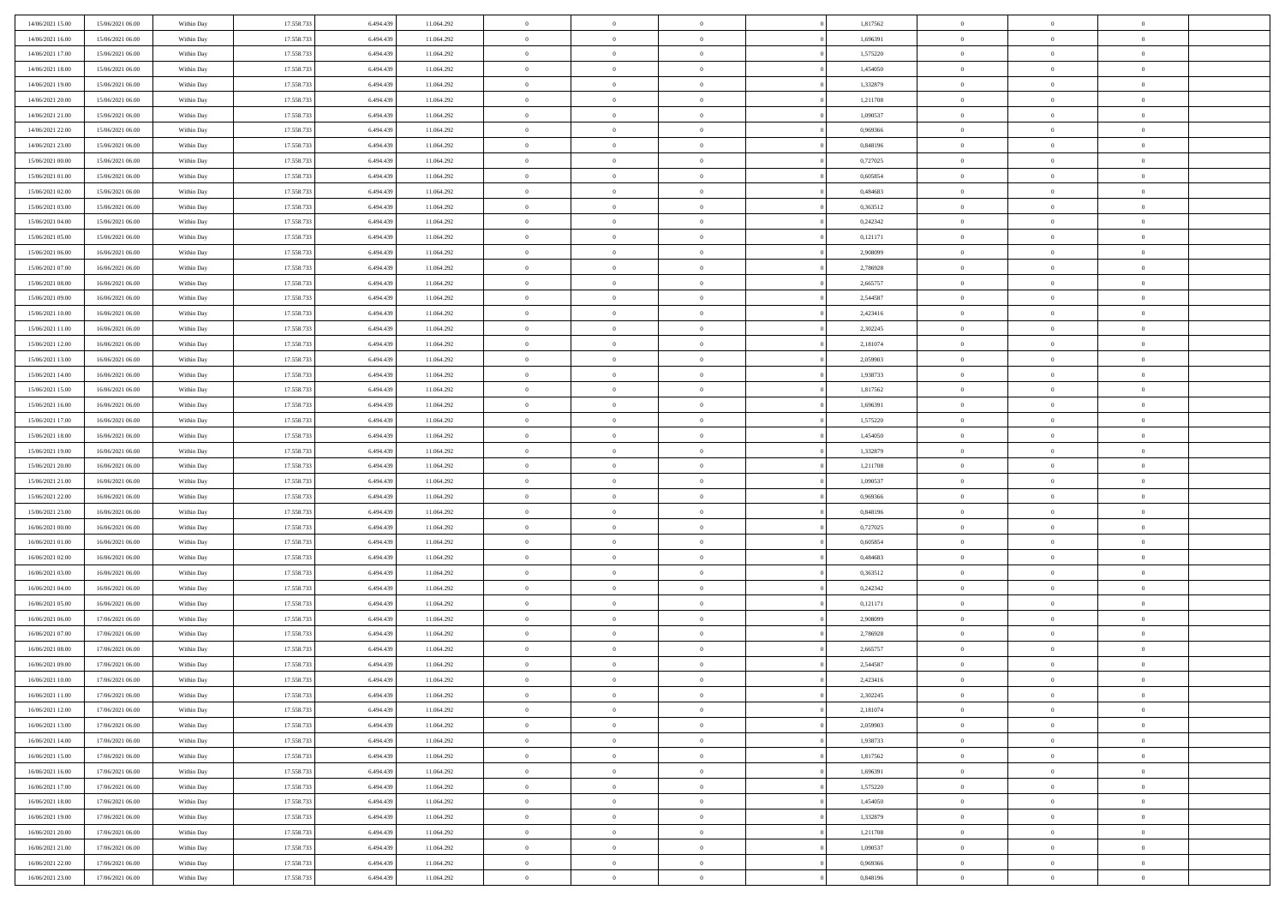| 17.558.733<br>14/06/2021 16:00<br>15/06/2021 06:00<br>6.494.439<br>11.064.292<br>$\overline{0}$<br>$\overline{0}$<br>1,696391<br>$\theta$<br>$\overline{0}$<br>Within Day<br>$\overline{0}$<br>$\theta$<br>14/06/2021 17:00<br>17.558.733<br>6.494.439<br>11.064.292<br>$\mathbf{0}$<br>$\overline{0}$<br>1,575220<br>$\theta$<br>$\theta$<br>15/06/2021 06:00<br>Within Dav<br>$\overline{0}$<br>$\overline{0}$<br>14/06/2021 18:00<br>15/06/2021 06:00<br>Within Day<br>17.558.733<br>6.494.439<br>11.064.292<br>$\bf{0}$<br>$\overline{0}$<br>$\bf{0}$<br>1,454050<br>$\bf{0}$<br>$\overline{0}$<br>$\bf{0}$<br>17.558.733<br>1,332879<br>14/06/2021 19:00<br>15/06/2021 06:00<br>6,494,439<br>11.064.292<br>$\bf{0}$<br>$\overline{0}$<br>$\bf{0}$<br>$\bf{0}$<br>Within Day<br>$\overline{0}$<br>$\Omega$<br>14/06/2021 20:00<br>17.558.733<br>6.494.439<br>11.064.292<br>$\mathbf{0}$<br>$\overline{0}$<br>1,211708<br>$\theta$<br>15/06/2021 06:00<br>Within Dav<br>$\overline{0}$<br>$\theta$<br>$\overline{0}$<br>14/06/2021 21:00<br>15/06/2021 06:00<br>Within Day<br>17.558.733<br>6.494.439<br>11.064.292<br>$\bf{0}$<br>$\overline{0}$<br>$\overline{0}$<br>1,090537<br>$\bf{0}$<br>$\overline{0}$<br>$\theta$<br>17.558.733<br>$\,$ 0 $\,$<br>14/06/2021 22:00<br>15/06/2021 06:00<br>6,494,439<br>11.064.292<br>$\overline{0}$<br>$\overline{0}$<br>$\overline{0}$<br>0,969366<br>$\overline{0}$<br>$\overline{0}$<br>Within Day<br>14/06/2021 23:00<br>15/06/2021 06:00<br>Within Day<br>17.558.733<br>6.494.439<br>11.064.292<br>$\mathbf{0}$<br>0,848196<br>$\theta$<br>$\overline{0}$<br>$\theta$<br>$\overline{0}$<br>$\overline{0}$<br>15/06/2021 00:00<br>15/06/2021 06:00<br>Within Day<br>17.558.733<br>6.494.439<br>11.064.292<br>$\bf{0}$<br>$\overline{0}$<br>$\overline{0}$<br>0,727025<br>$\bf{0}$<br>$\overline{0}$<br>$\theta$<br>17.558.733<br>15/06/2021 01:00<br>15/06/2021 06:00<br>6,494,439<br>11.064.292<br>$\bf{0}$<br>$\overline{0}$<br>0.605854<br>$\bf{0}$<br>$\overline{0}$<br>Within Day<br>$\overline{0}$<br>$\theta$<br>15/06/2021 02:00<br>17.558.733<br>6.494.439<br>11.064.292<br>$\mathbf{0}$<br>$\overline{0}$<br>0,484683<br>$\theta$<br>$\theta$<br>15/06/2021 06:00<br>Within Dav<br>$\overline{0}$<br>$\overline{0}$<br>15/06/2021 03:00<br>15/06/2021 06:00<br>Within Day<br>17.558.733<br>6.494.439<br>11.064.292<br>$\bf{0}$<br>$\overline{0}$<br>$\bf{0}$<br>0,363512<br>$\bf{0}$<br>$\overline{0}$<br>$\bf{0}$<br>17.558.733<br>0,242342<br>15/06/2021 04:00<br>15/06/2021 06:00<br>Within Day<br>6,494,439<br>11.064.292<br>$\bf{0}$<br>$\overline{0}$<br>$\bf{0}$<br>$\bf{0}$<br>$\overline{0}$<br>$\Omega$<br>15/06/2021 05:00<br>17.558.733<br>6.494.439<br>11.064.292<br>$\mathbf{0}$<br>0,121171<br>$\theta$<br>15/06/2021 06:00<br>Within Dav<br>$\overline{0}$<br>$\theta$<br>$\overline{0}$<br>$\overline{0}$<br>15/06/2021 06:00<br>16/06/2021 06:00<br>Within Day<br>17.558.733<br>6.494.439<br>11.064.292<br>$\bf{0}$<br>$\overline{0}$<br>$\overline{0}$<br>2,908099<br>$\bf{0}$<br>$\overline{0}$<br>$\theta$<br>17.558.733<br>$\overline{0}$<br>$\,$ 0 $\,$<br>15/06/2021 07:00<br>16/06/2021 06:00<br>6,494,439<br>11.064.292<br>$\bf{0}$<br>$\overline{0}$<br>2,786928<br>$\overline{0}$<br>$\overline{0}$<br>Within Day<br>15/06/2021 08:00<br>16/06/2021 06:00<br>Within Day<br>17.558.733<br>6.494.439<br>11.064.292<br>$\mathbf{0}$<br>$\overline{0}$<br>2,665757<br>$\theta$<br>$\theta$<br>$\overline{0}$<br>$\overline{0}$<br>15/06/2021 09:00<br>16/06/2021 06:00<br>Within Day<br>17.558.733<br>6.494.439<br>11.064.292<br>$\bf{0}$<br>$\bf{0}$<br>$\overline{0}$<br>2,544587<br>$\bf{0}$<br>$\overline{0}$<br>$\theta$<br>2,423416<br>15/06/2021 10:00<br>16/06/2021 06:00<br>17.558.733<br>6,494,439<br>11.064.292<br>$\bf{0}$<br>$\overline{0}$<br>$\bf{0}$<br>$\bf{0}$<br>Within Day<br>$\overline{0}$<br>$\theta$<br>15/06/2021 11:00<br>17.558.733<br>6.494.439<br>11.064.292<br>$\mathbf{0}$<br>$\overline{0}$<br>2,302245<br>$\theta$<br>16/06/2021 06:00<br>Within Dav<br>$\overline{0}$<br>$\theta$<br>$\overline{0}$<br>15/06/2021 12:00<br>16/06/2021 06:00<br>Within Day<br>17.558.733<br>6.494.439<br>11.064.292<br>$\bf{0}$<br>$\bf{0}$<br>$\bf{0}$<br>2,181074<br>$\bf{0}$<br>$\overline{0}$<br>$\bf{0}$<br>17.558.733<br>15/06/2021 13:00<br>16/06/2021 06:00<br>6,494,439<br>11.064.292<br>$\bf{0}$<br>$\bf{0}$<br>2,059903<br>$\bf{0}$<br>$\bf{0}$<br>Within Day<br>$\overline{0}$<br>$\overline{0}$<br>15/06/2021 14:00<br>16/06/2021 06:00<br>17.558.733<br>6.494.439<br>11.064.292<br>$\mathbf{0}$<br>$\overline{0}$<br>1,938733<br>$\theta$<br>Within Dav<br>$\theta$<br>$\overline{0}$<br>$\overline{0}$<br>15/06/2021 15:00<br>16/06/2021 06:00<br>Within Day<br>17.558.733<br>6.494.439<br>11.064.292<br>$\bf{0}$<br>$\bf{0}$<br>$\overline{0}$<br>1,817562<br>$\bf{0}$<br>$\overline{0}$<br>$\theta$<br>17.558.733<br>$\overline{0}$<br>$\,$ 0 $\,$<br>15/06/2021 16:00<br>16/06/2021 06:00<br>6,494,439<br>11.064.292<br>$\bf{0}$<br>1,696391<br>$\overline{0}$<br>$\bf{0}$<br>Within Day<br>$\overline{0}$<br>15/06/2021 17:00<br>16/06/2021 06:00<br>Within Day<br>17.558.733<br>6.494.439<br>11.064.292<br>$\mathbf{0}$<br>1,575220<br>$\theta$<br>$\overline{0}$<br>$\theta$<br>$\overline{0}$<br>$\overline{0}$<br>1,454050<br>15/06/2021 18:00<br>16/06/2021 06:00<br>Within Day<br>17.558.733<br>6.494.439<br>11.064.292<br>$\bf{0}$<br>$\bf{0}$<br>$\overline{0}$<br>$\bf{0}$<br>$\overline{0}$<br>$\theta$<br>1,332879<br>15/06/2021 19:00<br>16/06/2021 06:00<br>17.558.733<br>6.494.439<br>11.064.292<br>$\bf{0}$<br>$\bf{0}$<br>$\bf{0}$<br>$\bf{0}$<br>Within Day<br>$\overline{0}$<br>$\theta$<br>15/06/2021 20:00<br>17.558.733<br>6.494.439<br>11.064.292<br>$\mathbf{0}$<br>$\overline{0}$<br>1,211708<br>$\theta$<br>$\theta$<br>16/06/2021 06:00<br>Within Dav<br>$\overline{0}$<br>$\overline{0}$<br>15/06/2021 21:00<br>16/06/2021 06:00<br>17.558.733<br>6.494.439<br>$\bf{0}$<br>$\overline{0}$<br>1,090537<br>$\,0\,$<br>$\theta$<br>Within Day<br>11.064.292<br>$\overline{0}$<br>$\overline{0}$<br>17.558.733<br>15/06/2021 22:00<br>16/06/2021 06:00<br>Within Day<br>6,494,439<br>11.064.292<br>$\bf{0}$<br>$\bf{0}$<br>0,969366<br>$\bf{0}$<br>$\bf{0}$<br>$\overline{0}$<br>$\overline{0}$<br>15/06/2021 23:00<br>16/06/2021 06:00<br>17.558.733<br>6.494.439<br>11.064.292<br>$\mathbf{0}$<br>0,848196<br>$\theta$<br>Within Dav<br>$\overline{0}$<br>$\theta$<br>$\overline{0}$<br>$\overline{0}$<br>16/06/2021 00:00<br>17.558.733<br>6.494.439<br>$\bf{0}$<br>$\overline{0}$<br>0,727025<br>$\,0\,$<br>$\theta$<br>16/06/2021 06:00<br>Within Day<br>11.064.292<br>$\theta$<br>$\overline{0}$<br>17.558.733<br>16/06/2021 01:00<br>16/06/2021 06:00<br>6,494,439<br>11.064.292<br>$\bf{0}$<br>$\overline{0}$<br>$\overline{0}$<br>0.605854<br>$\bf{0}$<br>$\bf{0}$<br>Within Day<br>$\overline{0}$<br>16/06/2021 02:00<br>16/06/2021 06:00<br>Within Day<br>17.558.733<br>6.494.439<br>11.064.292<br>$\mathbf{0}$<br>$\overline{0}$<br>0,484683<br>$\theta$<br>$\theta$<br>$\overline{0}$<br>$\overline{0}$<br>16/06/2021 03:00<br>16/06/2021 06:00<br>17.558.733<br>6.494.439<br>$\bf{0}$<br>$\overline{0}$<br>0,363512<br>$\,0\,$<br>Within Day<br>11.064.292<br>$\theta$<br>$\overline{0}$<br>$\theta$<br>16/06/2021 04:00<br>16/06/2021 06:00<br>17.558.733<br>6.494.439<br>11.064.292<br>$\bf{0}$<br>$\overline{0}$<br>0,242342<br>$\bf{0}$<br>$\bf{0}$<br>Within Day<br>$\overline{0}$<br>$\theta$<br>16/06/2021 05:00<br>16/06/2021 06:00<br>17.558.733<br>6.494.439<br>11.064.292<br>$\mathbf{0}$<br>$\overline{0}$<br>0,121171<br>$\theta$<br>$\theta$<br>Within Dav<br>$\overline{0}$<br>$\overline{0}$<br>16/06/2021 06:00<br>17/06/2021 06:00<br>17.558.733<br>6.494.439<br>11.064.292<br>$\,0\,$<br>$\overline{0}$<br>2,908099<br>$\,0\,$<br>$\theta$<br>Within Day<br>$\theta$<br>$\overline{0}$<br>17.558.733<br>16/06/2021 07:00<br>17/06/2021 06:00<br>6.494.439<br>11.064.292<br>$\bf{0}$<br>$\bf{0}$<br>$\overline{0}$<br>2,786928<br>$\bf{0}$<br>$\bf{0}$<br>Within Day<br>$\overline{0}$<br>16/06/2021 08:00<br>17.558.733<br>6.494.439<br>11.064.292<br>$\mathbf{0}$<br>$\overline{0}$<br>2,665757<br>$\theta$<br>17/06/2021 06:00<br>Within Dav<br>$\overline{0}$<br>$\overline{0}$<br>$\overline{0}$<br>16/06/2021 09:00<br>17.558.733<br>6.494.439<br>$\bf{0}$<br>$\overline{0}$<br>2,544587<br>$\,0\,$<br>17/06/2021 06:00<br>Within Day<br>11.064.292<br>$\theta$<br>$\overline{0}$<br>$\theta$<br>$\overline{0}$<br>2,423416<br>$\,$ 0 $\,$<br>16/06/2021 10:00<br>17/06/2021 06:00<br>17.558.733<br>6.494.439<br>11.064.292<br>$\bf{0}$<br>$\overline{0}$<br>$\overline{0}$<br>$\bf{0}$<br>Within Day<br>16/06/2021 11:00<br>17.558.733<br>6.494.439<br>2,302245<br>17/06/2021 06:00<br>Within Day<br>11.064.292<br>$\bf{0}$<br>$\bf{0}$<br>$\overline{0}$<br>$\theta$<br>$\Omega$<br>16/06/2021 12:00<br>17/06/2021 06:00<br>17.558.733<br>6.494.439<br>11.064.292<br>$\,0\,$<br>$\overline{0}$<br>2,181074<br>$\,$ 0 $\,$<br>$\overline{0}$<br>Within Day<br>$\overline{0}$<br>$\theta$<br>17.558.733<br>$\overline{0}$<br>$\overline{0}$<br>16/06/2021 13:00<br>17/06/2021 06:00<br>Within Day<br>6,494,439<br>11.064.292<br>$\overline{0}$<br>$\overline{0}$<br>2,059903<br>$\overline{0}$<br>$\overline{0}$<br>$\mathbf{0}$<br>16/06/2021 14:00<br>17/06/2021 06:00<br>Within Day<br>17.558.733<br>6.494.439<br>11.064.292<br>$\mathbf{0}$<br>$\overline{0}$<br>$\overline{0}$<br>1,938733<br>$\overline{0}$<br>$\overline{0}$<br>16/06/2021 15:00<br>17/06/2021 06:00<br>Within Day<br>17.558.733<br>6.494.439<br>11.064.292<br>$\,$ 0 $\,$<br>$\overline{0}$<br>$\overline{0}$<br>1,817562<br>$\,$ 0 $\,$<br>$\overline{0}$<br>$\,$ 0<br>$\overline{0}$<br>17.558.733<br>6.494.439<br>$\,$ 0 $\,$<br>$\overline{0}$<br>$\,$ 0 $\,$<br>16/06/2021 16:00<br>17/06/2021 06:00<br>Within Day<br>11.064.292<br>$\overline{0}$<br>1,696391<br>$\overline{0}$<br>$\overline{0}$<br>16/06/2021 17:00<br>17/06/2021 06:00<br>Within Day<br>17.558.733<br>6.494.439<br>11.064.292<br>$\mathbf{0}$<br>$\overline{0}$<br>1,575220<br>$\overline{0}$<br>$\overline{0}$<br>$\overline{0}$<br>$\overline{0}$ | 14/06/2021 15:00 | 15/06/2021 06:00 | Within Day | 17.558.733 | 6.494.439 | 11.064.292 | $\,$ 0 | $\overline{0}$ | $\theta$ | 1,817562 | $\bf{0}$ | $\overline{0}$ | $\theta$ |  |
|----------------------------------------------------------------------------------------------------------------------------------------------------------------------------------------------------------------------------------------------------------------------------------------------------------------------------------------------------------------------------------------------------------------------------------------------------------------------------------------------------------------------------------------------------------------------------------------------------------------------------------------------------------------------------------------------------------------------------------------------------------------------------------------------------------------------------------------------------------------------------------------------------------------------------------------------------------------------------------------------------------------------------------------------------------------------------------------------------------------------------------------------------------------------------------------------------------------------------------------------------------------------------------------------------------------------------------------------------------------------------------------------------------------------------------------------------------------------------------------------------------------------------------------------------------------------------------------------------------------------------------------------------------------------------------------------------------------------------------------------------------------------------------------------------------------------------------------------------------------------------------------------------------------------------------------------------------------------------------------------------------------------------------------------------------------------------------------------------------------------------------------------------------------------------------------------------------------------------------------------------------------------------------------------------------------------------------------------------------------------------------------------------------------------------------------------------------------------------------------------------------------------------------------------------------------------------------------------------------------------------------------------------------------------------------------------------------------------------------------------------------------------------------------------------------------------------------------------------------------------------------------------------------------------------------------------------------------------------------------------------------------------------------------------------------------------------------------------------------------------------------------------------------------------------------------------------------------------------------------------------------------------------------------------------------------------------------------------------------------------------------------------------------------------------------------------------------------------------------------------------------------------------------------------------------------------------------------------------------------------------------------------------------------------------------------------------------------------------------------------------------------------------------------------------------------------------------------------------------------------------------------------------------------------------------------------------------------------------------------------------------------------------------------------------------------------------------------------------------------------------------------------------------------------------------------------------------------------------------------------------------------------------------------------------------------------------------------------------------------------------------------------------------------------------------------------------------------------------------------------------------------------------------------------------------------------------------------------------------------------------------------------------------------------------------------------------------------------------------------------------------------------------------------------------------------------------------------------------------------------------------------------------------------------------------------------------------------------------------------------------------------------------------------------------------------------------------------------------------------------------------------------------------------------------------------------------------------------------------------------------------------------------------------------------------------------------------------------------------------------------------------------------------------------------------------------------------------------------------------------------------------------------------------------------------------------------------------------------------------------------------------------------------------------------------------------------------------------------------------------------------------------------------------------------------------------------------------------------------------------------------------------------------------------------------------------------------------------------------------------------------------------------------------------------------------------------------------------------------------------------------------------------------------------------------------------------------------------------------------------------------------------------------------------------------------------------------------------------------------------------------------------------------------------------------------------------------------------------------------------------------------------------------------------------------------------------------------------------------------------------------------------------------------------------------------------------------------------------------------------------------------------------------------------------------------------------------------------------------------------------------------------------------------------------------------------------------------------------------------------------------------------------------------------------------------------------------------------------------------------------------------------------------------------------------------------------------------------------------------------------------------------------------------------------------------------------------------------------------------------------------------------------------------------------------------------------------------------------------------------------------------------------------------------------------------------------------------------------------------------------------------------------------------------------------------------------------------------------------------------------------------------------------------------------------------------------------------------------------------------------------------------------------------------------------------------------------------------------------------------------------------------------------------------------------------------------------------------------------------------------------------------------------------------------------------------------------------------------------------------------------------------------------------------------------------------------------------------------------------------------------------------------------------------------------------------------------------------------------------------------------------------------------------------------------------------------------------------------------------------------------------------------------------------------------------------------------------------------------------------------------------------------------------------------------------------------------------------------------------------------------------------------------------------------------------------------------------------------------------------------------------------------------------------------------------------------------------------------------------------------------------------------------------------------------------------------------------------------------------------------------------------------------------------------------------------------------------------------------------------------------------------------------------------------------------------------------------------------------------------------------------------------------------------------------------------------------------------------------------------------------------------------------------------------------------------------------------------------------------------------------------------------------------------------------------------------------------------------------------------------------------------------------------------------------------------------------------------------------------------------------------------------------------------------------------------------------------------------------------------------------------------------------------------------------------------------------------------------------------------------------------------------------------|------------------|------------------|------------|------------|-----------|------------|--------|----------------|----------|----------|----------|----------------|----------|--|
|                                                                                                                                                                                                                                                                                                                                                                                                                                                                                                                                                                                                                                                                                                                                                                                                                                                                                                                                                                                                                                                                                                                                                                                                                                                                                                                                                                                                                                                                                                                                                                                                                                                                                                                                                                                                                                                                                                                                                                                                                                                                                                                                                                                                                                                                                                                                                                                                                                                                                                                                                                                                                                                                                                                                                                                                                                                                                                                                                                                                                                                                                                                                                                                                                                                                                                                                                                                                                                                                                                                                                                                                                                                                                                                                                                                                                                                                                                                                                                                                                                                                                                                                                                                                                                                                                                                                                                                                                                                                                                                                                                                                                                                                                                                                                                                                                                                                                                                                                                                                                                                                                                                                                                                                                                                                                                                                                                                                                                                                                                                                                                                                                                                                                                                                                                                                                                                                                                                                                                                                                                                                                                                                                                                                                                                                                                                                                                                                                                                                                                                                                                                                                                                                                                                                                                                                                                                                                                                                                                                                                                                                                                                                                                                                                                                                                                                                                                                                                                                                                                                                                                                                                                                                                                                                                                                                                                                                                                                                                                                                                                                                                                                                                                                                                                                                                                                                                                                                                                                                                                                                                                                                                                                                                                                                                                                                                                                                                                                                                                                                                                                                                                                                                                                                                                                                                                                                                                                                                                                                                                                                                                                                                                                                                                                                                                                                                                                                                                                                                                                                                                                                                                                                                                                                                                                                                        |                  |                  |            |            |           |            |        |                |          |          |          |                |          |  |
|                                                                                                                                                                                                                                                                                                                                                                                                                                                                                                                                                                                                                                                                                                                                                                                                                                                                                                                                                                                                                                                                                                                                                                                                                                                                                                                                                                                                                                                                                                                                                                                                                                                                                                                                                                                                                                                                                                                                                                                                                                                                                                                                                                                                                                                                                                                                                                                                                                                                                                                                                                                                                                                                                                                                                                                                                                                                                                                                                                                                                                                                                                                                                                                                                                                                                                                                                                                                                                                                                                                                                                                                                                                                                                                                                                                                                                                                                                                                                                                                                                                                                                                                                                                                                                                                                                                                                                                                                                                                                                                                                                                                                                                                                                                                                                                                                                                                                                                                                                                                                                                                                                                                                                                                                                                                                                                                                                                                                                                                                                                                                                                                                                                                                                                                                                                                                                                                                                                                                                                                                                                                                                                                                                                                                                                                                                                                                                                                                                                                                                                                                                                                                                                                                                                                                                                                                                                                                                                                                                                                                                                                                                                                                                                                                                                                                                                                                                                                                                                                                                                                                                                                                                                                                                                                                                                                                                                                                                                                                                                                                                                                                                                                                                                                                                                                                                                                                                                                                                                                                                                                                                                                                                                                                                                                                                                                                                                                                                                                                                                                                                                                                                                                                                                                                                                                                                                                                                                                                                                                                                                                                                                                                                                                                                                                                                                                                                                                                                                                                                                                                                                                                                                                                                                                                                                                                        |                  |                  |            |            |           |            |        |                |          |          |          |                |          |  |
|                                                                                                                                                                                                                                                                                                                                                                                                                                                                                                                                                                                                                                                                                                                                                                                                                                                                                                                                                                                                                                                                                                                                                                                                                                                                                                                                                                                                                                                                                                                                                                                                                                                                                                                                                                                                                                                                                                                                                                                                                                                                                                                                                                                                                                                                                                                                                                                                                                                                                                                                                                                                                                                                                                                                                                                                                                                                                                                                                                                                                                                                                                                                                                                                                                                                                                                                                                                                                                                                                                                                                                                                                                                                                                                                                                                                                                                                                                                                                                                                                                                                                                                                                                                                                                                                                                                                                                                                                                                                                                                                                                                                                                                                                                                                                                                                                                                                                                                                                                                                                                                                                                                                                                                                                                                                                                                                                                                                                                                                                                                                                                                                                                                                                                                                                                                                                                                                                                                                                                                                                                                                                                                                                                                                                                                                                                                                                                                                                                                                                                                                                                                                                                                                                                                                                                                                                                                                                                                                                                                                                                                                                                                                                                                                                                                                                                                                                                                                                                                                                                                                                                                                                                                                                                                                                                                                                                                                                                                                                                                                                                                                                                                                                                                                                                                                                                                                                                                                                                                                                                                                                                                                                                                                                                                                                                                                                                                                                                                                                                                                                                                                                                                                                                                                                                                                                                                                                                                                                                                                                                                                                                                                                                                                                                                                                                                                                                                                                                                                                                                                                                                                                                                                                                                                                                                                                        |                  |                  |            |            |           |            |        |                |          |          |          |                |          |  |
|                                                                                                                                                                                                                                                                                                                                                                                                                                                                                                                                                                                                                                                                                                                                                                                                                                                                                                                                                                                                                                                                                                                                                                                                                                                                                                                                                                                                                                                                                                                                                                                                                                                                                                                                                                                                                                                                                                                                                                                                                                                                                                                                                                                                                                                                                                                                                                                                                                                                                                                                                                                                                                                                                                                                                                                                                                                                                                                                                                                                                                                                                                                                                                                                                                                                                                                                                                                                                                                                                                                                                                                                                                                                                                                                                                                                                                                                                                                                                                                                                                                                                                                                                                                                                                                                                                                                                                                                                                                                                                                                                                                                                                                                                                                                                                                                                                                                                                                                                                                                                                                                                                                                                                                                                                                                                                                                                                                                                                                                                                                                                                                                                                                                                                                                                                                                                                                                                                                                                                                                                                                                                                                                                                                                                                                                                                                                                                                                                                                                                                                                                                                                                                                                                                                                                                                                                                                                                                                                                                                                                                                                                                                                                                                                                                                                                                                                                                                                                                                                                                                                                                                                                                                                                                                                                                                                                                                                                                                                                                                                                                                                                                                                                                                                                                                                                                                                                                                                                                                                                                                                                                                                                                                                                                                                                                                                                                                                                                                                                                                                                                                                                                                                                                                                                                                                                                                                                                                                                                                                                                                                                                                                                                                                                                                                                                                                                                                                                                                                                                                                                                                                                                                                                                                                                                                                                        |                  |                  |            |            |           |            |        |                |          |          |          |                |          |  |
|                                                                                                                                                                                                                                                                                                                                                                                                                                                                                                                                                                                                                                                                                                                                                                                                                                                                                                                                                                                                                                                                                                                                                                                                                                                                                                                                                                                                                                                                                                                                                                                                                                                                                                                                                                                                                                                                                                                                                                                                                                                                                                                                                                                                                                                                                                                                                                                                                                                                                                                                                                                                                                                                                                                                                                                                                                                                                                                                                                                                                                                                                                                                                                                                                                                                                                                                                                                                                                                                                                                                                                                                                                                                                                                                                                                                                                                                                                                                                                                                                                                                                                                                                                                                                                                                                                                                                                                                                                                                                                                                                                                                                                                                                                                                                                                                                                                                                                                                                                                                                                                                                                                                                                                                                                                                                                                                                                                                                                                                                                                                                                                                                                                                                                                                                                                                                                                                                                                                                                                                                                                                                                                                                                                                                                                                                                                                                                                                                                                                                                                                                                                                                                                                                                                                                                                                                                                                                                                                                                                                                                                                                                                                                                                                                                                                                                                                                                                                                                                                                                                                                                                                                                                                                                                                                                                                                                                                                                                                                                                                                                                                                                                                                                                                                                                                                                                                                                                                                                                                                                                                                                                                                                                                                                                                                                                                                                                                                                                                                                                                                                                                                                                                                                                                                                                                                                                                                                                                                                                                                                                                                                                                                                                                                                                                                                                                                                                                                                                                                                                                                                                                                                                                                                                                                                                                                        |                  |                  |            |            |           |            |        |                |          |          |          |                |          |  |
|                                                                                                                                                                                                                                                                                                                                                                                                                                                                                                                                                                                                                                                                                                                                                                                                                                                                                                                                                                                                                                                                                                                                                                                                                                                                                                                                                                                                                                                                                                                                                                                                                                                                                                                                                                                                                                                                                                                                                                                                                                                                                                                                                                                                                                                                                                                                                                                                                                                                                                                                                                                                                                                                                                                                                                                                                                                                                                                                                                                                                                                                                                                                                                                                                                                                                                                                                                                                                                                                                                                                                                                                                                                                                                                                                                                                                                                                                                                                                                                                                                                                                                                                                                                                                                                                                                                                                                                                                                                                                                                                                                                                                                                                                                                                                                                                                                                                                                                                                                                                                                                                                                                                                                                                                                                                                                                                                                                                                                                                                                                                                                                                                                                                                                                                                                                                                                                                                                                                                                                                                                                                                                                                                                                                                                                                                                                                                                                                                                                                                                                                                                                                                                                                                                                                                                                                                                                                                                                                                                                                                                                                                                                                                                                                                                                                                                                                                                                                                                                                                                                                                                                                                                                                                                                                                                                                                                                                                                                                                                                                                                                                                                                                                                                                                                                                                                                                                                                                                                                                                                                                                                                                                                                                                                                                                                                                                                                                                                                                                                                                                                                                                                                                                                                                                                                                                                                                                                                                                                                                                                                                                                                                                                                                                                                                                                                                                                                                                                                                                                                                                                                                                                                                                                                                                                                                                        |                  |                  |            |            |           |            |        |                |          |          |          |                |          |  |
|                                                                                                                                                                                                                                                                                                                                                                                                                                                                                                                                                                                                                                                                                                                                                                                                                                                                                                                                                                                                                                                                                                                                                                                                                                                                                                                                                                                                                                                                                                                                                                                                                                                                                                                                                                                                                                                                                                                                                                                                                                                                                                                                                                                                                                                                                                                                                                                                                                                                                                                                                                                                                                                                                                                                                                                                                                                                                                                                                                                                                                                                                                                                                                                                                                                                                                                                                                                                                                                                                                                                                                                                                                                                                                                                                                                                                                                                                                                                                                                                                                                                                                                                                                                                                                                                                                                                                                                                                                                                                                                                                                                                                                                                                                                                                                                                                                                                                                                                                                                                                                                                                                                                                                                                                                                                                                                                                                                                                                                                                                                                                                                                                                                                                                                                                                                                                                                                                                                                                                                                                                                                                                                                                                                                                                                                                                                                                                                                                                                                                                                                                                                                                                                                                                                                                                                                                                                                                                                                                                                                                                                                                                                                                                                                                                                                                                                                                                                                                                                                                                                                                                                                                                                                                                                                                                                                                                                                                                                                                                                                                                                                                                                                                                                                                                                                                                                                                                                                                                                                                                                                                                                                                                                                                                                                                                                                                                                                                                                                                                                                                                                                                                                                                                                                                                                                                                                                                                                                                                                                                                                                                                                                                                                                                                                                                                                                                                                                                                                                                                                                                                                                                                                                                                                                                                                                                        |                  |                  |            |            |           |            |        |                |          |          |          |                |          |  |
|                                                                                                                                                                                                                                                                                                                                                                                                                                                                                                                                                                                                                                                                                                                                                                                                                                                                                                                                                                                                                                                                                                                                                                                                                                                                                                                                                                                                                                                                                                                                                                                                                                                                                                                                                                                                                                                                                                                                                                                                                                                                                                                                                                                                                                                                                                                                                                                                                                                                                                                                                                                                                                                                                                                                                                                                                                                                                                                                                                                                                                                                                                                                                                                                                                                                                                                                                                                                                                                                                                                                                                                                                                                                                                                                                                                                                                                                                                                                                                                                                                                                                                                                                                                                                                                                                                                                                                                                                                                                                                                                                                                                                                                                                                                                                                                                                                                                                                                                                                                                                                                                                                                                                                                                                                                                                                                                                                                                                                                                                                                                                                                                                                                                                                                                                                                                                                                                                                                                                                                                                                                                                                                                                                                                                                                                                                                                                                                                                                                                                                                                                                                                                                                                                                                                                                                                                                                                                                                                                                                                                                                                                                                                                                                                                                                                                                                                                                                                                                                                                                                                                                                                                                                                                                                                                                                                                                                                                                                                                                                                                                                                                                                                                                                                                                                                                                                                                                                                                                                                                                                                                                                                                                                                                                                                                                                                                                                                                                                                                                                                                                                                                                                                                                                                                                                                                                                                                                                                                                                                                                                                                                                                                                                                                                                                                                                                                                                                                                                                                                                                                                                                                                                                                                                                                                                                                        |                  |                  |            |            |           |            |        |                |          |          |          |                |          |  |
|                                                                                                                                                                                                                                                                                                                                                                                                                                                                                                                                                                                                                                                                                                                                                                                                                                                                                                                                                                                                                                                                                                                                                                                                                                                                                                                                                                                                                                                                                                                                                                                                                                                                                                                                                                                                                                                                                                                                                                                                                                                                                                                                                                                                                                                                                                                                                                                                                                                                                                                                                                                                                                                                                                                                                                                                                                                                                                                                                                                                                                                                                                                                                                                                                                                                                                                                                                                                                                                                                                                                                                                                                                                                                                                                                                                                                                                                                                                                                                                                                                                                                                                                                                                                                                                                                                                                                                                                                                                                                                                                                                                                                                                                                                                                                                                                                                                                                                                                                                                                                                                                                                                                                                                                                                                                                                                                                                                                                                                                                                                                                                                                                                                                                                                                                                                                                                                                                                                                                                                                                                                                                                                                                                                                                                                                                                                                                                                                                                                                                                                                                                                                                                                                                                                                                                                                                                                                                                                                                                                                                                                                                                                                                                                                                                                                                                                                                                                                                                                                                                                                                                                                                                                                                                                                                                                                                                                                                                                                                                                                                                                                                                                                                                                                                                                                                                                                                                                                                                                                                                                                                                                                                                                                                                                                                                                                                                                                                                                                                                                                                                                                                                                                                                                                                                                                                                                                                                                                                                                                                                                                                                                                                                                                                                                                                                                                                                                                                                                                                                                                                                                                                                                                                                                                                                                                                        |                  |                  |            |            |           |            |        |                |          |          |          |                |          |  |
|                                                                                                                                                                                                                                                                                                                                                                                                                                                                                                                                                                                                                                                                                                                                                                                                                                                                                                                                                                                                                                                                                                                                                                                                                                                                                                                                                                                                                                                                                                                                                                                                                                                                                                                                                                                                                                                                                                                                                                                                                                                                                                                                                                                                                                                                                                                                                                                                                                                                                                                                                                                                                                                                                                                                                                                                                                                                                                                                                                                                                                                                                                                                                                                                                                                                                                                                                                                                                                                                                                                                                                                                                                                                                                                                                                                                                                                                                                                                                                                                                                                                                                                                                                                                                                                                                                                                                                                                                                                                                                                                                                                                                                                                                                                                                                                                                                                                                                                                                                                                                                                                                                                                                                                                                                                                                                                                                                                                                                                                                                                                                                                                                                                                                                                                                                                                                                                                                                                                                                                                                                                                                                                                                                                                                                                                                                                                                                                                                                                                                                                                                                                                                                                                                                                                                                                                                                                                                                                                                                                                                                                                                                                                                                                                                                                                                                                                                                                                                                                                                                                                                                                                                                                                                                                                                                                                                                                                                                                                                                                                                                                                                                                                                                                                                                                                                                                                                                                                                                                                                                                                                                                                                                                                                                                                                                                                                                                                                                                                                                                                                                                                                                                                                                                                                                                                                                                                                                                                                                                                                                                                                                                                                                                                                                                                                                                                                                                                                                                                                                                                                                                                                                                                                                                                                                                                                        |                  |                  |            |            |           |            |        |                |          |          |          |                |          |  |
|                                                                                                                                                                                                                                                                                                                                                                                                                                                                                                                                                                                                                                                                                                                                                                                                                                                                                                                                                                                                                                                                                                                                                                                                                                                                                                                                                                                                                                                                                                                                                                                                                                                                                                                                                                                                                                                                                                                                                                                                                                                                                                                                                                                                                                                                                                                                                                                                                                                                                                                                                                                                                                                                                                                                                                                                                                                                                                                                                                                                                                                                                                                                                                                                                                                                                                                                                                                                                                                                                                                                                                                                                                                                                                                                                                                                                                                                                                                                                                                                                                                                                                                                                                                                                                                                                                                                                                                                                                                                                                                                                                                                                                                                                                                                                                                                                                                                                                                                                                                                                                                                                                                                                                                                                                                                                                                                                                                                                                                                                                                                                                                                                                                                                                                                                                                                                                                                                                                                                                                                                                                                                                                                                                                                                                                                                                                                                                                                                                                                                                                                                                                                                                                                                                                                                                                                                                                                                                                                                                                                                                                                                                                                                                                                                                                                                                                                                                                                                                                                                                                                                                                                                                                                                                                                                                                                                                                                                                                                                                                                                                                                                                                                                                                                                                                                                                                                                                                                                                                                                                                                                                                                                                                                                                                                                                                                                                                                                                                                                                                                                                                                                                                                                                                                                                                                                                                                                                                                                                                                                                                                                                                                                                                                                                                                                                                                                                                                                                                                                                                                                                                                                                                                                                                                                                                                                        |                  |                  |            |            |           |            |        |                |          |          |          |                |          |  |
|                                                                                                                                                                                                                                                                                                                                                                                                                                                                                                                                                                                                                                                                                                                                                                                                                                                                                                                                                                                                                                                                                                                                                                                                                                                                                                                                                                                                                                                                                                                                                                                                                                                                                                                                                                                                                                                                                                                                                                                                                                                                                                                                                                                                                                                                                                                                                                                                                                                                                                                                                                                                                                                                                                                                                                                                                                                                                                                                                                                                                                                                                                                                                                                                                                                                                                                                                                                                                                                                                                                                                                                                                                                                                                                                                                                                                                                                                                                                                                                                                                                                                                                                                                                                                                                                                                                                                                                                                                                                                                                                                                                                                                                                                                                                                                                                                                                                                                                                                                                                                                                                                                                                                                                                                                                                                                                                                                                                                                                                                                                                                                                                                                                                                                                                                                                                                                                                                                                                                                                                                                                                                                                                                                                                                                                                                                                                                                                                                                                                                                                                                                                                                                                                                                                                                                                                                                                                                                                                                                                                                                                                                                                                                                                                                                                                                                                                                                                                                                                                                                                                                                                                                                                                                                                                                                                                                                                                                                                                                                                                                                                                                                                                                                                                                                                                                                                                                                                                                                                                                                                                                                                                                                                                                                                                                                                                                                                                                                                                                                                                                                                                                                                                                                                                                                                                                                                                                                                                                                                                                                                                                                                                                                                                                                                                                                                                                                                                                                                                                                                                                                                                                                                                                                                                                                                                                        |                  |                  |            |            |           |            |        |                |          |          |          |                |          |  |
|                                                                                                                                                                                                                                                                                                                                                                                                                                                                                                                                                                                                                                                                                                                                                                                                                                                                                                                                                                                                                                                                                                                                                                                                                                                                                                                                                                                                                                                                                                                                                                                                                                                                                                                                                                                                                                                                                                                                                                                                                                                                                                                                                                                                                                                                                                                                                                                                                                                                                                                                                                                                                                                                                                                                                                                                                                                                                                                                                                                                                                                                                                                                                                                                                                                                                                                                                                                                                                                                                                                                                                                                                                                                                                                                                                                                                                                                                                                                                                                                                                                                                                                                                                                                                                                                                                                                                                                                                                                                                                                                                                                                                                                                                                                                                                                                                                                                                                                                                                                                                                                                                                                                                                                                                                                                                                                                                                                                                                                                                                                                                                                                                                                                                                                                                                                                                                                                                                                                                                                                                                                                                                                                                                                                                                                                                                                                                                                                                                                                                                                                                                                                                                                                                                                                                                                                                                                                                                                                                                                                                                                                                                                                                                                                                                                                                                                                                                                                                                                                                                                                                                                                                                                                                                                                                                                                                                                                                                                                                                                                                                                                                                                                                                                                                                                                                                                                                                                                                                                                                                                                                                                                                                                                                                                                                                                                                                                                                                                                                                                                                                                                                                                                                                                                                                                                                                                                                                                                                                                                                                                                                                                                                                                                                                                                                                                                                                                                                                                                                                                                                                                                                                                                                                                                                                                                                        |                  |                  |            |            |           |            |        |                |          |          |          |                |          |  |
|                                                                                                                                                                                                                                                                                                                                                                                                                                                                                                                                                                                                                                                                                                                                                                                                                                                                                                                                                                                                                                                                                                                                                                                                                                                                                                                                                                                                                                                                                                                                                                                                                                                                                                                                                                                                                                                                                                                                                                                                                                                                                                                                                                                                                                                                                                                                                                                                                                                                                                                                                                                                                                                                                                                                                                                                                                                                                                                                                                                                                                                                                                                                                                                                                                                                                                                                                                                                                                                                                                                                                                                                                                                                                                                                                                                                                                                                                                                                                                                                                                                                                                                                                                                                                                                                                                                                                                                                                                                                                                                                                                                                                                                                                                                                                                                                                                                                                                                                                                                                                                                                                                                                                                                                                                                                                                                                                                                                                                                                                                                                                                                                                                                                                                                                                                                                                                                                                                                                                                                                                                                                                                                                                                                                                                                                                                                                                                                                                                                                                                                                                                                                                                                                                                                                                                                                                                                                                                                                                                                                                                                                                                                                                                                                                                                                                                                                                                                                                                                                                                                                                                                                                                                                                                                                                                                                                                                                                                                                                                                                                                                                                                                                                                                                                                                                                                                                                                                                                                                                                                                                                                                                                                                                                                                                                                                                                                                                                                                                                                                                                                                                                                                                                                                                                                                                                                                                                                                                                                                                                                                                                                                                                                                                                                                                                                                                                                                                                                                                                                                                                                                                                                                                                                                                                                                                                        |                  |                  |            |            |           |            |        |                |          |          |          |                |          |  |
|                                                                                                                                                                                                                                                                                                                                                                                                                                                                                                                                                                                                                                                                                                                                                                                                                                                                                                                                                                                                                                                                                                                                                                                                                                                                                                                                                                                                                                                                                                                                                                                                                                                                                                                                                                                                                                                                                                                                                                                                                                                                                                                                                                                                                                                                                                                                                                                                                                                                                                                                                                                                                                                                                                                                                                                                                                                                                                                                                                                                                                                                                                                                                                                                                                                                                                                                                                                                                                                                                                                                                                                                                                                                                                                                                                                                                                                                                                                                                                                                                                                                                                                                                                                                                                                                                                                                                                                                                                                                                                                                                                                                                                                                                                                                                                                                                                                                                                                                                                                                                                                                                                                                                                                                                                                                                                                                                                                                                                                                                                                                                                                                                                                                                                                                                                                                                                                                                                                                                                                                                                                                                                                                                                                                                                                                                                                                                                                                                                                                                                                                                                                                                                                                                                                                                                                                                                                                                                                                                                                                                                                                                                                                                                                                                                                                                                                                                                                                                                                                                                                                                                                                                                                                                                                                                                                                                                                                                                                                                                                                                                                                                                                                                                                                                                                                                                                                                                                                                                                                                                                                                                                                                                                                                                                                                                                                                                                                                                                                                                                                                                                                                                                                                                                                                                                                                                                                                                                                                                                                                                                                                                                                                                                                                                                                                                                                                                                                                                                                                                                                                                                                                                                                                                                                                                                                                        |                  |                  |            |            |           |            |        |                |          |          |          |                |          |  |
|                                                                                                                                                                                                                                                                                                                                                                                                                                                                                                                                                                                                                                                                                                                                                                                                                                                                                                                                                                                                                                                                                                                                                                                                                                                                                                                                                                                                                                                                                                                                                                                                                                                                                                                                                                                                                                                                                                                                                                                                                                                                                                                                                                                                                                                                                                                                                                                                                                                                                                                                                                                                                                                                                                                                                                                                                                                                                                                                                                                                                                                                                                                                                                                                                                                                                                                                                                                                                                                                                                                                                                                                                                                                                                                                                                                                                                                                                                                                                                                                                                                                                                                                                                                                                                                                                                                                                                                                                                                                                                                                                                                                                                                                                                                                                                                                                                                                                                                                                                                                                                                                                                                                                                                                                                                                                                                                                                                                                                                                                                                                                                                                                                                                                                                                                                                                                                                                                                                                                                                                                                                                                                                                                                                                                                                                                                                                                                                                                                                                                                                                                                                                                                                                                                                                                                                                                                                                                                                                                                                                                                                                                                                                                                                                                                                                                                                                                                                                                                                                                                                                                                                                                                                                                                                                                                                                                                                                                                                                                                                                                                                                                                                                                                                                                                                                                                                                                                                                                                                                                                                                                                                                                                                                                                                                                                                                                                                                                                                                                                                                                                                                                                                                                                                                                                                                                                                                                                                                                                                                                                                                                                                                                                                                                                                                                                                                                                                                                                                                                                                                                                                                                                                                                                                                                                                                                        |                  |                  |            |            |           |            |        |                |          |          |          |                |          |  |
|                                                                                                                                                                                                                                                                                                                                                                                                                                                                                                                                                                                                                                                                                                                                                                                                                                                                                                                                                                                                                                                                                                                                                                                                                                                                                                                                                                                                                                                                                                                                                                                                                                                                                                                                                                                                                                                                                                                                                                                                                                                                                                                                                                                                                                                                                                                                                                                                                                                                                                                                                                                                                                                                                                                                                                                                                                                                                                                                                                                                                                                                                                                                                                                                                                                                                                                                                                                                                                                                                                                                                                                                                                                                                                                                                                                                                                                                                                                                                                                                                                                                                                                                                                                                                                                                                                                                                                                                                                                                                                                                                                                                                                                                                                                                                                                                                                                                                                                                                                                                                                                                                                                                                                                                                                                                                                                                                                                                                                                                                                                                                                                                                                                                                                                                                                                                                                                                                                                                                                                                                                                                                                                                                                                                                                                                                                                                                                                                                                                                                                                                                                                                                                                                                                                                                                                                                                                                                                                                                                                                                                                                                                                                                                                                                                                                                                                                                                                                                                                                                                                                                                                                                                                                                                                                                                                                                                                                                                                                                                                                                                                                                                                                                                                                                                                                                                                                                                                                                                                                                                                                                                                                                                                                                                                                                                                                                                                                                                                                                                                                                                                                                                                                                                                                                                                                                                                                                                                                                                                                                                                                                                                                                                                                                                                                                                                                                                                                                                                                                                                                                                                                                                                                                                                                                                                                                        |                  |                  |            |            |           |            |        |                |          |          |          |                |          |  |
|                                                                                                                                                                                                                                                                                                                                                                                                                                                                                                                                                                                                                                                                                                                                                                                                                                                                                                                                                                                                                                                                                                                                                                                                                                                                                                                                                                                                                                                                                                                                                                                                                                                                                                                                                                                                                                                                                                                                                                                                                                                                                                                                                                                                                                                                                                                                                                                                                                                                                                                                                                                                                                                                                                                                                                                                                                                                                                                                                                                                                                                                                                                                                                                                                                                                                                                                                                                                                                                                                                                                                                                                                                                                                                                                                                                                                                                                                                                                                                                                                                                                                                                                                                                                                                                                                                                                                                                                                                                                                                                                                                                                                                                                                                                                                                                                                                                                                                                                                                                                                                                                                                                                                                                                                                                                                                                                                                                                                                                                                                                                                                                                                                                                                                                                                                                                                                                                                                                                                                                                                                                                                                                                                                                                                                                                                                                                                                                                                                                                                                                                                                                                                                                                                                                                                                                                                                                                                                                                                                                                                                                                                                                                                                                                                                                                                                                                                                                                                                                                                                                                                                                                                                                                                                                                                                                                                                                                                                                                                                                                                                                                                                                                                                                                                                                                                                                                                                                                                                                                                                                                                                                                                                                                                                                                                                                                                                                                                                                                                                                                                                                                                                                                                                                                                                                                                                                                                                                                                                                                                                                                                                                                                                                                                                                                                                                                                                                                                                                                                                                                                                                                                                                                                                                                                                                                                        |                  |                  |            |            |           |            |        |                |          |          |          |                |          |  |
|                                                                                                                                                                                                                                                                                                                                                                                                                                                                                                                                                                                                                                                                                                                                                                                                                                                                                                                                                                                                                                                                                                                                                                                                                                                                                                                                                                                                                                                                                                                                                                                                                                                                                                                                                                                                                                                                                                                                                                                                                                                                                                                                                                                                                                                                                                                                                                                                                                                                                                                                                                                                                                                                                                                                                                                                                                                                                                                                                                                                                                                                                                                                                                                                                                                                                                                                                                                                                                                                                                                                                                                                                                                                                                                                                                                                                                                                                                                                                                                                                                                                                                                                                                                                                                                                                                                                                                                                                                                                                                                                                                                                                                                                                                                                                                                                                                                                                                                                                                                                                                                                                                                                                                                                                                                                                                                                                                                                                                                                                                                                                                                                                                                                                                                                                                                                                                                                                                                                                                                                                                                                                                                                                                                                                                                                                                                                                                                                                                                                                                                                                                                                                                                                                                                                                                                                                                                                                                                                                                                                                                                                                                                                                                                                                                                                                                                                                                                                                                                                                                                                                                                                                                                                                                                                                                                                                                                                                                                                                                                                                                                                                                                                                                                                                                                                                                                                                                                                                                                                                                                                                                                                                                                                                                                                                                                                                                                                                                                                                                                                                                                                                                                                                                                                                                                                                                                                                                                                                                                                                                                                                                                                                                                                                                                                                                                                                                                                                                                                                                                                                                                                                                                                                                                                                                                                                        |                  |                  |            |            |           |            |        |                |          |          |          |                |          |  |
|                                                                                                                                                                                                                                                                                                                                                                                                                                                                                                                                                                                                                                                                                                                                                                                                                                                                                                                                                                                                                                                                                                                                                                                                                                                                                                                                                                                                                                                                                                                                                                                                                                                                                                                                                                                                                                                                                                                                                                                                                                                                                                                                                                                                                                                                                                                                                                                                                                                                                                                                                                                                                                                                                                                                                                                                                                                                                                                                                                                                                                                                                                                                                                                                                                                                                                                                                                                                                                                                                                                                                                                                                                                                                                                                                                                                                                                                                                                                                                                                                                                                                                                                                                                                                                                                                                                                                                                                                                                                                                                                                                                                                                                                                                                                                                                                                                                                                                                                                                                                                                                                                                                                                                                                                                                                                                                                                                                                                                                                                                                                                                                                                                                                                                                                                                                                                                                                                                                                                                                                                                                                                                                                                                                                                                                                                                                                                                                                                                                                                                                                                                                                                                                                                                                                                                                                                                                                                                                                                                                                                                                                                                                                                                                                                                                                                                                                                                                                                                                                                                                                                                                                                                                                                                                                                                                                                                                                                                                                                                                                                                                                                                                                                                                                                                                                                                                                                                                                                                                                                                                                                                                                                                                                                                                                                                                                                                                                                                                                                                                                                                                                                                                                                                                                                                                                                                                                                                                                                                                                                                                                                                                                                                                                                                                                                                                                                                                                                                                                                                                                                                                                                                                                                                                                                                                                                        |                  |                  |            |            |           |            |        |                |          |          |          |                |          |  |
|                                                                                                                                                                                                                                                                                                                                                                                                                                                                                                                                                                                                                                                                                                                                                                                                                                                                                                                                                                                                                                                                                                                                                                                                                                                                                                                                                                                                                                                                                                                                                                                                                                                                                                                                                                                                                                                                                                                                                                                                                                                                                                                                                                                                                                                                                                                                                                                                                                                                                                                                                                                                                                                                                                                                                                                                                                                                                                                                                                                                                                                                                                                                                                                                                                                                                                                                                                                                                                                                                                                                                                                                                                                                                                                                                                                                                                                                                                                                                                                                                                                                                                                                                                                                                                                                                                                                                                                                                                                                                                                                                                                                                                                                                                                                                                                                                                                                                                                                                                                                                                                                                                                                                                                                                                                                                                                                                                                                                                                                                                                                                                                                                                                                                                                                                                                                                                                                                                                                                                                                                                                                                                                                                                                                                                                                                                                                                                                                                                                                                                                                                                                                                                                                                                                                                                                                                                                                                                                                                                                                                                                                                                                                                                                                                                                                                                                                                                                                                                                                                                                                                                                                                                                                                                                                                                                                                                                                                                                                                                                                                                                                                                                                                                                                                                                                                                                                                                                                                                                                                                                                                                                                                                                                                                                                                                                                                                                                                                                                                                                                                                                                                                                                                                                                                                                                                                                                                                                                                                                                                                                                                                                                                                                                                                                                                                                                                                                                                                                                                                                                                                                                                                                                                                                                                                                                                        |                  |                  |            |            |           |            |        |                |          |          |          |                |          |  |
|                                                                                                                                                                                                                                                                                                                                                                                                                                                                                                                                                                                                                                                                                                                                                                                                                                                                                                                                                                                                                                                                                                                                                                                                                                                                                                                                                                                                                                                                                                                                                                                                                                                                                                                                                                                                                                                                                                                                                                                                                                                                                                                                                                                                                                                                                                                                                                                                                                                                                                                                                                                                                                                                                                                                                                                                                                                                                                                                                                                                                                                                                                                                                                                                                                                                                                                                                                                                                                                                                                                                                                                                                                                                                                                                                                                                                                                                                                                                                                                                                                                                                                                                                                                                                                                                                                                                                                                                                                                                                                                                                                                                                                                                                                                                                                                                                                                                                                                                                                                                                                                                                                                                                                                                                                                                                                                                                                                                                                                                                                                                                                                                                                                                                                                                                                                                                                                                                                                                                                                                                                                                                                                                                                                                                                                                                                                                                                                                                                                                                                                                                                                                                                                                                                                                                                                                                                                                                                                                                                                                                                                                                                                                                                                                                                                                                                                                                                                                                                                                                                                                                                                                                                                                                                                                                                                                                                                                                                                                                                                                                                                                                                                                                                                                                                                                                                                                                                                                                                                                                                                                                                                                                                                                                                                                                                                                                                                                                                                                                                                                                                                                                                                                                                                                                                                                                                                                                                                                                                                                                                                                                                                                                                                                                                                                                                                                                                                                                                                                                                                                                                                                                                                                                                                                                                                                                        |                  |                  |            |            |           |            |        |                |          |          |          |                |          |  |
|                                                                                                                                                                                                                                                                                                                                                                                                                                                                                                                                                                                                                                                                                                                                                                                                                                                                                                                                                                                                                                                                                                                                                                                                                                                                                                                                                                                                                                                                                                                                                                                                                                                                                                                                                                                                                                                                                                                                                                                                                                                                                                                                                                                                                                                                                                                                                                                                                                                                                                                                                                                                                                                                                                                                                                                                                                                                                                                                                                                                                                                                                                                                                                                                                                                                                                                                                                                                                                                                                                                                                                                                                                                                                                                                                                                                                                                                                                                                                                                                                                                                                                                                                                                                                                                                                                                                                                                                                                                                                                                                                                                                                                                                                                                                                                                                                                                                                                                                                                                                                                                                                                                                                                                                                                                                                                                                                                                                                                                                                                                                                                                                                                                                                                                                                                                                                                                                                                                                                                                                                                                                                                                                                                                                                                                                                                                                                                                                                                                                                                                                                                                                                                                                                                                                                                                                                                                                                                                                                                                                                                                                                                                                                                                                                                                                                                                                                                                                                                                                                                                                                                                                                                                                                                                                                                                                                                                                                                                                                                                                                                                                                                                                                                                                                                                                                                                                                                                                                                                                                                                                                                                                                                                                                                                                                                                                                                                                                                                                                                                                                                                                                                                                                                                                                                                                                                                                                                                                                                                                                                                                                                                                                                                                                                                                                                                                                                                                                                                                                                                                                                                                                                                                                                                                                                                                                        |                  |                  |            |            |           |            |        |                |          |          |          |                |          |  |
|                                                                                                                                                                                                                                                                                                                                                                                                                                                                                                                                                                                                                                                                                                                                                                                                                                                                                                                                                                                                                                                                                                                                                                                                                                                                                                                                                                                                                                                                                                                                                                                                                                                                                                                                                                                                                                                                                                                                                                                                                                                                                                                                                                                                                                                                                                                                                                                                                                                                                                                                                                                                                                                                                                                                                                                                                                                                                                                                                                                                                                                                                                                                                                                                                                                                                                                                                                                                                                                                                                                                                                                                                                                                                                                                                                                                                                                                                                                                                                                                                                                                                                                                                                                                                                                                                                                                                                                                                                                                                                                                                                                                                                                                                                                                                                                                                                                                                                                                                                                                                                                                                                                                                                                                                                                                                                                                                                                                                                                                                                                                                                                                                                                                                                                                                                                                                                                                                                                                                                                                                                                                                                                                                                                                                                                                                                                                                                                                                                                                                                                                                                                                                                                                                                                                                                                                                                                                                                                                                                                                                                                                                                                                                                                                                                                                                                                                                                                                                                                                                                                                                                                                                                                                                                                                                                                                                                                                                                                                                                                                                                                                                                                                                                                                                                                                                                                                                                                                                                                                                                                                                                                                                                                                                                                                                                                                                                                                                                                                                                                                                                                                                                                                                                                                                                                                                                                                                                                                                                                                                                                                                                                                                                                                                                                                                                                                                                                                                                                                                                                                                                                                                                                                                                                                                                                                                        |                  |                  |            |            |           |            |        |                |          |          |          |                |          |  |
|                                                                                                                                                                                                                                                                                                                                                                                                                                                                                                                                                                                                                                                                                                                                                                                                                                                                                                                                                                                                                                                                                                                                                                                                                                                                                                                                                                                                                                                                                                                                                                                                                                                                                                                                                                                                                                                                                                                                                                                                                                                                                                                                                                                                                                                                                                                                                                                                                                                                                                                                                                                                                                                                                                                                                                                                                                                                                                                                                                                                                                                                                                                                                                                                                                                                                                                                                                                                                                                                                                                                                                                                                                                                                                                                                                                                                                                                                                                                                                                                                                                                                                                                                                                                                                                                                                                                                                                                                                                                                                                                                                                                                                                                                                                                                                                                                                                                                                                                                                                                                                                                                                                                                                                                                                                                                                                                                                                                                                                                                                                                                                                                                                                                                                                                                                                                                                                                                                                                                                                                                                                                                                                                                                                                                                                                                                                                                                                                                                                                                                                                                                                                                                                                                                                                                                                                                                                                                                                                                                                                                                                                                                                                                                                                                                                                                                                                                                                                                                                                                                                                                                                                                                                                                                                                                                                                                                                                                                                                                                                                                                                                                                                                                                                                                                                                                                                                                                                                                                                                                                                                                                                                                                                                                                                                                                                                                                                                                                                                                                                                                                                                                                                                                                                                                                                                                                                                                                                                                                                                                                                                                                                                                                                                                                                                                                                                                                                                                                                                                                                                                                                                                                                                                                                                                                                                                        |                  |                  |            |            |           |            |        |                |          |          |          |                |          |  |
|                                                                                                                                                                                                                                                                                                                                                                                                                                                                                                                                                                                                                                                                                                                                                                                                                                                                                                                                                                                                                                                                                                                                                                                                                                                                                                                                                                                                                                                                                                                                                                                                                                                                                                                                                                                                                                                                                                                                                                                                                                                                                                                                                                                                                                                                                                                                                                                                                                                                                                                                                                                                                                                                                                                                                                                                                                                                                                                                                                                                                                                                                                                                                                                                                                                                                                                                                                                                                                                                                                                                                                                                                                                                                                                                                                                                                                                                                                                                                                                                                                                                                                                                                                                                                                                                                                                                                                                                                                                                                                                                                                                                                                                                                                                                                                                                                                                                                                                                                                                                                                                                                                                                                                                                                                                                                                                                                                                                                                                                                                                                                                                                                                                                                                                                                                                                                                                                                                                                                                                                                                                                                                                                                                                                                                                                                                                                                                                                                                                                                                                                                                                                                                                                                                                                                                                                                                                                                                                                                                                                                                                                                                                                                                                                                                                                                                                                                                                                                                                                                                                                                                                                                                                                                                                                                                                                                                                                                                                                                                                                                                                                                                                                                                                                                                                                                                                                                                                                                                                                                                                                                                                                                                                                                                                                                                                                                                                                                                                                                                                                                                                                                                                                                                                                                                                                                                                                                                                                                                                                                                                                                                                                                                                                                                                                                                                                                                                                                                                                                                                                                                                                                                                                                                                                                                                                                        |                  |                  |            |            |           |            |        |                |          |          |          |                |          |  |
|                                                                                                                                                                                                                                                                                                                                                                                                                                                                                                                                                                                                                                                                                                                                                                                                                                                                                                                                                                                                                                                                                                                                                                                                                                                                                                                                                                                                                                                                                                                                                                                                                                                                                                                                                                                                                                                                                                                                                                                                                                                                                                                                                                                                                                                                                                                                                                                                                                                                                                                                                                                                                                                                                                                                                                                                                                                                                                                                                                                                                                                                                                                                                                                                                                                                                                                                                                                                                                                                                                                                                                                                                                                                                                                                                                                                                                                                                                                                                                                                                                                                                                                                                                                                                                                                                                                                                                                                                                                                                                                                                                                                                                                                                                                                                                                                                                                                                                                                                                                                                                                                                                                                                                                                                                                                                                                                                                                                                                                                                                                                                                                                                                                                                                                                                                                                                                                                                                                                                                                                                                                                                                                                                                                                                                                                                                                                                                                                                                                                                                                                                                                                                                                                                                                                                                                                                                                                                                                                                                                                                                                                                                                                                                                                                                                                                                                                                                                                                                                                                                                                                                                                                                                                                                                                                                                                                                                                                                                                                                                                                                                                                                                                                                                                                                                                                                                                                                                                                                                                                                                                                                                                                                                                                                                                                                                                                                                                                                                                                                                                                                                                                                                                                                                                                                                                                                                                                                                                                                                                                                                                                                                                                                                                                                                                                                                                                                                                                                                                                                                                                                                                                                                                                                                                                                                                                        |                  |                  |            |            |           |            |        |                |          |          |          |                |          |  |
|                                                                                                                                                                                                                                                                                                                                                                                                                                                                                                                                                                                                                                                                                                                                                                                                                                                                                                                                                                                                                                                                                                                                                                                                                                                                                                                                                                                                                                                                                                                                                                                                                                                                                                                                                                                                                                                                                                                                                                                                                                                                                                                                                                                                                                                                                                                                                                                                                                                                                                                                                                                                                                                                                                                                                                                                                                                                                                                                                                                                                                                                                                                                                                                                                                                                                                                                                                                                                                                                                                                                                                                                                                                                                                                                                                                                                                                                                                                                                                                                                                                                                                                                                                                                                                                                                                                                                                                                                                                                                                                                                                                                                                                                                                                                                                                                                                                                                                                                                                                                                                                                                                                                                                                                                                                                                                                                                                                                                                                                                                                                                                                                                                                                                                                                                                                                                                                                                                                                                                                                                                                                                                                                                                                                                                                                                                                                                                                                                                                                                                                                                                                                                                                                                                                                                                                                                                                                                                                                                                                                                                                                                                                                                                                                                                                                                                                                                                                                                                                                                                                                                                                                                                                                                                                                                                                                                                                                                                                                                                                                                                                                                                                                                                                                                                                                                                                                                                                                                                                                                                                                                                                                                                                                                                                                                                                                                                                                                                                                                                                                                                                                                                                                                                                                                                                                                                                                                                                                                                                                                                                                                                                                                                                                                                                                                                                                                                                                                                                                                                                                                                                                                                                                                                                                                                                                                        |                  |                  |            |            |           |            |        |                |          |          |          |                |          |  |
|                                                                                                                                                                                                                                                                                                                                                                                                                                                                                                                                                                                                                                                                                                                                                                                                                                                                                                                                                                                                                                                                                                                                                                                                                                                                                                                                                                                                                                                                                                                                                                                                                                                                                                                                                                                                                                                                                                                                                                                                                                                                                                                                                                                                                                                                                                                                                                                                                                                                                                                                                                                                                                                                                                                                                                                                                                                                                                                                                                                                                                                                                                                                                                                                                                                                                                                                                                                                                                                                                                                                                                                                                                                                                                                                                                                                                                                                                                                                                                                                                                                                                                                                                                                                                                                                                                                                                                                                                                                                                                                                                                                                                                                                                                                                                                                                                                                                                                                                                                                                                                                                                                                                                                                                                                                                                                                                                                                                                                                                                                                                                                                                                                                                                                                                                                                                                                                                                                                                                                                                                                                                                                                                                                                                                                                                                                                                                                                                                                                                                                                                                                                                                                                                                                                                                                                                                                                                                                                                                                                                                                                                                                                                                                                                                                                                                                                                                                                                                                                                                                                                                                                                                                                                                                                                                                                                                                                                                                                                                                                                                                                                                                                                                                                                                                                                                                                                                                                                                                                                                                                                                                                                                                                                                                                                                                                                                                                                                                                                                                                                                                                                                                                                                                                                                                                                                                                                                                                                                                                                                                                                                                                                                                                                                                                                                                                                                                                                                                                                                                                                                                                                                                                                                                                                                                                                                        |                  |                  |            |            |           |            |        |                |          |          |          |                |          |  |
|                                                                                                                                                                                                                                                                                                                                                                                                                                                                                                                                                                                                                                                                                                                                                                                                                                                                                                                                                                                                                                                                                                                                                                                                                                                                                                                                                                                                                                                                                                                                                                                                                                                                                                                                                                                                                                                                                                                                                                                                                                                                                                                                                                                                                                                                                                                                                                                                                                                                                                                                                                                                                                                                                                                                                                                                                                                                                                                                                                                                                                                                                                                                                                                                                                                                                                                                                                                                                                                                                                                                                                                                                                                                                                                                                                                                                                                                                                                                                                                                                                                                                                                                                                                                                                                                                                                                                                                                                                                                                                                                                                                                                                                                                                                                                                                                                                                                                                                                                                                                                                                                                                                                                                                                                                                                                                                                                                                                                                                                                                                                                                                                                                                                                                                                                                                                                                                                                                                                                                                                                                                                                                                                                                                                                                                                                                                                                                                                                                                                                                                                                                                                                                                                                                                                                                                                                                                                                                                                                                                                                                                                                                                                                                                                                                                                                                                                                                                                                                                                                                                                                                                                                                                                                                                                                                                                                                                                                                                                                                                                                                                                                                                                                                                                                                                                                                                                                                                                                                                                                                                                                                                                                                                                                                                                                                                                                                                                                                                                                                                                                                                                                                                                                                                                                                                                                                                                                                                                                                                                                                                                                                                                                                                                                                                                                                                                                                                                                                                                                                                                                                                                                                                                                                                                                                                                                        |                  |                  |            |            |           |            |        |                |          |          |          |                |          |  |
|                                                                                                                                                                                                                                                                                                                                                                                                                                                                                                                                                                                                                                                                                                                                                                                                                                                                                                                                                                                                                                                                                                                                                                                                                                                                                                                                                                                                                                                                                                                                                                                                                                                                                                                                                                                                                                                                                                                                                                                                                                                                                                                                                                                                                                                                                                                                                                                                                                                                                                                                                                                                                                                                                                                                                                                                                                                                                                                                                                                                                                                                                                                                                                                                                                                                                                                                                                                                                                                                                                                                                                                                                                                                                                                                                                                                                                                                                                                                                                                                                                                                                                                                                                                                                                                                                                                                                                                                                                                                                                                                                                                                                                                                                                                                                                                                                                                                                                                                                                                                                                                                                                                                                                                                                                                                                                                                                                                                                                                                                                                                                                                                                                                                                                                                                                                                                                                                                                                                                                                                                                                                                                                                                                                                                                                                                                                                                                                                                                                                                                                                                                                                                                                                                                                                                                                                                                                                                                                                                                                                                                                                                                                                                                                                                                                                                                                                                                                                                                                                                                                                                                                                                                                                                                                                                                                                                                                                                                                                                                                                                                                                                                                                                                                                                                                                                                                                                                                                                                                                                                                                                                                                                                                                                                                                                                                                                                                                                                                                                                                                                                                                                                                                                                                                                                                                                                                                                                                                                                                                                                                                                                                                                                                                                                                                                                                                                                                                                                                                                                                                                                                                                                                                                                                                                                                                                        |                  |                  |            |            |           |            |        |                |          |          |          |                |          |  |
|                                                                                                                                                                                                                                                                                                                                                                                                                                                                                                                                                                                                                                                                                                                                                                                                                                                                                                                                                                                                                                                                                                                                                                                                                                                                                                                                                                                                                                                                                                                                                                                                                                                                                                                                                                                                                                                                                                                                                                                                                                                                                                                                                                                                                                                                                                                                                                                                                                                                                                                                                                                                                                                                                                                                                                                                                                                                                                                                                                                                                                                                                                                                                                                                                                                                                                                                                                                                                                                                                                                                                                                                                                                                                                                                                                                                                                                                                                                                                                                                                                                                                                                                                                                                                                                                                                                                                                                                                                                                                                                                                                                                                                                                                                                                                                                                                                                                                                                                                                                                                                                                                                                                                                                                                                                                                                                                                                                                                                                                                                                                                                                                                                                                                                                                                                                                                                                                                                                                                                                                                                                                                                                                                                                                                                                                                                                                                                                                                                                                                                                                                                                                                                                                                                                                                                                                                                                                                                                                                                                                                                                                                                                                                                                                                                                                                                                                                                                                                                                                                                                                                                                                                                                                                                                                                                                                                                                                                                                                                                                                                                                                                                                                                                                                                                                                                                                                                                                                                                                                                                                                                                                                                                                                                                                                                                                                                                                                                                                                                                                                                                                                                                                                                                                                                                                                                                                                                                                                                                                                                                                                                                                                                                                                                                                                                                                                                                                                                                                                                                                                                                                                                                                                                                                                                                                                                        |                  |                  |            |            |           |            |        |                |          |          |          |                |          |  |
|                                                                                                                                                                                                                                                                                                                                                                                                                                                                                                                                                                                                                                                                                                                                                                                                                                                                                                                                                                                                                                                                                                                                                                                                                                                                                                                                                                                                                                                                                                                                                                                                                                                                                                                                                                                                                                                                                                                                                                                                                                                                                                                                                                                                                                                                                                                                                                                                                                                                                                                                                                                                                                                                                                                                                                                                                                                                                                                                                                                                                                                                                                                                                                                                                                                                                                                                                                                                                                                                                                                                                                                                                                                                                                                                                                                                                                                                                                                                                                                                                                                                                                                                                                                                                                                                                                                                                                                                                                                                                                                                                                                                                                                                                                                                                                                                                                                                                                                                                                                                                                                                                                                                                                                                                                                                                                                                                                                                                                                                                                                                                                                                                                                                                                                                                                                                                                                                                                                                                                                                                                                                                                                                                                                                                                                                                                                                                                                                                                                                                                                                                                                                                                                                                                                                                                                                                                                                                                                                                                                                                                                                                                                                                                                                                                                                                                                                                                                                                                                                                                                                                                                                                                                                                                                                                                                                                                                                                                                                                                                                                                                                                                                                                                                                                                                                                                                                                                                                                                                                                                                                                                                                                                                                                                                                                                                                                                                                                                                                                                                                                                                                                                                                                                                                                                                                                                                                                                                                                                                                                                                                                                                                                                                                                                                                                                                                                                                                                                                                                                                                                                                                                                                                                                                                                                                                                        |                  |                  |            |            |           |            |        |                |          |          |          |                |          |  |
|                                                                                                                                                                                                                                                                                                                                                                                                                                                                                                                                                                                                                                                                                                                                                                                                                                                                                                                                                                                                                                                                                                                                                                                                                                                                                                                                                                                                                                                                                                                                                                                                                                                                                                                                                                                                                                                                                                                                                                                                                                                                                                                                                                                                                                                                                                                                                                                                                                                                                                                                                                                                                                                                                                                                                                                                                                                                                                                                                                                                                                                                                                                                                                                                                                                                                                                                                                                                                                                                                                                                                                                                                                                                                                                                                                                                                                                                                                                                                                                                                                                                                                                                                                                                                                                                                                                                                                                                                                                                                                                                                                                                                                                                                                                                                                                                                                                                                                                                                                                                                                                                                                                                                                                                                                                                                                                                                                                                                                                                                                                                                                                                                                                                                                                                                                                                                                                                                                                                                                                                                                                                                                                                                                                                                                                                                                                                                                                                                                                                                                                                                                                                                                                                                                                                                                                                                                                                                                                                                                                                                                                                                                                                                                                                                                                                                                                                                                                                                                                                                                                                                                                                                                                                                                                                                                                                                                                                                                                                                                                                                                                                                                                                                                                                                                                                                                                                                                                                                                                                                                                                                                                                                                                                                                                                                                                                                                                                                                                                                                                                                                                                                                                                                                                                                                                                                                                                                                                                                                                                                                                                                                                                                                                                                                                                                                                                                                                                                                                                                                                                                                                                                                                                                                                                                                                                                        |                  |                  |            |            |           |            |        |                |          |          |          |                |          |  |
|                                                                                                                                                                                                                                                                                                                                                                                                                                                                                                                                                                                                                                                                                                                                                                                                                                                                                                                                                                                                                                                                                                                                                                                                                                                                                                                                                                                                                                                                                                                                                                                                                                                                                                                                                                                                                                                                                                                                                                                                                                                                                                                                                                                                                                                                                                                                                                                                                                                                                                                                                                                                                                                                                                                                                                                                                                                                                                                                                                                                                                                                                                                                                                                                                                                                                                                                                                                                                                                                                                                                                                                                                                                                                                                                                                                                                                                                                                                                                                                                                                                                                                                                                                                                                                                                                                                                                                                                                                                                                                                                                                                                                                                                                                                                                                                                                                                                                                                                                                                                                                                                                                                                                                                                                                                                                                                                                                                                                                                                                                                                                                                                                                                                                                                                                                                                                                                                                                                                                                                                                                                                                                                                                                                                                                                                                                                                                                                                                                                                                                                                                                                                                                                                                                                                                                                                                                                                                                                                                                                                                                                                                                                                                                                                                                                                                                                                                                                                                                                                                                                                                                                                                                                                                                                                                                                                                                                                                                                                                                                                                                                                                                                                                                                                                                                                                                                                                                                                                                                                                                                                                                                                                                                                                                                                                                                                                                                                                                                                                                                                                                                                                                                                                                                                                                                                                                                                                                                                                                                                                                                                                                                                                                                                                                                                                                                                                                                                                                                                                                                                                                                                                                                                                                                                                                                                                        |                  |                  |            |            |           |            |        |                |          |          |          |                |          |  |
|                                                                                                                                                                                                                                                                                                                                                                                                                                                                                                                                                                                                                                                                                                                                                                                                                                                                                                                                                                                                                                                                                                                                                                                                                                                                                                                                                                                                                                                                                                                                                                                                                                                                                                                                                                                                                                                                                                                                                                                                                                                                                                                                                                                                                                                                                                                                                                                                                                                                                                                                                                                                                                                                                                                                                                                                                                                                                                                                                                                                                                                                                                                                                                                                                                                                                                                                                                                                                                                                                                                                                                                                                                                                                                                                                                                                                                                                                                                                                                                                                                                                                                                                                                                                                                                                                                                                                                                                                                                                                                                                                                                                                                                                                                                                                                                                                                                                                                                                                                                                                                                                                                                                                                                                                                                                                                                                                                                                                                                                                                                                                                                                                                                                                                                                                                                                                                                                                                                                                                                                                                                                                                                                                                                                                                                                                                                                                                                                                                                                                                                                                                                                                                                                                                                                                                                                                                                                                                                                                                                                                                                                                                                                                                                                                                                                                                                                                                                                                                                                                                                                                                                                                                                                                                                                                                                                                                                                                                                                                                                                                                                                                                                                                                                                                                                                                                                                                                                                                                                                                                                                                                                                                                                                                                                                                                                                                                                                                                                                                                                                                                                                                                                                                                                                                                                                                                                                                                                                                                                                                                                                                                                                                                                                                                                                                                                                                                                                                                                                                                                                                                                                                                                                                                                                                                                                                        |                  |                  |            |            |           |            |        |                |          |          |          |                |          |  |
|                                                                                                                                                                                                                                                                                                                                                                                                                                                                                                                                                                                                                                                                                                                                                                                                                                                                                                                                                                                                                                                                                                                                                                                                                                                                                                                                                                                                                                                                                                                                                                                                                                                                                                                                                                                                                                                                                                                                                                                                                                                                                                                                                                                                                                                                                                                                                                                                                                                                                                                                                                                                                                                                                                                                                                                                                                                                                                                                                                                                                                                                                                                                                                                                                                                                                                                                                                                                                                                                                                                                                                                                                                                                                                                                                                                                                                                                                                                                                                                                                                                                                                                                                                                                                                                                                                                                                                                                                                                                                                                                                                                                                                                                                                                                                                                                                                                                                                                                                                                                                                                                                                                                                                                                                                                                                                                                                                                                                                                                                                                                                                                                                                                                                                                                                                                                                                                                                                                                                                                                                                                                                                                                                                                                                                                                                                                                                                                                                                                                                                                                                                                                                                                                                                                                                                                                                                                                                                                                                                                                                                                                                                                                                                                                                                                                                                                                                                                                                                                                                                                                                                                                                                                                                                                                                                                                                                                                                                                                                                                                                                                                                                                                                                                                                                                                                                                                                                                                                                                                                                                                                                                                                                                                                                                                                                                                                                                                                                                                                                                                                                                                                                                                                                                                                                                                                                                                                                                                                                                                                                                                                                                                                                                                                                                                                                                                                                                                                                                                                                                                                                                                                                                                                                                                                                                                                        |                  |                  |            |            |           |            |        |                |          |          |          |                |          |  |
|                                                                                                                                                                                                                                                                                                                                                                                                                                                                                                                                                                                                                                                                                                                                                                                                                                                                                                                                                                                                                                                                                                                                                                                                                                                                                                                                                                                                                                                                                                                                                                                                                                                                                                                                                                                                                                                                                                                                                                                                                                                                                                                                                                                                                                                                                                                                                                                                                                                                                                                                                                                                                                                                                                                                                                                                                                                                                                                                                                                                                                                                                                                                                                                                                                                                                                                                                                                                                                                                                                                                                                                                                                                                                                                                                                                                                                                                                                                                                                                                                                                                                                                                                                                                                                                                                                                                                                                                                                                                                                                                                                                                                                                                                                                                                                                                                                                                                                                                                                                                                                                                                                                                                                                                                                                                                                                                                                                                                                                                                                                                                                                                                                                                                                                                                                                                                                                                                                                                                                                                                                                                                                                                                                                                                                                                                                                                                                                                                                                                                                                                                                                                                                                                                                                                                                                                                                                                                                                                                                                                                                                                                                                                                                                                                                                                                                                                                                                                                                                                                                                                                                                                                                                                                                                                                                                                                                                                                                                                                                                                                                                                                                                                                                                                                                                                                                                                                                                                                                                                                                                                                                                                                                                                                                                                                                                                                                                                                                                                                                                                                                                                                                                                                                                                                                                                                                                                                                                                                                                                                                                                                                                                                                                                                                                                                                                                                                                                                                                                                                                                                                                                                                                                                                                                                                                                                        |                  |                  |            |            |           |            |        |                |          |          |          |                |          |  |
|                                                                                                                                                                                                                                                                                                                                                                                                                                                                                                                                                                                                                                                                                                                                                                                                                                                                                                                                                                                                                                                                                                                                                                                                                                                                                                                                                                                                                                                                                                                                                                                                                                                                                                                                                                                                                                                                                                                                                                                                                                                                                                                                                                                                                                                                                                                                                                                                                                                                                                                                                                                                                                                                                                                                                                                                                                                                                                                                                                                                                                                                                                                                                                                                                                                                                                                                                                                                                                                                                                                                                                                                                                                                                                                                                                                                                                                                                                                                                                                                                                                                                                                                                                                                                                                                                                                                                                                                                                                                                                                                                                                                                                                                                                                                                                                                                                                                                                                                                                                                                                                                                                                                                                                                                                                                                                                                                                                                                                                                                                                                                                                                                                                                                                                                                                                                                                                                                                                                                                                                                                                                                                                                                                                                                                                                                                                                                                                                                                                                                                                                                                                                                                                                                                                                                                                                                                                                                                                                                                                                                                                                                                                                                                                                                                                                                                                                                                                                                                                                                                                                                                                                                                                                                                                                                                                                                                                                                                                                                                                                                                                                                                                                                                                                                                                                                                                                                                                                                                                                                                                                                                                                                                                                                                                                                                                                                                                                                                                                                                                                                                                                                                                                                                                                                                                                                                                                                                                                                                                                                                                                                                                                                                                                                                                                                                                                                                                                                                                                                                                                                                                                                                                                                                                                                                                                                        |                  |                  |            |            |           |            |        |                |          |          |          |                |          |  |
|                                                                                                                                                                                                                                                                                                                                                                                                                                                                                                                                                                                                                                                                                                                                                                                                                                                                                                                                                                                                                                                                                                                                                                                                                                                                                                                                                                                                                                                                                                                                                                                                                                                                                                                                                                                                                                                                                                                                                                                                                                                                                                                                                                                                                                                                                                                                                                                                                                                                                                                                                                                                                                                                                                                                                                                                                                                                                                                                                                                                                                                                                                                                                                                                                                                                                                                                                                                                                                                                                                                                                                                                                                                                                                                                                                                                                                                                                                                                                                                                                                                                                                                                                                                                                                                                                                                                                                                                                                                                                                                                                                                                                                                                                                                                                                                                                                                                                                                                                                                                                                                                                                                                                                                                                                                                                                                                                                                                                                                                                                                                                                                                                                                                                                                                                                                                                                                                                                                                                                                                                                                                                                                                                                                                                                                                                                                                                                                                                                                                                                                                                                                                                                                                                                                                                                                                                                                                                                                                                                                                                                                                                                                                                                                                                                                                                                                                                                                                                                                                                                                                                                                                                                                                                                                                                                                                                                                                                                                                                                                                                                                                                                                                                                                                                                                                                                                                                                                                                                                                                                                                                                                                                                                                                                                                                                                                                                                                                                                                                                                                                                                                                                                                                                                                                                                                                                                                                                                                                                                                                                                                                                                                                                                                                                                                                                                                                                                                                                                                                                                                                                                                                                                                                                                                                                                                                        |                  |                  |            |            |           |            |        |                |          |          |          |                |          |  |
|                                                                                                                                                                                                                                                                                                                                                                                                                                                                                                                                                                                                                                                                                                                                                                                                                                                                                                                                                                                                                                                                                                                                                                                                                                                                                                                                                                                                                                                                                                                                                                                                                                                                                                                                                                                                                                                                                                                                                                                                                                                                                                                                                                                                                                                                                                                                                                                                                                                                                                                                                                                                                                                                                                                                                                                                                                                                                                                                                                                                                                                                                                                                                                                                                                                                                                                                                                                                                                                                                                                                                                                                                                                                                                                                                                                                                                                                                                                                                                                                                                                                                                                                                                                                                                                                                                                                                                                                                                                                                                                                                                                                                                                                                                                                                                                                                                                                                                                                                                                                                                                                                                                                                                                                                                                                                                                                                                                                                                                                                                                                                                                                                                                                                                                                                                                                                                                                                                                                                                                                                                                                                                                                                                                                                                                                                                                                                                                                                                                                                                                                                                                                                                                                                                                                                                                                                                                                                                                                                                                                                                                                                                                                                                                                                                                                                                                                                                                                                                                                                                                                                                                                                                                                                                                                                                                                                                                                                                                                                                                                                                                                                                                                                                                                                                                                                                                                                                                                                                                                                                                                                                                                                                                                                                                                                                                                                                                                                                                                                                                                                                                                                                                                                                                                                                                                                                                                                                                                                                                                                                                                                                                                                                                                                                                                                                                                                                                                                                                                                                                                                                                                                                                                                                                                                                                                                        |                  |                  |            |            |           |            |        |                |          |          |          |                |          |  |
|                                                                                                                                                                                                                                                                                                                                                                                                                                                                                                                                                                                                                                                                                                                                                                                                                                                                                                                                                                                                                                                                                                                                                                                                                                                                                                                                                                                                                                                                                                                                                                                                                                                                                                                                                                                                                                                                                                                                                                                                                                                                                                                                                                                                                                                                                                                                                                                                                                                                                                                                                                                                                                                                                                                                                                                                                                                                                                                                                                                                                                                                                                                                                                                                                                                                                                                                                                                                                                                                                                                                                                                                                                                                                                                                                                                                                                                                                                                                                                                                                                                                                                                                                                                                                                                                                                                                                                                                                                                                                                                                                                                                                                                                                                                                                                                                                                                                                                                                                                                                                                                                                                                                                                                                                                                                                                                                                                                                                                                                                                                                                                                                                                                                                                                                                                                                                                                                                                                                                                                                                                                                                                                                                                                                                                                                                                                                                                                                                                                                                                                                                                                                                                                                                                                                                                                                                                                                                                                                                                                                                                                                                                                                                                                                                                                                                                                                                                                                                                                                                                                                                                                                                                                                                                                                                                                                                                                                                                                                                                                                                                                                                                                                                                                                                                                                                                                                                                                                                                                                                                                                                                                                                                                                                                                                                                                                                                                                                                                                                                                                                                                                                                                                                                                                                                                                                                                                                                                                                                                                                                                                                                                                                                                                                                                                                                                                                                                                                                                                                                                                                                                                                                                                                                                                                                                                                        |                  |                  |            |            |           |            |        |                |          |          |          |                |          |  |
|                                                                                                                                                                                                                                                                                                                                                                                                                                                                                                                                                                                                                                                                                                                                                                                                                                                                                                                                                                                                                                                                                                                                                                                                                                                                                                                                                                                                                                                                                                                                                                                                                                                                                                                                                                                                                                                                                                                                                                                                                                                                                                                                                                                                                                                                                                                                                                                                                                                                                                                                                                                                                                                                                                                                                                                                                                                                                                                                                                                                                                                                                                                                                                                                                                                                                                                                                                                                                                                                                                                                                                                                                                                                                                                                                                                                                                                                                                                                                                                                                                                                                                                                                                                                                                                                                                                                                                                                                                                                                                                                                                                                                                                                                                                                                                                                                                                                                                                                                                                                                                                                                                                                                                                                                                                                                                                                                                                                                                                                                                                                                                                                                                                                                                                                                                                                                                                                                                                                                                                                                                                                                                                                                                                                                                                                                                                                                                                                                                                                                                                                                                                                                                                                                                                                                                                                                                                                                                                                                                                                                                                                                                                                                                                                                                                                                                                                                                                                                                                                                                                                                                                                                                                                                                                                                                                                                                                                                                                                                                                                                                                                                                                                                                                                                                                                                                                                                                                                                                                                                                                                                                                                                                                                                                                                                                                                                                                                                                                                                                                                                                                                                                                                                                                                                                                                                                                                                                                                                                                                                                                                                                                                                                                                                                                                                                                                                                                                                                                                                                                                                                                                                                                                                                                                                                                                                        |                  |                  |            |            |           |            |        |                |          |          |          |                |          |  |
|                                                                                                                                                                                                                                                                                                                                                                                                                                                                                                                                                                                                                                                                                                                                                                                                                                                                                                                                                                                                                                                                                                                                                                                                                                                                                                                                                                                                                                                                                                                                                                                                                                                                                                                                                                                                                                                                                                                                                                                                                                                                                                                                                                                                                                                                                                                                                                                                                                                                                                                                                                                                                                                                                                                                                                                                                                                                                                                                                                                                                                                                                                                                                                                                                                                                                                                                                                                                                                                                                                                                                                                                                                                                                                                                                                                                                                                                                                                                                                                                                                                                                                                                                                                                                                                                                                                                                                                                                                                                                                                                                                                                                                                                                                                                                                                                                                                                                                                                                                                                                                                                                                                                                                                                                                                                                                                                                                                                                                                                                                                                                                                                                                                                                                                                                                                                                                                                                                                                                                                                                                                                                                                                                                                                                                                                                                                                                                                                                                                                                                                                                                                                                                                                                                                                                                                                                                                                                                                                                                                                                                                                                                                                                                                                                                                                                                                                                                                                                                                                                                                                                                                                                                                                                                                                                                                                                                                                                                                                                                                                                                                                                                                                                                                                                                                                                                                                                                                                                                                                                                                                                                                                                                                                                                                                                                                                                                                                                                                                                                                                                                                                                                                                                                                                                                                                                                                                                                                                                                                                                                                                                                                                                                                                                                                                                                                                                                                                                                                                                                                                                                                                                                                                                                                                                                                                                        |                  |                  |            |            |           |            |        |                |          |          |          |                |          |  |
|                                                                                                                                                                                                                                                                                                                                                                                                                                                                                                                                                                                                                                                                                                                                                                                                                                                                                                                                                                                                                                                                                                                                                                                                                                                                                                                                                                                                                                                                                                                                                                                                                                                                                                                                                                                                                                                                                                                                                                                                                                                                                                                                                                                                                                                                                                                                                                                                                                                                                                                                                                                                                                                                                                                                                                                                                                                                                                                                                                                                                                                                                                                                                                                                                                                                                                                                                                                                                                                                                                                                                                                                                                                                                                                                                                                                                                                                                                                                                                                                                                                                                                                                                                                                                                                                                                                                                                                                                                                                                                                                                                                                                                                                                                                                                                                                                                                                                                                                                                                                                                                                                                                                                                                                                                                                                                                                                                                                                                                                                                                                                                                                                                                                                                                                                                                                                                                                                                                                                                                                                                                                                                                                                                                                                                                                                                                                                                                                                                                                                                                                                                                                                                                                                                                                                                                                                                                                                                                                                                                                                                                                                                                                                                                                                                                                                                                                                                                                                                                                                                                                                                                                                                                                                                                                                                                                                                                                                                                                                                                                                                                                                                                                                                                                                                                                                                                                                                                                                                                                                                                                                                                                                                                                                                                                                                                                                                                                                                                                                                                                                                                                                                                                                                                                                                                                                                                                                                                                                                                                                                                                                                                                                                                                                                                                                                                                                                                                                                                                                                                                                                                                                                                                                                                                                                                                                        |                  |                  |            |            |           |            |        |                |          |          |          |                |          |  |
|                                                                                                                                                                                                                                                                                                                                                                                                                                                                                                                                                                                                                                                                                                                                                                                                                                                                                                                                                                                                                                                                                                                                                                                                                                                                                                                                                                                                                                                                                                                                                                                                                                                                                                                                                                                                                                                                                                                                                                                                                                                                                                                                                                                                                                                                                                                                                                                                                                                                                                                                                                                                                                                                                                                                                                                                                                                                                                                                                                                                                                                                                                                                                                                                                                                                                                                                                                                                                                                                                                                                                                                                                                                                                                                                                                                                                                                                                                                                                                                                                                                                                                                                                                                                                                                                                                                                                                                                                                                                                                                                                                                                                                                                                                                                                                                                                                                                                                                                                                                                                                                                                                                                                                                                                                                                                                                                                                                                                                                                                                                                                                                                                                                                                                                                                                                                                                                                                                                                                                                                                                                                                                                                                                                                                                                                                                                                                                                                                                                                                                                                                                                                                                                                                                                                                                                                                                                                                                                                                                                                                                                                                                                                                                                                                                                                                                                                                                                                                                                                                                                                                                                                                                                                                                                                                                                                                                                                                                                                                                                                                                                                                                                                                                                                                                                                                                                                                                                                                                                                                                                                                                                                                                                                                                                                                                                                                                                                                                                                                                                                                                                                                                                                                                                                                                                                                                                                                                                                                                                                                                                                                                                                                                                                                                                                                                                                                                                                                                                                                                                                                                                                                                                                                                                                                                                                                        |                  |                  |            |            |           |            |        |                |          |          |          |                |          |  |
|                                                                                                                                                                                                                                                                                                                                                                                                                                                                                                                                                                                                                                                                                                                                                                                                                                                                                                                                                                                                                                                                                                                                                                                                                                                                                                                                                                                                                                                                                                                                                                                                                                                                                                                                                                                                                                                                                                                                                                                                                                                                                                                                                                                                                                                                                                                                                                                                                                                                                                                                                                                                                                                                                                                                                                                                                                                                                                                                                                                                                                                                                                                                                                                                                                                                                                                                                                                                                                                                                                                                                                                                                                                                                                                                                                                                                                                                                                                                                                                                                                                                                                                                                                                                                                                                                                                                                                                                                                                                                                                                                                                                                                                                                                                                                                                                                                                                                                                                                                                                                                                                                                                                                                                                                                                                                                                                                                                                                                                                                                                                                                                                                                                                                                                                                                                                                                                                                                                                                                                                                                                                                                                                                                                                                                                                                                                                                                                                                                                                                                                                                                                                                                                                                                                                                                                                                                                                                                                                                                                                                                                                                                                                                                                                                                                                                                                                                                                                                                                                                                                                                                                                                                                                                                                                                                                                                                                                                                                                                                                                                                                                                                                                                                                                                                                                                                                                                                                                                                                                                                                                                                                                                                                                                                                                                                                                                                                                                                                                                                                                                                                                                                                                                                                                                                                                                                                                                                                                                                                                                                                                                                                                                                                                                                                                                                                                                                                                                                                                                                                                                                                                                                                                                                                                                                                                                        |                  |                  |            |            |           |            |        |                |          |          |          |                |          |  |
|                                                                                                                                                                                                                                                                                                                                                                                                                                                                                                                                                                                                                                                                                                                                                                                                                                                                                                                                                                                                                                                                                                                                                                                                                                                                                                                                                                                                                                                                                                                                                                                                                                                                                                                                                                                                                                                                                                                                                                                                                                                                                                                                                                                                                                                                                                                                                                                                                                                                                                                                                                                                                                                                                                                                                                                                                                                                                                                                                                                                                                                                                                                                                                                                                                                                                                                                                                                                                                                                                                                                                                                                                                                                                                                                                                                                                                                                                                                                                                                                                                                                                                                                                                                                                                                                                                                                                                                                                                                                                                                                                                                                                                                                                                                                                                                                                                                                                                                                                                                                                                                                                                                                                                                                                                                                                                                                                                                                                                                                                                                                                                                                                                                                                                                                                                                                                                                                                                                                                                                                                                                                                                                                                                                                                                                                                                                                                                                                                                                                                                                                                                                                                                                                                                                                                                                                                                                                                                                                                                                                                                                                                                                                                                                                                                                                                                                                                                                                                                                                                                                                                                                                                                                                                                                                                                                                                                                                                                                                                                                                                                                                                                                                                                                                                                                                                                                                                                                                                                                                                                                                                                                                                                                                                                                                                                                                                                                                                                                                                                                                                                                                                                                                                                                                                                                                                                                                                                                                                                                                                                                                                                                                                                                                                                                                                                                                                                                                                                                                                                                                                                                                                                                                                                                                                                                                                        |                  |                  |            |            |           |            |        |                |          |          |          |                |          |  |
|                                                                                                                                                                                                                                                                                                                                                                                                                                                                                                                                                                                                                                                                                                                                                                                                                                                                                                                                                                                                                                                                                                                                                                                                                                                                                                                                                                                                                                                                                                                                                                                                                                                                                                                                                                                                                                                                                                                                                                                                                                                                                                                                                                                                                                                                                                                                                                                                                                                                                                                                                                                                                                                                                                                                                                                                                                                                                                                                                                                                                                                                                                                                                                                                                                                                                                                                                                                                                                                                                                                                                                                                                                                                                                                                                                                                                                                                                                                                                                                                                                                                                                                                                                                                                                                                                                                                                                                                                                                                                                                                                                                                                                                                                                                                                                                                                                                                                                                                                                                                                                                                                                                                                                                                                                                                                                                                                                                                                                                                                                                                                                                                                                                                                                                                                                                                                                                                                                                                                                                                                                                                                                                                                                                                                                                                                                                                                                                                                                                                                                                                                                                                                                                                                                                                                                                                                                                                                                                                                                                                                                                                                                                                                                                                                                                                                                                                                                                                                                                                                                                                                                                                                                                                                                                                                                                                                                                                                                                                                                                                                                                                                                                                                                                                                                                                                                                                                                                                                                                                                                                                                                                                                                                                                                                                                                                                                                                                                                                                                                                                                                                                                                                                                                                                                                                                                                                                                                                                                                                                                                                                                                                                                                                                                                                                                                                                                                                                                                                                                                                                                                                                                                                                                                                                                                                                                        |                  |                  |            |            |           |            |        |                |          |          |          |                |          |  |
|                                                                                                                                                                                                                                                                                                                                                                                                                                                                                                                                                                                                                                                                                                                                                                                                                                                                                                                                                                                                                                                                                                                                                                                                                                                                                                                                                                                                                                                                                                                                                                                                                                                                                                                                                                                                                                                                                                                                                                                                                                                                                                                                                                                                                                                                                                                                                                                                                                                                                                                                                                                                                                                                                                                                                                                                                                                                                                                                                                                                                                                                                                                                                                                                                                                                                                                                                                                                                                                                                                                                                                                                                                                                                                                                                                                                                                                                                                                                                                                                                                                                                                                                                                                                                                                                                                                                                                                                                                                                                                                                                                                                                                                                                                                                                                                                                                                                                                                                                                                                                                                                                                                                                                                                                                                                                                                                                                                                                                                                                                                                                                                                                                                                                                                                                                                                                                                                                                                                                                                                                                                                                                                                                                                                                                                                                                                                                                                                                                                                                                                                                                                                                                                                                                                                                                                                                                                                                                                                                                                                                                                                                                                                                                                                                                                                                                                                                                                                                                                                                                                                                                                                                                                                                                                                                                                                                                                                                                                                                                                                                                                                                                                                                                                                                                                                                                                                                                                                                                                                                                                                                                                                                                                                                                                                                                                                                                                                                                                                                                                                                                                                                                                                                                                                                                                                                                                                                                                                                                                                                                                                                                                                                                                                                                                                                                                                                                                                                                                                                                                                                                                                                                                                                                                                                                                                                        |                  |                  |            |            |           |            |        |                |          |          |          |                |          |  |
|                                                                                                                                                                                                                                                                                                                                                                                                                                                                                                                                                                                                                                                                                                                                                                                                                                                                                                                                                                                                                                                                                                                                                                                                                                                                                                                                                                                                                                                                                                                                                                                                                                                                                                                                                                                                                                                                                                                                                                                                                                                                                                                                                                                                                                                                                                                                                                                                                                                                                                                                                                                                                                                                                                                                                                                                                                                                                                                                                                                                                                                                                                                                                                                                                                                                                                                                                                                                                                                                                                                                                                                                                                                                                                                                                                                                                                                                                                                                                                                                                                                                                                                                                                                                                                                                                                                                                                                                                                                                                                                                                                                                                                                                                                                                                                                                                                                                                                                                                                                                                                                                                                                                                                                                                                                                                                                                                                                                                                                                                                                                                                                                                                                                                                                                                                                                                                                                                                                                                                                                                                                                                                                                                                                                                                                                                                                                                                                                                                                                                                                                                                                                                                                                                                                                                                                                                                                                                                                                                                                                                                                                                                                                                                                                                                                                                                                                                                                                                                                                                                                                                                                                                                                                                                                                                                                                                                                                                                                                                                                                                                                                                                                                                                                                                                                                                                                                                                                                                                                                                                                                                                                                                                                                                                                                                                                                                                                                                                                                                                                                                                                                                                                                                                                                                                                                                                                                                                                                                                                                                                                                                                                                                                                                                                                                                                                                                                                                                                                                                                                                                                                                                                                                                                                                                                                                                        |                  |                  |            |            |           |            |        |                |          |          |          |                |          |  |
|                                                                                                                                                                                                                                                                                                                                                                                                                                                                                                                                                                                                                                                                                                                                                                                                                                                                                                                                                                                                                                                                                                                                                                                                                                                                                                                                                                                                                                                                                                                                                                                                                                                                                                                                                                                                                                                                                                                                                                                                                                                                                                                                                                                                                                                                                                                                                                                                                                                                                                                                                                                                                                                                                                                                                                                                                                                                                                                                                                                                                                                                                                                                                                                                                                                                                                                                                                                                                                                                                                                                                                                                                                                                                                                                                                                                                                                                                                                                                                                                                                                                                                                                                                                                                                                                                                                                                                                                                                                                                                                                                                                                                                                                                                                                                                                                                                                                                                                                                                                                                                                                                                                                                                                                                                                                                                                                                                                                                                                                                                                                                                                                                                                                                                                                                                                                                                                                                                                                                                                                                                                                                                                                                                                                                                                                                                                                                                                                                                                                                                                                                                                                                                                                                                                                                                                                                                                                                                                                                                                                                                                                                                                                                                                                                                                                                                                                                                                                                                                                                                                                                                                                                                                                                                                                                                                                                                                                                                                                                                                                                                                                                                                                                                                                                                                                                                                                                                                                                                                                                                                                                                                                                                                                                                                                                                                                                                                                                                                                                                                                                                                                                                                                                                                                                                                                                                                                                                                                                                                                                                                                                                                                                                                                                                                                                                                                                                                                                                                                                                                                                                                                                                                                                                                                                                                                                        |                  |                  |            |            |           |            |        |                |          |          |          |                |          |  |
| 16/06/2021 18:00<br>17/06/2021 06:00<br>17.558.733<br>6.494.439<br>11.064.292<br>$\,$ 0 $\,$<br>$\overline{0}$<br>$\overline{0}$<br>1,454050<br>$\,$ 0 $\,$<br>$\overline{0}$<br>$\theta$<br>Within Day                                                                                                                                                                                                                                                                                                                                                                                                                                                                                                                                                                                                                                                                                                                                                                                                                                                                                                                                                                                                                                                                                                                                                                                                                                                                                                                                                                                                                                                                                                                                                                                                                                                                                                                                                                                                                                                                                                                                                                                                                                                                                                                                                                                                                                                                                                                                                                                                                                                                                                                                                                                                                                                                                                                                                                                                                                                                                                                                                                                                                                                                                                                                                                                                                                                                                                                                                                                                                                                                                                                                                                                                                                                                                                                                                                                                                                                                                                                                                                                                                                                                                                                                                                                                                                                                                                                                                                                                                                                                                                                                                                                                                                                                                                                                                                                                                                                                                                                                                                                                                                                                                                                                                                                                                                                                                                                                                                                                                                                                                                                                                                                                                                                                                                                                                                                                                                                                                                                                                                                                                                                                                                                                                                                                                                                                                                                                                                                                                                                                                                                                                                                                                                                                                                                                                                                                                                                                                                                                                                                                                                                                                                                                                                                                                                                                                                                                                                                                                                                                                                                                                                                                                                                                                                                                                                                                                                                                                                                                                                                                                                                                                                                                                                                                                                                                                                                                                                                                                                                                                                                                                                                                                                                                                                                                                                                                                                                                                                                                                                                                                                                                                                                                                                                                                                                                                                                                                                                                                                                                                                                                                                                                                                                                                                                                                                                                                                                                                                                                                                                                                                                                                |                  |                  |            |            |           |            |        |                |          |          |          |                |          |  |
| 17.558.733<br>$\bf{0}$<br>$\overline{0}$<br>$\overline{0}$<br>16/06/2021 19:00<br>17/06/2021 06:00<br>6,494,439<br>11.064.292<br>$\overline{0}$<br>1,332879<br>$\overline{0}$<br>$\overline{0}$<br>Within Day                                                                                                                                                                                                                                                                                                                                                                                                                                                                                                                                                                                                                                                                                                                                                                                                                                                                                                                                                                                                                                                                                                                                                                                                                                                                                                                                                                                                                                                                                                                                                                                                                                                                                                                                                                                                                                                                                                                                                                                                                                                                                                                                                                                                                                                                                                                                                                                                                                                                                                                                                                                                                                                                                                                                                                                                                                                                                                                                                                                                                                                                                                                                                                                                                                                                                                                                                                                                                                                                                                                                                                                                                                                                                                                                                                                                                                                                                                                                                                                                                                                                                                                                                                                                                                                                                                                                                                                                                                                                                                                                                                                                                                                                                                                                                                                                                                                                                                                                                                                                                                                                                                                                                                                                                                                                                                                                                                                                                                                                                                                                                                                                                                                                                                                                                                                                                                                                                                                                                                                                                                                                                                                                                                                                                                                                                                                                                                                                                                                                                                                                                                                                                                                                                                                                                                                                                                                                                                                                                                                                                                                                                                                                                                                                                                                                                                                                                                                                                                                                                                                                                                                                                                                                                                                                                                                                                                                                                                                                                                                                                                                                                                                                                                                                                                                                                                                                                                                                                                                                                                                                                                                                                                                                                                                                                                                                                                                                                                                                                                                                                                                                                                                                                                                                                                                                                                                                                                                                                                                                                                                                                                                                                                                                                                                                                                                                                                                                                                                                                                                                                                                                          |                  |                  |            |            |           |            |        |                |          |          |          |                |          |  |
| 17.558.733<br>$\mathbf{0}$<br>16/06/2021 20:00<br>17/06/2021 06:00<br>Within Day<br>6.494.439<br>11.064.292<br>$\mathbf{0}$<br>$\overline{0}$<br>1,211708<br>$\overline{0}$<br>$\overline{0}$<br>$\overline{0}$                                                                                                                                                                                                                                                                                                                                                                                                                                                                                                                                                                                                                                                                                                                                                                                                                                                                                                                                                                                                                                                                                                                                                                                                                                                                                                                                                                                                                                                                                                                                                                                                                                                                                                                                                                                                                                                                                                                                                                                                                                                                                                                                                                                                                                                                                                                                                                                                                                                                                                                                                                                                                                                                                                                                                                                                                                                                                                                                                                                                                                                                                                                                                                                                                                                                                                                                                                                                                                                                                                                                                                                                                                                                                                                                                                                                                                                                                                                                                                                                                                                                                                                                                                                                                                                                                                                                                                                                                                                                                                                                                                                                                                                                                                                                                                                                                                                                                                                                                                                                                                                                                                                                                                                                                                                                                                                                                                                                                                                                                                                                                                                                                                                                                                                                                                                                                                                                                                                                                                                                                                                                                                                                                                                                                                                                                                                                                                                                                                                                                                                                                                                                                                                                                                                                                                                                                                                                                                                                                                                                                                                                                                                                                                                                                                                                                                                                                                                                                                                                                                                                                                                                                                                                                                                                                                                                                                                                                                                                                                                                                                                                                                                                                                                                                                                                                                                                                                                                                                                                                                                                                                                                                                                                                                                                                                                                                                                                                                                                                                                                                                                                                                                                                                                                                                                                                                                                                                                                                                                                                                                                                                                                                                                                                                                                                                                                                                                                                                                                                                                                                                                                        |                  |                  |            |            |           |            |        |                |          |          |          |                |          |  |
| 16/06/2021 21:00<br>17/06/2021 06:00<br>17.558.733<br>6.494.439<br>11.064.292<br>$\,0\,$<br>$\overline{0}$<br>$\bf{0}$<br>1,090537<br>$\,$ 0 $\,$<br>$\overline{0}$<br>$\,$ 0 $\,$<br>Within Day                                                                                                                                                                                                                                                                                                                                                                                                                                                                                                                                                                                                                                                                                                                                                                                                                                                                                                                                                                                                                                                                                                                                                                                                                                                                                                                                                                                                                                                                                                                                                                                                                                                                                                                                                                                                                                                                                                                                                                                                                                                                                                                                                                                                                                                                                                                                                                                                                                                                                                                                                                                                                                                                                                                                                                                                                                                                                                                                                                                                                                                                                                                                                                                                                                                                                                                                                                                                                                                                                                                                                                                                                                                                                                                                                                                                                                                                                                                                                                                                                                                                                                                                                                                                                                                                                                                                                                                                                                                                                                                                                                                                                                                                                                                                                                                                                                                                                                                                                                                                                                                                                                                                                                                                                                                                                                                                                                                                                                                                                                                                                                                                                                                                                                                                                                                                                                                                                                                                                                                                                                                                                                                                                                                                                                                                                                                                                                                                                                                                                                                                                                                                                                                                                                                                                                                                                                                                                                                                                                                                                                                                                                                                                                                                                                                                                                                                                                                                                                                                                                                                                                                                                                                                                                                                                                                                                                                                                                                                                                                                                                                                                                                                                                                                                                                                                                                                                                                                                                                                                                                                                                                                                                                                                                                                                                                                                                                                                                                                                                                                                                                                                                                                                                                                                                                                                                                                                                                                                                                                                                                                                                                                                                                                                                                                                                                                                                                                                                                                                                                                                                                                                       |                  |                  |            |            |           |            |        |                |          |          |          |                |          |  |
| 17.558.733<br>16/06/2021 22:00<br>17/06/2021 06:00<br>Within Day<br>6.494.439<br>11.064.292<br>$\bf{0}$<br>$\bf{0}$<br>$\overline{0}$<br>0,969366<br>$\bf{0}$<br>$\overline{0}$<br>$\overline{0}$                                                                                                                                                                                                                                                                                                                                                                                                                                                                                                                                                                                                                                                                                                                                                                                                                                                                                                                                                                                                                                                                                                                                                                                                                                                                                                                                                                                                                                                                                                                                                                                                                                                                                                                                                                                                                                                                                                                                                                                                                                                                                                                                                                                                                                                                                                                                                                                                                                                                                                                                                                                                                                                                                                                                                                                                                                                                                                                                                                                                                                                                                                                                                                                                                                                                                                                                                                                                                                                                                                                                                                                                                                                                                                                                                                                                                                                                                                                                                                                                                                                                                                                                                                                                                                                                                                                                                                                                                                                                                                                                                                                                                                                                                                                                                                                                                                                                                                                                                                                                                                                                                                                                                                                                                                                                                                                                                                                                                                                                                                                                                                                                                                                                                                                                                                                                                                                                                                                                                                                                                                                                                                                                                                                                                                                                                                                                                                                                                                                                                                                                                                                                                                                                                                                                                                                                                                                                                                                                                                                                                                                                                                                                                                                                                                                                                                                                                                                                                                                                                                                                                                                                                                                                                                                                                                                                                                                                                                                                                                                                                                                                                                                                                                                                                                                                                                                                                                                                                                                                                                                                                                                                                                                                                                                                                                                                                                                                                                                                                                                                                                                                                                                                                                                                                                                                                                                                                                                                                                                                                                                                                                                                                                                                                                                                                                                                                                                                                                                                                                                                                                                                                      |                  |                  |            |            |           |            |        |                |          |          |          |                |          |  |
| 16/06/2021 23:00<br>17/06/2021 06:00<br>Within Day<br>17.558.733<br>6.494.439<br>11.064.292<br>$\mathbf{0}$<br>$\overline{0}$<br>$\overline{0}$<br>0,848196<br>$\mathbf{0}$<br>$\overline{0}$<br>$\overline{0}$                                                                                                                                                                                                                                                                                                                                                                                                                                                                                                                                                                                                                                                                                                                                                                                                                                                                                                                                                                                                                                                                                                                                                                                                                                                                                                                                                                                                                                                                                                                                                                                                                                                                                                                                                                                                                                                                                                                                                                                                                                                                                                                                                                                                                                                                                                                                                                                                                                                                                                                                                                                                                                                                                                                                                                                                                                                                                                                                                                                                                                                                                                                                                                                                                                                                                                                                                                                                                                                                                                                                                                                                                                                                                                                                                                                                                                                                                                                                                                                                                                                                                                                                                                                                                                                                                                                                                                                                                                                                                                                                                                                                                                                                                                                                                                                                                                                                                                                                                                                                                                                                                                                                                                                                                                                                                                                                                                                                                                                                                                                                                                                                                                                                                                                                                                                                                                                                                                                                                                                                                                                                                                                                                                                                                                                                                                                                                                                                                                                                                                                                                                                                                                                                                                                                                                                                                                                                                                                                                                                                                                                                                                                                                                                                                                                                                                                                                                                                                                                                                                                                                                                                                                                                                                                                                                                                                                                                                                                                                                                                                                                                                                                                                                                                                                                                                                                                                                                                                                                                                                                                                                                                                                                                                                                                                                                                                                                                                                                                                                                                                                                                                                                                                                                                                                                                                                                                                                                                                                                                                                                                                                                                                                                                                                                                                                                                                                                                                                                                                                                                                                                                        |                  |                  |            |            |           |            |        |                |          |          |          |                |          |  |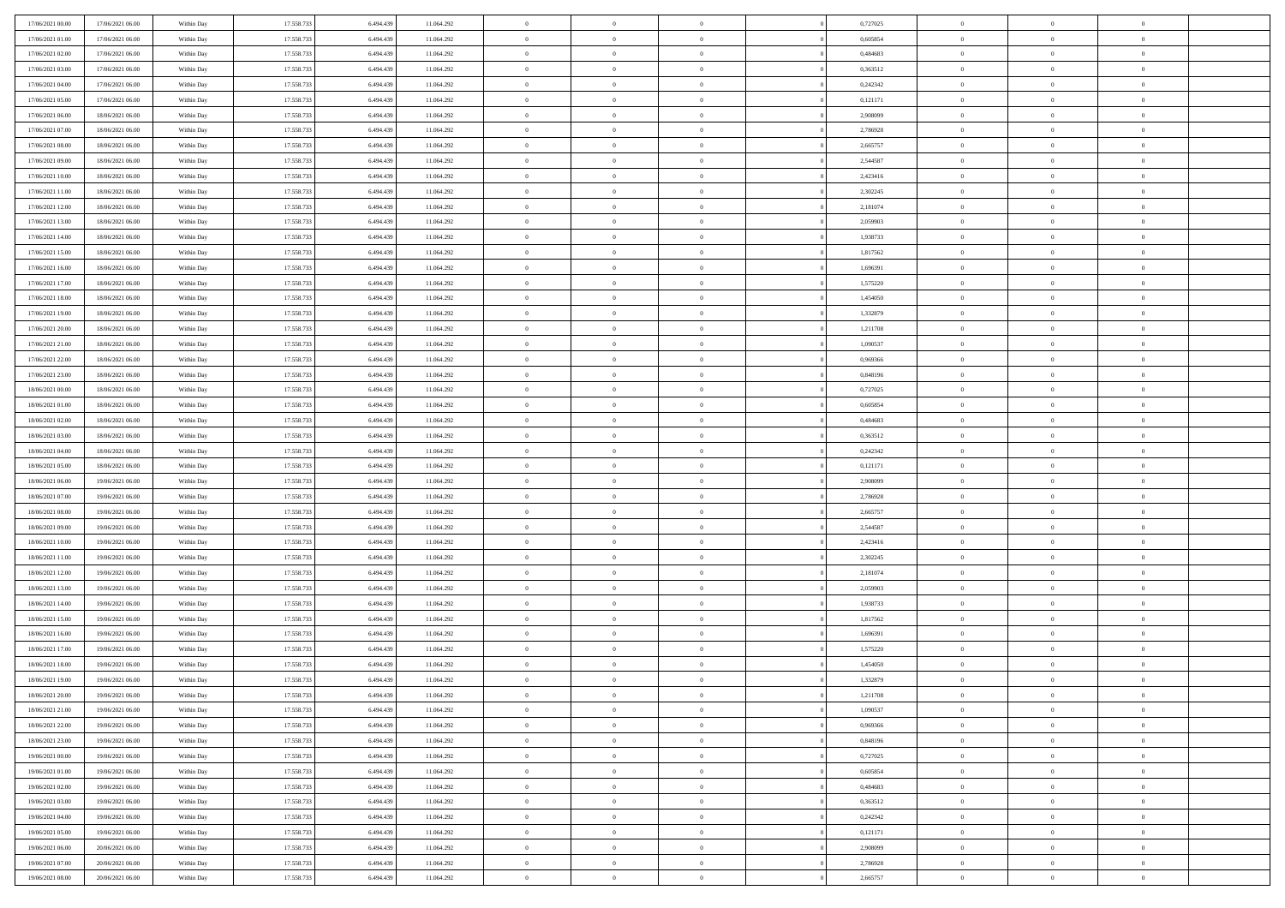| 17/06/2021 00:00 | 17/06/2021 06:00 | Within Day | 17.558.733 | 6.494.439 | 11.064.292               | $\,$ 0         | $\bf{0}$       | $\overline{0}$ |                | 0,727025 | $\bf{0}$       | $\overline{0}$ | $\theta$       |  |
|------------------|------------------|------------|------------|-----------|--------------------------|----------------|----------------|----------------|----------------|----------|----------------|----------------|----------------|--|
| 17/06/2021 01:00 | 17/06/2021 06:00 | Within Day | 17.558.733 | 6.494.439 | 11.064.292               | $\overline{0}$ | $\overline{0}$ | $\overline{0}$ |                | 0.605854 | $\theta$       | $\theta$       | $\overline{0}$ |  |
| 17/06/2021 02:00 | 17/06/2021 06:00 | Within Dav | 17.558.733 | 6.494.439 | 11.064.292               | $\mathbf{0}$   | $\overline{0}$ | $\overline{0}$ |                | 0,484683 | $\theta$       | $\overline{0}$ | $\theta$       |  |
| 17/06/2021 03:00 | 17/06/2021 06:00 | Within Day | 17.558.733 | 6.494.439 | 11.064.292               | $\bf{0}$       | $\overline{0}$ | $\bf{0}$       |                | 0,363512 | $\bf{0}$       | $\overline{0}$ | $\bf{0}$       |  |
| 17/06/2021 04:00 | 17/06/2021 06:00 | Within Day | 17.558.733 | 6,494,439 | 11.064.292               | $\bf{0}$       | $\bf{0}$       | $\overline{0}$ |                | 0,242342 | $\bf{0}$       | $\Omega$       | $\bf{0}$       |  |
| 17/06/2021 05:00 | 17/06/2021 06:00 | Within Dav | 17.558.733 | 6.494.439 | 11.064.292               | $\overline{0}$ | $\overline{0}$ | $\overline{0}$ |                | 0,121171 | $\theta$       |                | $\theta$       |  |
|                  |                  |            |            |           |                          |                |                |                |                |          |                | $\overline{0}$ |                |  |
| 17/06/2021 06:00 | 18/06/2021 06:00 | Within Day | 17.558.733 | 6.494.439 | 11.064.292               | $\bf{0}$       | $\bf{0}$       | $\overline{0}$ |                | 2,908099 | $\bf{0}$       | $\overline{0}$ | $\theta$       |  |
| 17/06/2021 07:00 | 18/06/2021 06:00 | Within Day | 17.558.733 | 6,494,439 | 11.064.292               | $\overline{0}$ | $\overline{0}$ | $\overline{0}$ |                | 2,786928 | $\,0\,$        | $\overline{0}$ | $\overline{0}$ |  |
| 17/06/2021 08:00 | 18/06/2021 06:00 | Within Day | 17.558.733 | 6.494.439 | 11.064.292               | $\mathbf{0}$   | $\overline{0}$ | $\overline{0}$ |                | 2,665757 | $\theta$       | $\overline{0}$ | $\theta$       |  |
| 17/06/2021 09:00 | 18/06/2021 06:00 | Within Day | 17.558.733 | 6.494.439 | 11.064.292               | $\bf{0}$       | $\bf{0}$       | $\overline{0}$ |                | 2,544587 | $\bf{0}$       | $\overline{0}$ | $\theta$       |  |
| 17/06/2021 10:00 | 18/06/2021 06:00 | Within Day | 17.558.733 | 6,494,439 | 11.064.292               | $\bf{0}$       | $\overline{0}$ | $\overline{0}$ |                | 2,423416 | $\bf{0}$       | $\theta$       | $\overline{0}$ |  |
| 17/06/2021 11:00 | 18/06/2021 06:00 | Within Dav | 17.558.733 | 6.494.439 | 11.064.292               | $\mathbf{0}$   | $\overline{0}$ | $\overline{0}$ |                | 2,302245 | $\theta$       | $\overline{0}$ | $\theta$       |  |
| 17/06/2021 12:00 | 18/06/2021 06:00 | Within Day | 17.558.733 | 6.494.439 | 11.064.292               | $\bf{0}$       | $\overline{0}$ | $\bf{0}$       |                | 2,181074 | $\bf{0}$       | $\overline{0}$ | $\bf{0}$       |  |
| 17/06/2021 13:00 | 18/06/2021 06:00 | Within Day | 17.558.733 | 6,494,439 | 11.064.292               | $\bf{0}$       | $\overline{0}$ | $\overline{0}$ |                | 2,059903 | $\bf{0}$       | $\Omega$       | $\bf{0}$       |  |
| 17/06/2021 14:00 | 18/06/2021 06:00 | Within Dav | 17.558.733 | 6.494.439 | 11.064.292               | $\overline{0}$ | $\overline{0}$ | $\overline{0}$ |                | 1,938733 | $\theta$       | $\overline{0}$ | $\theta$       |  |
| 17/06/2021 15:00 | 18/06/2021 06:00 | Within Day | 17.558.733 | 6.494.439 | 11.064.292               | $\bf{0}$       | $\bf{0}$       | $\overline{0}$ |                | 1,817562 | $\bf{0}$       | $\overline{0}$ | $\theta$       |  |
| 17/06/2021 16:00 | 18/06/2021 06:00 | Within Day | 17.558.733 | 6,494,439 | 11.064.292               | $\bf{0}$       | $\overline{0}$ | $\overline{0}$ |                | 1,696391 | $\,$ 0 $\,$    | $\overline{0}$ | $\overline{0}$ |  |
| 17/06/2021 17:00 | 18/06/2021 06:00 | Within Day | 17.558.733 | 6.494.439 | 11.064.292               | $\mathbf{0}$   | $\overline{0}$ | $\overline{0}$ |                | 1,575220 | $\theta$       | $\overline{0}$ | $\theta$       |  |
| 17/06/2021 18:00 | 18/06/2021 06:00 | Within Day | 17.558.733 | 6.494.439 | 11.064.292               | $\bf{0}$       | $\bf{0}$       | $\overline{0}$ |                | 1,454050 | $\bf{0}$       | $\overline{0}$ | $\theta$       |  |
| 17/06/2021 19:00 | 18/06/2021 06:00 | Within Day | 17.558.733 | 6.494.439 | 11.064.292               | $\bf{0}$       | $\overline{0}$ | $\overline{0}$ |                | 1,332879 | $\bf{0}$       | $\theta$       | $\bf{0}$       |  |
| 17/06/2021 20:00 | 18/06/2021 06:00 | Within Dav | 17.558.733 | 6.494.439 | 11.064.292               | $\mathbf{0}$   | $\overline{0}$ | $\overline{0}$ |                | 1,211708 | $\theta$       | $\overline{0}$ | $\theta$       |  |
| 17/06/2021 21:00 | 18/06/2021 06:00 | Within Day | 17.558.733 | 6.494.439 | 11.064.292               | $\bf{0}$       | $\bf{0}$       | $\bf{0}$       |                | 1,090537 | $\bf{0}$       | $\overline{0}$ | $\bf{0}$       |  |
| 17/06/2021 22:00 | 18/06/2021 06:00 | Within Day | 17.558.733 | 6,494,439 | 11.064.292               | $\bf{0}$       | $\bf{0}$       | $\overline{0}$ |                | 0,969366 | $\bf{0}$       | $\overline{0}$ | $\bf{0}$       |  |
| 17/06/2021 23:00 | 18/06/2021 06:00 | Within Dav | 17.558.733 | 6.494.439 | 11.064.292               | $\mathbf{0}$   | $\overline{0}$ | $\overline{0}$ |                | 0,848196 | $\theta$       | $\overline{0}$ | $\theta$       |  |
| 18/06/2021 00:00 | 18/06/2021 06:00 | Within Day | 17.558.733 | 6.494.439 | 11.064.292               | $\bf{0}$       | $\bf{0}$       | $\overline{0}$ |                | 0,727025 | $\bf{0}$       | $\overline{0}$ | $\theta$       |  |
| 18/06/2021 01:00 | 18/06/2021 06:00 | Within Day | 17.558.733 | 6,494,439 | 11.064.292               | $\bf{0}$       | $\overline{0}$ | $\overline{0}$ |                | 0,605854 | $\,$ 0 $\,$    | $\overline{0}$ | $\bf{0}$       |  |
| 18/06/2021 02:00 | 18/06/2021 06:00 | Within Day | 17.558.733 | 6.494.439 | 11.064.292               | $\mathbf{0}$   | $\overline{0}$ | $\overline{0}$ |                | 0,484683 | $\theta$       | $\overline{0}$ | $\theta$       |  |
| 18/06/2021 03:00 | 18/06/2021 06:00 | Within Day | 17.558.733 | 6.494.439 | 11.064.292               | $\bf{0}$       | $\bf{0}$       | $\overline{0}$ |                | 0,363512 | $\bf{0}$       | $\overline{0}$ | $\theta$       |  |
| 18/06/2021 04:00 | 18/06/2021 06:00 | Within Day | 17.558.733 | 6.494.439 |                          | $\bf{0}$       | $\overline{0}$ | $\overline{0}$ |                | 0,242342 | $\bf{0}$       | $\theta$       | $\bf{0}$       |  |
| 18/06/2021 05:00 | 18/06/2021 06:00 | Within Dav | 17.558.733 | 6.494.439 | 11.064.292<br>11.064.292 | $\mathbf{0}$   | $\overline{0}$ | $\overline{0}$ |                | 0,121171 | $\theta$       |                | $\theta$       |  |
|                  |                  |            |            |           |                          |                |                |                |                |          |                | $\overline{0}$ |                |  |
| 18/06/2021 06:00 | 19/06/2021 06:00 | Within Day | 17.558.733 | 6.494.439 | 11.064.292               | $\bf{0}$       | $\overline{0}$ | $\overline{0}$ |                | 2,908099 | $\,0\,$        | $\overline{0}$ | $\theta$       |  |
| 18/06/2021 07:00 | 19/06/2021 06:00 | Within Day | 17.558.733 | 6,494,439 | 11.064.292               | $\bf{0}$       | $\bf{0}$       | $\overline{0}$ |                | 2,786928 | $\bf{0}$       | $\overline{0}$ | $\bf{0}$       |  |
| 18/06/2021 08:00 | 19/06/2021 06:00 | Within Dav | 17.558.733 | 6.494.439 | 11.064.292               | $\mathbf{0}$   | $\overline{0}$ | $\overline{0}$ |                | 2,665757 | $\theta$       | $\overline{0}$ | $\theta$       |  |
| 18/06/2021 09:00 | 19/06/2021 06:00 | Within Day | 17.558.733 | 6.494.439 | 11.064.292               | $\bf{0}$       | $\overline{0}$ | $\theta$       |                | 2,544587 | $\,0\,$        | $\overline{0}$ | $\theta$       |  |
| 18/06/2021 10:00 | 19/06/2021 06:00 | Within Day | 17.558.733 | 6,494,439 | 11.064.292               | $\overline{0}$ | $\overline{0}$ | $\overline{0}$ |                | 2,423416 | $\bf{0}$       | $\overline{0}$ | $\bf{0}$       |  |
| 18/06/2021 11:00 | 19/06/2021 06:00 | Within Day | 17.558.733 | 6.494.439 | 11.064.292               | $\mathbf{0}$   | $\overline{0}$ | $\overline{0}$ |                | 2,302245 | $\theta$       | $\overline{0}$ | $\theta$       |  |
| 18/06/2021 12:00 | 19/06/2021 06:00 | Within Day | 17.558.733 | 6.494.439 | 11.064.292               | $\bf{0}$       | $\overline{0}$ | $\theta$       |                | 2,181074 | $\,0\,$        | $\overline{0}$ | $\theta$       |  |
| 18/06/2021 13:00 | 19/06/2021 06:00 | Within Day | 17.558.733 | 6.494.439 | 11.064.292               | $\bf{0}$       | $\overline{0}$ | $\overline{0}$ |                | 2,059903 | $\bf{0}$       | $\theta$       | $\bf{0}$       |  |
| 18/06/2021 14:00 | 19/06/2021 06:00 | Within Dav | 17.558.733 | 6.494.439 | 11.064.292               | $\mathbf{0}$   | $\overline{0}$ | $\overline{0}$ |                | 1,938733 | $\theta$       | $\overline{0}$ | $\theta$       |  |
| 18/06/2021 15:00 | 19/06/2021 06:00 | Within Day | 17.558.733 | 6.494.439 | 11.064.292               | $\,0\,$        | $\overline{0}$ | $\theta$       |                | 1,817562 | $\,0\,$        | $\overline{0}$ | $\theta$       |  |
| 18/06/2021 16:00 | 19/06/2021 06:00 | Within Day | 17.558.733 | 6.494.439 | 11.064.292               | $\bf{0}$       | $\bf{0}$       | $\overline{0}$ |                | 1,696391 | $\bf{0}$       | $\overline{0}$ | $\bf{0}$       |  |
| 18/06/2021 17:00 | 19/06/2021 06:00 | Within Dav | 17.558.733 | 6.494.439 | 11.064.292               | $\mathbf{0}$   | $\overline{0}$ | $\overline{0}$ |                | 1,575220 | $\theta$       | $\overline{0}$ | $\overline{0}$ |  |
| 18/06/2021 18:00 | 19/06/2021 06:00 | Within Day | 17.558.733 | 6.494.439 | 11.064.292               | $\bf{0}$       | $\overline{0}$ | $\theta$       |                | 1,454050 | $\,0\,$        | $\overline{0}$ | $\theta$       |  |
| 18/06/2021 19:00 | 19/06/2021 06:00 | Within Day | 17.558.733 | 6.494.439 | 11.064.292               | $\bf{0}$       | $\overline{0}$ | $\overline{0}$ |                | 1,332879 | $\,$ 0 $\,$    | $\overline{0}$ | $\bf{0}$       |  |
| 18/06/2021 20:00 | 19/06/2021 06:00 | Within Day | 17.558.733 | 6.494.439 | 11.064.292               | $\bf{0}$       | $\overline{0}$ |                |                | 1,211708 | $\bf{0}$       | $\Omega$       | $\theta$       |  |
| 18/06/2021 21:00 | 19/06/2021 06:00 | Within Day | 17.558.733 | 6.494.439 | 11.064.292               | $\,0\,$        | $\overline{0}$ | $\theta$       |                | 1,090537 | $\,$ 0 $\,$    | $\overline{0}$ | $\theta$       |  |
| 18/06/2021 22:00 | 19/06/2021 06:00 | Within Day | 17.558.733 | 6,494,439 | 11.064.292               | $\overline{0}$ | $\overline{0}$ | $\overline{0}$ |                | 0,969366 | $\overline{0}$ | $\overline{0}$ | $\overline{0}$ |  |
| 18/06/2021 23:00 | 19/06/2021 06:00 | Within Day | 17.558.733 | 6.494.439 | 11.064.292               | $\mathbf{0}$   | $\overline{0}$ | $\overline{0}$ |                | 0,848196 | $\mathbf{0}$   | $\overline{0}$ | $\overline{0}$ |  |
| 19/06/2021 00:00 | 19/06/2021 06:00 | Within Day | 17.558.733 | 6.494.439 | 11.064.292               | $\,$ 0 $\,$    | $\overline{0}$ | $\overline{0}$ | $\overline{0}$ | 0,727025 | $\,$ 0 $\,$    | $\overline{0}$ | $\,$ 0         |  |
| 19/06/2021 01:00 | 19/06/2021 06:00 | Within Day | 17.558.733 | 6.494.439 | 11.064.292               | $\,$ 0 $\,$    | $\overline{0}$ | $\overline{0}$ |                | 0,605854 | $\,$ 0 $\,$    | $\overline{0}$ | $\overline{0}$ |  |
| 19/06/2021 02:00 | 19/06/2021 06:00 | Within Day | 17.558.733 | 6.494.439 | 11.064.292               | $\mathbf{0}$   | $\overline{0}$ | $\overline{0}$ |                | 0,484683 | $\overline{0}$ | $\overline{0}$ | $\overline{0}$ |  |
| 19/06/2021 03:00 | 19/06/2021 06:00 | Within Day | 17.558.733 | 6.494.439 | 11.064.292               | $\,$ 0 $\,$    | $\overline{0}$ | $\overline{0}$ | $\theta$       | 0,363512 | $\,$ 0 $\,$    | $\overline{0}$ | $\theta$       |  |
| 19/06/2021 04:00 | 19/06/2021 06:00 | Within Day | 17.558.733 | 6,494,439 | 11.064.292               | $\bf{0}$       | $\overline{0}$ | $\overline{0}$ |                | 0,242342 | $\overline{0}$ | $\overline{0}$ | $\overline{0}$ |  |
| 19/06/2021 05:00 | 19/06/2021 06:00 | Within Day | 17.558.733 | 6.494.439 | 11.064.292               | $\mathbf{0}$   | $\overline{0}$ | $\overline{0}$ |                | 0,121171 | $\overline{0}$ | $\overline{0}$ | $\overline{0}$ |  |
| 19/06/2021 06:00 | 20/06/2021 06:00 | Within Day | 17.558.733 | 6.494.439 | 11.064.292               | $\,0\,$        | $\overline{0}$ | $\bf{0}$       |                | 2,908099 | $\,$ 0 $\,$    | $\overline{0}$ | $\,$ 0 $\,$    |  |
| 19/06/2021 07:00 | 20/06/2021 06:00 | Within Day | 17.558.733 | 6.494.439 | 11.064.292               | $\bf{0}$       | $\bf{0}$       | $\overline{0}$ |                | 2,786928 | $\bf{0}$       | $\overline{0}$ | $\overline{0}$ |  |
| 19/06/2021 08:00 | 20/06/2021 06:00 | Within Day | 17.558.733 | 6.494.439 | 11.064.292               | $\mathbf{0}$   | $\overline{0}$ | $\overline{0}$ |                | 2,665757 | $\mathbf{0}$   | $\overline{0}$ | $\overline{0}$ |  |
|                  |                  |            |            |           |                          |                |                |                |                |          |                |                |                |  |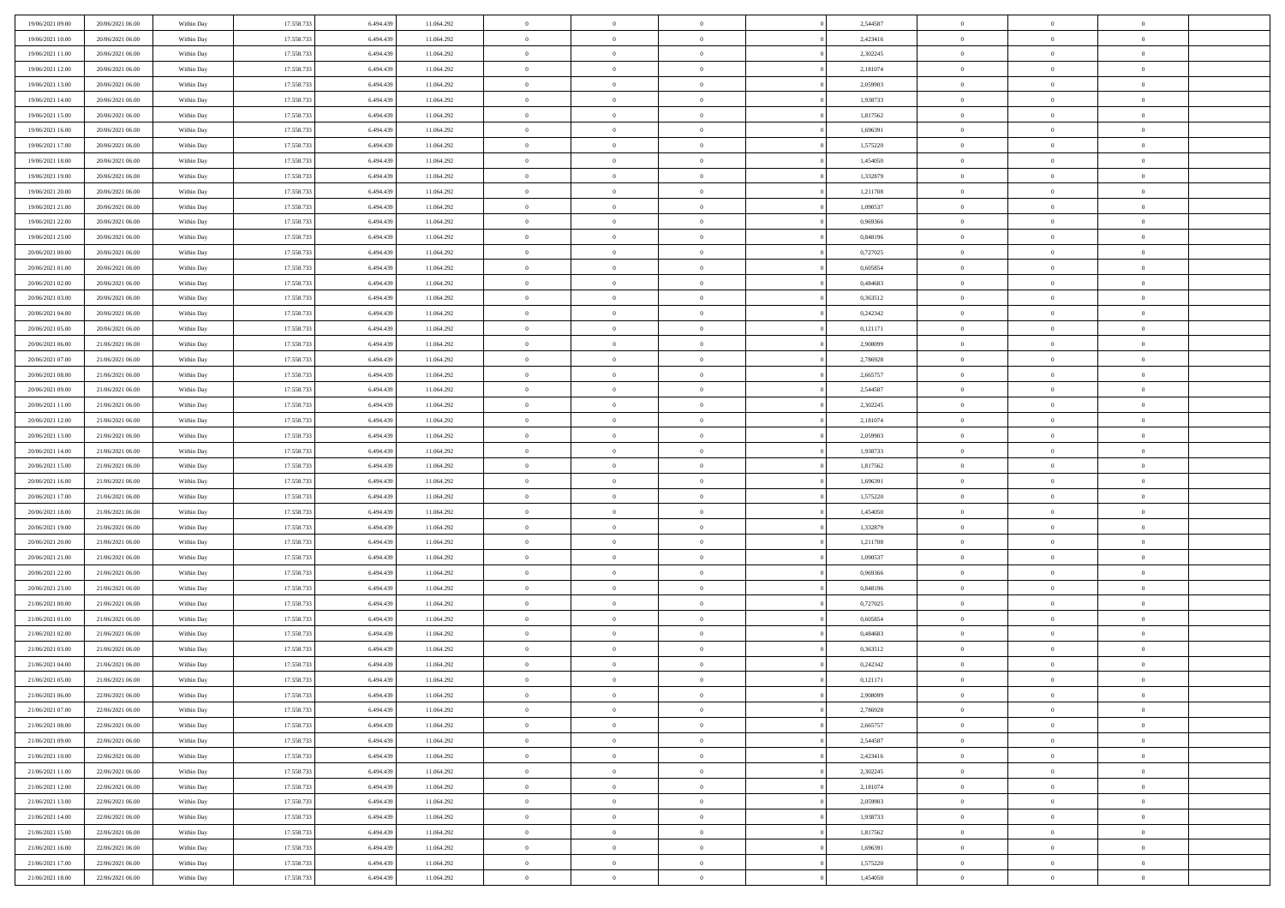| 19/06/2021 09:00                     | 20/06/2021 06:00                     | Within Day               | 17.558.733               | 6.494.439              | 11.064.292               | $\,$ 0                   | $\bf{0}$                         | $\theta$                         |          | 2,544587             | $\bf{0}$                 | $\overline{0}$                   | $\,0\,$                          |  |
|--------------------------------------|--------------------------------------|--------------------------|--------------------------|------------------------|--------------------------|--------------------------|----------------------------------|----------------------------------|----------|----------------------|--------------------------|----------------------------------|----------------------------------|--|
| 19/06/2021 10:00                     | 20/06/2021 06:00                     | Within Day               | 17.558.733               | 6,494,439              | 11.064.292               | $\overline{0}$           | $\overline{0}$                   | $\overline{0}$                   |          | 2,423416             | $\overline{0}$           | $\overline{0}$                   | $\theta$                         |  |
| 19/06/2021 11:00                     | 20/06/2021 06:00                     | Within Dav               | 17.558.733               | 6.494.439              | 11.064.292               | $\mathbf{0}$             | $\overline{0}$                   | $\overline{0}$                   |          | 2,302245             | $\mathbf{0}$             | $\overline{0}$                   | $\overline{0}$                   |  |
| 19/06/2021 12:00                     | 20/06/2021 06:00                     | Within Day               | 17.558.733               | 6.494.439              | 11.064.292               | $\bf{0}$                 | $\overline{0}$                   | $\bf{0}$                         |          | 2,181074             | $\bf{0}$                 | $\overline{0}$                   | $\bf{0}$                         |  |
| 19/06/2021 13:00                     | 20/06/2021 06:00                     | Within Day               | 17.558.733               | 6,494,439              | 11.064.292               | $\bf{0}$                 | $\bf{0}$                         | $\overline{0}$                   |          | 2,059903             | $\bf{0}$                 | $\bf{0}$                         | $\,0\,$                          |  |
| 19/06/2021 14:00                     | 20/06/2021 06:00                     | Within Dav               | 17.558.733               | 6.494.439              | 11.064.292               | $\mathbf{0}$             | $\overline{0}$                   | $\overline{0}$                   |          | 1,938733             | $\mathbf{0}$             | $\overline{0}$                   | $\overline{0}$                   |  |
| 19/06/2021 15:00                     | 20/06/2021 06:00                     | Within Day               | 17.558.733               | 6.494.439              | 11.064.292               | $\bf{0}$                 | $\bf{0}$                         | $\overline{0}$                   |          | 1,817562             | $\bf{0}$                 | $\overline{0}$                   | $\,0\,$                          |  |
| 19/06/2021 16:00                     | 20/06/2021 06:00                     | Within Day               | 17.558.733               | 6,494,439              | 11.064.292               | $\overline{0}$           | $\overline{0}$                   | $\overline{0}$                   |          | 1,696391             | $\,$ 0 $\,$              | $\overline{0}$                   | $\theta$                         |  |
| 19/06/2021 17:00                     | 20/06/2021 06:00                     | Within Dav               | 17.558.733               | 6.494.439              | 11.064.292               | $\mathbf{0}$             | $\overline{0}$                   | $\overline{0}$                   |          | 1,575220             | $\mathbf{0}$             | $\overline{0}$                   | $\overline{0}$                   |  |
| 19/06/2021 18:00                     | 20/06/2021 06:00                     | Within Day               | 17.558.733               | 6.494.439              | 11.064.292               | $\bf{0}$                 | $\bf{0}$                         | $\overline{0}$                   |          | 1,454050             | $\bf{0}$                 | $\overline{0}$                   | $\,0\,$                          |  |
| 19/06/2021 19:00                     | 20/06/2021 06:00                     | Within Day               | 17.558.733               | 6,494,439              | 11.064.292               | $\bf{0}$                 | $\overline{0}$                   | $\overline{0}$                   |          | 1,332879             | $\bf{0}$                 | $\overline{0}$                   | $\theta$                         |  |
| 19/06/2021 20:00                     | 20/06/2021 06:00                     | Within Dav               | 17.558.733               | 6.494.439              | 11.064.292               | $\mathbf{0}$             | $\overline{0}$                   | $\overline{0}$                   |          | 1,211708             | $\mathbf{0}$             | $\overline{0}$                   | $\overline{0}$                   |  |
| 19/06/2021 21:00                     | 20/06/2021 06:00                     | Within Day               | 17.558.733               | 6.494.439              | 11.064.292               | $\bf{0}$                 | $\overline{0}$                   | $\bf{0}$                         |          | 1,090537             | $\bf{0}$                 | $\overline{0}$                   | $\overline{0}$                   |  |
| 19/06/2021 22:00                     | 20/06/2021 06:00                     | Within Day               | 17.558.733               | 6,494,439              | 11.064.292               | $\bf{0}$                 | $\overline{0}$                   | $\overline{0}$                   |          | 0,969366             | $\bf{0}$                 | $\theta$                         | $\,0\,$                          |  |
| 19/06/2021 23:00                     | 20/06/2021 06:00                     | Within Dav               | 17.558.733               | 6.494.439              | 11.064.292               | $\overline{0}$           | $\overline{0}$                   | $\overline{0}$                   |          | 0,848196             | $\mathbf{0}$             | $\overline{0}$                   | $\overline{0}$                   |  |
| 20/06/2021 00:00                     | 20/06/2021 06:00                     | Within Day               | 17.558.733               | 6.494.439              | 11.064.292               | $\bf{0}$                 | $\bf{0}$                         | $\overline{0}$                   |          | 0,727025             | $\bf{0}$                 | $\overline{0}$                   | $\bf{0}$                         |  |
| 20/06/2021 01:00                     | 20/06/2021 06:00                     | Within Day               | 17.558.733               | 6,494,439              | 11.064.292               | $\overline{0}$           | $\overline{0}$                   | $\overline{0}$                   |          | 0.605854             | $\bf{0}$                 | $\overline{0}$                   | $\theta$                         |  |
| 20/06/2021 02:00                     | 20/06/2021 06:00                     | Within Day               | 17.558.733               | 6.494.439              | 11.064.292               | $\mathbf{0}$             | $\overline{0}$                   | $\overline{0}$                   |          | 0,484683             | $\mathbf{0}$             | $\overline{0}$                   | $\overline{0}$                   |  |
| 20/06/2021 03:00                     | 20/06/2021 06:00                     | Within Day               | 17.558.733               | 6.494.439              | 11.064.292               | $\bf{0}$                 | $\bf{0}$                         | $\overline{0}$                   |          | 0,363512             | $\bf{0}$                 | $\overline{0}$                   | $\,0\,$                          |  |
| 20/06/2021 04:00                     | 20/06/2021 06:00                     | Within Day               | 17.558.733               | 6,494,439              | 11.064.292               | $\bf{0}$                 | $\overline{0}$                   | $\overline{0}$                   |          | 0,242342             | $\bf{0}$                 | $\overline{0}$                   | $\overline{0}$                   |  |
| 20/06/2021 05:00                     | 20/06/2021 06:00                     | Within Dav               | 17.558.733               | 6.494.439              | 11.064.292               | $\mathbf{0}$             | $\overline{0}$                   | $\overline{0}$                   |          | 0,121171             | $\mathbf{0}$             | $\overline{0}$                   | $\overline{0}$                   |  |
| 20/06/2021 06:00                     | 21/06/2021 06:00                     | Within Day               | 17.558.733               | 6.494.439              | 11.064.292               | $\bf{0}$                 | $\overline{0}$                   | $\overline{0}$                   |          | 2,908099             | $\bf{0}$                 | $\overline{0}$                   | $\bf{0}$                         |  |
| 20/06/2021 07:00                     | 21/06/2021 06:00                     | Within Day               | 17.558.733               | 6,494,439              | 11.064.292               | $\bf{0}$                 | $\bf{0}$                         | $\overline{0}$                   |          | 2,786928             | $\bf{0}$                 | $\bf{0}$                         | $\,0\,$                          |  |
| 20/06/2021 08:00                     | 21/06/2021 06:00                     | Within Dav               | 17.558.733               | 6.494.439              | 11.064.292               | $\mathbf{0}$             | $\overline{0}$                   | $\overline{0}$                   |          | 2,665757             | $\mathbf{0}$             | $\overline{0}$                   | $\theta$                         |  |
| 20/06/2021 09:00                     | 21/06/2021 06:00                     | Within Day               | 17.558.733               | 6.494.439              | 11.064.292               | $\bf{0}$                 | $\bf{0}$                         | $\overline{0}$                   |          | 2,544587             | $\bf{0}$                 | $\overline{0}$                   | $\,0\,$                          |  |
| 20/06/2021 11:00                     | 21/06/2021 06:00                     |                          | 17.558.733               | 6,494,439              | 11.064.292               | $\overline{0}$           | $\overline{0}$                   | $\overline{0}$                   |          | 2,302245             | $\bf{0}$                 | $\overline{0}$                   | $\overline{0}$                   |  |
| 20/06/2021 12:00                     | 21/06/2021 06:00                     | Within Day<br>Within Dav | 17.558.733               | 6.494.439              | 11.064.292               | $\mathbf{0}$             | $\overline{0}$                   | $\overline{0}$                   |          | 2,181074             | $\mathbf{0}$             | $\overline{0}$                   | $\overline{0}$                   |  |
| 20/06/2021 13:00                     |                                      |                          |                          |                        |                          | $\bf{0}$                 |                                  | $\overline{0}$                   |          |                      | $\bf{0}$                 | $\overline{0}$                   | $\,0\,$                          |  |
|                                      | 21/06/2021 06:00                     | Within Day               | 17.558.733               | 6.494.439<br>6,494,439 | 11.064.292               |                          | $\bf{0}$                         |                                  |          | 2,059903             |                          |                                  |                                  |  |
| 20/06/2021 14:00                     | 21/06/2021 06:00                     | Within Day               | 17.558.733               |                        | 11.064.292               | $\bf{0}$<br>$\mathbf{0}$ | $\bf{0}$                         | $\overline{0}$                   |          | 1,938733             | $\bf{0}$<br>$\mathbf{0}$ | $\bf{0}$                         | $\overline{0}$<br>$\overline{0}$ |  |
| 20/06/2021 15:00                     | 21/06/2021 06:00                     | Within Dav               | 17.558.733               | 6.494.439              | 11.064.292               |                          | $\overline{0}$                   | $\overline{0}$                   |          | 1,817562             |                          | $\overline{0}$<br>$\overline{0}$ | $\theta$                         |  |
| 20/06/2021 16:00                     | 21/06/2021 06:00                     | Within Day               | 17.558.733               | 6.494.439              | 11.064.292               | $\bf{0}$<br>$\bf{0}$     | $\overline{0}$                   | $\theta$                         |          | 1,696391             | $\,$ 0<br>$\bf{0}$       | $\overline{0}$                   |                                  |  |
| 20/06/2021 17:00<br>20/06/2021 18:00 | 21/06/2021 06:00<br>21/06/2021 06:00 | Within Day<br>Within Dav | 17.558.733<br>17.558.733 | 6.494.439<br>6.494.439 | 11.064.292<br>11.064.292 | $\mathbf{0}$             | $\bf{0}$<br>$\overline{0}$       | $\overline{0}$<br>$\overline{0}$ |          | 1,575220<br>1,454050 | $\mathbf{0}$             | $\overline{0}$                   | $\bf{0}$<br>$\overline{0}$       |  |
|                                      |                                      |                          |                          |                        |                          | $\bf{0}$                 | $\overline{0}$                   | $\theta$                         |          |                      | $\,$ 0                   | $\overline{0}$                   | $\theta$                         |  |
| 20/06/2021 19:00                     | 21/06/2021 06:00                     | Within Day               | 17.558.733<br>17.558.733 | 6.494.439              | 11.064.292               |                          | $\overline{0}$                   | $\overline{0}$                   |          | 1,332879             |                          | $\overline{0}$                   | $\overline{0}$                   |  |
| 20/06/2021 20:00<br>20/06/2021 21:00 | 21/06/2021 06:00<br>21/06/2021 06:00 | Within Day<br>Within Day | 17.558.733               | 6.494.439<br>6.494.439 | 11.064.292<br>11.064.292 | $\bf{0}$<br>$\mathbf{0}$ | $\overline{0}$                   |                                  |          | 1,211708<br>1,090537 | $\bf{0}$<br>$\mathbf{0}$ | $\overline{0}$                   | $\overline{0}$                   |  |
|                                      |                                      |                          |                          |                        |                          | $\bf{0}$                 |                                  | $\overline{0}$                   |          |                      |                          |                                  | $\theta$                         |  |
| 20/06/2021 22:00                     | 21/06/2021 06:00                     | Within Day               | 17.558.733<br>17.558.733 | 6.494.439<br>6,494,439 | 11.064.292               | $\bf{0}$                 | $\overline{0}$                   | $\theta$<br>$\overline{0}$       |          | 0,969366             | $\,$ 0                   | $\overline{0}$<br>$\overline{0}$ |                                  |  |
| 20/06/2021 23:00<br>21/06/2021 00:00 | 21/06/2021 06:00<br>21/06/2021 06:00 | Within Day<br>Within Dav | 17.558.733               | 6.494.439              | 11.064.292<br>11.064.292 | $\mathbf{0}$             | $\overline{0}$<br>$\overline{0}$ | $\overline{0}$                   |          | 0,848196<br>0,727025 | $\bf{0}$<br>$\mathbf{0}$ | $\overline{0}$                   | $\bf{0}$<br>$\overline{0}$       |  |
|                                      |                                      |                          |                          |                        |                          |                          |                                  |                                  |          |                      |                          |                                  | $\theta$                         |  |
| 21/06/2021 01:00                     | 21/06/2021 06:00                     | Within Day               | 17.558.733<br>17.558.733 | 6.494.439<br>6.494.439 | 11.064.292               | $\,0\,$<br>$\bf{0}$      | $\overline{0}$<br>$\bf{0}$       | $\theta$<br>$\overline{0}$       |          | 0,605854<br>0,484683 | $\,$ 0                   | $\overline{0}$<br>$\overline{0}$ | $\bf{0}$                         |  |
| 21/06/2021 02:00<br>21/06/2021 03:00 | 21/06/2021 06:00<br>21/06/2021 06:00 | Within Day<br>Within Dav | 17.558.733               | 6.494.439              | 11.064.292<br>11.064.292 | $\mathbf{0}$             | $\overline{0}$                   | $\overline{0}$                   |          | 0,363512             | $\bf{0}$<br>$\mathbf{0}$ | $\overline{0}$                   | $\overline{0}$                   |  |
| 21/06/2021 04:00                     | 21/06/2021 06:00                     | Within Day               | 17.558.733               | 6.494.439              | 11.064.292               | $\bf{0}$                 | $\overline{0}$                   | $\theta$                         |          | 0,242342             | $\,$ 0                   | $\overline{0}$                   | $\theta$                         |  |
| 21/06/2021 05:00                     | 21/06/2021 06:00                     |                          | 17.558.733               | 6.494.439              | 11.064.292               | $\bf{0}$                 | $\overline{0}$                   | $\overline{0}$                   |          | 0,121171             | $\,$ 0 $\,$              | $\overline{0}$                   | $\overline{0}$                   |  |
| 21/06/2021 06:00                     | 22/06/2021 06:00                     | Within Day<br>Within Day | 17.558.733               | 6.494.439              | 11.064.292               | $\bf{0}$                 | $\overline{0}$                   |                                  |          | 2,908099             | $\overline{0}$           | $\theta$                         | $\theta$                         |  |
| 21/06/2021 07:00                     | 22/06/2021 06:00                     |                          | 17.558.733               | 6.494.439              | 11.064.292               | $\,0\,$                  | $\overline{0}$                   | $\theta$                         |          | 2,786928             | $\,$ 0 $\,$              | $\bf{0}$                         | $\theta$                         |  |
| 21/06/2021 08:00                     | 22/06/2021 06:00                     | Within Day               | 17.558.733               | 6.494.439              |                          | $\overline{0}$           | $\overline{0}$                   | $\overline{0}$                   |          | 2,665757             | $\overline{0}$           | $\overline{0}$                   | $\overline{0}$                   |  |
| 21/06/2021 09:00                     | 22/06/2021 06:00                     | Within Day<br>Within Day | 17.558.733               | 6.494.439              | 11.064.292<br>11.064.292 | $\bf{0}$                 | $\overline{0}$                   | $\overline{0}$                   |          | 2,544587             | $\overline{0}$           | $\bf{0}$                         | $\mathbf{0}$                     |  |
|                                      |                                      |                          |                          |                        |                          |                          |                                  |                                  |          |                      |                          |                                  |                                  |  |
| 21/06/2021 10:00                     | 22/06/2021 06:00                     | Within Day               | 17.558.733               | 6.494.439              | 11.064.292               | $\bf{0}$                 | $\overline{0}$                   | $\overline{0}$                   | $\theta$ | 2,423416             | $\mathbf{0}$             | $\bf{0}$<br>$\overline{0}$       | $\,$ 0 $\,$                      |  |
| 21/06/2021 11:00                     | 22/06/2021 06:00                     | Within Day               | 17.558.733               | 6.494.439              | 11.064.292               | $\,$ 0 $\,$              | $\overline{0}$                   | $\overline{0}$                   |          | 2,302245             | $\,$ 0 $\,$              |                                  | $\overline{0}$                   |  |
| 21/06/2021 12:00                     | 22/06/2021 06:00                     | Within Day               | 17.558.733               | 6.494.439              | 11.064.292               | $\bf{0}$                 | $\overline{0}$                   | $\overline{0}$                   |          | 2,181074             | $\mathbf{0}$             | $\overline{0}$                   | $\overline{0}$                   |  |
| 21/06/2021 13:00                     | 22/06/2021 06:00                     | Within Day               | 17.558.733               | 6.494.439              | 11.064.292               | $\,$ 0 $\,$              | $\overline{0}$                   | $\overline{0}$                   | $\theta$ | 2,059903             | $\,$ 0 $\,$              | $\overline{0}$                   | $\,$ 0 $\,$                      |  |
| 21/06/2021 14:00                     | 22/06/2021 06:00                     | Within Day               | 17.558.733               | 6.494.439              | 11.064.292               | $\bf{0}$                 | $\overline{0}$                   | $\overline{0}$                   |          | 1,938733             | $\overline{0}$           | $\overline{0}$                   | $\overline{0}$                   |  |
| 21/06/2021 15:00                     | 22/06/2021 06:00                     | Within Day               | 17.558.733               | 6.494.439              | 11.064.292               | $\bf{0}$                 | $\overline{0}$                   | $\overline{0}$                   |          | 1,817562             | $\mathbf{0}$             | $\overline{0}$                   | $\mathbf{0}$                     |  |
| 21/06/2021 16:00                     | 22/06/2021 06:00                     | Within Day               | 17.558.733               | 6.494.439              | 11.064.292               | $\,0\,$                  | $\overline{0}$                   | $\overline{0}$                   |          | 1,696391             | $\,$ 0 $\,$              | $\mathbf{0}$                     | $\,$ 0 $\,$                      |  |
| 21/06/2021 17:00                     | 22/06/2021 06:00                     | Within Day               | 17.558.733               | 6.494.439              | 11.064.292               | $\bf{0}$                 | $\bf{0}$                         | $\overline{0}$                   |          | 1,575220             | $\bf{0}$                 | $\mathbf{0}$                     | $\overline{0}$                   |  |
| 21/06/2021 18:00                     | 22/06/2021 06:00                     | Within Day               | 17.558.733               | 6.494.439              | 11.064.292               | $\bf{0}$                 | $\overline{0}$                   | $\overline{0}$                   |          | 1,454050             | $\mathbf{0}$             | $\overline{0}$                   | $\overline{0}$                   |  |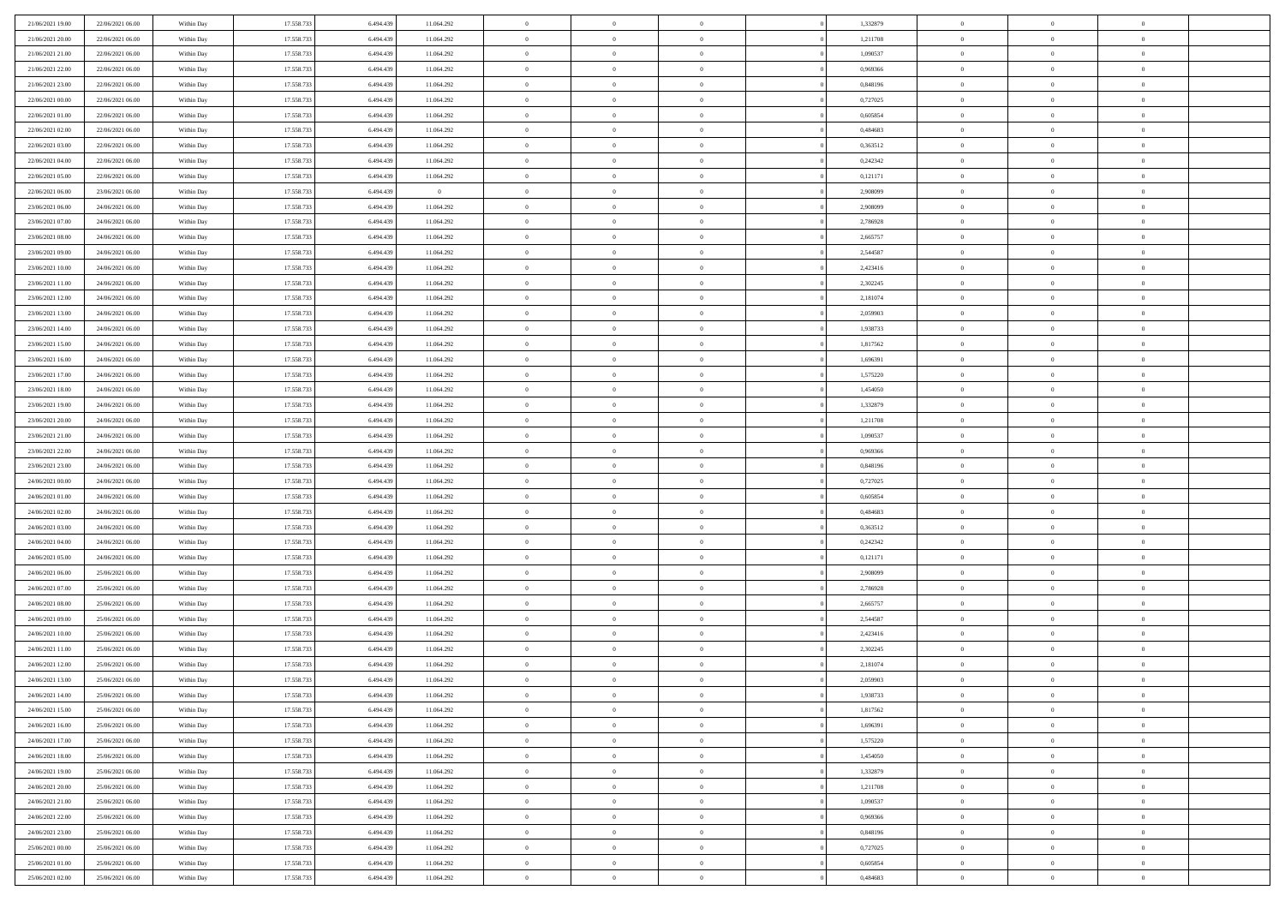| 21/06/2021 19:00                     | 22/06/2021 06:00                     | Within Day               | 17.558.733               | 6.494.439              | 11.064.292               | $\,$ 0                   | $\bf{0}$                         | $\theta$                         |          | 1,332879             | $\bf{0}$                    | $\overline{0}$                   | $\,0\,$                          |  |
|--------------------------------------|--------------------------------------|--------------------------|--------------------------|------------------------|--------------------------|--------------------------|----------------------------------|----------------------------------|----------|----------------------|-----------------------------|----------------------------------|----------------------------------|--|
| 21/06/2021 20:00                     | 22/06/2021 06:00                     | Within Day               | 17.558.733               | 6,494,439              | 11.064.292               | $\overline{0}$           | $\overline{0}$                   | $\overline{0}$                   |          | 1,211708             | $\theta$                    | $\overline{0}$                   | $\theta$                         |  |
| 21/06/2021 21:00                     | 22/06/2021 06:00                     | Within Dav               | 17.558.733               | 6.494.439              | 11.064.292               | $\mathbf{0}$             | $\overline{0}$                   | $\overline{0}$                   |          | 1,090537             | $\mathbf{0}$                | $\overline{0}$                   | $\overline{0}$                   |  |
| 21/06/2021 22.00                     | 22/06/2021 06:00                     | Within Day               | 17.558.733               | 6.494.439              | 11.064.292               | $\bf{0}$                 | $\overline{0}$                   | $\bf{0}$                         |          | 0,969366             | $\bf{0}$                    | $\overline{0}$                   | $\bf{0}$                         |  |
| 21/06/2021 23:00                     | 22/06/2021 06:00                     | Within Day               | 17.558.733               | 6,494,439              | 11.064.292               | $\bf{0}$                 | $\bf{0}$                         | $\overline{0}$                   |          | 0,848196             | $\bf{0}$                    | $\bf{0}$                         | $\,0\,$                          |  |
| 22/06/2021 00:00                     | 22/06/2021 06:00                     | Within Dav               | 17.558.733               | 6.494.439              | 11.064.292               | $\mathbf{0}$             | $\overline{0}$                   | $\overline{0}$                   |          | 0,727025             | $\mathbf{0}$                | $\overline{0}$                   | $\overline{0}$                   |  |
| 22/06/2021 01:00                     | 22/06/2021 06:00                     | Within Day               | 17.558.733               | 6.494.439              | 11.064.292               | $\bf{0}$                 | $\bf{0}$                         | $\overline{0}$                   |          | 0,605854             | $\bf{0}$                    | $\overline{0}$                   | $\,0\,$                          |  |
| 22/06/2021 02:00                     | 22/06/2021 06:00                     | Within Day               | 17.558.733               | 6,494,439              | 11.064.292               | $\overline{0}$           | $\overline{0}$                   | $\overline{0}$                   |          | 0,484683             | $\,$ 0 $\,$                 | $\overline{0}$                   | $\theta$                         |  |
| 22/06/2021 03:00                     | 22/06/2021 06:00                     | Within Dav               | 17.558.733               | 6.494.439              | 11.064.292               | $\mathbf{0}$             | $\overline{0}$                   | $\overline{0}$                   |          | 0,363512             | $\mathbf{0}$                | $\overline{0}$                   | $\overline{0}$                   |  |
| 22/06/2021 04:00                     | 22/06/2021 06:00                     | Within Day               | 17.558.733               | 6.494.439              | 11.064.292               | $\bf{0}$                 | $\bf{0}$                         | $\overline{0}$                   |          | 0,242342             | $\bf{0}$                    | $\overline{0}$                   | $\,0\,$                          |  |
| 22/06/2021 05:00                     | 22/06/2021 06:00                     | Within Day               | 17.558.733               | 6,494,439              | 11.064.292               | $\bf{0}$                 | $\overline{0}$                   | $\overline{0}$                   |          | 0,121171             | $\bf{0}$                    | $\overline{0}$                   | $\theta$                         |  |
| 22/06/2021 06:00                     | 23/06/2021 06:00                     | Within Dav               | 17.558.733               | 6.494.439              | $\overline{0}$           | $\mathbf{0}$             | $\overline{0}$                   | $\overline{0}$                   |          | 2,908099             | $\mathbf{0}$                | $\overline{0}$                   | $\overline{0}$                   |  |
| 23/06/2021 06:00                     | 24/06/2021 06:00                     | Within Day               | 17.558.733               | 6.494.439              | 11.064.292               | $\bf{0}$                 | $\overline{0}$                   | $\bf{0}$                         |          | 2,908099             | $\bf{0}$                    | $\overline{0}$                   | $\overline{0}$                   |  |
| 23/06/2021 07:00                     | 24/06/2021 06:00                     | Within Day               | 17.558.733               | 6.494.439              | 11.064.292               | $\bf{0}$                 | $\overline{0}$                   | $\overline{0}$                   |          | 2,786928             | $\bf{0}$                    | $\overline{0}$                   | $\,0\,$                          |  |
| 23/06/2021 08:00                     | 24/06/2021 06:00                     | Within Dav               | 17.558.733               | 6.494.439              | 11.064.292               | $\mathbf{0}$             | $\overline{0}$                   | $\overline{0}$                   |          | 2,665757             | $\mathbf{0}$                | $\overline{0}$                   | $\overline{0}$                   |  |
| 23/06/2021 09:00                     | 24/06/2021 06:00                     | Within Day               | 17.558.733               | 6.494.439              | 11.064.292               | $\bf{0}$                 | $\bf{0}$                         | $\overline{0}$                   |          | 2,544587             | $\bf{0}$                    | $\overline{0}$                   | $\bf{0}$                         |  |
| 23/06/2021 10:00                     | 24/06/2021 06:00                     | Within Day               | 17.558.733               | 6,494,439              | 11.064.292               | $\overline{0}$           | $\overline{0}$                   | $\overline{0}$                   |          | 2,423416             | $\hspace{0.1cm}0$           | $\overline{0}$                   | $\theta$                         |  |
| 23/06/2021 11:00                     | 24/06/2021 06:00                     | Within Day               | 17.558.733               | 6.494.439              | 11.064.292               | $\mathbf{0}$             | $\overline{0}$                   | $\overline{0}$                   |          | 2,302245             | $\mathbf{0}$                | $\overline{0}$                   | $\overline{0}$                   |  |
| 23/06/2021 12:00                     | 24/06/2021 06:00                     | Within Day               | 17.558.733               | 6.494.439              | 11.064.292               | $\bf{0}$                 | $\bf{0}$                         | $\overline{0}$                   |          | 2,181074             | $\bf{0}$                    | $\overline{0}$                   | $\,0\,$                          |  |
| 23/06/2021 13:00                     | 24/06/2021 06:00                     | Within Day               | 17.558.733               | 6,494,439              | 11.064.292               | $\bf{0}$                 | $\bf{0}$                         | $\overline{0}$                   |          | 2,059903             | $\bf{0}$                    | $\overline{0}$                   | $\bf{0}$                         |  |
| 23/06/2021 14:00                     | 24/06/2021 06:00                     | Within Dav               | 17.558.733               | 6.494.439              | 11.064.292               | $\mathbf{0}$             | $\overline{0}$                   | $\overline{0}$                   |          | 1,938733             | $\mathbf{0}$                | $\overline{0}$                   | $\overline{0}$                   |  |
| 23/06/2021 15:00                     | 24/06/2021 06:00                     | Within Day               | 17.558.733               | 6.494.439              | 11.064.292               | $\bf{0}$                 | $\overline{0}$                   | $\overline{0}$                   |          | 1,817562             | $\bf{0}$                    | $\overline{0}$                   | $\bf{0}$                         |  |
| 23/06/2021 16:00                     | 24/06/2021 06:00                     |                          | 17.558.733               | 6,494,439              | 11.064.292               | $\bf{0}$                 | $\bf{0}$                         | $\overline{0}$                   |          | 1,696391             | $\bf{0}$                    | $\bf{0}$                         | $\,0\,$                          |  |
| 23/06/2021 17:00                     | 24/06/2021 06:00                     | Within Day<br>Within Dav | 17.558.733               | 6.494.439              | 11.064.292               | $\mathbf{0}$             | $\overline{0}$                   | $\overline{0}$                   |          | 1,575220             | $\mathbf{0}$                | $\overline{0}$                   | $\overline{0}$                   |  |
| 23/06/2021 18:00                     | 24/06/2021 06:00                     | Within Day               | 17.558.733               | 6.494.439              | 11.064.292               | $\bf{0}$                 | $\bf{0}$                         | $\overline{0}$                   |          | 1,454050             | $\bf{0}$                    | $\overline{0}$                   | $\,0\,$                          |  |
|                                      |                                      |                          |                          | 6,494,439              |                          | $\overline{0}$           | $\overline{0}$                   | $\overline{0}$                   |          |                      |                             | $\overline{0}$                   | $\overline{0}$                   |  |
| 23/06/2021 19:00<br>23/06/2021 20:00 | 24/06/2021 06:00                     | Within Day               | 17.558.733               |                        | 11.064.292               | $\mathbf{0}$             |                                  |                                  |          | 1,332879             | $\bf{0}$<br>$\mathbf{0}$    |                                  | $\overline{0}$                   |  |
|                                      | 24/06/2021 06:00                     | Within Dav               | 17.558.733               | 6.494.439              | 11.064.292               |                          | $\overline{0}$                   | $\overline{0}$<br>$\overline{0}$ |          | 1,211708             |                             | $\overline{0}$<br>$\overline{0}$ |                                  |  |
| 23/06/2021 21:00                     | 24/06/2021 06:00                     | Within Day               | 17.558.733               | 6.494.439<br>6,494,439 | 11.064.292               | $\bf{0}$                 | $\bf{0}$                         |                                  |          | 1,090537<br>0.969366 | $\bf{0}$                    |                                  | $\,0\,$                          |  |
| 23/06/2021 22.00                     | 24/06/2021 06:00                     | Within Day               | 17.558.733               |                        | 11.064.292               | $\bf{0}$<br>$\mathbf{0}$ | $\bf{0}$                         | $\overline{0}$                   |          |                      | $\bf{0}$<br>$\mathbf{0}$    | $\bf{0}$                         | $\bf{0}$<br>$\overline{0}$       |  |
| 23/06/2021 23:00                     | 24/06/2021 06:00                     | Within Dav               | 17.558.733               | 6.494.439              | 11.064.292               |                          | $\overline{0}$                   | $\overline{0}$                   |          | 0,848196             |                             | $\overline{0}$<br>$\overline{0}$ | $\theta$                         |  |
| 24/06/2021 00:00                     | 24/06/2021 06:00                     | Within Day               | 17.558.733               | 6.494.439              | 11.064.292               | $\bf{0}$<br>$\bf{0}$     | $\overline{0}$                   | $\theta$                         |          | 0,727025             | $\,$ 0<br>$\bf{0}$          | $\bf{0}$                         |                                  |  |
| 24/06/2021 01:00<br>24/06/2021 02:00 | 24/06/2021 06:00<br>24/06/2021 06:00 | Within Day<br>Within Dav | 17.558.733<br>17.558.733 | 6.494.439<br>6.494.439 | 11.064.292<br>11.064.292 | $\mathbf{0}$             | $\bf{0}$<br>$\overline{0}$       | $\overline{0}$<br>$\overline{0}$ |          | 0,605854<br>0,484683 | $\mathbf{0}$                | $\overline{0}$                   | $\overline{0}$<br>$\overline{0}$ |  |
|                                      |                                      |                          |                          |                        |                          | $\bf{0}$                 | $\overline{0}$                   | $\theta$                         |          |                      | $\,$ 0                      | $\overline{0}$                   | $\theta$                         |  |
| 24/06/2021 03:00                     | 24/06/2021 06:00                     | Within Day               | 17.558.733<br>17.558.733 | 6.494.439              | 11.064.292               |                          | $\overline{0}$                   | $\overline{0}$                   |          | 0,363512             |                             | $\overline{0}$                   | $\overline{0}$                   |  |
| 24/06/2021 04:00<br>24/06/2021 05:00 | 24/06/2021 06:00<br>24/06/2021 06:00 | Within Day<br>Within Day | 17.558.733               | 6.494.439<br>6.494.439 | 11.064.292<br>11.064.292 | $\bf{0}$<br>$\mathbf{0}$ | $\overline{0}$                   |                                  |          | 0,242342             | $\bf{0}$<br>$\mathbf{0}$    | $\overline{0}$                   | $\overline{0}$                   |  |
|                                      |                                      |                          |                          |                        |                          | $\bf{0}$                 |                                  | $\overline{0}$                   |          | 0,121171             |                             |                                  | $\theta$                         |  |
| 24/06/2021 06:00                     | 25/06/2021 06:00                     | Within Day               | 17.558.733<br>17.558.733 | 6.494.439<br>6,494,439 | 11.064.292               | $\bf{0}$                 | $\overline{0}$                   | $\theta$<br>$\overline{0}$       |          | 2,908099             | $\,$ 0                      | $\overline{0}$<br>$\bf{0}$       |                                  |  |
| 24/06/2021 07.00<br>24/06/2021 08:00 | 25/06/2021 06:00<br>25/06/2021 06:00 | Within Day<br>Within Dav | 17.558.733               | 6.494.439              | 11.064.292<br>11.064.292 | $\mathbf{0}$             | $\overline{0}$<br>$\overline{0}$ | $\overline{0}$                   |          | 2,786928<br>2,665757 | $\bf{0}$<br>$\mathbf{0}$    | $\overline{0}$                   | $\overline{0}$<br>$\overline{0}$ |  |
|                                      |                                      |                          |                          |                        |                          |                          |                                  |                                  |          |                      |                             |                                  | $\theta$                         |  |
| 24/06/2021 09:00                     | 25/06/2021 06:00<br>25/06/2021 06:00 | Within Day               | 17.558.733<br>17.558.733 | 6.494.439<br>6.494.439 | 11.064.292               | $\,0\,$<br>$\bf{0}$      | $\overline{0}$<br>$\overline{0}$ | $\theta$<br>$\overline{0}$       |          | 2,544587             | $\,$ 0                      | $\overline{0}$<br>$\overline{0}$ | $\overline{0}$                   |  |
| 24/06/2021 10:00<br>24/06/2021 11:00 | 25/06/2021 06:00                     | Within Day<br>Within Dav | 17.558.733               | 6.494.439              | 11.064.292<br>11.064.292 | $\mathbf{0}$             | $\overline{0}$                   | $\overline{0}$                   |          | 2,423416<br>2,302245 | $\bf{0}$<br>$\mathbf{0}$    | $\overline{0}$                   | $\overline{0}$                   |  |
| 24/06/2021 12:00                     | 25/06/2021 06:00                     | Within Day               | 17.558.733               | 6.494.439              | 11.064.292               | $\bf{0}$                 | $\overline{0}$                   | $\theta$                         |          | 2,181074             | $\,$ 0                      | $\overline{0}$                   | $\theta$                         |  |
| 24/06/2021 13:00                     | 25/06/2021 06:00                     |                          | 17.558.733               | 6.494.439              | 11.064.292               | $\bf{0}$                 | $\overline{0}$                   | $\overline{0}$                   |          | 2,059903             | $\,$ 0 $\,$                 | $\overline{0}$                   | $\overline{0}$                   |  |
| 24/06/2021 14:00                     | 25/06/2021 06:00                     | Within Day<br>Within Day | 17.558.733               | 6.494.439              | 11.064.292               | $\bf{0}$                 | $\overline{0}$                   |                                  |          | 1,938733             | $\overline{0}$              | $\theta$                         | $\theta$                         |  |
| 24/06/2021 15:00                     | 25/06/2021 06:00                     | Within Day               | 17.558.733               | 6.494.439              | 11.064.292               | $\,0\,$                  | $\overline{0}$                   | $\theta$                         |          | 1,817562             | $\,$ 0 $\,$                 | $\bf{0}$                         | $\theta$                         |  |
| 24/06/2021 16:00                     | 25/06/2021 06:00                     |                          | 17.558.733               | 6.494.439              |                          | $\overline{0}$           | $\overline{0}$                   | $\overline{0}$                   |          | 1,696391             | $\overline{0}$              | $\overline{0}$                   | $\overline{0}$                   |  |
| 24/06/2021 17:00                     | 25/06/2021 06:00                     | Within Day<br>Within Day | 17.558.733               | 6.494.439              | 11.064.292<br>11.064.292 | $\bf{0}$                 | $\overline{0}$                   | $\overline{0}$                   |          | 1,575220             | $\overline{0}$              | $\bf{0}$                         | $\mathbf{0}$                     |  |
|                                      |                                      |                          |                          |                        |                          |                          |                                  |                                  | $\theta$ |                      |                             | $\bf{0}$                         | $\,$ 0 $\,$                      |  |
| 24/06/2021 18:00                     | 25/06/2021 06:00<br>25/06/2021 06:00 | Within Day               | 17.558.733<br>17.558.733 | 6.494.439<br>6.494.439 | 11.064.292               | $\bf{0}$<br>$\,$ 0 $\,$  | $\overline{0}$<br>$\overline{0}$ | $\overline{0}$<br>$\overline{0}$ |          | 1,454050<br>1,332879 | $\mathbf{0}$<br>$\,$ 0 $\,$ | $\overline{0}$                   | $\overline{0}$                   |  |
| 24/06/2021 19:00<br>24/06/2021 20:00 | 25/06/2021 06:00                     | Within Day<br>Within Day | 17.558.733               | 6.494.439              | 11.064.292<br>11.064.292 | $\bf{0}$                 | $\overline{0}$                   | $\overline{0}$                   |          | 1,211708             | $\mathbf{0}$                | $\overline{0}$                   | $\overline{0}$                   |  |
|                                      |                                      |                          |                          |                        |                          |                          |                                  |                                  |          |                      |                             | $\overline{0}$                   |                                  |  |
| 24/06/2021 21:00                     | 25/06/2021 06:00                     | Within Day               | 17.558.733               | 6.494.439              | 11.064.292               | $\,0\,$                  | $\overline{0}$                   | $\overline{0}$                   | $\theta$ | 1,090537             | $\,$ 0 $\,$                 |                                  | $\,$ 0 $\,$                      |  |
| 24/06/2021 22.00                     | 25/06/2021 06:00                     | Within Day               | 17.558.733               | 6.494.439              | 11.064.292               | $\bf{0}$                 | $\overline{0}$                   | $\overline{0}$                   |          | 0,969366             | $\overline{0}$              | $\overline{0}$                   | $\overline{0}$                   |  |
| 24/06/2021 23:00                     | 25/06/2021 06:00                     | Within Day               | 17.558.733               | 6.494.439              | 11.064.292               | $\bf{0}$                 | $\overline{0}$                   | $\overline{0}$                   |          | 0,848196             | $\mathbf{0}$                | $\overline{0}$                   | $\mathbf{0}$                     |  |
| 25/06/2021 00:00                     | 25/06/2021 06:00                     | Within Day               | 17.558.733               | 6.494.439              | 11.064.292               | $\,0\,$                  | $\overline{0}$                   | $\overline{0}$                   |          | 0,727025             | $\,$ 0 $\,$                 | $\mathbf{0}$                     | $\,$ 0 $\,$                      |  |
| 25/06/2021 01:00                     | 25/06/2021 06:00                     | Within Day               | 17.558.733               | 6.494.439              | 11.064.292               | $\bf{0}$                 | $\bf{0}$                         | $\overline{0}$                   |          | 0.605854             | $\bf{0}$                    | $\mathbf{0}$                     | $\overline{0}$                   |  |
| 25/06/2021 02:00                     | 25/06/2021 06:00                     | Within Day               | 17.558.733               | 6.494.439              | 11.064.292               | $\bf{0}$                 | $\overline{0}$                   | $\overline{0}$                   |          | 0,484683             | $\mathbf{0}$                | $\overline{0}$                   | $\overline{0}$                   |  |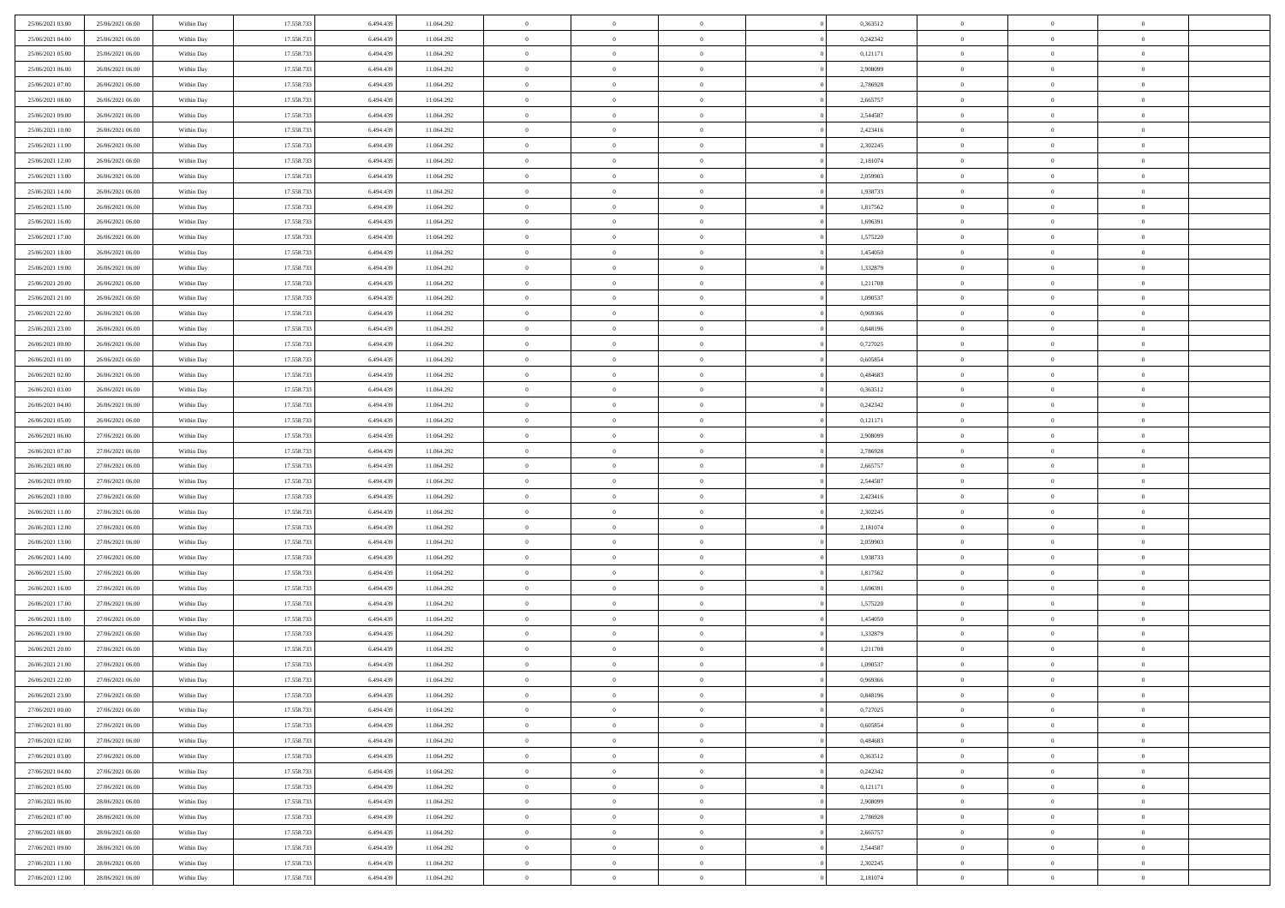| 25/06/2021 03:00 | 25/06/2021 06:00 | Within Day | 17.558.733 | 6.494.439 | 11.064.292 | $\,$ 0 $\,$    | $\overline{0}$ | $\overline{0}$ |          | 0,363512 | $\bf{0}$       | $\overline{0}$ | $\,0\,$        |  |
|------------------|------------------|------------|------------|-----------|------------|----------------|----------------|----------------|----------|----------|----------------|----------------|----------------|--|
| 25/06/2021 04:00 | 25/06/2021 06:00 | Within Day | 17.558.733 | 6.494.439 | 11.064.292 | $\theta$       | $\overline{0}$ | $\mathbf{0}$   |          | 0,242342 | $\theta$       | $\mathbf{0}$   | $\theta$       |  |
| 25/06/2021 05:00 | 25/06/2021 06:00 | Within Dav | 17.558.733 | 6.494.439 | 11.064.292 | $\theta$       | $\overline{0}$ | $\overline{0}$ |          | 0,121171 | $\mathbf{0}$   | $\overline{0}$ | $\overline{0}$ |  |
| 25/06/2021 06:00 | 26/06/2021 06:00 | Within Day | 17.558.733 | 6.494.439 | 11.064.292 | $\,$ 0 $\,$    | $\overline{0}$ | $\overline{0}$ |          | 2,908099 | $\bf{0}$       | $\overline{0}$ | $\bf{0}$       |  |
| 25/06/2021 07:00 | 26/06/2021 06:00 | Within Day | 17.558.733 | 6.494.439 | 11.064.292 | $\bf{0}$       | $\overline{0}$ | $\mathbf{0}$   |          | 2,786928 | $\bf{0}$       | $\theta$       | $\,0\,$        |  |
| 25/06/2021 08:00 | 26/06/2021 06:00 | Within Dav | 17.558.733 | 6.494.439 | 11.064.292 | $\theta$       | $\overline{0}$ | $\mathbf{0}$   |          | 2,665757 | $\mathbf{0}$   | $\overline{0}$ | $\overline{0}$ |  |
| 25/06/2021 09:00 | 26/06/2021 06:00 | Within Day | 17.558.733 | 6.494.439 | 11.064.292 | $\,$ 0 $\,$    | $\overline{0}$ | $\overline{0}$ |          | 2,544587 | $\bf{0}$       | $\overline{0}$ | $\,0\,$        |  |
| 25/06/2021 10:00 | 26/06/2021 06:00 | Within Day | 17.558.733 | 6.494.439 | 11.064.292 | $\,$ 0 $\,$    | $\overline{0}$ | $\mathbf{0}$   |          | 2,423416 | $\,$ 0 $\,$    | $\overline{0}$ | $\theta$       |  |
| 25/06/2021 11:00 | 26/06/2021 06:00 | Within Day | 17.558.733 | 6.494.439 | 11.064.292 | $\theta$       | $\overline{0}$ | $\overline{0}$ |          | 2,302245 | $\mathbf{0}$   | $\bf{0}$       | $\overline{0}$ |  |
| 25/06/2021 12:00 | 26/06/2021 06:00 | Within Day | 17.558.733 | 6.494.439 | 11.064.292 | $\,$ 0 $\,$    | $\overline{0}$ | $\Omega$       |          | 2,181074 | $\bf{0}$       | $\overline{0}$ | $\,0\,$        |  |
| 25/06/2021 13:00 | 26/06/2021 06:00 | Within Day | 17.558.733 | 6.494.439 | 11.064.292 | $\bf{0}$       | $\overline{0}$ | $\mathbf{0}$   |          | 2,059903 | $\bf{0}$       | $\mathbf{0}$   | $\theta$       |  |
| 25/06/2021 14:00 | 26/06/2021 06:00 | Within Dav | 17.558.733 | 6.494.439 | 11.064.292 | $\theta$       | $\overline{0}$ | $\mathbf{0}$   |          | 1,938733 | $\mathbf{0}$   | $\overline{0}$ | $\overline{0}$ |  |
| 25/06/2021 15:00 | 26/06/2021 06:00 | Within Day | 17.558.733 | 6.494.439 | 11.064.292 | $\,$ 0 $\,$    | $\overline{0}$ | $\overline{0}$ |          | 1,817562 | $\bf{0}$       | $\overline{0}$ | $\bf{0}$       |  |
| 25/06/2021 16:00 | 26/06/2021 06:00 | Within Day | 17.558.733 | 6.494.439 | 11.064.292 | $\bf{0}$       | $\overline{0}$ | $\mathbf{0}$   |          | 1,696391 | $\bf{0}$       | $\theta$       | $\,0\,$        |  |
| 25/06/2021 17:00 | 26/06/2021 06:00 | Within Dav | 17.558.733 | 6.494.439 | 11.064.292 | $\theta$       | $\overline{0}$ | $\mathbf{0}$   |          | 1,575220 | $\mathbf{0}$   | $\bf{0}$       | $\overline{0}$ |  |
| 25/06/2021 18:00 | 26/06/2021 06:00 | Within Day | 17.558.733 | 6.494.439 | 11.064.292 | $\,$ 0 $\,$    | $\overline{0}$ | $\Omega$       |          | 1,454050 | $\bf{0}$       | $\overline{0}$ | $\bf{0}$       |  |
| 25/06/2021 19:00 | 26/06/2021 06:00 | Within Day | 17.558.733 | 6,494,439 | 11.064.292 | $\,$ 0         | $\overline{0}$ | $\mathbf{0}$   |          | 1,332879 | $\bf{0}$       | $\overline{0}$ | $\theta$       |  |
| 25/06/2021 20:00 | 26/06/2021 06:00 | Within Day | 17.558.733 | 6.494.439 | 11.064.292 | $\theta$       | $\overline{0}$ | $\mathbf{0}$   |          | 1,211708 | $\mathbf{0}$   | $\bf{0}$       | $\overline{0}$ |  |
| 25/06/2021 21:00 | 26/06/2021 06:00 | Within Day | 17.558.733 | 6.494.439 | 11.064.292 | $\,$ 0 $\,$    | $\overline{0}$ | $\Omega$       |          | 1,090537 | $\bf{0}$       | $\overline{0}$ | $\,0\,$        |  |
| 25/06/2021 22:00 | 26/06/2021 06:00 | Within Day | 17.558.733 | 6.494.439 | 11.064.292 | $\bf{0}$       | $\overline{0}$ | $\mathbf{0}$   |          | 0.969366 | $\bf{0}$       | $\mathbf{0}$   | $\theta$       |  |
| 25/06/2021 23:00 | 26/06/2021 06:00 | Within Dav | 17.558.733 | 6.494.439 | 11.064.292 | $\theta$       | $\overline{0}$ | $\mathbf{0}$   |          | 0,848196 | $\mathbf{0}$   | $\overline{0}$ | $\overline{0}$ |  |
| 26/06/2021 00:00 | 26/06/2021 06:00 | Within Day | 17.558.733 | 6.494.439 | 11.064.292 | $\,$ 0 $\,$    | $\overline{0}$ | $\overline{0}$ |          | 0,727025 | $\bf{0}$       | $\overline{0}$ | $\bf{0}$       |  |
| 26/06/2021 01:00 | 26/06/2021 06:00 | Within Day | 17.558.733 | 6.494.439 | 11.064.292 | $\,$ 0         | $\overline{0}$ | $\mathbf{0}$   |          | 0,605854 | $\bf{0}$       | $\theta$       | $\,0\,$        |  |
| 26/06/2021 02:00 | 26/06/2021 06:00 | Within Dav | 17.558.733 | 6.494.439 | 11.064.292 | $\theta$       | $\overline{0}$ | $\mathbf{0}$   |          | 0,484683 | $\mathbf{0}$   | $\overline{0}$ | $\theta$       |  |
| 26/06/2021 03:00 | 26/06/2021 06:00 | Within Day | 17.558.733 | 6.494.439 | 11.064.292 | $\,$ 0 $\,$    | $\overline{0}$ | $\overline{0}$ |          | 0,363512 | $\bf{0}$       | $\overline{0}$ | $\,0\,$        |  |
| 26/06/2021 04:00 | 26/06/2021 06:00 | Within Day | 17.558.733 | 6,494,439 | 11.064.292 | $\,$ 0         | $\overline{0}$ | $\mathbf{0}$   |          | 0,242342 | $\bf{0}$       | $\overline{0}$ | $\theta$       |  |
| 26/06/2021 05:00 | 26/06/2021 06:00 | Within Day | 17.558.733 | 6.494.439 | 11.064.292 | $\theta$       | $\overline{0}$ | $\overline{0}$ |          | 0,121171 | $\mathbf{0}$   | $\bf{0}$       | $\overline{0}$ |  |
| 26/06/2021 06:00 | 27/06/2021 06:00 | Within Day | 17.558.733 | 6.494.439 | 11.064.292 | $\,$ 0 $\,$    | $\overline{0}$ | $\Omega$       |          | 2,908099 | $\bf{0}$       | $\overline{0}$ | $\,0\,$        |  |
| 26/06/2021 07:00 | 27/06/2021 06:00 | Within Day | 17.558.733 | 6.494.439 | 11.064.292 | $\bf{0}$       | $\overline{0}$ | $\mathbf{0}$   |          | 2,786928 | $\bf{0}$       | $\mathbf{0}$   | $\theta$       |  |
| 26/06/2021 08:00 | 27/06/2021 06:00 | Within Dav | 17.558.733 | 6.494.439 | 11.064.292 | $\theta$       | $\overline{0}$ | $\overline{0}$ |          | 2,665757 | $\mathbf{0}$   | $\overline{0}$ | $\overline{0}$ |  |
| 26/06/2021 09:00 | 27/06/2021 06:00 | Within Day | 17.558.733 | 6.494.439 | 11.064.292 | $\theta$       | $\overline{0}$ | $\overline{0}$ |          | 2,544587 | $\,$ 0         | $\overline{0}$ | $\,$ 0 $\,$    |  |
| 26/06/2021 10:00 | 27/06/2021 06:00 | Within Day | 17.558.733 | 6.494.439 | 11.064.292 | $\,$ 0         | $\overline{0}$ | $\mathbf{0}$   |          | 2,423416 | $\bf{0}$       | $\mathbf{0}$   | $\bf{0}$       |  |
| 26/06/2021 11:00 | 27/06/2021 06:00 | Within Dav | 17.558.733 | 6.494.439 | 11.064.292 | $\theta$       | $\overline{0}$ | $\mathbf{0}$   |          | 2,302245 | $\mathbf{0}$   | $\overline{0}$ | $\overline{0}$ |  |
| 26/06/2021 12:00 | 27/06/2021 06:00 | Within Day | 17.558.733 | 6.494.439 | 11.064.292 | $\theta$       | $\overline{0}$ | $\overline{0}$ |          | 2,181074 | $\,$ 0         | $\overline{0}$ | $\theta$       |  |
| 26/06/2021 13:00 | 27/06/2021 06:00 | Within Day | 17.558.733 | 6.494.439 | 11.064.292 | $\bf{0}$       | $\overline{0}$ | $\mathbf{0}$   |          | 2,059903 | $\mathbf{0}$   | $\overline{0}$ | $\overline{0}$ |  |
| 26/06/2021 14:00 | 27/06/2021 06:00 | Within Day | 17.558.733 | 6.494.439 | 11.064.292 | $\theta$       | $\overline{0}$ | $\mathbf{0}$   |          | 1,938733 | $\mathbf{0}$   | $\overline{0}$ | $\overline{0}$ |  |
| 26/06/2021 15:00 | 27/06/2021 06:00 | Within Day | 17.558.733 | 6.494.439 | 11.064.292 | $\theta$       | $\overline{0}$ | $\overline{0}$ |          | 1,817562 | $\,$ 0         | $\overline{0}$ | $\theta$       |  |
| 26/06/2021 16:00 | 27/06/2021 06:00 | Within Day | 17.558.733 | 6.494.439 | 11.064.292 | $\bf{0}$       | $\overline{0}$ | $\mathbf{0}$   |          | 1,696391 | $\bf{0}$       | $\mathbf{0}$   | $\overline{0}$ |  |
| 26/06/2021 17:00 | 27/06/2021 06:00 | Within Dav | 17.558.733 | 6.494.439 | 11.064.292 | $\theta$       | $\overline{0}$ | $\mathbf{0}$   |          | 1,575220 | $\mathbf{0}$   | $\overline{0}$ | $\overline{0}$ |  |
| 26/06/2021 18:00 | 27/06/2021 06:00 | Within Day | 17.558.733 | 6.494.439 | 11.064.292 | $\,$ 0 $\,$    | $\overline{0}$ | $\overline{0}$ |          | 1,454050 | $\,$ 0         | $\overline{0}$ | $\,$ 0 $\,$    |  |
| 26/06/2021 19:00 | 27/06/2021 06:00 | Within Day | 17.558.733 | 6.494.439 | 11.064.292 | $\,$ 0         | $\,$ 0 $\,$    | $\overline{0}$ |          | 1,332879 | $\,$ 0 $\,$    | $\bf{0}$       | $\bf{0}$       |  |
| 26/06/2021 20:00 | 27/06/2021 06:00 | Within Day | 17.558.733 | 6.494.439 | 11.064.292 | $\theta$       | $\overline{0}$ | $\mathbf{0}$   |          | 1,211708 | $\mathbf{0}$   | $\overline{0}$ | $\theta$       |  |
| 26/06/2021 21:00 | 27/06/2021 06:00 | Within Day | 17.558.733 | 6.494.439 | 11.064.292 | $\overline{0}$ | $\overline{0}$ | $\overline{0}$ |          | 1,090537 | $\,$ 0         | $\overline{0}$ | $\theta$       |  |
| 26/06/2021 22:00 | 27/06/2021 06:00 | Within Day | 17.558.733 | 6.494.439 | 11.064.292 | $\bf{0}$       | $\,$ 0 $\,$    | $\mathbf{0}$   |          | 0,969366 | $\mathbf{0}$   | $\overline{0}$ | $\overline{0}$ |  |
| 26/06/2021 23:00 | 27/06/2021 06:00 | Within Day | 17.558.733 | 6.494.439 | 11.064.292 | $\overline{0}$ | $\theta$       |                |          | 0,848196 | $\overline{0}$ | $\Omega$       | $\theta$       |  |
| 27/06/2021 00:00 | 27/06/2021 06:00 | Within Day | 17.558.733 | 6.494.439 | 11.064.292 | $\,$ 0 $\,$    | $\overline{0}$ | $\overline{0}$ |          | 0,727025 | $\,$ 0 $\,$    | $\bf{0}$       | $\theta$       |  |
| 27/06/2021 01:00 | 27/06/2021 06:00 | Within Day | 17.558.733 | 6,494,439 | 11.064.292 | $\bf{0}$       | $\,$ 0 $\,$    | $\overline{0}$ |          | 0.605854 | $\,$ 0 $\,$    | $\overline{0}$ | $\overline{0}$ |  |
| 27/06/2021 02:00 | 27/06/2021 06:00 | Within Day | 17.558.733 | 6.494.439 | 11.064.292 | $\mathbf{0}$   | $\overline{0}$ | $\overline{0}$ |          | 0,484683 | $\,$ 0 $\,$    | $\bf{0}$       | $\mathbf{0}$   |  |
| 27/06/2021 03:00 | 27/06/2021 06:00 | Within Day | 17.558.733 | 6.494.439 | 11.064.292 | $\,$ 0 $\,$    | $\overline{0}$ | $\overline{0}$ | $\theta$ | 0,363512 | $\,$ 0 $\,$    | $\bf{0}$       | $\,$ 0 $\,$    |  |
| 27/06/2021 04:00 | 27/06/2021 06:00 | Within Day | 17.558.733 | 6,494,439 | 11.064.292 | $\,$ 0 $\,$    | $\,$ 0 $\,$    | $\overline{0}$ |          | 0,242342 | $\,$ 0 $\,$    | $\overline{0}$ | $\overline{0}$ |  |
| 27/06/2021 05:00 | 27/06/2021 06:00 | Within Day | 17.558.733 | 6.494.439 | 11.064.292 | $\mathbf{0}$   | $\overline{0}$ | $\overline{0}$ |          | 0,121171 | $\mathbf{0}$   | $\overline{0}$ | $\overline{0}$ |  |
| 27/06/2021 06:00 | 28/06/2021 06:00 | Within Day | 17.558.733 | 6.494.439 | 11.064.292 | $\,$ 0 $\,$    | $\overline{0}$ | $\overline{0}$ |          | 2,908099 | $\,$ 0 $\,$    | $\mathbf{0}$   | $\,$ 0 $\,$    |  |
| 27/06/2021 07:00 | 28/06/2021 06:00 | Within Day | 17.558.733 | 6,494,439 | 11.064.292 | $\bf{0}$       | $\overline{0}$ | $\overline{0}$ |          | 2,786928 | $\,$ 0 $\,$    | $\overline{0}$ | $\overline{0}$ |  |
| 27/06/2021 08:00 | 28/06/2021 06:00 | Within Day | 17.558.733 | 6.494.439 | 11.064.292 | $\mathbf{0}$   | $\overline{0}$ | $\overline{0}$ |          | 2,665757 | $\mathbf{0}$   | $\bf{0}$       | $\overline{0}$ |  |
| 27/06/2021 09:00 | 28/06/2021 06:00 | Within Day | 17.558.733 | 6.494.439 | 11.064.292 | $\,$ 0 $\,$    | $\overline{0}$ | $\overline{0}$ |          | 2,544587 | $\,$ 0 $\,$    | $\mathbf{0}$   | $\,$ 0 $\,$    |  |
| 27/06/2021 11:00 | 28/06/2021 06:00 | Within Day | 17.558.733 | 6.494.439 | 11.064.292 | $\,$ 0 $\,$    | $\overline{0}$ | $\overline{0}$ |          | 2,302245 | $\bf{0}$       | $\overline{0}$ | $\overline{0}$ |  |
| 27/06/2021 12:00 | 28/06/2021 06:00 | Within Day | 17.558.733 | 6.494.439 | 11.064.292 | $\theta$       | $\overline{0}$ | $\overline{0}$ |          | 2,181074 | $\mathbf{0}$   | $\mathbf{0}$   | $\overline{0}$ |  |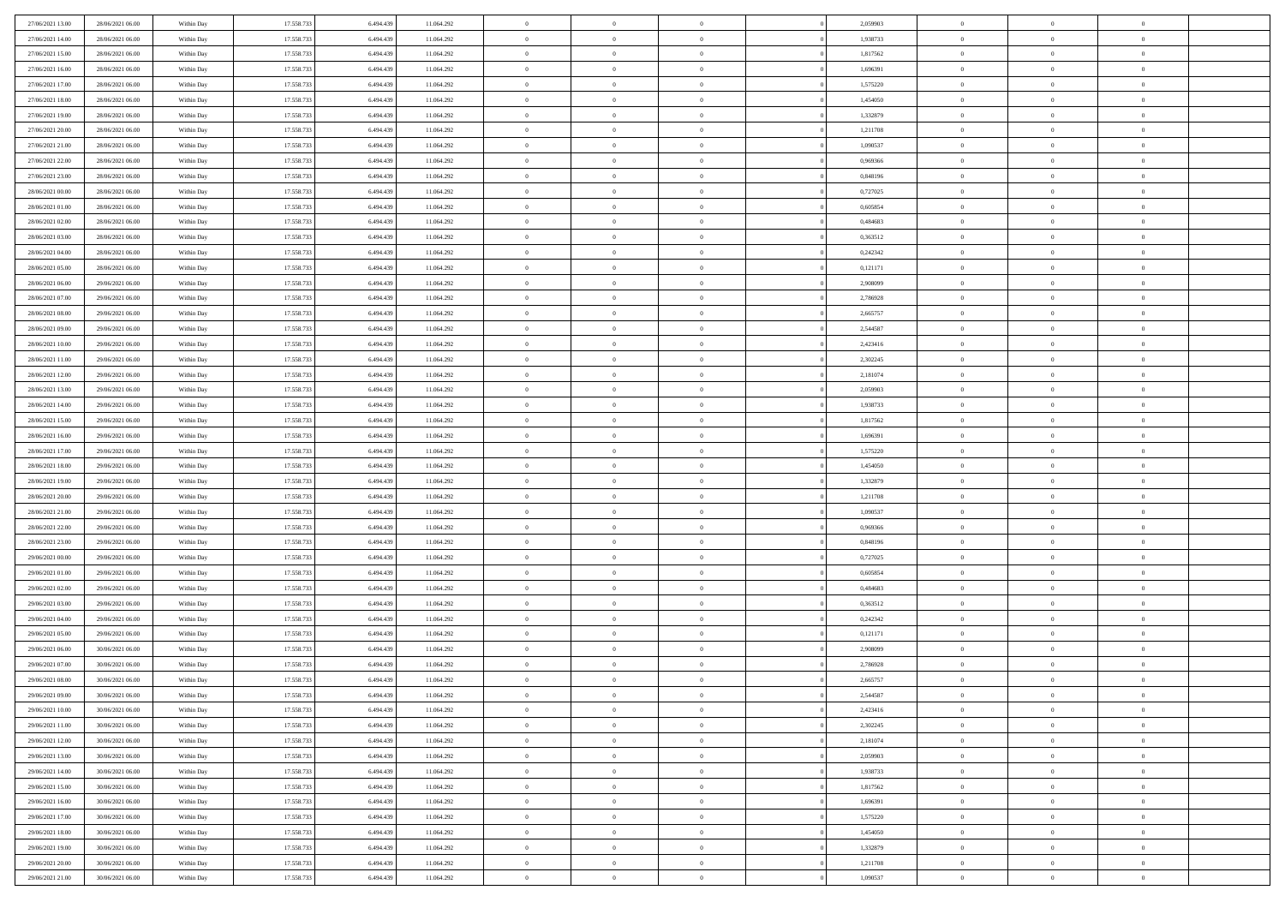| 27/06/2021 13:00                     | 28/06/2021 06:00                     | Within Day               | 17.558.733 | 6.494.439              | 11.064.292 | $\,$ 0                   | $\bf{0}$       | $\theta$                         |          | 2,059903 | $\bf{0}$                 | $\overline{0}$                   | $\,0\,$                          |  |
|--------------------------------------|--------------------------------------|--------------------------|------------|------------------------|------------|--------------------------|----------------|----------------------------------|----------|----------|--------------------------|----------------------------------|----------------------------------|--|
| 27/06/2021 14:00                     | 28/06/2021 06:00                     | Within Day               | 17.558.733 | 6,494,439              | 11.064.292 | $\overline{0}$           | $\overline{0}$ | $\overline{0}$                   |          | 1,938733 | $\overline{0}$           | $\overline{0}$                   | $\theta$                         |  |
| 27/06/2021 15:00                     | 28/06/2021 06:00                     | Within Dav               | 17.558.733 | 6.494.439              | 11.064.292 | $\mathbf{0}$             | $\overline{0}$ | $\overline{0}$                   |          | 1,817562 | $\mathbf{0}$             | $\overline{0}$                   | $\overline{0}$                   |  |
| 27/06/2021 16:00                     | 28/06/2021 06:00                     | Within Day               | 17.558.733 | 6.494.439              | 11.064.292 | $\bf{0}$                 | $\overline{0}$ | $\bf{0}$                         |          | 1,696391 | $\bf{0}$                 | $\overline{0}$                   | $\bf{0}$                         |  |
| 27/06/2021 17:00                     | 28/06/2021 06:00                     | Within Day               | 17.558.733 | 6,494,439              | 11.064.292 | $\bf{0}$                 | $\bf{0}$       | $\overline{0}$                   |          | 1,575220 | $\bf{0}$                 | $\bf{0}$                         | $\,0\,$                          |  |
| 27/06/2021 18:00                     | 28/06/2021 06:00                     | Within Dav               | 17.558.733 | 6.494.439              | 11.064.292 | $\mathbf{0}$             | $\overline{0}$ | $\overline{0}$                   |          | 1,454050 | $\mathbf{0}$             | $\overline{0}$                   | $\overline{0}$                   |  |
| 27/06/2021 19:00                     | 28/06/2021 06:00                     | Within Day               | 17.558.733 | 6.494.439              | 11.064.292 | $\bf{0}$                 | $\bf{0}$       | $\overline{0}$                   |          | 1,332879 | $\bf{0}$                 | $\overline{0}$                   | $\,0\,$                          |  |
| 27/06/2021 20:00                     | 28/06/2021 06:00                     | Within Day               | 17.558.733 | 6,494,439              | 11.064.292 | $\overline{0}$           | $\overline{0}$ | $\overline{0}$                   |          | 1,211708 | $\,$ 0 $\,$              | $\overline{0}$                   | $\theta$                         |  |
| 27/06/2021 21:00                     | 28/06/2021 06:00                     | Within Dav               | 17.558.733 | 6.494.439              | 11.064.292 | $\mathbf{0}$             | $\overline{0}$ | $\overline{0}$                   |          | 1,090537 | $\mathbf{0}$             | $\overline{0}$                   | $\overline{0}$                   |  |
| 27/06/2021 22:00                     | 28/06/2021 06:00                     | Within Day               | 17.558.733 | 6.494.439              | 11.064.292 | $\bf{0}$                 | $\bf{0}$       | $\overline{0}$                   |          | 0,969366 | $\bf{0}$                 | $\overline{0}$                   | $\,0\,$                          |  |
| 27/06/2021 23.00                     | 28/06/2021 06:00                     | Within Day               | 17.558.733 | 6,494,439              | 11.064.292 | $\bf{0}$                 | $\overline{0}$ | $\overline{0}$                   |          | 0.848196 | $\bf{0}$                 | $\overline{0}$                   | $\theta$                         |  |
| 28/06/2021 00:00                     | 28/06/2021 06:00                     | Within Dav               | 17.558.733 | 6.494.439              | 11.064.292 | $\mathbf{0}$             | $\overline{0}$ | $\overline{0}$                   |          | 0,727025 | $\mathbf{0}$             | $\overline{0}$                   | $\overline{0}$                   |  |
| 28/06/2021 01:00                     | 28/06/2021 06:00                     | Within Day               | 17.558.733 | 6.494.439              | 11.064.292 | $\bf{0}$                 | $\overline{0}$ | $\bf{0}$                         |          | 0,605854 | $\bf{0}$                 | $\overline{0}$                   | $\bf{0}$                         |  |
| 28/06/2021 02:00                     | 28/06/2021 06:00                     | Within Day               | 17.558.733 | 6,494,439              | 11.064.292 | $\bf{0}$                 | $\overline{0}$ | $\overline{0}$                   |          | 0,484683 | $\bf{0}$                 | $\overline{0}$                   | $\,0\,$                          |  |
| 28/06/2021 03:00                     | 28/06/2021 06:00                     | Within Dav               | 17.558.733 | 6.494.439              | 11.064.292 | $\mathbf{0}$             | $\overline{0}$ | $\overline{0}$                   |          | 0,363512 | $\mathbf{0}$             | $\overline{0}$                   | $\overline{0}$                   |  |
| 28/06/2021 04:00                     | 28/06/2021 06:00                     | Within Day               | 17.558.733 | 6.494.439              | 11.064.292 | $\bf{0}$                 | $\bf{0}$       | $\overline{0}$                   |          | 0,242342 | $\bf{0}$                 | $\overline{0}$                   | $\bf{0}$                         |  |
| 28/06/2021 05:00                     | 28/06/2021 06:00                     | Within Day               | 17.558.733 | 6,494,439              | 11.064.292 | $\overline{0}$           | $\overline{0}$ | $\overline{0}$                   |          | 0,121171 | $\bf{0}$                 | $\overline{0}$                   | $\theta$                         |  |
| 28/06/2021 06:00                     | 29/06/2021 06:00                     | Within Day               | 17.558.733 | 6.494.439              | 11.064.292 | $\mathbf{0}$             | $\overline{0}$ | $\overline{0}$                   |          | 2,908099 | $\mathbf{0}$             | $\overline{0}$                   | $\overline{0}$                   |  |
| 28/06/2021 07:00                     | 29/06/2021 06:00                     | Within Day               | 17.558.733 | 6.494.439              | 11.064.292 | $\bf{0}$                 | $\bf{0}$       | $\overline{0}$                   |          | 2,786928 | $\bf{0}$                 | $\overline{0}$                   | $\,0\,$                          |  |
| 28/06/2021 08:00                     | 29/06/2021 06:00                     | Within Day               | 17.558.733 | 6,494,439              | 11.064.292 | $\bf{0}$                 | $\bf{0}$       | $\overline{0}$                   |          | 2,665757 | $\bf{0}$                 | $\overline{0}$                   | $\overline{0}$                   |  |
| 28/06/2021 09:00                     | 29/06/2021 06:00                     | Within Dav               | 17.558.733 | 6.494.439              | 11.064.292 | $\mathbf{0}$             | $\overline{0}$ | $\overline{0}$                   |          | 2,544587 | $\mathbf{0}$             | $\overline{0}$                   | $\overline{0}$                   |  |
| 28/06/2021 10:00                     | 29/06/2021 06:00                     | Within Day               | 17.558.733 | 6.494.439              | 11.064.292 | $\bf{0}$                 | $\overline{0}$ | $\overline{0}$                   |          | 2,423416 | $\bf{0}$                 | $\overline{0}$                   | $\bf{0}$                         |  |
| 28/06/2021 11:00                     | 29/06/2021 06:00                     |                          | 17.558.733 | 6,494,439              | 11.064.292 | $\bf{0}$                 | $\bf{0}$       | $\overline{0}$                   |          | 2,302245 | $\bf{0}$                 | $\overline{0}$                   | $\,0\,$                          |  |
| 28/06/2021 12:00                     | 29/06/2021 06:00                     | Within Day<br>Within Dav | 17.558.733 | 6.494.439              | 11.064.292 | $\mathbf{0}$             | $\overline{0}$ | $\overline{0}$                   |          | 2,181074 | $\mathbf{0}$             | $\overline{0}$                   | $\overline{0}$                   |  |
| 28/06/2021 13:00                     | 29/06/2021 06:00                     | Within Day               | 17.558.733 | 6.494.439              | 11.064.292 | $\bf{0}$                 | $\bf{0}$       | $\overline{0}$                   |          | 2,059903 | $\bf{0}$                 | $\overline{0}$                   | $\,0\,$                          |  |
|                                      |                                      |                          |            | 6,494,439              |            | $\overline{0}$           | $\overline{0}$ | $\overline{0}$                   |          |          |                          | $\overline{0}$                   | $\overline{0}$                   |  |
| 28/06/2021 14:00<br>28/06/2021 15:00 | 29/06/2021 06:00<br>29/06/2021 06:00 | Within Day               | 17.558.733 |                        | 11.064.292 | $\mathbf{0}$             |                |                                  |          | 1,938733 | $\bf{0}$<br>$\mathbf{0}$ |                                  | $\overline{0}$                   |  |
|                                      | 29/06/2021 06:00                     | Within Dav               | 17.558.733 | 6.494.439              | 11.064.292 |                          | $\overline{0}$ | $\overline{0}$<br>$\overline{0}$ |          | 1,817562 |                          | $\overline{0}$<br>$\overline{0}$ |                                  |  |
| 28/06/2021 16:00                     |                                      | Within Day               | 17.558.733 | 6.494.439<br>6,494,439 | 11.064.292 | $\bf{0}$                 | $\bf{0}$       |                                  |          | 1,696391 | $\bf{0}$                 |                                  | $\,0\,$                          |  |
| 28/06/2021 17:00                     | 29/06/2021 06:00                     | Within Day               | 17.558.733 |                        | 11.064.292 | $\bf{0}$<br>$\mathbf{0}$ | $\bf{0}$       | $\overline{0}$                   |          | 1,575220 | $\bf{0}$<br>$\mathbf{0}$ | $\overline{0}$                   | $\overline{0}$<br>$\overline{0}$ |  |
| 28/06/2021 18:00                     | 29/06/2021 06:00                     | Within Dav               | 17.558.733 | 6.494.439              | 11.064.292 |                          | $\overline{0}$ | $\overline{0}$                   |          | 1,454050 |                          | $\overline{0}$                   |                                  |  |
| 28/06/2021 19:00                     | 29/06/2021 06:00                     | Within Day               | 17.558.733 | 6.494.439              | 11.064.292 | $\bf{0}$                 | $\overline{0}$ | $\theta$                         |          | 1,332879 | $\,$ 0                   | $\overline{0}$                   | $\theta$                         |  |
| 28/06/2021 20:00                     | 29/06/2021 06:00                     | Within Day               | 17.558.733 | 6.494.439              | 11.064.292 | $\bf{0}$                 | $\bf{0}$       | $\overline{0}$                   |          | 1,211708 | $\bf{0}$                 | $\overline{0}$                   | $\bf{0}$                         |  |
| 28/06/2021 21:00                     | 29/06/2021 06:00                     | Within Dav               | 17.558.733 | 6.494.439              | 11.064.292 | $\mathbf{0}$             | $\overline{0}$ | $\overline{0}$                   |          | 1,090537 | $\mathbf{0}$             | $\overline{0}$                   | $\overline{0}$                   |  |
| 28/06/2021 22:00                     | 29/06/2021 06:00                     | Within Day               | 17.558.733 | 6.494.439              | 11.064.292 | $\bf{0}$                 | $\overline{0}$ | $\theta$                         |          | 0,969366 | $\,$ 0                   | $\overline{0}$                   | $\theta$                         |  |
| 28/06/2021 23:00                     | 29/06/2021 06:00                     | Within Day               | 17.558.733 | 6.494.439              | 11.064.292 | $\bf{0}$                 | $\overline{0}$ | $\overline{0}$                   |          | 0,848196 | $\bf{0}$                 | $\overline{0}$                   | $\overline{0}$                   |  |
| 29/06/2021 00:00                     | 29/06/2021 06:00                     | Within Day               | 17.558.733 | 6.494.439              | 11.064.292 | $\mathbf{0}$             | $\overline{0}$ | $\overline{0}$                   |          | 0,727025 | $\mathbf{0}$             | $\overline{0}$                   | $\overline{0}$                   |  |
| 29/06/2021 01:00                     | 29/06/2021 06:00                     | Within Day               | 17.558.733 | 6.494.439              | 11.064.292 | $\bf{0}$                 | $\overline{0}$ | $\theta$                         |          | 0,605854 | $\,$ 0                   | $\overline{0}$                   | $\theta$                         |  |
| 29/06/2021 02:00                     | 29/06/2021 06:00                     | Within Day               | 17.558.733 | 6,494,439              | 11.064.292 | $\bf{0}$                 | $\overline{0}$ | $\overline{0}$                   |          | 0.484683 | $\bf{0}$                 | $\bf{0}$                         | $\bf{0}$                         |  |
| 29/06/2021 03:00                     | 29/06/2021 06:00                     | Within Dav               | 17.558.733 | 6.494.439              | 11.064.292 | $\mathbf{0}$             | $\overline{0}$ | $\overline{0}$                   |          | 0,363512 | $\mathbf{0}$             | $\overline{0}$                   | $\overline{0}$                   |  |
| 29/06/2021 04:00                     | 29/06/2021 06:00                     | Within Day               | 17.558.733 | 6.494.439              | 11.064.292 | $\,0\,$                  | $\overline{0}$ | $\theta$                         |          | 0,242342 | $\,$ 0                   | $\overline{0}$                   | $\theta$                         |  |
| 29/06/2021 05:00                     | 29/06/2021 06:00                     | Within Day               | 17.558.733 | 6.494.439              | 11.064.292 | $\bf{0}$                 | $\bf{0}$       | $\overline{0}$                   |          | 0,121171 | $\bf{0}$                 | $\overline{0}$                   | $\bf{0}$                         |  |
| 29/06/2021 06:00                     | 30/06/2021 06:00                     | Within Dav               | 17.558.733 | 6.494.439              | 11.064.292 | $\mathbf{0}$             | $\overline{0}$ | $\overline{0}$                   |          | 2,908099 | $\mathbf{0}$             | $\overline{0}$                   | $\overline{0}$                   |  |
| 29/06/2021 07:00                     | 30/06/2021 06:00                     | Within Day               | 17.558.733 | 6.494.439              | 11.064.292 | $\bf{0}$                 | $\overline{0}$ | $\theta$                         |          | 2,786928 | $\,$ 0                   | $\overline{0}$                   | $\theta$                         |  |
| 29/06/2021 08:00                     | 30/06/2021 06:00                     | Within Day               | 17.558.733 | 6.494.439              | 11.064.292 | $\bf{0}$                 | $\overline{0}$ | $\overline{0}$                   |          | 2,665757 | $\bf{0}$                 | $\overline{0}$                   | $\overline{0}$                   |  |
| 29/06/2021 09:00                     | 30/06/2021 06:00                     | Within Day               | 17.558.733 | 6.494.439              | 11.064.292 | $\bf{0}$                 | $\overline{0}$ | $\Omega$                         |          | 2,544587 | $\overline{0}$           | $\theta$                         | $\theta$                         |  |
| 29/06/2021 10:00                     | 30/06/2021 06:00                     | Within Day               | 17.558.733 | 6.494.439              | 11.064.292 | $\,0\,$                  | $\overline{0}$ | $\theta$                         |          | 2,423416 | $\,$ 0 $\,$              | $\bf{0}$                         | $\theta$                         |  |
| 29/06/2021 11:00                     | 30/06/2021 06:00                     | Within Day               | 17.558.733 | 6.494.439              | 11.064.292 | $\overline{0}$           | $\overline{0}$ | $\overline{0}$                   |          | 2,302245 | $\overline{0}$           | $\overline{0}$                   | $\overline{0}$                   |  |
| 29/06/2021 12:00                     | 30/06/2021 06:00                     | Within Day               | 17.558.733 | 6.494.439              | 11.064.292 | $\bf{0}$                 | $\overline{0}$ | $\overline{0}$                   |          | 2,181074 | $\overline{0}$           | $\bf{0}$                         | $\mathbf{0}$                     |  |
| 29/06/2021 13:00                     | 30/06/2021 06:00                     | Within Day               | 17.558.733 | 6.494.439              | 11.064.292 | $\bf{0}$                 | $\overline{0}$ | $\overline{0}$                   | $\theta$ | 2,059903 | $\mathbf{0}$             | $\bf{0}$                         | $\,$ 0 $\,$                      |  |
| 29/06/2021 14:00                     | 30/06/2021 06:00                     | Within Day               | 17.558.733 | 6.494.439              | 11.064.292 | $\,$ 0 $\,$              | $\overline{0}$ | $\overline{0}$                   |          | 1,938733 | $\,$ 0 $\,$              | $\overline{0}$                   | $\overline{0}$                   |  |
| 29/06/2021 15:00                     | 30/06/2021 06:00                     | Within Day               | 17.558.733 | 6.494.439              | 11.064.292 | $\bf{0}$                 | $\overline{0}$ | $\overline{0}$                   |          | 1,817562 | $\mathbf{0}$             | $\overline{0}$                   | $\overline{0}$                   |  |
| 29/06/2021 16:00                     | 30/06/2021 06:00                     | Within Day               | 17.558.733 | 6.494.439              | 11.064.292 | $\,0\,$                  | $\overline{0}$ | $\overline{0}$                   | $\theta$ | 1,696391 | $\,$ 0 $\,$              | $\overline{0}$                   | $\,$ 0 $\,$                      |  |
| 29/06/2021 17:00                     | 30/06/2021 06:00                     | Within Day               | 17.558.733 | 6.494.439              | 11.064.292 | $\bf{0}$                 | $\overline{0}$ | $\overline{0}$                   |          | 1,575220 | $\overline{0}$           | $\overline{0}$                   | $\overline{0}$                   |  |
| 29/06/2021 18:00                     | 30/06/2021 06:00                     | Within Day               | 17.558.733 | 6.494.439              | 11.064.292 | $\bf{0}$                 | $\overline{0}$ | $\overline{0}$                   |          | 1,454050 | $\mathbf{0}$             | $\overline{0}$                   | $\mathbf{0}$                     |  |
| 29/06/2021 19:00                     | 30/06/2021 06:00                     | Within Day               | 17.558.733 | 6.494.439              | 11.064.292 | $\,0\,$                  | $\overline{0}$ | $\overline{0}$                   |          | 1,332879 | $\,$ 0 $\,$              | $\overline{0}$                   | $\overline{0}$                   |  |
| 29/06/2021 20:00                     | 30/06/2021 06:00                     | Within Day               | 17.558.733 | 6.494.439              | 11.064.292 | $\bf{0}$                 | $\overline{0}$ | $\overline{0}$                   |          | 1,211708 | $\bf{0}$                 | $\mathbf{0}$                     | $\overline{0}$                   |  |
| 29/06/2021 21:00                     | 30/06/2021 06:00                     | Within Day               | 17.558.733 | 6.494.439              | 11.064.292 | $\bf{0}$                 | $\overline{0}$ | $\overline{0}$                   |          | 1,090537 | $\mathbf{0}$             | $\overline{0}$                   | $\overline{0}$                   |  |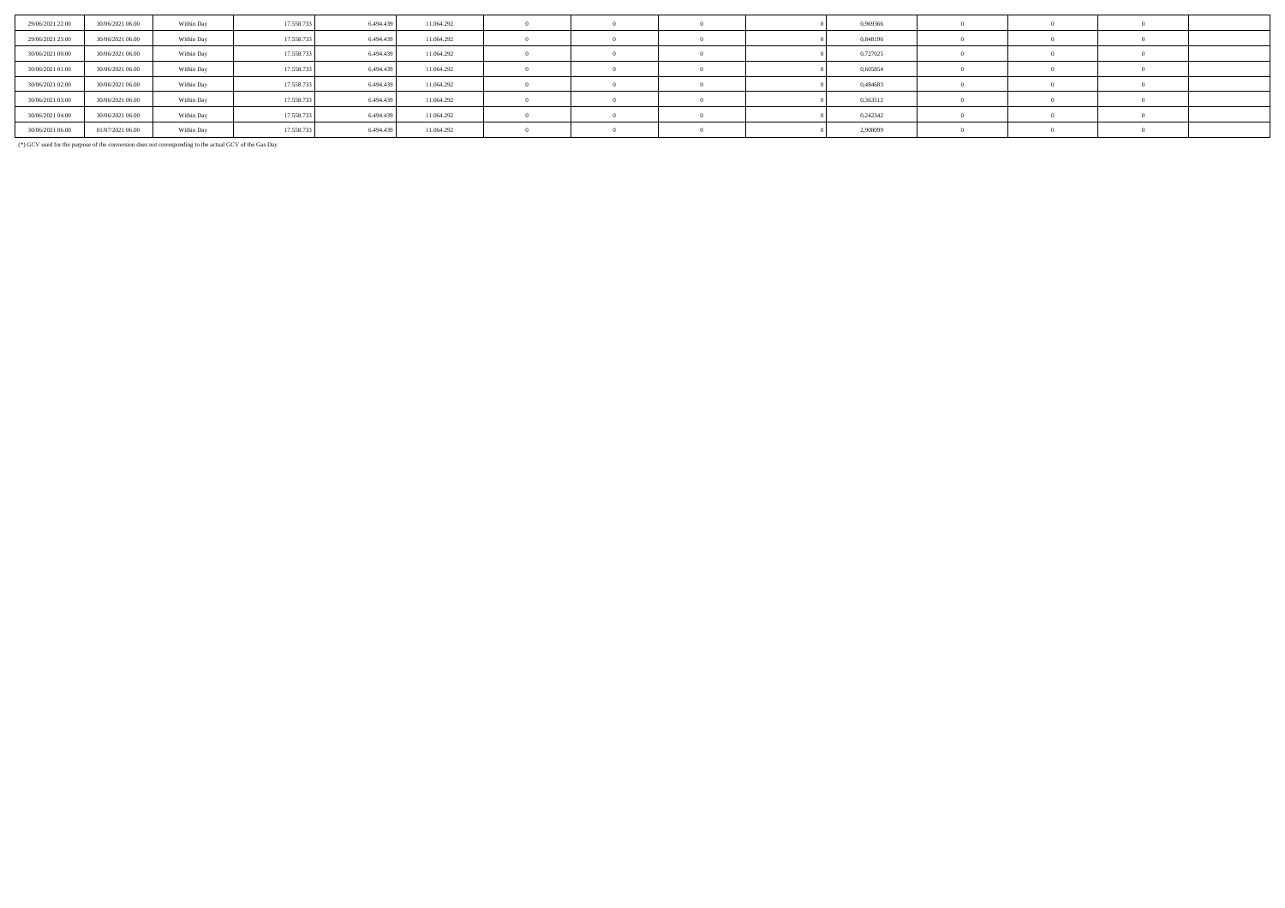| 29/06/2021 22:00 | 30/06/2021 06:00 | Within Day | 17.558.733 | 6.494.439 | 11.064.292 |  |  | 0,969366 |  |  |
|------------------|------------------|------------|------------|-----------|------------|--|--|----------|--|--|
| 29/06/2021 23:00 | 30/06/2021 06:00 | Within Day | 17.558.733 | 6.494.439 | 11.064.292 |  |  | 0,848196 |  |  |
| 30/06/2021 00:00 | 30/06/2021 06:00 | Within Day | 17.558.733 | 6.494.439 | 11.064.292 |  |  | 0,727025 |  |  |
| 30/06/2021 01:00 | 30/06/2021 06:00 | Within Day | 17.558.733 | 6.494.439 | 11.064.292 |  |  | 0,605854 |  |  |
| 30/06/2021 02:00 | 30/06/2021 06:00 | Within Day | 17.558.733 | 6.494.439 | 11.064.292 |  |  | 0.484683 |  |  |
| 30/06/2021 03:00 | 30/06/2021 06:00 | Within Day | 17.558.733 | 6.494.439 | 11.064.292 |  |  | 0,363512 |  |  |
| 30/06/2021 04:00 | 30/06/2021 06:00 | Within Day | 17.558.733 | 6.494.439 | 11.064.292 |  |  | 0,242342 |  |  |
| 30/06/2021 06:00 | 01/07/2021 06:00 | Within Day | 17.558.733 | 6.494.439 | 11.064.292 |  |  | 2,908099 |  |  |

(\*) GCV used for the purpose of the conversion does not corresponding to the actual GCV of the Gas Day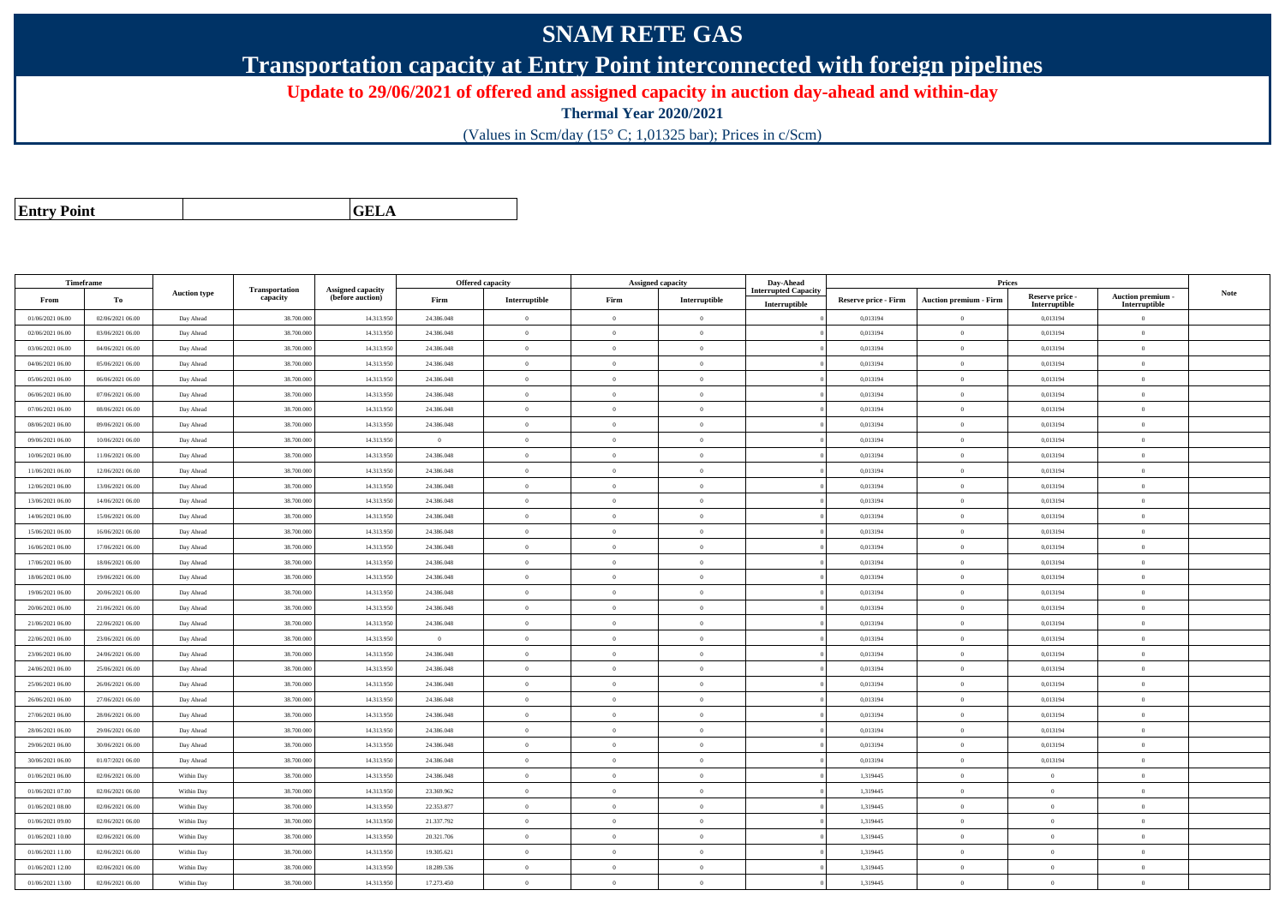## **SNAM RETE GAS**

**Transportation capacity at Entry Point interconnected with foreign pipelines**

**Update to 29/06/2021 of offered and assigned capacity in auction day-ahead and within-day**

**Thermal Year 2020/2021**

(Values in Scm/day (15° C; 1,01325 bar); Prices in c/Scm)

| <b>Entry Point</b> |  |
|--------------------|--|
|--------------------|--|

**a CELA** 

| Timeframe                            |                                      |                        |                            |                                       |                          | Offered capacity     |                      | <b>Assigned capacity</b>   | Day-Ahead            |                      | Prices                        |                           |                                 |             |
|--------------------------------------|--------------------------------------|------------------------|----------------------------|---------------------------------------|--------------------------|----------------------|----------------------|----------------------------|----------------------|----------------------|-------------------------------|---------------------------|---------------------------------|-------------|
| From                                 | To                                   | <b>Auction type</b>    | Transportation<br>capacity | Assigned capacity<br>(before auction) | Firm                     | Interruptible        | Firm                 | Interruptible              | Interrupted Capacity | Reserve price - Firm | <b>Auction premium - Firm</b> | Reserve price -           | Auction premium -               | <b>Note</b> |
| 01/06/2021 06:00                     | 02/06/2021 06:00                     | Day Ahead              | 38.700.00                  | 14.313.95                             | 24.386.048               | $\overline{0}$       | $\Omega$             | $\Omega$                   | Interruptible        | 0,013194             | $\overline{0}$                | Interruptible<br>0,013194 | Interruptible<br>$\overline{0}$ |             |
| 02/06/2021 06:00                     | 03/06/2021 06:00                     | Day Ahead              | 38.700.000                 | 14.313.95                             | 24.386.048               | $\overline{0}$       | $\theta$             | $\overline{0}$             |                      | 0,013194             | $\overline{0}$                | 0,013194                  | $\mathbf{0}$                    |             |
| 03/06/2021 06:00                     | 04/06/2021 06:00                     | Day Ahead              | 38.700.00                  | 14.313.95                             | 24.386.048               | $\overline{0}$       | $\theta$             | $\Omega$                   |                      | 0,013194             | $\overline{0}$                | 0,013194                  | $\theta$                        |             |
| 04/06/2021 06:00                     | 05/06/2021 06:00                     | Day Ahead              | 38.700.000                 | 14.313.95                             | 24.386.048               | $\overline{0}$       | $\overline{0}$       | $\theta$                   |                      | 0,013194             | $\bf{0}$                      | 0,013194                  | $\theta$                        |             |
| 05/06/2021 06:00                     | 06/06/2021 06:00                     | Day Ahead              | 38.700.000                 | 14.313.95                             | 24.386.048               | $\overline{0}$       | $\overline{0}$       | $\theta$                   |                      | 0,013194             | $\bf{0}$                      | 0,013194                  | $\theta$                        |             |
| 06/06/2021 06:00                     | 07/06/2021 06:00                     | Day Ahead              | 38.700.00                  | 14.313.95                             | 24.386.048               | $\overline{0}$       | $\overline{0}$       | $\theta$                   |                      | 0,013194             | $\bf{0}$                      | 0,013194                  | $\overline{0}$                  |             |
| 07/06/2021 06:00                     | 08/06/2021 06:00                     | Day Ahead              | 38.700.000                 | 14.313.95                             | 24.386.048               | $\overline{0}$       | $\theta$             | $\theta$                   |                      | 0,013194             | $\bf{0}$                      | 0,013194                  | $\mathbf{0}$                    |             |
| 08/06/2021 06:00                     | 09/06/2021 06:00                     |                        | 38,700,000                 | 14.313.95                             | 24.386,048               | $\theta$             | $\theta$             | $\theta$                   |                      | 0.013194             | $\theta$                      | 0.013194                  | $\Omega$                        |             |
| 09/06/2021 06:00                     | 10/06/2021 06:00                     | Day Ahead              | 38,700,000                 | 14.313.95                             | $\overline{0}$           | $\overline{0}$       | $\Omega$             | $\Omega$                   |                      | 0,013194             | $\bf{0}$                      | 0,013194                  | $\Omega$                        |             |
|                                      |                                      | Day Ahead              |                            |                                       |                          |                      | $\overline{0}$       |                            |                      |                      |                               |                           |                                 |             |
| 10/06/2021 06:00<br>11/06/2021 06:00 | 11/06/2021 06:00<br>12/06/2021 06:00 | Day Ahead<br>Day Ahead | 38.700.000<br>38,700,00    | 14.313.95<br>14.313.95                | 24.386.048<br>24.386.048 | $\bf{0}$<br>$\theta$ | $\theta$             | $\overline{0}$<br>$\Omega$ |                      | 0,013194<br>0.013194 | $\bf{0}$<br>$\mathbf{0}$      | 0,013194<br>0.013194      | $\bf{0}$<br>$\Omega$            |             |
|                                      |                                      |                        |                            |                                       |                          | $\theta$             |                      | $\theta$                   |                      |                      |                               |                           | $\mathbf{0}$                    |             |
| 12/06/2021 06:00                     | 13/06/2021 06:00                     | Day Ahead              | 38.700.000                 | 14.313.95                             | 24.386.048               |                      | $\theta$<br>$\Omega$ | $\Omega$                   |                      | 0,013194             | $\bf{0}$<br>$\theta$          | 0,013194                  |                                 |             |
| 13/06/2021 06:00                     | 14/06/2021 06:00                     | Day Ahead              | 38.700.000                 | 14.313.95                             | 24.386.048               | $\overline{0}$       | $\theta$             |                            |                      | 0,013194             |                               | 0,013194                  | $\overline{0}$<br>$\theta$      |             |
| 14/06/2021 06:00                     | 15/06/2021 06:00                     | Day Ahead              | 38.700.00                  | 14.313.95                             | 24.386.048               | $\overline{0}$       |                      | $\Omega$                   |                      | 0,013194             | $\bf{0}$                      | 0,013194                  |                                 |             |
| 15/06/2021 06:00                     | 16/06/2021 06:00                     | Day Ahead              | 38.700.000                 | 14.313.95                             | 24.386.048               | $\overline{0}$       | $\theta$             | $\theta$                   |                      | 0,013194             | $\bf{0}$                      | 0,013194                  | $\Omega$                        |             |
| 16/06/2021 06:00                     | 17/06/2021 06:00                     | Day Ahead              | 38.700.00                  | 14.313.95                             | 24.386.048               | $\mathbf{0}$         | $\overline{0}$       | $\Omega$                   |                      | 0,013194             | $\bf{0}$                      | 0,013194                  | $\mathbf{0}$                    |             |
| 17/06/2021 06:00                     | 18/06/2021 06:00                     | Day Ahead              | 38.700.00                  | 14.313.95                             | 24.386.048               | $\overline{0}$       | $\theta$             | $\theta$                   |                      | 0,013194             | $\bf{0}$                      | 0,013194                  | $\overline{0}$                  |             |
| 18/06/2021 06:00                     | 19/06/2021 06:00                     | Day Ahead              | 38.700.000                 | 14.313.95                             | 24.386.048               | $\mathbf{0}$         | $\theta$             | $\theta$                   |                      | 0,013194             | $\bf{0}$                      | 0,013194                  | $\mathbf{0}$                    |             |
| 19/06/2021 06:00                     | 20/06/2021 06:00                     | Day Ahead              | 38.700.000                 | 14.313.95                             | 24.386.048               | $\mathbf{0}$         | $\theta$             | $\theta$                   |                      | 0,013194             | $\bf{0}$                      | 0,013194                  | $\mathbf{0}$                    |             |
| 20/06/2021 06:00                     | 21/06/2021 06:00                     | Day Ahead              | 38.700.000                 | 14.313.95                             | 24.386.048               | $\overline{0}$       | $\Omega$             | $\overline{0}$             |                      | 0,013194             | $\overline{0}$                | 0,013194                  | $\mathbf{0}$                    |             |
| 21/06/2021 06:00                     | 22/06/2021 06:00                     | Day Ahead              | 38.700.000                 | 14.313.95                             | 24.386.048               | $\overline{0}$       | $\overline{0}$       | $\theta$                   |                      | 0,013194             | $\bf{0}$                      | 0,013194                  | $\theta$                        |             |
| 22/06/2021 06:00                     | 23/06/2021 06:00                     | Day Ahead              | 38.700.00                  | 14.313.95                             | $\overline{0}$           | $\mathbf{0}$         | $\theta$             | $\overline{0}$             |                      | 0,013194             | $\bf{0}$                      | 0,013194                  | $\mathbf{0}$                    |             |
| 23/06/2021 06:00                     | 24/06/2021 06:00                     | Day Ahead              | 38,700,000                 | 14.313.95                             | 24.386.048               | $\overline{0}$       | $\theta$             | $\overline{0}$             |                      | 0.013194             | $\mathbf{0}$                  | 0.013194                  | $\Omega$                        |             |
| 24/06/2021 06:00                     | 25/06/2021 06:00                     | Day Ahead              | 38.700.000                 | 14.313.95                             | 24.386.048               | $\Omega$             | $\Omega$             | $\Omega$                   |                      | 0,013194             | $\Omega$                      | 0,013194                  | $\Omega$                        |             |
| 25/06/2021 06:00                     | 26/06/2021 06:00                     | Day Ahead              | 38.700.00                  | 14.313.95                             | 24.386.048               | $\mathbf{0}$         | $\theta$             | $\theta$                   |                      | 0,013194             | $\bf{0}$                      | 0,013194                  | $\mathbf{0}$                    |             |
| 26/06/2021 06:00                     | 27/06/2021 06:00                     | Day Ahead              | 38.700.00                  | 14.313.95                             | 24.386.048               | $\mathbf{0}$         | $\theta$             | $\theta$                   |                      | 0,013194             | $\bf{0}$                      | 0,013194                  | $\theta$                        |             |
| 27/06/2021 06:00                     | 28/06/2021 06:00                     | Day Ahead              | 38,700,00                  | 14.313.95                             | 24.386.048               | $\overline{0}$       | $\theta$             | $\theta$                   |                      | 0.013194             | $\bf{0}$                      | 0.013194                  | $\mathbf{0}$                    |             |
| 28/06/2021 06:00                     | 29/06/2021 06:00                     | Day Ahead              | 38,700,000                 | 14.313.95                             | 24.386.048               | $\overline{0}$       | $\overline{0}$       | $\Omega$                   |                      | 0.013194             | $\overline{0}$                | 0,013194                  | $\mathbf{0}$                    |             |
| 29/06/2021 06:00                     | 30/06/2021 06:00                     | Day Ahead              | 38.700.000                 | 14.313.95                             | 24.386.048               | $\overline{0}$       | $\theta$             | $\Omega$                   |                      | 0,013194             | $\bf{0}$                      | 0,013194                  | $\overline{0}$                  |             |
| 30/06/2021 06:00                     | 01/07/2021 06:00                     | Day Ahead              | 38.700.000                 | 14.313.95                             | 24.386.048               | $\overline{0}$       | $\Omega$             | $\Omega$                   |                      | 0,013194             | $\bf{0}$                      | 0,013194                  | $\Omega$                        |             |
| 01/06/2021 06:00                     | 02/06/2021 06:00                     | Within Day             | 38,700,000                 | 14.313.95                             | 24.386.048               | $\overline{0}$       | $\overline{0}$       | $\overline{0}$             |                      | 1.319445             | $\overline{0}$                | $\overline{0}$            | $\mathbf{0}$                    |             |
| 01/06/2021 07:00                     | 02/06/2021 06:00                     | Within Day             | 38.700.000                 | 14.313.95                             | 23.369.962               | $\overline{0}$       | $\theta$             | $\Omega$                   |                      | 1,319445             | $\bf{0}$                      | $\theta$                  | $\theta$                        |             |
| 01/06/2021 08:00                     | 02/06/2021 06:00                     | Within Day             | 38.700.00                  | 14.313.95                             | 22.353.877               | $\overline{0}$       | $\theta$             | $\overline{0}$             |                      | 1,319445             | $\bf{0}$                      | $\overline{0}$            | $\overline{0}$                  |             |
| 01/06/2021 09:00                     | 02/06/2021 06:00                     | Within Day             | 38.700.000                 | 14.313.950                            | 21.337.792               | $\overline{0}$       | $\theta$             | $\theta$                   |                      | 1,319445             | $\mathbf{0}$                  | $\theta$                  | $\mathbf{0}$                    |             |
| 01/06/2021 10:00                     | 02/06/2021 06:00                     | Within Day             | 38,700,000                 | 14.313.95                             | 20.321.706               | $\overline{0}$       | $\theta$             | $\theta$                   |                      | 1.319445             | $\mathbf{0}$                  | $\theta$                  | $\Omega$                        |             |
| 01/06/2021 11:00                     | 02/06/2021 06:00                     | Within Day             | 38.700.00                  | 14.313.95                             | 19.305.621               | $\overline{0}$       | $\theta$             | $\theta$                   |                      | 1,319445             | $\bf{0}$                      | $\theta$                  | $\overline{0}$                  |             |
| 01/06/2021 12:00                     | 02/06/2021 06:00                     | Within Day             | 38.700.00                  | 14.313.95                             | 18.289.536               | $\overline{0}$       | $\overline{0}$       | $\theta$                   |                      | 1,319445             | $\bf{0}$                      | $\theta$                  | $\theta$                        |             |
| 01/06/2021 13:00                     | 02/06/2021 06:00                     | Within Day             | 38.700.000                 | 14.313.95                             | 17.273.450               | $\Omega$             | $\theta$             | $\Omega$                   |                      | 1,319445             | $\theta$                      | $\theta$                  | $\overline{0}$                  |             |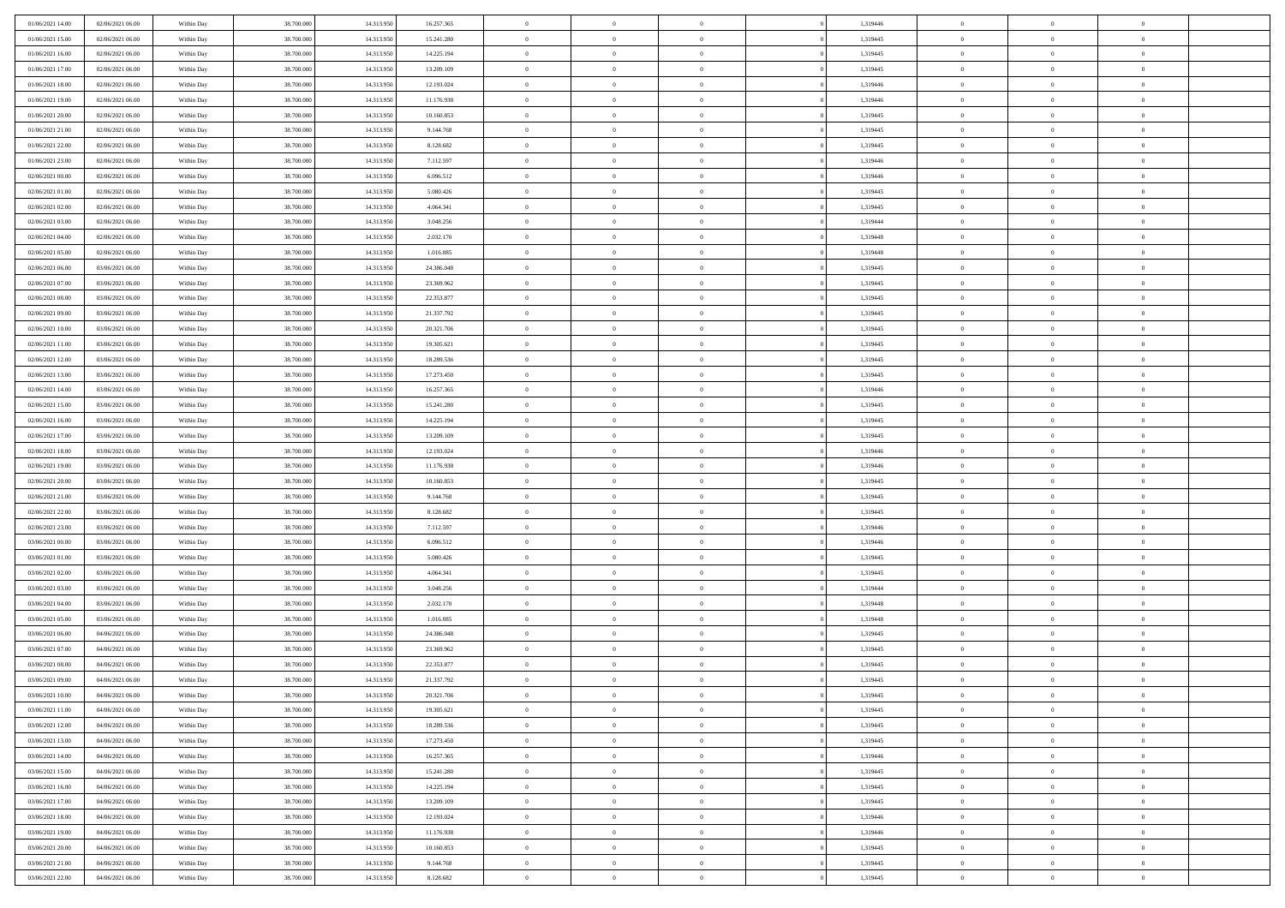| 01/06/2021 14:00 | 02/06/2021 06:00 | Within Day | 38,700,000 | 14.313.950 | 16.257.365 | $\overline{0}$ | $\overline{0}$ | $\Omega$       | 1,319446 | $\bf{0}$       | $\mathbf{0}$   | $\bf{0}$       |  |
|------------------|------------------|------------|------------|------------|------------|----------------|----------------|----------------|----------|----------------|----------------|----------------|--|
| 01/06/2021 15:00 | 02/06/2021 06:00 | Within Day | 38.700.000 | 14.313.950 | 15.241.280 | $\mathbf{0}$   | $\overline{0}$ | $\overline{0}$ | 1,319445 | $\overline{0}$ | $\overline{0}$ | $\theta$       |  |
| 01/06/2021 16:00 | 02/06/2021 06:00 | Within Day | 38.700.000 | 14.313.950 | 14.225.194 | $\,$ 0         | $\overline{0}$ | $\bf{0}$       | 1,319445 | $\,$ 0         | $\overline{0}$ | $\,$ 0 $\,$    |  |
| 01/06/2021 17.00 | 02/06/2021 06:00 | Within Day | 38,700,000 | 14.313.950 | 13.209.109 | $\bf{0}$       | $\overline{0}$ | $\Omega$       | 1,319445 | $\bf{0}$       | $\theta$       | $\theta$       |  |
| 01/06/2021 18:00 | 02/06/2021 06:00 | Within Dav | 38.700.000 | 14.313.950 | 12.193.024 | $\overline{0}$ | $\overline{0}$ | $\overline{0}$ | 1,319446 | $\mathbf{0}$   | $\overline{0}$ | $\overline{0}$ |  |
| 01/06/2021 19:00 | 02/06/2021 06:00 | Within Day | 38.700.000 | 14.313.950 | 11.176.938 | $\bf{0}$       | $\overline{0}$ | $\bf{0}$       | 1,319446 | $\,$ 0         | $\overline{0}$ | $\,$ 0 $\,$    |  |
| 01/06/2021 20:00 | 02/06/2021 06:00 | Within Day | 38,700,000 | 14.313.950 | 10.160.853 | $\bf{0}$       | $\overline{0}$ | $\Omega$       | 1,319445 | $\overline{0}$ | $\mathbf{0}$   | $\theta$       |  |
| 01/06/2021 21:00 | 02/06/2021 06:00 | Within Dav | 38.700.000 | 14.313.950 | 9.144.768  | $\overline{0}$ | $\overline{0}$ | $\overline{0}$ | 1,319445 | $\mathbf{0}$   | $\overline{0}$ | $\overline{0}$ |  |
| 01/06/2021 22.00 | 02/06/2021 06:00 | Within Day | 38.700.000 | 14.313.950 | 8.128.682  | $\bf{0}$       | $\overline{0}$ | $\bf{0}$       | 1,319445 | $\,$ 0         | $\overline{0}$ | $\,$ 0 $\,$    |  |
| 01/06/2021 23.00 | 02/06/2021 06:00 | Within Day | 38,700,000 | 14.313.950 | 7.112.597  | $\bf{0}$       | $\overline{0}$ | $\Omega$       | 1,319446 | $\bf{0}$       | $\mathbf{0}$   | $\theta$       |  |
| 02/06/2021 00:00 | 02/06/2021 06:00 | Within Day | 38.700.000 | 14.313.950 | 6.096.512  | $\overline{0}$ | $\overline{0}$ | $\overline{0}$ | 1,319446 | $\overline{0}$ | $\overline{0}$ | $\overline{0}$ |  |
| 02/06/2021 01:00 | 02/06/2021 06:00 | Within Day | 38.700.000 | 14.313.950 | 5.080.426  | $\,$ 0         | $\overline{0}$ | $\bf{0}$       | 1,319445 | $\,$ 0         | $\overline{0}$ | $\,$ 0 $\,$    |  |
| 02/06/2021 02:00 | 02/06/2021 06:00 | Within Day | 38,700,000 | 14.313.950 | 4.064.341  | $\bf{0}$       | $\overline{0}$ | $\Omega$       | 1,319445 | $\overline{0}$ | $\theta$       | $\theta$       |  |
| 02/06/2021 03:00 | 02/06/2021 06:00 | Within Dav | 38.700.000 | 14.313.950 | 3.048.256  | $\overline{0}$ | $\overline{0}$ | $\overline{0}$ | 1,319444 | $\mathbf{0}$   | $\overline{0}$ | $\overline{0}$ |  |
| 02/06/2021 04:00 | 02/06/2021 06:00 | Within Day | 38.700.000 | 14.313.950 | 2.032.170  | $\bf{0}$       | $\overline{0}$ | $\bf{0}$       | 1,319448 | $\,$ 0         | $\overline{0}$ | $\,$ 0 $\,$    |  |
| 02/06/2021 05:00 | 02/06/2021 06:00 | Within Day | 38,700,000 | 14.313.950 | 1.016.085  | $\bf{0}$       | $\overline{0}$ | $\overline{0}$ | 1,319448 | $\bf{0}$       | $\mathbf{0}$   | $\bf{0}$       |  |
| 02/06/2021 06:00 | 03/06/2021 06:00 | Within Day | 38.700.000 | 14.313.950 | 24.386.048 | $\overline{0}$ | $\overline{0}$ | $\overline{0}$ | 1,319445 | $\overline{0}$ | $\overline{0}$ | $\overline{0}$ |  |
| 02/06/2021 07:00 | 03/06/2021 06:00 | Within Day | 38.700.000 | 14.313.950 | 23.369.962 | $\bf{0}$       | $\overline{0}$ | $\bf{0}$       | 1,319445 | $\,$ 0         | $\overline{0}$ | $\,0\,$        |  |
| 02/06/2021 08:00 | 03/06/2021 06:00 | Within Day | 38,700,000 | 14.313.950 | 22.353.877 | $\bf{0}$       | $\overline{0}$ | $\Omega$       | 1,319445 | $\overline{0}$ | $\mathbf{0}$   | $\theta$       |  |
| 02/06/2021 09:00 | 03/06/2021 06:00 | Within Day | 38.700.000 | 14.313.950 | 21.337.792 | $\overline{0}$ | $\overline{0}$ | $\overline{0}$ | 1,319445 | $\overline{0}$ | $\overline{0}$ | $\overline{0}$ |  |
| 02/06/2021 10:00 | 03/06/2021 06:00 | Within Day | 38.700.000 | 14.313.950 | 20.321.706 | $\bf{0}$       | $\overline{0}$ | $\bf{0}$       | 1,319445 | $\,$ 0         | $\overline{0}$ | $\,$ 0 $\,$    |  |
| 02/06/2021 11:00 | 03/06/2021 06:00 | Within Day | 38,700,000 | 14.313.950 | 19.305.621 | $\bf{0}$       | $\overline{0}$ | $\Omega$       | 1,319445 | $\overline{0}$ | $\theta$       | $\theta$       |  |
| 02/06/2021 12:00 | 03/06/2021 06:00 | Within Dav | 38.700.000 | 14.313.950 | 18.289.536 | $\overline{0}$ | $\overline{0}$ | $\overline{0}$ | 1,319445 | $\mathbf{0}$   | $\overline{0}$ | $\overline{0}$ |  |
| 02/06/2021 13:00 | 03/06/2021 06:00 | Within Day | 38.700.000 | 14.313.950 | 17.273.450 | $\bf{0}$       | $\overline{0}$ | $\bf{0}$       | 1,319445 | $\,$ 0         | $\overline{0}$ | $\,$ 0 $\,$    |  |
| 02/06/2021 14:00 | 03/06/2021 06:00 | Within Day | 38,700,000 | 14.313.950 | 16.257.365 | $\bf{0}$       | $\overline{0}$ | $\overline{0}$ | 1,319446 | $\bf{0}$       | $\mathbf{0}$   | $\theta$       |  |
| 02/06/2021 15:00 | 03/06/2021 06:00 | Within Day | 38.700.000 | 14.313.950 | 15.241.280 | $\mathbf{0}$   | $\overline{0}$ | $\overline{0}$ | 1,319445 | $\overline{0}$ | $\overline{0}$ | $\overline{0}$ |  |
| 02/06/2021 16:00 | 03/06/2021 06:00 | Within Day | 38.700.000 | 14.313.950 | 14.225.194 | $\bf{0}$       | $\overline{0}$ | $\bf{0}$       | 1,319445 | $\,$ 0         | $\overline{0}$ | $\,$ 0 $\,$    |  |
| 02/06/2021 17:00 | 03/06/2021 06:00 | Within Day | 38,700,000 | 14.313.950 | 13.209.109 | $\bf{0}$       | $\overline{0}$ | $\Omega$       | 1,319445 | $\bf{0}$       | $\mathbf{0}$   | $\theta$       |  |
| 02/06/2021 18:00 | 03/06/2021 06:00 | Within Day | 38.700.000 | 14.313.950 | 12.193.024 | $\overline{0}$ | $\overline{0}$ | $\overline{0}$ | 1,319446 | $\mathbf{0}$   | $\overline{0}$ | $\overline{0}$ |  |
| 02/06/2021 19:00 | 03/06/2021 06:00 | Within Day | 38.700.000 | 14.313.950 | 11.176.938 | $\bf{0}$       | $\overline{0}$ | $\bf{0}$       | 1,319446 | $\,$ 0         | $\overline{0}$ | $\,$ 0 $\,$    |  |
| 02/06/2021 20:00 | 03/06/2021 06:00 | Within Day | 38.700.000 | 14.313.950 | 10.160.853 | $\,$ 0         | $\overline{0}$ | $\overline{0}$ | 1,319445 | $\bf{0}$       | $\overline{0}$ | $\,0\,$        |  |
| 02/06/2021 21:00 | 03/06/2021 06:00 | Within Dav | 38.700.000 | 14.313.950 | 9.144.768  | $\overline{0}$ | $\overline{0}$ | $\overline{0}$ | 1,319445 | $\mathbf{0}$   | $\overline{0}$ | $\overline{0}$ |  |
| 02/06/2021 22.00 | 03/06/2021 06:00 | Within Day | 38.700.000 | 14.313.950 | 8.128.682  | $\bf{0}$       | $\overline{0}$ | $\bf{0}$       | 1,319445 | $\,$ 0         | $\overline{0}$ | $\,$ 0 $\,$    |  |
| 02/06/2021 23.00 | 03/06/2021 06:00 | Within Day | 38.700.000 | 14.313.950 | 7.112.597  | $\bf{0}$       | $\overline{0}$ | $\bf{0}$       | 1,319446 | $\bf{0}$       | $\overline{0}$ | $\,0\,$        |  |
| 03/06/2021 00:00 | 03/06/2021 06:00 | Within Day | 38.700.000 | 14.313.950 | 6.096.512  | $\mathbf{0}$   | $\overline{0}$ | $\overline{0}$ | 1,319446 | $\overline{0}$ | $\overline{0}$ | $\overline{0}$ |  |
| 03/06/2021 01:00 | 03/06/2021 06:00 | Within Day | 38.700.000 | 14.313.950 | 5.080.426  | $\bf{0}$       | $\overline{0}$ | $\bf{0}$       | 1,319445 | $\,$ 0         | $\overline{0}$ | $\,$ 0 $\,$    |  |
| 03/06/2021 02:00 | 03/06/2021 06:00 | Within Day | 38.700.000 | 14.313.950 | 4.064.341  | $\,$ 0         | $\overline{0}$ | $\overline{0}$ | 1,319445 | $\bf{0}$       | $\overline{0}$ | $\,0\,$        |  |
| 03/06/2021 03:00 | 03/06/2021 06:00 | Within Day | 38.700.000 | 14.313.950 | 3.048.256  | $\overline{0}$ | $\overline{0}$ | $\overline{0}$ | 1,319444 | $\mathbf{0}$   | $\overline{0}$ | $\overline{0}$ |  |
| 03/06/2021 04:00 | 03/06/2021 06:00 | Within Day | 38.700.000 | 14.313.950 | 2.032.170  | $\bf{0}$       | $\overline{0}$ | $\bf{0}$       | 1,319448 | $\,$ 0         | $\overline{0}$ | $\,$ 0 $\,$    |  |
| 03/06/2021 05:00 | 03/06/2021 06:00 | Within Day | 38.700.000 | 14.313.950 | 1.016.085  | $\bf{0}$       | $\overline{0}$ | $\overline{0}$ | 1,319448 | $\bf{0}$       | $\overline{0}$ | $\,0\,$        |  |
| 03/06/2021 06:00 | 04/06/2021 06:00 | Within Dav | 38.700.000 | 14.313.950 | 24.386.048 | $\overline{0}$ | $\overline{0}$ | $\overline{0}$ | 1,319445 | $\overline{0}$ | $\overline{0}$ | $\overline{0}$ |  |
| 03/06/2021 07:00 | 04/06/2021 06:00 | Within Day | 38.700.000 | 14.313.950 | 23.369.962 | $\bf{0}$       | $\overline{0}$ | $\bf{0}$       | 1,319445 | $\,$ 0         | $\overline{0}$ | $\,$ 0 $\,$    |  |
| 03/06/2021 08:00 | 04/06/2021 06:00 | Within Day | 38.700.000 | 14.313.950 | 22.353.877 | $\bf{0}$       | $\bf{0}$       | $\bf{0}$       | 1,319445 | $\bf{0}$       | $\overline{0}$ | $\,0\,$        |  |
| 03/06/2021 09:00 | 04/06/2021 06:00 | Within Day | 38.700.000 | 14.313.950 | 21.337.792 | $\mathbf{0}$   | $\overline{0}$ | $\overline{0}$ | 1,319445 | $\overline{0}$ | $\overline{0}$ | $\overline{0}$ |  |
| 03/06/2021 10:00 | 04/06/2021 06:00 | Within Day | 38.700.000 | 14.313.950 | 20.321.706 | $\bf{0}$       | $\overline{0}$ | $\theta$       | 1,319445 | $\overline{0}$ | $\theta$       | $\theta$       |  |
| 03/06/2021 11:00 | 04/06/2021 06:00 | Within Day | 38.700.000 | 14.313.950 | 19.305.621 | $\bf{0}$       | $\bf{0}$       | $\bf{0}$       | 1,319445 | $\bf{0}$       | $\overline{0}$ | $\,0\,$        |  |
| 03/06/2021 12:00 | 04/06/2021 06:00 | Within Day | 38.700.000 | 14.313.950 | 18.289.536 | $\overline{0}$ | $\overline{0}$ | $\overline{0}$ | 1,319445 | $\overline{0}$ | $\bf{0}$       | $\overline{0}$ |  |
| 03/06/2021 13:00 | 04/06/2021 06:00 | Within Day | 38.700.000 | 14.313.950 | 17.273.450 | $\,$ 0 $\,$    | $\overline{0}$ | $\overline{0}$ | 1,319445 | $\mathbf{0}$   | $\,$ 0 $\,$    | $\,$ 0 $\,$    |  |
| 03/06/2021 14:00 | 04/06/2021 06:00 | Within Day | 38.700.000 | 14.313.950 | 16.257.365 | $\bf{0}$       | $\bf{0}$       | $\overline{0}$ | 1,319446 | $\bf{0}$       | $\overline{0}$ | $\bf{0}$       |  |
| 03/06/2021 15:00 | 04/06/2021 06:00 | Within Day | 38.700.000 | 14.313.950 | 15.241.280 | $\bf{0}$       | $\overline{0}$ | $\overline{0}$ | 1,319445 | $\mathbf{0}$   | $\overline{0}$ | $\overline{0}$ |  |
| 03/06/2021 16:00 | 04/06/2021 06:00 | Within Day | 38.700.000 | 14.313.950 | 14.225.194 | $\,$ 0 $\,$    | $\overline{0}$ | $\overline{0}$ | 1,319445 | $\,$ 0 $\,$    | $\overline{0}$ | $\,$ 0 $\,$    |  |
| 03/06/2021 17:00 | 04/06/2021 06:00 | Within Day | 38.700.000 | 14.313.950 | 13.209.109 | $\bf{0}$       | $\overline{0}$ | $\overline{0}$ | 1,319445 | $\bf{0}$       | $\overline{0}$ | $\overline{0}$ |  |
| 03/06/2021 18:00 | 04/06/2021 06:00 | Within Day | 38.700.000 | 14.313.950 | 12.193.024 | $\overline{0}$ | $\overline{0}$ | $\overline{0}$ | 1,319446 | $\overline{0}$ | $\bf{0}$       | $\overline{0}$ |  |
| 03/06/2021 19:00 | 04/06/2021 06:00 | Within Day | 38.700.000 | 14.313.950 | 11.176.938 | $\,$ 0 $\,$    | $\overline{0}$ | $\overline{0}$ | 1,319446 | $\,$ 0 $\,$    | $\,$ 0 $\,$    | $\,$ 0 $\,$    |  |
| 03/06/2021 20:00 | 04/06/2021 06:00 | Within Day | 38.700.000 | 14.313.950 | 10.160.853 | $\bf{0}$       | $\bf{0}$       | $\overline{0}$ | 1,319445 | $\bf{0}$       | $\overline{0}$ | $\bf{0}$       |  |
| 03/06/2021 21:00 | 04/06/2021 06:00 | Within Day | 38.700.000 | 14.313.950 | 9.144.768  | $\bf{0}$       | $\overline{0}$ | $\overline{0}$ | 1,319445 | $\mathbf{0}$   | $\bf{0}$       | $\overline{0}$ |  |
| 03/06/2021 22.00 | 04/06/2021 06:00 | Within Day | 38.700.000 | 14.313.950 | 8.128.682  | $\,0\,$        | $\overline{0}$ | $\overline{0}$ | 1,319445 | $\,$ 0         | $\overline{0}$ | $\,$ 0 $\,$    |  |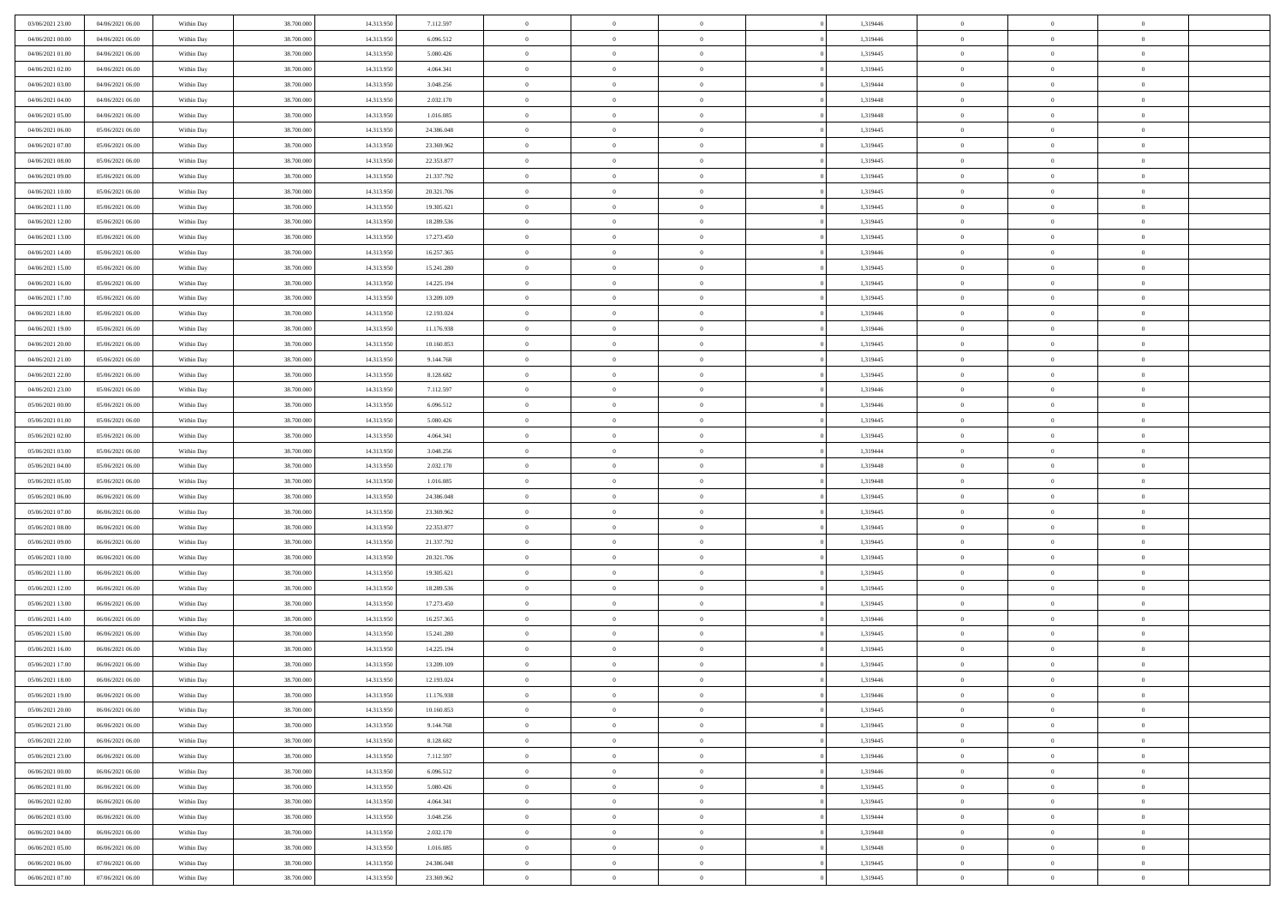| 03/06/2021 23.00 | 04/06/2021 06:00 | Within Day | 38,700,000 | 14.313.950 | 7.112.597  | $\bf{0}$       | $\overline{0}$ | $\Omega$       | 1,319446 | $\bf{0}$       | $\mathbf{0}$   | $\bf{0}$       |  |
|------------------|------------------|------------|------------|------------|------------|----------------|----------------|----------------|----------|----------------|----------------|----------------|--|
| 04/06/2021 00:00 | 04/06/2021 06:00 | Within Day | 38.700.000 | 14.313.950 | 6.096.512  | $\mathbf{0}$   | $\overline{0}$ | $\overline{0}$ | 1,319446 | $\overline{0}$ | $\overline{0}$ | $\theta$       |  |
| 04/06/2021 01:00 | 04/06/2021 06:00 | Within Day | 38.700.000 | 14.313.950 | 5.080.426  | $\,$ 0         | $\overline{0}$ | $\bf{0}$       | 1,319445 | $\,$ 0         | $\overline{0}$ | $\,$ 0 $\,$    |  |
| 04/06/2021 02.00 | 04/06/2021 06:00 | Within Day | 38,700,000 | 14.313.950 | 4.064.341  | $\bf{0}$       | $\overline{0}$ | $\Omega$       | 1,319445 | $\bf{0}$       | $\mathbf{0}$   | $\theta$       |  |
| 04/06/2021 03:00 | 04/06/2021 06:00 | Within Dav | 38.700.000 | 14.313.950 | 3.048.256  | $\bf{0}$       | $\overline{0}$ | $\overline{0}$ | 1,319444 | $\mathbf{0}$   | $\overline{0}$ | $\overline{0}$ |  |
| 04/06/2021 04:00 | 04/06/2021 06:00 | Within Day | 38.700.000 | 14.313.950 | 2.032.170  | $\bf{0}$       | $\overline{0}$ | $\bf{0}$       | 1,319448 | $\,$ 0         | $\overline{0}$ | $\,$ 0 $\,$    |  |
| 04/06/2021 05:00 | 04/06/2021 06:00 | Within Day | 38,700,000 | 14.313.950 | 1.016.085  | $\bf{0}$       | $\overline{0}$ | $\Omega$       | 1,319448 | $\overline{0}$ | $\mathbf{0}$   | $\theta$       |  |
| 04/06/2021 06:00 | 05/06/2021 06:00 | Within Dav | 38.700.000 | 14.313.950 | 24.386.048 | $\overline{0}$ | $\overline{0}$ | $\overline{0}$ | 1,319445 | $\mathbf{0}$   | $\overline{0}$ | $\overline{0}$ |  |
| 04/06/2021 07:00 | 05/06/2021 06:00 | Within Day | 38.700.000 | 14.313.950 | 23.369.962 | $\bf{0}$       | $\overline{0}$ | $\bf{0}$       | 1,319445 | $\,$ 0         | $\overline{0}$ | $\,$ 0 $\,$    |  |
| 04/06/2021 08:00 | 05/06/2021 06:00 | Within Day | 38,700,000 | 14.313.950 | 22.353.877 | $\bf{0}$       | $\overline{0}$ | $\Omega$       | 1,319445 | $\bf{0}$       | $\mathbf{0}$   | $\theta$       |  |
| 04/06/2021 09:00 | 05/06/2021 06:00 | Within Day | 38.700.000 | 14.313.950 | 21.337.792 | $\overline{0}$ | $\overline{0}$ | $\overline{0}$ | 1,319445 | $\overline{0}$ | $\overline{0}$ | $\overline{0}$ |  |
| 04/06/2021 10:00 | 05/06/2021 06:00 | Within Day | 38.700.000 | 14.313.950 | 20.321.706 | $\,$ 0         | $\overline{0}$ | $\bf{0}$       | 1,319445 | $\,$ 0         | $\overline{0}$ | $\,$ 0 $\,$    |  |
| 04/06/2021 11:00 | 05/06/2021 06:00 | Within Day | 38,700,000 | 14.313.950 | 19.305.621 | $\bf{0}$       | $\overline{0}$ | $\Omega$       | 1,319445 | $\overline{0}$ | $\mathbf{0}$   | $\theta$       |  |
| 04/06/2021 12:00 | 05/06/2021 06:00 | Within Dav | 38.700.000 | 14.313.950 | 18.289.536 | $\overline{0}$ | $\overline{0}$ | $\overline{0}$ | 1,319445 | $\mathbf{0}$   | $\overline{0}$ | $\overline{0}$ |  |
| 04/06/2021 13:00 | 05/06/2021 06:00 | Within Day | 38.700.000 | 14.313.950 | 17.273.450 | $\bf{0}$       | $\overline{0}$ | $\bf{0}$       | 1,319445 | $\,$ 0         | $\overline{0}$ | $\,$ 0 $\,$    |  |
| 04/06/2021 14:00 | 05/06/2021 06:00 | Within Day | 38,700,000 | 14.313.950 | 16.257.365 | $\bf{0}$       | $\overline{0}$ | $\overline{0}$ | 1,319446 | $\bf{0}$       | $\mathbf{0}$   | $\bf{0}$       |  |
| 04/06/2021 15:00 | 05/06/2021 06:00 | Within Day | 38.700.000 | 14.313.950 | 15.241.280 | $\overline{0}$ | $\overline{0}$ | $\overline{0}$ | 1,319445 | $\overline{0}$ | $\overline{0}$ | $\overline{0}$ |  |
| 04/06/2021 16:00 | 05/06/2021 06:00 | Within Day | 38.700.000 | 14.313.950 | 14.225.194 | $\bf{0}$       | $\overline{0}$ | $\bf{0}$       | 1,319445 | $\,$ 0         | $\overline{0}$ | $\,0\,$        |  |
| 04/06/2021 17:00 | 05/06/2021 06:00 | Within Day | 38,700,000 | 14.313.950 | 13.209.109 | $\bf{0}$       | $\overline{0}$ | $\Omega$       | 1,319445 | $\overline{0}$ | $\mathbf{0}$   | $\theta$       |  |
| 04/06/2021 18:00 | 05/06/2021 06:00 | Within Day | 38.700.000 | 14.313.950 | 12.193.024 | $\overline{0}$ | $\overline{0}$ | $\overline{0}$ | 1,319446 | $\overline{0}$ | $\overline{0}$ | $\overline{0}$ |  |
| 04/06/2021 19:00 | 05/06/2021 06:00 | Within Day | 38.700.000 | 14.313.950 | 11.176.938 | $\bf{0}$       | $\overline{0}$ | $\bf{0}$       | 1,319446 | $\,$ 0         | $\overline{0}$ | $\,$ 0 $\,$    |  |
| 04/06/2021 20:00 | 05/06/2021 06:00 | Within Day | 38,700,000 | 14.313.950 | 10.160.853 | $\bf{0}$       | $\overline{0}$ | $\Omega$       | 1,319445 | $\overline{0}$ | $\theta$       | $\theta$       |  |
| 04/06/2021 21:00 | 05/06/2021 06:00 | Within Day | 38.700.000 | 14.313.950 | 9.144.768  | $\overline{0}$ | $\overline{0}$ | $\overline{0}$ | 1,319445 | $\mathbf{0}$   | $\overline{0}$ | $\overline{0}$ |  |
| 04/06/2021 22.00 | 05/06/2021 06:00 | Within Day | 38.700.000 | 14.313.950 | 8.128.682  | $\bf{0}$       | $\overline{0}$ | $\bf{0}$       | 1,319445 | $\,$ 0         | $\overline{0}$ | $\,$ 0 $\,$    |  |
| 04/06/2021 23.00 | 05/06/2021 06:00 | Within Day | 38,700,000 | 14.313.950 | 7.112.597  | $\bf{0}$       | $\overline{0}$ | $\overline{0}$ | 1,319446 | $\bf{0}$       | $\mathbf{0}$   | $\theta$       |  |
| 05/06/2021 00:00 | 05/06/2021 06:00 | Within Day | 38.700.000 | 14.313.950 | 6.096.512  | $\overline{0}$ | $\overline{0}$ | $\overline{0}$ | 1,319446 | $\overline{0}$ | $\overline{0}$ | $\theta$       |  |
| 05/06/2021 01:00 | 05/06/2021 06:00 | Within Day | 38.700.000 | 14.313.950 | 5.080.426  | $\bf{0}$       | $\overline{0}$ | $\bf{0}$       | 1,319445 | $\,$ 0         | $\overline{0}$ | $\,$ 0 $\,$    |  |
| 05/06/2021 02:00 | 05/06/2021 06:00 | Within Day | 38,700,000 | 14.313.950 | 4.064.341  | $\bf{0}$       | $\overline{0}$ | $\Omega$       | 1,319445 | $\bf{0}$       | $\mathbf{0}$   | $\theta$       |  |
| 05/06/2021 03:00 | 05/06/2021 06:00 | Within Day | 38.700.000 | 14.313.950 | 3.048.256  | $\overline{0}$ | $\overline{0}$ | $\overline{0}$ | 1,319444 | $\mathbf{0}$   | $\overline{0}$ | $\overline{0}$ |  |
| 05/06/2021 04:00 | 05/06/2021 06:00 | Within Day | 38.700.000 | 14.313.950 | 2.032.170  | $\bf{0}$       | $\overline{0}$ | $\bf{0}$       | 1,319448 | $\,$ 0         | $\overline{0}$ | $\,$ 0 $\,$    |  |
| 05/06/2021 05:00 | 05/06/2021 06:00 | Within Day | 38.700.000 | 14.313.950 | 1.016.085  | $\,$ 0         | $\overline{0}$ | $\overline{0}$ | 1,319448 | $\bf{0}$       | $\overline{0}$ | $\,0\,$        |  |
| 05/06/2021 06:00 | 06/06/2021 06:00 | Within Dav | 38.700.000 | 14.313.950 | 24.386.048 | $\overline{0}$ | $\overline{0}$ | $\overline{0}$ | 1,319445 | $\mathbf{0}$   | $\overline{0}$ | $\overline{0}$ |  |
| 05/06/2021 07:00 | 06/06/2021 06:00 | Within Day | 38.700.000 | 14.313.950 | 23.369.962 | $\bf{0}$       | $\overline{0}$ | $\bf{0}$       | 1,319445 | $\,$ 0         | $\overline{0}$ | $\,$ 0 $\,$    |  |
| 05/06/2021 08:00 | 06/06/2021 06:00 | Within Day | 38.700.000 | 14.313.950 | 22.353.877 | $\bf{0}$       | $\overline{0}$ | $\bf{0}$       | 1,319445 | $\bf{0}$       | $\overline{0}$ | $\,0\,$        |  |
| 05/06/2021 09:00 | 06/06/2021 06:00 | Within Day | 38.700.000 | 14.313.950 | 21.337.792 | $\mathbf{0}$   | $\overline{0}$ | $\overline{0}$ | 1,319445 | $\overline{0}$ | $\overline{0}$ | $\overline{0}$ |  |
| 05/06/2021 10:00 | 06/06/2021 06:00 | Within Day | 38.700.000 | 14.313.950 | 20.321.706 | $\bf{0}$       | $\overline{0}$ | $\bf{0}$       | 1,319445 | $\,$ 0         | $\overline{0}$ | $\,$ 0 $\,$    |  |
| 05/06/2021 11:00 | 06/06/2021 06:00 | Within Day | 38.700.000 | 14.313.950 | 19.305.621 | $\,$ 0         | $\overline{0}$ | $\overline{0}$ | 1,319445 | $\bf{0}$       | $\overline{0}$ | $\,0\,$        |  |
| 05/06/2021 12:00 | 06/06/2021 06:00 | Within Day | 38.700.000 | 14.313.950 | 18.289.536 | $\overline{0}$ | $\overline{0}$ | $\overline{0}$ | 1,319445 | $\mathbf{0}$   | $\overline{0}$ | $\overline{0}$ |  |
| 05/06/2021 13:00 | 06/06/2021 06:00 | Within Day | 38.700.000 | 14.313.950 | 17.273.450 | $\bf{0}$       | $\overline{0}$ | $\bf{0}$       | 1,319445 | $\,$ 0         | $\overline{0}$ | $\,$ 0 $\,$    |  |
| 05/06/2021 14:00 | 06/06/2021 06:00 | Within Day | 38.700.000 | 14.313.950 | 16.257.365 | $\bf{0}$       | $\overline{0}$ | $\overline{0}$ | 1,319446 | $\bf{0}$       | $\overline{0}$ | $\,0\,$        |  |
| 05/06/2021 15:00 | 06/06/2021 06:00 | Within Dav | 38.700.000 | 14.313.950 | 15.241.280 | $\overline{0}$ | $\overline{0}$ | $\overline{0}$ | 1,319445 | $\overline{0}$ | $\overline{0}$ | $\overline{0}$ |  |
| 05/06/2021 16:00 | 06/06/2021 06:00 | Within Day | 38.700.000 | 14.313.950 | 14.225.194 | $\bf{0}$       | $\overline{0}$ | $\bf{0}$       | 1,319445 | $\,$ 0         | $\overline{0}$ | $\,$ 0 $\,$    |  |
| 05/06/2021 17:00 | 06/06/2021 06:00 | Within Day | 38.700.000 | 14.313.950 | 13.209.109 | $\bf{0}$       | $\overline{0}$ | $\bf{0}$       | 1,319445 | $\bf{0}$       | $\overline{0}$ | $\,0\,$        |  |
| 05/06/2021 18:00 | 06/06/2021 06:00 | Within Day | 38.700.000 | 14.313.950 | 12.193.024 | $\mathbf{0}$   | $\overline{0}$ | $\overline{0}$ | 1,319446 | $\overline{0}$ | $\overline{0}$ | $\overline{0}$ |  |
| 05/06/2021 19:00 | 06/06/2021 06:00 | Within Day | 38.700.000 | 14.313.950 | 11.176.938 | $\bf{0}$       | $\overline{0}$ | $\theta$       | 1,319446 | $\overline{0}$ | $\theta$       | $\theta$       |  |
| 05/06/2021 20:00 | 06/06/2021 06:00 | Within Day | 38.700.000 | 14.313.950 | 10.160.853 | $\bf{0}$       | $\overline{0}$ | $\bf{0}$       | 1,319445 | $\bf{0}$       | $\overline{0}$ | $\,0\,$        |  |
| 05/06/2021 21:00 | 06/06/2021 06:00 | Within Day | 38.700.000 | 14.313.950 | 9.144.768  | $\overline{0}$ | $\overline{0}$ | $\overline{0}$ | 1,319445 | $\overline{0}$ | $\bf{0}$       | $\overline{0}$ |  |
| 05/06/2021 22.00 | 06/06/2021 06:00 | Within Day | 38.700.000 | 14.313.950 | 8.128.682  | $\,$ 0 $\,$    | $\overline{0}$ | $\overline{0}$ | 1,319445 | $\,$ 0 $\,$    | $\overline{0}$ | $\,$ 0 $\,$    |  |
| 05/06/2021 23.00 | 06/06/2021 06:00 | Within Day | 38.700.000 | 14.313.950 | 7.112.597  | $\bf{0}$       | $\overline{0}$ | $\overline{0}$ | 1,319446 | $\bf{0}$       | $\overline{0}$ | $\bf{0}$       |  |
| 06/06/2021 00:00 | 06/06/2021 06:00 | Within Day | 38.700.000 | 14.313.950 | 6.096.512  | $\bf{0}$       | $\overline{0}$ | $\overline{0}$ | 1,319446 | $\mathbf{0}$   | $\overline{0}$ | $\overline{0}$ |  |
| 06/06/2021 01:00 | 06/06/2021 06:00 | Within Day | 38.700.000 | 14.313.950 | 5.080.426  | $\,$ 0 $\,$    | $\overline{0}$ | $\overline{0}$ | 1,319445 | $\,$ 0 $\,$    | $\overline{0}$ | $\,$ 0 $\,$    |  |
| 06/06/2021 02:00 | 06/06/2021 06:00 | Within Day | 38.700.000 | 14.313.950 | 4.064.341  | $\bf{0}$       | $\overline{0}$ | $\overline{0}$ | 1,319445 | $\bf{0}$       | $\overline{0}$ | $\overline{0}$ |  |
| 06/06/2021 03:00 | 06/06/2021 06:00 | Within Day | 38.700.000 | 14.313.950 | 3.048.256  | $\overline{0}$ | $\overline{0}$ | $\overline{0}$ | 1,319444 | $\overline{0}$ | $\bf{0}$       | $\overline{0}$ |  |
| 06/06/2021 04:00 | 06/06/2021 06:00 | Within Day | 38.700.000 | 14.313.950 | 2.032.170  | $\,$ 0 $\,$    | $\overline{0}$ | $\overline{0}$ | 1,319448 | $\,$ 0 $\,$    | $\overline{0}$ | $\,$ 0 $\,$    |  |
| 06/06/2021 05:00 | 06/06/2021 06:00 | Within Day | 38.700.000 | 14.313.950 | 1.016.085  | $\bf{0}$       | $\bf{0}$       | $\overline{0}$ | 1,319448 | $\bf{0}$       | $\overline{0}$ | $\bf{0}$       |  |
| 06/06/2021 06:00 | 07/06/2021 06:00 | Within Day | 38.700.000 | 14.313.950 | 24.386.048 | $\bf{0}$       | $\overline{0}$ | $\overline{0}$ | 1,319445 | $\mathbf{0}$   | $\bf{0}$       | $\overline{0}$ |  |
| 06/06/2021 07:00 | 07/06/2021 06:00 | Within Day | 38.700.000 | 14.313.950 | 23.369.962 | $\,0\,$        | $\overline{0}$ | $\overline{0}$ | 1,319445 | $\,$ 0         | $\overline{0}$ | $\,$ 0 $\,$    |  |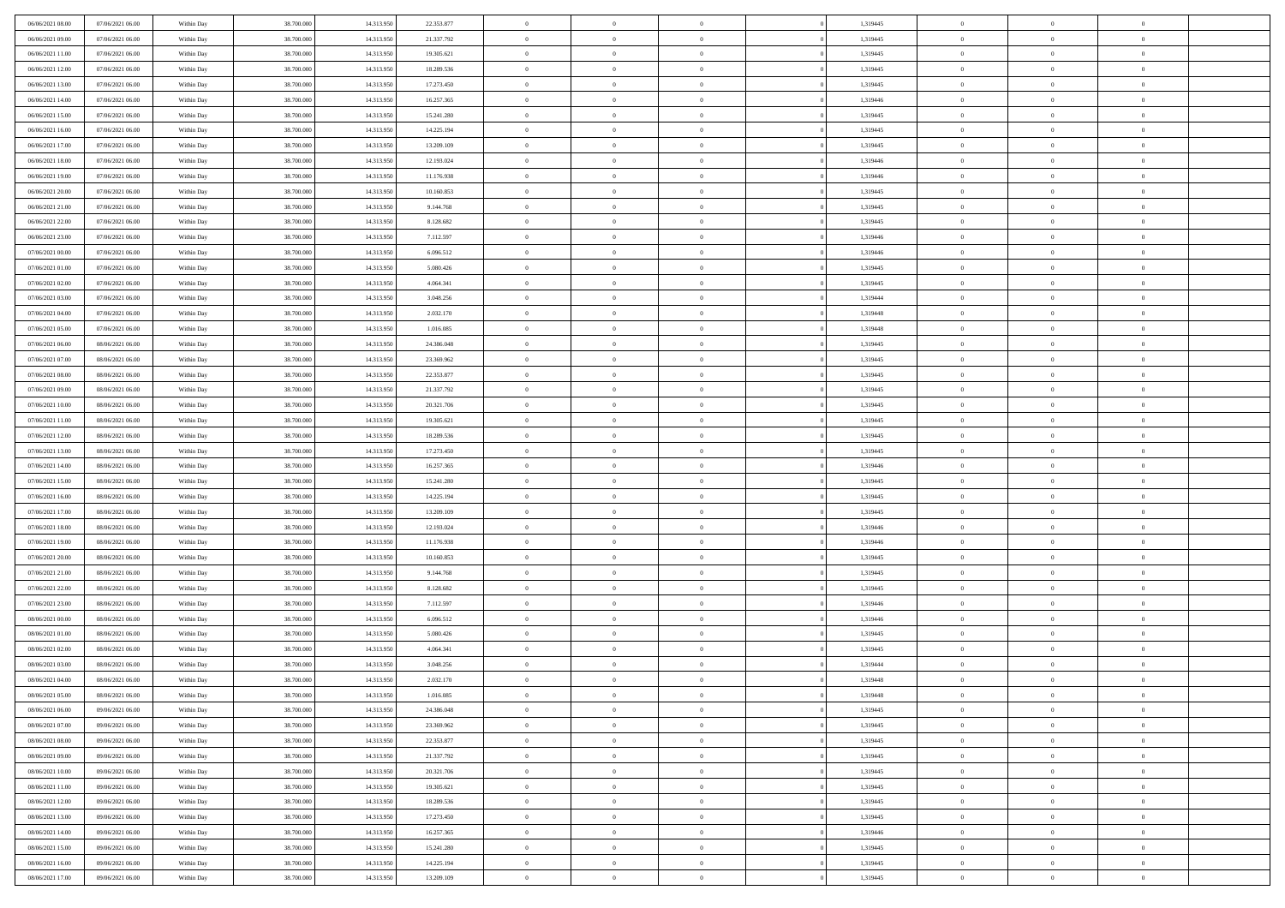| 06/06/2021 08:00 | 07/06/2021 06:00 | Within Day               | 38.700.000 | 14.313.950 | 22.353.877 | $\,$ 0         | $\bf{0}$       | $\theta$       |          | 1,319445 | $\bf{0}$       | $\overline{0}$ | $\,0\,$        |  |
|------------------|------------------|--------------------------|------------|------------|------------|----------------|----------------|----------------|----------|----------|----------------|----------------|----------------|--|
| 06/06/2021 09:00 | 07/06/2021 06:00 | Within Day               | 38,700,000 | 14.313.950 | 21.337.792 | $\overline{0}$ | $\overline{0}$ | $\overline{0}$ |          | 1,319445 | $\overline{0}$ | $\overline{0}$ | $\theta$       |  |
| 06/06/2021 11:00 | 07/06/2021 06:00 | Within Dav               | 38.700.000 | 14.313.950 | 19.305.621 | $\mathbf{0}$   | $\overline{0}$ | $\overline{0}$ |          | 1,319445 | $\mathbf{0}$   | $\overline{0}$ | $\overline{0}$ |  |
| 06/06/2021 12:00 | 07/06/2021 06:00 | Within Day               | 38.700.000 | 14.313.950 | 18.289.536 | $\bf{0}$       | $\overline{0}$ | $\bf{0}$       |          | 1,319445 | $\bf{0}$       | $\overline{0}$ | $\,0\,$        |  |
| 06/06/2021 13:00 | 07/06/2021 06:00 | Within Day               | 38,700,000 | 14.313.950 | 17.273.450 | $\bf{0}$       | $\bf{0}$       | $\overline{0}$ |          | 1,319445 | $\bf{0}$       | $\theta$       | $\,0\,$        |  |
| 06/06/2021 14:00 | 07/06/2021 06:00 | Within Dav               | 38.700.000 | 14.313.950 | 16.257.365 | $\mathbf{0}$   | $\overline{0}$ | $\overline{0}$ |          | 1,319446 | $\mathbf{0}$   | $\overline{0}$ | $\overline{0}$ |  |
| 06/06/2021 15:00 | 07/06/2021 06:00 | Within Day               | 38.700.000 | 14.313.950 | 15.241.280 | $\bf{0}$       | $\bf{0}$       | $\overline{0}$ |          | 1,319445 | $\bf{0}$       | $\overline{0}$ | $\,0\,$        |  |
| 06/06/2021 16:00 | 07/06/2021 06:00 | Within Day               | 38,700,000 | 14.313.950 | 14.225.194 | $\theta$       | $\overline{0}$ | $\overline{0}$ |          | 1,319445 | $\,$ 0 $\,$    | $\overline{0}$ | $\theta$       |  |
| 06/06/2021 17:00 | 07/06/2021 06:00 | Within Day               | 38.700.000 | 14.313.950 | 13.209.109 | $\mathbf{0}$   | $\overline{0}$ | $\overline{0}$ |          | 1,319445 | $\mathbf{0}$   | $\overline{0}$ | $\overline{0}$ |  |
| 06/06/2021 18:00 | 07/06/2021 06:00 | Within Day               | 38.700.000 | 14.313.950 | 12.193.024 | $\bf{0}$       | $\bf{0}$       | $\theta$       |          | 1,319446 | $\bf{0}$       | $\overline{0}$ | $\,0\,$        |  |
| 06/06/2021 19:00 | 07/06/2021 06:00 |                          | 38,700,000 | 14.313.950 | 11.176.938 | $\overline{0}$ | $\overline{0}$ | $\overline{0}$ |          | 1,319446 | $\bf{0}$       | $\mathbf{0}$   | $\theta$       |  |
| 06/06/2021 20:00 | 07/06/2021 06:00 | Within Day<br>Within Dav | 38.700.000 | 14.313.950 | 10.160.853 | $\mathbf{0}$   | $\overline{0}$ | $\overline{0}$ |          | 1,319445 | $\mathbf{0}$   | $\overline{0}$ | $\overline{0}$ |  |
| 06/06/2021 21:00 | 07/06/2021 06:00 |                          | 38.700.000 | 14.313.950 | 9.144.768  | $\bf{0}$       | $\overline{0}$ | $\bf{0}$       |          | 1,319445 | $\bf{0}$       | $\overline{0}$ | $\,0\,$        |  |
|                  |                  | Within Day               |            |            |            |                | $\overline{0}$ |                |          |          |                | $\theta$       |                |  |
| 06/06/2021 22:00 | 07/06/2021 06:00 | Within Day               | 38.700.000 | 14.313.950 | 8.128.682  | $\bf{0}$       |                | $\overline{0}$ |          | 1,319445 | $\bf{0}$       |                | $\,0\,$        |  |
| 06/06/2021 23:00 | 07/06/2021 06:00 | Within Dav               | 38.700.000 | 14.313.950 | 7.112.597  | $\mathbf{0}$   | $\overline{0}$ | $\overline{0}$ |          | 1,319446 | $\mathbf{0}$   | $\overline{0}$ | $\overline{0}$ |  |
| 07/06/2021 00:00 | 07/06/2021 06:00 | Within Day               | 38.700.000 | 14.313.950 | 6.096.512  | $\bf{0}$       | $\bf{0}$       | $\overline{0}$ |          | 1,319446 | $\bf{0}$       | $\overline{0}$ | $\,0\,$        |  |
| 07/06/2021 01:00 | 07/06/2021 06:00 | Within Day               | 38,700,000 | 14.313.950 | 5.080.426  | $\overline{0}$ | $\overline{0}$ | $\overline{0}$ |          | 1,319445 | $\bf{0}$       | $\overline{0}$ | $\theta$       |  |
| 07/06/2021 02:00 | 07/06/2021 06:00 | Within Day               | 38.700.000 | 14.313.950 | 4.064.341  | $\mathbf{0}$   | $\overline{0}$ | $\overline{0}$ |          | 1,319445 | $\mathbf{0}$   | $\overline{0}$ | $\overline{0}$ |  |
| 07/06/2021 03:00 | 07/06/2021 06:00 | Within Day               | 38.700.000 | 14.313.950 | 3.048.256  | $\bf{0}$       | $\bf{0}$       | $\overline{0}$ |          | 1,319444 | $\bf{0}$       | $\overline{0}$ | $\,0\,$        |  |
| 07/06/2021 04:00 | 07/06/2021 06:00 | Within Day               | 38,700,000 | 14.313.950 | 2.032.170  | $\overline{0}$ | $\overline{0}$ | $\overline{0}$ |          | 1,319448 | $\bf{0}$       | $\overline{0}$ | $\overline{0}$ |  |
| 07/06/2021 05:00 | 07/06/2021 06:00 | Within Dav               | 38.700.000 | 14.313.950 | 1.016.085  | $\mathbf{0}$   | $\overline{0}$ | $\overline{0}$ |          | 1,319448 | $\mathbf{0}$   | $\overline{0}$ | $\overline{0}$ |  |
| 07/06/2021 06:00 | 08/06/2021 06:00 | Within Day               | 38.700.000 | 14.313.950 | 24.386.048 | $\bf{0}$       | $\overline{0}$ | $\bf{0}$       |          | 1,319445 | $\bf{0}$       | $\overline{0}$ | $\bf{0}$       |  |
| 07/06/2021 07:00 | 08/06/2021 06:00 | Within Day               | 38,700,000 | 14.313.950 | 23.369.962 | $\bf{0}$       | $\bf{0}$       | $\overline{0}$ |          | 1,319445 | $\bf{0}$       | $\overline{0}$ | $\,0\,$        |  |
| 07/06/2021 08:00 | 08/06/2021 06:00 | Within Dav               | 38.700.000 | 14.313.950 | 22.353.877 | $\mathbf{0}$   | $\overline{0}$ | $\overline{0}$ |          | 1,319445 | $\mathbf{0}$   | $\overline{0}$ | $\overline{0}$ |  |
| 07/06/2021 09:00 | 08/06/2021 06:00 | Within Day               | 38.700.000 | 14.313.950 | 21.337.792 | $\bf{0}$       | $\bf{0}$       | $\overline{0}$ |          | 1,319445 | $\bf{0}$       | $\overline{0}$ | $\,0\,$        |  |
| 07/06/2021 10:00 | 08/06/2021 06:00 | Within Day               | 38,700,000 | 14.313.950 | 20.321.706 | $\overline{0}$ | $\overline{0}$ | $\overline{0}$ |          | 1,319445 | $\bf{0}$       | $\overline{0}$ | $\theta$       |  |
| 07/06/2021 11:00 | 08/06/2021 06:00 | Within Day               | 38.700.000 | 14.313.950 | 19.305.621 | $\mathbf{0}$   | $\overline{0}$ | $\overline{0}$ |          | 1,319445 | $\mathbf{0}$   | $\overline{0}$ | $\overline{0}$ |  |
| 07/06/2021 12:00 | 08/06/2021 06:00 | Within Day               | 38.700.000 | 14.313.950 | 18.289.536 | $\bf{0}$       | $\bf{0}$       | $\overline{0}$ |          | 1,319445 | $\bf{0}$       | $\overline{0}$ | $\,0\,$        |  |
| 07/06/2021 13:00 | 08/06/2021 06:00 | Within Day               | 38,700,000 | 14.313.950 | 17.273.450 | $\bf{0}$       | $\bf{0}$       | $\overline{0}$ |          | 1,319445 | $\bf{0}$       | $\mathbf{0}$   | $\bf{0}$       |  |
| 07/06/2021 14:00 | 08/06/2021 06:00 | Within Dav               | 38.700.000 | 14.313.950 | 16.257.365 | $\mathbf{0}$   | $\overline{0}$ | $\overline{0}$ |          | 1,319446 | $\mathbf{0}$   | $\overline{0}$ | $\overline{0}$ |  |
| 07/06/2021 15:00 | 08/06/2021 06:00 | Within Day               | 38.700.000 | 14.313.950 | 15.241.280 | $\bf{0}$       | $\overline{0}$ | $\theta$       |          | 1,319445 | $\,$ 0         | $\overline{0}$ | $\theta$       |  |
| 07/06/2021 16:00 | 08/06/2021 06:00 | Within Day               | 38.700.000 | 14.313.950 | 14.225.194 | $\bf{0}$       | $\overline{0}$ | $\overline{0}$ |          | 1,319445 | $\bf{0}$       | $\mathbf{0}$   | $\overline{0}$ |  |
| 07/06/2021 17:00 | 08/06/2021 06:00 | Within Dav               | 38.700.000 | 14.313.950 | 13.209.109 | $\mathbf{0}$   | $\overline{0}$ | $\overline{0}$ |          | 1,319445 | $\mathbf{0}$   | $\overline{0}$ | $\overline{0}$ |  |
| 07/06/2021 18:00 | 08/06/2021 06:00 | Within Day               | 38.700.000 | 14.313.950 | 12.193.024 | $\bf{0}$       | $\overline{0}$ | $\theta$       |          | 1,319446 | $\,$ 0         | $\overline{0}$ | $\theta$       |  |
| 07/06/2021 19:00 | 08/06/2021 06:00 | Within Day               | 38,700,000 | 14.313.950 | 11.176.938 | $\overline{0}$ | $\overline{0}$ | $\overline{0}$ |          | 1,319446 | $\bf{0}$       | $\overline{0}$ | $\overline{0}$ |  |
| 07/06/2021 20:00 | 08/06/2021 06:00 | Within Day               | 38.700.000 | 14.313.950 | 10.160.853 | $\mathbf{0}$   | $\overline{0}$ | $\overline{0}$ |          | 1,319445 | $\mathbf{0}$   | $\overline{0}$ | $\overline{0}$ |  |
| 07/06/2021 21:00 | 08/06/2021 06:00 | Within Day               | 38.700.000 | 14.313.950 | 9.144.768  | $\bf{0}$       | $\overline{0}$ | $\theta$       |          | 1,319445 | $\,$ 0         | $\overline{0}$ | $\theta$       |  |
| 07/06/2021 22.00 | 08/06/2021 06:00 | Within Day               | 38,700,000 | 14.313.950 | 8.128.682  | $\bf{0}$       | $\overline{0}$ | $\overline{0}$ |          | 1,319445 | $\bf{0}$       | $\mathbf{0}$   | $\overline{0}$ |  |
| 07/06/2021 23:00 | 08/06/2021 06:00 | Within Dav               | 38.700.000 | 14.313.950 | 7.112.597  | $\mathbf{0}$   | $\overline{0}$ | $\overline{0}$ |          | 1,319446 | $\mathbf{0}$   | $\overline{0}$ | $\overline{0}$ |  |
| 08/06/2021 00:00 | 08/06/2021 06:00 | Within Day               | 38.700.000 | 14.313.950 | 6.096.512  | $\bf{0}$       | $\overline{0}$ | $\theta$       |          | 1,319446 | $\,$ 0         | $\overline{0}$ | $\theta$       |  |
| 08/06/2021 01:00 | 08/06/2021 06:00 | Within Day               | 38.700.000 | 14.313.950 | 5.080.426  | $\bf{0}$       | $\overline{0}$ | $\overline{0}$ |          | 1,319445 | $\bf{0}$       | $\overline{0}$ | $\overline{0}$ |  |
| 08/06/2021 02:00 | 08/06/2021 06:00 | Within Dav               | 38.700.000 | 14.313.950 | 4.064.341  | $\mathbf{0}$   | $\overline{0}$ | $\overline{0}$ |          | 1,319445 | $\overline{0}$ | $\overline{0}$ | $\overline{0}$ |  |
| 08/06/2021 03:00 | 08/06/2021 06:00 | Within Day               | 38.700.000 | 14.313.950 | 3.048.256  | $\bf{0}$       | $\overline{0}$ | $\theta$       |          | 1,319444 | $\,$ 0         | $\overline{0}$ | $\theta$       |  |
| 08/06/2021 04:00 | 08/06/2021 06:00 | Within Day               | 38,700,000 | 14.313.950 | 2.032.170  | $\bf{0}$       | $\overline{0}$ | $\overline{0}$ |          | 1,319448 | $\,$ 0 $\,$    | $\overline{0}$ | $\overline{0}$ |  |
| 08/06/2021 05:00 | 08/06/2021 06:00 | Within Day               | 38.700.000 | 14.313.950 | 1.016.085  | $\bf{0}$       | $\overline{0}$ |                |          | 1,319448 | $\overline{0}$ | $\theta$       | $\theta$       |  |
| 08/06/2021 06:00 | 09/06/2021 06:00 | Within Day               | 38.700.000 | 14.313.950 | 24.386.048 | $\,0\,$        | $\overline{0}$ | $\theta$       |          | 1,319445 | $\,$ 0 $\,$    | $\overline{0}$ | $\theta$       |  |
| 08/06/2021 07:00 | 09/06/2021 06:00 | Within Day               | 38.700.000 | 14.313.950 | 23.369.962 | $\overline{0}$ | $\overline{0}$ | $\overline{0}$ |          | 1,319445 | $\overline{0}$ | $\overline{0}$ | $\overline{0}$ |  |
| 08/06/2021 08:00 | 09/06/2021 06:00 | Within Day               | 38.700.000 | 14.313.950 | 22.353.877 | $\bf{0}$       | $\overline{0}$ | $\overline{0}$ |          | 1,319445 | $\overline{0}$ | $\overline{0}$ | $\mathbf{0}$   |  |
| 08/06/2021 09:00 | 09/06/2021 06:00 | Within Day               | 38.700.000 | 14.313.950 | 21.337.792 | $\,$ 0 $\,$    | $\overline{0}$ | $\overline{0}$ | $\theta$ | 1,319445 | $\,$ 0 $\,$    | $\mathbf{0}$   | $\,$ 0 $\,$    |  |
| 08/06/2021 10:00 | 09/06/2021 06:00 | Within Day               | 38.700.000 | 14.313.950 | 20.321.706 | $\bf{0}$       | $\overline{0}$ | $\overline{0}$ |          | 1,319445 | $\,$ 0 $\,$    | $\overline{0}$ | $\overline{0}$ |  |
| 08/06/2021 11:00 | 09/06/2021 06:00 | Within Day               | 38.700.000 | 14.313.950 | 19.305.621 | $\bf{0}$       | $\overline{0}$ | $\overline{0}$ |          | 1,319445 | $\mathbf{0}$   | $\overline{0}$ | $\overline{0}$ |  |
| 08/06/2021 12:00 | 09/06/2021 06:00 | Within Day               | 38.700.000 | 14.313.950 | 18.289.536 | $\,0\,$        | $\overline{0}$ | $\theta$       | $\theta$ | 1,319445 | $\,$ 0 $\,$    | $\overline{0}$ | $\overline{0}$ |  |
| 08/06/2021 13:00 | 09/06/2021 06:00 | Within Day               | 38.700.000 | 14.313.950 | 17.273.450 | $\bf{0}$       | $\overline{0}$ | $\overline{0}$ |          | 1,319445 | $\overline{0}$ | $\overline{0}$ | $\overline{0}$ |  |
| 08/06/2021 14:00 | 09/06/2021 06:00 | Within Day               | 38.700.000 | 14.313.950 | 16.257.365 | $\bf{0}$       | $\overline{0}$ | $\overline{0}$ |          | 1,319446 | $\mathbf{0}$   | $\overline{0}$ | $\mathbf{0}$   |  |
| 08/06/2021 15:00 | 09/06/2021 06:00 | Within Day               | 38.700.000 | 14.313.950 | 15.241.280 | $\,0\,$        | $\overline{0}$ | $\overline{0}$ |          | 1,319445 | $\,$ 0 $\,$    | $\overline{0}$ | $\theta$       |  |
| 08/06/2021 16:00 | 09/06/2021 06:00 | Within Day               | 38,700,000 | 14.313.950 | 14.225.194 | $\bf{0}$       | $\bf{0}$       | $\overline{0}$ |          | 1,319445 | $\bf{0}$       | $\mathbf{0}$   | $\overline{0}$ |  |
| 08/06/2021 17:00 | 09/06/2021 06:00 | Within Day               | 38.700.000 | 14.313.950 | 13.209.109 | $\overline{0}$ | $\overline{0}$ | $\overline{0}$ |          | 1,319445 | $\mathbf{0}$   | $\overline{0}$ | $\overline{0}$ |  |
|                  |                  |                          |            |            |            |                |                |                |          |          |                |                |                |  |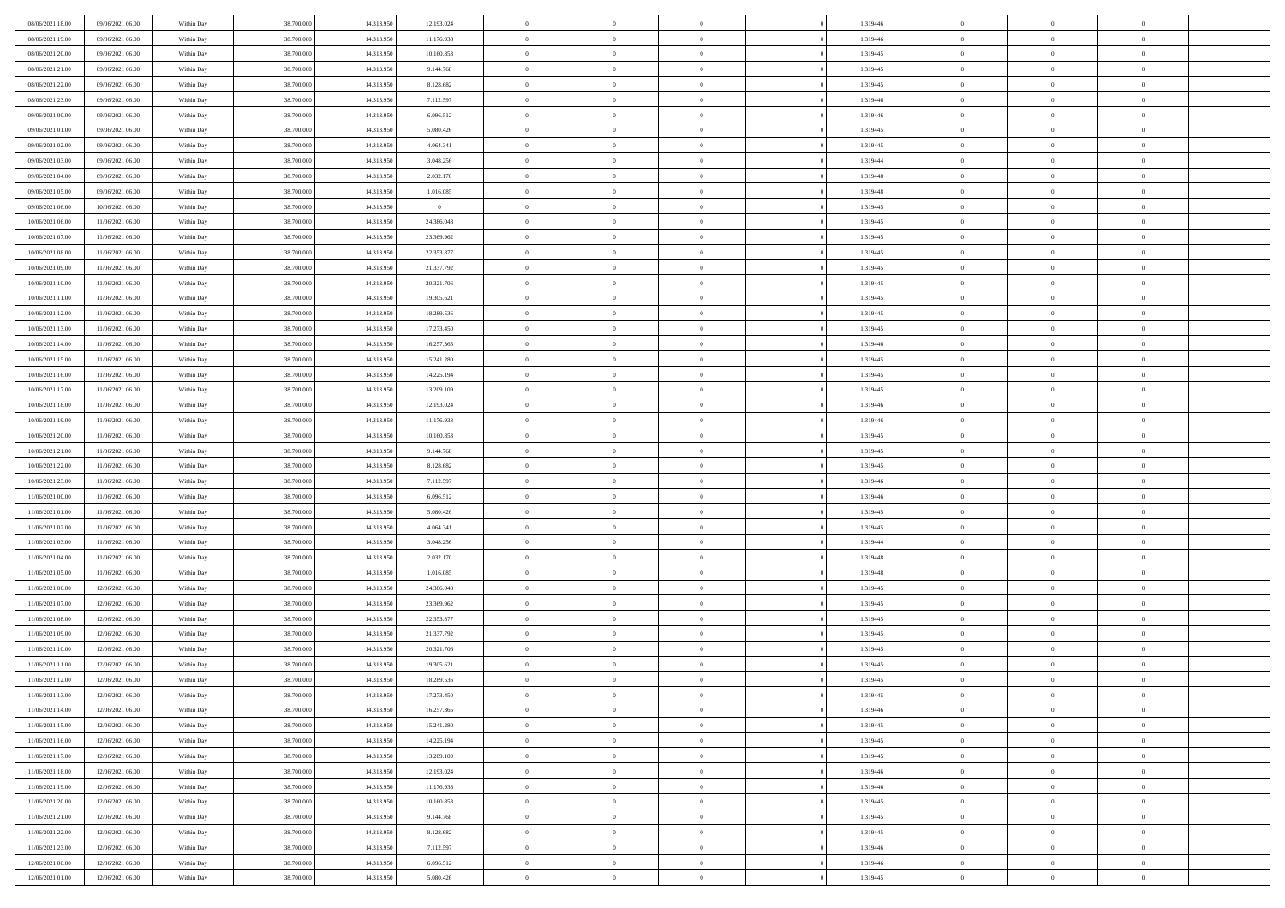| 08/06/2021 18:00 | 09/06/2021 06:00 | Within Day | 38,700,000 | 14.313.950 | 12.193.024     | $\overline{0}$ | $\overline{0}$ | $\Omega$       | 1,319446 | $\bf{0}$       | $\mathbf{0}$   | $\bf{0}$       |  |
|------------------|------------------|------------|------------|------------|----------------|----------------|----------------|----------------|----------|----------------|----------------|----------------|--|
| 08/06/2021 19:00 | 09/06/2021 06:00 | Within Day | 38.700.000 | 14.313.950 | 11.176.938     | $\mathbf{0}$   | $\overline{0}$ | $\overline{0}$ | 1,319446 | $\overline{0}$ | $\overline{0}$ | $\theta$       |  |
| 08/06/2021 20:00 | 09/06/2021 06:00 | Within Day | 38.700.000 | 14.313.950 | 10.160.853     | $\,$ 0         | $\overline{0}$ | $\bf{0}$       | 1,319445 | $\,$ 0         | $\overline{0}$ | $\,$ 0 $\,$    |  |
| 08/06/2021 21:00 | 09/06/2021 06:00 | Within Day | 38,700,000 | 14.313.950 | 9.144.768      | $\bf{0}$       | $\overline{0}$ | $\Omega$       | 1,319445 | $\bf{0}$       | $\mathbf{0}$   | $\theta$       |  |
| 08/06/2021 22:00 | 09/06/2021 06:00 | Within Day | 38.700.000 | 14.313.950 | 8.128.682      | $\bf{0}$       | $\overline{0}$ | $\overline{0}$ | 1,319445 | $\mathbf{0}$   | $\overline{0}$ | $\overline{0}$ |  |
| 08/06/2021 23:00 | 09/06/2021 06:00 | Within Day | 38.700.000 | 14.313.950 | 7.112.597      | $\bf{0}$       | $\overline{0}$ | $\bf{0}$       | 1,319446 | $\,$ 0         | $\overline{0}$ | $\,$ 0 $\,$    |  |
| 09/06/2021 00:00 | 09/06/2021 06:00 | Within Day | 38,700,000 | 14.313.950 | 6.096.512      | $\bf{0}$       | $\overline{0}$ | $\overline{0}$ | 1,319446 | $\theta$       | $\mathbf{0}$   | $\theta$       |  |
| 09/06/2021 01:00 | 09/06/2021 06:00 | Within Day | 38.700.000 | 14.313.950 | 5.080.426      | $\overline{0}$ | $\overline{0}$ | $\overline{0}$ | 1,319445 | $\mathbf{0}$   | $\overline{0}$ | $\overline{0}$ |  |
| 09/06/2021 02:00 | 09/06/2021 06:00 | Within Day | 38.700.000 | 14.313.950 | 4.064.341      | $\bf{0}$       | $\overline{0}$ | $\bf{0}$       | 1,319445 | $\,$ 0         | $\overline{0}$ | $\,$ 0 $\,$    |  |
| 09/06/2021 03:00 | 09/06/2021 06:00 | Within Day | 38,700,000 | 14.313.950 | 3.048.256      | $\bf{0}$       | $\overline{0}$ | $\Omega$       | 1,319444 | $\theta$       | $\mathbf{0}$   | $\theta$       |  |
| 09/06/2021 04:00 | 09/06/2021 06:00 | Within Day | 38.700.000 | 14.313.950 | 2.032.170      | $\overline{0}$ | $\overline{0}$ | $\overline{0}$ | 1,319448 | $\overline{0}$ | $\overline{0}$ | $\overline{0}$ |  |
| 09/06/2021 05:00 | 09/06/2021 06:00 | Within Day | 38.700.000 | 14.313.950 | 1.016.085      | $\bf{0}$       | $\overline{0}$ | $\bf{0}$       | 1,319448 | $\,$ 0         | $\overline{0}$ | $\,$ 0 $\,$    |  |
| 09/06/2021 06:00 | 10/06/2021 06:00 | Within Day | 38,700,000 | 14.313.950 | $\overline{0}$ | $\bf{0}$       | $\overline{0}$ | $\Omega$       | 1,319445 | $\overline{0}$ | $\mathbf{0}$   | $\theta$       |  |
| 10/06/2021 06:00 | 11/06/2021 06:00 | Within Day | 38.700.000 | 14.313.950 | 24.386.048     | $\overline{0}$ | $\overline{0}$ | $\overline{0}$ | 1,319445 | $\mathbf{0}$   | $\overline{0}$ | $\overline{0}$ |  |
| 10/06/2021 07:00 | 11/06/2021 06:00 | Within Day | 38.700.000 | 14.313.950 | 23.369.962     | $\bf{0}$       | $\overline{0}$ | $\bf{0}$       | 1,319445 | $\,$ 0         | $\overline{0}$ | $\,$ 0 $\,$    |  |
| 10/06/2021 08:00 | 11/06/2021 06:00 | Within Day | 38,700,000 | 14.313.950 | 22.353.877     | $\bf{0}$       | $\overline{0}$ | $\overline{0}$ | 1,319445 | $\bf{0}$       | $\mathbf{0}$   | $\bf{0}$       |  |
| 10/06/2021 09:00 | 11/06/2021 06:00 | Within Day | 38.700.000 | 14.313.950 | 21.337.792     | $\overline{0}$ | $\overline{0}$ | $\overline{0}$ | 1,319445 | $\mathbf{0}$   | $\overline{0}$ | $\overline{0}$ |  |
| 10/06/2021 10:00 | 11/06/2021 06:00 | Within Day | 38.700.000 | 14.313.950 | 20.321.706     | $\bf{0}$       | $\overline{0}$ | $\bf{0}$       | 1,319445 | $\,$ 0         | $\overline{0}$ | $\,$ 0 $\,$    |  |
| 10/06/2021 11:00 | 11/06/2021 06:00 | Within Day | 38,700,000 | 14.313.950 | 19.305.621     | $\bf{0}$       | $\overline{0}$ | $\Omega$       | 1,319445 | $\theta$       | $\mathbf{0}$   | $\theta$       |  |
| 10/06/2021 12:00 | 11/06/2021 06:00 | Within Day | 38.700.000 | 14.313.950 | 18.289.536     | $\overline{0}$ | $\overline{0}$ | $\overline{0}$ | 1,319445 | $\mathbf{0}$   | $\overline{0}$ | $\overline{0}$ |  |
| 10/06/2021 13:00 | 11/06/2021 06:00 | Within Day | 38.700.000 | 14.313.950 | 17.273.450     | $\bf{0}$       | $\overline{0}$ | $\bf{0}$       | 1,319445 | $\,$ 0         | $\overline{0}$ | $\,$ 0 $\,$    |  |
| 10/06/2021 14:00 | 11/06/2021 06:00 | Within Day | 38,700,000 | 14.313.950 | 16.257.365     | $\bf{0}$       | $\overline{0}$ | $\Omega$       | 1,319446 | $\bf{0}$       | $\mathbf{0}$   | $\theta$       |  |
| 10/06/2021 15:00 | 11/06/2021 06:00 | Within Dav | 38.700.000 | 14.313.950 | 15.241.280     | $\overline{0}$ | $\overline{0}$ | $\overline{0}$ | 1,319445 | $\mathbf{0}$   | $\overline{0}$ | $\overline{0}$ |  |
| 10/06/2021 16:00 | 11/06/2021 06:00 | Within Day | 38.700.000 | 14.313.950 | 14.225.194     | $\bf{0}$       | $\overline{0}$ | $\bf{0}$       | 1,319445 | $\,$ 0         | $\overline{0}$ | $\,$ 0 $\,$    |  |
| 10/06/2021 17:00 | 11/06/2021 06:00 | Within Day | 38,700,000 | 14.313.950 | 13.209.109     | $\bf{0}$       | $\overline{0}$ | $\overline{0}$ | 1,319445 | $\bf{0}$       | $\overline{0}$ | $\bf{0}$       |  |
| 10/06/2021 18:00 | 11/06/2021 06:00 | Within Day | 38.700.000 | 14.313.950 | 12.193.024     | $\overline{0}$ | $\overline{0}$ | $\overline{0}$ | 1,319446 | $\mathbf{0}$   | $\overline{0}$ | $\overline{0}$ |  |
| 10/06/2021 19:00 | 11/06/2021 06:00 | Within Day | 38.700.000 | 14.313.950 | 11.176.938     | $\bf{0}$       | $\overline{0}$ | $\bf{0}$       | 1,319446 | $\,$ 0         | $\overline{0}$ | $\,$ 0 $\,$    |  |
| 10/06/2021 20:00 | 11/06/2021 06:00 | Within Day | 38,700,000 | 14.313.950 | 10.160.853     | $\bf{0}$       | $\overline{0}$ | $\Omega$       | 1,319445 | $\theta$       | $\mathbf{0}$   | $\theta$       |  |
| 10/06/2021 21:00 | 11/06/2021 06:00 | Within Day | 38.700.000 | 14.313.950 | 9.144.768      | $\overline{0}$ | $\overline{0}$ | $\overline{0}$ | 1,319445 | $\mathbf{0}$   | $\overline{0}$ | $\overline{0}$ |  |
| 10/06/2021 22:00 | 11/06/2021 06:00 | Within Day | 38.700.000 | 14.313.950 | 8.128.682      | $\bf{0}$       | $\overline{0}$ | $\bf{0}$       | 1,319445 | $\,$ 0         | $\overline{0}$ | $\,$ 0 $\,$    |  |
| 10/06/2021 23:00 | 11/06/2021 06:00 | Within Day | 38.700.000 | 14.313.950 | 7.112.597      | $\,$ 0         | $\overline{0}$ | $\overline{0}$ | 1,319446 | $\bf{0}$       | $\overline{0}$ | $\,0\,$        |  |
| 11/06/2021 00:00 | 11/06/2021 06:00 | Within Dav | 38.700.000 | 14.313.950 | 6.096.512      | $\overline{0}$ | $\overline{0}$ | $\overline{0}$ | 1,319446 | $\mathbf{0}$   | $\overline{0}$ | $\overline{0}$ |  |
| 11/06/2021 01:00 | 11/06/2021 06:00 | Within Day | 38.700.000 | 14.313.950 | 5.080.426      | $\bf{0}$       | $\overline{0}$ | $\bf{0}$       | 1,319445 | $\,$ 0         | $\overline{0}$ | $\,$ 0 $\,$    |  |
| 11/06/2021 02:00 | 11/06/2021 06:00 | Within Day | 38.700.000 | 14.313.950 | 4.064.341      | $\bf{0}$       | $\overline{0}$ | $\bf{0}$       | 1,319445 | $\bf{0}$       | $\overline{0}$ | $\,0\,$        |  |
| 11/06/2021 03:00 | 11/06/2021 06:00 | Within Day | 38.700.000 | 14.313.950 | 3.048.256      | $\overline{0}$ | $\overline{0}$ | $\overline{0}$ | 1,319444 | $\overline{0}$ | $\overline{0}$ | $\overline{0}$ |  |
| 11/06/2021 04:00 | 11/06/2021 06:00 | Within Day | 38.700.000 | 14.313.950 | 2.032.170      | $\bf{0}$       | $\overline{0}$ | $\bf{0}$       | 1,319448 | $\,$ 0         | $\overline{0}$ | $\,$ 0 $\,$    |  |
| 11/06/2021 05:00 | 11/06/2021 06:00 | Within Day | 38.700.000 | 14.313.950 | 1.016.085      | $\,$ 0         | $\overline{0}$ | $\overline{0}$ | 1,319448 | $\bf{0}$       | $\overline{0}$ | $\,0\,$        |  |
| 11/06/2021 06:00 | 12/06/2021 06:00 | Within Day | 38.700.000 | 14.313.950 | 24.386.048     | $\overline{0}$ | $\overline{0}$ | $\overline{0}$ | 1,319445 | $\mathbf{0}$   | $\overline{0}$ | $\overline{0}$ |  |
| 11/06/2021 07:00 | 12/06/2021 06:00 | Within Day | 38.700.000 | 14.313.950 | 23.369.962     | $\bf{0}$       | $\overline{0}$ | $\bf{0}$       | 1,319445 | $\,$ 0         | $\overline{0}$ | $\,$ 0 $\,$    |  |
| 11/06/2021 08:00 | 12/06/2021 06:00 | Within Day | 38.700.000 | 14.313.950 | 22.353.877     | $\bf{0}$       | $\overline{0}$ | $\overline{0}$ | 1,319445 | $\bf{0}$       | $\overline{0}$ | $\,0\,$        |  |
| 11/06/2021 09:00 | 12/06/2021 06:00 | Within Day | 38.700.000 | 14.313.950 | 21.337.792     | $\overline{0}$ | $\overline{0}$ | $\overline{0}$ | 1,319445 | $\overline{0}$ | $\overline{0}$ | $\overline{0}$ |  |
| 11/06/2021 10:00 | 12/06/2021 06:00 | Within Day | 38.700.000 | 14.313.950 | 20.321.706     | $\bf{0}$       | $\overline{0}$ | $\bf{0}$       | 1,319445 | $\,$ 0         | $\overline{0}$ | $\,$ 0 $\,$    |  |
| 11/06/2021 11:00 | 12/06/2021 06:00 | Within Day | 38.700.000 | 14.313.950 | 19.305.621     | $\bf{0}$       | $\overline{0}$ | $\bf{0}$       | 1,319445 | $\bf{0}$       | $\overline{0}$ | $\,0\,$        |  |
| 11/06/2021 12:00 | 12/06/2021 06:00 | Within Day | 38.700.000 | 14.313.950 | 18.289.536     | $\mathbf{0}$   | $\overline{0}$ | $\overline{0}$ | 1,319445 | $\overline{0}$ | $\overline{0}$ | $\overline{0}$ |  |
| 11/06/2021 13:00 | 12/06/2021 06:00 | Within Day | 38.700.000 | 14.313.950 | 17.273.450     | $\bf{0}$       | $\overline{0}$ | $\theta$       | 1,319445 | $\overline{0}$ | $\theta$       | $\theta$       |  |
| 11/06/2021 14:00 | 12/06/2021 06:00 | Within Day | 38.700.000 | 14.313.950 | 16.257.365     | $\bf{0}$       | $\overline{0}$ | $\bf{0}$       | 1,319446 | $\bf{0}$       | $\overline{0}$ | $\bf{0}$       |  |
| 11/06/2021 15:00 | 12/06/2021 06:00 | Within Day | 38.700.000 | 14.313.950 | 15.241.280     | $\overline{0}$ | $\overline{0}$ | $\overline{0}$ | 1,319445 | $\mathbf{0}$   | $\bf{0}$       | $\overline{0}$ |  |
| 11/06/2021 16:00 | 12/06/2021 06:00 | Within Day | 38.700.000 | 14.313.950 | 14.225.194     | $\,$ 0 $\,$    | $\overline{0}$ | $\overline{0}$ | 1,319445 | $\,$ 0 $\,$    | $\,$ 0 $\,$    | $\,$ 0 $\,$    |  |
| 11/06/2021 17:00 | 12/06/2021 06:00 | Within Day | 38.700.000 | 14.313.950 | 13.209.109     | $\bf{0}$       | $\bf{0}$       | $\overline{0}$ | 1,319445 | $\bf{0}$       | $\overline{0}$ | $\bf{0}$       |  |
| 11/06/2021 18:00 | 12/06/2021 06:00 | Within Day | 38.700.000 | 14.313.950 | 12.193.024     | $\bf{0}$       | $\overline{0}$ | $\overline{0}$ | 1,319446 | $\mathbf{0}$   | $\overline{0}$ | $\overline{0}$ |  |
| 11/06/2021 19:00 | 12/06/2021 06:00 | Within Day | 38.700.000 | 14.313.950 | 11.176.938     | $\,$ 0 $\,$    | $\overline{0}$ | $\overline{0}$ | 1,319446 | $\,$ 0 $\,$    | $\overline{0}$ | $\,$ 0 $\,$    |  |
| 11/06/2021 20:00 | 12/06/2021 06:00 | Within Day | 38.700.000 | 14.313.950 | 10.160.853     | $\overline{0}$ | $\overline{0}$ | $\overline{0}$ | 1,319445 | $\bf{0}$       | $\overline{0}$ | $\overline{0}$ |  |
| 11/06/2021 21:00 | 12/06/2021 06:00 | Within Day | 38.700.000 | 14.313.950 | 9.144.768      | $\overline{0}$ | $\overline{0}$ | $\overline{0}$ | 1,319445 | $\overline{0}$ | $\bf{0}$       | $\overline{0}$ |  |
| 11/06/2021 22.00 | 12/06/2021 06:00 | Within Day | 38.700.000 | 14.313.950 | 8.128.682      | $\,$ 0 $\,$    | $\overline{0}$ | $\overline{0}$ | 1,319445 | $\,$ 0 $\,$    | $\,$ 0 $\,$    | $\,$ 0 $\,$    |  |
| 11/06/2021 23:00 | 12/06/2021 06:00 | Within Day | 38.700.000 | 14.313.950 | 7.112.597      | $\bf{0}$       | $\bf{0}$       | $\overline{0}$ | 1,319446 | $\bf{0}$       | $\overline{0}$ | $\bf{0}$       |  |
| 12/06/2021 00:00 | 12/06/2021 06:00 | Within Day | 38.700.000 | 14.313.950 | 6.096.512      | $\bf{0}$       | $\overline{0}$ | $\overline{0}$ | 1,319446 | $\mathbf{0}$   | $\bf{0}$       | $\overline{0}$ |  |
| 12/06/2021 01:00 | 12/06/2021 06:00 | Within Day | 38.700.000 | 14.313.950 | 5.080.426      | $\,0\,$        | $\overline{0}$ | $\overline{0}$ | 1,319445 | $\,$ 0         | $\overline{0}$ | $\,$ 0 $\,$    |  |
|                  |                  |            |            |            |                |                |                |                |          |                |                |                |  |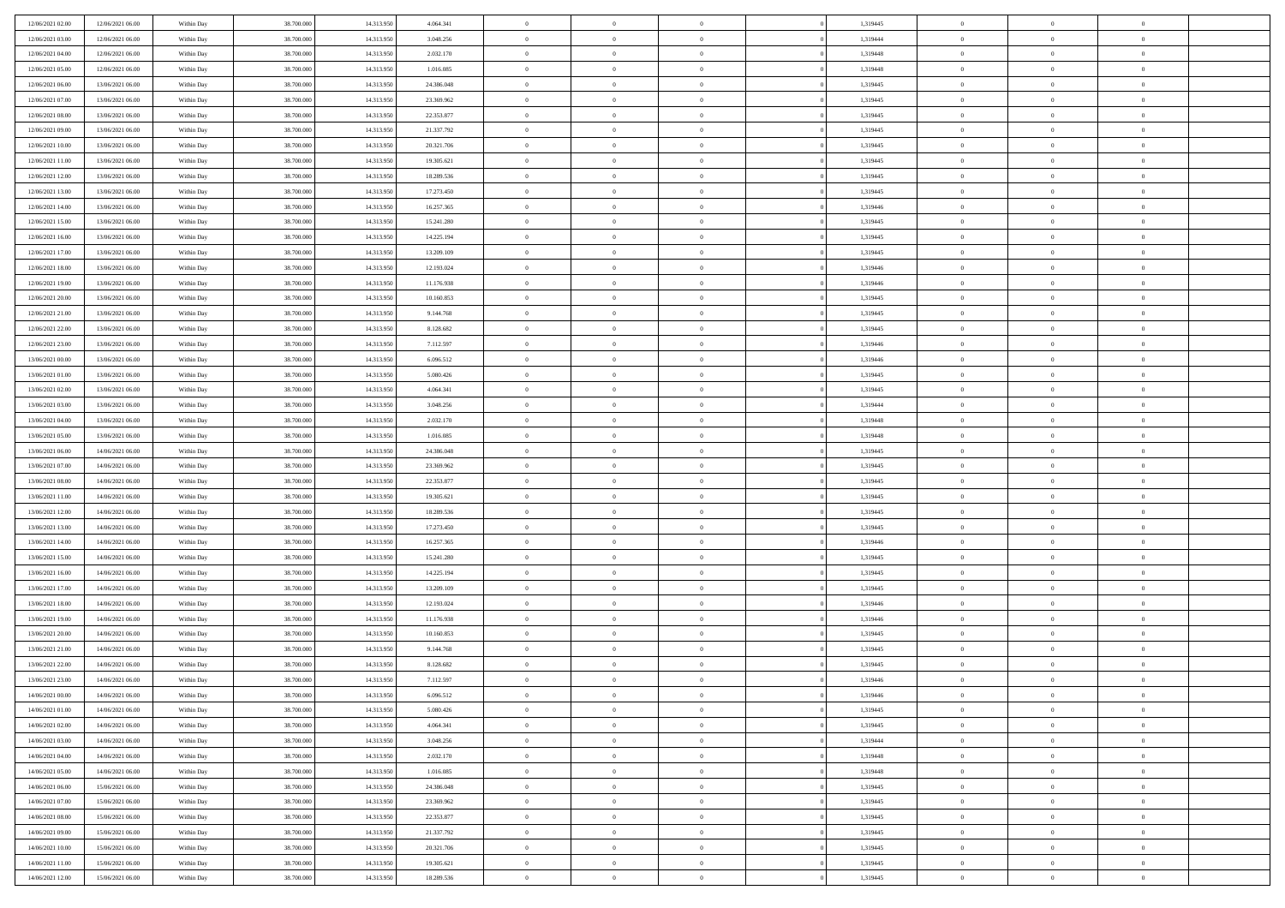| 12/06/2021 02:00 | 12/06/2021 06:00 | Within Day | 38.700.000               | 14.313.950 | 4.064.341  | $\bf{0}$       | $\bf{0}$       | $\Omega$       | 1,319445 | $\bf{0}$       | $\overline{0}$ | $\bf{0}$       |  |
|------------------|------------------|------------|--------------------------|------------|------------|----------------|----------------|----------------|----------|----------------|----------------|----------------|--|
| 12/06/2021 03:00 | 12/06/2021 06:00 | Within Day | 38,700,000               | 14.313.95  | 3.048.256  | $\overline{0}$ | $\overline{0}$ | $\Omega$       | 1,319444 | $\overline{0}$ | $\theta$       | $\theta$       |  |
| 12/06/2021 04:00 | 12/06/2021 06:00 | Within Day | 38.700.000               | 14.313.950 | 2.032.170  | $\overline{0}$ | $\overline{0}$ | $\overline{0}$ | 1,319448 | $\mathbf{0}$   | $\overline{0}$ | $\theta$       |  |
| 12/06/2021 05:00 | 12/06/2021 06:00 | Within Day | 38.700.000               | 14.313.950 | 1.016.085  | $\bf{0}$       | $\overline{0}$ | $\overline{0}$ | 1,319448 | $\mathbf{0}$   | $\overline{0}$ | $\bf{0}$       |  |
| 12/06/2021 06:00 | 13/06/2021 06:00 | Within Day | 38,700,000               | 14.313.950 | 24.386.048 | $\bf{0}$       | $\overline{0}$ | $\overline{0}$ | 1,319445 | $\bf{0}$       | $\overline{0}$ | $\bf{0}$       |  |
| 12/06/2021 07:00 | 13/06/2021 06:00 | Within Day | 38.700.000               | 14.313.950 | 23.369.962 | $\overline{0}$ | $\overline{0}$ | $\overline{0}$ | 1,319445 | $\mathbf{0}$   | $\overline{0}$ | $\theta$       |  |
| 12/06/2021 08:00 | 13/06/2021 06:00 | Within Day | 38.700.000               | 14.313.950 | 22.353.877 | $\bf{0}$       | $\overline{0}$ | $\overline{0}$ | 1,319445 | $\bf{0}$       | $\overline{0}$ | $\bf{0}$       |  |
| 12/06/2021 09:00 | 13/06/2021 06:00 |            | 38,700,000               | 14.313.950 |            | $\overline{0}$ | $\overline{0}$ | $\overline{0}$ | 1,319445 | $\mathbf{0}$   | $\theta$       | $\theta$       |  |
|                  |                  | Within Day |                          |            | 21.337.792 |                |                |                |          |                |                |                |  |
| 12/06/2021 10:00 | 13/06/2021 06:00 | Within Day | 38.700.000               | 14.313.950 | 20.321.706 | $\overline{0}$ | $\overline{0}$ | $\overline{0}$ | 1,319445 | $\mathbf{0}$   | $\overline{0}$ | $\theta$       |  |
| 12/06/2021 11:00 | 13/06/2021 06:00 | Within Day | 38.700.000               | 14.313.950 | 19.305.621 | $\bf{0}$       | $\overline{0}$ | $\Omega$       | 1,319445 | $\bf{0}$       | $\overline{0}$ | $\bf{0}$       |  |
| 12/06/2021 12:00 | 13/06/2021 06:00 | Within Day | 38,700,000               | 14.313.950 | 18.289.536 | $\bf{0}$       | $\overline{0}$ | $\overline{0}$ | 1,319445 | $\mathbf{0}$   | $\theta$       | $\overline{0}$ |  |
| 12/06/2021 13:00 | 13/06/2021 06:00 | Within Day | 38.700.000               | 14.313.950 | 17.273.450 | $\overline{0}$ | $\overline{0}$ | $\overline{0}$ | 1,319445 | $\mathbf{0}$   | $\overline{0}$ | $\theta$       |  |
| 12/06/2021 14:00 | 13/06/2021 06:00 | Within Day | 38.700.000               | 14.313.950 | 16.257.365 | $\bf{0}$       | $\overline{0}$ | $\overline{0}$ | 1,319446 | $\mathbf{0}$   | $\overline{0}$ | $\bf{0}$       |  |
| 12/06/2021 15:00 | 13/06/2021 06:00 | Within Day | 38.700.000               | 14.313.950 | 15.241.280 | $\bf{0}$       | $\overline{0}$ | $\overline{0}$ | 1,319445 | $\bf{0}$       | $\theta$       | $\bf{0}$       |  |
| 12/06/2021 16:00 | 13/06/2021 06:00 | Within Day | 38.700.000               | 14.313.950 | 14.225.194 | $\overline{0}$ | $\overline{0}$ | $\overline{0}$ | 1,319445 | $\overline{0}$ | $\overline{0}$ | $\theta$       |  |
| 12/06/2021 17:00 | 13/06/2021 06:00 | Within Day | 38.700.000               | 14.313.950 | 13.209.109 | $\bf{0}$       | $\overline{0}$ | $\Omega$       | 1,319445 | $\bf{0}$       | $\overline{0}$ | $\bf{0}$       |  |
| 12/06/2021 18:00 | 13/06/2021 06:00 | Within Day | 38,700,000               | 14.313.950 | 12.193.024 | $\,$ 0 $\,$    | $\overline{0}$ | $\overline{0}$ | 1,319446 | $\mathbf{0}$   | $\theta$       | $\theta$       |  |
| 12/06/2021 19:00 | 13/06/2021 06:00 | Within Day | 38.700.000               | 14.313.950 | 11.176.938 | $\overline{0}$ | $\overline{0}$ | $\overline{0}$ | 1,319446 | $\mathbf{0}$   | $\overline{0}$ | $\theta$       |  |
| 12/06/2021 20:00 | 13/06/2021 06:00 | Within Day | 38.700.000               | 14.313.950 | 10.160.853 | $\bf{0}$       | $\overline{0}$ | $\Omega$       | 1,319445 | $\bf{0}$       | $\overline{0}$ | $\bf{0}$       |  |
| 12/06/2021 21:00 | 13/06/2021 06:00 | Within Day | 38,700,000               | 14.313.950 | 9.144.768  | $\bf{0}$       | $\overline{0}$ | $\overline{0}$ | 1,319445 | $\mathbf{0}$   | $\theta$       | $\overline{0}$ |  |
| 12/06/2021 22:00 | 13/06/2021 06:00 | Within Day | 38.700.000               | 14.313.950 | 8.128.682  | $\overline{0}$ | $\overline{0}$ | $\overline{0}$ | 1,319445 | $\mathbf{0}$   | $\overline{0}$ | $\theta$       |  |
| 12/06/2021 23.00 | 13/06/2021 06:00 | Within Day | 38.700.000               | 14.313.950 | 7.112.597  | $\bf{0}$       | $\overline{0}$ | $\overline{0}$ | 1,319446 | $\mathbf{0}$   | $\overline{0}$ | $\bf{0}$       |  |
| 13/06/2021 00:00 | 13/06/2021 06:00 | Within Day | 38,700,000               | 14.313.950 | 6.096.512  | $\bf{0}$       | $\overline{0}$ | $\overline{0}$ | 1,319446 | $\,$ 0 $\,$    | $\overline{0}$ | $\bf{0}$       |  |
| 13/06/2021 01:00 | 13/06/2021 06:00 | Within Day | 38.700.000               | 14.313.950 | 5.080.426  | $\overline{0}$ | $\overline{0}$ | $\overline{0}$ | 1,319445 | $\mathbf{0}$   | $\overline{0}$ | $\theta$       |  |
| 13/06/2021 02:00 | 13/06/2021 06:00 | Within Day | 38.700.000               | 14.313.950 | 4.064.341  | $\bf{0}$       | $\overline{0}$ | $\overline{0}$ | 1,319445 | $\bf{0}$       | $\overline{0}$ | $\bf{0}$       |  |
| 13/06/2021 03:00 | 13/06/2021 06:00 | Within Day | 38,700,000               | 14.313.950 | 3.048.256  | $\,$ 0 $\,$    | $\overline{0}$ | $\overline{0}$ | 1,319444 | $\mathbf{0}$   | $\overline{0}$ | $\overline{0}$ |  |
| 13/06/2021 04:00 | 13/06/2021 06:00 | Within Day | 38.700.000               | 14.313.950 | 2.032.170  | $\overline{0}$ | $\overline{0}$ | $\overline{0}$ | 1,319448 | $\mathbf{0}$   | $\overline{0}$ | $\theta$       |  |
| 13/06/2021 05:00 | 13/06/2021 06:00 | Within Day | 38.700.000               | 14.313.950 | 1.016.085  | $\bf{0}$       | $\overline{0}$ | $\Omega$       | 1,319448 | $\mathbf{0}$   | $\overline{0}$ | $\bf{0}$       |  |
| 13/06/2021 06:00 | 14/06/2021 06:00 | Within Day | 38,700,000               | 14.313.950 | 24.386.048 | $\bf{0}$       | $\overline{0}$ | $\overline{0}$ | 1,319445 | $\mathbf{0}$   | $\theta$       | $\overline{0}$ |  |
| 13/06/2021 07:00 | 14/06/2021 06:00 | Within Day | 38.700.000               | 14.313.950 | 23.369.962 | $\overline{0}$ | $\overline{0}$ | $\overline{0}$ | 1,319445 | $\mathbf{0}$   | $\overline{0}$ | $\theta$       |  |
| 13/06/2021 08:00 | 14/06/2021 06:00 | Within Day | 38.700.000               | 14.313.950 | 22.353.877 | $\,$ 0         | $\overline{0}$ | $\overline{0}$ | 1,319445 | $\,$ 0 $\,$    | $\overline{0}$ | $\,$ 0 $\,$    |  |
| 13/06/2021 11:00 | 14/06/2021 06:00 | Within Day | 38.700.000               | 14.313.950 | 19.305.621 | $\bf{0}$       | $\overline{0}$ | $\overline{0}$ | 1,319445 | $\bf{0}$       | $\theta$       | $\overline{0}$ |  |
| 13/06/2021 12:00 | 14/06/2021 06:00 | Within Day | 38.700.000               | 14.313.950 | 18.289.536 | $\overline{0}$ | $\overline{0}$ | $\overline{0}$ | 1,319445 | $\mathbf{0}$   | $\overline{0}$ | $\theta$       |  |
| 13/06/2021 13:00 | 14/06/2021 06:00 | Within Day | 38.700.000               | 14.313.950 | 17.273.450 | $\,$ 0         | $\overline{0}$ | $\theta$       | 1,319445 | $\,$ 0         | $\overline{0}$ | $\mathbf{0}$   |  |
| 13/06/2021 14:00 | 14/06/2021 06:00 |            | 38,700,000               | 14.313.950 | 16.257.365 | $\bf{0}$       | $\overline{0}$ | $\overline{0}$ | 1,319446 | $\mathbf{0}$   | $\overline{0}$ | $\overline{0}$ |  |
| 13/06/2021 15:00 | 14/06/2021 06:00 | Within Day | 38.700.000               | 14.313.950 | 15.241.280 | $\overline{0}$ | $\overline{0}$ | $\overline{0}$ | 1,319445 | $\mathbf{0}$   | $\overline{0}$ | $\theta$       |  |
|                  |                  | Within Day |                          |            |            | $\overline{0}$ | $\overline{0}$ | $\overline{0}$ |          | $\,$ 0 $\,$    | $\overline{0}$ | $\mathbf{0}$   |  |
| 13/06/2021 16:00 | 14/06/2021 06:00 | Within Day | 38.700.000<br>38,700,000 | 14.313.950 | 14.225.194 |                |                |                | 1,319445 |                | $\theta$       |                |  |
| 13/06/2021 17:00 | 14/06/2021 06:00 | Within Day |                          | 14.313.950 | 13.209.109 | $\bf{0}$       | $\overline{0}$ | $\overline{0}$ | 1,319445 | $\mathbf{0}$   |                | $\overline{0}$ |  |
| 13/06/2021 18:00 | 14/06/2021 06:00 | Within Day | 38.700.000               | 14.313.950 | 12.193.024 | $\overline{0}$ | $\overline{0}$ | $\overline{0}$ | 1,319446 | $\mathbf{0}$   | $\overline{0}$ | $\theta$       |  |
| 13/06/2021 19:00 | 14/06/2021 06:00 | Within Day | 38.700.000               | 14.313.950 | 11.176.938 | $\,$ 0         | $\overline{0}$ | $\overline{0}$ | 1,319446 | $\,$ 0 $\,$    | $\overline{0}$ | $\,$ 0 $\,$    |  |
| 13/06/2021 20:00 | 14/06/2021 06:00 | Within Day | 38,700,000               | 14.313.950 | 10.160.853 | $\bf{0}$       | $\,$ 0 $\,$    | $\overline{0}$ | 1,319445 | $\,$ 0 $\,$    | $\overline{0}$ | $\overline{0}$ |  |
| 13/06/2021 21:00 | 14/06/2021 06:00 | Within Day | 38.700.000               | 14.313.950 | 9.144.768  | $\overline{0}$ | $\overline{0}$ | $\overline{0}$ | 1,319445 | $\mathbf{0}$   | $\overline{0}$ | $\theta$       |  |
| 13/06/2021 22:00 | 14/06/2021 06:00 | Within Day | 38.700.000               | 14.313.950 | 8.128.682  | $\overline{0}$ | $\overline{0}$ | $\overline{0}$ | 1,319445 | $\overline{0}$ | $\overline{0}$ | $\mathbf{0}$   |  |
| 13/06/2021 23:00 | 14/06/2021 06:00 | Within Day | 38,700,000               | 14.313.950 | 7.112.597  | $\bf{0}$       | $\overline{0}$ | $\overline{0}$ | 1,319446 | $\mathbf{0}$   | $\overline{0}$ | $\bf{0}$       |  |
| 14/06/2021 00:00 | 14/06/2021 06:00 | Within Day | 38.700.000               | 14.313.950 | 6.096.512  | $\overline{0}$ | $\theta$       |                | 1,319446 | $\overline{0}$ | $\Omega$       | $\overline{0}$ |  |
| 14/06/2021 01:00 | 14/06/2021 06:00 | Within Day | 38.700.000               | 14.313.950 | 5.080.426  | $\,$ 0 $\,$    | $\overline{0}$ | $\overline{0}$ | 1,319445 | $\,$ 0 $\,$    | $\bf{0}$       | $\mathbf{0}$   |  |
| 14/06/2021 02:00 | 14/06/2021 06:00 | Within Day | 38.700.000               | 14.313.950 | 4.064.341  | $\mathbf{0}$   | $\overline{0}$ | $\overline{0}$ | 1,319445 | $\,$ 0 $\,$    | $\overline{0}$ | $\overline{0}$ |  |
| 14/06/2021 03:00 | 14/06/2021 06:00 | Within Day | 38.700.000               | 14.313.950 | 3.048.256  | $\mathbf{0}$   | $\overline{0}$ | $\overline{0}$ | 1,319444 | $\mathbf{0}$   | $\bf{0}$       | $\overline{0}$ |  |
| 14/06/2021 04:00 | 14/06/2021 06:00 | Within Day | 38.700.000               | 14.313.950 | 2.032.170  | $\,$ 0 $\,$    | $\overline{0}$ | $\overline{0}$ | 1,319448 | $\,$ 0 $\,$    | $\bf{0}$       | $\theta$       |  |
| 14/06/2021 05:00 | 14/06/2021 06:00 | Within Day | 38.700.000               | 14.313.950 | 1.016.085  | $\,$ 0 $\,$    | $\,$ 0 $\,$    | $\overline{0}$ | 1,319448 | $\,$ 0 $\,$    | $\overline{0}$ | $\overline{0}$ |  |
| 14/06/2021 06:00 | 15/06/2021 06:00 | Within Day | 38.700.000               | 14.313.950 | 24.386.048 | $\mathbf{0}$   | $\overline{0}$ | $\overline{0}$ | 1,319445 | $\mathbf{0}$   | $\bf{0}$       | $\overline{0}$ |  |
| 14/06/2021 07:00 | 15/06/2021 06:00 | Within Day | 38.700.000               | 14.313.950 | 23.369.962 | $\,$ 0 $\,$    | $\overline{0}$ | $\overline{0}$ | 1,319445 | $\,$ 0 $\,$    | $\mathbf{0}$   | $\theta$       |  |
| 14/06/2021 08:00 | 15/06/2021 06:00 | Within Day | 38,700,000               | 14.313.950 | 22.353.877 | $\mathbf{0}$   | $\overline{0}$ | $\overline{0}$ | 1,319445 | $\,$ 0 $\,$    | $\overline{0}$ | $\overline{0}$ |  |
| 14/06/2021 09:00 | 15/06/2021 06:00 | Within Day | 38.700.000               | 14.313.950 | 21.337.792 | $\mathbf{0}$   | $\overline{0}$ | $\overline{0}$ | 1,319445 | $\mathbf{0}$   | $\bf{0}$       | $\overline{0}$ |  |
| 14/06/2021 10:00 | 15/06/2021 06:00 | Within Day | 38.700.000               | 14.313.950 | 20.321.706 | $\,$ 0 $\,$    | $\overline{0}$ | $\overline{0}$ | 1,319445 | $\,$ 0 $\,$    | $\overline{0}$ | $\theta$       |  |
| 14/06/2021 11:00 | 15/06/2021 06:00 | Within Day | 38,700,000               | 14.313.950 | 19.305.621 | $\mathbf{0}$   | $\overline{0}$ | $\overline{0}$ | 1,319445 | $\,$ 0 $\,$    | $\overline{0}$ | $\overline{0}$ |  |
| 14/06/2021 12:00 | 15/06/2021 06:00 | Within Day | 38.700.000               | 14.313.950 | 18.289.536 | $\mathbf{0}$   | $\overline{0}$ | $\overline{0}$ | 1,319445 | $\mathbf{0}$   | $\overline{0}$ | $\overline{0}$ |  |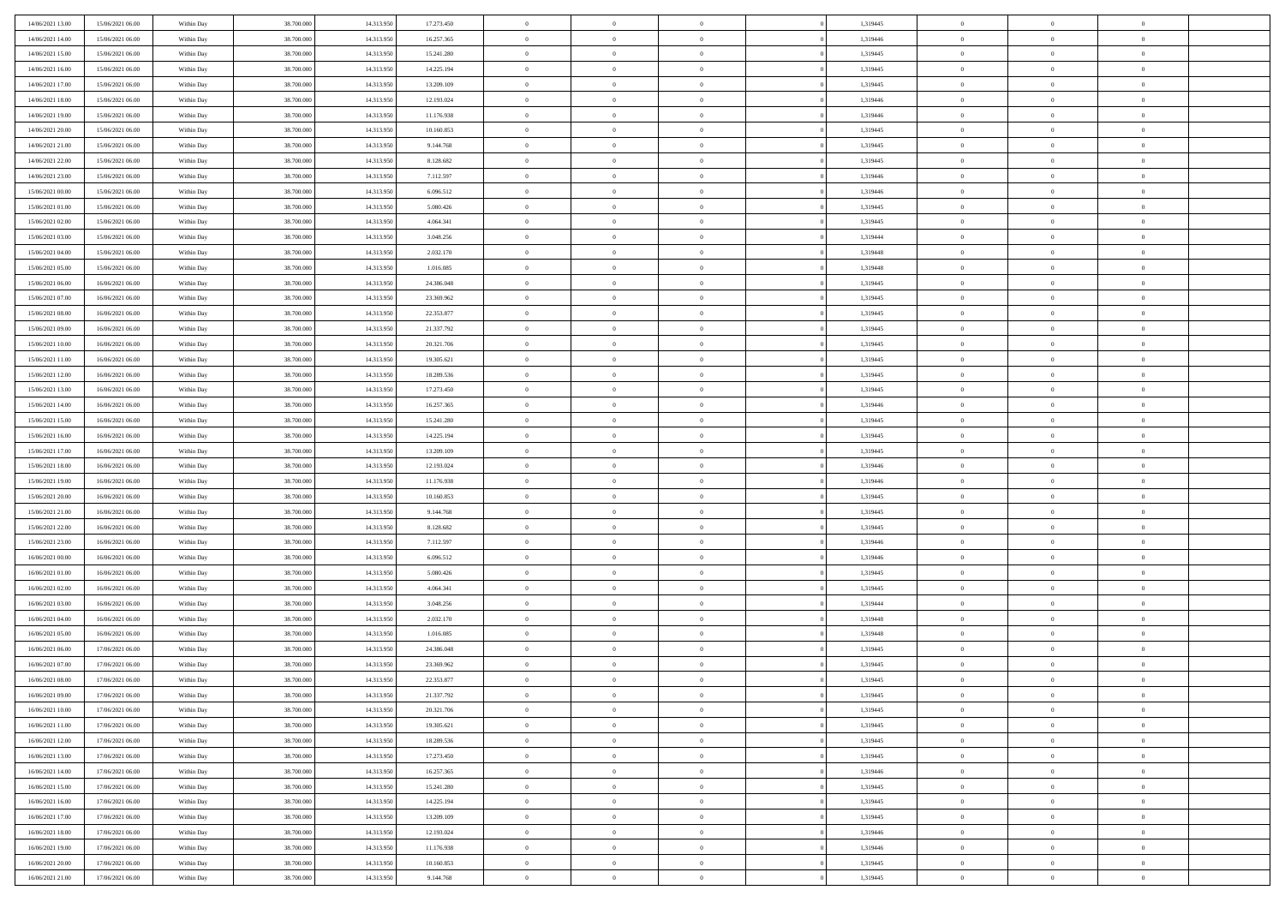| 14/06/2021 13:00 | 15/06/2021 06:00 | Within Day | 38,700,000 | 14.313.950 | 17.273.450 | $\bf{0}$       | $\overline{0}$ | $\overline{0}$ | 1,319445 | $\bf{0}$       | $\overline{0}$ | $\bf{0}$       |  |
|------------------|------------------|------------|------------|------------|------------|----------------|----------------|----------------|----------|----------------|----------------|----------------|--|
| 14/06/2021 14:00 | 15/06/2021 06:00 | Within Day | 38.700.000 | 14.313.950 | 16.257.365 | $\overline{0}$ | $\overline{0}$ | $\overline{0}$ | 1,319446 | $\overline{0}$ | $\bf{0}$       | $\theta$       |  |
| 14/06/2021 15:00 | 15/06/2021 06:00 | Within Day | 38.700.000 | 14.313.950 | 15.241.280 | $\overline{0}$ | $\overline{0}$ | $\overline{0}$ | 1,319445 | $\,$ 0         | $\overline{0}$ | $\,$ 0 $\,$    |  |
| 14/06/2021 16:00 | 15/06/2021 06:00 | Within Day | 38,700,000 | 14.313.950 | 14.225.194 | $\overline{0}$ | $\overline{0}$ | $\Omega$       | 1,319445 | $\overline{0}$ | $\theta$       | $\overline{0}$ |  |
| 14/06/2021 17:00 | 15/06/2021 06:00 | Within Day | 38.700.000 | 14.313.950 | 13.209.109 | $\mathbf{0}$   | $\overline{0}$ | $\overline{0}$ | 1,319445 | $\mathbf{0}$   | $\bf{0}$       | $\overline{0}$ |  |
| 14/06/2021 18:00 | 15/06/2021 06:00 | Within Day | 38.700.000 | 14.313.950 | 12.193.024 | $\overline{0}$ | $\overline{0}$ | $\overline{0}$ | 1,319446 | $\,$ 0 $\,$    | $\overline{0}$ | $\,0\,$        |  |
| 14/06/2021 19:00 | 15/06/2021 06:00 | Within Day | 38,700,000 | 14.313.950 | 11.176.938 | $\bf{0}$       | $\overline{0}$ | $\Omega$       | 1,319446 | $\bf{0}$       | $\theta$       | $\overline{0}$ |  |
| 14/06/2021 20:00 | 15/06/2021 06:00 | Within Day | 38.700.000 | 14.313.950 | 10.160.853 | $\overline{0}$ | $\overline{0}$ | $\overline{0}$ | 1,319445 | $\overline{0}$ | $\bf{0}$       | $\theta$       |  |
| 14/06/2021 21:00 | 15/06/2021 06:00 | Within Day | 38.700.000 | 14.313.950 | 9.144.768  | $\overline{0}$ | $\overline{0}$ | $\overline{0}$ | 1,319445 | $\,$ 0 $\,$    | $\overline{0}$ | $\,0\,$        |  |
| 14/06/2021 22.00 | 15/06/2021 06:00 | Within Day | 38,700,000 | 14.313.950 | 8.128.682  | $\overline{0}$ | $\overline{0}$ | $\Omega$       | 1,319445 | $\overline{0}$ | $\theta$       | $\overline{0}$ |  |
| 14/06/2021 23:00 | 15/06/2021 06:00 | Within Day | 38.700.000 | 14.313.950 | 7.112.597  | $\mathbf{0}$   | $\overline{0}$ | $\overline{0}$ | 1,319446 | $\overline{0}$ | $\bf{0}$       | $\theta$       |  |
| 15/06/2021 00:00 | 15/06/2021 06:00 | Within Day | 38.700.000 | 14.313.950 | 6.096.512  | $\overline{0}$ | $\overline{0}$ | $\overline{0}$ | 1,319446 | $\,$ 0 $\,$    | $\overline{0}$ | $\,0\,$        |  |
| 15/06/2021 01:00 | 15/06/2021 06:00 | Within Day | 38,700,000 | 14.313.950 | 5.080.426  | $\overline{0}$ | $\overline{0}$ | $\Omega$       | 1,319445 | $\overline{0}$ | $\theta$       | $\overline{0}$ |  |
| 15/06/2021 02:00 | 15/06/2021 06:00 | Within Day | 38.700.000 | 14.313.950 | 4.064.341  | $\mathbf{0}$   | $\overline{0}$ | $\overline{0}$ | 1,319445 | $\mathbf{0}$   | $\bf{0}$       | $\theta$       |  |
| 15/06/2021 03:00 | 15/06/2021 06:00 | Within Day | 38.700.000 | 14.313.950 | 3.048.256  | $\overline{0}$ | $\,$ 0 $\,$    | $\overline{0}$ | 1,319444 | $\,$ 0 $\,$    | $\overline{0}$ | $\,0\,$        |  |
| 15/06/2021 04:00 | 15/06/2021 06:00 | Within Day | 38,700,000 | 14.313.950 | 2.032.170  | $\bf{0}$       | $\overline{0}$ | $\Omega$       | 1,319448 | $\overline{0}$ | $\theta$       | $\bf{0}$       |  |
| 15/06/2021 05:00 | 15/06/2021 06:00 | Within Day | 38.700.000 | 14.313.950 | 1.016.085  | $\overline{0}$ | $\overline{0}$ | $\overline{0}$ | 1,319448 | $\overline{0}$ | $\bf{0}$       | $\theta$       |  |
| 15/06/2021 06:00 | 16/06/2021 06:00 | Within Day | 38.700.000 | 14.313.950 | 24.386.048 | $\overline{0}$ | $\overline{0}$ | $\overline{0}$ | 1,319445 | $\,$ 0 $\,$    | $\overline{0}$ | $\,0\,$        |  |
| 15/06/2021 07:00 | 16/06/2021 06:00 | Within Day | 38,700,000 | 14.313.950 | 23.369.962 | $\overline{0}$ | $\overline{0}$ | $\Omega$       | 1,319445 | $\overline{0}$ | $\theta$       | $\overline{0}$ |  |
| 15/06/2021 08:00 | 16/06/2021 06:00 | Within Day | 38.700.000 | 14.313.950 | 22.353.877 | $\overline{0}$ | $\overline{0}$ | $\overline{0}$ | 1,319445 | $\overline{0}$ | $\bf{0}$       | $\theta$       |  |
| 15/06/2021 09:00 | 16/06/2021 06:00 | Within Day | 38.700.000 | 14.313.950 | 21.337.792 | $\overline{0}$ | $\overline{0}$ | $\overline{0}$ | 1,319445 | $\,$ 0         | $\overline{0}$ | $\,0\,$        |  |
| 15/06/2021 10:00 | 16/06/2021 06:00 | Within Day | 38,700,000 | 14.313.950 | 20.321.706 | $\overline{0}$ | $\overline{0}$ | $\Omega$       | 1,319445 | $\overline{0}$ | $\theta$       | $\overline{0}$ |  |
| 15/06/2021 11:00 | 16/06/2021 06:00 | Within Day | 38.700.000 | 14.313.950 | 19.305.621 | $\mathbf{0}$   | $\overline{0}$ | $\overline{0}$ | 1,319445 | $\mathbf{0}$   | $\bf{0}$       | $\theta$       |  |
| 15/06/2021 12:00 | 16/06/2021 06:00 | Within Day | 38.700.000 | 14.313.950 | 18.289.536 | $\overline{0}$ | $\overline{0}$ | $\overline{0}$ | 1,319445 | $\,$ 0         | $\overline{0}$ | $\,0\,$        |  |
| 15/06/2021 13:00 | 16/06/2021 06:00 | Within Day | 38,700,000 | 14.313.950 | 17.273.450 | $\bf{0}$       | $\overline{0}$ | $\Omega$       | 1,319445 | $\bf{0}$       | $\theta$       | $\bf{0}$       |  |
| 15/06/2021 14:00 | 16/06/2021 06:00 | Within Day | 38.700.000 | 14.313.950 | 16.257.365 | $\overline{0}$ | $\overline{0}$ | $\overline{0}$ | 1,319446 | $\overline{0}$ | $\bf{0}$       | $\theta$       |  |
| 15/06/2021 15:00 | 16/06/2021 06:00 | Within Day | 38.700.000 | 14.313.950 | 15.241.280 | $\overline{0}$ | $\overline{0}$ | $\overline{0}$ | 1,319445 | $\,$ 0 $\,$    | $\overline{0}$ | $\,0\,$        |  |
| 15/06/2021 16:00 | 16/06/2021 06:00 | Within Day | 38,700,000 | 14.313.950 | 14.225.194 | $\overline{0}$ | $\overline{0}$ | $\Omega$       | 1,319445 | $\overline{0}$ | $\theta$       | $\overline{0}$ |  |
| 15/06/2021 17:00 | 16/06/2021 06:00 | Within Day | 38.700.000 | 14.313.950 | 13.209.109 | $\mathbf{0}$   | $\overline{0}$ | $\overline{0}$ | 1,319445 | $\mathbf{0}$   | $\bf{0}$       | $\overline{0}$ |  |
| 15/06/2021 18:00 | 16/06/2021 06:00 | Within Day | 38.700.000 | 14.313.950 | 12.193.024 | $\overline{0}$ | $\overline{0}$ | $\overline{0}$ | 1,319446 | $\,$ 0         | $\overline{0}$ | $\,0\,$        |  |
| 15/06/2021 19:00 | 16/06/2021 06:00 | Within Day | 38.700.000 | 14.313.950 | 11.176.938 | $\bf{0}$       | $\overline{0}$ | $\theta$       | 1,319446 | $\bf{0}$       | $\overline{0}$ | $\bf{0}$       |  |
| 15/06/2021 20:00 | 16/06/2021 06:00 | Within Day | 38.700.000 | 14.313.950 | 10.160.853 | $\overline{0}$ | $\overline{0}$ | $\overline{0}$ | 1,319445 | $\overline{0}$ | $\bf{0}$       | $\theta$       |  |
| 15/06/2021 21:00 | 16/06/2021 06:00 | Within Day | 38.700.000 | 14.313.950 | 9.144.768  | $\overline{0}$ | $\,$ 0 $\,$    | $\overline{0}$ | 1,319445 | $\,$ 0 $\,$    | $\overline{0}$ | $\,0\,$        |  |
| 15/06/2021 22.00 | 16/06/2021 06:00 | Within Day | 38.700.000 | 14.313.950 | 8.128.682  | $\bf{0}$       | $\overline{0}$ | $\overline{0}$ | 1,319445 | $\mathbf{0}$   | $\overline{0}$ | $\bf{0}$       |  |
| 15/06/2021 23:00 | 16/06/2021 06:00 | Within Day | 38.700.000 | 14.313.950 | 7.112.597  | $\overline{0}$ | $\overline{0}$ | $\overline{0}$ | 1,319446 | $\overline{0}$ | $\overline{0}$ | $\theta$       |  |
| 16/06/2021 00:00 | 16/06/2021 06:00 | Within Day | 38.700.000 | 14.313.950 | 6.096.512  | $\overline{0}$ | $\overline{0}$ | $\overline{0}$ | 1,319446 | $\,$ 0 $\,$    | $\overline{0}$ | $\,0\,$        |  |
| 16/06/2021 01:00 | 16/06/2021 06:00 | Within Day | 38.700.000 | 14.313.950 | 5.080.426  | $\bf{0}$       | $\overline{0}$ | $\Omega$       | 1,319445 | $\bf{0}$       | $\theta$       | $\bf{0}$       |  |
| 16/06/2021 02:00 | 16/06/2021 06:00 | Within Day | 38.700.000 | 14.313.950 | 4.064.341  | $\mathbf{0}$   | $\overline{0}$ | $\overline{0}$ | 1,319445 | $\overline{0}$ | $\bf{0}$       | $\overline{0}$ |  |
| 16/06/2021 03:00 | 16/06/2021 06:00 | Within Day | 38.700.000 | 14.313.950 | 3.048.256  | $\,$ 0         | $\overline{0}$ | $\overline{0}$ | 1,319444 | $\,$ 0         | $\overline{0}$ | $\,0\,$        |  |
| 16/06/2021 04:00 | 16/06/2021 06:00 | Within Day | 38.700.000 | 14.313.950 | 2.032.170  | $\bf{0}$       | $\overline{0}$ | $\Omega$       | 1,319448 | $\bf{0}$       | $\overline{0}$ | $\bf{0}$       |  |
| 16/06/2021 05:00 | 16/06/2021 06:00 | Within Day | 38.700.000 | 14.313.950 | 1.016.085  | $\overline{0}$ | $\overline{0}$ | $\overline{0}$ | 1,319448 | $\overline{0}$ | $\overline{0}$ | $\theta$       |  |
| 16/06/2021 06:00 | 17/06/2021 06:00 | Within Day | 38.700.000 | 14.313.950 | 24.386.048 | $\overline{0}$ | $\overline{0}$ | $\overline{0}$ | 1,319445 | $\,$ 0 $\,$    | $\overline{0}$ | $\,0\,$        |  |
| 16/06/2021 07:00 | 17/06/2021 06:00 | Within Day | 38.700.000 | 14.313.950 | 23.369.962 | $\bf{0}$       | $\overline{0}$ | $\overline{0}$ | 1,319445 | $\bf{0}$       | $\overline{0}$ | $\bf{0}$       |  |
| 16/06/2021 08:00 | 17/06/2021 06:00 | Within Day | 38.700.000 | 14.313.950 | 22.353.877 | $\mathbf{0}$   | $\overline{0}$ | $\overline{0}$ | 1,319445 | $\overline{0}$ | $\bf{0}$       | $\theta$       |  |
| 16/06/2021 09:00 | 17/06/2021 06:00 | Within Day | 38.700.000 | 14.313.950 | 21.337.792 | $\theta$       | $\overline{0}$ | $\theta$       | 1,319445 | $\overline{0}$ | $\overline{0}$ | $\overline{0}$ |  |
| 16/06/2021 10:00 | 17/06/2021 06:00 | Within Day | 38.700.000 | 14.313.950 | 20.321.706 | $\bf{0}$       | $\overline{0}$ | $\overline{0}$ | 1,319445 | $\mathbf{0}$   | $\overline{0}$ | $\bf{0}$       |  |
| 16/06/2021 11:00 | 17/06/2021 06:00 | Within Day | 38.700.000 | 14.313.950 | 19.305.621 | $\overline{0}$ | $\overline{0}$ | $\overline{0}$ | 1,319445 | $\,$ 0 $\,$    | $\overline{0}$ | $\overline{0}$ |  |
| 16/06/2021 12:00 | 17/06/2021 06:00 | Within Day | 38.700.000 | 14.313.950 | 18.289.536 | $\,$ 0 $\,$    | $\overline{0}$ | $\overline{0}$ | 1,319445 | $\,$ 0 $\,$    | $\,$ 0 $\,$    | $\theta$       |  |
| 16/06/2021 13:00 | 17/06/2021 06:00 | Within Day | 38.700.000 | 14.313.950 | 17.273.450 | $\bf{0}$       | $\overline{0}$ | $\overline{0}$ | 1,319445 | $\mathbf{0}$   | $\overline{0}$ | $\bf{0}$       |  |
| 16/06/2021 14:00 | 17/06/2021 06:00 | Within Day | 38.700.000 | 14.313.950 | 16.257.365 | $\,$ 0 $\,$    | $\overline{0}$ | $\overline{0}$ | 1,319446 | $\,$ 0 $\,$    | $\bf{0}$       | $\theta$       |  |
| 16/06/2021 15:00 | 17/06/2021 06:00 | Within Day | 38.700.000 | 14.313.950 | 15.241.280 | $\,$ 0 $\,$    | $\overline{0}$ | $\overline{0}$ | 1,319445 | $\,$ 0 $\,$    | $\overline{0}$ | $\theta$       |  |
| 16/06/2021 16:00 | 17/06/2021 06:00 | Within Day | 38.700.000 | 14.313.950 | 14.225.194 | $\mathbf{0}$   | $\overline{0}$ | $\overline{0}$ | 1,319445 | $\mathbf{0}$   | $\overline{0}$ | $\overline{0}$ |  |
| 16/06/2021 17:00 | 17/06/2021 06:00 | Within Day | 38.700.000 | 14.313.950 | 13.209.109 | $\,$ 0 $\,$    | $\overline{0}$ | $\overline{0}$ | 1,319445 | $\,$ 0 $\,$    | $\bf{0}$       | $\overline{0}$ |  |
| 16/06/2021 18:00 | 17/06/2021 06:00 | Within Day | 38.700.000 | 14.313.950 | 12.193.024 | $\,$ 0 $\,$    | $\overline{0}$ | $\overline{0}$ | 1,319446 | $\,$ 0 $\,$    | $\,$ 0         | $\theta$       |  |
| 16/06/2021 19:00 | 17/06/2021 06:00 | Within Day | 38.700.000 | 14.313.950 | 11.176.938 | $\bf{0}$       | $\overline{0}$ | $\overline{0}$ | 1,319446 | $\mathbf{0}$   | $\overline{0}$ | $\bf{0}$       |  |
| 16/06/2021 20:00 | 17/06/2021 06:00 | Within Day | 38.700.000 | 14.313.950 | 10.160.853 | $\mathbf{0}$   | $\overline{0}$ | $\overline{0}$ | 1,319445 | $\mathbf{0}$   | $\bf{0}$       | $\overline{0}$ |  |
| 16/06/2021 21:00 | 17/06/2021 06:00 | Within Day | 38.700.000 | 14.313.950 | 9.144.768  | $\,$ 0         | $\overline{0}$ | $\overline{0}$ | 1,319445 | $\,$ 0 $\,$    | $\overline{0}$ | $\theta$       |  |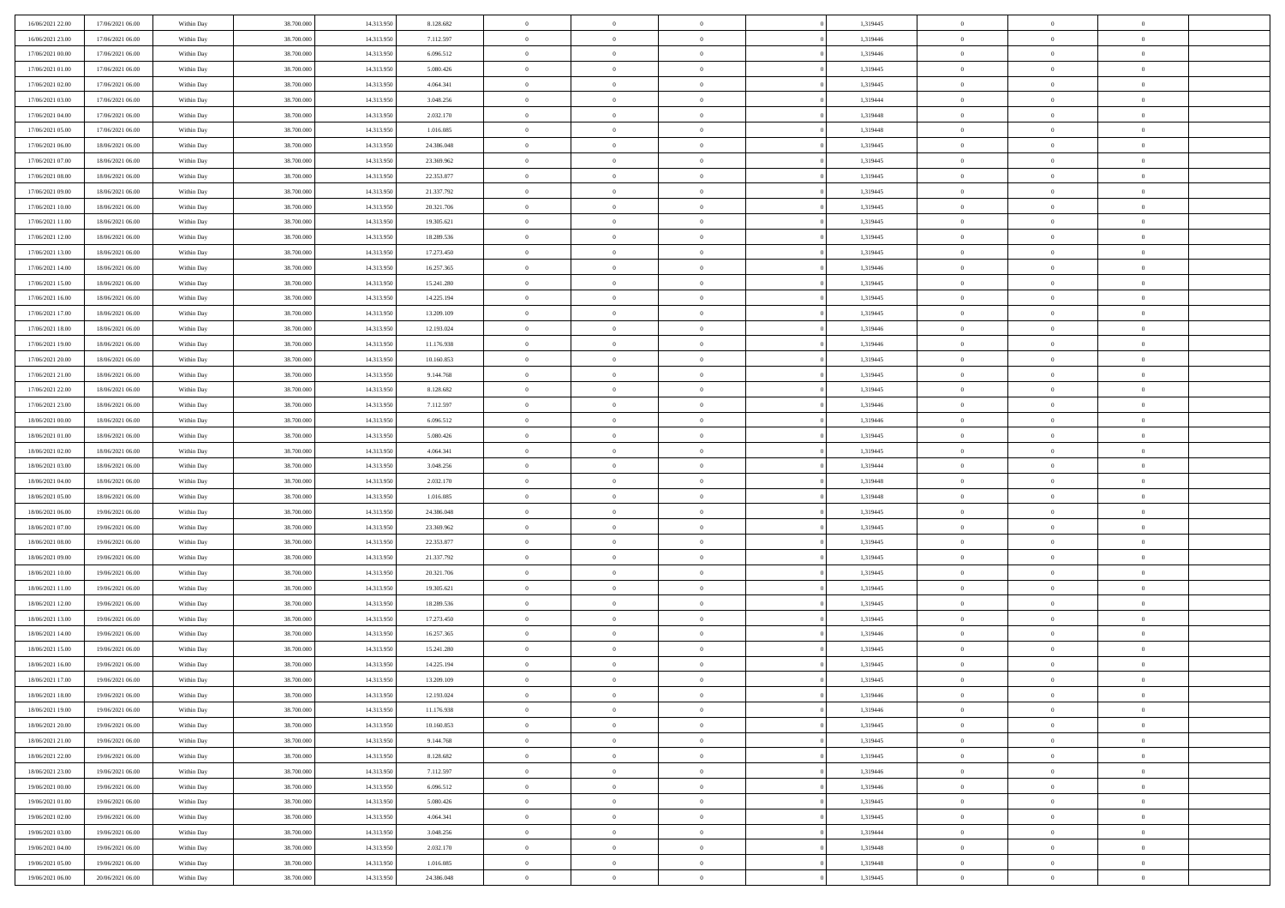| 16/06/2021 22.00 | 17/06/2021 06:00 | Within Day | 38,700,000 | 14.313.950 | 8.128.682  | $\bf{0}$       | $\overline{0}$ | $\overline{0}$ | 1,319445 | $\bf{0}$       | $\overline{0}$ | $\bf{0}$       |  |
|------------------|------------------|------------|------------|------------|------------|----------------|----------------|----------------|----------|----------------|----------------|----------------|--|
| 16/06/2021 23:00 | 17/06/2021 06:00 | Within Day | 38.700.000 | 14.313.950 | 7.112.597  | $\overline{0}$ | $\overline{0}$ | $\Omega$       | 1,319446 | $\overline{0}$ | $\bf{0}$       | $\theta$       |  |
| 17/06/2021 00:00 | 17/06/2021 06:00 | Within Day | 38.700.000 | 14.313.950 | 6.096.512  | $\overline{0}$ | $\overline{0}$ | $\overline{0}$ | 1,319446 | $\,$ 0         | $\overline{0}$ | $\,0\,$        |  |
| 17/06/2021 01:00 | 17/06/2021 06:00 | Within Day | 38,700,000 | 14.313.950 | 5.080.426  | $\overline{0}$ | $\overline{0}$ | $\Omega$       | 1,319445 | $\overline{0}$ | $\theta$       | $\overline{0}$ |  |
| 17/06/2021 02:00 | 17/06/2021 06:00 | Within Day | 38.700.000 | 14.313.950 | 4.064.341  | $\mathbf{0}$   | $\overline{0}$ | $\overline{0}$ | 1,319445 | $\mathbf{0}$   | $\bf{0}$       | $\overline{0}$ |  |
| 17/06/2021 03:00 | 17/06/2021 06:00 | Within Day | 38.700.000 | 14.313.950 | 3.048.256  | $\overline{0}$ | $\overline{0}$ | $\overline{0}$ | 1,319444 | $\,$ 0 $\,$    | $\overline{0}$ | $\,0\,$        |  |
| 17/06/2021 04:00 | 17/06/2021 06:00 | Within Day | 38,700,000 | 14.313.950 | 2.032.170  | $\bf{0}$       | $\overline{0}$ | $\Omega$       | 1.319448 | $\bf{0}$       | $\theta$       | $\overline{0}$ |  |
| 17/06/2021 05:00 | 17/06/2021 06:00 | Within Day | 38.700.000 | 14.313.950 | 1.016.085  | $\overline{0}$ | $\overline{0}$ | $\overline{0}$ | 1,319448 | $\overline{0}$ | $\bf{0}$       | $\theta$       |  |
| 17/06/2021 06:00 | 18/06/2021 06:00 | Within Day | 38.700.000 | 14.313.950 | 24.386.048 | $\overline{0}$ | $\overline{0}$ | $\overline{0}$ | 1,319445 | $\,$ 0 $\,$    | $\overline{0}$ | $\,0\,$        |  |
| 17/06/2021 07:00 | 18/06/2021 06:00 | Within Day | 38,700,000 | 14.313.950 | 23.369.962 | $\overline{0}$ | $\overline{0}$ | $\Omega$       | 1,319445 | $\overline{0}$ | $\theta$       | $\overline{0}$ |  |
| 17/06/2021 08:00 | 18/06/2021 06:00 | Within Day | 38.700.000 | 14.313.950 | 22.353.877 | $\mathbf{0}$   | $\overline{0}$ | $\overline{0}$ | 1,319445 | $\overline{0}$ | $\bf{0}$       | $\theta$       |  |
| 17/06/2021 09:00 | 18/06/2021 06:00 | Within Day | 38.700.000 | 14.313.950 | 21.337.792 | $\overline{0}$ | $\overline{0}$ | $\overline{0}$ | 1,319445 | $\,$ 0 $\,$    | $\overline{0}$ | $\,$ 0 $\,$    |  |
| 17/06/2021 10:00 | 18/06/2021 06:00 | Within Day | 38,700,000 | 14.313.950 | 20.321.706 | $\overline{0}$ | $\overline{0}$ | $\Omega$       | 1,319445 | $\overline{0}$ | $\theta$       | $\overline{0}$ |  |
| 17/06/2021 11:00 | 18/06/2021 06:00 | Within Day | 38.700.000 | 14.313.950 | 19.305.621 | $\mathbf{0}$   | $\overline{0}$ | $\overline{0}$ | 1,319445 | $\mathbf{0}$   | $\bf{0}$       | $\theta$       |  |
| 17/06/2021 12:00 | 18/06/2021 06:00 | Within Day | 38.700.000 | 14.313.950 | 18.289.536 | $\overline{0}$ | $\,$ 0 $\,$    | $\overline{0}$ | 1,319445 | $\,$ 0 $\,$    | $\overline{0}$ | $\,$ 0 $\,$    |  |
| 17/06/2021 13:00 | 18/06/2021 06:00 | Within Day | 38,700,000 | 14.313.950 | 17.273.450 | $\bf{0}$       | $\overline{0}$ | $\Omega$       | 1,319445 | $\overline{0}$ | $\theta$       | $\overline{0}$ |  |
| 17/06/2021 14:00 | 18/06/2021 06:00 | Within Day | 38.700.000 | 14.313.950 | 16.257.365 | $\overline{0}$ | $\overline{0}$ | $\overline{0}$ | 1,319446 | $\overline{0}$ | $\bf{0}$       | $\theta$       |  |
| 17/06/2021 15:00 | 18/06/2021 06:00 | Within Day | 38.700.000 | 14.313.950 | 15.241.280 | $\overline{0}$ | $\overline{0}$ | $\overline{0}$ | 1,319445 | $\,$ 0 $\,$    | $\overline{0}$ | $\,$ 0 $\,$    |  |
| 17/06/2021 16:00 | 18/06/2021 06:00 | Within Day | 38,700,000 | 14.313.950 | 14.225.194 | $\overline{0}$ | $\overline{0}$ | $\Omega$       | 1,319445 | $\overline{0}$ | $\theta$       | $\overline{0}$ |  |
| 17/06/2021 17:00 | 18/06/2021 06:00 | Within Day | 38.700.000 | 14.313.950 | 13.209.109 | $\overline{0}$ | $\overline{0}$ | $\overline{0}$ | 1,319445 | $\overline{0}$ | $\bf{0}$       | $\theta$       |  |
| 17/06/2021 18:00 | 18/06/2021 06:00 | Within Day | 38.700.000 | 14.313.950 | 12.193.024 | $\overline{0}$ | $\overline{0}$ | $\overline{0}$ | 1,319446 | $\,$ 0 $\,$    | $\overline{0}$ | $\,$ 0 $\,$    |  |
| 17/06/2021 19:00 | 18/06/2021 06:00 | Within Day | 38,700,000 | 14.313.950 | 11.176.938 | $\overline{0}$ | $\overline{0}$ | $\Omega$       | 1,319446 | $\overline{0}$ | $\theta$       | $\overline{0}$ |  |
| 17/06/2021 20:00 | 18/06/2021 06:00 | Within Day | 38.700.000 | 14.313.950 | 10.160.853 | $\mathbf{0}$   | $\overline{0}$ | $\overline{0}$ | 1,319445 | $\mathbf{0}$   | $\bf{0}$       | $\theta$       |  |
| 17/06/2021 21:00 | 18/06/2021 06:00 | Within Day | 38.700.000 | 14.313.950 | 9.144.768  | $\overline{0}$ | $\overline{0}$ | $\overline{0}$ | 1,319445 | $\,$ 0         | $\overline{0}$ | $\,$ 0 $\,$    |  |
| 17/06/2021 22.00 | 18/06/2021 06:00 | Within Day | 38,700,000 | 14.313.950 | 8.128.682  | $\bf{0}$       | $\overline{0}$ | $\Omega$       | 1,319445 | $\bf{0}$       | $\theta$       | $\overline{0}$ |  |
| 17/06/2021 23:00 | 18/06/2021 06:00 | Within Day | 38.700.000 | 14.313.950 | 7.112.597  | $\overline{0}$ | $\overline{0}$ | $\overline{0}$ | 1,319446 | $\overline{0}$ | $\bf{0}$       | $\theta$       |  |
| 18/06/2021 00:00 | 18/06/2021 06:00 | Within Day | 38.700.000 | 14.313.950 | 6.096.512  | $\overline{0}$ | $\overline{0}$ | $\overline{0}$ | 1,319446 | $\,$ 0 $\,$    | $\overline{0}$ | $\,$ 0 $\,$    |  |
| 18/06/2021 01:00 | 18/06/2021 06:00 | Within Day | 38,700,000 | 14.313.950 | 5.080.426  | $\overline{0}$ | $\overline{0}$ | $\Omega$       | 1,319445 | $\overline{0}$ | $\theta$       | $\overline{0}$ |  |
| 18/06/2021 02:00 | 18/06/2021 06:00 | Within Day | 38.700.000 | 14.313.950 | 4.064.341  | $\mathbf{0}$   | $\overline{0}$ | $\overline{0}$ | 1,319445 | $\mathbf{0}$   | $\bf{0}$       | $\overline{0}$ |  |
| 18/06/2021 03:00 | 18/06/2021 06:00 | Within Day | 38.700.000 | 14.313.950 | 3.048.256  | $\overline{0}$ | $\overline{0}$ | $\overline{0}$ | 1,319444 | $\,$ 0 $\,$    | $\overline{0}$ | $\,$ 0 $\,$    |  |
| 18/06/2021 04:00 | 18/06/2021 06:00 | Within Day | 38.700.000 | 14.313.950 | 2.032.170  | $\bf{0}$       | $\overline{0}$ | $\theta$       | 1,319448 | $\bf{0}$       | $\overline{0}$ | $\bf{0}$       |  |
| 18/06/2021 05:00 | 18/06/2021 06:00 | Within Day | 38.700.000 | 14.313.950 | 1.016.085  | $\overline{0}$ | $\overline{0}$ | $\overline{0}$ | 1,319448 | $\overline{0}$ | $\bf{0}$       | $\theta$       |  |
| 18/06/2021 06:00 | 19/06/2021 06:00 | Within Day | 38.700.000 | 14.313.950 | 24.386.048 | $\,$ 0         | $\,$ 0 $\,$    | $\overline{0}$ | 1,319445 | $\,$ 0 $\,$    | $\overline{0}$ | $\,$ 0 $\,$    |  |
| 18/06/2021 07:00 | 19/06/2021 06:00 | Within Day | 38.700.000 | 14.313.950 | 23.369.962 | $\bf{0}$       | $\overline{0}$ | $\overline{0}$ | 1,319445 | $\mathbf{0}$   | $\overline{0}$ | $\bf{0}$       |  |
| 18/06/2021 08:00 | 19/06/2021 06:00 | Within Day | 38.700.000 | 14.313.950 | 22.353.877 | $\overline{0}$ | $\overline{0}$ | $\overline{0}$ | 1,319445 | $\overline{0}$ | $\overline{0}$ | $\theta$       |  |
| 18/06/2021 09:00 | 19/06/2021 06:00 | Within Day | 38.700.000 | 14.313.950 | 21.337.792 | $\overline{0}$ | $\overline{0}$ | $\overline{0}$ | 1,319445 | $\,$ 0 $\,$    | $\overline{0}$ | $\,$ 0 $\,$    |  |
| 18/06/2021 10:00 | 19/06/2021 06:00 | Within Day | 38.700.000 | 14.313.950 | 20.321.706 | $\bf{0}$       | $\overline{0}$ | $\Omega$       | 1,319445 | $\bf{0}$       | $\theta$       | $\bf{0}$       |  |
| 18/06/2021 11:00 | 19/06/2021 06:00 | Within Day | 38.700.000 | 14.313.950 | 19.305.621 | $\mathbf{0}$   | $\overline{0}$ | $\overline{0}$ | 1,319445 | $\mathbf{0}$   | $\bf{0}$       | $\overline{0}$ |  |
| 18/06/2021 12:00 | 19/06/2021 06:00 | Within Day | 38.700.000 | 14.313.950 | 18.289.536 | $\,$ 0         | $\overline{0}$ | $\overline{0}$ | 1,319445 | $\,$ 0 $\,$    | $\overline{0}$ | $\,$ 0 $\,$    |  |
| 18/06/2021 13:00 | 19/06/2021 06:00 | Within Day | 38.700.000 | 14.313.950 | 17.273.450 | $\bf{0}$       | $\overline{0}$ | $\Omega$       | 1,319445 | $\bf{0}$       | $\overline{0}$ | $\bf{0}$       |  |
| 18/06/2021 14:00 | 19/06/2021 06:00 | Within Day | 38.700.000 | 14.313.950 | 16.257.365 | $\overline{0}$ | $\overline{0}$ | $\overline{0}$ | 1,319446 | $\overline{0}$ | $\overline{0}$ | $\theta$       |  |
| 18/06/2021 15:00 | 19/06/2021 06:00 | Within Day | 38.700.000 | 14.313.950 | 15.241.280 | $\overline{0}$ | $\overline{0}$ | $\overline{0}$ | 1,319445 | $\,$ 0 $\,$    | $\overline{0}$ | $\,$ 0 $\,$    |  |
| 18/06/2021 16:00 | 19/06/2021 06:00 | Within Day | 38.700.000 | 14.313.950 | 14.225.194 | $\bf{0}$       | $\overline{0}$ | $\overline{0}$ | 1,319445 | $\bf{0}$       | $\overline{0}$ | $\bf{0}$       |  |
| 18/06/2021 17:00 | 19/06/2021 06:00 | Within Day | 38.700.000 | 14.313.950 | 13.209.109 | $\mathbf{0}$   | $\overline{0}$ | $\overline{0}$ | 1,319445 | $\overline{0}$ | $\bf{0}$       | $\theta$       |  |
| 18/06/2021 18:00 | 19/06/2021 06:00 | Within Day | 38.700.000 | 14.313.950 | 12.193.024 | $\theta$       | $\overline{0}$ | $\theta$       | 1,319446 | $\overline{0}$ | $\overline{0}$ | $\overline{0}$ |  |
| 18/06/2021 19:00 | 19/06/2021 06:00 | Within Day | 38.700.000 | 14.313.950 | 11.176.938 | $\bf{0}$       | $\overline{0}$ | $\overline{0}$ | 1,319446 | $\mathbf{0}$   | $\overline{0}$ | $\bf{0}$       |  |
| 18/06/2021 20:00 | 19/06/2021 06:00 | Within Day | 38.700.000 | 14.313.950 | 10.160.853 | $\overline{0}$ | $\overline{0}$ | $\overline{0}$ | 1,319445 | $\,$ 0 $\,$    | $\bf{0}$       | $\overline{0}$ |  |
| 18/06/2021 21:00 | 19/06/2021 06:00 | Within Day | 38.700.000 | 14.313.950 | 9.144.768  | $\,$ 0 $\,$    | $\overline{0}$ | $\overline{0}$ | 1,319445 | $\,$ 0 $\,$    | $\,$ 0 $\,$    | $\theta$       |  |
| 18/06/2021 22:00 | 19/06/2021 06:00 | Within Day | 38.700.000 | 14.313.950 | 8.128.682  | $\mathbf{0}$   | $\overline{0}$ | $\overline{0}$ | 1,319445 | $\mathbf{0}$   | $\overline{0}$ | $\bf{0}$       |  |
| 18/06/2021 23:00 | 19/06/2021 06:00 | Within Day | 38.700.000 | 14.313.950 | 7.112.597  | $\mathbf{0}$   | $\overline{0}$ | $\overline{0}$ | 1,319446 | $\mathbf{0}$   | $\bf{0}$       | $\theta$       |  |
| 19/06/2021 00:00 | 19/06/2021 06:00 | Within Day | 38.700.000 | 14.313.950 | 6.096.512  | $\,$ 0 $\,$    | $\overline{0}$ | $\overline{0}$ | 1,319446 | $\,$ 0 $\,$    | $\overline{0}$ | $\theta$       |  |
| 19/06/2021 01:00 | 19/06/2021 06:00 | Within Day | 38.700.000 | 14.313.950 | 5.080.426  | $\mathbf{0}$   | $\overline{0}$ | $\overline{0}$ | 1,319445 | $\mathbf{0}$   | $\overline{0}$ | $\overline{0}$ |  |
| 19/06/2021 02:00 | 19/06/2021 06:00 | Within Day | 38.700.000 | 14.313.950 | 4.064.341  | $\,$ 0 $\,$    | $\overline{0}$ | $\overline{0}$ | 1,319445 | $\,$ 0 $\,$    | $\bf{0}$       | $\overline{0}$ |  |
| 19/06/2021 03:00 | 19/06/2021 06:00 | Within Day | 38.700.000 | 14.313.950 | 3.048.256  | $\,$ 0         | $\overline{0}$ | $\overline{0}$ | 1,319444 | $\,$ 0 $\,$    | $\,$ 0         | $\theta$       |  |
| 19/06/2021 04:00 | 19/06/2021 06:00 | Within Day | 38.700.000 | 14.313.950 | 2.032.170  | $\bf{0}$       | $\overline{0}$ | $\overline{0}$ | 1,319448 | $\mathbf{0}$   | $\overline{0}$ | $\bf{0}$       |  |
| 19/06/2021 05:00 | 19/06/2021 06:00 | Within Day | 38.700.000 | 14.313.950 | 1.016.085  | $\mathbf{0}$   | $\overline{0}$ | $\overline{0}$ | 1,319448 | $\mathbf{0}$   | $\bf{0}$       | $\overline{0}$ |  |
| 19/06/2021 06:00 | 20/06/2021 06:00 | Within Day | 38.700.000 | 14.313.950 | 24.386.048 | $\,$ 0         | $\overline{0}$ | $\overline{0}$ | 1,319445 | $\,$ 0 $\,$    | $\overline{0}$ | $\theta$       |  |
|                  |                  |            |            |            |            |                |                |                |          |                |                |                |  |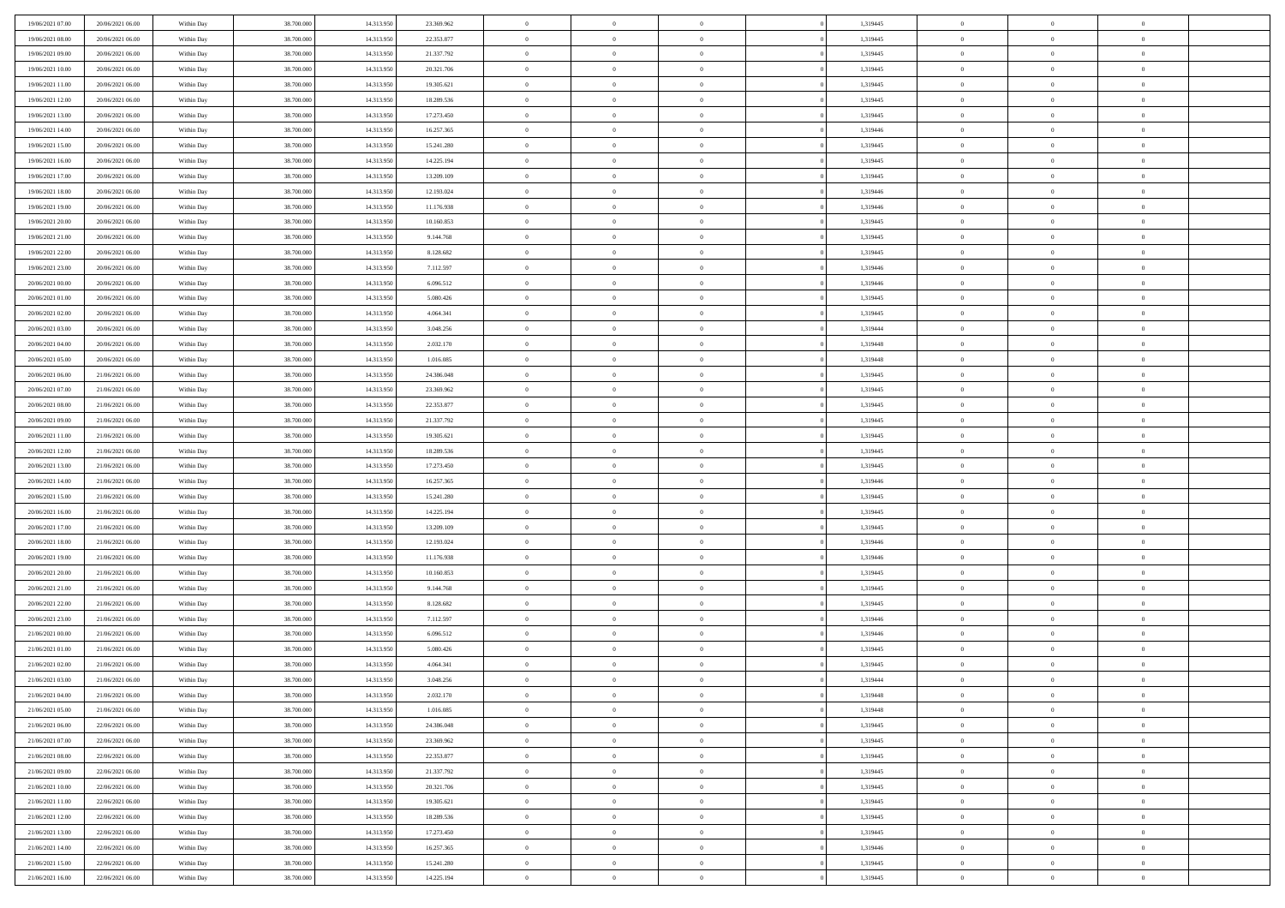| 19/06/2021 07:00 | 20/06/2021 06:00 | Within Day | 38,700,000 | 14.313.950 | 23.369.962 | $\overline{0}$ | $\overline{0}$ | $\Omega$       | 1,319445 | $\theta$       | $\overline{0}$ | $\overline{0}$ |  |
|------------------|------------------|------------|------------|------------|------------|----------------|----------------|----------------|----------|----------------|----------------|----------------|--|
| 19/06/2021 08:00 | 20/06/2021 06:00 | Within Dav | 38.700.000 | 14.313.950 | 22.353.877 | $\mathbf{0}$   | $\overline{0}$ | $\overline{0}$ | 1,319445 | $\theta$       | $\bf{0}$       | $\theta$       |  |
| 19/06/2021 09:00 | 20/06/2021 06:00 | Within Day | 38.700.000 | 14.313.950 | 21.337.792 | $\,$ 0         | $\overline{0}$ | $\bf{0}$       | 1,319445 | $\,0\,$        | $\overline{0}$ | $\,$ 0 $\,$    |  |
| 19/06/2021 10:00 | 20/06/2021 06:00 | Within Day | 38,700,000 | 14.313.950 | 20.321.706 | $\bf{0}$       | $\overline{0}$ | $\Omega$       | 1,319445 | $\overline{0}$ | $\theta$       | $\theta$       |  |
| 19/06/2021 11:00 | 20/06/2021 06:00 | Within Dav | 38.700.000 | 14.313.950 | 19.305.621 | $\mathbf{0}$   | $\overline{0}$ | $\overline{0}$ | 1,319445 | $\mathbf{0}$   | $\bf{0}$       | $\overline{0}$ |  |
| 19/06/2021 12:00 | 20/06/2021 06:00 | Within Day | 38.700.000 | 14.313.950 | 18.289.536 | $\bf{0}$       | $\overline{0}$ | $\bf{0}$       | 1,319445 | $\,0\,$        | $\overline{0}$ | $\,$ 0 $\,$    |  |
| 19/06/2021 13:00 | 20/06/2021 06:00 | Within Day | 38,700,000 | 14.313.950 | 17.273.450 | $\bf{0}$       | $\overline{0}$ | $\overline{0}$ | 1,319445 | $\bf{0}$       | $\overline{0}$ | $\theta$       |  |
| 19/06/2021 14:00 | 20/06/2021 06:00 | Within Dav | 38.700.000 | 14.313.950 | 16.257.365 | $\overline{0}$ | $\overline{0}$ | $\overline{0}$ | 1,319446 | $\mathbf{0}$   | $\overline{0}$ | $\theta$       |  |
| 19/06/2021 15:00 | 20/06/2021 06:00 | Within Day | 38.700.000 | 14.313.950 | 15.241.280 | $\bf{0}$       | $\overline{0}$ | $\bf{0}$       | 1,319445 | $\,0\,$        | $\overline{0}$ | $\,$ 0 $\,$    |  |
| 19/06/2021 16:00 | 20/06/2021 06:00 | Within Day | 38,700,000 | 14.313.950 | 14.225.194 | $\bf{0}$       | $\overline{0}$ | $\overline{0}$ | 1,319445 | $\theta$       | $\theta$       | $\overline{0}$ |  |
| 19/06/2021 17:00 | 20/06/2021 06:00 | Within Dav | 38.700.000 | 14.313.950 | 13.209.109 | $\overline{0}$ | $\overline{0}$ | $\overline{0}$ | 1,319445 | $\mathbf{0}$   | $\overline{0}$ | $\theta$       |  |
| 19/06/2021 18:00 | 20/06/2021 06:00 | Within Day | 38.700.000 | 14.313.950 | 12.193.024 | $\bf{0}$       | $\overline{0}$ | $\bf{0}$       | 1,319446 | $\,0\,$        | $\overline{0}$ | $\,$ 0 $\,$    |  |
| 19/06/2021 19:00 | 20/06/2021 06:00 | Within Day | 38,700,000 | 14.313.950 | 11.176.938 | $\bf{0}$       | $\overline{0}$ | $\Omega$       | 1,319446 | $\theta$       | $\theta$       | $\theta$       |  |
| 19/06/2021 20:00 | 20/06/2021 06:00 | Within Dav | 38.700.000 | 14.313.950 | 10.160.853 | $\overline{0}$ | $\overline{0}$ | $\overline{0}$ | 1,319445 | $\mathbf{0}$   | $\overline{0}$ | $\overline{0}$ |  |
| 19/06/2021 21:00 | 20/06/2021 06:00 | Within Day | 38.700.000 | 14.313.950 | 9.144.768  | $\bf{0}$       | $\overline{0}$ | $\bf{0}$       | 1,319445 | $\,0\,$        | $\overline{0}$ | $\,$ 0 $\,$    |  |
| 19/06/2021 22:00 | 20/06/2021 06:00 | Within Day | 38,700,000 | 14.313.950 | 8.128.682  | $\bf{0}$       | $\overline{0}$ | $\overline{0}$ | 1,319445 | $\overline{0}$ | $\overline{0}$ | $\overline{0}$ |  |
| 19/06/2021 23:00 | 20/06/2021 06:00 | Within Dav | 38.700.000 | 14.313.950 | 7.112.597  | $\overline{0}$ | $\overline{0}$ | $\overline{0}$ | 1,319446 | $\mathbf{0}$   | $\overline{0}$ | $\theta$       |  |
| 20/06/2021 00:00 | 20/06/2021 06:00 | Within Day | 38.700.000 | 14.313.950 | 6.096.512  | $\bf{0}$       | $\overline{0}$ | $\bf{0}$       | 1,319446 | $\,0\,$        | $\overline{0}$ | $\,$ 0 $\,$    |  |
| 20/06/2021 01:00 | 20/06/2021 06:00 | Within Day | 38,700,000 | 14.313.950 | 5.080.426  | $\bf{0}$       | $\overline{0}$ | $\overline{0}$ | 1,319445 | $\theta$       | $\theta$       | $\overline{0}$ |  |
| 20/06/2021 02:00 | 20/06/2021 06:00 | Within Dav | 38.700.000 | 14.313.950 | 4.064.341  | $\overline{0}$ | $\overline{0}$ | $\overline{0}$ | 1,319445 | $\mathbf{0}$   | $\overline{0}$ | $\theta$       |  |
| 20/06/2021 03:00 | 20/06/2021 06:00 | Within Day | 38.700.000 | 14.313.950 | 3.048.256  | $\bf{0}$       | $\overline{0}$ | $\bf{0}$       | 1,319444 | $\,0\,$        | $\overline{0}$ | $\,$ 0 $\,$    |  |
| 20/06/2021 04:00 | 20/06/2021 06:00 | Within Day | 38,700,000 | 14.313.950 | 2.032.170  | $\bf{0}$       | $\overline{0}$ | $\Omega$       | 1,319448 | $\overline{0}$ | $\theta$       | $\theta$       |  |
| 20/06/2021 05:00 | 20/06/2021 06:00 | Within Dav | 38.700.000 | 14.313.950 | 1.016.085  | $\overline{0}$ | $\overline{0}$ | $\overline{0}$ | 1,319448 | $\mathbf{0}$   | $\overline{0}$ | $\overline{0}$ |  |
| 20/06/2021 06:00 | 21/06/2021 06:00 | Within Day | 38.700.000 | 14.313.950 | 24.386.048 | $\bf{0}$       | $\overline{0}$ | $\bf{0}$       | 1,319445 | $\,0\,$        | $\overline{0}$ | $\,$ 0 $\,$    |  |
| 20/06/2021 07:00 | 21/06/2021 06:00 | Within Day | 38,700,000 | 14.313.950 | 23.369.962 | $\bf{0}$       | $\overline{0}$ | $\overline{0}$ | 1,319445 | $\bf{0}$       | $\overline{0}$ | $\overline{0}$ |  |
| 20/06/2021 08:00 | 21/06/2021 06:00 | Within Day | 38.700.000 | 14.313.950 | 22.353.877 | $\overline{0}$ | $\overline{0}$ | $\overline{0}$ | 1,319445 | $\theta$       | $\overline{0}$ | $\theta$       |  |
| 20/06/2021 09:00 | 21/06/2021 06:00 | Within Day | 38.700.000 | 14.313.950 | 21.337.792 | $\bf{0}$       | $\overline{0}$ | $\bf{0}$       | 1,319445 | $\,0\,$        | $\overline{0}$ | $\,$ 0 $\,$    |  |
| 20/06/2021 11:00 | 21/06/2021 06:00 | Within Day | 38,700,000 | 14.313.950 | 19.305.621 | $\bf{0}$       | $\overline{0}$ | $\Omega$       | 1,319445 | $\theta$       | $\theta$       | $\overline{0}$ |  |
| 20/06/2021 12:00 | 21/06/2021 06:00 | Within Day | 38.700.000 | 14.313.950 | 18.289.536 | $\overline{0}$ | $\overline{0}$ | $\overline{0}$ | 1,319445 | $\mathbf{0}$   | $\bf{0}$       | $\overline{0}$ |  |
| 20/06/2021 13:00 | 21/06/2021 06:00 | Within Day | 38.700.000 | 14.313.950 | 17.273.450 | $\bf{0}$       | $\overline{0}$ | $\bf{0}$       | 1,319445 | $\,0\,$        | $\overline{0}$ | $\,$ 0 $\,$    |  |
| 20/06/2021 14:00 | 21/06/2021 06:00 | Within Day | 38.700.000 | 14.313.950 | 16.257.365 | $\,$ 0         | $\bf{0}$       | $\overline{0}$ | 1,319446 | $\bf{0}$       | $\overline{0}$ | $\theta$       |  |
| 20/06/2021 15:00 | 21/06/2021 06:00 | Within Day | 38.700.000 | 14.313.950 | 15.241.280 | $\overline{0}$ | $\overline{0}$ | $\overline{0}$ | 1,319445 | $\mathbf{0}$   | $\overline{0}$ | $\theta$       |  |
| 20/06/2021 16:00 | 21/06/2021 06:00 | Within Day | 38.700.000 | 14.313.950 | 14.225.194 | $\bf{0}$       | $\overline{0}$ | $\bf{0}$       | 1,319445 | $\,0\,$        | $\overline{0}$ | $\,$ 0 $\,$    |  |
| 20/06/2021 17:00 | 21/06/2021 06:00 | Within Day | 38.700.000 | 14.313.950 | 13.209.109 | $\bf{0}$       | $\bf{0}$       | $\bf{0}$       | 1,319445 | $\bf{0}$       | $\overline{0}$ | $\bf{0}$       |  |
| 20/06/2021 18:00 | 21/06/2021 06:00 | Within Day | 38.700.000 | 14.313.950 | 12.193.024 | $\mathbf{0}$   | $\overline{0}$ | $\overline{0}$ | 1,319446 | $\mathbf{0}$   | $\overline{0}$ | $\theta$       |  |
| 20/06/2021 19:00 | 21/06/2021 06:00 | Within Day | 38.700.000 | 14.313.950 | 11.176.938 | $\bf{0}$       | $\overline{0}$ | $\bf{0}$       | 1,319446 | $\,0\,$        | $\overline{0}$ | $\,$ 0 $\,$    |  |
| 20/06/2021 20:00 | 21/06/2021 06:00 | Within Day | 38.700.000 | 14.313.950 | 10.160.853 | $\bf{0}$       | $\bf{0}$       | $\overline{0}$ | 1,319445 | $\bf{0}$       | $\overline{0}$ | $\theta$       |  |
| 20/06/2021 21:00 | 21/06/2021 06:00 | Within Day | 38.700.000 | 14.313.950 | 9.144.768  | $\overline{0}$ | $\overline{0}$ | $\overline{0}$ | 1,319445 | $\mathbf{0}$   | $\overline{0}$ | $\overline{0}$ |  |
| 20/06/2021 22:00 | 21/06/2021 06:00 | Within Day | 38.700.000 | 14.313.950 | 8.128.682  | $\bf{0}$       | $\overline{0}$ | $\bf{0}$       | 1,319445 | $\,0\,$        | $\overline{0}$ | $\,$ 0 $\,$    |  |
| 20/06/2021 23:00 | 21/06/2021 06:00 | Within Day | 38.700.000 | 14.313.950 | 7.112.597  | $\bf{0}$       | $\bf{0}$       | $\overline{0}$ | 1,319446 | $\bf{0}$       | $\overline{0}$ | $\theta$       |  |
| 21/06/2021 00:00 | 21/06/2021 06:00 | Within Day | 38.700.000 | 14.313.950 | 6.096.512  | $\overline{0}$ | $\overline{0}$ | $\overline{0}$ | 1,319446 | $\mathbf{0}$   | $\overline{0}$ | $\theta$       |  |
| 21/06/2021 01:00 | 21/06/2021 06:00 | Within Day | 38.700.000 | 14.313.950 | 5.080.426  | $\bf{0}$       | $\overline{0}$ | $\bf{0}$       | 1,319445 | $\,0\,$        | $\overline{0}$ | $\theta$       |  |
| 21/06/2021 02:00 | 21/06/2021 06:00 | Within Day | 38.700.000 | 14.313.950 | 4.064.341  | $\bf{0}$       | $\bf{0}$       | $\bf{0}$       | 1,319445 | $\bf{0}$       | $\overline{0}$ | $\bf{0}$       |  |
| 21/06/2021 03:00 | 21/06/2021 06:00 | Within Dav | 38.700.000 | 14.313.950 | 3.048.256  | $\mathbf{0}$   | $\overline{0}$ | $\overline{0}$ | 1,319444 | $\theta$       | $\overline{0}$ | $\theta$       |  |
| 21/06/2021 04:00 | 21/06/2021 06:00 | Within Day | 38.700.000 | 14.313.950 | 2.032.170  | $\bf{0}$       | $\overline{0}$ | $\theta$       | 1,319448 | $\bf{0}$       | $\overline{0}$ | $\theta$       |  |
| 21/06/2021 05:00 | 21/06/2021 06:00 | Within Day | 38.700.000 | 14.313.950 | 1.016.085  | $\bf{0}$       | $\bf{0}$       | $\bf{0}$       | 1,319448 | $\bf{0}$       | $\overline{0}$ | $\bf{0}$       |  |
| 21/06/2021 06:00 | 22/06/2021 06:00 | Within Day | 38.700.000 | 14.313.950 | 24.386.048 | $\overline{0}$ | $\overline{0}$ | $\overline{0}$ | 1,319445 | $\overline{0}$ | $\overline{0}$ | $\overline{0}$ |  |
| 21/06/2021 07:00 | 22/06/2021 06:00 | Within Day | 38.700.000 | 14.313.950 | 23.369.962 | $\,$ 0 $\,$    | $\overline{0}$ | $\overline{0}$ | 1,319445 | $\,$ 0 $\,$    | $\,$ 0 $\,$    | $\,$ 0 $\,$    |  |
| 21/06/2021 08:00 | 22/06/2021 06:00 | Within Day | 38.700.000 | 14.313.950 | 22.353.877 | $\bf{0}$       | $\bf{0}$       | $\overline{0}$ | 1,319445 | $\mathbf{0}$   | $\overline{0}$ | $\bf{0}$       |  |
| 21/06/2021 09:00 | 22/06/2021 06:00 | Within Day | 38.700.000 | 14.313.950 | 21.337.792 | $\,$ 0 $\,$    | $\overline{0}$ | $\overline{0}$ | 1,319445 | $\mathbf{0}$   | $\overline{0}$ | $\overline{0}$ |  |
| 21/06/2021 10:00 | 22/06/2021 06:00 | Within Day | 38.700.000 | 14.313.950 | 20.321.706 | $\,$ 0 $\,$    | $\overline{0}$ | $\overline{0}$ | 1,319445 | $\,$ 0 $\,$    | $\bf{0}$       | $\,$ 0         |  |
| 21/06/2021 11:00 | 22/06/2021 06:00 | Within Day | 38.700.000 | 14.313.950 | 19.305.621 | $\bf{0}$       | $\overline{0}$ | $\overline{0}$ | 1,319445 | $\overline{0}$ | $\overline{0}$ | $\bf{0}$       |  |
| 21/06/2021 12:00 | 22/06/2021 06:00 | Within Day | 38.700.000 | 14.313.950 | 18.289.536 | $\,$ 0 $\,$    | $\overline{0}$ | $\overline{0}$ | 1,319445 | $\overline{0}$ | $\overline{0}$ | $\overline{0}$ |  |
| 21/06/2021 13:00 | 22/06/2021 06:00 | Within Day | 38.700.000 | 14.313.950 | 17.273.450 | $\,$ 0 $\,$    | $\overline{0}$ | $\overline{0}$ | 1,319445 | $\,$ 0 $\,$    | $\bf{0}$       | $\,$ 0         |  |
| 21/06/2021 14:00 | 22/06/2021 06:00 | Within Day | 38.700.000 | 14.313.950 | 16.257.365 | $\bf{0}$       | $\bf{0}$       | $\overline{0}$ | 1,319446 | $\mathbf{0}$   | $\overline{0}$ | $\bf{0}$       |  |
| 21/06/2021 15:00 | 22/06/2021 06:00 | Within Day | 38.700.000 | 14.313.950 | 15.241.280 | $\,$ 0 $\,$    | $\overline{0}$ | $\overline{0}$ | 1,319445 | $\overline{0}$ | $\overline{0}$ | $\overline{0}$ |  |
| 21/06/2021 16:00 | 22/06/2021 06:00 | Within Day | 38.700.000 | 14.313.950 | 14.225.194 | $\,0\,$        | $\overline{0}$ | $\overline{0}$ | 1,319445 | $\,0\,$        | $\overline{0}$ | $\,$ 0 $\,$    |  |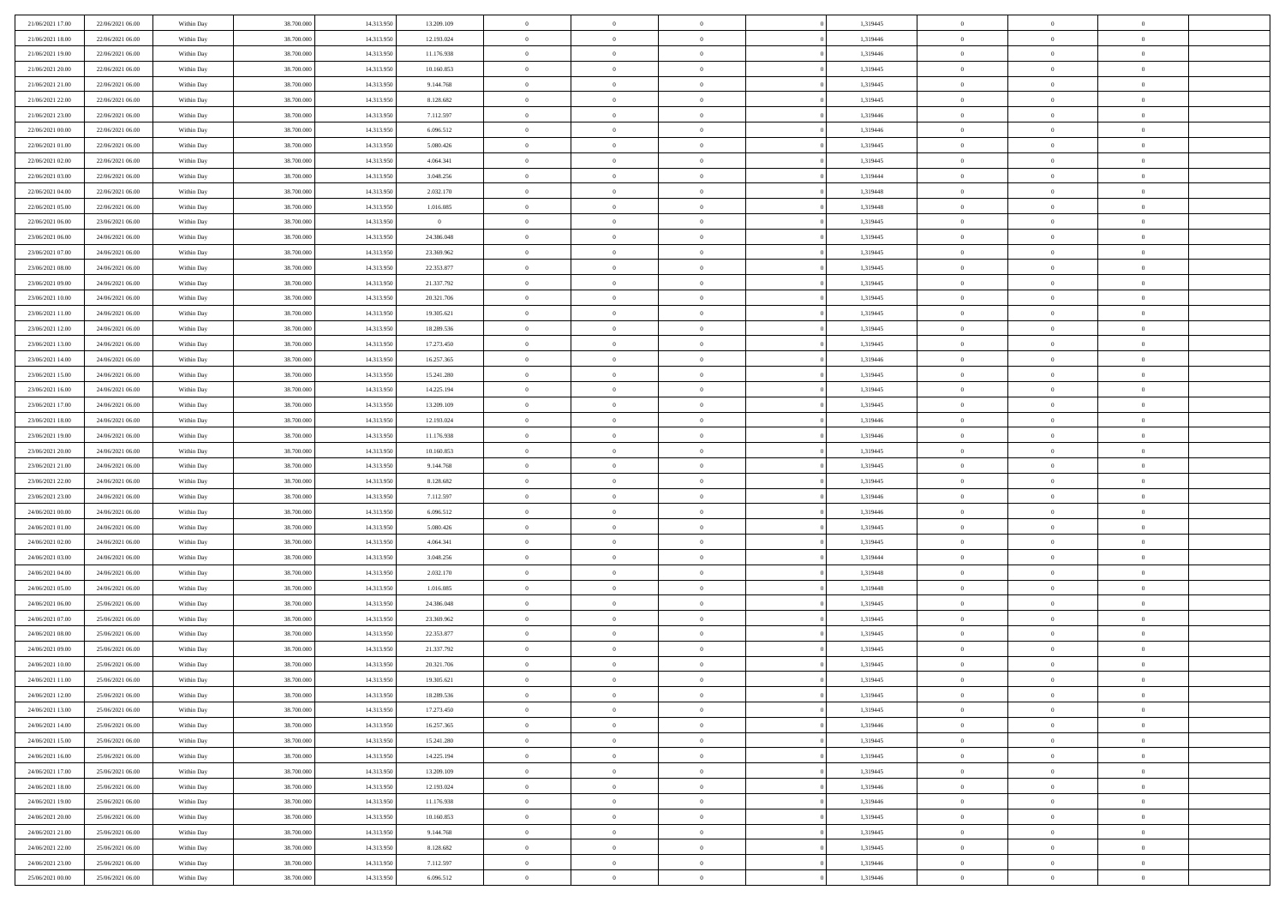| 21/06/2021 17:00 | 22/06/2021 06:00 | Within Day | 38,700,000 | 14.313.950 | 13.209.109     | $\overline{0}$ | $\overline{0}$ | $\Omega$       | 1,319445 | $\bf{0}$       | $\mathbf{0}$   | $\bf{0}$       |  |
|------------------|------------------|------------|------------|------------|----------------|----------------|----------------|----------------|----------|----------------|----------------|----------------|--|
| 21/06/2021 18:00 | 22/06/2021 06:00 | Within Day | 38.700.000 | 14.313.950 | 12.193.024     | $\mathbf{0}$   | $\overline{0}$ | $\overline{0}$ | 1,319446 | $\overline{0}$ | $\overline{0}$ | $\overline{0}$ |  |
| 21/06/2021 19:00 | 22/06/2021 06:00 | Within Day | 38.700.000 | 14.313.950 | 11.176.938     | $\,$ 0         | $\overline{0}$ | $\bf{0}$       | 1,319446 | $\,$ 0         | $\overline{0}$ | $\,$ 0 $\,$    |  |
| 21/06/2021 20:00 | 22/06/2021 06:00 | Within Day | 38,700,000 | 14.313.950 | 10.160.853     | $\bf{0}$       | $\overline{0}$ | $\Omega$       | 1,319445 | $\bf{0}$       | $\mathbf{0}$   | $\theta$       |  |
| 21/06/2021 21:00 | 22/06/2021 06:00 | Within Day | 38.700.000 | 14.313.950 | 9.144.768      | $\bf{0}$       | $\overline{0}$ | $\overline{0}$ | 1,319445 | $\mathbf{0}$   | $\overline{0}$ | $\overline{0}$ |  |
| 21/06/2021 22.00 | 22/06/2021 06:00 | Within Day | 38.700.000 | 14.313.950 | 8.128.682      | $\bf{0}$       | $\overline{0}$ | $\bf{0}$       | 1,319445 | $\,$ 0         | $\overline{0}$ | $\,$ 0 $\,$    |  |
| 21/06/2021 23:00 | 22/06/2021 06:00 | Within Day | 38,700,000 | 14.313.950 | 7.112.597      | $\bf{0}$       | $\overline{0}$ | $\overline{0}$ | 1,319446 | $\theta$       | $\mathbf{0}$   | $\theta$       |  |
| 22/06/2021 00:00 | 22/06/2021 06:00 | Within Day | 38.700.000 | 14.313.950 | 6.096.512      | $\overline{0}$ | $\overline{0}$ | $\overline{0}$ | 1,319446 | $\mathbf{0}$   | $\overline{0}$ | $\overline{0}$ |  |
| 22/06/2021 01:00 | 22/06/2021 06:00 | Within Day | 38.700.000 | 14.313.950 | 5.080.426      | $\bf{0}$       | $\overline{0}$ | $\bf{0}$       | 1,319445 | $\,$ 0         | $\overline{0}$ | $\,$ 0 $\,$    |  |
| 22/06/2021 02:00 | 22/06/2021 06:00 | Within Day | 38,700,000 | 14.313.950 | 4.064.341      | $\bf{0}$       | $\overline{0}$ | $\Omega$       | 1,319445 | $\theta$       | $\mathbf{0}$   | $\theta$       |  |
| 22/06/2021 03:00 | 22/06/2021 06:00 | Within Day | 38.700.000 | 14.313.950 | 3.048.256      | $\overline{0}$ | $\overline{0}$ | $\overline{0}$ | 1,319444 | $\mathbf{0}$   | $\overline{0}$ | $\overline{0}$ |  |
| 22/06/2021 04:00 | 22/06/2021 06:00 | Within Day | 38.700.000 | 14.313.950 | 2.032.170      | $\bf{0}$       | $\overline{0}$ | $\bf{0}$       | 1,319448 | $\,$ 0         | $\overline{0}$ | $\,$ 0 $\,$    |  |
| 22/06/2021 05:00 | 22/06/2021 06:00 | Within Day | 38,700,000 | 14.313.950 | 1.016.085      | $\bf{0}$       | $\overline{0}$ | $\Omega$       | 1,319448 | $\overline{0}$ | $\mathbf{0}$   | $\theta$       |  |
| 22/06/2021 06:00 | 23/06/2021 06:00 | Within Day | 38.700.000 | 14.313.950 | $\overline{0}$ | $\overline{0}$ | $\overline{0}$ | $\overline{0}$ | 1,319445 | $\mathbf{0}$   | $\overline{0}$ | $\overline{0}$ |  |
| 23/06/2021 06:00 | 24/06/2021 06:00 | Within Day | 38.700.000 | 14.313.950 | 24.386.048     | $\bf{0}$       | $\overline{0}$ | $\bf{0}$       | 1,319445 | $\,$ 0         | $\overline{0}$ | $\,$ 0 $\,$    |  |
| 23/06/2021 07:00 | 24/06/2021 06:00 | Within Day | 38,700,000 | 14.313.950 | 23.369.962     | $\bf{0}$       | $\overline{0}$ | $\overline{0}$ | 1,319445 | $\bf{0}$       | $\mathbf{0}$   | $\bf{0}$       |  |
| 23/06/2021 08:00 | 24/06/2021 06:00 | Within Day | 38.700.000 | 14.313.950 | 22.353.877     | $\overline{0}$ | $\overline{0}$ | $\overline{0}$ | 1,319445 | $\mathbf{0}$   | $\overline{0}$ | $\overline{0}$ |  |
| 23/06/2021 09:00 | 24/06/2021 06:00 | Within Day | 38.700.000 | 14.313.950 | 21.337.792     | $\bf{0}$       | $\overline{0}$ | $\bf{0}$       | 1,319445 | $\,$ 0         | $\overline{0}$ | $\,$ 0 $\,$    |  |
| 23/06/2021 10:00 | 24/06/2021 06:00 | Within Day | 38,700,000 | 14.313.950 | 20.321.706     | $\bf{0}$       | $\overline{0}$ | $\Omega$       | 1,319445 | $\theta$       | $\mathbf{0}$   | $\theta$       |  |
| 23/06/2021 11:00 | 24/06/2021 06:00 | Within Day | 38.700.000 | 14.313.950 | 19.305.621     | $\overline{0}$ | $\overline{0}$ | $\overline{0}$ | 1,319445 | $\mathbf{0}$   | $\overline{0}$ | $\overline{0}$ |  |
| 23/06/2021 12:00 | 24/06/2021 06:00 | Within Day | 38.700.000 | 14.313.950 | 18.289.536     | $\bf{0}$       | $\overline{0}$ | $\bf{0}$       | 1,319445 | $\,$ 0         | $\overline{0}$ | $\,$ 0 $\,$    |  |
| 23/06/2021 13:00 | 24/06/2021 06:00 | Within Day | 38,700,000 | 14.313.950 | 17.273.450     | $\bf{0}$       | $\overline{0}$ | $\Omega$       | 1,319445 | $\bf{0}$       | $\mathbf{0}$   | $\theta$       |  |
| 23/06/2021 14:00 | 24/06/2021 06:00 | Within Day | 38.700.000 | 14.313.950 | 16.257.365     | $\overline{0}$ | $\overline{0}$ | $\overline{0}$ | 1,319446 | $\mathbf{0}$   | $\overline{0}$ | $\overline{0}$ |  |
| 23/06/2021 15:00 | 24/06/2021 06:00 | Within Day | 38.700.000 | 14.313.950 | 15.241.280     | $\bf{0}$       | $\overline{0}$ | $\bf{0}$       | 1,319445 | $\,$ 0         | $\overline{0}$ | $\,$ 0 $\,$    |  |
| 23/06/2021 16:00 | 24/06/2021 06:00 | Within Day | 38,700,000 | 14.313.950 | 14.225.194     | $\bf{0}$       | $\overline{0}$ | $\overline{0}$ | 1,319445 | $\bf{0}$       | $\overline{0}$ | $\bf{0}$       |  |
| 23/06/2021 17:00 | 24/06/2021 06:00 | Within Day | 38.700.000 | 14.313.950 | 13.209.109     | $\overline{0}$ | $\overline{0}$ | $\overline{0}$ | 1,319445 | $\mathbf{0}$   | $\overline{0}$ | $\overline{0}$ |  |
| 23/06/2021 18:00 | 24/06/2021 06:00 | Within Day | 38.700.000 | 14.313.950 | 12.193.024     | $\bf{0}$       | $\overline{0}$ | $\bf{0}$       | 1,319446 | $\,$ 0         | $\overline{0}$ | $\,$ 0 $\,$    |  |
| 23/06/2021 19:00 | 24/06/2021 06:00 | Within Day | 38,700,000 | 14.313.950 | 11.176.938     | $\bf{0}$       | $\overline{0}$ | $\Omega$       | 1,319446 | $\theta$       | $\mathbf{0}$   | $\theta$       |  |
| 23/06/2021 20:00 | 24/06/2021 06:00 | Within Day | 38.700.000 | 14.313.950 | 10.160.853     | $\overline{0}$ | $\overline{0}$ | $\overline{0}$ | 1,319445 | $\mathbf{0}$   | $\overline{0}$ | $\overline{0}$ |  |
| 23/06/2021 21:00 | 24/06/2021 06:00 | Within Day | 38.700.000 | 14.313.950 | 9.144.768      | $\bf{0}$       | $\overline{0}$ | $\bf{0}$       | 1,319445 | $\,$ 0         | $\overline{0}$ | $\,$ 0 $\,$    |  |
| 23/06/2021 22.00 | 24/06/2021 06:00 | Within Day | 38.700.000 | 14.313.950 | 8.128.682      | $\bf{0}$       | $\bf{0}$       | $\overline{0}$ | 1,319445 | $\bf{0}$       | $\overline{0}$ | $\,0\,$        |  |
| 23/06/2021 23:00 | 24/06/2021 06:00 | Within Day | 38.700.000 | 14.313.950 | 7.112.597      | $\overline{0}$ | $\overline{0}$ | $\overline{0}$ | 1,319446 | $\mathbf{0}$   | $\overline{0}$ | $\overline{0}$ |  |
| 24/06/2021 00:00 | 24/06/2021 06:00 | Within Day | 38.700.000 | 14.313.950 | 6.096.512      | $\bf{0}$       | $\overline{0}$ | $\bf{0}$       | 1,319446 | $\,$ 0         | $\overline{0}$ | $\,$ 0 $\,$    |  |
| 24/06/2021 01:00 | 24/06/2021 06:00 | Within Day | 38.700.000 | 14.313.950 | 5.080.426      | $\bf{0}$       | $\bf{0}$       | $\bf{0}$       | 1,319445 | $\bf{0}$       | $\overline{0}$ | $\,0\,$        |  |
| 24/06/2021 02:00 | 24/06/2021 06:00 | Within Day | 38.700.000 | 14.313.950 | 4.064.341      | $\overline{0}$ | $\overline{0}$ | $\overline{0}$ | 1,319445 | $\overline{0}$ | $\overline{0}$ | $\overline{0}$ |  |
| 24/06/2021 03:00 | 24/06/2021 06:00 | Within Day | 38.700.000 | 14.313.950 | 3.048.256      | $\bf{0}$       | $\overline{0}$ | $\bf{0}$       | 1,319444 | $\,$ 0         | $\overline{0}$ | $\,$ 0 $\,$    |  |
| 24/06/2021 04:00 | 24/06/2021 06:00 | Within Day | 38.700.000 | 14.313.950 | 2.032.170      | $\bf{0}$       | $\bf{0}$       | $\overline{0}$ | 1,319448 | $\bf{0}$       | $\overline{0}$ | $\,0\,$        |  |
| 24/06/2021 05:00 | 24/06/2021 06:00 | Within Day | 38.700.000 | 14.313.950 | 1.016.085      | $\overline{0}$ | $\overline{0}$ | $\overline{0}$ | 1,319448 | $\mathbf{0}$   | $\overline{0}$ | $\overline{0}$ |  |
| 24/06/2021 06:00 | 25/06/2021 06:00 | Within Day | 38.700.000 | 14.313.950 | 24.386.048     | $\bf{0}$       | $\overline{0}$ | $\bf{0}$       | 1,319445 | $\,$ 0         | $\overline{0}$ | $\,$ 0 $\,$    |  |
| 24/06/2021 07.00 | 25/06/2021 06:00 | Within Day | 38.700.000 | 14.313.950 | 23.369.962     | $\bf{0}$       | $\bf{0}$       | $\overline{0}$ | 1,319445 | $\bf{0}$       | $\overline{0}$ | $\,0\,$        |  |
| 24/06/2021 08:00 | 25/06/2021 06:00 | Within Day | 38.700.000 | 14.313.950 | 22.353.877     | $\overline{0}$ | $\overline{0}$ | $\overline{0}$ | 1,319445 | $\overline{0}$ | $\overline{0}$ | $\overline{0}$ |  |
| 24/06/2021 09:00 | 25/06/2021 06:00 | Within Day | 38.700.000 | 14.313.950 | 21.337.792     | $\bf{0}$       | $\overline{0}$ | $\bf{0}$       | 1,319445 | $\,$ 0         | $\overline{0}$ | $\,$ 0 $\,$    |  |
| 24/06/2021 10:00 | 25/06/2021 06:00 | Within Day | 38.700.000 | 14.313.950 | 20.321.706     | $\bf{0}$       | $\bf{0}$       | $\bf{0}$       | 1,319445 | $\bf{0}$       | $\overline{0}$ | $\,0\,$        |  |
| 24/06/2021 11:00 | 25/06/2021 06:00 | Within Day | 38.700.000 | 14.313.950 | 19.305.621     | $\mathbf{0}$   | $\overline{0}$ | $\overline{0}$ | 1,319445 | $\mathbf{0}$   | $\overline{0}$ | $\overline{0}$ |  |
| 24/06/2021 12:00 | 25/06/2021 06:00 | Within Day | 38.700.000 | 14.313.950 | 18.289.536     | $\bf{0}$       | $\overline{0}$ | $\theta$       | 1,319445 | $\overline{0}$ | $\theta$       | $\theta$       |  |
| 24/06/2021 13:00 | 25/06/2021 06:00 | Within Day | 38.700.000 | 14.313.950 | 17.273.450     | $\bf{0}$       | $\bf{0}$       | $\bf{0}$       | 1,319445 | $\bf{0}$       | $\overline{0}$ | $\bf{0}$       |  |
| 24/06/2021 14:00 | 25/06/2021 06:00 | Within Day | 38.700.000 | 14.313.950 | 16.257.365     | $\overline{0}$ | $\overline{0}$ | $\overline{0}$ | 1,319446 | $\overline{0}$ | $\bf{0}$       | $\overline{0}$ |  |
| 24/06/2021 15:00 | 25/06/2021 06:00 | Within Day | 38.700.000 | 14.313.950 | 15.241.280     | $\,$ 0 $\,$    | $\overline{0}$ | $\overline{0}$ | 1,319445 | $\mathbf{0}$   | $\,$ 0 $\,$    | $\,$ 0 $\,$    |  |
| 24/06/2021 16:00 | 25/06/2021 06:00 | Within Day | 38.700.000 | 14.313.950 | 14.225.194     | $\bf{0}$       | $\bf{0}$       | $\overline{0}$ | 1,319445 | $\bf{0}$       | $\overline{0}$ | $\bf{0}$       |  |
| 24/06/2021 17:00 | 25/06/2021 06:00 | Within Day | 38.700.000 | 14.313.950 | 13.209.109     | $\bf{0}$       | $\overline{0}$ | $\overline{0}$ | 1,319445 | $\overline{0}$ | $\overline{0}$ | $\overline{0}$ |  |
| 24/06/2021 18:00 | 25/06/2021 06:00 | Within Day | 38.700.000 | 14.313.950 | 12.193.024     | $\,$ 0 $\,$    | $\overline{0}$ | $\overline{0}$ | 1,319446 | $\,$ 0 $\,$    | $\overline{0}$ | $\,$ 0 $\,$    |  |
| 24/06/2021 19:00 | 25/06/2021 06:00 | Within Day | 38.700.000 | 14.313.950 | 11.176.938     | $\bf{0}$       | $\overline{0}$ | $\overline{0}$ | 1,319446 | $\bf{0}$       | $\overline{0}$ | $\overline{0}$ |  |
| 24/06/2021 20:00 | 25/06/2021 06:00 | Within Day | 38.700.000 | 14.313.950 | 10.160.853     | $\overline{0}$ | $\overline{0}$ | $\overline{0}$ | 1,319445 | $\overline{0}$ | $\bf{0}$       | $\overline{0}$ |  |
| 24/06/2021 21:00 | 25/06/2021 06:00 | Within Day | 38.700.000 | 14.313.950 | 9.144.768      | $\,$ 0 $\,$    | $\overline{0}$ | $\overline{0}$ | 1,319445 | $\mathbf{0}$   | $\,$ 0 $\,$    | $\,$ 0 $\,$    |  |
| 24/06/2021 22:00 | 25/06/2021 06:00 | Within Day | 38.700.000 | 14.313.950 | 8.128.682      | $\bf{0}$       | $\bf{0}$       | $\overline{0}$ | 1,319445 | $\bf{0}$       | $\overline{0}$ | $\bf{0}$       |  |
| 24/06/2021 23:00 | 25/06/2021 06:00 | Within Day | 38.700.000 | 14.313.950 | 7.112.597      | $\bf{0}$       | $\overline{0}$ | $\overline{0}$ | 1,319446 | $\mathbf{0}$   | $\bf{0}$       | $\overline{0}$ |  |
| 25/06/2021 00:00 | 25/06/2021 06:00 | Within Day | 38.700.000 | 14.313.950 | 6.096.512      | $\,0\,$        | $\overline{0}$ | $\overline{0}$ | 1,319446 | $\,$ 0         | $\overline{0}$ | $\,$ 0 $\,$    |  |
|                  |                  |            |            |            |                |                |                |                |          |                |                |                |  |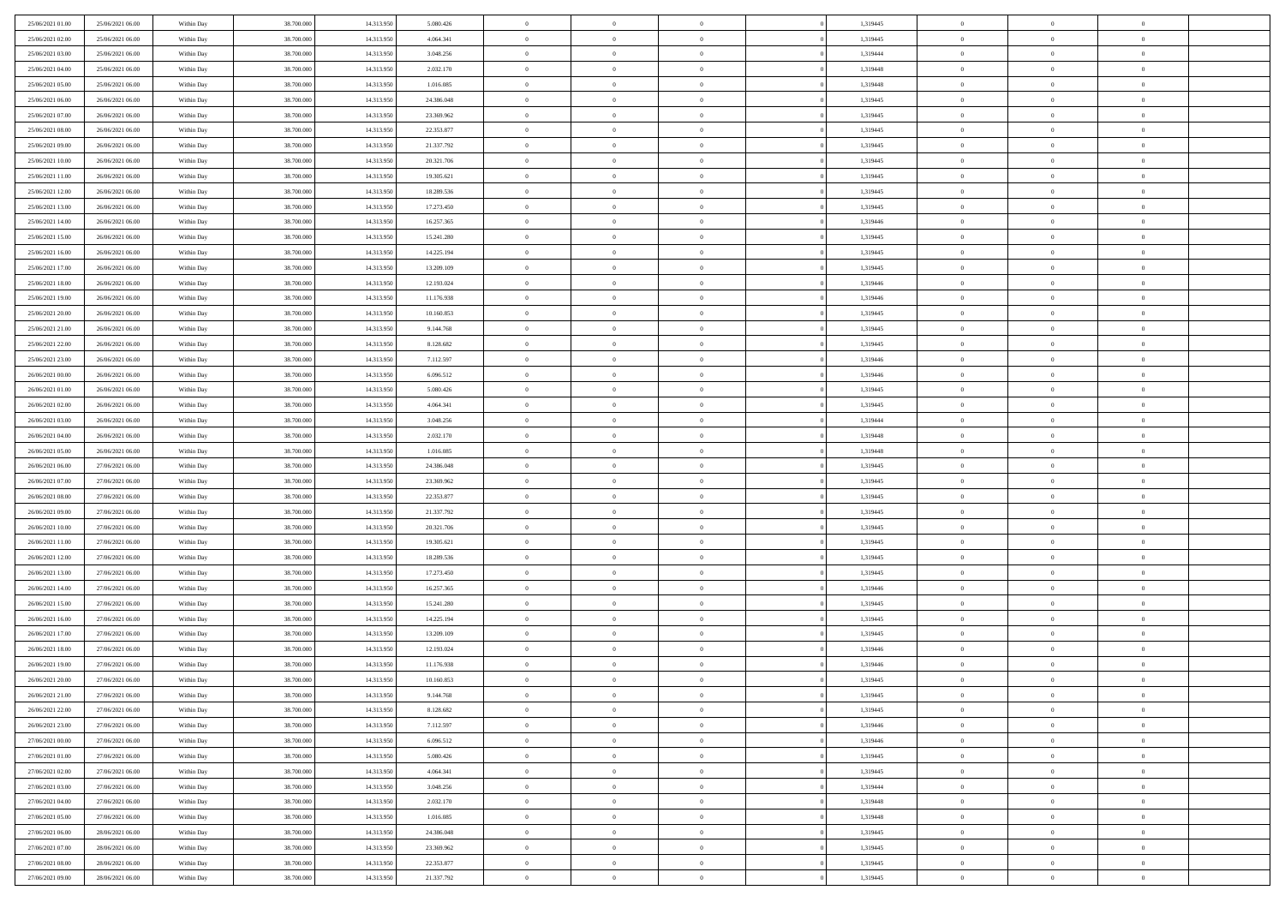| 25/06/2021 01:00                     | 25/06/2021 06:00                     | Within Day               | 38,700,000               | 14.313.950               | 5.080.426                | $\bf{0}$                | $\overline{0}$                   | $\Omega$                         | 1,319445             | $\bf{0}$                 | $\overline{0}$             | $\theta$                  |  |
|--------------------------------------|--------------------------------------|--------------------------|--------------------------|--------------------------|--------------------------|-------------------------|----------------------------------|----------------------------------|----------------------|--------------------------|----------------------------|---------------------------|--|
| 25/06/2021 02:00                     | 25/06/2021 06:00                     | Within Day               | 38.700.000               | 14.313.950               | 4.064.341                | $\theta$                | $\overline{0}$                   | $\overline{0}$                   | 1,319445             | $\mathbf{0}$             | $\bf{0}$                   | $\overline{0}$            |  |
| 25/06/2021 03:00                     | 25/06/2021 06:00                     | Within Day               | 38.700.000               | 14.313.950               | 3.048.256                | $\bf{0}$                | $\overline{0}$                   | $\bf{0}$                         | 1,319444             | $\,$ 0                   | $\overline{0}$             | $\,$ 0 $\,$               |  |
| 25/06/2021 04:00                     | 25/06/2021 06:00                     | Within Day               | 38,700,000               | 14.313.950               | 2.032.170                | $\mathbf{0}$            | $\overline{0}$                   | $\mathbf{0}$                     | 1,319448             | $\bf{0}$                 | $\mathbf{0}$               | $\theta$                  |  |
| 25/06/2021 05:00                     | 25/06/2021 06:00                     | Within Dav               | 38.700.000               | 14.313.950               | 1.016.085                | $\mathbf{0}$            | $\overline{0}$                   | $\overline{0}$                   | 1,319448             | $\mathbf{0}$             | $\bf{0}$                   | $\overline{0}$            |  |
| 25/06/2021 06:00                     | 26/06/2021 06:00                     | Within Day               | 38.700.000               | 14.313.950               | 24.386.048               | $\theta$                | $\overline{0}$                   | $\bf{0}$                         | 1,319445             | $\,$ 0                   | $\overline{0}$             | $\,$ 0 $\,$               |  |
| 25/06/2021 07:00                     | 26/06/2021 06:00                     | Within Day               | 38,700,000               | 14.313.950               | 23.369.962               | $\bf{0}$                | $\overline{0}$                   | $\Omega$                         | 1,319445             | $\bf{0}$                 | $\mathbf{0}$               | $\theta$                  |  |
| 25/06/2021 08:00                     | 26/06/2021 06:00                     | Within Dav               | 38.700.000               | 14.313.950               | 22.353.877               | $\overline{0}$          | $\overline{0}$                   | $\overline{0}$                   | 1,319445             | $\mathbf{0}$             | $\bf{0}$                   | $\overline{0}$            |  |
| 25/06/2021 09:00                     | 26/06/2021 06:00                     | Within Day               | 38.700.000               | 14.313.950               | 21.337.792               | $\theta$                | $\overline{0}$                   | $\overline{0}$                   | 1,319445             | $\,$ 0                   | $\overline{0}$             | $\,$ 0 $\,$               |  |
| 25/06/2021 10:00                     | 26/06/2021 06:00                     | Within Day               | 38,700,000               | 14.313.950               | 20.321.706               | $\mathbf{0}$            | $\overline{0}$                   | $\mathbf{0}$                     | 1,319445             | $\bf{0}$                 | $\mathbf{0}$               | $\theta$                  |  |
| 25/06/2021 11:00                     | 26/06/2021 06:00                     | Within Dav               | 38.700.000               | 14.313.950               | 19.305.621               | $\mathbf{0}$            | $\overline{0}$                   | $\overline{0}$                   | 1,319445             | $\mathbf{0}$             | $\bf{0}$                   | $\overline{0}$            |  |
| 25/06/2021 12:00                     | 26/06/2021 06:00                     | Within Day               | 38.700.000               | 14.313.950               | 18.289.536               | $\theta$                | $\overline{0}$                   | $\bf{0}$                         | 1,319445             | $\,$ 0                   | $\overline{0}$             | $\,$ 0 $\,$               |  |
| 25/06/2021 13:00                     | 26/06/2021 06:00                     | Within Day               | 38,700,000               | 14.313.950               | 17.273.450               | $\mathbf{0}$            | $\overline{0}$                   | $\mathbf{0}$                     | 1,319445             | $\bf{0}$                 | $\theta$                   | $\theta$                  |  |
| 25/06/2021 14:00                     | 26/06/2021 06:00                     | Within Dav               | 38.700.000               | 14.313.950               | 16.257.365               | $\overline{0}$          | $\overline{0}$                   | $\overline{0}$                   | 1,319446             | $\mathbf{0}$             | $\bf{0}$                   | $\overline{0}$            |  |
| 25/06/2021 15:00                     | 26/06/2021 06:00                     | Within Day               | 38.700.000               | 14.313.950               | 15.241.280               | $\theta$                | $\overline{0}$                   | $\overline{0}$                   | 1,319445             | $\,$ 0                   | $\overline{0}$             | $\,$ 0 $\,$               |  |
| 25/06/2021 16:00                     | 26/06/2021 06:00                     | Within Day               | 38,700,000               | 14.313.950               | 14.225.194               | $\mathbf{0}$            | $\overline{0}$                   | $\mathbf{0}$                     | 1,319445             | $\bf{0}$                 | $\mathbf{0}$               | $\bf{0}$                  |  |
| 25/06/2021 17:00                     | 26/06/2021 06:00                     | Within Dav               | 38.700.000               | 14.313.950               | 13.209.109               | $\theta$                | $\overline{0}$                   | $\overline{0}$                   | 1,319445             | $\mathbf{0}$             | $\bf{0}$                   | $\overline{0}$            |  |
| 25/06/2021 18:00                     | 26/06/2021 06:00                     | Within Day               | 38.700.000               | 14.313.950               | 12.193.024               | $\theta$                | $\overline{0}$                   | $\bf{0}$                         | 1,319446             | $\,$ 0                   | $\overline{0}$             | $\,0\,$                   |  |
| 25/06/2021 19:00                     | 26/06/2021 06:00                     | Within Day               | 38,700,000               | 14.313.950               | 11.176.938               | $\mathbf{0}$            | $\overline{0}$                   | $\mathbf{0}$                     | 1,319446             | $\bf{0}$                 | $\mathbf{0}$               | $\theta$                  |  |
| 25/06/2021 20:00                     | 26/06/2021 06:00                     | Within Dav               | 38.700.000               | 14.313.950               | 10.160.853               | $\overline{0}$          | $\overline{0}$                   | $\overline{0}$                   | 1,319445             | $\mathbf{0}$             | $\bf{0}$                   | $\overline{0}$            |  |
| 25/06/2021 21:00                     | 26/06/2021 06:00                     | Within Day               | 38.700.000               | 14.313.950               | 9.144.768                | $\theta$                | $\overline{0}$                   | $\bf{0}$                         | 1,319445             | $\,$ 0                   | $\overline{0}$             | $\,$ 0 $\,$               |  |
| 25/06/2021 22:00                     | 26/06/2021 06:00                     | Within Day               | 38,700,000               | 14.313.950               | 8.128.682                | $\overline{0}$          | $\overline{0}$                   | $\mathbf{0}$                     | 1,319445             | $\bf{0}$                 | $\theta$                   | $\theta$                  |  |
| 25/06/2021 23:00                     | 26/06/2021 06:00                     | Within Dav               | 38.700.000               | 14.313.950               | 7.112.597                | $\mathbf{0}$            | $\overline{0}$                   | $\overline{0}$                   | 1,319446             | $\mathbf{0}$             | $\bf{0}$                   | $\overline{0}$            |  |
| 26/06/2021 00:00                     | 26/06/2021 06:00                     | Within Day               | 38.700.000               | 14.313.950               | 6.096.512                | $\theta$                | $\overline{0}$                   | $\overline{0}$                   | 1,319446             | $\,$ 0                   | $\overline{0}$             | $\,$ 0 $\,$               |  |
| 26/06/2021 01:00                     | 26/06/2021 06:00                     | Within Day               | 38,700,000               | 14.313.950               | 5.080.426                | $\bf{0}$                | $\overline{0}$                   | $\mathbf{0}$                     | 1,319445             | $\bf{0}$                 | $\overline{0}$             | $\bf{0}$                  |  |
| 26/06/2021 02:00                     | 26/06/2021 06:00                     | Within Dav               | 38.700.000               | 14.313.950               | 4.064.341                | $\overline{0}$          | $\overline{0}$                   | $\overline{0}$                   | 1,319445             | $\mathbf{0}$             | $\bf{0}$                   | $\overline{0}$            |  |
| 26/06/2021 03:00                     | 26/06/2021 06:00                     | Within Day               | 38.700.000               | 14.313.950               | 3.048.256                | $\theta$                | $\overline{0}$                   | $\overline{0}$                   | 1,319444             | $\,$ 0                   | $\overline{0}$             | $\,$ 0 $\,$               |  |
| 26/06/2021 04:00                     | 26/06/2021 06:00                     | Within Day               | 38,700,000               | 14.313.950               | 2.032.170                | $\overline{0}$          | $\overline{0}$                   | $\mathbf{0}$                     | 1,319448             | $\bf{0}$                 | $\mathbf{0}$               | $\theta$                  |  |
| 26/06/2021 05:00                     | 26/06/2021 06:00                     | Within Dav               | 38.700.000               | 14.313.950               | 1.016.085                | $\mathbf{0}$            | $\overline{0}$                   | $\overline{0}$                   | 1,319448             | $\mathbf{0}$             | $\bf{0}$                   | $\overline{0}$            |  |
| 26/06/2021 06:00                     | 27/06/2021 06:00                     | Within Day               | 38.700.000               | 14.313.950               | 24.386.048               | $\theta$                | $\overline{0}$                   | $\bf{0}$                         | 1,319445             | $\,$ 0                   | $\overline{0}$             | $\,$ 0 $\,$               |  |
| 26/06/2021 07:00                     | 27/06/2021 06:00                     | Within Day               | 38.700.000               | 14.313.950               | 23.369.962               | $\bf{0}$                | $\overline{0}$                   | $\overline{0}$                   | 1,319445             | $\bf{0}$                 | $\overline{0}$             | $\,0\,$                   |  |
| 26/06/2021 08:00                     | 27/06/2021 06:00                     | Within Dav               | 38.700.000               | 14.313.950               | 22.353.877               | $\overline{0}$          | $\overline{0}$                   | $\overline{0}$                   | 1,319445             | $\mathbf{0}$             | $\bf{0}$                   | $\overline{0}$            |  |
| 26/06/2021 09:00                     | 27/06/2021 06:00                     | Within Day               | 38.700.000               | 14.313.950               | 21.337.792               | $\theta$                | $\overline{0}$                   | $\overline{0}$                   | 1,319445             | $\,$ 0                   | $\overline{0}$             | $\,$ 0 $\,$               |  |
| 26/06/2021 10:00<br>26/06/2021 11:00 | 27/06/2021 06:00<br>27/06/2021 06:00 | Within Day<br>Within Dav | 38.700.000<br>38.700.000 | 14.313.950<br>14.313.950 | 20.321.706<br>19.305.621 | $\,$ 0 $\,$<br>$\theta$ | $\overline{0}$<br>$\overline{0}$ | $\overline{0}$<br>$\overline{0}$ | 1,319445<br>1,319445 | $\bf{0}$<br>$\mathbf{0}$ | $\overline{0}$<br>$\bf{0}$ | $\,0\,$<br>$\overline{0}$ |  |
| 26/06/2021 12:00                     | 27/06/2021 06:00                     | Within Day               | 38.700.000               | 14.313.950               | 18.289.536               | $\theta$                | $\overline{0}$                   | $\bf{0}$                         | 1,319445             | $\,$ 0                   | $\overline{0}$             | $\,$ 0 $\,$               |  |
| 26/06/2021 13:00                     | 27/06/2021 06:00                     | Within Day               | 38.700.000               | 14.313.950               | 17.273.450               | $\bf{0}$                | $\overline{0}$                   | $\overline{0}$                   | 1,319445             | $\bf{0}$                 | $\overline{0}$             | $\,0\,$                   |  |
| 26/06/2021 14:00                     | 27/06/2021 06:00                     | Within Dav               | 38.700.000               | 14.313.950               | 16.257.365               | $\overline{0}$          | $\overline{0}$                   | $\overline{0}$                   | 1,319446             | $\mathbf{0}$             | $\bf{0}$                   | $\overline{0}$            |  |
| 26/06/2021 15:00                     | 27/06/2021 06:00                     | Within Day               | 38.700.000               | 14.313.950               | 15.241.280               | $\theta$                | $\overline{0}$                   | $\bf{0}$                         | 1,319445             | $\,$ 0                   | $\overline{0}$             | $\,$ 0 $\,$               |  |
| 26/06/2021 16:00                     | 27/06/2021 06:00                     | Within Day               | 38.700.000               | 14.313.950               | 14.225.194               | $\,$ 0 $\,$             | $\overline{0}$                   | $\overline{0}$                   | 1,319445             | $\bf{0}$                 | $\overline{0}$             | $\,0\,$                   |  |
| 26/06/2021 17:00                     | 27/06/2021 06:00                     | Within Dav               | 38.700.000               | 14.313.950               | 13.209.109               | $\theta$                | $\overline{0}$                   | $\overline{0}$                   | 1,319445             | $\mathbf{0}$             | $\bf{0}$                   | $\overline{0}$            |  |
| 26/06/2021 18:00                     | 27/06/2021 06:00                     | Within Day               | 38.700.000               | 14.313.950               | 12.193.024               | $\theta$                | $\overline{0}$                   | $\bf{0}$                         | 1,319446             | $\,$ 0                   | $\overline{0}$             | $\,$ 0 $\,$               |  |
| 26/06/2021 19:00                     | 27/06/2021 06:00                     | Within Day               | 38.700.000               | 14.313.950               | 11.176.938               | $\,$ 0 $\,$             | $\overline{0}$                   | $\overline{0}$                   | 1,319446             | $\bf{0}$                 | $\overline{0}$             | $\,0\,$                   |  |
| 26/06/2021 20:00                     | 27/06/2021 06:00                     | Within Dav               | 38.700.000               | 14.313.950               | 10.160.853               | $\theta$                | $\overline{0}$                   | $\overline{0}$                   | 1,319445             | $\mathbf{0}$             | $\bf{0}$                   | $\overline{0}$            |  |
| 26/06/2021 21:00                     | 27/06/2021 06:00                     | Within Day               | 38.700.000               | 14.313.950               | 9.144.768                | $\overline{0}$          | $\overline{0}$                   | $\overline{0}$                   | 1,319445             | $\overline{0}$           | $\overline{0}$             | $\theta$                  |  |
| 26/06/2021 22:00                     | 27/06/2021 06:00                     | Within Day               | 38.700.000               | 14.313.950               | 8.128.682                | $\bf{0}$                | $\overline{0}$                   | $\overline{0}$                   | 1,319445             | $\mathbf{0}$             | $\overline{0}$             | $\bf{0}$                  |  |
| 26/06/2021 23:00                     | 27/06/2021 06:00                     | Within Day               | 38.700.000               | 14.313.950               | 7.112.597                | $\overline{0}$          | $\overline{0}$                   | $\overline{0}$                   | 1,319446             | $\overline{0}$           | $\overline{0}$             | $\overline{0}$            |  |
| 27/06/2021 00:00                     | 27/06/2021 06:00                     | Within Day               | 38.700.000               | 14.313.950               | 6.096.512                | $\,$ 0                  | $\overline{0}$                   | $\overline{0}$                   | 1,319446             | $\,$ 0 $\,$              | $\,$ 0 $\,$                | $\,$ 0 $\,$               |  |
| 27/06/2021 01:00                     | 27/06/2021 06:00                     | Within Day               | 38.700.000               | 14.313.950               | 5.080.426                | $\bf{0}$                | $\overline{0}$                   | $\overline{0}$                   | 1,319445             | $\mathbf{0}$             | $\overline{0}$             | $\bf{0}$                  |  |
| 27/06/2021 02:00                     | 27/06/2021 06:00                     | Within Day               | 38.700.000               | 14.313.950               | 4.064.341                | $\,$ 0 $\,$             | $\overline{0}$                   | $\overline{0}$                   | 1,319445             | $\,$ 0 $\,$              | $\bf{0}$                   | $\overline{0}$            |  |
| 27/06/2021 03:00                     | 27/06/2021 06:00                     | Within Day               | 38.700.000               | 14.313.950               | 3.048.256                | $\,$ 0                  | $\overline{0}$                   | $\overline{0}$                   | 1,319444             | $\,$ 0 $\,$              | $\overline{0}$             | $\,$ 0 $\,$               |  |
| 27/06/2021 04:00                     | 27/06/2021 06:00                     | Within Day               | 38.700.000               | 14.313.950               | 2.032.170                | $\bf{0}$                | $\overline{0}$                   | $\overline{0}$                   | 1,319448             | $\overline{0}$           | $\overline{0}$             | $\overline{0}$            |  |
| 27/06/2021 05:00                     | 27/06/2021 06:00                     | Within Day               | 38.700.000               | 14.313.950               | 1.016.085                | $\,$ 0 $\,$             | $\overline{0}$                   | $\overline{0}$                   | 1,319448             | $\,$ 0 $\,$              | $\bf{0}$                   | $\overline{0}$            |  |
| 27/06/2021 06:00                     | 28/06/2021 06:00                     | Within Day               | 38.700.000               | 14.313.950               | 24.386.048               | $\,$ 0                  | $\overline{0}$                   | $\overline{0}$                   | 1,319445             | $\,$ 0 $\,$              | $\,$ 0 $\,$                | $\,$ 0 $\,$               |  |
| 27/06/2021 07:00                     | 28/06/2021 06:00                     | Within Day               | 38.700.000               | 14.313.950               | 23.369.962               | $\bf{0}$                | $\overline{0}$                   | $\overline{0}$                   | 1,319445             | $\mathbf{0}$             | $\overline{0}$             | $\bf{0}$                  |  |
| 27/06/2021 08:00                     | 28/06/2021 06:00                     | Within Day               | 38.700.000               | 14.313.950               | 22.353.877               | $\mathbf{0}$            | $\overline{0}$                   | $\overline{0}$                   | 1,319445             | $\mathbf{0}$             | $\bf{0}$                   | $\overline{0}$            |  |
| 27/06/2021 09:00                     | 28/06/2021 06:00                     | Within Day               | 38.700.000               | 14.313.950               | 21.337.792               | $\,$ 0 $\,$             | $\overline{0}$                   | $\overline{0}$                   | 1,319445             | $\,$ 0 $\,$              | $\overline{0}$             | $\,$ 0 $\,$               |  |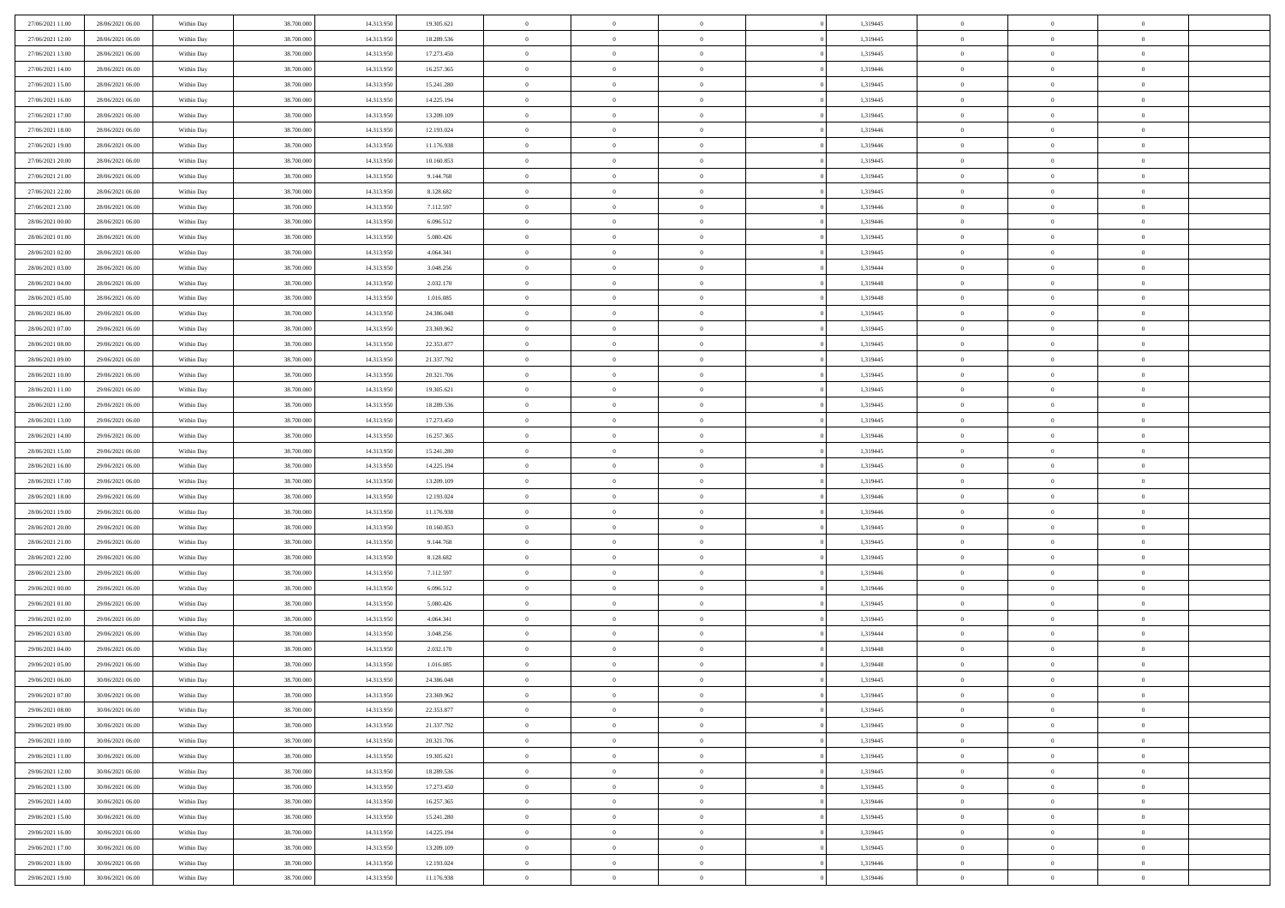| 27/06/2021 11:00 | 28/06/2021 06:00 | Within Day | 38,700,000 | 14.313.950 | 19.305.621 | $\bf{0}$       | $\overline{0}$ | $\Omega$       | 1,319445 | $\theta$       | $\overline{0}$ | $\overline{0}$ |  |
|------------------|------------------|------------|------------|------------|------------|----------------|----------------|----------------|----------|----------------|----------------|----------------|--|
| 27/06/2021 12:00 | 28/06/2021 06:00 | Within Dav | 38.700.000 | 14.313.950 | 18.289.536 | $\mathbf{0}$   | $\overline{0}$ | $\overline{0}$ | 1,319445 | $\theta$       | $\overline{0}$ | $\theta$       |  |
| 27/06/2021 13:00 | 28/06/2021 06:00 | Within Day | 38.700.000 | 14.313.950 | 17.273.450 | $\,$ 0         | $\overline{0}$ | $\bf{0}$       | 1,319445 | $\,0\,$        | $\overline{0}$ | $\,$ 0 $\,$    |  |
| 27/06/2021 14:00 | 28/06/2021 06:00 | Within Day | 38,700,000 | 14.313.950 | 16.257.365 | $\bf{0}$       | $\overline{0}$ | $\Omega$       | 1,319446 | $\overline{0}$ | $\theta$       | $\theta$       |  |
| 27/06/2021 15:00 | 28/06/2021 06:00 | Within Dav | 38.700.000 | 14.313.950 | 15.241.280 | $\mathbf{0}$   | $\overline{0}$ | $\overline{0}$ | 1,319445 | $\mathbf{0}$   | $\overline{0}$ | $\overline{0}$ |  |
| 27/06/2021 16:00 | 28/06/2021 06:00 | Within Day | 38.700.000 | 14.313.950 | 14.225.194 | $\bf{0}$       | $\overline{0}$ | $\bf{0}$       | 1,319445 | $\,0\,$        | $\overline{0}$ | $\,$ 0 $\,$    |  |
| 27/06/2021 17:00 | 28/06/2021 06:00 | Within Day | 38,700,000 | 14.313.950 | 13.209.109 | $\bf{0}$       | $\overline{0}$ | $\overline{0}$ | 1,319445 | $\bf{0}$       | $\overline{0}$ | $\theta$       |  |
| 27/06/2021 18:00 | 28/06/2021 06:00 | Within Dav | 38.700.000 | 14.313.950 | 12.193.024 | $\overline{0}$ | $\overline{0}$ | $\overline{0}$ | 1,319446 | $\mathbf{0}$   | $\overline{0}$ | $\theta$       |  |
| 27/06/2021 19:00 | 28/06/2021 06:00 | Within Day | 38.700.000 | 14.313.950 | 11.176.938 | $\bf{0}$       | $\overline{0}$ | $\bf{0}$       | 1,319446 | $\,0\,$        | $\overline{0}$ | $\,$ 0 $\,$    |  |
| 27/06/2021 20:00 | 28/06/2021 06:00 | Within Day | 38,700,000 | 14.313.950 | 10.160.853 | $\bf{0}$       | $\overline{0}$ | $\overline{0}$ | 1,319445 | $\theta$       | $\overline{0}$ | $\overline{0}$ |  |
| 27/06/2021 21:00 | 28/06/2021 06:00 | Within Day | 38.700.000 | 14.313.950 | 9.144.768  | $\overline{0}$ | $\overline{0}$ | $\overline{0}$ | 1,319445 | $\mathbf{0}$   | $\overline{0}$ | $\theta$       |  |
| 27/06/2021 22:00 | 28/06/2021 06:00 | Within Day | 38.700.000 | 14.313.950 | 8.128.682  | $\,$ 0         | $\overline{0}$ | $\bf{0}$       | 1,319445 | $\,0\,$        | $\overline{0}$ | $\,$ 0 $\,$    |  |
| 27/06/2021 23:00 | 28/06/2021 06:00 | Within Day | 38,700,000 | 14.313.950 | 7.112.597  | $\bf{0}$       | $\overline{0}$ | $\Omega$       | 1,319446 | $\theta$       | $\theta$       | $\theta$       |  |
| 28/06/2021 00:00 | 28/06/2021 06:00 | Within Day | 38.700.000 | 14.313.950 | 6.096.512  | $\overline{0}$ | $\overline{0}$ | $\overline{0}$ | 1,319446 | $\mathbf{0}$   | $\overline{0}$ | $\overline{0}$ |  |
| 28/06/2021 01:00 | 28/06/2021 06:00 | Within Day | 38.700.000 | 14.313.950 | 5.080.426  | $\bf{0}$       | $\overline{0}$ | $\bf{0}$       | 1,319445 | $\,0\,$        | $\overline{0}$ | $\,$ 0 $\,$    |  |
| 28/06/2021 02:00 | 28/06/2021 06:00 | Within Day | 38,700,000 | 14.313.950 | 4.064.341  | $\bf{0}$       | $\overline{0}$ | $\overline{0}$ | 1,319445 | $\overline{0}$ | $\overline{0}$ | $\overline{0}$ |  |
| 28/06/2021 03:00 | 28/06/2021 06:00 | Within Day | 38.700.000 | 14.313.950 | 3.048.256  | $\overline{0}$ | $\overline{0}$ | $\overline{0}$ | 1,319444 | $\mathbf{0}$   | $\overline{0}$ | $\theta$       |  |
| 28/06/2021 04:00 | 28/06/2021 06:00 | Within Day | 38.700.000 | 14.313.950 | 2.032.170  | $\bf{0}$       | $\overline{0}$ | $\bf{0}$       | 1,319448 | $\,0\,$        | $\overline{0}$ | $\,$ 0 $\,$    |  |
| 28/06/2021 05:00 | 28/06/2021 06:00 | Within Day | 38,700,000 | 14.313.950 | 1.016.085  | $\bf{0}$       | $\overline{0}$ | $\overline{0}$ | 1,319448 | $\theta$       | $\theta$       | $\overline{0}$ |  |
| 28/06/2021 06:00 | 29/06/2021 06:00 | Within Day | 38.700.000 | 14.313.950 | 24.386.048 | $\overline{0}$ | $\overline{0}$ | $\overline{0}$ | 1,319445 | $\mathbf{0}$   | $\overline{0}$ | $\theta$       |  |
| 28/06/2021 07:00 | 29/06/2021 06:00 | Within Day | 38.700.000 | 14.313.950 | 23.369.962 | $\bf{0}$       | $\overline{0}$ | $\bf{0}$       | 1,319445 | $\,0\,$        | $\overline{0}$ | $\,$ 0 $\,$    |  |
| 28/06/2021 08:00 | 29/06/2021 06:00 | Within Day | 38,700,000 | 14.313.950 | 22.353.877 | $\bf{0}$       | $\overline{0}$ | $\Omega$       | 1,319445 | $\overline{0}$ | $\theta$       | $\theta$       |  |
| 28/06/2021 09:00 | 29/06/2021 06:00 | Within Day | 38.700.000 | 14.313.950 | 21.337.792 | $\overline{0}$ | $\overline{0}$ | $\overline{0}$ | 1,319445 | $\mathbf{0}$   | $\overline{0}$ | $\overline{0}$ |  |
| 28/06/2021 10:00 | 29/06/2021 06:00 | Within Day | 38.700.000 | 14.313.950 | 20.321.706 | $\bf{0}$       | $\overline{0}$ | $\bf{0}$       | 1,319445 | $\,0\,$        | $\overline{0}$ | $\,$ 0 $\,$    |  |
| 28/06/2021 11:00 | 29/06/2021 06:00 | Within Day | 38,700,000 | 14.313.950 | 19.305.621 | $\bf{0}$       | $\overline{0}$ | $\overline{0}$ | 1,319445 | $\bf{0}$       | $\overline{0}$ | $\overline{0}$ |  |
| 28/06/2021 12:00 | 29/06/2021 06:00 | Within Day | 38.700.000 | 14.313.950 | 18.289.536 | $\overline{0}$ | $\overline{0}$ | $\overline{0}$ | 1,319445 | $\mathbf{0}$   | $\overline{0}$ | $\theta$       |  |
| 28/06/2021 13:00 | 29/06/2021 06:00 | Within Day | 38.700.000 | 14.313.950 | 17.273.450 | $\bf{0}$       | $\overline{0}$ | $\bf{0}$       | 1,319445 | $\,0\,$        | $\overline{0}$ | $\,$ 0 $\,$    |  |
| 28/06/2021 14:00 | 29/06/2021 06:00 | Within Day | 38,700,000 | 14.313.950 | 16.257.365 | $\bf{0}$       | $\overline{0}$ | $\Omega$       | 1,319446 | $\overline{0}$ | $\theta$       | $\overline{0}$ |  |
| 28/06/2021 15:00 | 29/06/2021 06:00 | Within Day | 38.700.000 | 14.313.950 | 15.241.280 | $\overline{0}$ | $\overline{0}$ | $\overline{0}$ | 1,319445 | $\mathbf{0}$   | $\bf{0}$       | $\overline{0}$ |  |
| 28/06/2021 16:00 | 29/06/2021 06:00 | Within Day | 38.700.000 | 14.313.950 | 14.225.194 | $\bf{0}$       | $\overline{0}$ | $\bf{0}$       | 1,319445 | $\,0\,$        | $\overline{0}$ | $\,$ 0 $\,$    |  |
| 28/06/2021 17:00 | 29/06/2021 06:00 | Within Day | 38.700.000 | 14.313.950 | 13.209.109 | $\,$ 0         | $\bf{0}$       | $\overline{0}$ | 1,319445 | $\bf{0}$       | $\overline{0}$ | $\theta$       |  |
| 28/06/2021 18:00 | 29/06/2021 06:00 | Within Day | 38.700.000 | 14.313.950 | 12.193.024 | $\overline{0}$ | $\overline{0}$ | $\overline{0}$ | 1,319446 | $\mathbf{0}$   | $\overline{0}$ | $\theta$       |  |
| 28/06/2021 19:00 | 29/06/2021 06:00 | Within Day | 38.700.000 | 14.313.950 | 11.176.938 | $\bf{0}$       | $\overline{0}$ | $\bf{0}$       | 1,319446 | $\,0\,$        | $\overline{0}$ | $\,$ 0 $\,$    |  |
| 28/06/2021 20:00 | 29/06/2021 06:00 | Within Day | 38.700.000 | 14.313.950 | 10.160.853 | $\bf{0}$       | $\bf{0}$       | $\bf{0}$       | 1,319445 | $\bf{0}$       | $\overline{0}$ | $\bf{0}$       |  |
| 28/06/2021 21:00 | 29/06/2021 06:00 | Within Day | 38.700.000 | 14.313.950 | 9.144.768  | $\mathbf{0}$   | $\overline{0}$ | $\overline{0}$ | 1,319445 | $\mathbf{0}$   | $\overline{0}$ | $\theta$       |  |
| 28/06/2021 22:00 | 29/06/2021 06:00 | Within Day | 38.700.000 | 14.313.950 | 8.128.682  | $\bf{0}$       | $\overline{0}$ | $\bf{0}$       | 1,319445 | $\,0\,$        | $\overline{0}$ | $\,$ 0 $\,$    |  |
| 28/06/2021 23:00 | 29/06/2021 06:00 | Within Day | 38.700.000 | 14.313.950 | 7.112.597  | $\bf{0}$       | $\bf{0}$       | $\overline{0}$ | 1,319446 | $\bf{0}$       | $\overline{0}$ | $\theta$       |  |
| 29/06/2021 00:00 | 29/06/2021 06:00 | Within Day | 38.700.000 | 14.313.950 | 6.096.512  | $\overline{0}$ | $\overline{0}$ | $\overline{0}$ | 1,319446 | $\mathbf{0}$   | $\overline{0}$ | $\overline{0}$ |  |
| 29/06/2021 01:00 | 29/06/2021 06:00 | Within Day | 38.700.000 | 14.313.950 | 5.080.426  | $\bf{0}$       | $\overline{0}$ | $\bf{0}$       | 1,319445 | $\,0\,$        | $\overline{0}$ | $\,$ 0 $\,$    |  |
| 29/06/2021 02:00 | 29/06/2021 06:00 | Within Day | 38.700.000 | 14.313.950 | 4.064.341  | $\bf{0}$       | $\bf{0}$       | $\overline{0}$ | 1,319445 | $\bf{0}$       | $\overline{0}$ | $\theta$       |  |
| 29/06/2021 03:00 | 29/06/2021 06:00 | Within Day | 38.700.000 | 14.313.950 | 3.048.256  | $\overline{0}$ | $\overline{0}$ | $\overline{0}$ | 1,319444 | $\mathbf{0}$   | $\overline{0}$ | $\theta$       |  |
| 29/06/2021 04:00 | 29/06/2021 06:00 | Within Day | 38.700.000 | 14.313.950 | 2.032.170  | $\bf{0}$       | $\overline{0}$ | $\bf{0}$       | 1,319448 | $\,0\,$        | $\overline{0}$ | $\theta$       |  |
| 29/06/2021 05:00 | 29/06/2021 06:00 | Within Day | 38.700.000 | 14.313.950 | 1.016.085  | $\bf{0}$       | $\bf{0}$       | $\bf{0}$       | 1,319448 | $\bf{0}$       | $\overline{0}$ | $\bf{0}$       |  |
| 29/06/2021 06:00 | 30/06/2021 06:00 | Within Dav | 38.700.000 | 14.313.950 | 24.386.048 | $\mathbf{0}$   | $\overline{0}$ | $\overline{0}$ | 1,319445 | $\theta$       | $\overline{0}$ | $\theta$       |  |
| 29/06/2021 07:00 | 30/06/2021 06:00 | Within Day | 38.700.000 | 14.313.950 | 23.369.962 | $\bf{0}$       | $\overline{0}$ | $\theta$       | 1,319445 | $\bf{0}$       | $\overline{0}$ | $\theta$       |  |
| 29/06/2021 08:00 | 30/06/2021 06:00 | Within Day | 38.700.000 | 14.313.950 | 22.353.877 | $\bf{0}$       | $\bf{0}$       | $\bf{0}$       | 1,319445 | $\bf{0}$       | $\overline{0}$ | $\bf{0}$       |  |
| 29/06/2021 09:00 | 30/06/2021 06:00 | Within Day | 38.700.000 | 14.313.950 | 21.337.792 | $\overline{0}$ | $\overline{0}$ | $\overline{0}$ | 1,319445 | $\overline{0}$ | $\overline{0}$ | $\overline{0}$ |  |
| 29/06/2021 10:00 | 30/06/2021 06:00 | Within Day | 38.700.000 | 14.313.950 | 20.321.706 | $\,$ 0 $\,$    | $\overline{0}$ | $\overline{0}$ | 1,319445 | $\,$ 0 $\,$    | $\,$ 0 $\,$    | $\,$ 0 $\,$    |  |
| 29/06/2021 11:00 | 30/06/2021 06:00 | Within Day | 38.700.000 | 14.313.950 | 19.305.621 | $\bf{0}$       | $\bf{0}$       | $\overline{0}$ | 1,319445 | $\mathbf{0}$   | $\overline{0}$ | $\bf{0}$       |  |
| 29/06/2021 12:00 | 30/06/2021 06:00 | Within Day | 38.700.000 | 14.313.950 | 18.289.536 | $\,$ 0 $\,$    | $\overline{0}$ | $\overline{0}$ | 1,319445 | $\mathbf{0}$   | $\bf{0}$       | $\overline{0}$ |  |
| 29/06/2021 13:00 | 30/06/2021 06:00 | Within Day | 38.700.000 | 14.313.950 | 17.273.450 | $\,$ 0 $\,$    | $\overline{0}$ | $\overline{0}$ | 1,319445 | $\,$ 0 $\,$    | $\overline{0}$ | $\,$ 0         |  |
| 29/06/2021 14:00 | 30/06/2021 06:00 | Within Day | 38.700.000 | 14.313.950 | 16.257.365 | $\bf{0}$       | $\overline{0}$ | $\overline{0}$ | 1,319446 | $\overline{0}$ | $\overline{0}$ | $\bf{0}$       |  |
| 29/06/2021 15:00 | 30/06/2021 06:00 | Within Day | 38.700.000 | 14.313.950 | 15.241.280 | $\,$ 0 $\,$    | $\overline{0}$ | $\overline{0}$ | 1,319445 | $\overline{0}$ | $\bf{0}$       | $\overline{0}$ |  |
| 29/06/2021 16:00 | 30/06/2021 06:00 | Within Day | 38.700.000 | 14.313.950 | 14.225.194 | $\,$ 0 $\,$    | $\overline{0}$ | $\overline{0}$ | 1,319445 | $\,$ 0 $\,$    | $\,$ 0 $\,$    | $\,$ 0         |  |
| 29/06/2021 17:00 | 30/06/2021 06:00 | Within Day | 38.700.000 | 14.313.950 | 13.209.109 | $\bf{0}$       | $\bf{0}$       | $\overline{0}$ | 1,319445 | $\mathbf{0}$   | $\overline{0}$ | $\bf{0}$       |  |
| 29/06/2021 18:00 | 30/06/2021 06:00 | Within Day | 38.700.000 | 14.313.950 | 12.193.024 | $\,$ 0 $\,$    | $\overline{0}$ | $\overline{0}$ | 1,319446 | $\overline{0}$ | $\overline{0}$ | $\overline{0}$ |  |
| 29/06/2021 19:00 | 30/06/2021 06:00 | Within Day | 38.700.000 | 14.313.950 | 11.176.938 | $\,0\,$        | $\overline{0}$ | $\overline{0}$ | 1,319446 | $\,0\,$        | $\overline{0}$ | $\,$ 0 $\,$    |  |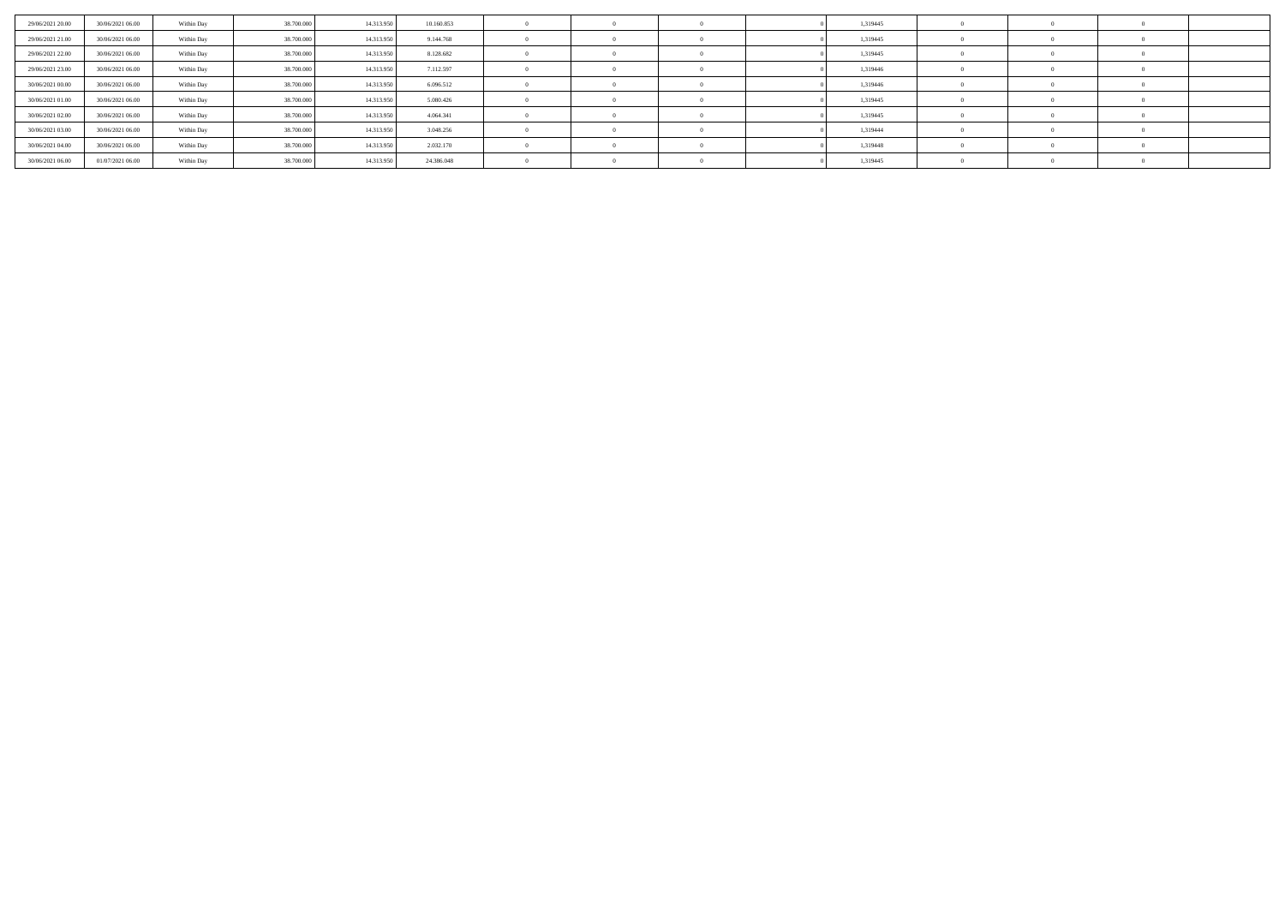| 29/06/2021 20:00 | 30/06/2021 06:00 | Within Day | 38,700,000 | 14.313.950 | 10.160.853 |  |  | 1,319445 |  |  |
|------------------|------------------|------------|------------|------------|------------|--|--|----------|--|--|
| 29/06/2021 21.00 | 30/06/2021 06:00 | Within Day | 38.700.000 | 14.313.950 | 9.144.768  |  |  | 1,319445 |  |  |
| 29/06/2021 22:00 | 30/06/2021 06:00 | Within Day | 38,700,000 | 14.313.950 | 8.128.682  |  |  | 1,319445 |  |  |
| 29/06/2021 23.00 | 30/06/2021 06:00 | Within Day | 38.700.000 | 14.313.950 | 7.112.597  |  |  | 1,319446 |  |  |
| 30/06/2021 00:00 | 30/06/2021 06:00 | Within Day | 38,700,000 | 14.313.950 | 6.096.512  |  |  | 1,319446 |  |  |
| 30/06/2021 01:00 | 30/06/2021 06:00 | Within Day | 38,700,000 | 14.313.950 | 5.080.426  |  |  | 1,319445 |  |  |
| 30/06/2021 02:00 | 30/06/2021 06:00 | Within Day | 38,700,000 | 14.313.950 | 4.064.341  |  |  | 1,319445 |  |  |
| 30/06/2021 03:00 | 30/06/2021 06:00 | Within Day | 38.700.000 | 14.313.950 | 3.048.256  |  |  | 1,319444 |  |  |
| 30/06/2021 04:00 | 30/06/2021 06:00 | Within Day | 38,700,000 | 14.313.950 | 2.032.170  |  |  | 1,319448 |  |  |
| 30/06/2021 06:00 | 01/07/2021 06:00 | Within Day | 38.700.000 | 14.313.950 | 24.386.048 |  |  | 1,319445 |  |  |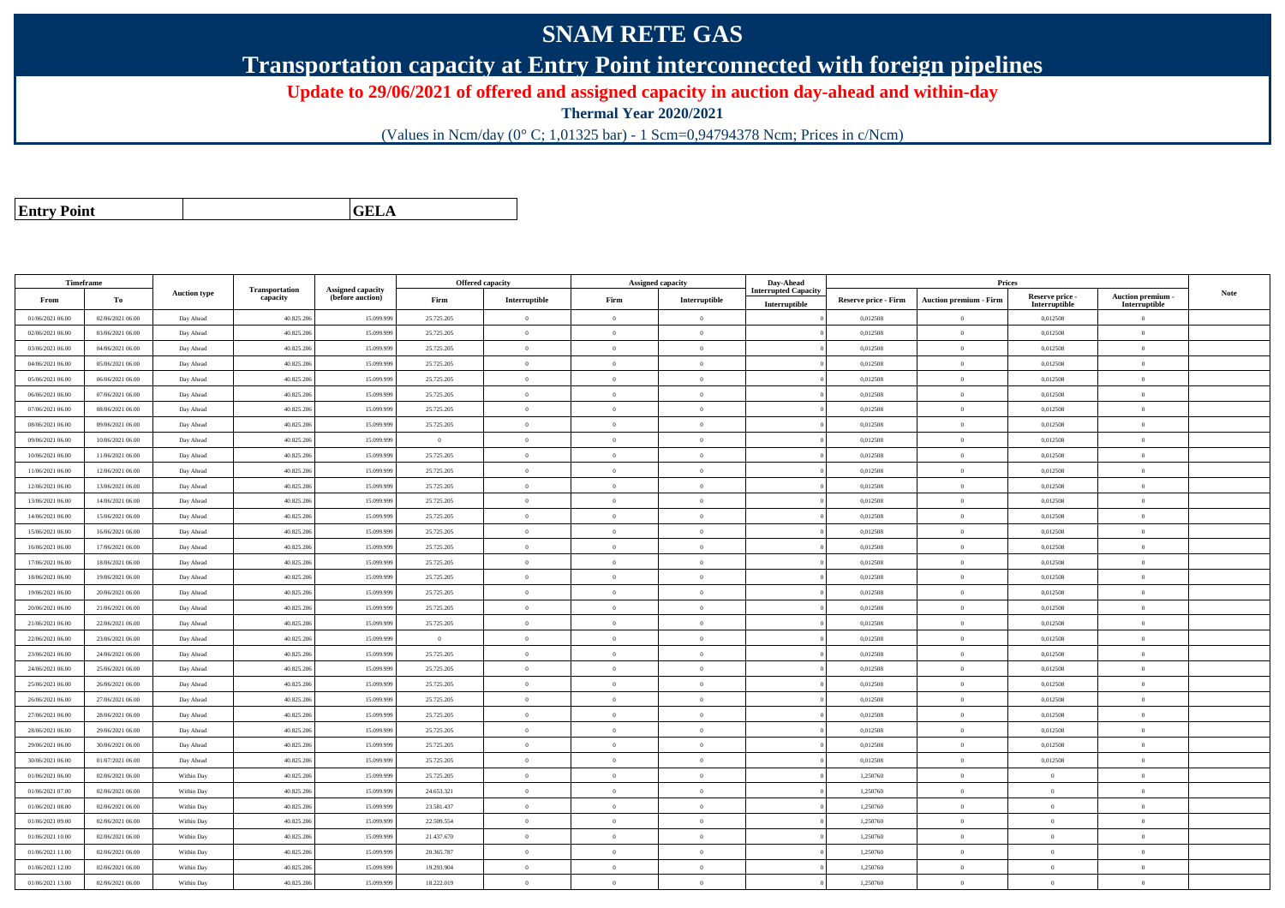## **SNAM RETE GAS**

**Transportation capacity at Entry Point interconnected with foreign pipelines**

**Update to 29/06/2021 of offered and assigned capacity in auction day-ahead and within-day**

**Thermal Year 2020/2021**

(Values in Ncm/day (0° C; 1,01325 bar) - 1 Scm=0,94794378 Ncm; Prices in c/Ncm)

| <b>Entry Point</b> |  |
|--------------------|--|
|                    |  |

**GELA**

| Timeframe        |                  |                     |                            |                                              |                | <b>Offered capacity</b> |                | <b>Assigned capacity</b>                | Day-Ahead                   |                             | Prices                        |                           |                                 |             |
|------------------|------------------|---------------------|----------------------------|----------------------------------------------|----------------|-------------------------|----------------|-----------------------------------------|-----------------------------|-----------------------------|-------------------------------|---------------------------|---------------------------------|-------------|
| From             | To               | <b>Auction type</b> | Transportation<br>capacity | <b>Assigned capacity</b><br>(before auction) | Firm           | Interruptible           | Firm           | $\label{prop:1} \textbf{Interruptible}$ | <b>Interrupted Capacity</b> | <b>Reserve price - Firm</b> | <b>Auction premium - Firm</b> | Reserve price -           | <b>Auction premium</b>          | <b>Note</b> |
| 01/06/2021 06:00 | 02/06/2021 06:00 | Day Ahead           | 40.825.206                 | 15.099.99                                    | 25.725.205     | $\overline{0}$          | $\theta$       | $\overline{0}$                          | Interruptible               | 0,012508                    | $\bf{0}$                      | Interruptible<br>0,012508 | Interruptible<br>$\overline{0}$ |             |
| 02/06/2021 06:00 | 03/06/2021 06:00 | Day Ahead           | 40.825.206                 | 15,099.99                                    | 25.725.205     | $\theta$                | $\theta$       | $\theta$                                |                             | 0.012508                    | $\theta$                      | 0.012508                  | $\Omega$                        |             |
| 03/06/2021 06:00 | 04/06/2021 06:00 | Day Ahead           | 40.825.20                  | 15.099.99                                    | 25.725.205     | $\theta$                | $\Omega$       | $\Omega$                                |                             | 0,012508                    | $\bf{0}$                      | 0,012508                  | $\Omega$                        |             |
| 04/06/2021 06:00 | 05/06/2021 06:00 | Day Ahead           | 40.825.20                  | 15.099.99                                    | 25.725.205     | $\mathbf{0}$            | $\theta$       | $\overline{0}$                          |                             | 0,012508                    | $\bf{0}$                      | 0,012508                  | $\theta$                        |             |
| 05/06/2021 06:00 | 06/06/2021 06:00 |                     | 40.825.20                  | 15.099.99                                    | 25.725.205     | $\overline{0}$          | $\theta$       | $\theta$                                |                             | 0.012508                    | $\mathbf{0}$                  | 0.012508                  | $\Omega$                        |             |
|                  |                  | Day Ahead           |                            |                                              |                | $\overline{0}$          | $\Omega$       | $\theta$                                |                             | 0.012508                    |                               |                           | $\Omega$                        |             |
| 06/06/2021 06:00 | 07/06/2021 06:00 | Day Ahead           | 40.825.206                 | 15.099.99                                    | 25.725.205     |                         |                |                                         |                             |                             | $\bf{0}$                      | 0,012508                  |                                 |             |
| 07/06/2021 06:00 | 08/06/2021 06:00 | Day Ahead           | 40.825.206                 | 15.099.99                                    | 25.725.205     | $\overline{0}$          | $\Omega$       | $\theta$                                |                             | 0,012508                    | $\bf{0}$                      | 0,012508                  | $\Omega$                        |             |
| 08/06/2021 06:00 | 09/06/2021 06:00 | Day Ahead           | 40.825.20                  | 15.099.99                                    | 25.725.205     | $\theta$                | $\theta$       | $\Omega$                                |                             | 0,012508                    | $\overline{0}$                | 0,012508                  | $\Omega$                        |             |
| 09/06/2021 06:00 | 10/06/2021 06:00 | Day Ahead           | 40.825.20                  | 15.099.99                                    | $\overline{0}$ | $\mathbf{0}$            | $\theta$       | $\overline{0}$                          |                             | 0,012508                    | $\bf{0}$                      | 0,012508                  | $\theta$                        |             |
| 10/06/2021 06:00 | 11/06/2021 06:00 | Day Ahead           | 40.825.20                  | 15.099.99                                    | 25.725.205     | $\overline{0}$          | $\overline{0}$ | $\Omega$                                |                             | 0.012508                    | $\bf{0}$                      | 0,012508                  | $\overline{0}$                  |             |
| 11/06/2021 06:00 | 12/06/2021 06:00 | Day Ahead           | 40.825.20                  | 15.099.99                                    | 25.725.205     | $\overline{0}$          | $\theta$       | $\overline{0}$                          |                             | 0,012508                    | $\bf{0}$                      | 0,012508                  | $\overline{0}$                  |             |
| 12/06/2021 06:00 | 13/06/2021 06:00 | Day Ahead           | 40.825.206                 | 15.099.99                                    | 25.725.205     | $\overline{0}$          | $\theta$       | $\overline{0}$                          |                             | 0.012508                    | $\mathbf{0}$                  | 0.012508                  | $\Omega$                        |             |
| 13/06/2021 06:00 | 14/06/2021 06:00 | Day Ahead           | 40.825.20                  | 15,099.99                                    | 25.725.205     | $\overline{0}$          | $\theta$       | $\theta$                                |                             | 0.012508                    | $\mathbf{0}$                  | 0.012508                  | $\Omega$                        |             |
| 14/06/2021 06:00 | 15/06/2021 06:00 | Day Ahead           | 40.825.20                  | 15.099.99                                    | 25.725.205     | $\mathbf{0}$            | $\theta$       | $\theta$                                |                             | 0,012508                    | $\bf{0}$                      | 0,012508                  | $\mathbf{0}$                    |             |
| 15/06/2021 06:00 | 16/06/2021 06:00 | Day Ahead           | 40.825.20                  | 15.099.99                                    | 25.725.205     | $\mathbf{0}$            | $\theta$       | $\theta$                                |                             | 0,012508                    | $\bf{0}$                      | 0,012508                  | $\theta$                        |             |
| 16/06/2021 06:00 | 17/06/2021 06:00 | Day Ahead           | 40.825.20                  | 15.099.99                                    | 25.725.205     | $\overline{0}$          | $\theta$       | $\Omega$                                |                             | 0,012508                    | $\bf{0}$                      | 0,012508                  | $\overline{0}$                  |             |
| 17/06/2021 06:00 | 18/06/2021 06:00 | Day Ahead           | 40.825.20                  | 15.099.99                                    | 25.725.205     | $\theta$                | $\Omega$       | $\theta$                                |                             | 0.012508                    | $\mathbf{0}$                  | 0,012508                  | $\Omega$                        |             |
| 18/06/2021 06:00 | 19/06/2021 06:00 | Day Ahead           | 40.825.206                 | 15.099.99                                    | 25.725.205     | $\overline{0}$          | $\theta$       | $\theta$                                |                             | 0,012508                    | $\bf{0}$                      | 0,012508                  | $\overline{0}$                  |             |
| 19/06/2021 06:00 | 20/06/2021 06:00 | Day Ahead           | 40.825.20                  | 15.099.99                                    | 25.725.205     | $\overline{0}$          | $\overline{0}$ | $\overline{0}$                          |                             | 0,012508                    | $\bf{0}$                      | 0,012508                  | $\overline{0}$                  |             |
| 20/06/2021 06:00 | 21/06/2021 06:00 | Day Ahead           | 40.825.20                  | 15,099.99                                    | 25.725.205     | $\overline{0}$          | $\theta$       | $\overline{0}$                          |                             | 0,012508                    | $\bf{0}$                      | 0,012508                  | $\Omega$                        |             |
| 21/06/2021 06:00 | 22/06/2021 06:00 | Day Ahead           | 40.825.20                  | 15.099.99                                    | 25.725.205     | $\bf{0}$                | $\overline{0}$ | $\theta$                                |                             | 0,012508                    | $\bf{0}$                      | 0,012508                  | $\theta$                        |             |
| 22/06/2021 06:00 | 23/06/2021 06:00 | Day Ahead           | 40.825.20                  | 15.099.99                                    | $\overline{0}$ | $\overline{0}$          | $\theta$       | $\theta$                                |                             | 0,012508                    | $\bf{0}$                      | 0,012508                  | $\overline{0}$                  |             |
| 23/06/2021 06:00 | 24/06/2021 06:00 | Day Ahead           | 40.825.206                 | 15.099.999                                   | 25.725.205     | $\overline{0}$          | $\theta$       | $\Omega$                                |                             | 0,012508                    | $\overline{0}$                | 0,012508                  | $\mathbf{0}$                    |             |
| 24/06/2021 06:00 | 25/06/2021 06:00 | Day Ahead           | 40.825.20                  | 15.099.99                                    | 25.725.205     | $\theta$                | $\theta$       | $\theta$                                |                             | 0,012508                    | $\theta$                      | 0,012508                  | $\Omega$                        |             |
| 25/06/2021 06:00 | 26/06/2021 06:00 | Day Ahead           | 40.825.20                  | 15.099.99                                    | 25.725.205     | $\overline{0}$          | $\Omega$       | $\Omega$                                |                             | 0,012508                    | $\bf{0}$                      | 0,012508                  | $\Omega$                        |             |
| 26/06/2021 06:00 | 27/06/2021 06:00 | Day Ahead           | 40.825.20                  | 15.099.99                                    | 25.725.205     | $\overline{0}$          | $\theta$       | $\theta$                                |                             | 0,012508                    | $\bf{0}$                      | 0,012508                  | $\theta$                        |             |
| 27/06/2021 06:00 | 28/06/2021 06:00 | Day Ahead           | 40.825.20                  | 15,099.99                                    | 25.725.205     | $\theta$                | $\theta$       | $\theta$                                |                             | 0.012508                    | $\mathbf{0}$                  | 0.012508                  | $\Omega$                        |             |
| 28/06/2021 06:00 | 29/06/2021 06:00 | Day Ahead           | 40.825.206                 | 15.099.99                                    | 25.725.205     | $\overline{0}$          | $\Omega$       | $\overline{0}$                          |                             | 0.012508                    | $\mathbf{0}$                  | 0,012508                  | $\Omega$                        |             |
| 29/06/2021 06:00 | 30/06/2021 06:00 | Day Ahead           | 40.825.206                 | 15.099.99                                    | 25.725.205     | $\overline{0}$          | $\theta$       | $\theta$                                |                             | 0,012508                    | $\bf{0}$                      | 0,012508                  | $\theta$                        |             |
| 30/06/2021 06:00 | 01/07/2021 06:00 | Day Ahead           | 40.825.20                  | 15.099.99                                    | 25.725.205     | $\overline{0}$          | $\theta$       | $\overline{0}$                          |                             | 0,012508                    | $\bf{0}$                      | 0,012508                  | $\Omega$                        |             |
| 01/06/2021 06:00 | 02/06/2021 06:00 | Within Day          | 40.825.20                  | 15.099.99                                    | 25.725.205     | $\overline{0}$          | $\theta$       | $\theta$                                |                             | 1,250760                    | $\bf{0}$                      | $\theta$                  | $\theta$                        |             |
| 01/06/2021 07:00 | 02/06/2021 06:00 | Within Day          | 40.825.20                  | 15,099.99                                    | 24.653.321     | $\overline{0}$          | $\theta$       | $\theta$                                |                             | 1,250760                    | $\bf{0}$                      | $\theta$                  | $\theta$                        |             |
| 01/06/2021 08:00 | 02/06/2021 06:00 | Within Day          | 40.825.20                  | 15.099.99                                    | 23.581.437     | $\overline{0}$          | $\theta$       | $\theta$                                |                             | 1,250760                    | $\bf{0}$                      | $\theta$                  | $\overline{0}$                  |             |
| 01/06/2021 09:00 | 02/06/2021 06:00 | Within Day          | 40.825.20                  | 15.099.99                                    | 22.509.554     | $\overline{0}$          | $\theta$       | $\overline{0}$                          |                             | 1,250760                    | $\bf{0}$                      | $\theta$                  | $\overline{0}$                  |             |
| 01/06/2021 10:00 | 02/06/2021 06:00 | Within Day          | 40.825.20                  | 15.099.99                                    | 21.437.670     | $\overline{0}$          | $\theta$       | $\sqrt{2}$                              |                             | 1.250760                    | $\mathbf{0}$                  | $\sqrt{2}$                | $\Omega$                        |             |
| 01/06/2021 11:00 | 02/06/2021 06:00 | Within Day          | 40.825.20                  | 15.099.99                                    | 20.365.787     | $\overline{0}$          | $\theta$       | $\theta$                                |                             | 1,250760                    | $\bf{0}$                      | $\mathbf{a}$              | $\overline{0}$                  |             |
| 01/06/2021 12:00 | 02/06/2021 06:00 | Within Day          | 40.825.20                  | 15.099.99                                    | 19.293.904     | $\overline{0}$          | $\theta$       | $\theta$                                |                             | 1,250760                    | $\bf{0}$                      | $\bf{0}$                  | $\theta$                        |             |
| 01/06/2021 13:00 | 02/06/2021 06:00 | Within Day          | 40.825.20                  | 15.099.999                                   | 18.222.019     | $\Omega$                | $\theta$       | $\Omega$                                |                             | 1,250760                    | $\theta$                      | $\theta$                  | $\overline{0}$                  |             |
|                  |                  |                     |                            |                                              |                |                         |                |                                         |                             |                             |                               |                           |                                 |             |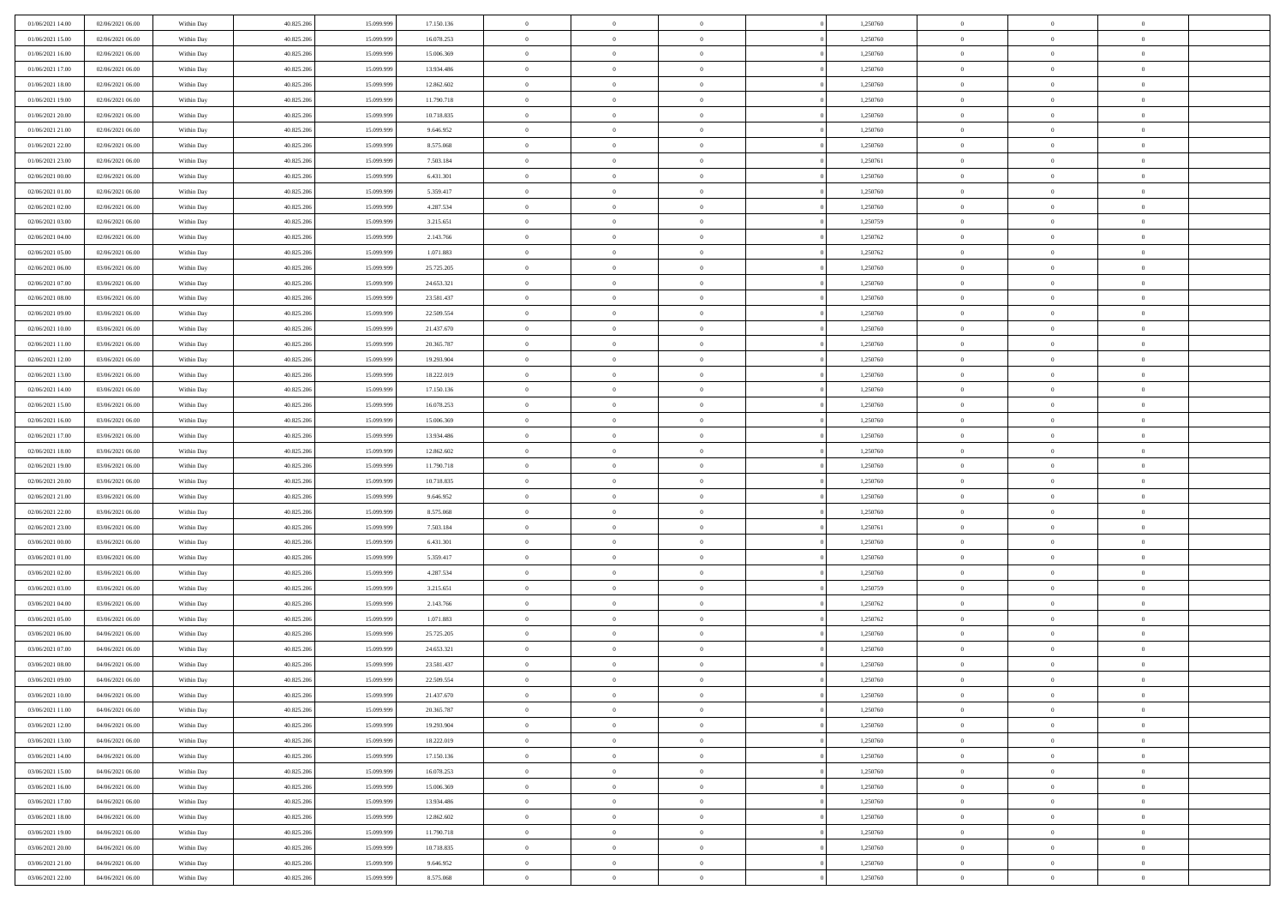| 01/06/2021 14:00                     | 02/06/2021 06:00                     | Within Day               | 40.825.206               | 15.099.999               | 17.150.136              | $\bf{0}$                      | $\overline{0}$                   | $\Omega$                         | 1,250760             | $\bf{0}$                 | $\overline{0}$             | $\bf{0}$                  |  |
|--------------------------------------|--------------------------------------|--------------------------|--------------------------|--------------------------|-------------------------|-------------------------------|----------------------------------|----------------------------------|----------------------|--------------------------|----------------------------|---------------------------|--|
| 01/06/2021 15:00                     | 02/06/2021 06:00                     | Within Dav               | 40.825.206               | 15.099.999               | 16.078.253              | $\overline{0}$                | $\overline{0}$                   | $\overline{0}$                   | 1,250760             | $\mathbf{0}$             | $\bf{0}$                   | $\overline{0}$            |  |
| 01/06/2021 16:00                     | 02/06/2021 06:00                     | Within Day               | 40.825.206               | 15.099.999               | 15.006.369              | $\theta$                      | $\overline{0}$                   | $\overline{0}$                   | 1,250760             | $\,$ 0                   | $\overline{0}$             | $\,$ 0 $\,$               |  |
| 01/06/2021 17:00                     | 02/06/2021 06:00                     | Within Day               | 40.825.206               | 15.099.999               | 13.934.486              | $\mathbf{0}$                  | $\overline{0}$                   | $\mathbf{0}$                     | 1,250760             | $\bf{0}$                 | $\mathbf{0}$               | $\theta$                  |  |
| 01/06/2021 18:00                     | 02/06/2021 06:00                     | Within Dav               | 40.825.206               | 15.099.999               | 12.862.602              | $\mathbf{0}$                  | $\overline{0}$                   | $\overline{0}$                   | 1,250760             | $\mathbf{0}$             | $\bf{0}$                   | $\overline{0}$            |  |
| 01/06/2021 19:00                     | 02/06/2021 06:00                     | Within Day               | 40.825.206               | 15.099.999               | 11.790.718              | $\theta$                      | $\overline{0}$                   | $\bf{0}$                         | 1,250760             | $\,$ 0                   | $\overline{0}$             | $\,$ 0 $\,$               |  |
| 01/06/2021 20:00                     | 02/06/2021 06:00                     | Within Day               | 40.825.206               | 15.099.999               | 10.718.835              | $\,$ 0 $\,$                   | $\overline{0}$                   | $\Omega$                         | 1,250760             | $\bf{0}$                 | $\mathbf{0}$               | $\theta$                  |  |
| 01/06/2021 21:00                     | 02/06/2021 06:00                     | Within Dav               | 40.825.206               | 15.099.999               | 9.646.952               | $\overline{0}$                | $\overline{0}$                   | $\overline{0}$                   | 1,250760             | $\mathbf{0}$             | $\bf{0}$                   | $\overline{0}$            |  |
| 01/06/2021 22:00                     | 02/06/2021 06:00                     | Within Day               | 40.825.206               | 15.099.999               | 8.575.068               | $\theta$                      | $\overline{0}$                   | $\bf{0}$                         | 1,250760             | $\,$ 0                   | $\overline{0}$             | $\,$ 0 $\,$               |  |
| 01/06/2021 23:00                     | 02/06/2021 06:00                     | Within Day               | 40.825.206               | 15.099.999               | 7.503.184               | $\mathbf{0}$                  | $\overline{0}$                   | $\mathbf{0}$                     | 1.250761             | $\bf{0}$                 | $\mathbf{0}$               | $\theta$                  |  |
| 02/06/2021 00:00                     | 02/06/2021 06:00                     | Within Dav               | 40.825.206               | 15.099.999               | 6.431.301               | $\mathbf{0}$                  | $\overline{0}$                   | $\overline{0}$                   | 1,250760             | $\mathbf{0}$             | $\bf{0}$                   | $\overline{0}$            |  |
| 02/06/2021 01:00                     | 02/06/2021 06:00                     | Within Day               | 40.825.206               | 15.099.999               | 5.359.417               | $\theta$                      | $\overline{0}$                   | $\bf{0}$                         | 1,250760             | $\,$ 0                   | $\overline{0}$             | $\,$ 0 $\,$               |  |
| 02/06/2021 02:00                     | 02/06/2021 06:00                     | Within Day               | 40.825.206               | 15.099.999               | 4.287.534               | $\theta$                      | $\overline{0}$                   | $\mathbf{0}$                     | 1,250760             | $\bf{0}$                 | $\theta$                   | $\theta$                  |  |
| 02/06/2021 03:00                     | 02/06/2021 06:00                     | Within Dav               | 40.825.206               | 15.099.999               | 3.215.651               | $\overline{0}$                | $\overline{0}$                   | $\overline{0}$                   | 1,250759             | $\mathbf{0}$             | $\bf{0}$                   | $\overline{0}$            |  |
| 02/06/2021 04:00                     | 02/06/2021 06:00                     | Within Day               | 40.825.206               | 15.099.999               | 2.143.766               | $\theta$                      | $\overline{0}$                   | $\overline{0}$                   | 1,250762             | $\,$ 0                   | $\overline{0}$             | $\,$ 0 $\,$               |  |
| 02/06/2021 05:00                     | 02/06/2021 06:00                     | Within Day               | 40.825.206               | 15.099.999               | 1.071.883               | $\bf{0}$                      | $\overline{0}$                   | $\mathbf{0}$                     | 1,250762             | $\bf{0}$                 | $\mathbf{0}$               | $\bf{0}$                  |  |
| 02/06/2021 06:00                     | 03/06/2021 06:00                     | Within Dav               | 40.825.206               | 15.099.999               | 25.725.205              | $\overline{0}$                | $\overline{0}$                   | $\overline{0}$                   | 1,250760             | $\mathbf{0}$             | $\bf{0}$                   | $\overline{0}$            |  |
| 02/06/2021 07:00                     | 03/06/2021 06:00                     | Within Day               | 40.825.206               | 15.099.999               | 24.653.321              | $\theta$                      | $\overline{0}$                   | $\bf{0}$                         | 1,250760             | $\,$ 0                   | $\overline{0}$             | $\,$ 0 $\,$               |  |
| 02/06/2021 08:00                     | 03/06/2021 06:00                     | Within Day               | 40.825.206               | 15.099.999               | 23,581,437              | $\mathbf{0}$                  | $\overline{0}$                   | $\mathbf{0}$                     | 1.250760             | $\bf{0}$                 | $\mathbf{0}$               | $\theta$                  |  |
| 02/06/2021 09:00                     | 03/06/2021 06:00                     | Within Dav               | 40.825.206               | 15.099.999               | 22.509.554              | $\overline{0}$                | $\overline{0}$                   | $\overline{0}$                   | 1,250760             | $\mathbf{0}$             | $\bf{0}$                   | $\overline{0}$            |  |
| 02/06/2021 10:00                     | 03/06/2021 06:00                     | Within Day               | 40.825.206               | 15.099.999               | 21.437.670              | $\theta$                      | $\overline{0}$                   | $\bf{0}$                         | 1,250760             | $\,$ 0                   | $\overline{0}$             | $\,$ 0 $\,$               |  |
| 02/06/2021 11:00                     | 03/06/2021 06:00                     | Within Day               | 40.825.206               | 15.099.999               | 20,365,787              | $\mathbf{0}$                  | $\overline{0}$                   | $\mathbf{0}$                     | 1,250760             | $\bf{0}$                 | $\mathbf{0}$               | $\theta$                  |  |
| 02/06/2021 12:00                     | 03/06/2021 06:00                     | Within Day               | 40.825.206               | 15.099.999               | 19.293.904              | $\overline{0}$                | $\overline{0}$                   | $\overline{0}$                   | 1,250760             | $\mathbf{0}$             | $\bf{0}$                   | $\overline{0}$            |  |
| 02/06/2021 13:00                     | 03/06/2021 06:00                     | Within Day               | 40.825.206               | 15.099.999               | 18.222.019              | $\theta$                      | $\overline{0}$                   | $\bf{0}$                         | 1,250760             | $\,$ 0                   | $\overline{0}$             | $\,$ 0 $\,$               |  |
| 02/06/2021 14:00                     | 03/06/2021 06:00                     | Within Day               | 40.825.206               | 15.099.999               | 17.150.136              | $\bf{0}$                      | $\overline{0}$                   | $\mathbf{0}$                     | 1,250760             | $\bf{0}$                 | $\overline{0}$             | $\bf{0}$                  |  |
| 02/06/2021 15:00                     | 03/06/2021 06:00                     | Within Day               | 40.825.206               | 15.099.999               | 16.078.253              | $\overline{0}$                | $\overline{0}$                   | $\overline{0}$                   | 1,250760             | $\mathbf{0}$             | $\bf{0}$                   | $\overline{0}$            |  |
| 02/06/2021 16:00                     | 03/06/2021 06:00                     | Within Day               | 40.825.206               | 15.099.999               | 15.006.369              | $\theta$                      | $\overline{0}$                   | $\overline{0}$                   | 1,250760             | $\,$ 0                   | $\overline{0}$             | $\,$ 0 $\,$               |  |
| 02/06/2021 17:00                     | 03/06/2021 06:00                     | Within Day               | 40.825.206               | 15.099.999               | 13.934.486              | $\mathbf{0}$                  | $\overline{0}$                   | $\mathbf{0}$                     | 1,250760             | $\bf{0}$                 | $\mathbf{0}$               | $\theta$                  |  |
| 02/06/2021 18:00                     | 03/06/2021 06:00                     | Within Day               | 40.825.206               | 15.099.999               | 12.862.602              | $\mathbf{0}$                  | $\overline{0}$                   | $\overline{0}$                   | 1,250760             | $\mathbf{0}$             | $\bf{0}$                   | $\overline{0}$            |  |
| 02/06/2021 19:00                     | 03/06/2021 06:00                     | Within Day               | 40.825.206               | 15.099.999               | 11.790.718              | $\theta$                      | $\overline{0}$                   | $\bf{0}$                         | 1,250760             | $\,$ 0                   | $\overline{0}$             | $\,$ 0 $\,$               |  |
| 02/06/2021 20:00                     | 03/06/2021 06:00                     | Within Day               | 40.825.206               | 15.099.999               | 10.718.835              | $\,$ 0 $\,$                   | $\overline{0}$                   | $\overline{0}$                   | 1,250760             | $\bf{0}$                 | $\overline{0}$             | $\,0\,$                   |  |
| 02/06/2021 21:00                     | 03/06/2021 06:00                     | Within Day               | 40.825.206               | 15.099.999               | 9.646.952               | $\overline{0}$                | $\overline{0}$                   | $\overline{0}$                   | 1,250760             | $\mathbf{0}$             | $\bf{0}$                   | $\overline{0}$            |  |
| 02/06/2021 22:00                     | 03/06/2021 06:00                     | Within Day               | 40.825.206               | 15.099.999               | 8.575.068               | $\theta$                      | $\overline{0}$                   | $\overline{0}$                   | 1,250760             | $\,$ 0                   | $\overline{0}$             | $\,$ 0 $\,$               |  |
| 02/06/2021 23:00                     | 03/06/2021 06:00                     | Within Day               | 40.825.206               | 15.099.999               | 7.503.184               | $\,$ 0 $\,$                   | $\overline{0}$                   | $\overline{0}$                   | 1,250761             | $\bf{0}$                 | $\overline{0}$             | $\,0\,$                   |  |
| 03/06/2021 00:00                     | 03/06/2021 06:00                     | Within Day               | 40.825.206               | 15.099.999               | 6.431.301               | $\theta$                      | $\overline{0}$                   | $\overline{0}$                   | 1,250760             | $\mathbf{0}$             | $\bf{0}$                   | $\overline{0}$            |  |
| 03/06/2021 01:00                     | 03/06/2021 06:00                     | Within Day               | 40.825.206               | 15.099.999               | 5.359.417               | $\theta$                      | $\overline{0}$                   | $\bf{0}$                         | 1,250760             | $\,$ 0                   | $\overline{0}$             | $\,$ 0 $\,$               |  |
| 03/06/2021 02:00<br>03/06/2021 03:00 | 03/06/2021 06:00<br>03/06/2021 06:00 | Within Day<br>Within Day | 40.825.206<br>40.825.206 | 15.099.999<br>15.099.999 | 4.287.534<br>3.215.651  | $\,$ 0 $\,$<br>$\overline{0}$ | $\overline{0}$<br>$\overline{0}$ | $\overline{0}$<br>$\overline{0}$ | 1,250760<br>1,250759 | $\bf{0}$<br>$\mathbf{0}$ | $\overline{0}$<br>$\bf{0}$ | $\,0\,$<br>$\overline{0}$ |  |
| 03/06/2021 04:00                     | 03/06/2021 06:00                     | Within Day               | 40.825.206               | 15.099.999               | 2.143.766               | $\theta$                      | $\overline{0}$                   | $\bf{0}$                         | 1,250762             | $\,$ 0                   | $\overline{0}$             | $\,$ 0 $\,$               |  |
|                                      |                                      |                          |                          |                          |                         | $\,$ 0 $\,$                   |                                  | $\overline{0}$                   |                      | $\bf{0}$                 | $\overline{0}$             | $\,0\,$                   |  |
| 03/06/2021 05:00<br>03/06/2021 06:00 | 03/06/2021 06:00<br>04/06/2021 06:00 | Within Day<br>Within Day | 40.825.206<br>40.825.206 | 15.099.999<br>15.099.999 | 1.071.883<br>25.725.205 | $\theta$                      | $\overline{0}$<br>$\overline{0}$ | $\overline{0}$                   | 1,250762<br>1,250760 | $\mathbf{0}$             | $\bf{0}$                   | $\overline{0}$            |  |
| 03/06/2021 07:00                     | 04/06/2021 06:00                     | Within Day               | 40.825.206               | 15.099.999               | 24.653.321              | $\theta$                      | $\overline{0}$                   | $\bf{0}$                         | 1,250760             | $\,$ 0                   | $\overline{0}$             | $\,$ 0 $\,$               |  |
| 03/06/2021 08:00                     | 04/06/2021 06:00                     | Within Day               | 40.825.206               | 15.099.999               | 23.581.437              | $\,$ 0 $\,$                   | $\overline{0}$                   | $\overline{0}$                   | 1,250760             | $\bf{0}$                 | $\overline{0}$             | $\,0\,$                   |  |
| 03/06/2021 09:00                     | 04/06/2021 06:00                     | Within Dav               | 40.825.206               | 15.099.999               | 22.509.554              | $\theta$                      | $\overline{0}$                   | $\overline{0}$                   | 1,250760             | $\mathbf{0}$             | $\bf{0}$                   | $\overline{0}$            |  |
| 03/06/2021 10:00                     | 04/06/2021 06:00                     | Within Day               | 40.825.206               | 15.099.999               | 21.437.670              | $\overline{0}$                | $\overline{0}$                   | $\overline{0}$                   | 1,250760             | $\overline{0}$           | $\theta$                   | $\theta$                  |  |
| 03/06/2021 11:00                     | 04/06/2021 06:00                     | Within Day               | 40.825.206               | 15.099.999               | 20.365.787              | $\bf{0}$                      | $\overline{0}$                   | $\overline{0}$                   | 1,250760             | $\mathbf{0}$             | $\overline{0}$             | $\bf{0}$                  |  |
| 03/06/2021 12:00                     | 04/06/2021 06:00                     | Within Day               | 40.825.206               | 15.099.999               | 19.293.904              | $\overline{0}$                | $\overline{0}$                   | $\overline{0}$                   | 1,250760             | $\overline{0}$           | $\overline{0}$             | $\overline{0}$            |  |
| 03/06/2021 13:00                     | 04/06/2021 06:00                     | Within Day               | 40.825.206               | 15.099.999               | 18.222.019              | $\,$ 0 $\,$                   | $\overline{0}$                   | $\overline{0}$                   | 1,250760             | $\,$ 0 $\,$              | $\,$ 0 $\,$                | $\,$ 0 $\,$               |  |
| 03/06/2021 14:00                     | 04/06/2021 06:00                     | Within Day               | 40.825.206               | 15.099.999               | 17.150.136              | $\bf{0}$                      | $\overline{0}$                   | $\overline{0}$                   | 1,250760             | $\mathbf{0}$             | $\overline{0}$             | $\bf{0}$                  |  |
| 03/06/2021 15:00                     | 04/06/2021 06:00                     | Within Day               | 40.825.206               | 15.099.999               | 16.078.253              | $\,$ 0 $\,$                   | $\overline{0}$                   | $\overline{0}$                   | 1,250760             | $\,$ 0 $\,$              | $\bf{0}$                   | $\overline{0}$            |  |
| 03/06/2021 16:00                     | 04/06/2021 06:00                     | Within Day               | 40.825.206               | 15.099.999               | 15.006.369              | $\,$ 0                        | $\overline{0}$                   | $\overline{0}$                   | 1,250760             | $\,$ 0 $\,$              | $\overline{0}$             | $\,$ 0 $\,$               |  |
| 03/06/2021 17:00                     | 04/06/2021 06:00                     | Within Day               | 40.825.206               | 15.099.999               | 13.934.486              | $\bf{0}$                      | $\overline{0}$                   | $\overline{0}$                   | 1,250760             | $\overline{0}$           | $\overline{0}$             | $\overline{0}$            |  |
| 03/06/2021 18:00                     | 04/06/2021 06:00                     | Within Day               | 40.825.206               | 15.099.999               | 12.862.602              | $\,$ 0 $\,$                   | $\overline{0}$                   | $\overline{0}$                   | 1,250760             | $\,$ 0 $\,$              | $\bf{0}$                   | $\overline{0}$            |  |
| 03/06/2021 19:00                     | 04/06/2021 06:00                     | Within Day               | 40.825.206               | 15.099.999               | 11.790.718              | $\,$ 0                        | $\overline{0}$                   | $\overline{0}$                   | 1,250760             | $\,$ 0 $\,$              | $\,$ 0 $\,$                | $\,$ 0 $\,$               |  |
| 03/06/2021 20:00                     | 04/06/2021 06:00                     | Within Day               | 40.825.206               | 15.099.999               | 10.718.835              | $\bf{0}$                      | $\overline{0}$                   | $\overline{0}$                   | 1,250760             | $\mathbf{0}$             | $\overline{0}$             | $\bf{0}$                  |  |
| 03/06/2021 21:00                     | 04/06/2021 06:00                     | Within Day               | 40.825.206               | 15.099.999               | 9.646.952               | $\mathbf{0}$                  | $\overline{0}$                   | $\overline{0}$                   | 1,250760             | $\overline{0}$           | $\bf{0}$                   | $\overline{0}$            |  |
| 03/06/2021 22:00                     | 04/06/2021 06:00                     | Within Day               | 40.825.206               | 15.099.999               | 8.575.068               | $\,$ 0 $\,$                   | $\overline{0}$                   | $\overline{0}$                   | 1,250760             | $\,$ 0 $\,$              | $\overline{0}$             | $\,$ 0 $\,$               |  |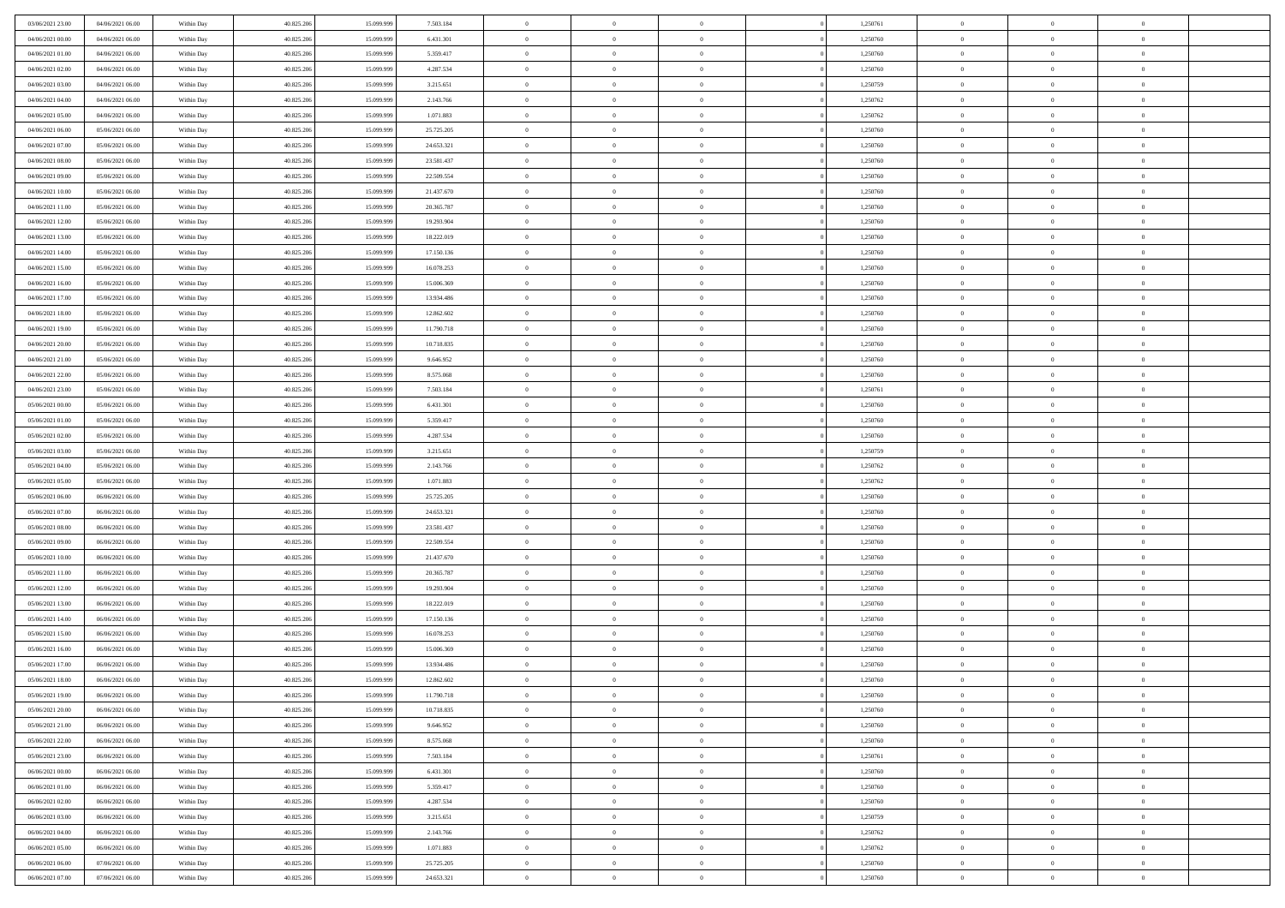| 03/06/2021 23:00                     | 04/06/2021 06:00                     | Within Day               | 40.825.206               | 15.099.999               | 7.503.184                | $\bf{0}$                | $\overline{0}$                   | $\Omega$                         | 1,250761             | $\bf{0}$                 | $\overline{0}$             | $\bf{0}$                  |  |
|--------------------------------------|--------------------------------------|--------------------------|--------------------------|--------------------------|--------------------------|-------------------------|----------------------------------|----------------------------------|----------------------|--------------------------|----------------------------|---------------------------|--|
| 04/06/2021 00:00                     | 04/06/2021 06:00                     | Within Day               | 40.825.206               | 15.099.999               | 6.431.301                | $\overline{0}$          | $\overline{0}$                   | $\overline{0}$                   | 1,250760             | $\mathbf{0}$             | $\bf{0}$                   | $\overline{0}$            |  |
| 04/06/2021 01:00                     | 04/06/2021 06:00                     | Within Day               | 40.825.206               | 15.099.999               | 5.359.417                | $\theta$                | $\overline{0}$                   | $\overline{0}$                   | 1,250760             | $\,$ 0                   | $\overline{0}$             | $\,$ 0 $\,$               |  |
| 04/06/2021 02:00                     | 04/06/2021 06:00                     | Within Day               | 40.825.206               | 15.099.999               | 4.287.534                | $\mathbf{0}$            | $\overline{0}$                   | $\mathbf{0}$                     | 1,250760             | $\bf{0}$                 | $\mathbf{0}$               | $\theta$                  |  |
| 04/06/2021 03:00                     | 04/06/2021 06:00                     | Within Day               | 40.825.206               | 15.099.999               | 3.215.651                | $\mathbf{0}$            | $\overline{0}$                   | $\overline{0}$                   | 1,250759             | $\mathbf{0}$             | $\bf{0}$                   | $\overline{0}$            |  |
| 04/06/2021 04:00                     | 04/06/2021 06:00                     | Within Day               | 40.825.206               | 15.099.999               | 2.143.766                | $\theta$                | $\overline{0}$                   | $\bf{0}$                         | 1,250762             | $\,$ 0                   | $\overline{0}$             | $\,$ 0 $\,$               |  |
| 04/06/2021 05:00                     | 04/06/2021 06:00                     | Within Day               | 40.825.206               | 15.099.999               | 1.071.883                | $\,$ 0 $\,$             | $\overline{0}$                   | $\Omega$                         | 1,250762             | $\bf{0}$                 | $\mathbf{0}$               | $\theta$                  |  |
| 04/06/2021 06:00                     | 05/06/2021 06:00                     | Within Day               | 40.825.206               | 15.099.999               | 25.725.205               | $\overline{0}$          | $\overline{0}$                   | $\overline{0}$                   | 1,250760             | $\mathbf{0}$             | $\bf{0}$                   | $\overline{0}$            |  |
| 04/06/2021 07:00                     | 05/06/2021 06:00                     | Within Day               | 40.825.206               | 15.099.999               | 24.653.321               | $\theta$                | $\overline{0}$                   | $\overline{0}$                   | 1,250760             | $\,$ 0                   | $\overline{0}$             | $\,$ 0 $\,$               |  |
| 04/06/2021 08:00                     | 05/06/2021 06:00                     | Within Day               | 40.825.206               | 15.099.999               | 23.581.437               | $\mathbf{0}$            | $\overline{0}$                   | $\mathbf{0}$                     | 1,250760             | $\bf{0}$                 | $\mathbf{0}$               | $\theta$                  |  |
| 04/06/2021 09:00                     | 05/06/2021 06:00                     | Within Dav               | 40.825.206               | 15.099.999               | 22.509.554               | $\overline{0}$          | $\overline{0}$                   | $\overline{0}$                   | 1,250760             | $\mathbf{0}$             | $\bf{0}$                   | $\overline{0}$            |  |
| 04/06/2021 10:00                     | 05/06/2021 06:00                     | Within Day               | 40.825.206               | 15.099.999               | 21.437.670               | $\theta$                | $\overline{0}$                   | $\bf{0}$                         | 1,250760             | $\,$ 0                   | $\overline{0}$             | $\,$ 0 $\,$               |  |
| 04/06/2021 11:00                     | 05/06/2021 06:00                     | Within Day               | 40.825.206               | 15.099.999               | 20.365.787               | $\theta$                | $\overline{0}$                   | $\mathbf{0}$                     | 1,250760             | $\bf{0}$                 | $\theta$                   | $\theta$                  |  |
| 04/06/2021 12:00                     | 05/06/2021 06:00                     | Within Dav               | 40.825.206               | 15.099.999               | 19.293.904               | $\overline{0}$          | $\overline{0}$                   | $\overline{0}$                   | 1,250760             | $\mathbf{0}$             | $\bf{0}$                   | $\overline{0}$            |  |
| 04/06/2021 13:00                     | 05/06/2021 06:00                     | Within Day               | 40.825.206               | 15.099.999               | 18.222.019               | $\theta$                | $\overline{0}$                   | $\overline{0}$                   | 1,250760             | $\,$ 0                   | $\overline{0}$             | $\,$ 0 $\,$               |  |
| 04/06/2021 14:00                     | 05/06/2021 06:00                     | Within Day               | 40.825.206               | 15.099.999               | 17.150.136               | $\mathbf{0}$            | $\overline{0}$                   | $\mathbf{0}$                     | 1,250760             | $\bf{0}$                 | $\mathbf{0}$               | $\bf{0}$                  |  |
| 04/06/2021 15:00                     | 05/06/2021 06:00                     | Within Dav               | 40.825.206               | 15.099.999               | 16.078.253               | $\theta$                | $\overline{0}$                   | $\overline{0}$                   | 1,250760             | $\mathbf{0}$             | $\bf{0}$                   | $\overline{0}$            |  |
| 04/06/2021 16:00                     | 05/06/2021 06:00                     | Within Day               | 40.825.206               | 15.099.999               | 15.006.369               | $\theta$                | $\overline{0}$                   | $\bf{0}$                         | 1,250760             | $\,$ 0                   | $\overline{0}$             | $\,0\,$                   |  |
| 04/06/2021 17:00                     | 05/06/2021 06:00                     | Within Day               | 40.825.206               | 15.099.999               | 13.934.486               | $\mathbf{0}$            | $\overline{0}$                   | $\mathbf{0}$                     | 1,250760             | $\bf{0}$                 | $\mathbf{0}$               | $\theta$                  |  |
| 04/06/2021 18:00                     | 05/06/2021 06:00                     | Within Dav               | 40.825.206               | 15.099.999               | 12.862.602               | $\overline{0}$          | $\overline{0}$                   | $\overline{0}$                   | 1,250760             | $\mathbf{0}$             | $\bf{0}$                   | $\overline{0}$            |  |
| 04/06/2021 19:00                     | 05/06/2021 06:00                     | Within Day               | 40.825.206               | 15.099.999               | 11.790.718               | $\theta$                | $\overline{0}$                   | $\bf{0}$                         | 1,250760             | $\,$ 0                   | $\overline{0}$             | $\,$ 0 $\,$               |  |
| 04/06/2021 20:00                     | 05/06/2021 06:00                     | Within Day               | 40.825.206               | 15.099.999               | 10.718.835               | $\mathbf{0}$            | $\overline{0}$                   | $\mathbf{0}$                     | 1,250760             | $\bf{0}$                 | $\theta$                   | $\theta$                  |  |
| 04/06/2021 21:00                     | 05/06/2021 06:00                     | Within Dav               | 40.825.206               | 15.099.999               | 9.646.952                | $\overline{0}$          | $\overline{0}$                   | $\overline{0}$                   | 1,250760             | $\mathbf{0}$             | $\bf{0}$                   | $\overline{0}$            |  |
| 04/06/2021 22:00                     | 05/06/2021 06:00                     | Within Day               | 40.825.206               | 15.099.999               | 8.575.068                | $\theta$                | $\overline{0}$                   | $\bf{0}$                         | 1,250760             | $\,$ 0                   | $\overline{0}$             | $\,$ 0 $\,$               |  |
| 04/06/2021 23:00                     | 05/06/2021 06:00                     | Within Day               | 40.825.206               | 15.099.999               | 7.503.184                | $\bf{0}$                | $\overline{0}$                   | $\mathbf{0}$                     | 1,250761             | $\bf{0}$                 | $\bf{0}$                   | $\bf{0}$                  |  |
| 05/06/2021 00:00                     | 05/06/2021 06:00                     | Within Dav               | 40.825.206               | 15.099.999               | 6.431.301                | $\overline{0}$          | $\overline{0}$                   | $\overline{0}$                   | 1,250760             | $\mathbf{0}$             | $\bf{0}$                   | $\overline{0}$            |  |
| 05/06/2021 01:00                     | 05/06/2021 06:00                     | Within Day               | 40.825.206               | 15.099.999               | 5.359.417                | $\theta$                | $\overline{0}$                   | $\overline{0}$                   | 1,250760             | $\,$ 0                   | $\overline{0}$             | $\,$ 0 $\,$               |  |
| 05/06/2021 02:00                     | 05/06/2021 06:00                     | Within Day               | 40.825.206               | 15.099.999               | 4.287.534                | $\mathbf{0}$            | $\overline{0}$                   | $\mathbf{0}$                     | 1,250760             | $\bf{0}$                 | $\mathbf{0}$               | $\theta$                  |  |
| 05/06/2021 03:00                     | 05/06/2021 06:00                     | Within Dav               | 40.825.206               | 15.099.999               | 3.215.651                | $\overline{0}$          | $\overline{0}$                   | $\overline{0}$                   | 1,250759             | $\mathbf{0}$             | $\bf{0}$                   | $\overline{0}$            |  |
| 05/06/2021 04:00                     | 05/06/2021 06:00                     | Within Day               | 40.825.206               | 15.099.999               | 2.143.766                | $\theta$                | $\overline{0}$                   | $\bf{0}$                         | 1,250762             | $\,$ 0                   | $\overline{0}$             | $\,$ 0 $\,$               |  |
| 05/06/2021 05:00                     | 05/06/2021 06:00                     | Within Day               | 40.825.206               | 15.099.999               | 1.071.883                | $\bf{0}$                | $\overline{0}$                   | $\overline{0}$                   | 1,250762             | $\bf{0}$                 | $\overline{0}$             | $\,0\,$                   |  |
| 05/06/2021 06:00                     | 06/06/2021 06:00                     | Within Dav               | 40.825.206               | 15.099.999               | 25.725.205               | $\overline{0}$          | $\overline{0}$                   | $\overline{0}$                   | 1,250760             | $\mathbf{0}$             | $\bf{0}$                   | $\overline{0}$            |  |
| 05/06/2021 07:00                     | 06/06/2021 06:00                     | Within Day               | 40.825.206               | 15.099.999               | 24.653.321               | $\theta$                | $\overline{0}$                   | $\overline{0}$                   | 1,250760             | $\,$ 0                   | $\overline{0}$             | $\,$ 0 $\,$               |  |
| 05/06/2021 08:00<br>05/06/2021 09:00 | 06/06/2021 06:00<br>06/06/2021 06:00 | Within Day<br>Within Dav | 40.825.206<br>40.825.206 | 15.099.999<br>15.099.999 | 23.581.437<br>22.509.554 | $\,$ 0 $\,$<br>$\theta$ | $\overline{0}$<br>$\overline{0}$ | $\overline{0}$<br>$\overline{0}$ | 1,250760<br>1,250760 | $\bf{0}$<br>$\mathbf{0}$ | $\overline{0}$<br>$\bf{0}$ | $\,0\,$<br>$\overline{0}$ |  |
| 05/06/2021 10:00                     | 06/06/2021 06:00                     | Within Day               | 40.825.206               | 15.099.999               | 21.437.670               | $\theta$                | $\overline{0}$                   | $\bf{0}$                         | 1,250760             | $\,$ 0                   | $\overline{0}$             | $\,$ 0 $\,$               |  |
| 05/06/2021 11:00                     | 06/06/2021 06:00                     | Within Day               | 40.825.206               | 15.099.999               | 20.365.787               | $\bf{0}$                | $\overline{0}$                   | $\overline{0}$                   | 1,250760             | $\bf{0}$                 | $\overline{0}$             | $\,0\,$                   |  |
| 05/06/2021 12:00                     | 06/06/2021 06:00                     | Within Dav               | 40.825.206               | 15.099.999               | 19.293.904               | $\overline{0}$          | $\overline{0}$                   | $\overline{0}$                   | 1,250760             | $\mathbf{0}$             | $\bf{0}$                   | $\overline{0}$            |  |
| 05/06/2021 13:00                     | 06/06/2021 06:00                     | Within Day               | 40.825.206               | 15.099.999               | 18.222.019               | $\theta$                | $\overline{0}$                   | $\bf{0}$                         | 1,250760             | $\,$ 0                   | $\overline{0}$             | $\,$ 0 $\,$               |  |
| 05/06/2021 14:00                     | 06/06/2021 06:00                     | Within Day               | 40.825.206               | 15.099.999               | 17.150.136               | $\,$ 0 $\,$             | $\overline{0}$                   | $\overline{0}$                   | 1,250760             | $\bf{0}$                 | $\overline{0}$             | $\,0\,$                   |  |
| 05/06/2021 15:00                     | 06/06/2021 06:00                     | Within Dav               | 40.825.206               | 15.099.999               | 16.078.253               | $\theta$                | $\overline{0}$                   | $\overline{0}$                   | 1,250760             | $\mathbf{0}$             | $\bf{0}$                   | $\overline{0}$            |  |
| 05/06/2021 16:00                     | 06/06/2021 06:00                     | Within Day               | 40.825.206               | 15.099.999               | 15.006.369               | $\theta$                | $\overline{0}$                   | $\overline{0}$                   | 1,250760             | $\,$ 0                   | $\overline{0}$             | $\,$ 0 $\,$               |  |
| 05/06/2021 17:00                     | 06/06/2021 06:00                     | Within Day               | 40.825.206               | 15.099.999               | 13.934.486               | $\,$ 0 $\,$             | $\overline{0}$                   | $\overline{0}$                   | 1,250760             | $\bf{0}$                 | $\overline{0}$             | $\,0\,$                   |  |
| 05/06/2021 18:00                     | 06/06/2021 06:00                     | Within Dav               | 40.825.206               | 15.099.999               | 12.862.602               | $\theta$                | $\overline{0}$                   | $\overline{0}$                   | 1,250760             | $\mathbf{0}$             | $\bf{0}$                   | $\overline{0}$            |  |
| 05/06/2021 19:00                     | 06/06/2021 06:00                     | Within Day               | 40.825.206               | 15.099.999               | 11.790.718               | $\overline{0}$          | $\overline{0}$                   | $\overline{0}$                   | 1,250760             | $\overline{0}$           | $\theta$                   | $\theta$                  |  |
| 05/06/2021 20:00                     | 06/06/2021 06:00                     | Within Day               | 40.825.206               | 15.099.999               | 10.718.835               | $\bf{0}$                | $\overline{0}$                   | $\overline{0}$                   | 1,250760             | $\bf{0}$                 | $\overline{0}$             | $\bf{0}$                  |  |
| 05/06/2021 21:00                     | 06/06/2021 06:00                     | Within Day               | 40.825.206               | 15.099.999               | 9.646.952                | $\overline{0}$          | $\overline{0}$                   | $\overline{0}$                   | 1,250760             | $\overline{0}$           | $\overline{0}$             | $\overline{0}$            |  |
| 05/06/2021 22:00                     | 06/06/2021 06:00                     | Within Day               | 40.825.206               | 15.099.999               | 8.575.068                | $\,$ 0 $\,$             | $\overline{0}$                   | $\overline{0}$                   | 1,250760             | $\,$ 0 $\,$              | $\,$ 0 $\,$                | $\,$ 0 $\,$               |  |
| 05/06/2021 23:00                     | 06/06/2021 06:00                     | Within Day               | 40.825.206               | 15.099.999               | 7.503.184                | $\bf{0}$                | $\overline{0}$                   | $\overline{0}$                   | 1,250761             | $\mathbf{0}$             | $\overline{0}$             | $\bf{0}$                  |  |
| 06/06/2021 00:00                     | 06/06/2021 06:00                     | Within Day               | 40.825.206               | 15.099.999               | 6.431.301                | $\,$ 0 $\,$             | $\overline{0}$                   | $\overline{0}$                   | 1,250760             | $\,$ 0 $\,$              | $\bf{0}$                   | $\overline{0}$            |  |
| 06/06/2021 01:00                     | 06/06/2021 06:00                     | Within Day               | 40.825.206               | 15.099.999               | 5.359.417                | $\,$ 0                  | $\overline{0}$                   | $\overline{0}$                   | 1,250760             | $\,$ 0 $\,$              | $\overline{0}$             | $\,$ 0 $\,$               |  |
| 06/06/2021 02:00                     | 06/06/2021 06:00                     | Within Day               | 40.825.206               | 15.099.999               | 4.287.534                | $\bf{0}$                | $\overline{0}$                   | $\overline{0}$                   | 1,250760             | $\overline{0}$           | $\overline{0}$             | $\overline{0}$            |  |
| 06/06/2021 03:00                     | 06/06/2021 06:00                     | Within Day               | 40.825.206               | 15.099.999               | 3.215.651                | $\,$ 0 $\,$             | $\overline{0}$                   | $\overline{0}$                   | 1,250759             | $\,$ 0 $\,$              | $\bf{0}$                   | $\overline{0}$            |  |
| 06/06/2021 04:00                     | 06/06/2021 06:00                     | Within Day               | 40.825.206               | 15.099.999               | 2.143.766                | $\,$ 0                  | $\overline{0}$                   | $\overline{0}$                   | 1,250762             | $\,$ 0 $\,$              | $\,$ 0 $\,$                | $\,$ 0 $\,$               |  |
| 06/06/2021 05:00                     | 06/06/2021 06:00                     | Within Day               | 40.825.206               | 15.099.999               | 1.071.883                | $\bf{0}$                | $\overline{0}$                   | $\overline{0}$                   | 1,250762             | $\mathbf{0}$             | $\overline{0}$             | $\bf{0}$                  |  |
| 06/06/2021 06:00                     | 07/06/2021 06:00                     | Within Day               | 40.825.206               | 15.099.999               | 25.725.205               | $\mathbf{0}$            | $\overline{0}$                   | $\overline{0}$                   | 1,250760             | $\mathbf{0}$             | $\bf{0}$                   | $\overline{0}$            |  |
| 06/06/2021 07:00                     | 07/06/2021 06:00                     | Within Day               | 40.825.206               | 15.099.999               | 24.653.321               | $\,$ 0 $\,$             | $\overline{0}$                   | $\overline{0}$                   | 1,250760             | $\,$ 0 $\,$              | $\overline{0}$             | $\,$ 0 $\,$               |  |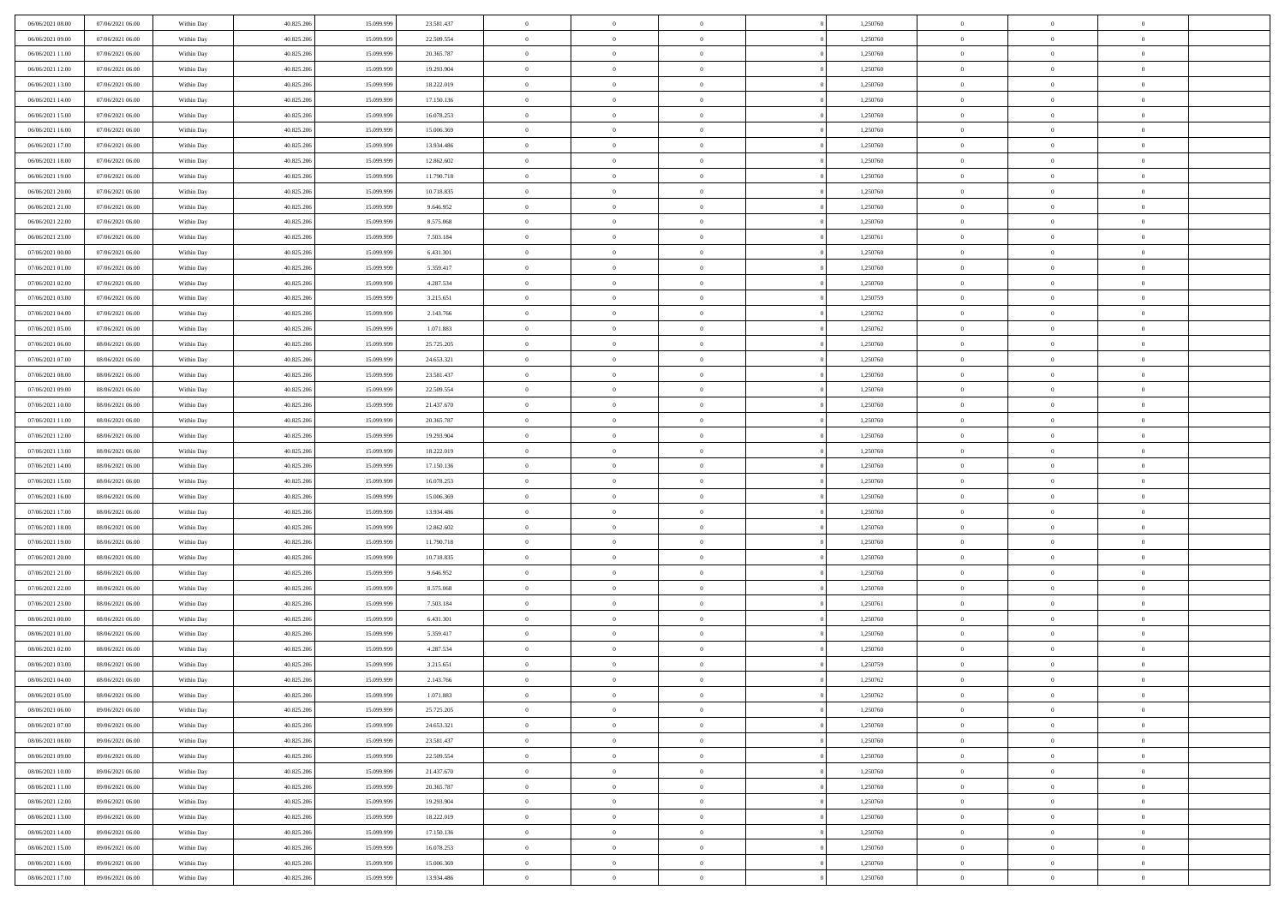| 06/06/2021 08:00                     | 07/06/2021 06:00                     | Within Day               | 40.825.206               | 15.099.999               | 23.581.437               | $\bf{0}$             | $\overline{0}$                   | $\overline{0}$                   | 1,250760             | $\bf{0}$                 | $\overline{0}$                   | $\,0\,$                          |  |
|--------------------------------------|--------------------------------------|--------------------------|--------------------------|--------------------------|--------------------------|----------------------|----------------------------------|----------------------------------|----------------------|--------------------------|----------------------------------|----------------------------------|--|
| 06/06/2021 09:00                     | 07/06/2021 06:00                     | Within Day               | 40.825.206               | 15,099.99                | 22.509.554               | $\theta$             | $\overline{0}$                   | $\mathbf{0}$                     | 1,250760             | $\theta$                 | $\mathbf{0}$                     | $\theta$                         |  |
| 06/06/2021 11:00                     | 07/06/2021 06:00                     | Within Dav               | 40.825.206               | 15.099.999               | 20.365.787               | $\theta$             | $\overline{0}$                   | $\mathbf{0}$                     | 1,250760             | $\mathbf{0}$             | $\overline{0}$                   | $\overline{0}$                   |  |
| 06/06/2021 12:00                     | 07/06/2021 06:00                     | Within Day               | 40.825.206               | 15.099.999               | 19.293.904               | $\,$ 0 $\,$          | $\overline{0}$                   | $\overline{0}$                   | 1,250760             | $\bf{0}$                 | $\overline{0}$                   | $\bf{0}$                         |  |
| 06/06/2021 13:00                     | 07/06/2021 06:00                     | Within Day               | 40.825.206               | 15.099.999               | 18.222.019               | $\bf{0}$             | $\overline{0}$                   | $\mathbf{0}$                     | 1,250760             | $\bf{0}$                 | $\theta$                         | $\,0\,$                          |  |
| 06/06/2021 14:00                     | 07/06/2021 06:00                     | Within Dav               | 40.825.206               | 15.099.999               | 17.150.136               | $\theta$             | $\overline{0}$                   | $\mathbf{0}$                     | 1,250760             | $\mathbf{0}$             | $\overline{0}$                   | $\overline{0}$                   |  |
| 06/06/2021 15:00                     | 07/06/2021 06:00                     | Within Day               | 40.825.206               | 15.099.999               | 16.078.253               | $\,$ 0 $\,$          | $\overline{0}$                   | $\overline{0}$                   | 1,250760             | $\bf{0}$                 | $\overline{0}$                   | $\,0\,$                          |  |
| 06/06/2021 16:00                     | 07/06/2021 06:00                     | Within Day               | 40.825.206               | 15.099.999               | 15.006.369               | $\theta$             | $\overline{0}$                   | $\mathbf{0}$                     | 1,250760             | $\,$ 0 $\,$              | $\overline{0}$                   | $\theta$                         |  |
| 06/06/2021 17:00                     | 07/06/2021 06:00                     | Within Day               | 40.825.206               | 15.099.999               | 13.934.486               | $\theta$             | $\overline{0}$                   | $\overline{0}$                   | 1,250760             | $\mathbf{0}$             | $\bf{0}$                         | $\overline{0}$                   |  |
| 06/06/2021 18:00                     | 07/06/2021 06:00                     | Within Day               | 40.825.206               | 15.099.999               | 12.862.602               | $\,$ 0 $\,$          | $\overline{0}$                   | $\Omega$                         | 1,250760             | $\bf{0}$                 | $\overline{0}$                   | $\,0\,$                          |  |
| 06/06/2021 19:00                     | 07/06/2021 06:00                     | Within Day               | 40.825.206               | 15,099,999               | 11.790.718               | $\bf{0}$             | $\overline{0}$                   | $\mathbf{0}$                     | 1,250760             | $\bf{0}$                 | $\mathbf{0}$                     | $\theta$                         |  |
| 06/06/2021 20:00                     | 07/06/2021 06:00                     | Within Dav               | 40.825.206               | 15.099.999               | 10.718.835               | $\theta$             | $\overline{0}$                   | $\mathbf{0}$                     | 1,250760             | $\mathbf{0}$             | $\overline{0}$                   | $\overline{0}$                   |  |
| 06/06/2021 21:00                     | 07/06/2021 06:00                     | Within Day               | 40.825.206               | 15.099.999               | 9.646.952                | $\,$ 0 $\,$          | $\overline{0}$                   | $\overline{0}$                   | 1,250760             | $\bf{0}$                 | $\overline{0}$                   | $\bf{0}$                         |  |
| 06/06/2021 22:00                     | 07/06/2021 06:00                     | Within Day               | 40.825.206               | 15.099.999               | 8.575.068                | $\bf{0}$             | $\overline{0}$                   | $\mathbf{0}$                     | 1,250760             | $\bf{0}$                 | $\theta$                         | $\,0\,$                          |  |
| 06/06/2021 23:00                     | 07/06/2021 06:00                     | Within Dav               | 40.825.206               | 15.099.999               | 7.503.184                | $\theta$             | $\overline{0}$                   | $\mathbf{0}$                     | 1,250761             | $\mathbf{0}$             | $\bf{0}$                         | $\overline{0}$                   |  |
| 07/06/2021 00:00                     | 07/06/2021 06:00                     | Within Day               | 40.825.206               | 15.099.999               | 6.431.301                | $\,$ 0 $\,$          | $\overline{0}$                   | $\overline{0}$                   | 1,250760             | $\bf{0}$                 | $\overline{0}$                   | $\,0\,$                          |  |
| 07/06/2021 01:00                     | 07/06/2021 06:00                     |                          | 40.825.206               | 15.099.999               | 5.359.417                | $\,$ 0               | $\overline{0}$                   | $\mathbf{0}$                     | 1,250760             | $\bf{0}$                 | $\overline{0}$                   | $\theta$                         |  |
| 07/06/2021 02:00                     | 07/06/2021 06:00                     | Within Day<br>Within Day | 40.825.206               | 15.099.999               | 4.287.534                | $\theta$             | $\overline{0}$                   | $\mathbf{0}$                     | 1,250760             | $\mathbf{0}$             | $\overline{0}$                   | $\overline{0}$                   |  |
| 07/06/2021 03:00                     | 07/06/2021 06:00                     | Within Day               | 40.825.206               | 15.099.999               | 3.215.651                | $\,$ 0 $\,$          | $\overline{0}$                   | $\Omega$                         | 1,250759             | $\bf{0}$                 | $\overline{0}$                   | $\,0\,$                          |  |
| 07/06/2021 04:00                     | 07/06/2021 06:00                     |                          | 40.825.206               | 15.099.999               |                          | $\bf{0}$             | $\overline{0}$                   | $\mathbf{0}$                     | 1,250762             | $\bf{0}$                 | $\mathbf{0}$                     | $\theta$                         |  |
| 07/06/2021 05:00                     | 07/06/2021 06:00                     | Within Day<br>Within Dav | 40.825.206               | 15.099.999               | 2.143.766<br>1.071.883   | $\theta$             | $\overline{0}$                   | $\mathbf{0}$                     | 1,250762             | $\mathbf{0}$             | $\overline{0}$                   | $\overline{0}$                   |  |
| 07/06/2021 06:00                     | 08/06/2021 06:00                     |                          | 40.825.206               | 15.099.999               | 25.725.205               | $\,$ 0 $\,$          | $\overline{0}$                   | $\overline{0}$                   | 1,250760             | $\bf{0}$                 | $\overline{0}$                   | $\bf{0}$                         |  |
|                                      |                                      | Within Day               |                          |                          |                          |                      |                                  |                                  |                      |                          | $\theta$                         |                                  |  |
| 07/06/2021 07:00<br>07/06/2021 08:00 | 08/06/2021 06:00<br>08/06/2021 06:00 | Within Day               | 40.825.206               | 15.099.999               | 24.653.321               | $\bf{0}$<br>$\theta$ | $\overline{0}$                   | $\mathbf{0}$                     | 1,250760             | $\bf{0}$<br>$\mathbf{0}$ |                                  | $\,0\,$                          |  |
|                                      |                                      | Within Dav               | 40.825.206               | 15.099.999               | 23.581.437               |                      | $\overline{0}$                   | $\mathbf{0}$<br>$\overline{0}$   | 1,250760             |                          | $\overline{0}$<br>$\overline{0}$ | $\theta$                         |  |
| 07/06/2021 09:00                     | 08/06/2021 06:00                     | Within Day               | 40.825.206               | 15.099.999               | 22.509.554               | $\,$ 0 $\,$          | $\overline{0}$                   |                                  | 1,250760             | $\bf{0}$                 |                                  | $\,0\,$                          |  |
| 07/06/2021 10:00                     | 08/06/2021 06:00                     | Within Day               | 40.825.206               | 15.099.999               | 21.437.670               | $\,$ 0               | $\overline{0}$                   | $\mathbf{0}$                     | 1,250760             | $\bf{0}$                 | $\overline{0}$                   | $\theta$                         |  |
| 07/06/2021 11:00                     | 08/06/2021 06:00                     | Within Day               | 40.825.206               | 15.099.999               | 20.365.787               | $\theta$             | $\overline{0}$                   | $\overline{0}$                   | 1,250760             | $\mathbf{0}$             | $\bf{0}$                         | $\overline{0}$                   |  |
| 07/06/2021 12:00                     | 08/06/2021 06:00                     | Within Day               | 40.825.206               | 15.099.999               | 19.293.904               | $\,$ 0 $\,$          | $\overline{0}$                   | $\Omega$                         | 1,250760             | $\bf{0}$                 | $\overline{0}$                   | $\,0\,$                          |  |
| 07/06/2021 13:00                     | 08/06/2021 06:00                     | Within Day               | 40.825.206               | 15,099,999               | 18.222.019               | $\bf{0}$             | $\overline{0}$                   | $\mathbf{0}$                     | 1,250760             | $\bf{0}$                 | $\mathbf{0}$                     | $\theta$                         |  |
| 07/06/2021 14:00                     | 08/06/2021 06:00                     | Within Dav               | 40.825.206               | 15.099.999               | 17.150.136               | $\theta$             | $\overline{0}$                   | $\overline{0}$                   | 1,250760             | $\mathbf{0}$             | $\overline{0}$                   | $\overline{0}$                   |  |
| 07/06/2021 15:00                     | 08/06/2021 06:00                     | Within Day               | 40.825.206               | 15.099.999               | 16.078.253               | $\theta$             | $\overline{0}$                   | $\overline{0}$                   | 1,250760             | $\,$ 0                   | $\overline{0}$                   | $\,$ 0 $\,$                      |  |
| 07/06/2021 16:00                     | 08/06/2021 06:00                     | Within Day               | 40.825.206               | 15.099.999               | 15.006.369               | $\bf{0}$<br>$\theta$ | $\overline{0}$                   | $\mathbf{0}$                     | 1,250760             | $\bf{0}$<br>$\mathbf{0}$ | $\mathbf{0}$                     | $\overline{0}$<br>$\overline{0}$ |  |
| 07/06/2021 17:00                     | 08/06/2021 06:00                     | Within Dav               | 40.825.206               | 15.099.999               | 13.934.486               |                      | $\overline{0}$<br>$\overline{0}$ | $\mathbf{0}$                     | 1,250760             |                          | $\bf{0}$                         | $\theta$                         |  |
| 07/06/2021 18:00                     | 08/06/2021 06:00                     | Within Day               | 40.825.206               | 15.099.999<br>15.099.999 | 12.862.602               | $\theta$             |                                  | $\overline{0}$                   | 1,250760             | $\,$ 0                   | $\overline{0}$<br>$\overline{0}$ | $\overline{0}$                   |  |
| 07/06/2021 19:00<br>07/06/2021 20:00 | 08/06/2021 06:00<br>08/06/2021 06:00 | Within Day<br>Within Day | 40.825.206<br>40.825.206 | 15.099.999               | 11.790.718<br>10.718.835 | $\bf{0}$<br>$\theta$ | $\overline{0}$<br>$\overline{0}$ | $\mathbf{0}$                     | 1,250760<br>1,250760 | $\bf{0}$<br>$\mathbf{0}$ | $\overline{0}$                   | $\overline{0}$                   |  |
|                                      |                                      |                          |                          |                          |                          | $\theta$             | $\overline{0}$                   | $\mathbf{0}$<br>$\overline{0}$   |                      | $\,$ 0                   | $\overline{0}$                   | $\theta$                         |  |
| 07/06/2021 21:00<br>07/06/2021 22:00 | 08/06/2021 06:00<br>08/06/2021 06:00 | Within Day               | 40.825.206<br>40.825.206 | 15.099.999<br>15.099.999 | 9.646.952<br>8.575.068   | $\bf{0}$             | $\overline{0}$                   | $\mathbf{0}$                     | 1,250760<br>1,250760 | $\bf{0}$                 | $\mathbf{0}$                     | $\overline{0}$                   |  |
| 07/06/2021 23:00                     | 08/06/2021 06:00                     | Within Day<br>Within Dav | 40.825.206               | 15.099.999               | 7.503.184                | $\theta$             | $\overline{0}$                   | $\mathbf{0}$                     | 1,250761             | $\mathbf{0}$             | $\overline{0}$                   | $\overline{0}$                   |  |
|                                      |                                      |                          |                          |                          |                          | $\,$ 0 $\,$          |                                  | $\overline{0}$                   |                      | $\,$ 0                   | $\overline{0}$                   | $\,$ 0 $\,$                      |  |
| 08/06/2021 00:00<br>08/06/2021 01:00 | 08/06/2021 06:00<br>08/06/2021 06:00 | Within Day               | 40.825.206<br>40.825.206 | 15.099.999<br>15.099.999 | 6.431.301<br>5.359.417   | $\bf{0}$             | $\overline{0}$<br>$\,$ 0 $\,$    | $\overline{0}$                   | 1,250760<br>1,250760 | $\,$ 0 $\,$              | $\overline{0}$                   | $\bf{0}$                         |  |
| 08/06/2021 02:00                     | 08/06/2021 06:00                     | Within Day<br>Within Dav | 40.825.206               | 15.099.999               | 4.287.534                | $\theta$             | $\overline{0}$                   | $\mathbf{0}$                     | 1,250760             | $\mathbf{0}$             | $\overline{0}$                   | $\theta$                         |  |
| 08/06/2021 03:00                     | 08/06/2021 06:00                     | Within Day               | 40.825.206               | 15.099.999               | 3.215.651                | $\overline{0}$       | $\overline{0}$                   | $\overline{0}$                   | 1,250759             | $\,$ 0                   | $\overline{0}$                   | $\theta$                         |  |
| 08/06/2021 04:00                     | 08/06/2021 06:00                     | Within Day               | 40.825.206               | 15.099.999               | 2.143.766                | $\bf{0}$             | $\overline{0}$                   | $\mathbf{0}$                     | 1,250762             | $\bf{0}$                 | $\overline{0}$                   | $\overline{0}$                   |  |
| 08/06/2021 05:00                     | 08/06/2021 06:00                     | Within Day               | 40.825.206               | 15.099.999               | 1.071.883                | $\overline{0}$       | $\theta$                         |                                  | 1,250762             | $\overline{0}$           | $\Omega$                         | $\theta$                         |  |
| 08/06/2021 06:00                     | 09/06/2021 06:00                     | Within Day               | 40.825.206               | 15.099.999               | 25.725.205               | $\,$ 0 $\,$          | $\overline{0}$                   | $\overline{0}$                   | 1,250760             | $\,$ 0 $\,$              | $\bf{0}$                         | $\theta$                         |  |
| 08/06/2021 07:00                     | 09/06/2021 06:00                     | Within Day               | 40.825.206               | 15.099.999               | 24.653.321               | $\bf{0}$             | $\,$ 0 $\,$                      | $\overline{0}$                   | 1,250760             | $\,$ 0 $\,$              | $\overline{0}$                   | $\overline{0}$                   |  |
| 08/06/2021 08:00                     | 09/06/2021 06:00                     | Within Day               | 40.825.206               | 15.099.999               | 23.581.437               | $\mathbf{0}$         | $\overline{0}$                   | $\overline{0}$                   | 1,250760             | $\,$ 0 $\,$              | $\bf{0}$                         | $\mathbf{0}$                     |  |
| 08/06/2021 09:00                     | 09/06/2021 06:00                     | Within Day               | 40.825.206               | 15.099.999               | 22.509.554               | $\,$ 0 $\,$          | $\overline{0}$                   | $\overline{0}$                   | 1,250760             | $\,$ 0 $\,$              | $\bf{0}$                         | $\,$ 0 $\,$                      |  |
| 08/06/2021 10:00                     | 09/06/2021 06:00                     |                          | 40.825.206               | 15.099.999               | 21.437.670               | $\,$ 0 $\,$          | $\,$ 0 $\,$                      | $\overline{0}$                   | 1,250760             | $\,$ 0 $\,$              | $\overline{0}$                   | $\overline{0}$                   |  |
| 08/06/2021 11:00                     | 09/06/2021 06:00                     | Within Day<br>Within Day | 40.825.206               | 15.099.999               | 20.365.787               | $\overline{0}$       | $\overline{0}$                   | $\overline{0}$                   | 1,250760             | $\mathbf{0}$             | $\overline{0}$                   | $\overline{0}$                   |  |
|                                      |                                      |                          |                          |                          |                          |                      |                                  |                                  |                      |                          |                                  |                                  |  |
| 08/06/2021 12:00                     | 09/06/2021 06:00                     | Within Day               | 40.825.206               | 15.099.999               | 19.293.904               | $\,$ 0 $\,$          | $\overline{0}$                   | $\overline{0}$<br>$\overline{0}$ | 1,250760             | $\,$ 0 $\,$              | $\overline{0}$<br>$\overline{0}$ | $\,$ 0 $\,$                      |  |
| 08/06/2021 13:00                     | 09/06/2021 06:00<br>09/06/2021 06:00 | Within Day               | 40.825.206               | 15.099.999               | 18.222.019               | $\bf{0}$             | $\overline{0}$                   |                                  | 1,250760             | $\,$ 0 $\,$              |                                  | $\overline{0}$                   |  |
| 08/06/2021 14:00                     |                                      | Within Day               | 40.825.206               | 15.099.999               | 17.150.136               | $\overline{0}$       | $\overline{0}$                   | $\overline{0}$                   | 1,250760             | $\mathbf{0}$             | $\bf{0}$                         | $\overline{0}$                   |  |
| 08/06/2021 15:00                     | 09/06/2021 06:00                     | Within Day               | 40.825.206               | 15.099.999               | 16.078.253               | $\,$ 0 $\,$          | $\overline{0}$                   | $\overline{0}$                   | 1,250760             | $\,$ 0 $\,$              | $\overline{0}$                   | $\,$ 0 $\,$                      |  |
| 08/06/2021 16:00                     | 09/06/2021 06:00                     | Within Day               | 40.825.206               | 15.099.999               | 15.006.369               | $\,$ 0 $\,$          | $\,$ 0 $\,$                      | $\overline{0}$                   | 1,250760             | $\,$ 0 $\,$              | $\overline{0}$                   | $\overline{0}$                   |  |
| 08/06/2021 17:00                     | 09/06/2021 06:00                     | Within Day               | 40.825.206               | 15.099.999               | 13.934.486               | $\theta$             | $\overline{0}$                   | $\overline{0}$                   | 1,250760             | $\mathbf{0}$             | $\overline{0}$                   | $\overline{0}$                   |  |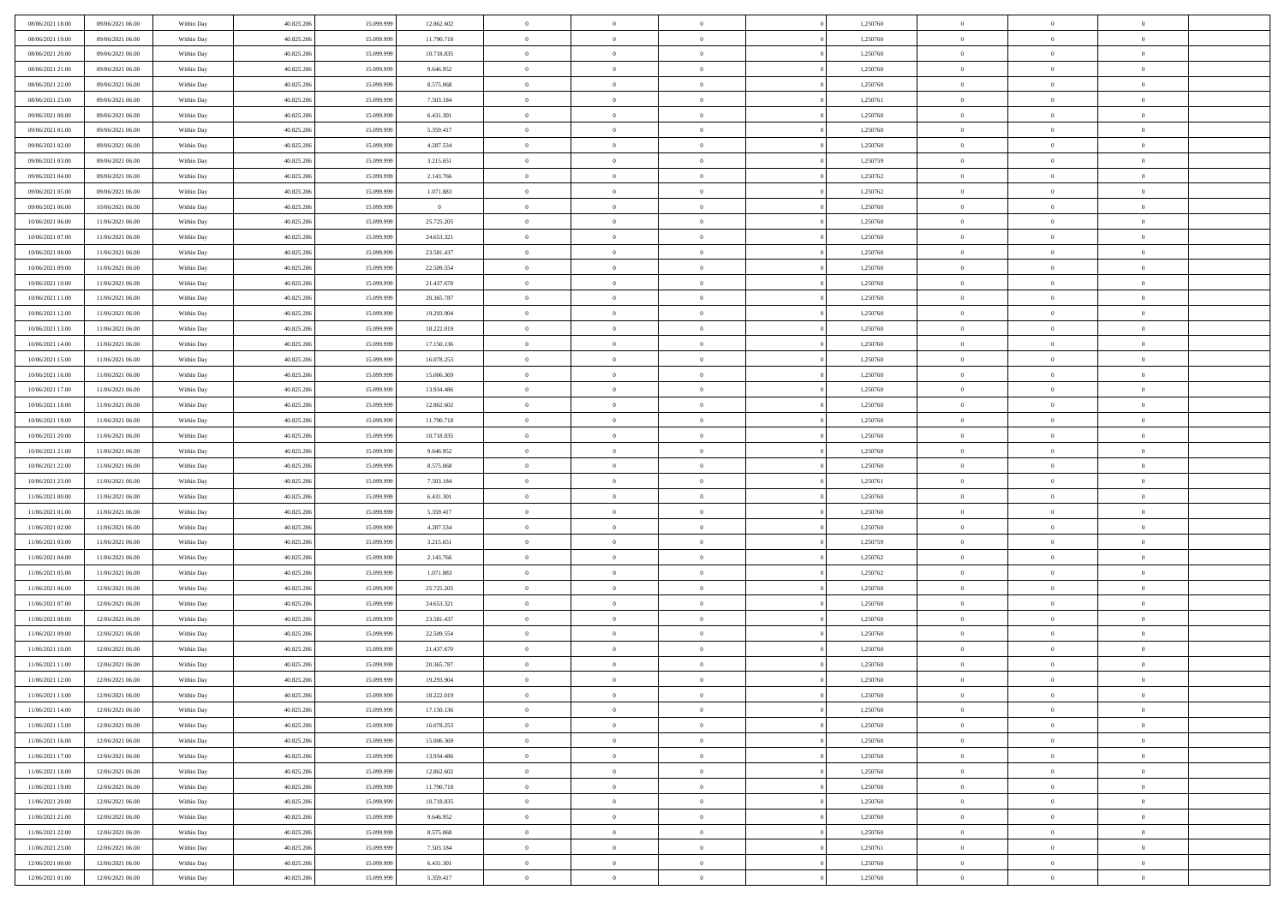| 08/06/2021 18:00 | 09/06/2021 06:00 | Within Day | 40.825.206 | 15.099.999 | 12.862.602             | $\,$ 0 $\,$    | $\overline{0}$ | $\overline{0}$ |          | 1,250760 | $\bf{0}$       | $\overline{0}$ | $\,0\,$        |  |
|------------------|------------------|------------|------------|------------|------------------------|----------------|----------------|----------------|----------|----------|----------------|----------------|----------------|--|
| 08/06/2021 19:00 | 09/06/2021 06:00 | Within Day | 40.825.206 | 15.099.99  | 11.790.718             | $\overline{0}$ | $\overline{0}$ | $\mathbf{0}$   |          | 1,250760 | $\theta$       | $\overline{0}$ | $\theta$       |  |
| 08/06/2021 20:00 | 09/06/2021 06:00 | Within Dav | 40.825.206 | 15.099.999 | 10.718.835             | $\theta$       | $\overline{0}$ | $\overline{0}$ |          | 1,250760 | $\mathbf{0}$   | $\overline{0}$ | $\overline{0}$ |  |
| 08/06/2021 21:00 | 09/06/2021 06:00 | Within Day | 40.825.206 | 15.099.999 | 9.646.952              | $\,$ 0 $\,$    | $\overline{0}$ | $\overline{0}$ |          | 1,250760 | $\bf{0}$       | $\overline{0}$ | $\bf{0}$       |  |
| 08/06/2021 22:00 | 09/06/2021 06:00 | Within Day | 40.825.206 | 15.099.999 | 8.575.068              | $\bf{0}$       | $\overline{0}$ | $\mathbf{0}$   |          | 1,250760 | $\bf{0}$       | $\theta$       | $\,0\,$        |  |
| 08/06/2021 23:00 | 09/06/2021 06:00 | Within Dav | 40.825.206 | 15.099.999 | 7.503.184              | $\theta$       | $\overline{0}$ | $\mathbf{0}$   |          | 1,250761 | $\mathbf{0}$   | $\overline{0}$ | $\overline{0}$ |  |
| 09/06/2021 00:00 | 09/06/2021 06:00 | Within Day | 40.825.206 | 15.099.999 | 6.431.301              | $\,$ 0 $\,$    | $\overline{0}$ | $\overline{0}$ |          | 1,250760 | $\bf{0}$       | $\overline{0}$ | $\,0\,$        |  |
| 09/06/2021 01:00 | 09/06/2021 06:00 | Within Day | 40.825.206 | 15.099.999 | 5.359.417              | $\,$ 0         | $\overline{0}$ | $\mathbf{0}$   |          | 1,250760 | $\,$ 0 $\,$    | $\overline{0}$ | $\theta$       |  |
| 09/06/2021 02:00 | 09/06/2021 06:00 | Within Day | 40.825.206 | 15.099.999 | 4.287.534              | $\theta$       | $\overline{0}$ | $\mathbf{0}$   |          | 1,250760 | $\mathbf{0}$   | $\bf{0}$       | $\overline{0}$ |  |
| 09/06/2021 03:00 | 09/06/2021 06:00 | Within Day | 40.825.206 | 15.099.999 | 3.215.651              | $\,$ 0 $\,$    | $\overline{0}$ | $\Omega$       |          | 1,250759 | $\bf{0}$       | $\overline{0}$ | $\,0\,$        |  |
| 09/06/2021 04:00 | 09/06/2021 06:00 | Within Day | 40.825.206 | 15.099.999 |                        | $\bf{0}$       | $\overline{0}$ | $\mathbf{0}$   |          | 1,250762 | $\bf{0}$       | $\mathbf{0}$   | $\theta$       |  |
| 09/06/2021 05:00 | 09/06/2021 06:00 | Within Dav | 40.825.206 | 15.099.999 | 2.143.766<br>1.071.883 | $\theta$       | $\overline{0}$ | $\overline{0}$ |          | 1,250762 | $\mathbf{0}$   | $\overline{0}$ | $\overline{0}$ |  |
|                  |                  |            |            |            |                        | $\,$ 0 $\,$    |                |                |          |          | $\bf{0}$       |                | $\bf{0}$       |  |
| 09/06/2021 06:00 | 10/06/2021 06:00 | Within Day | 40.825.206 | 15.099.999 | $\overline{0}$         |                | $\overline{0}$ | $\overline{0}$ |          | 1,250760 |                | $\overline{0}$ |                |  |
| 10/06/2021 06:00 | 11/06/2021 06:00 | Within Day | 40.825.206 | 15.099.999 | 25.725.205             | $\bf{0}$       | $\overline{0}$ | $\mathbf{0}$   |          | 1,250760 | $\bf{0}$       | $\theta$       | $\,0\,$        |  |
| 10/06/2021 07:00 | 11/06/2021 06:00 | Within Dav | 40.825.206 | 15.099.999 | 24.653.321             | $\theta$       | $\overline{0}$ | $\mathbf{0}$   |          | 1,250760 | $\mathbf{0}$   | $\overline{0}$ | $\overline{0}$ |  |
| 10/06/2021 08:00 | 11/06/2021 06:00 | Within Day | 40.825.206 | 15.099.999 | 23.581.437             | $\,$ 0 $\,$    | $\overline{0}$ | $\Omega$       |          | 1,250760 | $\bf{0}$       | $\overline{0}$ | $\bf{0}$       |  |
| 10/06/2021 09:00 | 11/06/2021 06:00 | Within Day | 40.825.206 | 15.099.999 | 22.509.554             | $\,$ 0         | $\overline{0}$ | $\mathbf{0}$   |          | 1,250760 | $\bf{0}$       | $\overline{0}$ | $\theta$       |  |
| 10/06/2021 10:00 | 11/06/2021 06:00 | Within Day | 40.825.206 | 15.099.999 | 21.437.670             | $\theta$       | $\overline{0}$ | $\mathbf{0}$   |          | 1,250760 | $\mathbf{0}$   | $\overline{0}$ | $\overline{0}$ |  |
| 10/06/2021 11:00 | 11/06/2021 06:00 | Within Day | 40.825.206 | 15.099.999 | 20.365.787             | $\,$ 0 $\,$    | $\overline{0}$ | $\Omega$       |          | 1,250760 | $\bf{0}$       | $\overline{0}$ | $\,0\,$        |  |
| 10/06/2021 12:00 | 11/06/2021 06:00 | Within Day | 40.825.206 | 15.099.999 | 19.293.904             | $\bf{0}$       | $\overline{0}$ | $\mathbf{0}$   |          | 1,250760 | $\bf{0}$       | $\mathbf{0}$   | $\theta$       |  |
| 10/06/2021 13:00 | 11/06/2021 06:00 | Within Dav | 40.825.206 | 15.099.999 | 18.222.019             | $\theta$       | $\overline{0}$ | $\mathbf{0}$   |          | 1,250760 | $\mathbf{0}$   | $\overline{0}$ | $\overline{0}$ |  |
| 10/06/2021 14:00 | 11/06/2021 06:00 | Within Day | 40.825.206 | 15.099.999 | 17.150.136             | $\,$ 0 $\,$    | $\overline{0}$ | $\overline{0}$ |          | 1,250760 | $\bf{0}$       | $\overline{0}$ | $\bf{0}$       |  |
| 10/06/2021 15:00 | 11/06/2021 06:00 | Within Day | 40.825.206 | 15.099.999 | 16.078.253             | $\bf{0}$       | $\overline{0}$ | $\mathbf{0}$   |          | 1,250760 | $\bf{0}$       | $\bf{0}$       | $\,0\,$        |  |
| 10/06/2021 16:00 | 11/06/2021 06:00 | Within Dav | 40.825.206 | 15.099.999 | 15.006.369             | $\theta$       | $\overline{0}$ | $\mathbf{0}$   |          | 1,250760 | $\mathbf{0}$   | $\overline{0}$ | $\overline{0}$ |  |
| 10/06/2021 17:00 | 11/06/2021 06:00 | Within Day | 40.825.206 | 15.099.999 | 13.934.486             | $\,$ 0 $\,$    | $\overline{0}$ | $\overline{0}$ |          | 1,250760 | $\bf{0}$       | $\overline{0}$ | $\,0\,$        |  |
| 10/06/2021 18:00 | 11/06/2021 06:00 | Within Day | 40.825.206 | 15.099.999 | 12.862.602             | $\,$ 0         | $\overline{0}$ | $\mathbf{0}$   |          | 1,250760 | $\bf{0}$       | $\overline{0}$ | $\theta$       |  |
| 10/06/2021 19:00 | 11/06/2021 06:00 | Within Day | 40.825.206 | 15.099.999 | 11.790.718             | $\theta$       | $\overline{0}$ | $\overline{0}$ |          | 1,250760 | $\mathbf{0}$   | $\bf{0}$       | $\overline{0}$ |  |
| 10/06/2021 20:00 | 11/06/2021 06:00 | Within Day | 40.825.206 | 15.099.999 | 10.718.835             | $\,$ 0 $\,$    | $\overline{0}$ | $\Omega$       |          | 1,250760 | $\bf{0}$       | $\overline{0}$ | $\,0\,$        |  |
| 10/06/2021 21:00 | 11/06/2021 06:00 | Within Day | 40.825.206 | 15,099,999 | 9.646.952              | $\bf{0}$       | $\overline{0}$ | $\mathbf{0}$   |          | 1,250760 | $\bf{0}$       | $\mathbf{0}$   | $\overline{0}$ |  |
| 10/06/2021 22:00 | 11/06/2021 06:00 | Within Dav | 40.825.206 | 15.099.999 | 8.575.068              | $\theta$       | $\overline{0}$ | $\overline{0}$ |          | 1,250760 | $\mathbf{0}$   | $\overline{0}$ | $\overline{0}$ |  |
| 10/06/2021 23:00 | 11/06/2021 06:00 | Within Day | 40.825.206 | 15.099.999 | 7.503.184              | $\,$ 0 $\,$    | $\overline{0}$ | $\overline{0}$ |          | 1,250761 | $\,$ 0         | $\overline{0}$ | $\,$ 0 $\,$    |  |
| 11/06/2021 00:00 | 11/06/2021 06:00 | Within Day | 40.825.206 | 15.099.999 | 6.431.301              | $\,$ 0         | $\overline{0}$ | $\mathbf{0}$   |          | 1,250760 | $\bf{0}$       | $\mathbf{0}$   | $\bf{0}$       |  |
| 11/06/2021 01:00 | 11/06/2021 06:00 | Within Dav | 40.825.206 | 15.099.999 | 5.359.417              | $\theta$       | $\overline{0}$ | $\mathbf{0}$   |          | 1,250760 | $\mathbf{0}$   | $\overline{0}$ | $\overline{0}$ |  |
| 11/06/2021 02:00 | 11/06/2021 06:00 | Within Day | 40.825.206 | 15.099.999 | 4.287.534              | $\theta$       | $\overline{0}$ | $\overline{0}$ |          | 1,250760 | $\,$ 0         | $\overline{0}$ | $\theta$       |  |
| 11/06/2021 03:00 | 11/06/2021 06:00 | Within Day | 40.825.206 | 15.099.999 | 3.215.651              | $\bf{0}$       | $\overline{0}$ | $\mathbf{0}$   |          | 1,250759 | $\mathbf{0}$   | $\overline{0}$ | $\overline{0}$ |  |
| 11/06/2021 04:00 | 11/06/2021 06:00 | Within Day | 40.825.206 | 15.099.999 | 2.143.766              | $\theta$       | $\overline{0}$ | $\mathbf{0}$   |          | 1,250762 | $\mathbf{0}$   | $\overline{0}$ | $\overline{0}$ |  |
| 11/06/2021 05:00 | 11/06/2021 06:00 | Within Day | 40.825.206 | 15.099.999 | 1.071.883              | $\theta$       | $\overline{0}$ | $\overline{0}$ |          | 1,250762 | $\,$ 0         | $\overline{0}$ | $\theta$       |  |
| 11/06/2021 06:00 | 12/06/2021 06:00 | Within Day | 40.825.206 | 15.099.999 | 25.725.205             | $\bf{0}$       | $\overline{0}$ | $\mathbf{0}$   |          | 1,250760 | $\bf{0}$       | $\mathbf{0}$   | $\bf{0}$       |  |
| 11/06/2021 07:00 | 12/06/2021 06:00 | Within Dav | 40.825.206 | 15.099.999 | 24.653.321             | $\theta$       | $\overline{0}$ | $\mathbf{0}$   |          | 1,250760 | $\mathbf{0}$   | $\overline{0}$ | $\overline{0}$ |  |
| 11/06/2021 08:00 | 12/06/2021 06:00 | Within Day | 40.825.206 | 15.099.999 | 23.581.437             | $\,$ 0 $\,$    | $\overline{0}$ | $\overline{0}$ |          | 1,250760 | $\,$ 0         | $\overline{0}$ | $\,$ 0 $\,$    |  |
| 11/06/2021 09:00 | 12/06/2021 06:00 | Within Day | 40.825.206 | 15.099.999 | 22.509.554             | $\,$ 0         | $\,$ 0 $\,$    | $\overline{0}$ |          | 1,250760 | $\,$ 0 $\,$    | $\overline{0}$ | $\bf{0}$       |  |
| 11/06/2021 10:00 | 12/06/2021 06:00 | Within Dav | 40.825.206 | 15.099.999 | 21.437.670             | $\theta$       | $\overline{0}$ | $\mathbf{0}$   |          | 1,250760 | $\mathbf{0}$   | $\overline{0}$ | $\theta$       |  |
| 11/06/2021 11:00 | 12/06/2021 06:00 | Within Day | 40.825.206 | 15.099.999 | 20.365.787             | $\overline{0}$ | $\overline{0}$ | $\overline{0}$ |          | 1,250760 | $\,$ 0         | $\overline{0}$ | $\theta$       |  |
| 11/06/2021 12:00 | 12/06/2021 06:00 | Within Day | 40.825.206 | 15.099.999 | 19.293.904             | $\bf{0}$       | $\overline{0}$ | $\mathbf{0}$   |          | 1,250760 | $\bf{0}$       | $\overline{0}$ | $\bf{0}$       |  |
| 11/06/2021 13:00 | 12/06/2021 06:00 | Within Day | 40.825.206 | 15.099.999 | 18.222.019             | $\overline{0}$ | $\theta$       |                |          | 1,250760 | $\overline{0}$ | $\Omega$       | $\theta$       |  |
| 11/06/2021 14:00 | 12/06/2021 06:00 | Within Day | 40.825.206 | 15.099.999 | 17.150.136             | $\,$ 0 $\,$    | $\overline{0}$ | $\overline{0}$ |          | 1,250760 | $\,$ 0 $\,$    | $\bf{0}$       | $\theta$       |  |
| 11/06/2021 15:00 | 12/06/2021 06:00 | Within Day | 40.825.206 | 15.099.999 | 16.078.253             | $\bf{0}$       | $\,$ 0 $\,$    | $\overline{0}$ |          | 1,250760 | $\,$ 0 $\,$    | $\overline{0}$ | $\overline{0}$ |  |
| 11/06/2021 16:00 | 12/06/2021 06:00 | Within Day | 40.825.206 | 15.099.999 | 15.006.369             | $\,$ 0 $\,$    | $\overline{0}$ | $\overline{0}$ |          | 1,250760 | $\,$ 0 $\,$    | $\bf{0}$       | $\overline{0}$ |  |
| 11/06/2021 17:00 | 12/06/2021 06:00 | Within Day | 40.825.206 | 15.099.999 | 13.934.486             | $\,$ 0 $\,$    | $\overline{0}$ | $\overline{0}$ | $\theta$ | 1,250760 | $\,$ 0 $\,$    | $\bf{0}$       | $\,$ 0 $\,$    |  |
| 11/06/2021 18:00 | 12/06/2021 06:00 | Within Day | 40.825.206 | 15.099.999 | 12.862.602             | $\,$ 0 $\,$    | $\,$ 0 $\,$    | $\overline{0}$ |          | 1,250760 | $\,$ 0 $\,$    | $\overline{0}$ | $\overline{0}$ |  |
| 11/06/2021 19:00 | 12/06/2021 06:00 | Within Day | 40.825.206 | 15.099.999 | 11.790.718             | $\overline{0}$ | $\overline{0}$ | $\overline{0}$ |          | 1,250760 | $\mathbf{0}$   | $\bf{0}$       | $\overline{0}$ |  |
| 11/06/2021 20:00 | 12/06/2021 06:00 | Within Day | 40.825.206 | 15.099.999 | 10.718.835             | $\,$ 0 $\,$    | $\overline{0}$ | $\overline{0}$ |          | 1,250760 | $\,$ 0 $\,$    | $\bf{0}$       | $\,$ 0 $\,$    |  |
| 11/06/2021 21:00 | 12/06/2021 06:00 | Within Day | 40.825.206 | 15.099.999 | 9.646.952              | $\overline{0}$ | $\,$ 0 $\,$    | $\overline{0}$ |          | 1,250760 | $\,$ 0 $\,$    | $\overline{0}$ | $\overline{0}$ |  |
| 11/06/2021 22:00 | 12/06/2021 06:00 | Within Day | 40.825.206 | 15.099.999 | 8.575.068              | $\,$ 0 $\,$    | $\overline{0}$ | $\overline{0}$ |          | 1,250760 | $\,$ 0 $\,$    | $\bf{0}$       | $\overline{0}$ |  |
|                  |                  |            |            |            |                        |                |                |                |          |          |                |                |                |  |
| 11/06/2021 23:00 | 12/06/2021 06:00 | Within Day | 40.825.206 | 15.099.999 | 7.503.184              | $\,$ 0 $\,$    | $\overline{0}$ | $\overline{0}$ |          | 1,250761 | $\,$ 0 $\,$    | $\mathbf{0}$   | $\,$ 0 $\,$    |  |
| 12/06/2021 00:00 | 12/06/2021 06:00 | Within Day | 40.825.206 | 15.099.999 | 6.431.301              | $\,$ 0 $\,$    | $\,$ 0 $\,$    | $\overline{0}$ |          | 1,250760 | $\,$ 0 $\,$    | $\overline{0}$ | $\overline{0}$ |  |
| 12/06/2021 01:00 | 12/06/2021 06:00 | Within Day | 40.825.206 | 15.099.999 | 5.359.417              | $\theta$       | $\overline{0}$ | $\overline{0}$ |          | 1,250760 | $\mathbf{0}$   | $\mathbf{0}$   | $\overline{0}$ |  |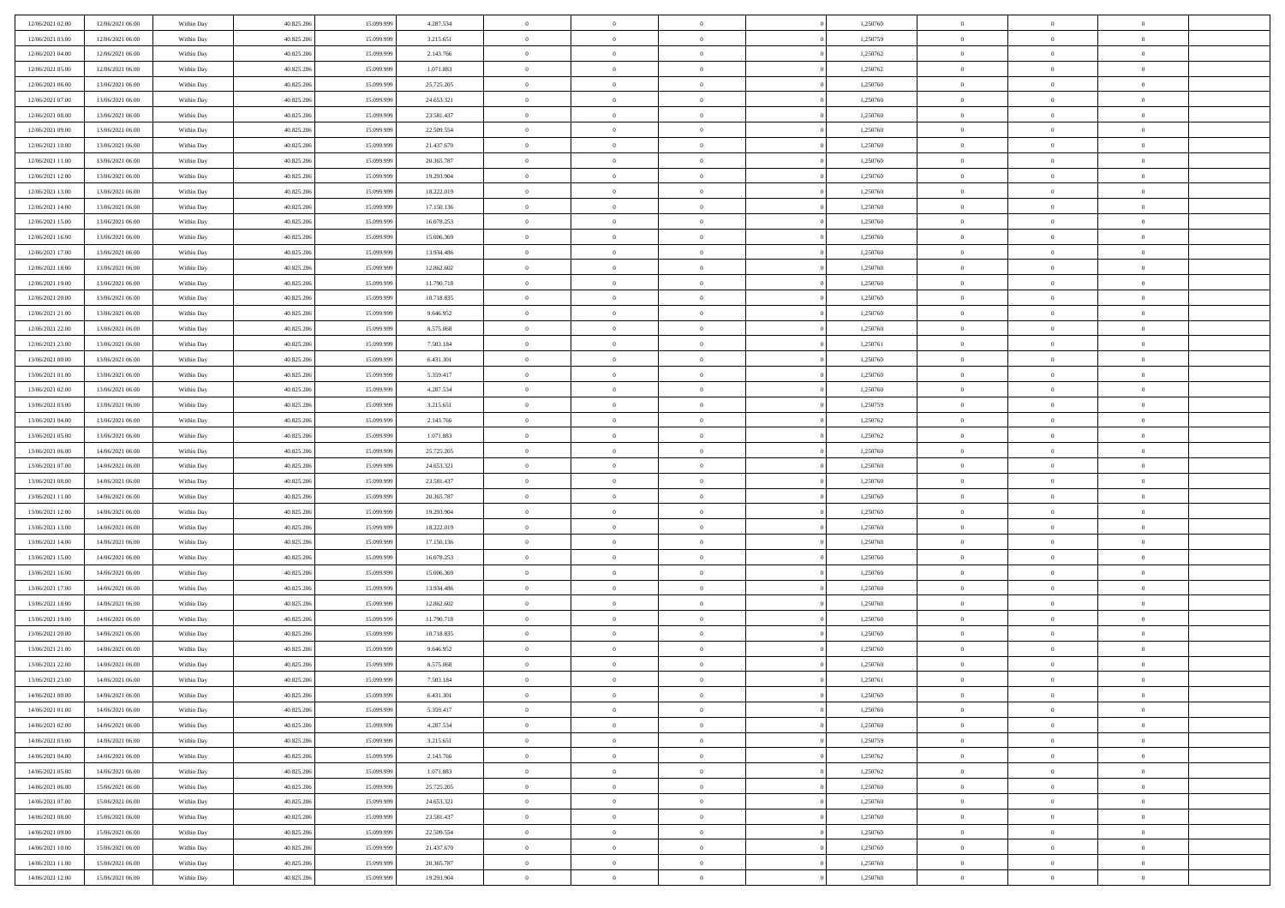| 12/06/2021 02:00 | 12/06/2021 06:00 | Within Day               | 40.825.206 | 15.099.999               | 4.287.534  | $\,$ 0 $\,$    | $\overline{0}$ | $\overline{0}$ |          | 1,250760 | $\bf{0}$       | $\overline{0}$ | $\,0\,$        |  |
|------------------|------------------|--------------------------|------------|--------------------------|------------|----------------|----------------|----------------|----------|----------|----------------|----------------|----------------|--|
| 12/06/2021 03:00 | 12/06/2021 06:00 | Within Day               | 40.825.206 | 15.099.99                | 3.215.651  | $\theta$       | $\overline{0}$ | $\mathbf{0}$   |          | 1,250759 | $\theta$       | $\overline{0}$ | $\theta$       |  |
| 12/06/2021 04:00 | 12/06/2021 06:00 | Within Dav               | 40.825.206 | 15.099.999               | 2.143.766  | $\theta$       | $\overline{0}$ | $\overline{0}$ |          | 1,250762 | $\mathbf{0}$   | $\overline{0}$ | $\overline{0}$ |  |
| 12/06/2021 05:00 | 12/06/2021 06:00 | Within Day               | 40.825.206 | 15.099.999               | 1.071.883  | $\,$ 0 $\,$    | $\overline{0}$ | $\overline{0}$ |          | 1,250762 | $\bf{0}$       | $\overline{0}$ | $\bf{0}$       |  |
| 12/06/2021 06:00 | 13/06/2021 06:00 | Within Day               | 40.825.206 | 15.099.999               | 25.725.205 | $\bf{0}$       | $\overline{0}$ | $\mathbf{0}$   |          | 1,250760 | $\bf{0}$       | $\bf{0}$       | $\,0\,$        |  |
| 12/06/2021 07:00 | 13/06/2021 06:00 | Within Dav               | 40.825.206 | 15.099.999               | 24.653.321 | $\theta$       | $\overline{0}$ | $\mathbf{0}$   |          | 1,250760 | $\mathbf{0}$   | $\overline{0}$ | $\overline{0}$ |  |
| 12/06/2021 08:00 | 13/06/2021 06:00 | Within Day               | 40.825.206 | 15.099.999               | 23.581.437 | $\,$ 0 $\,$    | $\overline{0}$ | $\overline{0}$ |          | 1,250760 | $\bf{0}$       | $\overline{0}$ | $\bf{0}$       |  |
|                  |                  |                          |            |                          |            |                |                |                |          |          |                |                |                |  |
| 12/06/2021 09:00 | 13/06/2021 06:00 | Within Day               | 40.825.206 | 15.099.999               | 22.509.554 | $\overline{0}$ | $\overline{0}$ | $\mathbf{0}$   |          | 1,250760 | $\,$ 0 $\,$    | $\overline{0}$ | $\theta$       |  |
| 12/06/2021 10:00 | 13/06/2021 06:00 | Within Day               | 40.825.206 | 15.099.999               | 21.437.670 | $\theta$       | $\overline{0}$ | $\mathbf{0}$   |          | 1,250760 | $\mathbf{0}$   | $\overline{0}$ | $\overline{0}$ |  |
| 12/06/2021 11:00 | 13/06/2021 06:00 | Within Day               | 40.825.206 | 15.099.999               | 20.365.787 | $\,$ 0 $\,$    | $\overline{0}$ | $\Omega$       |          | 1,250760 | $\bf{0}$       | $\overline{0}$ | $\,0\,$        |  |
| 12/06/2021 12:00 | 13/06/2021 06:00 | Within Day               | 40.825.206 | 15.099.999               | 19.293.904 | $\bf{0}$       | $\overline{0}$ | $\mathbf{0}$   |          | 1,250760 | $\bf{0}$       | $\mathbf{0}$   | $\theta$       |  |
| 12/06/2021 13:00 | 13/06/2021 06:00 | Within Dav               | 40.825.206 | 15.099.999               | 18.222.019 | $\theta$       | $\overline{0}$ | $\overline{0}$ |          | 1,250760 | $\mathbf{0}$   | $\overline{0}$ | $\overline{0}$ |  |
| 12/06/2021 14:00 | 13/06/2021 06:00 | Within Day               | 40.825.206 | 15.099.999               | 17.150.136 | $\,$ 0 $\,$    | $\overline{0}$ | $\overline{0}$ |          | 1,250760 | $\bf{0}$       | $\overline{0}$ | $\bf{0}$       |  |
| 12/06/2021 15:00 | 13/06/2021 06:00 | Within Day               | 40.825.206 | 15.099.999               | 16.078.253 | $\bf{0}$       | $\overline{0}$ | $\mathbf{0}$   |          | 1,250760 | $\bf{0}$       | $\theta$       | $\,0\,$        |  |
| 12/06/2021 16:00 | 13/06/2021 06:00 | Within Day               | 40.825.206 | 15.099.999               | 15.006.369 | $\theta$       | $\overline{0}$ | $\mathbf{0}$   |          | 1,250760 | $\mathbf{0}$   | $\overline{0}$ | $\overline{0}$ |  |
| 12/06/2021 17:00 | 13/06/2021 06:00 | Within Day               | 40.825.206 | 15.099.999               | 13.934.486 | $\,$ 0 $\,$    | $\overline{0}$ | $\Omega$       |          | 1,250760 | $\bf{0}$       | $\overline{0}$ | $\bf{0}$       |  |
| 12/06/2021 18:00 | 13/06/2021 06:00 | Within Day               | 40.825.206 | 15.099.999               | 12.862.602 | $\,$ 0         | $\overline{0}$ | $\mathbf{0}$   |          | 1,250760 | $\bf{0}$       | $\overline{0}$ | $\theta$       |  |
| 12/06/2021 19:00 | 13/06/2021 06:00 | Within Day               | 40.825.206 | 15.099.999               | 11.790.718 | $\theta$       | $\overline{0}$ | $\mathbf{0}$   |          | 1,250760 | $\mathbf{0}$   | $\overline{0}$ | $\overline{0}$ |  |
| 12/06/2021 20:00 | 13/06/2021 06:00 | Within Day               | 40.825.206 | 15.099.999               | 10.718.835 | $\,$ 0 $\,$    | $\overline{0}$ | $\overline{0}$ |          | 1,250760 | $\bf{0}$       | $\overline{0}$ | $\,0\,$        |  |
| 12/06/2021 21:00 | 13/06/2021 06:00 | Within Day               | 40.825.206 | 15.099.999               | 9.646.952  | $\bf{0}$       | $\overline{0}$ | $\mathbf{0}$   |          | 1,250760 | $\bf{0}$       | $\mathbf{0}$   | $\theta$       |  |
| 12/06/2021 22:00 | 13/06/2021 06:00 | Within Day               | 40.825.206 | 15.099.999               | 8.575.068  | $\theta$       | $\overline{0}$ | $\mathbf{0}$   |          | 1,250760 | $\mathbf{0}$   | $\overline{0}$ | $\overline{0}$ |  |
| 12/06/2021 23:00 | 13/06/2021 06:00 | Within Day               | 40.825.206 | 15.099.999               | 7.503.184  | $\,$ 0 $\,$    | $\overline{0}$ | $\overline{0}$ |          | 1,250761 | $\bf{0}$       | $\overline{0}$ | $\bf{0}$       |  |
| 13/06/2021 00:00 | 13/06/2021 06:00 | Within Day               | 40.825.206 | 15.099.999               | 6.431.301  | $\,$ 0         | $\overline{0}$ | $\mathbf{0}$   |          | 1,250760 | $\bf{0}$       | $\bf{0}$       | $\,0\,$        |  |
| 13/06/2021 01:00 | 13/06/2021 06:00 | Within Day               | 40.825.206 | 15.099.999               | 5.359.417  | $\theta$       | $\overline{0}$ | $\mathbf{0}$   |          | 1,250760 | $\mathbf{0}$   | $\overline{0}$ | $\overline{0}$ |  |
| 13/06/2021 02:00 | 13/06/2021 06:00 | Within Day               | 40.825.206 | 15.099.999               | 4.287.534  | $\,$ 0 $\,$    | $\overline{0}$ | $\overline{0}$ |          | 1,250760 | $\bf{0}$       | $\overline{0}$ | $\bf{0}$       |  |
| 13/06/2021 03:00 | 13/06/2021 06:00 | Within Day               | 40.825.206 | 15.099.999               | 3.215.651  | $\,$ 0         | $\overline{0}$ | $\mathbf{0}$   |          | 1,250759 | $\mathbf{0}$   | $\overline{0}$ | $\theta$       |  |
| 13/06/2021 04:00 | 13/06/2021 06:00 | Within Day               | 40.825.206 | 15.099.999               | 2.143.766  | $\theta$       | $\overline{0}$ | $\overline{0}$ |          | 1,250762 | $\mathbf{0}$   | $\overline{0}$ | $\overline{0}$ |  |
| 13/06/2021 05:00 | 13/06/2021 06:00 | Within Day               | 40.825.206 | 15.099.999               | 1.071.883  | $\,$ 0 $\,$    | $\overline{0}$ | $\overline{0}$ |          | 1,250762 | $\bf{0}$       | $\overline{0}$ | $\bf{0}$       |  |
| 13/06/2021 06:00 | 14/06/2021 06:00 | Within Day               | 40.825.206 | 15.099.999               | 25.725.205 | $\bf{0}$       | $\overline{0}$ | $\mathbf{0}$   |          | 1,250760 | $\bf{0}$       | $\mathbf{0}$   | $\overline{0}$ |  |
| 13/06/2021 07:00 | 14/06/2021 06:00 | Within Day               | 40.825.206 | 15.099.999               | 24.653.321 | $\theta$       | $\overline{0}$ | $\overline{0}$ |          | 1,250760 | $\mathbf{0}$   | $\overline{0}$ | $\overline{0}$ |  |
| 13/06/2021 08:00 | 14/06/2021 06:00 | Within Day               | 40.825.206 | 15.099.999               | 23.581.437 | $\theta$       | $\overline{0}$ | $\overline{0}$ |          | 1,250760 | $\,$ 0         | $\overline{0}$ | $\,$ 0 $\,$    |  |
| 13/06/2021 11:00 | 14/06/2021 06:00 | Within Day               | 40.825.206 | 15.099.999               | 20.365.787 | $\bf{0}$       | $\overline{0}$ | $\mathbf{0}$   |          | 1,250760 | $\bf{0}$       | $\mathbf{0}$   | $\bf{0}$       |  |
| 13/06/2021 12:00 | 14/06/2021 06:00 | Within Day               | 40.825.206 | 15.099.999               | 19.293.904 | $\theta$       | $\overline{0}$ | $\mathbf{0}$   |          | 1,250760 | $\mathbf{0}$   | $\overline{0}$ | $\overline{0}$ |  |
| 13/06/2021 13:00 | 14/06/2021 06:00 | Within Day               | 40.825.206 | 15.099.999               | 18.222.019 | $\theta$       | $\overline{0}$ | $\overline{0}$ |          | 1,250760 | $\,$ 0         | $\overline{0}$ | $\theta$       |  |
| 13/06/2021 14:00 | 14/06/2021 06:00 |                          | 40.825.206 | 15.099.999               | 17.150.136 | $\bf{0}$       | $\overline{0}$ | $\mathbf{0}$   |          | 1,250760 | $\mathbf{0}$   | $\overline{0}$ | $\overline{0}$ |  |
| 13/06/2021 15:00 | 14/06/2021 06:00 | Within Day<br>Within Day | 40.825.206 | 15.099.999               | 16.078.253 | $\theta$       | $\overline{0}$ | $\mathbf{0}$   |          | 1,250760 | $\mathbf{0}$   | $\overline{0}$ | $\overline{0}$ |  |
|                  |                  |                          |            |                          |            | $\theta$       | $\overline{0}$ | $\overline{0}$ |          |          | $\,$ 0         | $\overline{0}$ | $\theta$       |  |
| 13/06/2021 16:00 | 14/06/2021 06:00 | Within Day               | 40.825.206 | 15.099.999<br>15.099.999 | 15.006.369 |                |                |                |          | 1,250760 |                | $\mathbf{0}$   |                |  |
| 13/06/2021 17:00 | 14/06/2021 06:00 | Within Day               | 40.825.206 |                          | 13.934.486 | $\bf{0}$       | $\overline{0}$ | $\mathbf{0}$   |          | 1,250760 | $\bf{0}$       |                | $\bf{0}$       |  |
| 13/06/2021 18:00 | 14/06/2021 06:00 | Within Day               | 40.825.206 | 15.099.999               | 12.862.602 | $\theta$       | $\overline{0}$ | $\overline{0}$ |          | 1,250760 | $\mathbf{0}$   | $\overline{0}$ | $\overline{0}$ |  |
| 13/06/2021 19:00 | 14/06/2021 06:00 | Within Day               | 40.825.206 | 15.099.999               | 11.790.718 | $\,$ 0 $\,$    | $\overline{0}$ | $\overline{0}$ |          | 1,250760 | $\,$ 0         | $\overline{0}$ | $\,$ 0 $\,$    |  |
| 13/06/2021 20:00 | 14/06/2021 06:00 | Within Day               | 40.825.206 | 15.099.999               | 10.718.835 | $\,$ 0         | $\,$ 0 $\,$    | $\overline{0}$ |          | 1,250760 | $\,$ 0 $\,$    | $\overline{0}$ | $\bf{0}$       |  |
| 13/06/2021 21:00 | 14/06/2021 06:00 | Within Day               | 40.825.206 | 15.099.999               | 9.646.952  | $\theta$       | $\overline{0}$ | $\mathbf{0}$   |          | 1,250760 | $\mathbf{0}$   | $\overline{0}$ | $\theta$       |  |
| 13/06/2021 22:00 | 14/06/2021 06:00 | Within Day               | 40.825.206 | 15.099.999               | 8.575.068  | $\overline{0}$ | $\overline{0}$ | $\overline{0}$ |          | 1,250760 | $\,$ 0         | $\overline{0}$ | $\theta$       |  |
| 13/06/2021 23:00 | 14/06/2021 06:00 | Within Day               | 40.825.206 | 15.099.999               | 7.503.184  | $\bf{0}$       | $\,$ 0 $\,$    | $\mathbf{0}$   |          | 1,250761 | $\,$ 0 $\,$    | $\overline{0}$ | $\bf{0}$       |  |
| 14/06/2021 00:00 | 14/06/2021 06:00 | Within Day               | 40.825.206 | 15.099.999               | 6.431.301  | $\overline{0}$ | $\theta$       |                |          | 1,250760 | $\overline{0}$ | $\theta$       | $\theta$       |  |
| 14/06/2021 01:00 | 14/06/2021 06:00 | Within Day               | 40.825.206 | 15.099.999               | 5.359.417  | $\,$ 0 $\,$    | $\overline{0}$ | $\overline{0}$ |          | 1,250760 | $\,$ 0 $\,$    | $\bf{0}$       | $\theta$       |  |
| 14/06/2021 02:00 | 14/06/2021 06:00 | Within Day               | 40.825.206 | 15.099.999               | 4.287.534  | $\overline{0}$ | $\,$ 0 $\,$    | $\overline{0}$ |          | 1,250760 | $\,$ 0 $\,$    | $\overline{0}$ | $\overline{0}$ |  |
| 14/06/2021 03:00 | 14/06/2021 06:00 | Within Day               | 40.825.206 | 15.099.999               | 3.215.651  | $\mathbf{0}$   | $\overline{0}$ | $\overline{0}$ |          | 1,250759 | $\,$ 0 $\,$    | $\bf{0}$       | $\mathbf{0}$   |  |
| 14/06/2021 04:00 | 14/06/2021 06:00 | Within Day               | 40.825.206 | 15.099.999               | 2.143.766  | $\,$ 0 $\,$    | $\overline{0}$ | $\overline{0}$ | $\theta$ | 1,250762 | $\,$ 0 $\,$    | $\bf{0}$       | $\,$ 0 $\,$    |  |
| 14/06/2021 05:00 | 14/06/2021 06:00 | Within Day               | 40.825.206 | 15.099.999               | 1.071.883  | $\,$ 0 $\,$    | $\,$ 0 $\,$    | $\overline{0}$ |          | 1,250762 | $\,$ 0 $\,$    | $\overline{0}$ | $\overline{0}$ |  |
| 14/06/2021 06:00 | 15/06/2021 06:00 | Within Day               | 40.825.206 | 15.099.999               | 25.725.205 | $\mathbf{0}$   | $\overline{0}$ | $\overline{0}$ |          | 1,250760 | $\mathbf{0}$   | $\bf{0}$       | $\overline{0}$ |  |
| 14/06/2021 07:00 | 15/06/2021 06:00 | Within Day               | 40.825.206 | 15.099.999               | 24.653.321 | $\,$ 0 $\,$    | $\overline{0}$ | $\overline{0}$ |          | 1,250760 | $\,$ 0 $\,$    | $\mathbf{0}$   | $\,$ 0 $\,$    |  |
| 14/06/2021 08:00 | 15/06/2021 06:00 | Within Day               | 40.825.206 | 15.099.999               | 23.581.437 | $\bf{0}$       | $\overline{0}$ | $\overline{0}$ |          | 1,250760 | $\,$ 0 $\,$    | $\overline{0}$ | $\overline{0}$ |  |
| 14/06/2021 09:00 | 15/06/2021 06:00 | Within Day               | 40.825.206 | 15.099.999               | 22.509.554 | $\,$ 0 $\,$    | $\overline{0}$ | $\overline{0}$ |          | 1,250760 | $\mathbf{0}$   | $\bf{0}$       | $\overline{0}$ |  |
| 14/06/2021 10:00 | 15/06/2021 06:00 | Within Day               | 40.825.206 | 15.099.999               | 21.437.670 | $\,$ 0 $\,$    | $\overline{0}$ | $\overline{0}$ |          | 1,250760 | $\,$ 0 $\,$    | $\mathbf{0}$   | $\,$ 0 $\,$    |  |
| 14/06/2021 11:00 | 15/06/2021 06:00 | Within Day               | 40.825.206 | 15.099.999               | 20.365.787 | $\,$ 0 $\,$    | $\,$ 0 $\,$    | $\overline{0}$ |          | 1,250760 | $\,$ 0 $\,$    | $\overline{0}$ | $\overline{0}$ |  |
| 14/06/2021 12:00 | 15/06/2021 06:00 | Within Day               | 40.825.206 | 15.099.999               | 19.293.904 | $\theta$       | $\overline{0}$ | $\overline{0}$ |          | 1,250760 | $\,$ 0 $\,$    | $\mathbf{0}$   | $\overline{0}$ |  |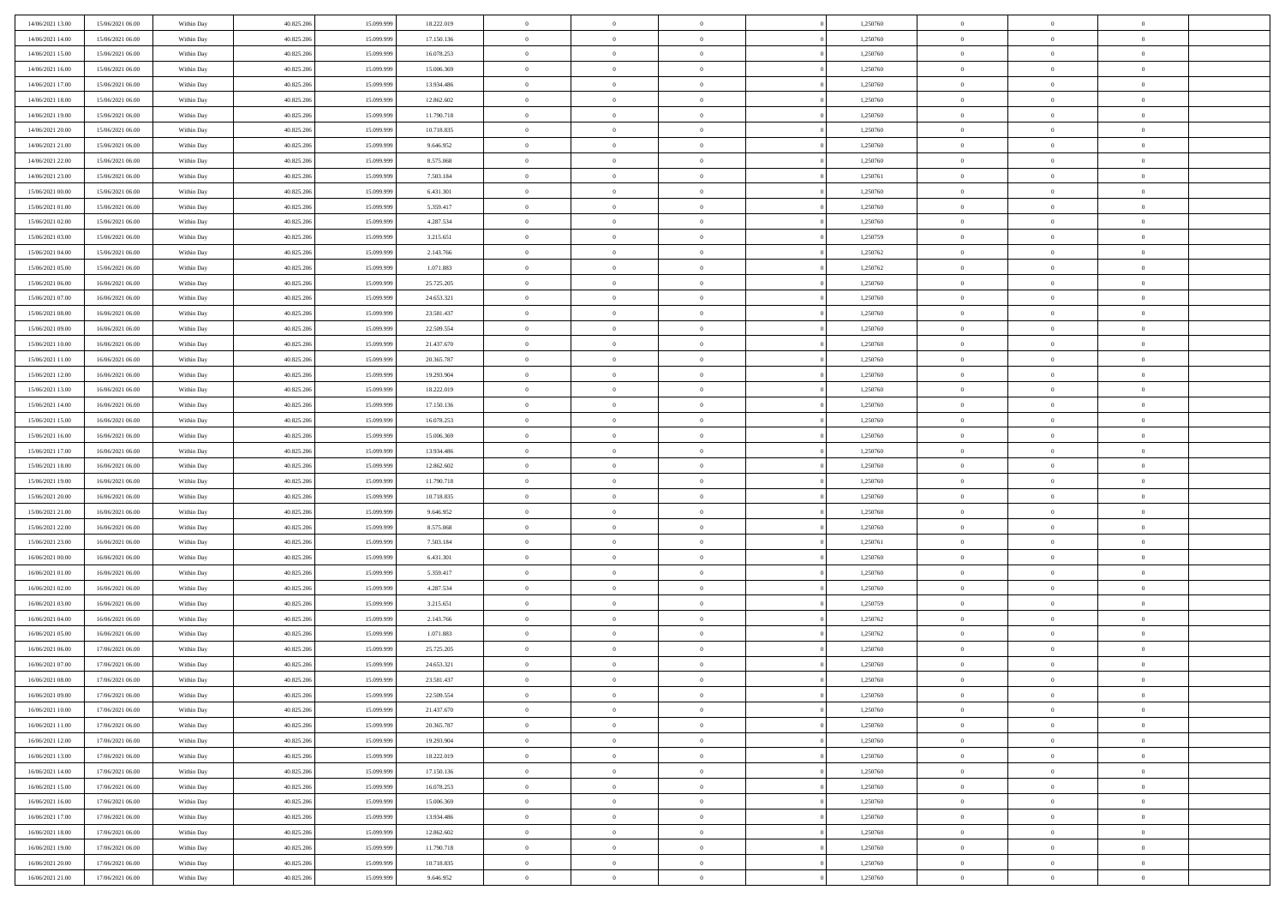| 14/06/2021 13:00 | 15/06/2021 06:00 | Within Day | 40.825.206 | 15.099.999 | 18.222.019 | $\,$ 0 $\,$    | $\overline{0}$ | $\overline{0}$ | 1,250760 | $\bf{0}$       | $\overline{0}$ | $\,0\,$        |  |
|------------------|------------------|------------|------------|------------|------------|----------------|----------------|----------------|----------|----------------|----------------|----------------|--|
| 14/06/2021 14:00 | 15/06/2021 06:00 | Within Day | 40.825.206 | 15.099.99  | 17.150.136 | $\overline{0}$ | $\overline{0}$ | $\mathbf{0}$   | 1,250760 | $\theta$       | $\overline{0}$ | $\theta$       |  |
| 14/06/2021 15:00 | 15/06/2021 06:00 | Within Day | 40.825.206 | 15.099.999 | 16.078.253 | $\theta$       | $\overline{0}$ | $\overline{0}$ | 1,250760 | $\mathbf{0}$   | $\overline{0}$ | $\overline{0}$ |  |
| 14/06/2021 16:00 | 15/06/2021 06:00 | Within Day | 40.825.206 | 15.099.999 | 15.006.369 | $\,$ 0 $\,$    | $\overline{0}$ | $\overline{0}$ | 1,250760 | $\bf{0}$       | $\overline{0}$ | $\bf{0}$       |  |
| 14/06/2021 17:00 | 15/06/2021 06:00 | Within Day | 40.825.206 | 15.099.999 | 13.934.486 | $\bf{0}$       | $\overline{0}$ | $\mathbf{0}$   | 1,250760 | $\bf{0}$       | $\theta$       | $\,0\,$        |  |
| 14/06/2021 18:00 | 15/06/2021 06:00 | Within Day | 40.825.206 | 15.099.999 | 12.862.602 | $\theta$       | $\overline{0}$ | $\mathbf{0}$   | 1,250760 | $\mathbf{0}$   | $\overline{0}$ | $\overline{0}$ |  |
| 14/06/2021 19:00 | 15/06/2021 06:00 | Within Day | 40.825.206 | 15.099.999 | 11.790.718 | $\,$ 0 $\,$    | $\overline{0}$ | $\overline{0}$ | 1,250760 | $\bf{0}$       | $\overline{0}$ | $\bf{0}$       |  |
| 14/06/2021 20:00 | 15/06/2021 06:00 | Within Day | 40.825.206 | 15.099.999 | 10.718.835 | $\,$ 0         | $\overline{0}$ | $\mathbf{0}$   | 1,250760 | $\,$ 0 $\,$    | $\overline{0}$ | $\theta$       |  |
| 14/06/2021 21:00 | 15/06/2021 06:00 | Within Day | 40.825.206 | 15.099.999 | 9.646.952  | $\theta$       | $\overline{0}$ | $\mathbf{0}$   | 1,250760 | $\mathbf{0}$   | $\overline{0}$ | $\overline{0}$ |  |
| 14/06/2021 22:00 | 15/06/2021 06:00 | Within Day | 40.825.206 | 15.099.999 | 8.575.068  | $\,$ 0 $\,$    | $\overline{0}$ | $\Omega$       | 1,250760 | $\bf{0}$       | $\overline{0}$ | $\,0\,$        |  |
| 14/06/2021 23:00 | 15/06/2021 06:00 | Within Day | 40.825.206 | 15.099.999 | 7.503.184  | $\bf{0}$       | $\overline{0}$ | $\mathbf{0}$   | 1,250761 | $\bf{0}$       | $\mathbf{0}$   | $\theta$       |  |
| 15/06/2021 00:00 | 15/06/2021 06:00 | Within Day | 40.825.206 | 15.099.999 | 6.431.301  | $\theta$       | $\overline{0}$ | $\overline{0}$ | 1,250760 | $\mathbf{0}$   | $\overline{0}$ | $\overline{0}$ |  |
| 15/06/2021 01:00 | 15/06/2021 06:00 | Within Day | 40.825.206 | 15.099.999 | 5.359.417  | $\,$ 0 $\,$    | $\overline{0}$ | $\overline{0}$ | 1,250760 | $\bf{0}$       | $\overline{0}$ | $\bf{0}$       |  |
| 15/06/2021 02:00 | 15/06/2021 06:00 | Within Day | 40.825.206 | 15.099.999 | 4.287.534  | $\,$ 0         | $\overline{0}$ | $\mathbf{0}$   | 1,250760 | $\bf{0}$       | $\theta$       | $\,0\,$        |  |
| 15/06/2021 03:00 | 15/06/2021 06:00 | Within Day | 40.825.206 | 15.099.999 | 3.215.651  | $\theta$       | $\overline{0}$ | $\mathbf{0}$   | 1,250759 | $\mathbf{0}$   | $\overline{0}$ | $\overline{0}$ |  |
| 15/06/2021 04:00 | 15/06/2021 06:00 | Within Day | 40.825.206 | 15.099.999 | 2.143.766  | $\,$ 0 $\,$    | $\overline{0}$ | $\Omega$       | 1,250762 | $\bf{0}$       | $\overline{0}$ | $\bf{0}$       |  |
| 15/06/2021 05:00 | 15/06/2021 06:00 | Within Day | 40.825.206 | 15.099.999 | 1.071.883  | $\,$ 0         | $\overline{0}$ | $\mathbf{0}$   | 1,250762 | $\bf{0}$       | $\overline{0}$ | $\theta$       |  |
| 15/06/2021 06:00 | 16/06/2021 06:00 | Within Day | 40.825.206 | 15.099.999 | 25.725.205 | $\theta$       | $\overline{0}$ | $\mathbf{0}$   | 1,250760 | $\mathbf{0}$   | $\overline{0}$ | $\overline{0}$ |  |
| 15/06/2021 07:00 | 16/06/2021 06:00 | Within Day | 40.825.206 | 15.099.999 | 24.653.321 | $\,$ 0 $\,$    | $\overline{0}$ | $\overline{0}$ | 1,250760 | $\bf{0}$       | $\overline{0}$ | $\,0\,$        |  |
| 15/06/2021 08:00 | 16/06/2021 06:00 | Within Day | 40.825.206 | 15.099.999 | 23.581.437 | $\bf{0}$       | $\overline{0}$ | $\mathbf{0}$   | 1,250760 | $\bf{0}$       | $\mathbf{0}$   | $\theta$       |  |
| 15/06/2021 09:00 | 16/06/2021 06:00 | Within Day | 40.825.206 | 15.099.999 | 22.509.554 | $\theta$       | $\overline{0}$ | $\mathbf{0}$   | 1,250760 | $\mathbf{0}$   | $\overline{0}$ | $\overline{0}$ |  |
| 15/06/2021 10:00 | 16/06/2021 06:00 | Within Day | 40.825.206 | 15.099.999 | 21.437.670 | $\,$ 0 $\,$    | $\overline{0}$ | $\overline{0}$ | 1,250760 | $\bf{0}$       | $\overline{0}$ | $\bf{0}$       |  |
| 15/06/2021 11:00 | 16/06/2021 06:00 | Within Day | 40.825.206 | 15.099.999 | 20.365.787 | $\bf{0}$       | $\overline{0}$ | $\mathbf{0}$   | 1,250760 | $\bf{0}$       | $\overline{0}$ | $\,0\,$        |  |
| 15/06/2021 12:00 | 16/06/2021 06:00 | Within Day | 40.825.206 | 15.099.999 | 19.293.904 | $\theta$       | $\overline{0}$ | $\mathbf{0}$   | 1,250760 | $\mathbf{0}$   | $\overline{0}$ | $\overline{0}$ |  |
| 15/06/2021 13:00 | 16/06/2021 06:00 | Within Day | 40.825.206 | 15.099.999 | 18.222.019 | $\,$ 0 $\,$    | $\overline{0}$ | $\overline{0}$ | 1,250760 | $\bf{0}$       | $\overline{0}$ | $\,0\,$        |  |
| 15/06/2021 14:00 | 16/06/2021 06:00 | Within Day | 40.825.206 | 15.099.999 | 17.150.136 | $\,$ 0         | $\overline{0}$ | $\mathbf{0}$   | 1,250760 | $\bf{0}$       | $\overline{0}$ | $\theta$       |  |
| 15/06/2021 15:00 | 16/06/2021 06:00 | Within Day | 40.825.206 | 15.099.999 | 16.078.253 | $\theta$       | $\overline{0}$ | $\overline{0}$ | 1,250760 | $\mathbf{0}$   | $\overline{0}$ | $\overline{0}$ |  |
| 15/06/2021 16:00 | 16/06/2021 06:00 | Within Day | 40.825.206 | 15.099.999 | 15.006.369 | $\,$ 0 $\,$    | $\overline{0}$ | $\Omega$       | 1,250760 | $\bf{0}$       | $\overline{0}$ | $\,0\,$        |  |
| 15/06/2021 17:00 | 16/06/2021 06:00 | Within Day | 40.825.206 | 15,099,999 | 13.934.486 | $\bf{0}$       | $\overline{0}$ | $\mathbf{0}$   | 1,250760 | $\bf{0}$       | $\mathbf{0}$   | $\overline{0}$ |  |
| 15/06/2021 18:00 | 16/06/2021 06:00 | Within Day | 40.825.206 | 15.099.999 | 12.862.602 | $\theta$       | $\overline{0}$ | $\overline{0}$ | 1,250760 | $\mathbf{0}$   | $\overline{0}$ | $\overline{0}$ |  |
| 15/06/2021 19:00 | 16/06/2021 06:00 | Within Day | 40.825.206 | 15.099.999 | 11.790.718 | $\,$ 0 $\,$    | $\overline{0}$ | $\overline{0}$ | 1,250760 | $\,$ 0         | $\overline{0}$ | $\,$ 0 $\,$    |  |
| 15/06/2021 20:00 | 16/06/2021 06:00 | Within Day | 40.825.206 | 15.099.999 | 10.718.835 | $\bf{0}$       | $\overline{0}$ | $\mathbf{0}$   | 1,250760 | $\bf{0}$       | $\mathbf{0}$   | $\overline{0}$ |  |
| 15/06/2021 21:00 | 16/06/2021 06:00 | Within Day | 40.825.206 | 15.099.999 | 9.646.952  | $\theta$       | $\overline{0}$ | $\mathbf{0}$   | 1,250760 | $\mathbf{0}$   | $\overline{0}$ | $\overline{0}$ |  |
| 15/06/2021 22:00 | 16/06/2021 06:00 | Within Day | 40.825.206 | 15.099.999 | 8.575.068  | $\theta$       | $\overline{0}$ | $\overline{0}$ | 1,250760 | $\,$ 0         | $\overline{0}$ | $\theta$       |  |
| 15/06/2021 23:00 | 16/06/2021 06:00 | Within Day | 40.825.206 | 15.099.999 | 7.503.184  | $\bf{0}$       | $\overline{0}$ | $\mathbf{0}$   | 1,250761 | $\mathbf{0}$   | $\overline{0}$ | $\overline{0}$ |  |
| 16/06/2021 00:00 | 16/06/2021 06:00 | Within Day | 40.825.206 | 15.099.999 | 6.431.301  | $\theta$       | $\overline{0}$ | $\mathbf{0}$   | 1,250760 | $\mathbf{0}$   | $\overline{0}$ | $\overline{0}$ |  |
| 16/06/2021 01:00 | 16/06/2021 06:00 | Within Day | 40.825.206 | 15.099.999 | 5.359.417  | $\theta$       | $\overline{0}$ | $\overline{0}$ | 1,250760 | $\,$ 0         | $\overline{0}$ | $\theta$       |  |
| 16/06/2021 02:00 | 16/06/2021 06:00 | Within Day | 40.825.206 | 15.099.999 | 4.287.534  | $\bf{0}$       | $\overline{0}$ | $\mathbf{0}$   | 1,250760 | $\bf{0}$       | $\mathbf{0}$   | $\overline{0}$ |  |
| 16/06/2021 03:00 | 16/06/2021 06:00 | Within Day | 40.825.206 | 15.099.999 | 3.215.651  | $\theta$       | $\overline{0}$ | $\overline{0}$ | 1,250759 | $\mathbf{0}$   | $\overline{0}$ | $\overline{0}$ |  |
| 16/06/2021 04:00 | 16/06/2021 06:00 | Within Day | 40.825.206 | 15.099.999 | 2.143.766  | $\,$ 0 $\,$    | $\overline{0}$ | $\overline{0}$ | 1,250762 | $\,$ 0         | $\overline{0}$ | $\,$ 0 $\,$    |  |
| 16/06/2021 05:00 | 16/06/2021 06:00 | Within Day | 40.825.206 | 15.099.999 | 1.071.883  | $\,$ 0         | $\,$ 0 $\,$    | $\overline{0}$ | 1,250762 | $\,$ 0 $\,$    | $\overline{0}$ | $\overline{0}$ |  |
| 16/06/2021 06:00 | 17/06/2021 06:00 | Within Dav | 40.825.206 | 15.099.999 | 25.725.205 | $\theta$       | $\overline{0}$ | $\mathbf{0}$   | 1,250760 | $\mathbf{0}$   | $\overline{0}$ | $\theta$       |  |
| 16/06/2021 07:00 | 17/06/2021 06:00 | Within Day | 40.825.206 | 15.099.999 | 24.653.321 | $\overline{0}$ | $\overline{0}$ | $\overline{0}$ | 1,250760 | $\,$ 0         | $\overline{0}$ | $\theta$       |  |
| 16/06/2021 08:00 | 17/06/2021 06:00 | Within Day | 40.825.206 | 15.099.999 | 23.581.437 | $\bf{0}$       | $\overline{0}$ | $\mathbf{0}$   | 1,250760 | $\bf{0}$       | $\overline{0}$ | $\overline{0}$ |  |
| 16/06/2021 09:00 | 17/06/2021 06:00 | Within Day | 40.825.206 | 15.099.999 | 22.509.554 | $\overline{0}$ | $\theta$       |                | 1,250760 | $\overline{0}$ | $^{\circ}$     | $\theta$       |  |
| 16/06/2021 10:00 | 17/06/2021 06:00 | Within Day | 40.825.206 | 15.099.999 | 21.437.670 | $\,$ 0 $\,$    | $\overline{0}$ | $\overline{0}$ | 1,250760 | $\,$ 0 $\,$    | $\bf{0}$       | $\theta$       |  |
| 16/06/2021 11:00 | 17/06/2021 06:00 | Within Day | 40.825.206 | 15.099.999 | 20.365.787 | $\bf{0}$       | $\,$ 0 $\,$    | $\overline{0}$ | 1,250760 | $\,$ 0 $\,$    | $\overline{0}$ | $\overline{0}$ |  |
| 16/06/2021 12:00 | 17/06/2021 06:00 | Within Day | 40.825.206 | 15.099.999 | 19.293.904 | $\mathbf{0}$   | $\overline{0}$ | $\overline{0}$ | 1,250760 | $\,$ 0 $\,$    | $\bf{0}$       | $\overline{0}$ |  |
| 16/06/2021 13:00 | 17/06/2021 06:00 | Within Day | 40.825.206 | 15.099.999 | 18.222.019 | $\,$ 0 $\,$    | $\overline{0}$ | $\overline{0}$ | 1,250760 | $\,$ 0 $\,$    | $\bf{0}$       | $\,$ 0 $\,$    |  |
| 16/06/2021 14:00 | 17/06/2021 06:00 | Within Day | 40.825.206 | 15.099.999 | 17.150.136 | $\,$ 0 $\,$    | $\,$ 0 $\,$    | $\overline{0}$ | 1,250760 | $\,$ 0 $\,$    | $\overline{0}$ | $\overline{0}$ |  |
| 16/06/2021 15:00 | 17/06/2021 06:00 | Within Day | 40.825.206 | 15.099.999 | 16.078.253 | $\overline{0}$ | $\overline{0}$ | $\overline{0}$ | 1,250760 | $\mathbf{0}$   | $\bf{0}$       | $\overline{0}$ |  |
| 16/06/2021 16:00 | 17/06/2021 06:00 | Within Day | 40.825.206 | 15.099.999 | 15.006.369 | $\,$ 0 $\,$    | $\overline{0}$ | $\overline{0}$ | 1,250760 | $\,$ 0 $\,$    | $\bf{0}$       | $\,$ 0 $\,$    |  |
| 16/06/2021 17:00 | 17/06/2021 06:00 | Within Day | 40.825.206 | 15.099.999 | 13.934.486 | $\bf{0}$       | $\,$ 0 $\,$    | $\overline{0}$ | 1,250760 | $\,$ 0 $\,$    | $\overline{0}$ | $\overline{0}$ |  |
| 16/06/2021 18:00 | 17/06/2021 06:00 | Within Day | 40.825.206 | 15.099.999 | 12.862.602 | $\mathbf{0}$   | $\overline{0}$ | $\overline{0}$ | 1,250760 | $\,$ 0 $\,$    | $\bf{0}$       | $\overline{0}$ |  |
| 16/06/2021 19:00 | 17/06/2021 06:00 | Within Day | 40.825.206 | 15.099.999 | 11.790.718 | $\,$ 0 $\,$    | $\overline{0}$ | $\overline{0}$ | 1,250760 | $\,$ 0 $\,$    | $\overline{0}$ | $\,$ 0 $\,$    |  |
| 16/06/2021 20:00 | 17/06/2021 06:00 | Within Day | 40.825.206 | 15.099.999 | 10.718.835 | $\,$ 0 $\,$    | $\,$ 0 $\,$    | $\overline{0}$ | 1,250760 | $\,$ 0 $\,$    | $\overline{0}$ | $\overline{0}$ |  |
| 16/06/2021 21:00 | 17/06/2021 06:00 | Within Day | 40.825.206 | 15.099.999 | 9.646.952  | $\theta$       | $\overline{0}$ | $\overline{0}$ | 1,250760 | $\mathbf{0}$   | $\overline{0}$ | $\overline{0}$ |  |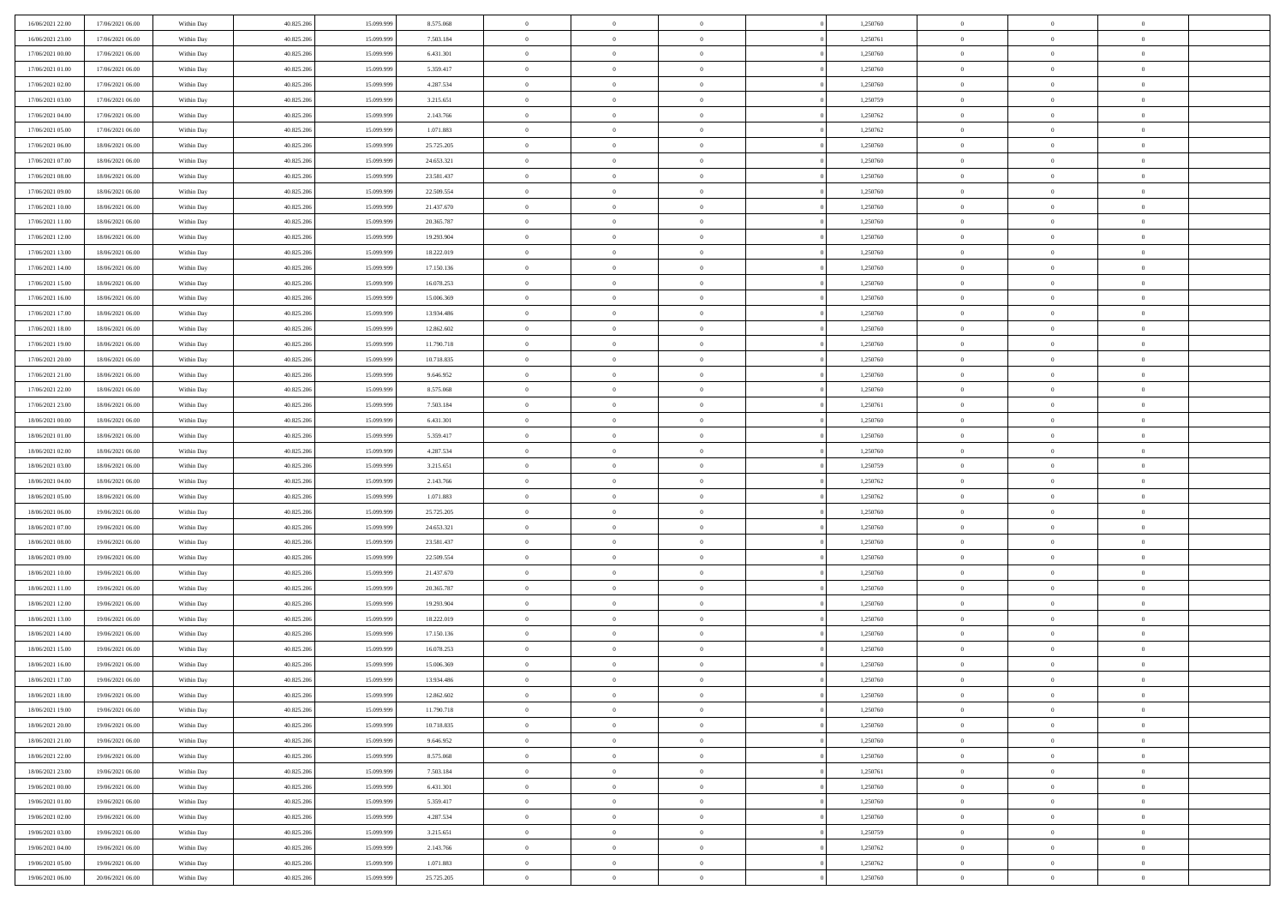| 16/06/2021 22:00 | 17/06/2021 06:00 | Within Day | 40.825.206 | 15.099.999 | 8.575.068  | $\,$ 0 $\,$    | $\overline{0}$ | $\overline{0}$           |          | 1,250760 | $\bf{0}$       | $\overline{0}$ | $\,0\,$        |  |
|------------------|------------------|------------|------------|------------|------------|----------------|----------------|--------------------------|----------|----------|----------------|----------------|----------------|--|
| 16/06/2021 23:00 | 17/06/2021 06:00 | Within Day | 40.825.206 | 15.099.99  | 7.503.184  | $\overline{0}$ | $\overline{0}$ | $\mathbf{0}$             |          | 1,250761 | $\theta$       | $\overline{0}$ | $\theta$       |  |
| 17/06/2021 00:00 | 17/06/2021 06:00 | Within Dav | 40.825.206 | 15.099.999 | 6.431.301  | $\theta$       | $\overline{0}$ | $\overline{0}$           |          | 1,250760 | $\mathbf{0}$   | $\overline{0}$ | $\overline{0}$ |  |
| 17/06/2021 01:00 | 17/06/2021 06:00 | Within Day | 40.825.206 | 15.099.999 | 5.359.417  | $\,$ 0 $\,$    | $\overline{0}$ | $\overline{0}$           |          | 1,250760 | $\bf{0}$       | $\overline{0}$ | $\bf{0}$       |  |
| 17/06/2021 02:00 | 17/06/2021 06:00 | Within Day | 40.825.206 | 15.099.999 | 4.287.534  | $\bf{0}$       | $\overline{0}$ | $\mathbf{0}$             |          | 1,250760 | $\bf{0}$       | $\theta$       | $\,0\,$        |  |
| 17/06/2021 03:00 | 17/06/2021 06:00 | Within Dav | 40.825.206 | 15.099.999 | 3.215.651  | $\theta$       | $\overline{0}$ | $\mathbf{0}$             |          | 1,250759 | $\mathbf{0}$   | $\overline{0}$ | $\overline{0}$ |  |
| 17/06/2021 04:00 | 17/06/2021 06:00 | Within Day | 40.825.206 | 15.099.999 | 2.143.766  | $\,$ 0 $\,$    | $\overline{0}$ | $\overline{0}$           |          | 1,250762 | $\bf{0}$       | $\overline{0}$ | $\bf{0}$       |  |
| 17/06/2021 05:00 | 17/06/2021 06:00 | Within Day | 40.825.206 | 15.099.999 | 1.071.883  | $\,$ 0         | $\overline{0}$ | $\mathbf{0}$             |          | 1,250762 | $\,$ 0 $\,$    | $\overline{0}$ | $\theta$       |  |
| 17/06/2021 06:00 | 18/06/2021 06:00 | Within Day | 40.825.206 | 15.099.999 | 25.725.205 | $\theta$       | $\overline{0}$ | $\mathbf{0}$             |          | 1,250760 | $\mathbf{0}$   | $\overline{0}$ | $\overline{0}$ |  |
| 17/06/2021 07:00 | 18/06/2021 06:00 | Within Day | 40.825.206 | 15.099.999 | 24.653.321 | $\,$ 0 $\,$    | $\overline{0}$ | $\Omega$                 |          | 1,250760 | $\bf{0}$       | $\overline{0}$ | $\,0\,$        |  |
| 17/06/2021 08:00 | 18/06/2021 06:00 | Within Day | 40.825.206 | 15.099.999 | 23.581.437 | $\bf{0}$       | $\overline{0}$ | $\mathbf{0}$             |          | 1,250760 | $\bf{0}$       | $\mathbf{0}$   | $\theta$       |  |
| 17/06/2021 09:00 | 18/06/2021 06:00 | Within Dav | 40.825.206 | 15.099.999 | 22.509.554 | $\theta$       | $\overline{0}$ | $\overline{0}$           |          | 1,250760 | $\mathbf{0}$   | $\overline{0}$ | $\overline{0}$ |  |
| 17/06/2021 10:00 | 18/06/2021 06:00 |            | 40.825.206 | 15.099.999 | 21.437.670 | $\,$ 0 $\,$    | $\overline{0}$ | $\overline{0}$           |          | 1,250760 | $\bf{0}$       | $\overline{0}$ | $\bf{0}$       |  |
|                  |                  | Within Day |            |            |            | $\bf{0}$       |                | $\mathbf{0}$             |          |          | $\bf{0}$       | $\theta$       | $\,0\,$        |  |
| 17/06/2021 11:00 | 18/06/2021 06:00 | Within Day | 40.825.206 | 15.099.999 | 20.365.787 |                | $\overline{0}$ |                          |          | 1,250760 |                |                |                |  |
| 17/06/2021 12:00 | 18/06/2021 06:00 | Within Dav | 40.825.206 | 15.099.999 | 19.293.904 | $\theta$       | $\overline{0}$ | $\mathbf{0}$<br>$\Omega$ |          | 1,250760 | $\mathbf{0}$   | $\overline{0}$ | $\overline{0}$ |  |
| 17/06/2021 13:00 | 18/06/2021 06:00 | Within Day | 40.825.206 | 15.099.999 | 18.222.019 | $\,$ 0 $\,$    | $\overline{0}$ |                          |          | 1,250760 | $\bf{0}$       | $\overline{0}$ | $\bf{0}$       |  |
| 17/06/2021 14:00 | 18/06/2021 06:00 | Within Day | 40.825.206 | 15.099.999 | 17.150.136 | $\,$ 0         | $\overline{0}$ | $\mathbf{0}$             |          | 1,250760 | $\bf{0}$       | $\overline{0}$ | $\theta$       |  |
| 17/06/2021 15:00 | 18/06/2021 06:00 | Within Day | 40.825.206 | 15.099.999 | 16.078.253 | $\theta$       | $\overline{0}$ | $\mathbf{0}$             |          | 1,250760 | $\mathbf{0}$   | $\overline{0}$ | $\overline{0}$ |  |
| 17/06/2021 16:00 | 18/06/2021 06:00 | Within Day | 40.825.206 | 15.099.999 | 15.006.369 | $\,$ 0 $\,$    | $\overline{0}$ | $\overline{0}$           |          | 1,250760 | $\bf{0}$       | $\overline{0}$ | $\,0\,$        |  |
| 17/06/2021 17:00 | 18/06/2021 06:00 | Within Day | 40.825.206 | 15.099.999 | 13.934.486 | $\bf{0}$       | $\overline{0}$ | $\mathbf{0}$             |          | 1,250760 | $\bf{0}$       | $\mathbf{0}$   | $\theta$       |  |
| 17/06/2021 18:00 | 18/06/2021 06:00 | Within Dav | 40.825.206 | 15.099.999 | 12.862.602 | $\theta$       | $\overline{0}$ | $\mathbf{0}$             |          | 1,250760 | $\mathbf{0}$   | $\overline{0}$ | $\overline{0}$ |  |
| 17/06/2021 19:00 | 18/06/2021 06:00 | Within Day | 40.825.206 | 15.099.999 | 11.790.718 | $\,$ 0 $\,$    | $\overline{0}$ | $\overline{0}$           |          | 1,250760 | $\bf{0}$       | $\overline{0}$ | $\bf{0}$       |  |
| 17/06/2021 20:00 | 18/06/2021 06:00 | Within Day | 40.825.206 | 15.099.999 | 10.718.835 | $\,$ 0         | $\overline{0}$ | $\mathbf{0}$             |          | 1,250760 | $\bf{0}$       | $\bf{0}$       | $\,0\,$        |  |
| 17/06/2021 21:00 | 18/06/2021 06:00 | Within Dav | 40.825.206 | 15.099.999 | 9.646.952  | $\theta$       | $\overline{0}$ | $\mathbf{0}$             |          | 1,250760 | $\mathbf{0}$   | $\overline{0}$ | $\overline{0}$ |  |
| 17/06/2021 22:00 | 18/06/2021 06:00 | Within Day | 40.825.206 | 15.099.999 | 8.575.068  | $\,$ 0 $\,$    | $\overline{0}$ | $\overline{0}$           |          | 1,250760 | $\bf{0}$       | $\overline{0}$ | $\,0\,$        |  |
| 17/06/2021 23:00 | 18/06/2021 06:00 | Within Day | 40.825.206 | 15.099.999 | 7.503.184  | $\,$ 0         | $\overline{0}$ | $\mathbf{0}$             |          | 1,250761 | $\bf{0}$       | $\overline{0}$ | $\theta$       |  |
| 18/06/2021 00:00 | 18/06/2021 06:00 | Within Day | 40.825.206 | 15.099.999 | 6.431.301  | $\theta$       | $\overline{0}$ | $\mathbf{0}$             |          | 1,250760 | $\mathbf{0}$   | $\overline{0}$ | $\overline{0}$ |  |
| 18/06/2021 01:00 | 18/06/2021 06:00 | Within Day | 40.825.206 | 15.099.999 | 5.359.417  | $\,$ 0 $\,$    | $\overline{0}$ | $\overline{0}$           |          | 1,250760 | $\bf{0}$       | $\overline{0}$ | $\bf{0}$       |  |
| 18/06/2021 02:00 | 18/06/2021 06:00 | Within Day | 40.825.206 | 15,099,999 | 4.287.534  | $\bf{0}$       | $\overline{0}$ | $\mathbf{0}$             |          | 1,250760 | $\bf{0}$       | $\mathbf{0}$   | $\overline{0}$ |  |
| 18/06/2021 03:00 | 18/06/2021 06:00 | Within Dav | 40.825.206 | 15.099.999 | 3.215.651  | $\theta$       | $\overline{0}$ | $\overline{0}$           |          | 1,250759 | $\mathbf{0}$   | $\overline{0}$ | $\overline{0}$ |  |
| 18/06/2021 04:00 | 18/06/2021 06:00 | Within Day | 40.825.206 | 15.099.999 | 2.143.766  | $\,$ 0 $\,$    | $\overline{0}$ | $\overline{0}$           |          | 1,250762 | $\,$ 0         | $\overline{0}$ | $\,$ 0 $\,$    |  |
| 18/06/2021 05:00 | 18/06/2021 06:00 | Within Day | 40.825.206 | 15.099.999 | 1.071.883  | $\,$ 0         | $\overline{0}$ | $\mathbf{0}$             |          | 1,250762 | $\bf{0}$       | $\mathbf{0}$   | $\overline{0}$ |  |
| 18/06/2021 06:00 | 19/06/2021 06:00 | Within Dav | 40.825.206 | 15.099.999 | 25.725.205 | $\theta$       | $\overline{0}$ | $\mathbf{0}$             |          | 1,250760 | $\mathbf{0}$   | $\overline{0}$ | $\overline{0}$ |  |
| 18/06/2021 07:00 | 19/06/2021 06:00 | Within Day | 40.825.206 | 15.099.999 | 24.653.321 | $\theta$       | $\overline{0}$ | $\overline{0}$           |          | 1,250760 | $\,$ 0         | $\overline{0}$ | $\theta$       |  |
| 18/06/2021 08:00 | 19/06/2021 06:00 | Within Day | 40.825.206 | 15.099.999 | 23.581.437 | $\bf{0}$       | $\overline{0}$ | $\mathbf{0}$             |          | 1,250760 | $\mathbf{0}$   | $\overline{0}$ | $\overline{0}$ |  |
| 18/06/2021 09:00 | 19/06/2021 06:00 | Within Day | 40.825.206 | 15.099.999 | 22.509.554 | $\theta$       | $\overline{0}$ | $\mathbf{0}$             |          | 1,250760 | $\mathbf{0}$   | $\overline{0}$ | $\overline{0}$ |  |
| 18/06/2021 10:00 | 19/06/2021 06:00 | Within Day | 40.825.206 | 15.099.999 | 21.437.670 | $\theta$       | $\overline{0}$ | $\overline{0}$           |          | 1,250760 | $\,$ 0         | $\overline{0}$ | $\theta$       |  |
| 18/06/2021 11:00 | 19/06/2021 06:00 | Within Day | 40.825.206 | 15.099.999 | 20.365.787 | $\bf{0}$       | $\overline{0}$ | $\mathbf{0}$             |          | 1,250760 | $\bf{0}$       | $\mathbf{0}$   | $\bf{0}$       |  |
| 18/06/2021 12:00 | 19/06/2021 06:00 | Within Dav | 40.825.206 | 15.099.999 | 19.293.904 | $\theta$       | $\overline{0}$ | $\overline{0}$           |          | 1,250760 | $\mathbf{0}$   | $\overline{0}$ | $\overline{0}$ |  |
| 18/06/2021 13:00 | 19/06/2021 06:00 | Within Day | 40.825.206 | 15.099.999 | 18.222.019 | $\,$ 0 $\,$    | $\overline{0}$ | $\overline{0}$           |          | 1,250760 | $\,$ 0         | $\overline{0}$ | $\,$ 0 $\,$    |  |
| 18/06/2021 14:00 | 19/06/2021 06:00 | Within Day | 40.825.206 | 15.099.999 | 17.150.136 | $\,$ 0         | $\,$ 0 $\,$    | $\overline{0}$           |          | 1,250760 | $\,$ 0 $\,$    | $\overline{0}$ | $\bf{0}$       |  |
| 18/06/2021 15:00 | 19/06/2021 06:00 | Within Dav | 40.825.206 | 15.099.999 | 16.078.253 | $\theta$       | $\overline{0}$ | $\mathbf{0}$             |          | 1,250760 | $\mathbf{0}$   | $\overline{0}$ | $\theta$       |  |
| 18/06/2021 16:00 | 19/06/2021 06:00 | Within Day | 40.825.206 | 15.099.999 | 15.006.369 | $\overline{0}$ | $\overline{0}$ | $\overline{0}$           |          | 1,250760 | $\,$ 0         | $\overline{0}$ | $\theta$       |  |
| 18/06/2021 17:00 | 19/06/2021 06:00 | Within Day | 40.825.206 | 15.099.999 | 13.934.486 | $\bf{0}$       | $\overline{0}$ | $\mathbf{0}$             |          | 1,250760 | $\bf{0}$       | $\overline{0}$ | $\bf{0}$       |  |
| 18/06/2021 18:00 | 19/06/2021 06:00 | Within Day | 40.825.206 | 15.099.999 | 12.862.602 | $\overline{0}$ | $\theta$       |                          |          | 1,250760 | $\overline{0}$ | $^{\circ}$     | $\theta$       |  |
| 18/06/2021 19:00 | 19/06/2021 06:00 | Within Day | 40.825.206 | 15.099.999 | 11.790.718 | $\,$ 0 $\,$    | $\overline{0}$ | $\overline{0}$           |          | 1,250760 | $\,$ 0 $\,$    | $\bf{0}$       | $\theta$       |  |
| 18/06/2021 20:00 | 19/06/2021 06:00 | Within Day | 40.825.206 | 15.099.999 | 10.718.835 | $\bf{0}$       | $\,$ 0 $\,$    | $\overline{0}$           |          | 1,250760 | $\,$ 0 $\,$    | $\overline{0}$ | $\overline{0}$ |  |
| 18/06/2021 21:00 | 19/06/2021 06:00 | Within Day | 40.825.206 | 15.099.999 | 9.646.952  | $\mathbf{0}$   | $\overline{0}$ | $\overline{0}$           |          | 1,250760 | $\,$ 0 $\,$    | $\bf{0}$       | $\overline{0}$ |  |
| 18/06/2021 22:00 | 19/06/2021 06:00 | Within Day | 40.825.206 | 15.099.999 | 8.575.068  | $\,$ 0 $\,$    | $\overline{0}$ | $\overline{0}$           | $\theta$ | 1,250760 | $\,$ 0 $\,$    | $\bf{0}$       | $\,$ 0 $\,$    |  |
| 18/06/2021 23:00 | 19/06/2021 06:00 | Within Day | 40.825.206 | 15.099.999 | 7.503.184  | $\,$ 0 $\,$    | $\,$ 0 $\,$    | $\overline{0}$           |          | 1,250761 | $\,$ 0 $\,$    | $\overline{0}$ | $\overline{0}$ |  |
| 19/06/2021 00:00 | 19/06/2021 06:00 | Within Day | 40.825.206 | 15.099.999 | 6.431.301  | $\mathbf{0}$   | $\overline{0}$ | $\overline{0}$           |          | 1,250760 | $\mathbf{0}$   | $\bf{0}$       | $\overline{0}$ |  |
| 19/06/2021 01:00 | 19/06/2021 06:00 | Within Day | 40.825.206 | 15.099.999 | 5.359.417  | $\,$ 0 $\,$    | $\overline{0}$ | $\overline{0}$           |          | 1,250760 | $\,$ 0 $\,$    | $\overline{0}$ | $\,$ 0 $\,$    |  |
| 19/06/2021 02:00 | 19/06/2021 06:00 | Within Day | 40.825.206 | 15.099.999 | 4.287.534  | $\overline{0}$ | $\overline{0}$ | $\overline{0}$           |          | 1,250760 | $\,$ 0 $\,$    | $\overline{0}$ | $\overline{0}$ |  |
| 19/06/2021 03:00 | 19/06/2021 06:00 | Within Day | 40.825.206 | 15.099.999 | 3.215.651  | $\mathbf{0}$   | $\overline{0}$ | $\overline{0}$           |          | 1,250759 | $\mathbf{0}$   | $\bf{0}$       | $\overline{0}$ |  |
| 19/06/2021 04:00 | 19/06/2021 06:00 | Within Day | 40.825.206 | 15.099.999 | 2.143.766  | $\,$ 0 $\,$    | $\overline{0}$ | $\overline{0}$           |          | 1,250762 | $\,$ 0 $\,$    | $\overline{0}$ | $\,$ 0 $\,$    |  |
| 19/06/2021 05:00 | 19/06/2021 06:00 | Within Day | 40.825.206 | 15.099.999 | 1.071.883  | $\,$ 0 $\,$    | $\,$ 0 $\,$    | $\overline{0}$           |          | 1,250762 | $\,$ 0 $\,$    | $\overline{0}$ | $\overline{0}$ |  |
| 19/06/2021 06:00 | 20/06/2021 06:00 | Within Day | 40.825.206 | 15.099.999 | 25.725.205 | $\theta$       | $\overline{0}$ | $\overline{0}$           |          | 1,250760 | $\mathbf{0}$   | $\overline{0}$ | $\overline{0}$ |  |
|                  |                  |            |            |            |            |                |                |                          |          |          |                |                |                |  |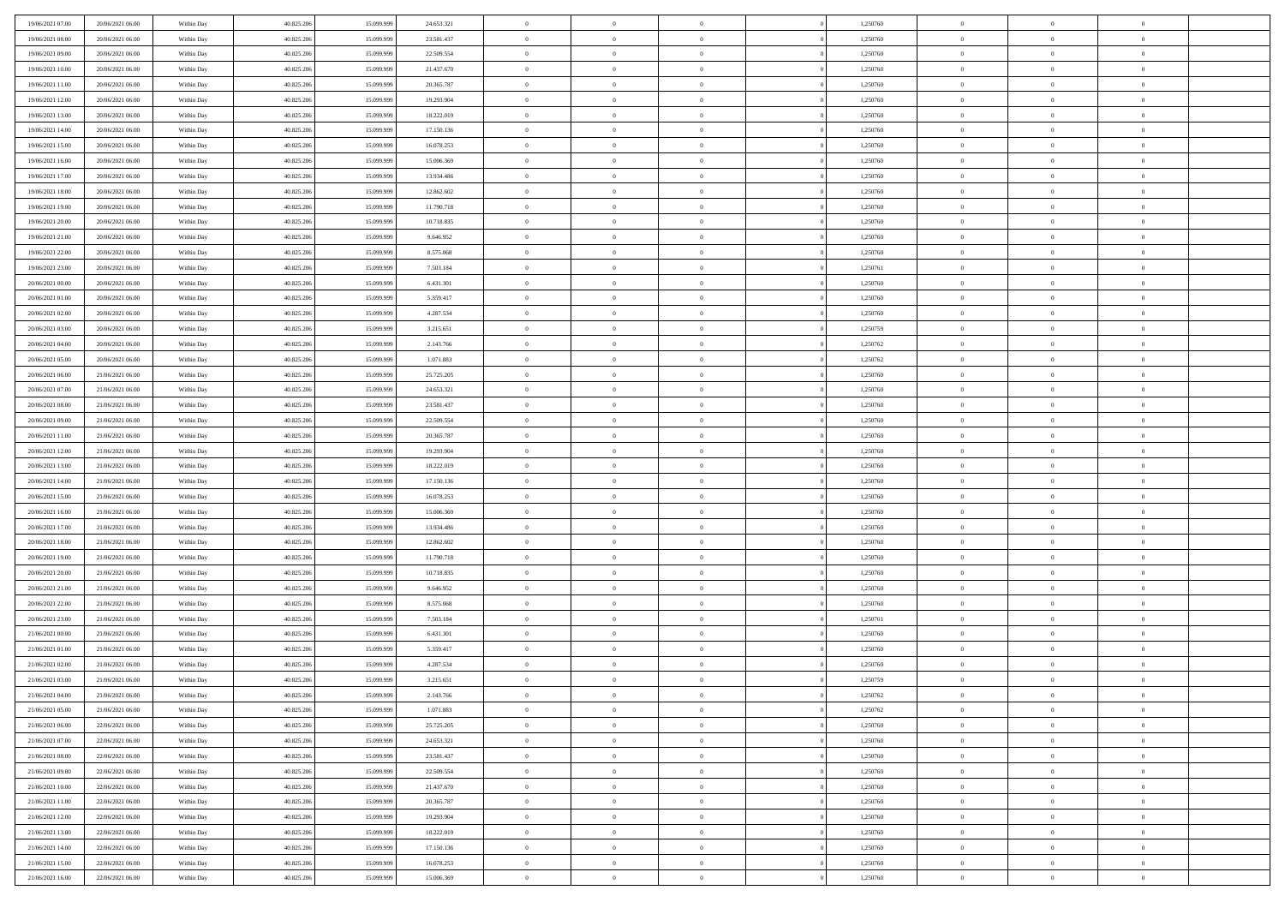| 19/06/2021 07:00                     | 20/06/2021 06:00                     | Within Day               | 40.825.206               | 15.099.999               | 24.653.321               | $\,$ 0 $\,$                | $\overline{0}$                   | $\overline{0}$                   |          | 1,250760             | $\bf{0}$                     | $\overline{0}$                   | $\,0\,$                          |  |
|--------------------------------------|--------------------------------------|--------------------------|--------------------------|--------------------------|--------------------------|----------------------------|----------------------------------|----------------------------------|----------|----------------------|------------------------------|----------------------------------|----------------------------------|--|
| 19/06/2021 08:00                     | 20/06/2021 06:00                     | Within Day               | 40.825.206               | 15,099,999               | 23.581.437               | $\overline{0}$             | $\overline{0}$                   | $\mathbf{0}$                     |          | 1,250760             | $\theta$                     | $\overline{0}$                   | $\theta$                         |  |
| 19/06/2021 09:00                     | 20/06/2021 06:00                     | Within Dav               | 40.825.206               | 15.099.999               | 22.509.554               | $\theta$                   | $\overline{0}$                   | $\overline{0}$                   |          | 1,250760             | $\mathbf{0}$                 | $\overline{0}$                   | $\overline{0}$                   |  |
| 19/06/2021 10:00                     | 20/06/2021 06:00                     | Within Day               | 40.825.206               | 15.099.999               | 21.437.670               | $\,$ 0 $\,$                | $\overline{0}$                   | $\overline{0}$                   |          | 1,250760             | $\bf{0}$                     | $\overline{0}$                   | $\bf{0}$                         |  |
| 19/06/2021 11:00                     | 20/06/2021 06:00                     | Within Day               | 40.825.206               | 15.099.999               | 20.365.787               | $\bf{0}$                   | $\overline{0}$                   | $\mathbf{0}$                     |          | 1,250760             | $\bf{0}$                     | $\theta$                         | $\,0\,$                          |  |
| 19/06/2021 12:00                     | 20/06/2021 06:00                     | Within Dav               | 40.825.206               | 15.099.999               | 19.293.904               | $\theta$                   | $\overline{0}$                   | $\mathbf{0}$                     |          | 1,250760             | $\mathbf{0}$                 | $\overline{0}$                   | $\overline{0}$                   |  |
| 19/06/2021 13:00                     | 20/06/2021 06:00                     | Within Day               | 40.825.206               | 15.099.999               | 18.222.019               | $\,$ 0 $\,$                | $\overline{0}$                   | $\overline{0}$                   |          | 1,250760             | $\bf{0}$                     | $\overline{0}$                   | $\,0\,$                          |  |
| 19/06/2021 14:00                     | 20/06/2021 06:00                     | Within Day               | 40.825.206               | 15.099.999               | 17.150.136               | $\,$ 0                     | $\overline{0}$                   | $\mathbf{0}$                     |          | 1,250760             | $\,$ 0 $\,$                  | $\overline{0}$                   | $\theta$                         |  |
| 19/06/2021 15:00                     | 20/06/2021 06:00                     | Within Day               | 40.825.206               | 15.099.999               | 16.078.253               | $\theta$                   | $\overline{0}$                   | $\mathbf{0}$                     |          | 1,250760             | $\mathbf{0}$                 | $\bf{0}$                         | $\overline{0}$                   |  |
| 19/06/2021 16:00                     | 20/06/2021 06:00                     | Within Day               | 40.825.206               | 15.099.999               | 15.006.369               | $\,$ 0 $\,$                | $\overline{0}$                   | $\Omega$                         |          | 1,250760             | $\bf{0}$                     | $\overline{0}$                   | $\,0\,$                          |  |
| 19/06/2021 17:00                     | 20/06/2021 06:00                     | Within Day               | 40.825.206               | 15.099.999               | 13.934.486               | $\bf{0}$                   | $\overline{0}$                   | $\mathbf{0}$                     |          | 1,250760             | $\bf{0}$                     | $\mathbf{0}$                     | $\theta$                         |  |
| 19/06/2021 18:00                     | 20/06/2021 06:00                     | Within Dav               | 40.825.206               | 15.099.999               | 12.862.602               | $\theta$                   | $\overline{0}$                   | $\overline{0}$                   |          | 1,250760             | $\mathbf{0}$                 | $\overline{0}$                   | $\overline{0}$                   |  |
| 19/06/2021 19:00                     | 20/06/2021 06:00                     | Within Day               | 40.825.206               | 15.099.999               | 11.790.718               | $\,$ 0 $\,$                | $\overline{0}$                   | $\overline{0}$                   |          | 1,250760             | $\bf{0}$                     | $\overline{0}$                   | $\bf{0}$                         |  |
| 19/06/2021 20:00                     | 20/06/2021 06:00                     | Within Day               | 40.825.206               | 15.099.999               | 10.718.835               | $\,$ 0                     | $\overline{0}$                   | $\mathbf{0}$                     |          | 1,250760             | $\bf{0}$                     | $\theta$                         | $\,0\,$                          |  |
| 19/06/2021 21:00                     | 20/06/2021 06:00                     | Within Dav               | 40.825.206               | 15.099.999               | 9.646.952                | $\theta$                   | $\overline{0}$                   | $\mathbf{0}$                     |          | 1,250760             | $\mathbf{0}$                 | $\overline{0}$                   | $\overline{0}$                   |  |
| 19/06/2021 22:00                     | 20/06/2021 06:00                     | Within Day               | 40.825.206               | 15.099.999               | 8.575.068                | $\,$ 0 $\,$                | $\overline{0}$                   | $\Omega$                         |          | 1,250760             | $\bf{0}$                     | $\overline{0}$                   | $\bf{0}$                         |  |
| 19/06/2021 23:00                     | 20/06/2021 06:00                     |                          | 40.825.206               | 15.099.999               | 7.503.184                | $\,$ 0 $\,$                | $\overline{0}$                   | $\mathbf{0}$                     |          | 1,250761             | $\bf{0}$                     | $\overline{0}$                   | $\theta$                         |  |
| 20/06/2021 00:00                     | 20/06/2021 06:00                     | Within Day<br>Within Day | 40.825.206               | 15.099.999               | 6.431.301                | $\theta$                   | $\overline{0}$                   | $\mathbf{0}$                     |          | 1,250760             | $\mathbf{0}$                 | $\overline{0}$                   | $\overline{0}$                   |  |
| 20/06/2021 01:00                     | 20/06/2021 06:00                     | Within Day               | 40.825.206               | 15.099.999               | 5.359.417                | $\,$ 0 $\,$                | $\overline{0}$                   | $\Omega$                         |          | 1,250760             | $\bf{0}$                     | $\overline{0}$                   | $\,0\,$                          |  |
| 20/06/2021 02:00                     | 20/06/2021 06:00                     |                          | 40.825.206               | 15.099.999               |                          | $\bf{0}$                   | $\overline{0}$                   | $\mathbf{0}$                     |          | 1,250760             | $\bf{0}$                     | $\mathbf{0}$                     | $\theta$                         |  |
| 20/06/2021 03:00                     | 20/06/2021 06:00                     | Within Day<br>Within Dav | 40.825.206               | 15.099.999               | 4.287.534<br>3.215.651   | $\theta$                   | $\overline{0}$                   | $\mathbf{0}$                     |          | 1,250759             | $\mathbf{0}$                 | $\overline{0}$                   | $\overline{0}$                   |  |
| 20/06/2021 04:00                     | 20/06/2021 06:00                     | Within Day               | 40.825.206               | 15.099.999               | 2.143.766                | $\,$ 0 $\,$                | $\overline{0}$                   | $\overline{0}$                   |          | 1,250762             | $\bf{0}$                     | $\overline{0}$                   | $\bf{0}$                         |  |
| 20/06/2021 05:00                     | 20/06/2021 06:00                     |                          | 40.825.206               | 15.099.999               | 1.071.883                | $\,$ 0                     | $\overline{0}$                   | $\mathbf{0}$                     |          | 1,250762             | $\bf{0}$                     | $\bf{0}$                         | $\,0\,$                          |  |
| 20/06/2021 06:00                     | 21/06/2021 06:00                     | Within Day<br>Within Dav | 40.825.206               | 15.099.999               | 25.725.205               | $\theta$                   | $\overline{0}$                   |                                  |          | 1,250760             | $\mathbf{0}$                 | $\overline{0}$                   | $\overline{0}$                   |  |
|                                      |                                      |                          |                          |                          |                          | $\,$ 0 $\,$                |                                  | $\mathbf{0}$<br>$\overline{0}$   |          |                      | $\bf{0}$                     | $\overline{0}$                   | $\,0\,$                          |  |
| 20/06/2021 07:00                     | 21/06/2021 06:00                     | Within Day               | 40.825.206               | 15.099.999               | 24.653.321               | $\,$ 0                     | $\overline{0}$                   |                                  |          | 1,250760             |                              | $\overline{0}$                   | $\theta$                         |  |
| 20/06/2021 08:00                     | 21/06/2021 06:00<br>21/06/2021 06:00 | Within Day               | 40.825.206               | 15.099.999               | 23.581.437               |                            | $\overline{0}$                   | $\mathbf{0}$                     |          | 1,250760             | $\mathbf{0}$                 |                                  |                                  |  |
| 20/06/2021 09:00                     | 21/06/2021 06:00                     | Within Day               | 40.825.206               | 15.099.999               | 22.509.554               | $\theta$                   | $\overline{0}$                   | $\overline{0}$<br>$\Omega$       |          | 1,250760             | $\mathbf{0}$                 | $\bf{0}$<br>$\overline{0}$       | $\overline{0}$                   |  |
| 20/06/2021 11:00                     |                                      | Within Day               | 40.825.206               | 15.099.999               | 20.365.787               | $\,$ 0 $\,$                | $\overline{0}$                   |                                  |          | 1,250760             | $\bf{0}$                     |                                  | $\bf{0}$                         |  |
| 20/06/2021 12:00                     | 21/06/2021 06:00                     | Within Day               | 40.825.206               | 15.099.999               | 19.293.904               | $\bf{0}$                   | $\overline{0}$                   | $\mathbf{0}$                     |          | 1,250760             | $\bf{0}$                     | $\mathbf{0}$                     | $\overline{0}$                   |  |
| 20/06/2021 13:00                     | 21/06/2021 06:00                     | Within Dav               | 40.825.206               | 15.099.999               | 18.222.019               | $\theta$                   | $\overline{0}$                   | $\overline{0}$                   |          | 1,250760             | $\mathbf{0}$                 | $\overline{0}$                   | $\overline{0}$                   |  |
| 20/06/2021 14:00                     | 21/06/2021 06:00                     | Within Day               | 40.825.206               | 15.099.999               | 17.150.136               | $\theta$                   | $\overline{0}$                   | $\overline{0}$                   |          | 1,250760             | $\,$ 0                       | $\overline{0}$                   | $\,$ 0 $\,$                      |  |
| 20/06/2021 15:00                     | 21/06/2021 06:00                     | Within Day               | 40.825.206               | 15.099.999               | 16.078.253               | $\,$ 0<br>$\theta$         | $\overline{0}$                   | $\mathbf{0}$                     |          | 1,250760             | $\bf{0}$<br>$\mathbf{0}$     | $\mathbf{0}$                     | $\overline{0}$<br>$\overline{0}$ |  |
| 20/06/2021 16:00                     | 21/06/2021 06:00                     | Within Dav               | 40.825.206               | 15.099.999               | 15.006.369               |                            | $\overline{0}$<br>$\overline{0}$ | $\mathbf{0}$                     |          | 1,250760             |                              | $\overline{0}$                   | $\theta$                         |  |
| 20/06/2021 17:00                     | 21/06/2021 06:00                     | Within Day               | 40.825.206               | 15.099.999<br>15.099.999 | 13.934.486               | $\theta$                   | $\overline{0}$                   | $\overline{0}$<br>$\mathbf{0}$   |          | 1,250760             | $\,$ 0                       | $\overline{0}$<br>$\overline{0}$ | $\overline{0}$                   |  |
| 20/06/2021 18:00<br>20/06/2021 19:00 | 21/06/2021 06:00<br>21/06/2021 06:00 | Within Day<br>Within Day | 40.825.206<br>40.825.206 | 15.099.999               | 12.862.602<br>11.790.718 | $\bf{0}$<br>$\theta$       | $\overline{0}$                   |                                  |          | 1,250760<br>1,250760 | $\mathbf{0}$<br>$\mathbf{0}$ | $\overline{0}$                   | $\overline{0}$                   |  |
|                                      |                                      |                          |                          |                          |                          | $\theta$                   | $\overline{0}$                   | $\mathbf{0}$<br>$\overline{0}$   |          |                      | $\,$ 0                       | $\overline{0}$                   | $\theta$                         |  |
| 20/06/2021 20:00                     | 21/06/2021 06:00<br>21/06/2021 06:00 | Within Day               | 40.825.206<br>40.825.206 | 15.099.999<br>15.099.999 | 10.718.835<br>9.646.952  | $\bf{0}$                   | $\overline{0}$                   | $\mathbf{0}$                     |          | 1,250760             | $\bf{0}$                     | $\mathbf{0}$                     | $\overline{0}$                   |  |
| 20/06/2021 21:00<br>20/06/2021 22:00 | 21/06/2021 06:00                     | Within Day<br>Within Dav | 40.825.206               | 15.099.999               | 8.575.068                | $\theta$                   | $\overline{0}$                   | $\overline{0}$                   |          | 1,250760<br>1,250760 | $\mathbf{0}$                 | $\overline{0}$                   | $\overline{0}$                   |  |
|                                      |                                      |                          |                          |                          |                          | $\,$ 0 $\,$                |                                  | $\overline{0}$                   |          |                      | $\,$ 0                       | $\overline{0}$                   | $\,$ 0 $\,$                      |  |
| 20/06/2021 23:00<br>21/06/2021 00:00 | 21/06/2021 06:00<br>21/06/2021 06:00 | Within Day               | 40.825.206<br>40.825.206 | 15.099.999<br>15.099.999 | 7.503.184<br>6.431.301   | $\,$ 0                     | $\overline{0}$<br>$\,$ 0 $\,$    | $\overline{0}$                   |          | 1,250761<br>1,250760 | $\,$ 0 $\,$                  | $\overline{0}$                   | $\overline{0}$                   |  |
| 21/06/2021 01:00                     | 21/06/2021 06:00                     | Within Day<br>Within Dav | 40.825.206               | 15.099.999               | 5.359.417                | $\theta$                   | $\overline{0}$                   | $\mathbf{0}$                     |          | 1,250760             | $\mathbf{0}$                 | $\overline{0}$                   | $\theta$                         |  |
| 21/06/2021 02:00                     | 21/06/2021 06:00                     | Within Day               | 40.825.206               | 15.099.999               | 4.287.534                | $\overline{0}$             | $\overline{0}$                   | $\overline{0}$                   |          | 1,250760             | $\,$ 0                       | $\overline{0}$                   | $\theta$                         |  |
| 21/06/2021 03:00                     | 21/06/2021 06:00                     | Within Day               | 40.825.206               | 15.099.999               | 3.215.651                | $\bf{0}$                   | $\overline{0}$                   | $\mathbf{0}$                     |          | 1,250759             | $\mathbf{0}$                 | $\overline{0}$                   | $\overline{0}$                   |  |
| 21/06/2021 04:00                     | 21/06/2021 06:00                     | Within Day               | 40.825.206               | 15.099.999               | 2.143.766                | $\overline{0}$             | $\theta$                         |                                  |          | 1,250762             | $\overline{0}$               | $\Omega$                         | $\theta$                         |  |
| 21/06/2021 05:00                     | 21/06/2021 06:00                     | Within Day               | 40.825.206               | 15.099.999               | 1.071.883                | $\,$ 0 $\,$                | $\overline{0}$                   | $\overline{0}$                   |          | 1,250762             | $\,$ 0 $\,$                  | $\bf{0}$                         | $\theta$                         |  |
| 21/06/2021 06:00                     | 22/06/2021 06:00                     | Within Day               | 40.825.206               | 15.099.999               | 25.725.205               | $\bf{0}$                   | $\,$ 0 $\,$                      | $\overline{0}$                   |          | 1,250760             | $\,$ 0 $\,$                  | $\overline{0}$                   | $\overline{0}$                   |  |
| 21/06/2021 07:00                     | 22/06/2021 06:00                     | Within Day               | 40.825.206               | 15.099.999               | 24.653.321               | $\overline{0}$             | $\overline{0}$                   | $\overline{0}$                   |          | 1,250760             | $\,$ 0 $\,$                  | $\bf{0}$                         | $\mathbf{0}$                     |  |
|                                      |                                      |                          |                          |                          |                          |                            |                                  |                                  |          |                      |                              |                                  |                                  |  |
| 21/06/2021 08:00                     | 22/06/2021 06:00<br>22/06/2021 06:00 | Within Day               | 40.825.206<br>40.825.206 | 15.099.999<br>15.099.999 | 23.581.437<br>22.509.554 | $\,$ 0 $\,$<br>$\,$ 0 $\,$ | $\overline{0}$<br>$\,$ 0 $\,$    | $\overline{0}$<br>$\overline{0}$ | $\theta$ | 1,250760<br>1,250760 | $\,$ 0 $\,$<br>$\,$ 0 $\,$   | $\bf{0}$<br>$\overline{0}$       | $\,$ 0 $\,$<br>$\overline{0}$    |  |
| 21/06/2021 09:00<br>21/06/2021 10:00 | 22/06/2021 06:00                     | Within Day<br>Within Day | 40.825.206               | 15.099.999               | 21.437.670               | $\overline{0}$             | $\overline{0}$                   | $\overline{0}$                   |          | 1,250760             | $\mathbf{0}$                 | $\bf{0}$                         | $\overline{0}$                   |  |
|                                      |                                      |                          |                          |                          |                          |                            |                                  |                                  |          |                      |                              |                                  |                                  |  |
| 21/06/2021 11:00                     | 22/06/2021 06:00                     | Within Day               | 40.825.206               | 15.099.999               | 20.365.787               | $\,$ 0 $\,$                | $\overline{0}$                   | $\overline{0}$<br>$\overline{0}$ |          | 1,250760             | $\,$ 0 $\,$                  | $\mathbf{0}$<br>$\overline{0}$   | $\,$ 0 $\,$                      |  |
| 21/06/2021 12:00                     | 22/06/2021 06:00<br>22/06/2021 06:00 | Within Day               | 40.825.206               | 15.099.999               | 19.293.904               | $\bf{0}$<br>$\,$ 0 $\,$    | $\overline{0}$                   |                                  |          | 1,250760             | $\,$ 0 $\,$<br>$\,$ 0 $\,$   |                                  | $\overline{0}$                   |  |
| 21/06/2021 13:00                     |                                      | Within Day               | 40.825.206               | 15.099.999               | 18.222.019               |                            | $\overline{0}$                   | $\overline{0}$                   |          | 1,250760             |                              | $\bf{0}$                         | $\overline{0}$                   |  |
| 21/06/2021 14:00                     | 22/06/2021 06:00                     | Within Day               | 40.825.206               | 15.099.999               | 17.150.136               | $\,$ 0 $\,$                | $\overline{0}$                   | $\overline{0}$                   |          | 1,250760             | $\,$ 0 $\,$                  | $\mathbf{0}$                     | $\,$ 0 $\,$                      |  |
| 21/06/2021 15:00                     | 22/06/2021 06:00                     | Within Day               | 40.825.206               | 15.099.999               | 16.078.253               | $\,$ 0 $\,$                | $\,$ 0 $\,$                      | $\overline{0}$                   |          | 1,250760             | $\,$ 0 $\,$                  | $\overline{0}$                   | $\overline{0}$                   |  |
| 21/06/2021 16:00                     | 22/06/2021 06:00                     | Within Day               | 40.825.206               | 15.099.999               | 15.006.369               | $\theta$                   | $\overline{0}$                   | $\overline{0}$                   |          | 1,250760             | $\mathbf{0}$                 | $\overline{0}$                   | $\overline{0}$                   |  |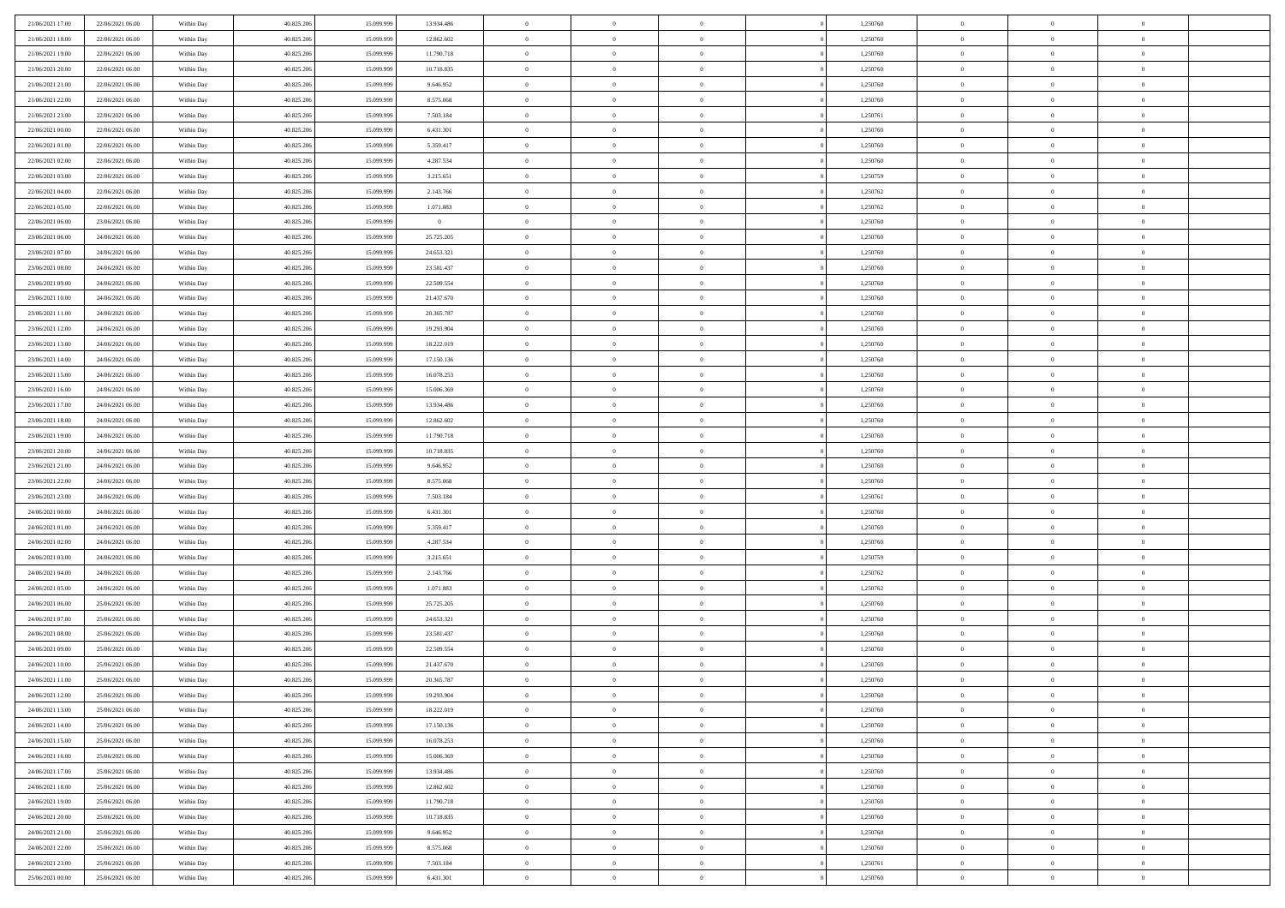| 21/06/2021 17:00 | 22/06/2021 06:00 | Within Day | 40.825.206 | 15.099.999 | 13.934.486     | $\,$ 0 $\,$    | $\overline{0}$ | $\overline{0}$ |          | 1,250760 | $\bf{0}$       | $\overline{0}$ | $\,0\,$        |  |
|------------------|------------------|------------|------------|------------|----------------|----------------|----------------|----------------|----------|----------|----------------|----------------|----------------|--|
| 21/06/2021 18:00 | 22/06/2021 06:00 | Within Day | 40.825.206 | 15.099.99  | 12.862.602     | $\overline{0}$ | $\overline{0}$ | $\mathbf{0}$   |          | 1,250760 | $\theta$       | $\overline{0}$ | $\theta$       |  |
| 21/06/2021 19:00 | 22/06/2021 06:00 | Within Dav | 40.825.206 | 15.099.999 | 11.790.718     | $\theta$       | $\overline{0}$ | $\overline{0}$ |          | 1,250760 | $\mathbf{0}$   | $\overline{0}$ | $\overline{0}$ |  |
| 21/06/2021 20:00 | 22/06/2021 06:00 | Within Day | 40.825.206 | 15.099.999 | 10.718.835     | $\,$ 0 $\,$    | $\overline{0}$ | $\overline{0}$ |          | 1,250760 | $\bf{0}$       | $\overline{0}$ | $\bf{0}$       |  |
| 21/06/2021 21:00 | 22/06/2021 06:00 | Within Day | 40.825.206 | 15.099.999 | 9.646.952      | $\bf{0}$       | $\overline{0}$ | $\mathbf{0}$   |          | 1,250760 | $\bf{0}$       | $\theta$       | $\,0\,$        |  |
| 21/06/2021 22:00 | 22/06/2021 06:00 | Within Dav | 40.825.206 | 15.099.999 | 8.575.068      | $\theta$       | $\overline{0}$ | $\mathbf{0}$   |          | 1,250760 | $\mathbf{0}$   | $\overline{0}$ | $\overline{0}$ |  |
| 21/06/2021 23:00 | 22/06/2021 06:00 | Within Day | 40.825.206 | 15.099.999 | 7.503.184      | $\,$ 0 $\,$    | $\overline{0}$ | $\overline{0}$ |          | 1,250761 | $\bf{0}$       | $\overline{0}$ | $\,0\,$        |  |
| 22/06/2021 00:00 | 22/06/2021 06:00 | Within Day | 40.825.206 | 15.099.999 | 6.431.301      | $\,$ 0 $\,$    | $\overline{0}$ | $\mathbf{0}$   |          | 1,250760 | $\,$ 0 $\,$    | $\overline{0}$ | $\theta$       |  |
| 22/06/2021 01:00 | 22/06/2021 06:00 | Within Day | 40.825.206 | 15.099.999 | 5.359.417      | $\theta$       | $\overline{0}$ | $\overline{0}$ |          | 1,250760 | $\mathbf{0}$   | $\bf{0}$       | $\overline{0}$ |  |
| 22/06/2021 02:00 | 22/06/2021 06:00 | Within Day | 40.825.206 | 15.099.999 | 4.287.534      | $\,$ 0 $\,$    | $\overline{0}$ | $\Omega$       |          | 1,250760 | $\bf{0}$       | $\overline{0}$ | $\,0\,$        |  |
| 22/06/2021 03:00 | 22/06/2021 06:00 | Within Day | 40.825.206 | 15.099.999 | 3.215.651      | $\bf{0}$       | $\overline{0}$ | $\mathbf{0}$   |          | 1,250759 | $\bf{0}$       | $\mathbf{0}$   | $\theta$       |  |
| 22/06/2021 04:00 | 22/06/2021 06:00 | Within Dav | 40.825.206 | 15.099.999 | 2.143.766      | $\theta$       | $\overline{0}$ | $\overline{0}$ |          | 1,250762 | $\mathbf{0}$   | $\overline{0}$ | $\overline{0}$ |  |
| 22/06/2021 05:00 | 22/06/2021 06:00 | Within Day | 40.825.206 | 15.099.999 | 1.071.883      | $\,$ 0 $\,$    | $\overline{0}$ | $\overline{0}$ |          | 1,250762 | $\bf{0}$       | $\overline{0}$ | $\bf{0}$       |  |
| 22/06/2021 06:00 | 23/06/2021 06:00 | Within Day | 40.825.206 | 15.099.999 | $\overline{0}$ | $\bf{0}$       | $\overline{0}$ | $\mathbf{0}$   |          | 1,250760 | $\bf{0}$       | $\theta$       | $\,0\,$        |  |
| 23/06/2021 06:00 | 24/06/2021 06:00 | Within Dav | 40.825.206 | 15.099.999 | 25.725.205     | $\theta$       | $\overline{0}$ | $\mathbf{0}$   |          | 1,250760 | $\mathbf{0}$   | $\overline{0}$ | $\overline{0}$ |  |
| 23/06/2021 07:00 | 24/06/2021 06:00 | Within Day | 40.825.206 | 15.099.999 | 24.653.321     | $\,$ 0 $\,$    | $\overline{0}$ | $\Omega$       |          | 1,250760 | $\bf{0}$       | $\overline{0}$ | $\bf{0}$       |  |
| 23/06/2021 08:00 | 24/06/2021 06:00 | Within Day | 40.825.206 | 15.099.999 | 23.581.437     | $\,$ 0         | $\overline{0}$ | $\mathbf{0}$   |          | 1,250760 | $\bf{0}$       | $\overline{0}$ | $\theta$       |  |
| 23/06/2021 09:00 | 24/06/2021 06:00 | Within Day | 40.825.206 | 15.099.999 | 22.509.554     | $\theta$       | $\overline{0}$ | $\mathbf{0}$   |          | 1,250760 | $\mathbf{0}$   | $\overline{0}$ | $\overline{0}$ |  |
| 23/06/2021 10:00 | 24/06/2021 06:00 | Within Day | 40.825.206 | 15.099.999 | 21.437.670     | $\,$ 0 $\,$    | $\overline{0}$ | $\Omega$       |          | 1,250760 | $\bf{0}$       | $\overline{0}$ | $\,0\,$        |  |
| 23/06/2021 11:00 | 24/06/2021 06:00 | Within Day | 40.825.206 | 15.099.999 | 20.365.787     | $\bf{0}$       | $\overline{0}$ | $\mathbf{0}$   |          | 1,250760 | $\bf{0}$       | $\mathbf{0}$   | $\theta$       |  |
| 23/06/2021 12:00 | 24/06/2021 06:00 | Within Dav | 40.825.206 | 15.099.999 | 19.293.904     | $\theta$       | $\overline{0}$ | $\mathbf{0}$   |          | 1,250760 | $\mathbf{0}$   | $\overline{0}$ | $\overline{0}$ |  |
| 23/06/2021 13:00 | 24/06/2021 06:00 | Within Day | 40.825.206 | 15.099.999 | 18.222.019     | $\,$ 0 $\,$    | $\overline{0}$ | $\overline{0}$ |          | 1,250760 | $\bf{0}$       | $\overline{0}$ | $\bf{0}$       |  |
| 23/06/2021 14:00 | 24/06/2021 06:00 | Within Day | 40.825.206 | 15.099.999 | 17.150.136     | $\,$ 0         | $\overline{0}$ | $\mathbf{0}$   |          | 1,250760 | $\bf{0}$       | $\bf{0}$       | $\,0\,$        |  |
| 23/06/2021 15:00 | 24/06/2021 06:00 | Within Dav | 40.825.206 | 15.099.999 | 16.078.253     | $\theta$       | $\overline{0}$ | $\mathbf{0}$   |          | 1,250760 | $\mathbf{0}$   | $\overline{0}$ | $\overline{0}$ |  |
| 23/06/2021 16:00 | 24/06/2021 06:00 | Within Day | 40.825.206 | 15.099.999 | 15.006.369     | $\,$ 0 $\,$    | $\overline{0}$ | $\overline{0}$ |          | 1,250760 | $\bf{0}$       | $\overline{0}$ | $\,0\,$        |  |
| 23/06/2021 17:00 | 24/06/2021 06:00 | Within Day | 40.825.206 | 15.099.999 | 13.934.486     | $\,$ 0         | $\overline{0}$ | $\mathbf{0}$   |          | 1,250760 | $\bf{0}$       | $\overline{0}$ | $\theta$       |  |
| 23/06/2021 18:00 | 24/06/2021 06:00 | Within Day | 40.825.206 | 15.099.999 | 12.862.602     | $\theta$       | $\overline{0}$ | $\overline{0}$ |          | 1,250760 | $\mathbf{0}$   | $\bf{0}$       | $\overline{0}$ |  |
| 23/06/2021 19:00 | 24/06/2021 06:00 | Within Day | 40.825.206 | 15.099.999 | 11.790.718     | $\,$ 0 $\,$    | $\overline{0}$ | $\Omega$       |          | 1,250760 | $\bf{0}$       | $\overline{0}$ | $\,0\,$        |  |
| 23/06/2021 20:00 | 24/06/2021 06:00 | Within Day | 40.825.206 | 15,099,999 | 10.718.835     | $\bf{0}$       | $\overline{0}$ | $\mathbf{0}$   |          | 1,250760 | $\bf{0}$       | $\mathbf{0}$   | $\overline{0}$ |  |
| 23/06/2021 21:00 | 24/06/2021 06:00 | Within Dav | 40.825.206 | 15.099.999 | 9.646.952      | $\theta$       | $\overline{0}$ | $\overline{0}$ |          | 1,250760 | $\mathbf{0}$   | $\overline{0}$ | $\overline{0}$ |  |
| 23/06/2021 22:00 | 24/06/2021 06:00 | Within Day | 40.825.206 | 15.099.999 | 8.575.068      | $\,$ 0 $\,$    | $\overline{0}$ | $\overline{0}$ |          | 1,250760 | $\,$ 0         | $\overline{0}$ | $\,$ 0 $\,$    |  |
| 23/06/2021 23:00 | 24/06/2021 06:00 | Within Day | 40.825.206 | 15.099.999 | 7.503.184      | $\,$ 0         | $\overline{0}$ | $\mathbf{0}$   |          | 1,250761 | $\bf{0}$       | $\mathbf{0}$   | $\bf{0}$       |  |
| 24/06/2021 00:00 | 24/06/2021 06:00 | Within Dav | 40.825.206 | 15.099.999 | 6.431.301      | $\theta$       | $\overline{0}$ | $\mathbf{0}$   |          | 1,250760 | $\mathbf{0}$   | $\overline{0}$ | $\overline{0}$ |  |
| 24/06/2021 01:00 | 24/06/2021 06:00 | Within Day | 40.825.206 | 15.099.999 | 5.359.417      | $\theta$       | $\overline{0}$ | $\overline{0}$ |          | 1,250760 | $\,$ 0         | $\overline{0}$ | $\theta$       |  |
| 24/06/2021 02:00 | 24/06/2021 06:00 | Within Day | 40.825.206 | 15.099.999 | 4.287.534      | $\bf{0}$       | $\overline{0}$ | $\mathbf{0}$   |          | 1,250760 | $\mathbf{0}$   | $\overline{0}$ | $\overline{0}$ |  |
| 24/06/2021 03:00 | 24/06/2021 06:00 | Within Day | 40.825.206 | 15.099.999 | 3.215.651      | $\theta$       | $\overline{0}$ | $\mathbf{0}$   |          | 1,250759 | $\mathbf{0}$   | $\overline{0}$ | $\overline{0}$ |  |
| 24/06/2021 04:00 | 24/06/2021 06:00 | Within Day | 40.825.206 | 15.099.999 | 2.143.766      | $\theta$       | $\overline{0}$ | $\overline{0}$ |          | 1,250762 | $\,$ 0         | $\overline{0}$ | $\theta$       |  |
| 24/06/2021 05:00 | 24/06/2021 06:00 | Within Day | 40.825.206 | 15.099.999 | 1.071.883      | $\bf{0}$       | $\overline{0}$ | $\mathbf{0}$   |          | 1,250762 | $\bf{0}$       | $\mathbf{0}$   | $\overline{0}$ |  |
| 24/06/2021 06:00 | 25/06/2021 06:00 | Within Dav | 40.825.206 | 15.099.999 | 25.725.205     | $\theta$       | $\overline{0}$ | $\overline{0}$ |          | 1,250760 | $\mathbf{0}$   | $\overline{0}$ | $\overline{0}$ |  |
| 24/06/2021 07:00 | 25/06/2021 06:00 | Within Day | 40.825.206 | 15.099.999 | 24.653.321     | $\,$ 0 $\,$    | $\overline{0}$ | $\overline{0}$ |          | 1,250760 | $\,$ 0         | $\overline{0}$ | $\,$ 0 $\,$    |  |
| 24/06/2021 08:00 | 25/06/2021 06:00 | Within Day | 40.825.206 | 15.099.999 | 23.581.437     | $\,$ 0         | $\,$ 0 $\,$    | $\overline{0}$ |          | 1,250760 | $\,$ 0 $\,$    | $\bf{0}$       | $\overline{0}$ |  |
| 24/06/2021 09:00 | 25/06/2021 06:00 | Within Dav | 40.825.206 | 15.099.999 | 22.509.554     | $\theta$       | $\overline{0}$ | $\mathbf{0}$   |          | 1,250760 | $\mathbf{0}$   | $\overline{0}$ | $\theta$       |  |
| 24/06/2021 10:00 | 25/06/2021 06:00 | Within Day | 40.825.206 | 15.099.999 | 21.437.670     | $\overline{0}$ | $\overline{0}$ | $\overline{0}$ |          | 1,250760 | $\,$ 0         | $\overline{0}$ | $\theta$       |  |
| 24/06/2021 11:00 | 25/06/2021 06:00 | Within Day | 40.825.206 | 15.099.999 | 20.365.787     | $\bf{0}$       | $\,$ 0 $\,$    | $\mathbf{0}$   |          | 1,250760 | $\bf{0}$       | $\overline{0}$ | $\overline{0}$ |  |
| 24/06/2021 12:00 | 25/06/2021 06:00 | Within Day | 40.825.206 | 15.099.999 | 19.293.904     | $\overline{0}$ | $\theta$       |                |          | 1,250760 | $\overline{0}$ | $^{\circ}$     | $\theta$       |  |
| 24/06/2021 13:00 | 25/06/2021 06:00 | Within Day | 40.825.206 | 15.099.999 | 18.222.019     | $\,$ 0 $\,$    | $\overline{0}$ | $\overline{0}$ |          | 1,250760 | $\,$ 0 $\,$    | $\bf{0}$       | $\theta$       |  |
| 24/06/2021 14:00 | 25/06/2021 06:00 | Within Day | 40.825.206 | 15.099.999 | 17.150.136     | $\bf{0}$       | $\,$ 0 $\,$    | $\overline{0}$ |          | 1,250760 | $\,$ 0 $\,$    | $\overline{0}$ | $\overline{0}$ |  |
| 24/06/2021 15:00 | 25/06/2021 06:00 | Within Day | 40.825.206 | 15.099.999 | 16.078.253     | $\overline{0}$ | $\overline{0}$ | $\overline{0}$ |          | 1,250760 | $\,$ 0 $\,$    | $\bf{0}$       | $\mathbf{0}$   |  |
| 24/06/2021 16:00 | 25/06/2021 06:00 | Within Day | 40.825.206 | 15.099.999 | 15.006.369     | $\,$ 0 $\,$    | $\overline{0}$ | $\overline{0}$ | $\theta$ | 1,250760 | $\,$ 0 $\,$    | $\bf{0}$       | $\,$ 0 $\,$    |  |
| 24/06/2021 17:00 | 25/06/2021 06:00 | Within Day | 40.825.206 | 15.099.999 | 13.934.486     | $\,$ 0 $\,$    | $\,$ 0 $\,$    | $\overline{0}$ |          | 1,250760 | $\,$ 0 $\,$    | $\overline{0}$ | $\overline{0}$ |  |
| 24/06/2021 18:00 | 25/06/2021 06:00 | Within Day | 40.825.206 | 15.099.999 | 12.862.602     | $\overline{0}$ | $\overline{0}$ | $\overline{0}$ |          | 1,250760 | $\mathbf{0}$   | $\overline{0}$ | $\overline{0}$ |  |
| 24/06/2021 19:00 | 25/06/2021 06:00 | Within Day | 40.825.206 | 15.099.999 | 11.790.718     | $\,$ 0 $\,$    | $\overline{0}$ | $\overline{0}$ |          | 1,250760 | $\,$ 0 $\,$    | $\overline{0}$ | $\,$ 0 $\,$    |  |
| 24/06/2021 20:00 | 25/06/2021 06:00 | Within Day | 40.825.206 | 15.099.999 | 10.718.835     | $\overline{0}$ | $\overline{0}$ | $\overline{0}$ |          | 1,250760 | $\,$ 0 $\,$    | $\overline{0}$ | $\overline{0}$ |  |
| 24/06/2021 21:00 | 25/06/2021 06:00 | Within Day | 40.825.206 | 15.099.999 | 9.646.952      | $\mathbf{0}$   | $\overline{0}$ | $\overline{0}$ |          | 1,250760 | $\mathbf{0}$   | $\bf{0}$       | $\overline{0}$ |  |
| 24/06/2021 22:00 | 25/06/2021 06:00 | Within Day | 40.825.206 | 15.099.999 | 8.575.068      | $\,$ 0 $\,$    | $\overline{0}$ | $\overline{0}$ |          | 1,250760 | $\,$ 0 $\,$    | $\overline{0}$ | $\,$ 0 $\,$    |  |
| 24/06/2021 23:00 | 25/06/2021 06:00 | Within Day | 40.825.206 | 15.099.999 | 7.503.184      | $\,$ 0 $\,$    | $\,$ 0 $\,$    | $\overline{0}$ |          | 1,250761 | $\,$ 0 $\,$    | $\overline{0}$ | $\overline{0}$ |  |
| 25/06/2021 00:00 | 25/06/2021 06:00 | Within Day | 40.825.206 | 15.099.999 | 6.431.301      | $\theta$       | $\overline{0}$ | $\overline{0}$ |          | 1,250760 | $\mathbf{0}$   | $\overline{0}$ | $\overline{0}$ |  |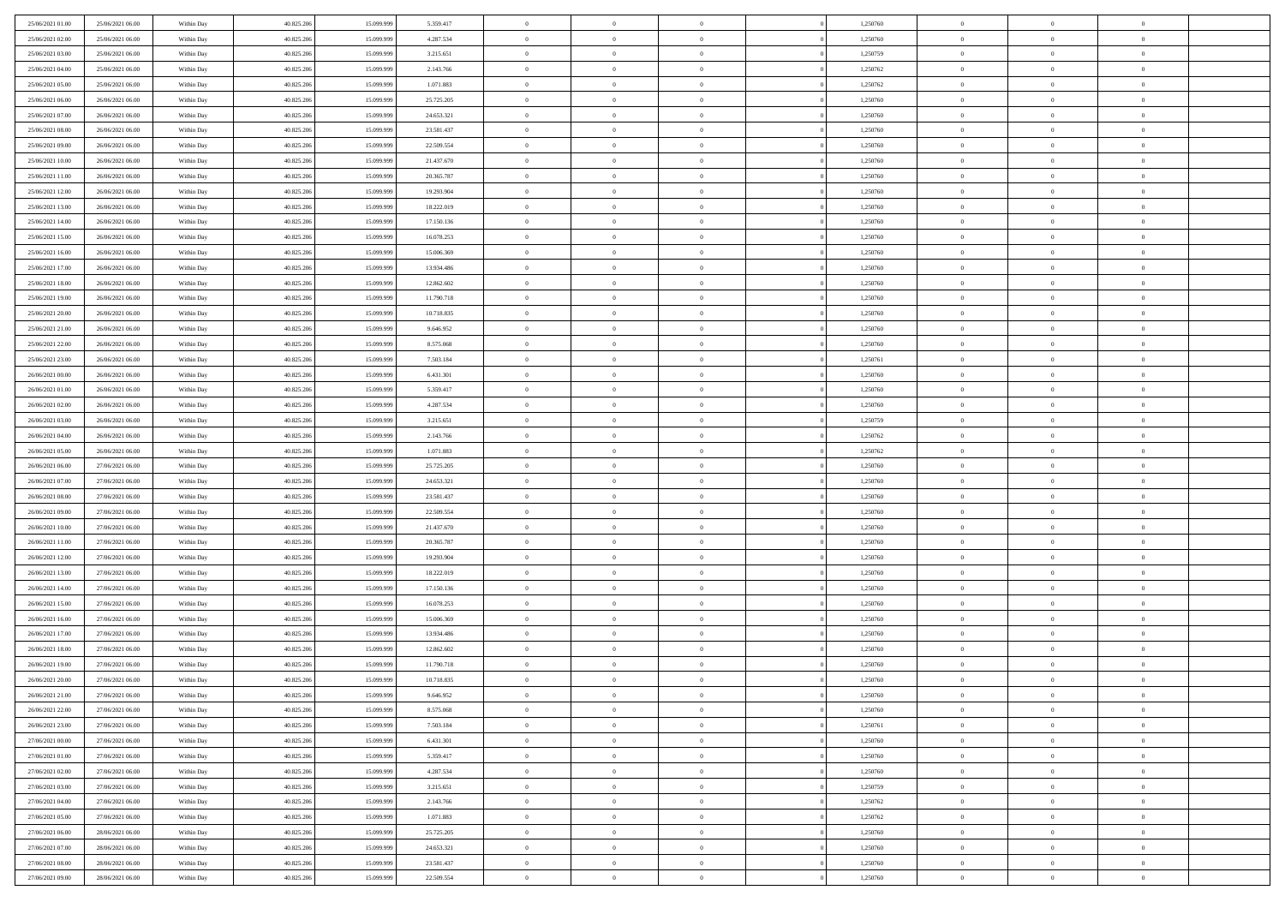| 25/06/2021 01:00 | 25/06/2021 06:00 | Within Day | 40.825.206 | 15.099.999 | 5.359.417  | $\,$ 0 $\,$          | $\overline{0}$ | $\overline{0}$ |          | 1,250760 | $\bf{0}$                 | $\overline{0}$ | $\,0\,$        |  |
|------------------|------------------|------------|------------|------------|------------|----------------------|----------------|----------------|----------|----------|--------------------------|----------------|----------------|--|
| 25/06/2021 02.00 | 25/06/2021 06:00 | Within Day | 40.825.206 | 15,099.99  | 4.287.534  | $\overline{0}$       | $\overline{0}$ | $\mathbf{0}$   |          | 1,250760 | $\theta$                 | $\mathbf{0}$   | $\theta$       |  |
| 25/06/2021 03:00 | 25/06/2021 06:00 | Within Dav | 40.825.206 | 15.099.999 | 3.215.651  | $\theta$             | $\overline{0}$ | $\overline{0}$ |          | 1,250759 | $\mathbf{0}$             | $\overline{0}$ | $\overline{0}$ |  |
| 25/06/2021 04:00 | 25/06/2021 06:00 | Within Day | 40.825.206 | 15.099.999 | 2.143.766  | $\,$ 0 $\,$          | $\overline{0}$ | $\overline{0}$ |          | 1,250762 | $\bf{0}$                 | $\overline{0}$ | $\bf{0}$       |  |
| 25/06/2021 05:00 | 25/06/2021 06:00 | Within Day | 40.825.206 | 15.099.999 | 1.071.883  | $\bf{0}$             | $\overline{0}$ | $\mathbf{0}$   |          | 1,250762 | $\bf{0}$                 | $\theta$       | $\,0\,$        |  |
| 25/06/2021 06:00 | 26/06/2021 06:00 | Within Dav | 40.825.206 | 15.099.999 | 25.725.205 | $\theta$             | $\overline{0}$ | $\mathbf{0}$   |          | 1,250760 | $\mathbf{0}$             | $\overline{0}$ | $\overline{0}$ |  |
| 25/06/2021 07:00 | 26/06/2021 06:00 | Within Day | 40.825.206 | 15.099.999 | 24.653.321 | $\,$ 0 $\,$          | $\overline{0}$ | $\overline{0}$ |          | 1,250760 | $\bf{0}$                 | $\overline{0}$ | $\,0\,$        |  |
| 25/06/2021 08:00 | 26/06/2021 06:00 | Within Day | 40.825.206 | 15.099.999 | 23.581.437 | $\theta$             | $\overline{0}$ | $\mathbf{0}$   |          | 1,250760 | $\,$ 0 $\,$              | $\overline{0}$ | $\theta$       |  |
| 25/06/2021 09:00 | 26/06/2021 06:00 | Within Day | 40.825.206 | 15.099.999 | 22.509.554 | $\theta$             | $\overline{0}$ | $\overline{0}$ |          | 1,250760 | $\mathbf{0}$             | $\bf{0}$       | $\overline{0}$ |  |
| 25/06/2021 10:00 | 26/06/2021 06:00 |            | 40.825.206 | 15.099.999 | 21.437.670 | $\,$ 0 $\,$          | $\overline{0}$ | $\Omega$       |          | 1,250760 | $\bf{0}$                 | $\overline{0}$ | $\,0\,$        |  |
|                  |                  | Within Day |            | 15.099.999 |            |                      |                |                |          |          |                          | $\mathbf{0}$   | $\theta$       |  |
| 25/06/2021 11:00 | 26/06/2021 06:00 | Within Day | 40.825.206 |            | 20.365.787 | $\bf{0}$<br>$\theta$ | $\overline{0}$ | $\mathbf{0}$   |          | 1,250760 | $\bf{0}$<br>$\mathbf{0}$ |                | $\overline{0}$ |  |
| 25/06/2021 12:00 | 26/06/2021 06:00 | Within Dav | 40.825.206 | 15.099.999 | 19.293.904 |                      | $\overline{0}$ | $\overline{0}$ |          | 1,250760 |                          | $\overline{0}$ |                |  |
| 25/06/2021 13:00 | 26/06/2021 06:00 | Within Day | 40.825.206 | 15.099.999 | 18.222.019 | $\,$ 0 $\,$          | $\overline{0}$ | $\overline{0}$ |          | 1,250760 | $\bf{0}$                 | $\overline{0}$ | $\bf{0}$       |  |
| 25/06/2021 14:00 | 26/06/2021 06:00 | Within Day | 40.825.206 | 15.099.999 | 17.150.136 | $\bf{0}$             | $\overline{0}$ | $\mathbf{0}$   |          | 1,250760 | $\bf{0}$                 | $\theta$       | $\,0\,$        |  |
| 25/06/2021 15:00 | 26/06/2021 06:00 | Within Dav | 40.825.206 | 15.099.999 | 16.078.253 | $\theta$             | $\overline{0}$ | $\mathbf{0}$   |          | 1,250760 | $\mathbf{0}$             | $\overline{0}$ | $\overline{0}$ |  |
| 25/06/2021 16:00 | 26/06/2021 06:00 | Within Day | 40.825.206 | 15.099.999 | 15.006.369 | $\,$ 0 $\,$          | $\overline{0}$ | $\Omega$       |          | 1,250760 | $\bf{0}$                 | $\overline{0}$ | $\bf{0}$       |  |
| 25/06/2021 17:00 | 26/06/2021 06:00 | Within Day | 40.825.206 | 15.099.999 | 13.934.486 | $\,$ 0               | $\overline{0}$ | $\mathbf{0}$   |          | 1,250760 | $\bf{0}$                 | $\overline{0}$ | $\theta$       |  |
| 25/06/2021 18:00 | 26/06/2021 06:00 | Within Day | 40.825.206 | 15.099.999 | 12.862.602 | $\theta$             | $\overline{0}$ | $\mathbf{0}$   |          | 1,250760 | $\mathbf{0}$             | $\overline{0}$ | $\overline{0}$ |  |
| 25/06/2021 19:00 | 26/06/2021 06:00 | Within Day | 40.825.206 | 15.099.999 | 11.790.718 | $\,$ 0 $\,$          | $\overline{0}$ | $\Omega$       |          | 1,250760 | $\bf{0}$                 | $\overline{0}$ | $\,0\,$        |  |
| 25/06/2021 20:00 | 26/06/2021 06:00 | Within Day | 40.825.206 | 15.099.999 | 10.718.835 | $\bf{0}$             | $\overline{0}$ | $\mathbf{0}$   |          | 1,250760 | $\bf{0}$                 | $\mathbf{0}$   | $\theta$       |  |
| 25/06/2021 21:00 | 26/06/2021 06:00 | Within Dav | 40.825.206 | 15.099.999 | 9.646.952  | $\theta$             | $\overline{0}$ | $\mathbf{0}$   |          | 1,250760 | $\mathbf{0}$             | $\overline{0}$ | $\overline{0}$ |  |
| 25/06/2021 22:00 | 26/06/2021 06:00 | Within Day | 40.825.206 | 15.099.999 | 8.575.068  | $\,$ 0 $\,$          | $\overline{0}$ | $\overline{0}$ |          | 1,250760 | $\bf{0}$                 | $\overline{0}$ | $\bf{0}$       |  |
| 25/06/2021 23:00 | 26/06/2021 06:00 | Within Day | 40.825.206 | 15.099.999 | 7.503.184  | $\,$ 0               | $\overline{0}$ | $\mathbf{0}$   |          | 1,250761 | $\bf{0}$                 | $\bf{0}$       | $\,0\,$        |  |
| 26/06/2021 00:00 | 26/06/2021 06:00 | Within Day | 40.825.206 | 15.099.999 | 6.431.301  | $\theta$             | $\overline{0}$ | $\mathbf{0}$   |          | 1,250760 | $\mathbf{0}$             | $\overline{0}$ | $\theta$       |  |
| 26/06/2021 01:00 | 26/06/2021 06:00 | Within Day | 40.825.206 | 15.099.999 | 5.359.417  | $\,$ 0 $\,$          | $\overline{0}$ | $\overline{0}$ |          | 1,250760 | $\bf{0}$                 | $\overline{0}$ | $\,0\,$        |  |
| 26/06/2021 02:00 | 26/06/2021 06:00 | Within Day | 40.825.206 | 15.099.999 | 4.287.534  | $\,$ 0               | $\overline{0}$ | $\mathbf{0}$   |          | 1,250760 | $\bf{0}$                 | $\overline{0}$ | $\theta$       |  |
| 26/06/2021 03:00 | 26/06/2021 06:00 | Within Day | 40.825.206 | 15.099.999 | 3.215.651  | $\theta$             | $\overline{0}$ | $\overline{0}$ |          | 1,250759 | $\mathbf{0}$             | $\bf{0}$       | $\overline{0}$ |  |
| 26/06/2021 04:00 | 26/06/2021 06:00 | Within Day | 40.825.206 | 15.099.999 | 2.143.766  | $\,$ 0 $\,$          | $\overline{0}$ | $\Omega$       |          | 1,250762 | $\bf{0}$                 | $\overline{0}$ | $\,0\,$        |  |
| 26/06/2021 05:00 | 26/06/2021 06:00 | Within Day | 40.825.206 | 15.099.999 | 1.071.883  | $\bf{0}$             | $\overline{0}$ | $\mathbf{0}$   |          | 1,250762 | $\bf{0}$                 | $\mathbf{0}$   | $\overline{0}$ |  |
| 26/06/2021 06:00 | 27/06/2021 06:00 | Within Day | 40.825.206 | 15.099.999 | 25.725.205 | $\theta$             | $\overline{0}$ | $\overline{0}$ |          | 1,250760 | $\mathbf{0}$             | $\overline{0}$ | $\overline{0}$ |  |
| 26/06/2021 07:00 | 27/06/2021 06:00 | Within Day | 40.825.206 | 15.099.999 | 24.653.321 | $\theta$             | $\overline{0}$ | $\overline{0}$ |          | 1,250760 | $\,$ 0                   | $\overline{0}$ | $\,$ 0 $\,$    |  |
| 26/06/2021 08:00 | 27/06/2021 06:00 | Within Day | 40.825.206 | 15.099.999 | 23.581.437 | $\bf{0}$             | $\overline{0}$ | $\mathbf{0}$   |          | 1,250760 | $\bf{0}$                 | $\mathbf{0}$   | $\bf{0}$       |  |
| 26/06/2021 09:00 | 27/06/2021 06:00 | Within Day | 40.825.206 | 15.099.999 | 22.509.554 | $\theta$             | $\overline{0}$ | $\mathbf{0}$   |          | 1,250760 | $\mathbf{0}$             | $\overline{0}$ | $\overline{0}$ |  |
| 26/06/2021 10:00 | 27/06/2021 06:00 | Within Day | 40.825.206 | 15.099.999 | 21.437.670 | $\theta$             | $\overline{0}$ | $\overline{0}$ |          | 1,250760 | $\,$ 0                   | $\overline{0}$ | $\theta$       |  |
| 26/06/2021 11:00 | 27/06/2021 06:00 | Within Day | 40.825.206 | 15.099.999 | 20.365.787 | $\bf{0}$             | $\overline{0}$ | $\mathbf{0}$   |          | 1,250760 | $\mathbf{0}$             | $\overline{0}$ | $\overline{0}$ |  |
| 26/06/2021 12:00 | 27/06/2021 06:00 | Within Day | 40.825.206 | 15.099.999 | 19.293.904 | $\theta$             | $\overline{0}$ | $\mathbf{0}$   |          | 1,250760 | $\mathbf{0}$             | $\overline{0}$ | $\overline{0}$ |  |
| 26/06/2021 13:00 | 27/06/2021 06:00 | Within Day | 40.825.206 | 15.099.999 | 18.222.019 | $\theta$             | $\overline{0}$ | $\overline{0}$ |          | 1,250760 | $\,$ 0                   | $\overline{0}$ | $\theta$       |  |
| 26/06/2021 14:00 | 27/06/2021 06:00 | Within Day | 40.825.206 | 15.099.999 | 17.150.136 | $\bf{0}$             | $\overline{0}$ | $\mathbf{0}$   |          | 1,250760 | $\bf{0}$                 | $\mathbf{0}$   | $\bf{0}$       |  |
| 26/06/2021 15:00 | 27/06/2021 06:00 | Within Day | 40.825.206 | 15.099.999 | 16.078.253 | $\theta$             | $\overline{0}$ | $\mathbf{0}$   |          | 1,250760 | $\mathbf{0}$             | $\overline{0}$ | $\overline{0}$ |  |
| 26/06/2021 16:00 | 27/06/2021 06:00 | Within Day | 40.825.206 | 15.099.999 | 15.006.369 | $\,$ 0 $\,$          | $\overline{0}$ | $\overline{0}$ |          | 1,250760 | $\,$ 0                   | $\overline{0}$ | $\,$ 0 $\,$    |  |
| 26/06/2021 17:00 | 27/06/2021 06:00 | Within Day | 40.825.206 | 15.099.999 | 13.934.486 | $\,$ 0               | $\,$ 0 $\,$    | $\overline{0}$ |          | 1,250760 | $\,$ 0 $\,$              | $\overline{0}$ | $\bf{0}$       |  |
| 26/06/2021 18:00 | 27/06/2021 06:00 | Within Day | 40.825.206 | 15.099.999 | 12.862.602 | $\theta$             | $\overline{0}$ | $\mathbf{0}$   |          | 1,250760 | $\mathbf{0}$             | $\overline{0}$ | $\theta$       |  |
| 26/06/2021 19:00 | 27/06/2021 06:00 | Within Day | 40.825.206 | 15.099.999 | 11.790.718 | $\overline{0}$       | $\overline{0}$ | $\overline{0}$ |          | 1,250760 | $\,$ 0                   | $\overline{0}$ | $\theta$       |  |
| 26/06/2021 20:00 | 27/06/2021 06:00 | Within Day | 40.825.206 | 15.099.999 | 10.718.835 | $\bf{0}$             | $\overline{0}$ | $\mathbf{0}$   |          | 1,250760 | $\mathbf{0}$             | $\overline{0}$ | $\bf{0}$       |  |
| 26/06/2021 21:00 | 27/06/2021 06:00 | Within Day | 40.825.206 | 15.099.999 | 9.646.952  | $\overline{0}$       | $\theta$       |                |          | 1,250760 | $\overline{0}$           | $^{\circ}$     | $\theta$       |  |
| 26/06/2021 22:00 | 27/06/2021 06:00 | Within Day | 40.825.206 | 15.099.999 | 8.575.068  | $\,$ 0 $\,$          | $\overline{0}$ | $\overline{0}$ |          | 1,250760 | $\,$ 0 $\,$              | $\bf{0}$       | $\theta$       |  |
| 26/06/2021 23:00 | 27/06/2021 06:00 | Within Day | 40.825.206 | 15.099.999 | 7.503.184  | $\overline{0}$       | $\,$ 0 $\,$    | $\overline{0}$ |          | 1,250761 | $\,$ 0 $\,$              | $\overline{0}$ | $\overline{0}$ |  |
| 27/06/2021 00:00 | 27/06/2021 06:00 | Within Day | 40.825.206 | 15.099.999 | 6.431.301  | $\overline{0}$       | $\overline{0}$ | $\overline{0}$ |          | 1,250760 | $\,$ 0 $\,$              | $\bf{0}$       | $\overline{0}$ |  |
| 27/06/2021 01:00 | 27/06/2021 06:00 | Within Day | 40.825.206 | 15.099.999 | 5.359.417  | $\,$ 0 $\,$          | $\overline{0}$ | $\overline{0}$ | $\theta$ | 1,250760 | $\,$ 0 $\,$              | $\bf{0}$       | $\,$ 0 $\,$    |  |
| 27/06/2021 02:00 | 27/06/2021 06:00 | Within Day | 40.825.206 | 15.099.999 | 4.287.534  | $\,$ 0 $\,$          | $\,$ 0 $\,$    | $\overline{0}$ |          | 1,250760 | $\,$ 0 $\,$              | $\overline{0}$ | $\overline{0}$ |  |
| 27/06/2021 03:00 | 27/06/2021 06:00 | Within Day | 40.825.206 | 15.099.999 | 3.215.651  | $\overline{0}$       | $\overline{0}$ | $\overline{0}$ |          | 1,250759 | $\mathbf{0}$             | $\bf{0}$       | $\overline{0}$ |  |
|                  |                  |            |            |            |            |                      |                |                |          |          |                          |                |                |  |
| 27/06/2021 04:00 | 27/06/2021 06:00 | Within Day | 40.825.206 | 15.099.999 | 2.143.766  | $\,$ 0 $\,$          | $\overline{0}$ | $\overline{0}$ |          | 1,250762 | $\,$ 0 $\,$              | $\overline{0}$ | $\,$ 0 $\,$    |  |
| 27/06/2021 05:00 | 27/06/2021 06:00 | Within Day | 40.825.206 | 15.099.999 | 1.071.883  | $\bf{0}$             | $\overline{0}$ | $\overline{0}$ |          | 1,250762 | $\,$ 0 $\,$              | $\overline{0}$ | $\overline{0}$ |  |
| 27/06/2021 06:00 | 28/06/2021 06:00 | Within Day | 40.825.206 | 15.099.999 | 25.725.205 | $\mathbf{0}$         | $\overline{0}$ | $\overline{0}$ |          | 1,250760 | $\,$ 0 $\,$              | $\bf{0}$       | $\overline{0}$ |  |
| 27/06/2021 07:00 | 28/06/2021 06:00 | Within Day | 40.825.206 | 15.099.999 | 24.653.321 | $\,$ 0 $\,$          | $\overline{0}$ | $\overline{0}$ |          | 1,250760 | $\,$ 0 $\,$              | $\overline{0}$ | $\,$ 0 $\,$    |  |
| 27/06/2021 08:00 | 28/06/2021 06:00 | Within Day | 40.825.206 | 15.099.999 | 23.581.437 | $\,$ 0 $\,$          | $\,$ 0 $\,$    | $\overline{0}$ |          | 1,250760 | $\,$ 0 $\,$              | $\overline{0}$ | $\overline{0}$ |  |
| 27/06/2021 09:00 | 28/06/2021 06:00 | Within Day | 40.825.206 | 15.099.999 | 22.509.554 | $\theta$             | $\overline{0}$ | $\overline{0}$ |          | 1,250760 | $\mathbf{0}$             | $\overline{0}$ | $\overline{0}$ |  |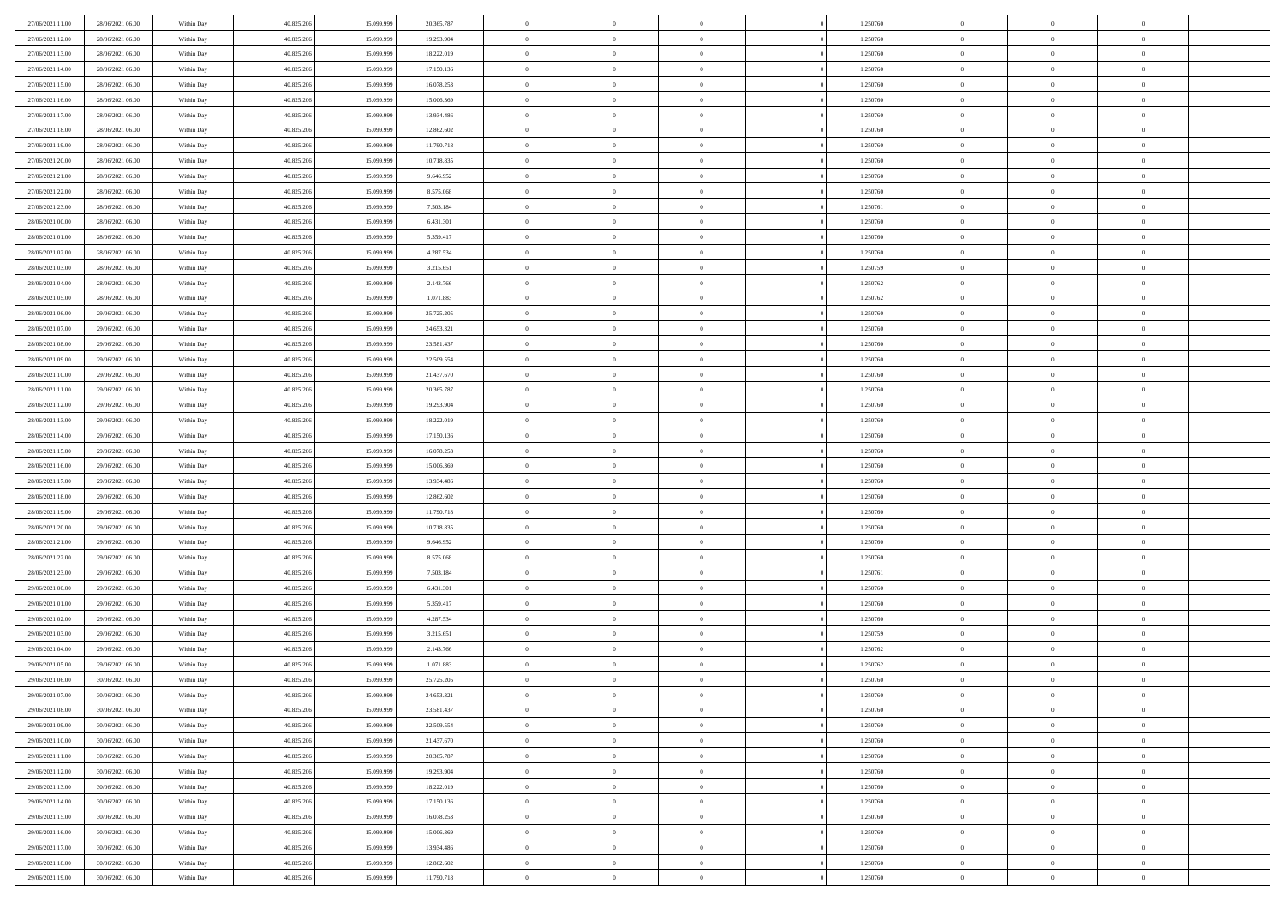| 27/06/2021 11:00 | 28/06/2021 06:00 | Within Day | 40.825.206 | 15.099.999 | 20.365.787 | $\,$ 0 $\,$    | $\overline{0}$ | $\overline{0}$ |          | 1,250760 | $\bf{0}$       | $\overline{0}$ | $\,0\,$        |  |
|------------------|------------------|------------|------------|------------|------------|----------------|----------------|----------------|----------|----------|----------------|----------------|----------------|--|
| 27/06/2021 12:00 | 28/06/2021 06:00 | Within Day | 40.825.206 | 15,099.99  | 19.293.904 | $\overline{0}$ | $\overline{0}$ | $\mathbf{0}$   |          | 1,250760 | $\theta$       | $\overline{0}$ | $\theta$       |  |
| 27/06/2021 13:00 | 28/06/2021 06:00 | Within Day | 40.825.206 | 15.099.999 | 18.222.019 | $\theta$       | $\overline{0}$ | $\overline{0}$ |          | 1,250760 | $\mathbf{0}$   | $\overline{0}$ | $\overline{0}$ |  |
| 27/06/2021 14:00 | 28/06/2021 06:00 | Within Day | 40.825.206 | 15.099.999 | 17.150.136 | $\,$ 0 $\,$    | $\overline{0}$ | $\overline{0}$ |          | 1,250760 | $\bf{0}$       | $\overline{0}$ | $\bf{0}$       |  |
| 27/06/2021 15:00 | 28/06/2021 06:00 | Within Day | 40.825.206 | 15.099.999 | 16.078.253 | $\bf{0}$       | $\overline{0}$ | $\mathbf{0}$   |          | 1,250760 | $\bf{0}$       | $\theta$       | $\,0\,$        |  |
| 27/06/2021 16:00 | 28/06/2021 06:00 | Within Day | 40.825.206 | 15.099.999 | 15.006.369 | $\theta$       | $\overline{0}$ | $\mathbf{0}$   |          | 1,250760 | $\mathbf{0}$   | $\overline{0}$ | $\overline{0}$ |  |
| 27/06/2021 17:00 | 28/06/2021 06:00 | Within Day | 40.825.206 | 15.099.999 | 13.934.486 | $\,$ 0 $\,$    | $\overline{0}$ | $\overline{0}$ |          | 1,250760 | $\bf{0}$       | $\overline{0}$ | $\,0\,$        |  |
| 27/06/2021 18:00 | 28/06/2021 06:00 | Within Day | 40.825.206 | 15.099.999 | 12.862.602 | $\,$ 0         | $\overline{0}$ | $\mathbf{0}$   |          | 1,250760 | $\,$ 0 $\,$    | $\overline{0}$ | $\theta$       |  |
| 27/06/2021 19:00 | 28/06/2021 06:00 | Within Day | 40.825.206 | 15.099.999 | 11.790.718 | $\theta$       | $\overline{0}$ | $\mathbf{0}$   |          | 1,250760 | $\mathbf{0}$   | $\bf{0}$       | $\overline{0}$ |  |
| 27/06/2021 20:00 | 28/06/2021 06:00 | Within Day | 40.825.206 | 15.099.999 | 10.718.835 | $\,$ 0 $\,$    | $\overline{0}$ | $\Omega$       |          | 1,250760 | $\bf{0}$       | $\overline{0}$ | $\,0\,$        |  |
| 27/06/2021 21:00 | 28/06/2021 06:00 | Within Day | 40.825.206 | 15.099.999 | 9.646.952  | $\bf{0}$       | $\overline{0}$ | $\mathbf{0}$   |          | 1,250760 | $\bf{0}$       | $\mathbf{0}$   | $\theta$       |  |
| 27/06/2021 22:00 | 28/06/2021 06:00 | Within Day | 40.825.206 | 15.099.999 | 8.575.068  | $\theta$       | $\overline{0}$ | $\overline{0}$ |          | 1,250760 | $\mathbf{0}$   | $\overline{0}$ | $\overline{0}$ |  |
| 27/06/2021 23:00 | 28/06/2021 06:00 | Within Day | 40.825.206 | 15.099.999 | 7.503.184  | $\,$ 0 $\,$    | $\overline{0}$ | $\overline{0}$ |          | 1,250761 | $\bf{0}$       | $\overline{0}$ | $\bf{0}$       |  |
| 28/06/2021 00:00 | 28/06/2021 06:00 | Within Day | 40.825.206 | 15.099.999 | 6.431.301  | $\,$ 0         | $\overline{0}$ | $\mathbf{0}$   |          | 1,250760 | $\bf{0}$       | $\theta$       | $\,0\,$        |  |
| 28/06/2021 01:00 | 28/06/2021 06:00 | Within Day | 40.825.206 | 15.099.999 | 5.359.417  | $\theta$       | $\overline{0}$ | $\mathbf{0}$   |          | 1,250760 | $\mathbf{0}$   | $\overline{0}$ | $\overline{0}$ |  |
| 28/06/2021 02:00 | 28/06/2021 06:00 | Within Day | 40.825.206 | 15.099.999 | 4.287.534  | $\,$ 0 $\,$    | $\overline{0}$ | $\Omega$       |          | 1,250760 | $\bf{0}$       | $\overline{0}$ | $\bf{0}$       |  |
| 28/06/2021 03:00 | 28/06/2021 06:00 | Within Day | 40.825.206 | 15.099.999 | 3.215.651  | $\,$ 0 $\,$    | $\overline{0}$ | $\mathbf{0}$   |          | 1,250759 | $\bf{0}$       | $\overline{0}$ | $\theta$       |  |
| 28/06/2021 04:00 | 28/06/2021 06:00 | Within Day | 40.825.206 | 15.099.999 | 2.143.766  | $\theta$       | $\overline{0}$ | $\mathbf{0}$   |          | 1,250762 | $\mathbf{0}$   | $\overline{0}$ | $\overline{0}$ |  |
| 28/06/2021 05:00 | 28/06/2021 06:00 | Within Day | 40.825.206 | 15.099.999 | 1.071.883  | $\,$ 0 $\,$    | $\overline{0}$ | $\overline{0}$ |          | 1,250762 | $\bf{0}$       | $\overline{0}$ | $\,0\,$        |  |
| 28/06/2021 06:00 | 29/06/2021 06:00 | Within Day | 40.825.206 | 15.099.999 | 25.725.205 | $\bf{0}$       | $\overline{0}$ | $\mathbf{0}$   |          | 1,250760 | $\bf{0}$       | $\mathbf{0}$   | $\theta$       |  |
| 28/06/2021 07:00 | 29/06/2021 06:00 | Within Day | 40.825.206 | 15.099.999 | 24.653.321 | $\theta$       | $\overline{0}$ | $\mathbf{0}$   |          | 1,250760 | $\mathbf{0}$   | $\overline{0}$ | $\overline{0}$ |  |
| 28/06/2021 08:00 | 29/06/2021 06:00 | Within Day | 40.825.206 | 15.099.999 | 23.581.437 | $\,$ 0 $\,$    | $\overline{0}$ | $\overline{0}$ |          | 1,250760 | $\bf{0}$       | $\overline{0}$ | $\bf{0}$       |  |
| 28/06/2021 09:00 | 29/06/2021 06:00 | Within Day | 40.825.206 | 15.099.999 | 22.509.554 | $\,$ 0         | $\overline{0}$ | $\mathbf{0}$   |          | 1,250760 | $\bf{0}$       | $\bf{0}$       | $\,0\,$        |  |
| 28/06/2021 10:00 | 29/06/2021 06:00 | Within Day | 40.825.206 | 15.099.999 | 21.437.670 | $\theta$       | $\overline{0}$ | $\mathbf{0}$   |          | 1,250760 | $\mathbf{0}$   | $\overline{0}$ | $\overline{0}$ |  |
| 28/06/2021 11:00 | 29/06/2021 06:00 | Within Day | 40.825.206 | 15.099.999 | 20.365.787 | $\,$ 0 $\,$    | $\overline{0}$ | $\overline{0}$ |          | 1,250760 | $\bf{0}$       | $\overline{0}$ | $\,0\,$        |  |
| 28/06/2021 12:00 | 29/06/2021 06:00 | Within Day | 40.825.206 | 15.099.999 | 19.293.904 | $\,$ 0         | $\overline{0}$ | $\mathbf{0}$   |          | 1,250760 | $\mathbf{0}$   | $\overline{0}$ | $\theta$       |  |
| 28/06/2021 13:00 | 29/06/2021 06:00 | Within Day | 40.825.206 | 15.099.999 | 18.222.019 | $\theta$       | $\overline{0}$ | $\overline{0}$ |          | 1,250760 | $\mathbf{0}$   | $\bf{0}$       | $\overline{0}$ |  |
| 28/06/2021 14:00 | 29/06/2021 06:00 | Within Day | 40.825.206 | 15.099.999 | 17.150.136 | $\,$ 0 $\,$    | $\overline{0}$ | $\Omega$       |          | 1,250760 | $\bf{0}$       | $\overline{0}$ | $\,0\,$        |  |
| 28/06/2021 15:00 | 29/06/2021 06:00 | Within Day | 40.825.206 | 15,099,999 | 16.078.253 | $\bf{0}$       | $\overline{0}$ | $\mathbf{0}$   |          | 1,250760 | $\bf{0}$       | $\mathbf{0}$   | $\overline{0}$ |  |
| 28/06/2021 16:00 | 29/06/2021 06:00 | Within Day | 40.825.206 | 15.099.999 | 15.006.369 | $\theta$       | $\overline{0}$ | $\overline{0}$ |          | 1,250760 | $\mathbf{0}$   | $\overline{0}$ | $\overline{0}$ |  |
| 28/06/2021 17:00 | 29/06/2021 06:00 | Within Day | 40.825.206 | 15.099.999 | 13.934.486 | $\theta$       | $\overline{0}$ | $\overline{0}$ |          | 1,250760 | $\,$ 0         | $\overline{0}$ | $\,$ 0 $\,$    |  |
| 28/06/2021 18:00 | 29/06/2021 06:00 | Within Day | 40.825.206 | 15.099.999 | 12.862.602 | $\,$ 0         | $\overline{0}$ | $\mathbf{0}$   |          | 1,250760 | $\bf{0}$       | $\mathbf{0}$   | $\overline{0}$ |  |
| 28/06/2021 19:00 | 29/06/2021 06:00 | Within Day | 40.825.206 | 15.099.999 | 11.790.718 | $\theta$       | $\overline{0}$ | $\mathbf{0}$   |          | 1,250760 | $\mathbf{0}$   | $\overline{0}$ | $\overline{0}$ |  |
| 28/06/2021 20:00 | 29/06/2021 06:00 | Within Day | 40.825.206 | 15.099.999 | 10.718.835 | $\theta$       | $\overline{0}$ | $\overline{0}$ |          | 1,250760 | $\,$ 0         | $\overline{0}$ | $\theta$       |  |
| 28/06/2021 21:00 | 29/06/2021 06:00 | Within Day | 40.825.206 | 15.099.999 | 9.646.952  | $\bf{0}$       | $\overline{0}$ | $\mathbf{0}$   |          | 1,250760 | $\mathbf{0}$   | $\overline{0}$ | $\overline{0}$ |  |
| 28/06/2021 22:00 | 29/06/2021 06:00 | Within Day | 40.825.206 | 15.099.999 | 8.575.068  | $\theta$       | $\overline{0}$ | $\mathbf{0}$   |          | 1,250760 | $\mathbf{0}$   | $\overline{0}$ | $\overline{0}$ |  |
| 28/06/2021 23:00 | 29/06/2021 06:00 | Within Day | 40.825.206 | 15.099.999 | 7.503.184  | $\theta$       | $\overline{0}$ | $\overline{0}$ |          | 1,250761 | $\,$ 0         | $\overline{0}$ | $\theta$       |  |
| 29/06/2021 00:00 | 29/06/2021 06:00 | Within Day | 40.825.206 | 15.099.999 | 6.431.301  | $\bf{0}$       | $\overline{0}$ | $\mathbf{0}$   |          | 1,250760 | $\bf{0}$       | $\mathbf{0}$   | $\overline{0}$ |  |
| 29/06/2021 01:00 | 29/06/2021 06:00 | Within Day | 40.825.206 | 15.099.999 | 5.359.417  | $\theta$       | $\overline{0}$ | $\overline{0}$ |          | 1,250760 | $\mathbf{0}$   | $\overline{0}$ | $\overline{0}$ |  |
| 29/06/2021 02:00 | 29/06/2021 06:00 | Within Day | 40.825.206 | 15.099.999 | 4.287.534  | $\,$ 0 $\,$    | $\overline{0}$ | $\overline{0}$ |          | 1,250760 | $\,$ 0         | $\overline{0}$ | $\,$ 0 $\,$    |  |
| 29/06/2021 03:00 | 29/06/2021 06:00 | Within Day | 40.825.206 | 15.099.999 | 3.215.651  | $\,$ 0         | $\,$ 0 $\,$    | $\overline{0}$ |          | 1,250759 | $\,$ 0 $\,$    | $\bf{0}$       | $\overline{0}$ |  |
| 29/06/2021 04:00 | 29/06/2021 06:00 | Within Day | 40.825.206 | 15.099.999 | 2.143.766  | $\theta$       | $\overline{0}$ | $\mathbf{0}$   |          | 1,250762 | $\mathbf{0}$   | $\overline{0}$ | $\theta$       |  |
| 29/06/2021 05:00 | 29/06/2021 06:00 | Within Day | 40.825.206 | 15.099.999 | 1.071.883  | $\overline{0}$ | $\overline{0}$ | $\overline{0}$ |          | 1,250762 | $\,$ 0         | $\overline{0}$ | $\theta$       |  |
| 29/06/2021 06:00 | 30/06/2021 06:00 | Within Day | 40.825.206 | 15.099.999 | 25.725.205 | $\bf{0}$       | $\,$ 0 $\,$    | $\mathbf{0}$   |          | 1,250760 | $\mathbf{0}$   | $\overline{0}$ | $\overline{0}$ |  |
| 29/06/2021 07:00 | 30/06/2021 06:00 | Within Day | 40.825.206 | 15.099.999 | 24.653.321 | $\overline{0}$ | $\theta$       |                |          | 1,250760 | $\overline{0}$ | $^{\circ}$     | $\theta$       |  |
| 29/06/2021 08:00 | 30/06/2021 06:00 | Within Day | 40.825.206 | 15.099.999 | 23.581.437 | $\,$ 0 $\,$    | $\overline{0}$ | $\overline{0}$ |          | 1,250760 | $\,$ 0 $\,$    | $\bf{0}$       | $\theta$       |  |
| 29/06/2021 09:00 | 30/06/2021 06:00 | Within Day | 40.825.206 | 15.099.999 | 22.509.554 | $\overline{0}$ | $\,$ 0 $\,$    | $\overline{0}$ |          | 1,250760 | $\,$ 0 $\,$    | $\overline{0}$ | $\overline{0}$ |  |
| 29/06/2021 10:00 | 30/06/2021 06:00 | Within Day | 40.825.206 | 15.099.999 | 21.437.670 | $\mathbf{0}$   | $\overline{0}$ | $\overline{0}$ |          | 1,250760 | $\,$ 0 $\,$    | $\bf{0}$       | $\mathbf{0}$   |  |
| 29/06/2021 11:00 | 30/06/2021 06:00 | Within Day | 40.825.206 | 15.099.999 | 20.365.787 | $\,$ 0 $\,$    | $\overline{0}$ | $\overline{0}$ | $\theta$ | 1,250760 | $\,$ 0 $\,$    | $\bf{0}$       | $\,$ 0 $\,$    |  |
| 29/06/2021 12:00 | 30/06/2021 06:00 | Within Day | 40.825.206 | 15.099.999 | 19.293.904 | $\,$ 0 $\,$    | $\,$ 0 $\,$    | $\overline{0}$ |          | 1,250760 | $\,$ 0 $\,$    | $\overline{0}$ | $\overline{0}$ |  |
| 29/06/2021 13:00 | 30/06/2021 06:00 | Within Day | 40.825.206 | 15.099.999 | 18.222.019 | $\mathbf{0}$   | $\overline{0}$ | $\overline{0}$ |          | 1,250760 | $\mathbf{0}$   | $\bf{0}$       | $\overline{0}$ |  |
| 29/06/2021 14:00 | 30/06/2021 06:00 | Within Day | 40.825.206 | 15.099.999 | 17.150.136 | $\,$ 0 $\,$    | $\overline{0}$ | $\overline{0}$ |          | 1,250760 | $\,$ 0 $\,$    | $\mathbf{0}$   | $\,$ 0 $\,$    |  |
| 29/06/2021 15:00 | 30/06/2021 06:00 | Within Day | 40.825.206 | 15.099.999 | 16.078.253 | $\overline{0}$ | $\overline{0}$ | $\overline{0}$ |          | 1,250760 | $\,$ 0 $\,$    | $\overline{0}$ | $\overline{0}$ |  |
| 29/06/2021 16:00 | 30/06/2021 06:00 | Within Day | 40.825.206 | 15.099.999 | 15.006.369 | $\,$ 0 $\,$    | $\overline{0}$ | $\overline{0}$ |          | 1,250760 | $\,$ 0 $\,$    | $\bf{0}$       | $\overline{0}$ |  |
| 29/06/2021 17:00 | 30/06/2021 06:00 | Within Day | 40.825.206 | 15.099.999 | 13.934.486 | $\,$ 0 $\,$    | $\overline{0}$ | $\overline{0}$ |          | 1,250760 | $\,$ 0 $\,$    | $\mathbf{0}$   | $\,$ 0 $\,$    |  |
| 29/06/2021 18:00 | 30/06/2021 06:00 | Within Day | 40.825.206 | 15.099.999 | 12.862.602 | $\,$ 0 $\,$    | $\,$ 0 $\,$    | $\overline{0}$ |          | 1,250760 | $\,$ 0 $\,$    | $\overline{0}$ | $\overline{0}$ |  |
| 29/06/2021 19:00 | 30/06/2021 06:00 | Within Day | 40.825.206 | 15.099.999 | 11.790.718 | $\theta$       | $\overline{0}$ | $\overline{0}$ |          | 1,250760 | $\mathbf{0}$   | $\overline{0}$ | $\overline{0}$ |  |